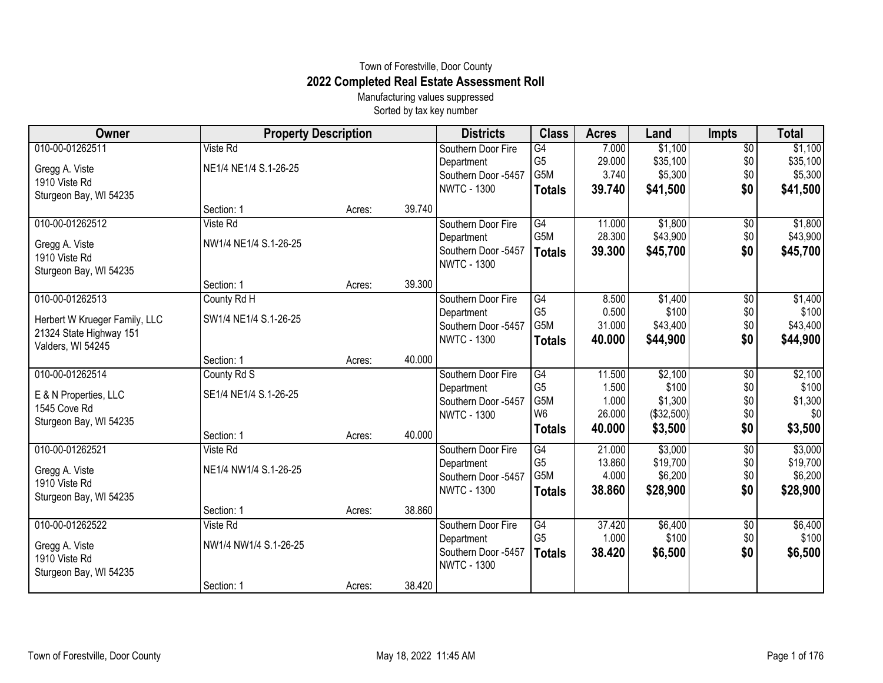## Town of Forestville, Door County **2022 Completed Real Estate Assessment Roll**

Manufacturing values suppressed Sorted by tax key number

| <b>Owner</b>                    | <b>Property Description</b> |        |        | <b>Districts</b>    | <b>Class</b>     | <b>Acres</b> | Land       | <b>Impts</b>    | <b>Total</b> |
|---------------------------------|-----------------------------|--------|--------|---------------------|------------------|--------------|------------|-----------------|--------------|
| 010-00-01262511                 | Viste Rd                    |        |        | Southern Door Fire  | G4               | 7.000        | \$1,100    | $\overline{$0}$ | \$1,100      |
| Gregg A. Viste                  | NE1/4 NE1/4 S.1-26-25       |        |        | Department          | G <sub>5</sub>   | 29.000       | \$35,100   | \$0             | \$35,100     |
| 1910 Viste Rd                   |                             |        |        | Southern Door -5457 | G5M              | 3.740        | \$5,300    | \$0             | \$5,300      |
| Sturgeon Bay, WI 54235          |                             |        |        | <b>NWTC - 1300</b>  | <b>Totals</b>    | 39.740       | \$41,500   | \$0             | \$41,500     |
|                                 | Section: 1                  | Acres: | 39.740 |                     |                  |              |            |                 |              |
| 010-00-01262512                 | Viste Rd                    |        |        | Southern Door Fire  | G4               | 11.000       | \$1,800    | \$0             | \$1,800      |
| Gregg A. Viste                  | NW1/4 NE1/4 S.1-26-25       |        |        | Department          | G <sub>5</sub> M | 28.300       | \$43,900   | \$0             | \$43,900     |
| 1910 Viste Rd                   |                             |        |        | Southern Door -5457 | <b>Totals</b>    | 39.300       | \$45,700   | \$0             | \$45,700     |
| Sturgeon Bay, WI 54235          |                             |        |        | <b>NWTC - 1300</b>  |                  |              |            |                 |              |
|                                 | Section: 1                  | Acres: | 39.300 |                     |                  |              |            |                 |              |
| 010-00-01262513                 | County Rd H                 |        |        | Southern Door Fire  | G4               | 8.500        | \$1,400    | $\overline{60}$ | \$1,400      |
| Herbert W Krueger Family, LLC   | SW1/4 NE1/4 S.1-26-25       |        |        | Department          | G <sub>5</sub>   | 0.500        | \$100      | \$0             | \$100        |
| 21324 State Highway 151         |                             |        |        | Southern Door -5457 | G5M              | 31.000       | \$43,400   | \$0             | \$43,400     |
| Valders, WI 54245               |                             |        |        | <b>NWTC - 1300</b>  | <b>Totals</b>    | 40.000       | \$44,900   | \$0             | \$44,900     |
|                                 | Section: 1                  | Acres: | 40.000 |                     |                  |              |            |                 |              |
| 010-00-01262514                 | County Rd S                 |        |        | Southern Door Fire  | G4               | 11.500       | \$2,100    | \$0             | \$2,100      |
| E & N Properties, LLC           | SE1/4 NE1/4 S.1-26-25       |        |        | Department          | G <sub>5</sub>   | 1.500        | \$100      | \$0             | \$100        |
| 1545 Cove Rd                    |                             |        |        | Southern Door -5457 | G5M              | 1.000        | \$1,300    | \$0             | \$1,300      |
| Sturgeon Bay, WI 54235          |                             |        |        | <b>NWTC - 1300</b>  | W <sub>6</sub>   | 26.000       | (\$32,500) | \$0             | \$0          |
|                                 | Section: 1                  | Acres: | 40.000 |                     | <b>Totals</b>    | 40.000       | \$3,500    | \$0             | \$3,500      |
| 010-00-01262521                 | Viste Rd                    |        |        | Southern Door Fire  | G4               | 21.000       | \$3,000    | \$0             | \$3,000      |
| Gregg A. Viste                  | NE1/4 NW1/4 S.1-26-25       |        |        | Department          | G <sub>5</sub>   | 13.860       | \$19,700   | \$0             | \$19,700     |
| 1910 Viste Rd                   |                             |        |        | Southern Door -5457 | G5M              | 4.000        | \$6,200    | \$0             | \$6,200      |
| Sturgeon Bay, WI 54235          |                             |        |        | <b>NWTC - 1300</b>  | <b>Totals</b>    | 38.860       | \$28,900   | \$0             | \$28,900     |
|                                 | Section: 1                  | Acres: | 38.860 |                     |                  |              |            |                 |              |
| 010-00-01262522                 | Viste Rd                    |        |        | Southern Door Fire  | G4               | 37.420       | \$6,400    | \$0             | \$6,400      |
|                                 | NW1/4 NW1/4 S.1-26-25       |        |        | Department          | G <sub>5</sub>   | 1.000        | \$100      | \$0             | \$100        |
| Gregg A. Viste<br>1910 Viste Rd |                             |        |        | Southern Door -5457 | <b>Totals</b>    | 38.420       | \$6,500    | \$0             | \$6,500      |
| Sturgeon Bay, WI 54235          |                             |        |        | <b>NWTC - 1300</b>  |                  |              |            |                 |              |
|                                 | Section: 1                  | Acres: | 38.420 |                     |                  |              |            |                 |              |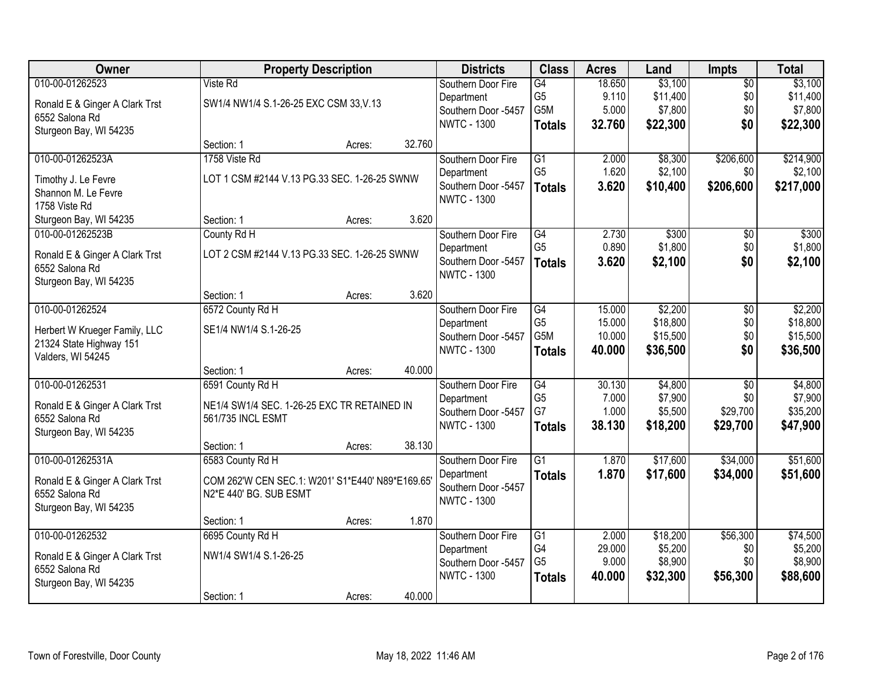| Owner                                            | <b>Property Description</b>                                      |        |        | <b>Districts</b>    | <b>Class</b>     | <b>Acres</b> | Land     | Impts           | <b>Total</b> |
|--------------------------------------------------|------------------------------------------------------------------|--------|--------|---------------------|------------------|--------------|----------|-----------------|--------------|
| 010-00-01262523                                  | Viste Rd                                                         |        |        | Southern Door Fire  | G4               | 18.650       | \$3,100  | $\overline{50}$ | \$3,100      |
| Ronald E & Ginger A Clark Trst                   | SW1/4 NW1/4 S.1-26-25 EXC CSM 33, V.13                           |        |        | Department          | G <sub>5</sub>   | 9.110        | \$11,400 | \$0             | \$11,400     |
| 6552 Salona Rd                                   |                                                                  |        |        | Southern Door -5457 | G5M              | 5.000        | \$7,800  | \$0             | \$7,800      |
| Sturgeon Bay, WI 54235                           |                                                                  |        |        | <b>NWTC - 1300</b>  | <b>Totals</b>    | 32.760       | \$22,300 | \$0             | \$22,300     |
|                                                  | Section: 1                                                       | Acres: | 32.760 |                     |                  |              |          |                 |              |
| 010-00-01262523A                                 | 1758 Viste Rd                                                    |        |        | Southern Door Fire  | $\overline{G1}$  | 2.000        | \$8,300  | \$206,600       | \$214,900    |
| Timothy J. Le Fevre                              | LOT 1 CSM #2144 V.13 PG.33 SEC. 1-26-25 SWNW                     |        |        | Department          | G <sub>5</sub>   | 1.620        | \$2,100  | \$0             | \$2,100      |
| Shannon M. Le Fevre                              |                                                                  |        |        | Southern Door -5457 | <b>Totals</b>    | 3.620        | \$10,400 | \$206,600       | \$217,000    |
| 1758 Viste Rd                                    |                                                                  |        |        | <b>NWTC - 1300</b>  |                  |              |          |                 |              |
| Sturgeon Bay, WI 54235                           | Section: 1                                                       | Acres: | 3.620  |                     |                  |              |          |                 |              |
| 010-00-01262523B                                 | County Rd H                                                      |        |        | Southern Door Fire  | $\overline{G4}$  | 2.730        | \$300    | $\overline{50}$ | \$300        |
| Ronald E & Ginger A Clark Trst                   | LOT 2 CSM #2144 V.13 PG.33 SEC. 1-26-25 SWNW                     |        |        | Department          | G <sub>5</sub>   | 0.890        | \$1,800  | \$0             | \$1,800      |
| 6552 Salona Rd                                   |                                                                  |        |        | Southern Door -5457 | <b>Totals</b>    | 3.620        | \$2,100  | \$0             | \$2,100      |
| Sturgeon Bay, WI 54235                           |                                                                  |        |        | <b>NWTC - 1300</b>  |                  |              |          |                 |              |
|                                                  | Section: 1                                                       | Acres: | 3.620  |                     |                  |              |          |                 |              |
| 010-00-01262524                                  | 6572 County Rd H                                                 |        |        | Southern Door Fire  | G4               | 15.000       | \$2,200  | \$0             | \$2,200      |
| Herbert W Krueger Family, LLC                    | SE1/4 NW1/4 S.1-26-25                                            |        |        | Department          | G <sub>5</sub>   | 15.000       | \$18,800 | \$0             | \$18,800     |
| 21324 State Highway 151                          |                                                                  |        |        | Southern Door -5457 | G <sub>5</sub> M | 10.000       | \$15,500 | \$0             | \$15,500     |
| Valders, WI 54245                                |                                                                  |        |        | <b>NWTC - 1300</b>  | <b>Totals</b>    | 40.000       | \$36,500 | \$0             | \$36,500     |
|                                                  | Section: 1                                                       | Acres: | 40.000 |                     |                  |              |          |                 |              |
| 010-00-01262531                                  | 6591 County Rd H                                                 |        |        | Southern Door Fire  | $\overline{G4}$  | 30.130       | \$4,800  | $\overline{50}$ | \$4,800      |
|                                                  |                                                                  |        |        | Department          | G <sub>5</sub>   | 7.000        | \$7,900  | \$0             | \$7,900      |
| Ronald E & Ginger A Clark Trst<br>6552 Salona Rd | NE1/4 SW1/4 SEC. 1-26-25 EXC TR RETAINED IN<br>561/735 INCL ESMT |        |        | Southern Door -5457 | G7               | 1.000        | \$5,500  | \$29,700        | \$35,200     |
| Sturgeon Bay, WI 54235                           |                                                                  |        |        | <b>NWTC - 1300</b>  | <b>Totals</b>    | 38.130       | \$18,200 | \$29,700        | \$47,900     |
|                                                  | Section: 1                                                       | Acres: | 38.130 |                     |                  |              |          |                 |              |
| 010-00-01262531A                                 | 6583 County Rd H                                                 |        |        | Southern Door Fire  | $\overline{G1}$  | 1.870        | \$17,600 | \$34,000        | \$51,600     |
| Ronald E & Ginger A Clark Trst                   | COM 262'W CEN SEC.1: W201' S1*E440' N89*E169.65'                 |        |        | Department          | <b>Totals</b>    | 1.870        | \$17,600 | \$34,000        | \$51,600     |
| 6552 Salona Rd                                   | N2*E 440' BG. SUB ESMT                                           |        |        | Southern Door -5457 |                  |              |          |                 |              |
| Sturgeon Bay, WI 54235                           |                                                                  |        |        | <b>NWTC - 1300</b>  |                  |              |          |                 |              |
|                                                  | Section: 1                                                       | Acres: | 1.870  |                     |                  |              |          |                 |              |
| 010-00-01262532                                  | 6695 County Rd H                                                 |        |        | Southern Door Fire  | $\overline{G1}$  | 2.000        | \$18,200 | \$56,300        | \$74,500     |
| Ronald E & Ginger A Clark Trst                   | NW1/4 SW1/4 S.1-26-25                                            |        |        | Department          | G4               | 29.000       | \$5,200  | \$0             | \$5,200      |
| 6552 Salona Rd                                   |                                                                  |        |        | Southern Door -5457 | G <sub>5</sub>   | 9.000        | \$8,900  | \$0             | \$8,900      |
| Sturgeon Bay, WI 54235                           |                                                                  |        |        | <b>NWTC - 1300</b>  | <b>Totals</b>    | 40.000       | \$32,300 | \$56,300        | \$88,600     |
|                                                  | Section: 1                                                       | Acres: | 40.000 |                     |                  |              |          |                 |              |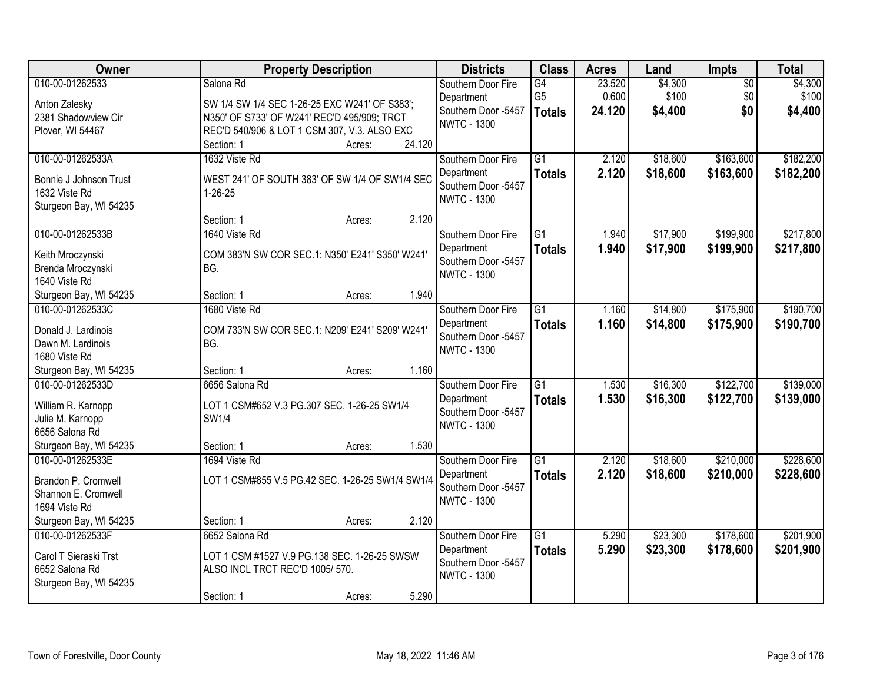| Owner                                                                                 | <b>Property Description</b>                                                                                                       | <b>Districts</b>                                                              | <b>Class</b>                          | <b>Acres</b>              | Land                        | Impts                         | <b>Total</b>                |
|---------------------------------------------------------------------------------------|-----------------------------------------------------------------------------------------------------------------------------------|-------------------------------------------------------------------------------|---------------------------------------|---------------------------|-----------------------------|-------------------------------|-----------------------------|
| 010-00-01262533<br>Anton Zalesky<br>2381 Shadowview Cir                               | Salona Rd<br>SW 1/4 SW 1/4 SEC 1-26-25 EXC W241' OF S383';<br>N350' OF S733' OF W241' REC'D 495/909; TRCT                         | Southern Door Fire<br>Department<br>Southern Door -5457<br><b>NWTC - 1300</b> | G4<br>G <sub>5</sub><br><b>Totals</b> | 23.520<br>0.600<br>24.120 | \$4,300<br>\$100<br>\$4,400 | $\overline{50}$<br>\$0<br>\$0 | \$4,300<br>\$100<br>\$4,400 |
| Plover, WI 54467                                                                      | REC'D 540/906 & LOT 1 CSM 307, V.3. ALSO EXC<br>24.120<br>Section: 1<br>Acres:                                                    |                                                                               |                                       |                           |                             |                               |                             |
| 010-00-01262533A<br>Bonnie J Johnson Trust<br>1632 Viste Rd<br>Sturgeon Bay, WI 54235 | 1632 Viste Rd<br>WEST 241' OF SOUTH 383' OF SW 1/4 OF SW1/4 SEC<br>$1 - 26 - 25$                                                  | Southern Door Fire<br>Department<br>Southern Door -5457<br><b>NWTC - 1300</b> | $\overline{G1}$<br><b>Totals</b>      | 2.120<br>2.120            | \$18,600<br>\$18,600        | \$163,600<br>\$163,600        | \$182,200<br>\$182,200      |
| 010-00-01262533B                                                                      | 2.120<br>Section: 1<br>Acres:<br>1640 Viste Rd                                                                                    |                                                                               | $\overline{G1}$                       |                           |                             | \$199,900                     | \$217,800                   |
| Keith Mroczynski<br>Brenda Mroczynski<br>1640 Viste Rd                                | COM 383'N SW COR SEC.1: N350' E241' S350' W241'<br>BG.                                                                            | Southern Door Fire<br>Department<br>Southern Door -5457<br><b>NWTC - 1300</b> | <b>Totals</b>                         | 1.940<br>1.940            | \$17,900<br>\$17,900        | \$199,900                     | \$217,800                   |
| Sturgeon Bay, WI 54235                                                                | 1.940<br>Section: 1<br>Acres:                                                                                                     |                                                                               |                                       |                           |                             |                               |                             |
| 010-00-01262533C<br>Donald J. Lardinois<br>Dawn M. Lardinois<br>1680 Viste Rd         | 1680 Viste Rd<br>COM 733'N SW COR SEC.1: N209' E241' S209' W241'<br>BG.                                                           | Southern Door Fire<br>Department<br>Southern Door -5457<br><b>NWTC - 1300</b> | $\overline{G1}$<br><b>Totals</b>      | 1.160<br>1.160            | \$14,800<br>\$14,800        | \$175,900<br>\$175,900        | \$190,700<br>\$190,700      |
| Sturgeon Bay, WI 54235                                                                | 1.160<br>Section: 1<br>Acres:                                                                                                     |                                                                               |                                       |                           |                             |                               |                             |
| 010-00-01262533D<br>William R. Karnopp<br>Julie M. Karnopp<br>6656 Salona Rd          | 6656 Salona Rd<br>LOT 1 CSM#652 V.3 PG.307 SEC. 1-26-25 SW1/4<br>SW1/4                                                            | Southern Door Fire<br>Department<br>Southern Door -5457<br><b>NWTC - 1300</b> | $\overline{G1}$<br><b>Totals</b>      | 1.530<br>1.530            | \$16,300<br>\$16,300        | \$122,700<br>\$122,700        | \$139,000<br>\$139,000      |
| Sturgeon Bay, WI 54235                                                                | 1.530<br>Section: 1<br>Acres:                                                                                                     |                                                                               |                                       |                           |                             |                               |                             |
| 010-00-01262533E<br>Brandon P. Cromwell<br>Shannon E. Cromwell<br>1694 Viste Rd       | 1694 Viste Rd<br>LOT 1 CSM#855 V.5 PG.42 SEC. 1-26-25 SW1/4 SW1/4                                                                 | Southern Door Fire<br>Department<br>Southern Door -5457<br><b>NWTC - 1300</b> | $\overline{G1}$<br><b>Totals</b>      | 2.120<br>2.120            | \$18,600<br>\$18,600        | \$210,000<br>\$210,000        | \$228,600<br>\$228,600      |
| Sturgeon Bay, WI 54235                                                                | 2.120<br>Section: 1<br>Acres:                                                                                                     |                                                                               |                                       |                           |                             |                               |                             |
| 010-00-01262533F<br>Carol T Sieraski Trst<br>6652 Salona Rd<br>Sturgeon Bay, WI 54235 | 6652 Salona Rd<br>LOT 1 CSM #1527 V.9 PG.138 SEC. 1-26-25 SWSW<br>ALSO INCL TRCT REC'D 1005/570.<br>5.290<br>Section: 1<br>Acres: | Southern Door Fire<br>Department<br>Southern Door -5457<br><b>NWTC - 1300</b> | $\overline{G1}$<br><b>Totals</b>      | 5.290<br>5.290            | \$23,300<br>\$23,300        | \$178,600<br>\$178,600        | \$201,900<br>\$201,900      |
|                                                                                       |                                                                                                                                   |                                                                               |                                       |                           |                             |                               |                             |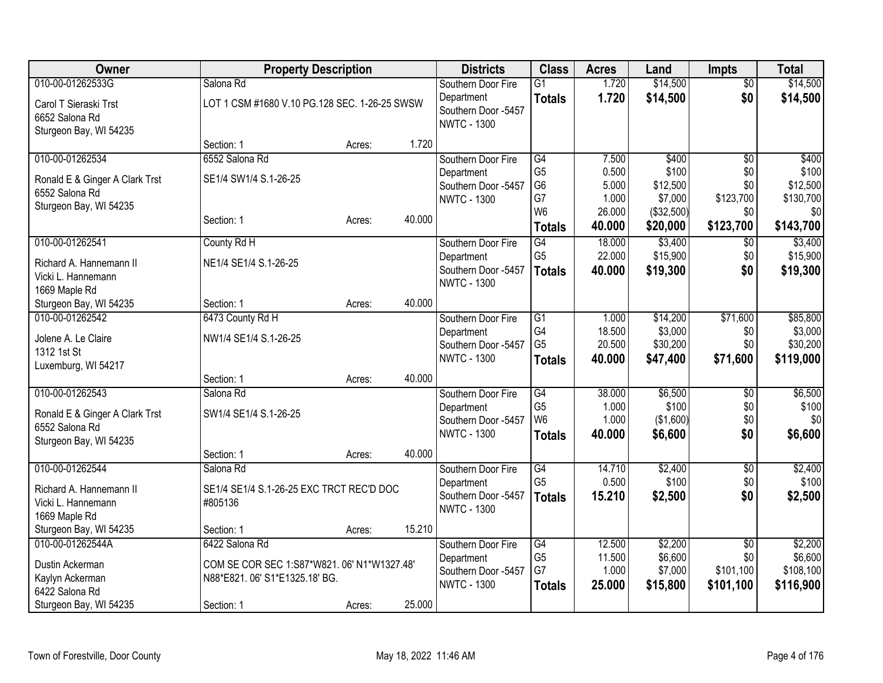| Owner                          | <b>Property Description</b>                   |        |        | <b>Districts</b>                          | <b>Class</b>                      | <b>Acres</b>     | Land                  | <b>Impts</b>           | <b>Total</b>        |
|--------------------------------|-----------------------------------------------|--------|--------|-------------------------------------------|-----------------------------------|------------------|-----------------------|------------------------|---------------------|
| 010-00-01262533G               | Salona Rd                                     |        |        | Southern Door Fire                        | $\overline{G1}$                   | 1.720            | \$14,500              | $\overline{50}$        | \$14,500            |
| Carol T Sieraski Trst          | LOT 1 CSM #1680 V.10 PG.128 SEC. 1-26-25 SWSW |        |        | Department                                | <b>Totals</b>                     | 1.720            | \$14,500              | \$0                    | \$14,500            |
| 6652 Salona Rd                 |                                               |        |        | Southern Door -5457                       |                                   |                  |                       |                        |                     |
| Sturgeon Bay, WI 54235         |                                               |        |        | <b>NWTC - 1300</b>                        |                                   |                  |                       |                        |                     |
|                                | Section: 1                                    | Acres: | 1.720  |                                           |                                   |                  |                       |                        |                     |
| 010-00-01262534                | 6552 Salona Rd                                |        |        | Southern Door Fire                        | G4                                | 7.500            | \$400                 | \$0                    | \$400               |
| Ronald E & Ginger A Clark Trst | SE1/4 SW1/4 S.1-26-25                         |        |        | Department                                | G <sub>5</sub>                    | 0.500            | \$100                 | \$0                    | \$100               |
| 6552 Salona Rd                 |                                               |        |        | Southern Door -5457                       | G <sub>6</sub>                    | 5.000            | \$12,500              | \$0                    | \$12,500            |
| Sturgeon Bay, WI 54235         |                                               |        |        | <b>NWTC - 1300</b>                        | G7<br>W <sub>6</sub>              | 1.000<br>26.000  | \$7,000<br>(\$32,500) | \$123,700<br>\$0       | \$130,700<br> 30    |
|                                | Section: 1                                    | Acres: | 40.000 |                                           |                                   | 40.000           |                       | \$123,700              | \$143,700           |
|                                |                                               |        |        |                                           | <b>Totals</b>                     |                  | \$20,000              |                        |                     |
| 010-00-01262541                | County Rd H                                   |        |        | Southern Door Fire                        | $\overline{G4}$<br>G <sub>5</sub> | 18.000<br>22.000 | \$3,400<br>\$15,900   | $\overline{50}$<br>\$0 | \$3,400<br>\$15,900 |
| Richard A. Hannemann II        | NE1/4 SE1/4 S.1-26-25                         |        |        | Department<br>Southern Door -5457         |                                   | 40.000           | \$19,300              | \$0                    |                     |
| Vicki L. Hannemann             |                                               |        |        | <b>NWTC - 1300</b>                        | <b>Totals</b>                     |                  |                       |                        | \$19,300            |
| 1669 Maple Rd                  |                                               |        |        |                                           |                                   |                  |                       |                        |                     |
| Sturgeon Bay, WI 54235         | Section: 1                                    | Acres: | 40.000 |                                           |                                   |                  |                       |                        |                     |
| 010-00-01262542                | 6473 County Rd H                              |        |        | Southern Door Fire                        | $\overline{G1}$                   | 1.000            | \$14,200              | \$71,600               | \$85,800            |
| Jolene A. Le Claire            | NW1/4 SE1/4 S.1-26-25                         |        |        | Department                                | G4<br>G <sub>5</sub>              | 18.500           | \$3,000               | \$0                    | \$3,000             |
| 1312 1st St                    |                                               |        |        | Southern Door -5457<br><b>NWTC - 1300</b> |                                   | 20.500           | \$30,200              | \$0                    | \$30,200            |
| Luxemburg, WI 54217            |                                               |        |        |                                           | <b>Totals</b>                     | 40.000           | \$47,400              | \$71,600               | \$119,000           |
|                                | Section: 1                                    | Acres: | 40.000 |                                           |                                   |                  |                       |                        |                     |
| 010-00-01262543                | Salona Rd                                     |        |        | Southern Door Fire                        | G4                                | 38.000           | \$6,500               | $\overline{60}$        | \$6,500             |
| Ronald E & Ginger A Clark Trst | SW1/4 SE1/4 S.1-26-25                         |        |        | Department                                | G <sub>5</sub>                    | 1.000            | \$100                 | \$0                    | \$100               |
| 6552 Salona Rd                 |                                               |        |        | Southern Door -5457                       | W <sub>6</sub>                    | 1.000            | (\$1,600)             | \$0                    | \$0                 |
| Sturgeon Bay, WI 54235         |                                               |        |        | <b>NWTC - 1300</b>                        | <b>Totals</b>                     | 40.000           | \$6,600               | \$0                    | \$6,600             |
|                                | Section: 1                                    | Acres: | 40.000 |                                           |                                   |                  |                       |                        |                     |
| 010-00-01262544                | Salona Rd                                     |        |        | Southern Door Fire                        | G4                                | 14.710           | \$2,400               | $\overline{60}$        | \$2,400             |
| Richard A. Hannemann II        | SE1/4 SE1/4 S.1-26-25 EXC TRCT REC'D DOC      |        |        | Department                                | G <sub>5</sub>                    | 0.500            | \$100                 | \$0                    | \$100               |
| Vicki L. Hannemann             | #805136                                       |        |        | Southern Door -5457                       | <b>Totals</b>                     | 15.210           | \$2,500               | \$0                    | \$2,500             |
| 1669 Maple Rd                  |                                               |        |        | <b>NWTC - 1300</b>                        |                                   |                  |                       |                        |                     |
| Sturgeon Bay, WI 54235         | Section: 1                                    | Acres: | 15.210 |                                           |                                   |                  |                       |                        |                     |
| 010-00-01262544A               | 6422 Salona Rd                                |        |        | Southern Door Fire                        | G4                                | 12.500           | \$2,200               | \$0                    | \$2,200             |
| Dustin Ackerman                | COM SE COR SEC 1:S87*W821.06' N1*W1327.48'    |        |        | Department                                | G <sub>5</sub>                    | 11.500           | \$6,600               | \$0                    | \$6,600             |
| Kaylyn Ackerman                | N88*E821.06' S1*E1325.18' BG.                 |        |        | Southern Door -5457                       | G7                                | 1.000            | \$7,000               | \$101,100              | \$108,100           |
| 6422 Salona Rd                 |                                               |        |        | <b>NWTC - 1300</b>                        | <b>Totals</b>                     | 25.000           | \$15,800              | \$101,100              | \$116,900           |
| Sturgeon Bay, WI 54235         | Section: 1                                    | Acres: | 25.000 |                                           |                                   |                  |                       |                        |                     |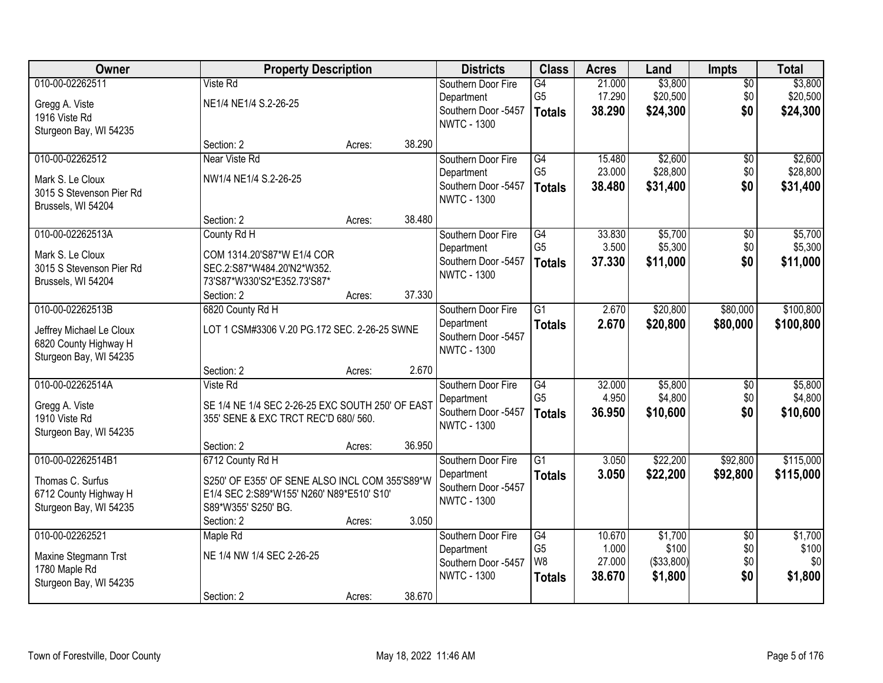| Owner                    | <b>Property Description</b>                      |        |        | <b>Districts</b>                          | <b>Class</b>                      | <b>Acres</b>    | Land                | <b>Impts</b>           | <b>Total</b>        |
|--------------------------|--------------------------------------------------|--------|--------|-------------------------------------------|-----------------------------------|-----------------|---------------------|------------------------|---------------------|
| 010-00-02262511          | Viste Rd                                         |        |        | Southern Door Fire                        | G4                                | 21.000          | \$3,800             | $\overline{50}$        | \$3,800             |
| Gregg A. Viste           | NE1/4 NE1/4 S.2-26-25                            |        |        | Department                                | G <sub>5</sub>                    | 17.290          | \$20,500            | \$0                    | \$20,500            |
| 1916 Viste Rd            |                                                  |        |        | Southern Door -5457<br><b>NWTC - 1300</b> | <b>Totals</b>                     | 38.290          | \$24,300            | \$0                    | \$24,300            |
| Sturgeon Bay, WI 54235   |                                                  |        |        |                                           |                                   |                 |                     |                        |                     |
|                          | Section: 2                                       | Acres: | 38.290 |                                           |                                   |                 |                     |                        |                     |
| 010-00-02262512          | Near Viste Rd                                    |        |        | Southern Door Fire                        | G4                                | 15.480          | \$2,600             | \$0                    | \$2,600             |
| Mark S. Le Cloux         | NW1/4 NE1/4 S.2-26-25                            |        |        | Department                                | G <sub>5</sub>                    | 23.000          | \$28,800            | \$0                    | \$28,800            |
| 3015 S Stevenson Pier Rd |                                                  |        |        | Southern Door -5457<br><b>NWTC - 1300</b> | <b>Totals</b>                     | 38.480          | \$31,400            | \$0                    | \$31,400            |
| Brussels, WI 54204       |                                                  |        |        |                                           |                                   |                 |                     |                        |                     |
|                          | Section: 2                                       | Acres: | 38.480 |                                           |                                   |                 |                     |                        |                     |
| 010-00-02262513A         | County Rd H                                      |        |        | Southern Door Fire                        | G4                                | 33.830          | \$5,700             | $\overline{50}$        | \$5,700             |
| Mark S. Le Cloux         | COM 1314.20'S87*W E1/4 COR                       |        |        | Department<br>Southern Door -5457         | G <sub>5</sub>                    | 3.500           | \$5,300             | \$0                    | \$5,300             |
| 3015 S Stevenson Pier Rd | SEC.2:S87*W484.20'N2*W352.                       |        |        | <b>NWTC - 1300</b>                        | <b>Totals</b>                     | 37.330          | \$11,000            | \$0                    | \$11,000            |
| Brussels, WI 54204       | 73'S87*W330'S2*E352.73'S87*                      |        |        |                                           |                                   |                 |                     |                        |                     |
|                          | Section: 2                                       | Acres: | 37.330 |                                           |                                   |                 |                     |                        |                     |
| 010-00-02262513B         | 6820 County Rd H                                 |        |        | Southern Door Fire                        | $\overline{G1}$                   | 2.670           | \$20,800            | \$80,000               | \$100,800           |
| Jeffrey Michael Le Cloux | LOT 1 CSM#3306 V.20 PG.172 SEC. 2-26-25 SWNE     |        |        | Department<br>Southern Door -5457         | <b>Totals</b>                     | 2.670           | \$20,800            | \$80,000               | \$100,800           |
| 6820 County Highway H    |                                                  |        |        | <b>NWTC - 1300</b>                        |                                   |                 |                     |                        |                     |
| Sturgeon Bay, WI 54235   |                                                  |        |        |                                           |                                   |                 |                     |                        |                     |
|                          | Section: 2                                       | Acres: | 2.670  |                                           |                                   |                 |                     |                        |                     |
| 010-00-02262514A         | Viste Rd                                         |        |        | Southern Door Fire                        | $\overline{G4}$<br>G <sub>5</sub> | 32.000          | \$5,800             | $\overline{50}$        | \$5,800             |
| Gregg A. Viste           | SE 1/4 NE 1/4 SEC 2-26-25 EXC SOUTH 250' OF EAST |        |        | Department<br>Southern Door -5457         |                                   | 4.950<br>36.950 | \$4,800<br>\$10,600 | \$0<br>\$0             | \$4,800<br>\$10,600 |
| 1910 Viste Rd            | 355' SENE & EXC TRCT REC'D 680/ 560.             |        |        | <b>NWTC - 1300</b>                        | <b>Totals</b>                     |                 |                     |                        |                     |
| Sturgeon Bay, WI 54235   |                                                  |        |        |                                           |                                   |                 |                     |                        |                     |
|                          | Section: 2                                       | Acres: | 36.950 |                                           |                                   |                 |                     |                        |                     |
| 010-00-02262514B1        | 6712 County Rd H                                 |        |        | Southern Door Fire                        | $\overline{G1}$                   | 3.050           | \$22,200            | \$92,800               | \$115,000           |
| Thomas C. Surfus         | S250' OF E355' OF SENE ALSO INCL COM 355'S89*W   |        |        | Department<br>Southern Door -5457         | <b>Totals</b>                     | 3.050           | \$22,200            | \$92,800               | \$115,000           |
| 6712 County Highway H    | E1/4 SEC 2:S89*W155' N260' N89*E510' S10'        |        |        | <b>NWTC - 1300</b>                        |                                   |                 |                     |                        |                     |
| Sturgeon Bay, WI 54235   | S89*W355' S250' BG.                              |        |        |                                           |                                   |                 |                     |                        |                     |
|                          | Section: 2                                       | Acres: | 3.050  |                                           |                                   |                 |                     |                        |                     |
| 010-00-02262521          | Maple Rd                                         |        |        | Southern Door Fire                        | G4<br>G <sub>5</sub>              | 10.670<br>1.000 | \$1,700<br>\$100    | $\overline{50}$<br>\$0 | \$1,700<br>\$100    |
| Maxine Stegmann Trst     | NE 1/4 NW 1/4 SEC 2-26-25                        |        |        | Department<br>Southern Door -5457         | W <sub>8</sub>                    | 27.000          | ( \$33, 800)        | \$0                    | \$0                 |
| 1780 Maple Rd            |                                                  |        |        | <b>NWTC - 1300</b>                        | <b>Totals</b>                     | 38.670          | \$1,800             | \$0                    | \$1,800             |
| Sturgeon Bay, WI 54235   |                                                  |        |        |                                           |                                   |                 |                     |                        |                     |
|                          | Section: 2                                       | Acres: | 38.670 |                                           |                                   |                 |                     |                        |                     |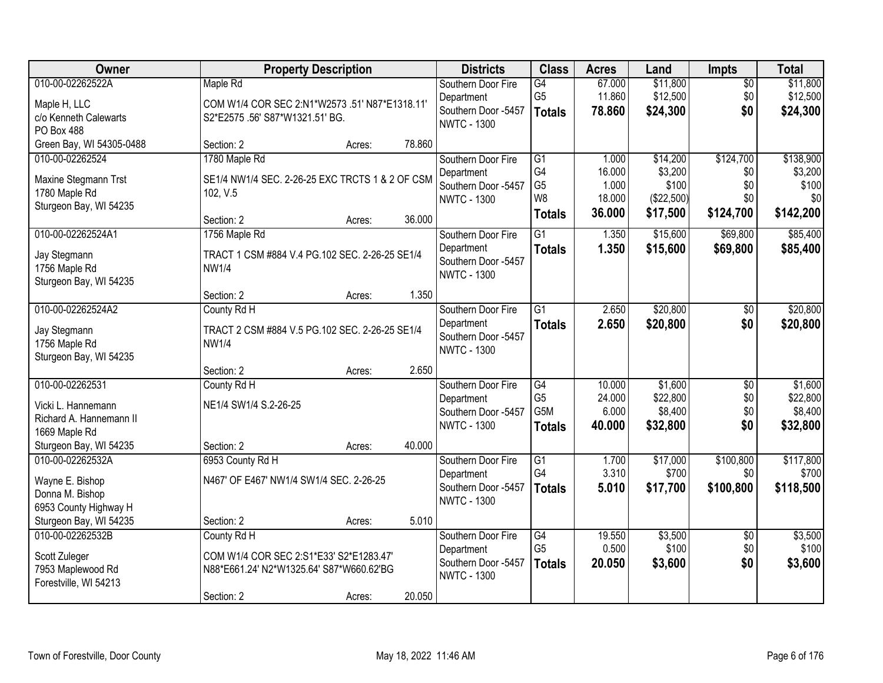| Owner                                                                                                                                                   |                                                                                                        | <b>Property Description</b> |                 | <b>Districts</b>                                                                                    | <b>Class</b>                                                               | <b>Acres</b>                                 | Land                                                   | <b>Impts</b>                                     | <b>Total</b>                                                 |
|---------------------------------------------------------------------------------------------------------------------------------------------------------|--------------------------------------------------------------------------------------------------------|-----------------------------|-----------------|-----------------------------------------------------------------------------------------------------|----------------------------------------------------------------------------|----------------------------------------------|--------------------------------------------------------|--------------------------------------------------|--------------------------------------------------------------|
| 010-00-02262522A<br>Maple H, LLC<br>c/o Kenneth Calewarts<br><b>PO Box 488</b>                                                                          | Maple Rd<br>COM W1/4 COR SEC 2:N1*W2573 .51' N87*E1318.11'<br>S2*E2575.56' S87*W1321.51' BG.           |                             |                 | Southern Door Fire<br>Department<br>Southern Door -5457<br><b>NWTC - 1300</b>                       | $\overline{G4}$<br>G <sub>5</sub><br><b>Totals</b>                         | 67.000<br>11.860<br>78.860                   | \$11,800<br>\$12,500<br>\$24,300                       | $\sqrt{$0}$<br>\$0<br>\$0                        | \$11,800<br>\$12,500<br>\$24,300                             |
| Green Bay, WI 54305-0488                                                                                                                                | Section: 2                                                                                             | Acres:                      | 78.860          |                                                                                                     |                                                                            |                                              |                                                        |                                                  |                                                              |
| 010-00-02262524<br>Maxine Stegmann Trst<br>1780 Maple Rd<br>Sturgeon Bay, WI 54235                                                                      | 1780 Maple Rd<br>SE1/4 NW1/4 SEC. 2-26-25 EXC TRCTS 1 & 2 OF CSM<br>102, V.5<br>Section: 2             | Acres:                      | 36.000          | Southern Door Fire<br>Department<br>Southern Door -5457<br><b>NWTC - 1300</b>                       | $\overline{G1}$<br>G4<br>G <sub>5</sub><br>W <sub>8</sub><br><b>Totals</b> | 1.000<br>16.000<br>1.000<br>18.000<br>36.000 | \$14,200<br>\$3,200<br>\$100<br>(\$22,500)<br>\$17,500 | \$124,700<br>\$0<br>\$0<br>\$0<br>\$124,700      | \$138,900<br>\$3,200<br>\$100<br>$\frac{1}{20}$<br>\$142,200 |
| 010-00-02262524A1<br>Jay Stegmann<br>1756 Maple Rd<br>Sturgeon Bay, WI 54235                                                                            | 1756 Maple Rd<br>TRACT 1 CSM #884 V.4 PG.102 SEC. 2-26-25 SE1/4<br><b>NW1/4</b><br>Section: 2          | Acres:                      | 1.350           | Southern Door Fire<br>Department<br>Southern Door -5457<br><b>NWTC - 1300</b>                       | $\overline{G1}$<br><b>Totals</b>                                           | 1.350<br>1.350                               | \$15,600<br>\$15,600                                   | \$69,800<br>\$69,800                             | \$85,400<br>\$85,400                                         |
| 010-00-02262524A2<br>Jay Stegmann<br>1756 Maple Rd<br>Sturgeon Bay, WI 54235                                                                            | County Rd H<br>TRACT 2 CSM #884 V.5 PG.102 SEC. 2-26-25 SE1/4<br><b>NW1/4</b>                          |                             |                 | Southern Door Fire<br>Department<br>Southern Door -5457<br><b>NWTC - 1300</b>                       | G1<br><b>Totals</b>                                                        | 2.650<br>2.650                               | \$20,800<br>\$20,800                                   | $\sqrt[6]{3}$<br>\$0                             | \$20,800<br>\$20,800                                         |
| 010-00-02262531<br>Vicki L. Hannemann<br>Richard A. Hannemann II<br>1669 Maple Rd                                                                       | Section: 2<br>County Rd H<br>NE1/4 SW1/4 S.2-26-25                                                     | Acres:                      | 2.650           | Southern Door Fire<br>Department<br>Southern Door -5457<br><b>NWTC - 1300</b>                       | $\overline{G4}$<br>G <sub>5</sub><br>G5M<br><b>Totals</b>                  | 10.000<br>24.000<br>6.000<br>40.000          | \$1,600<br>\$22,800<br>\$8,400<br>\$32,800             | \$0<br>\$0<br>\$0<br>\$0                         | \$1,600<br>\$22,800<br>\$8,400<br>\$32,800                   |
| Sturgeon Bay, WI 54235<br>010-00-02262532A<br>Wayne E. Bishop<br>Donna M. Bishop<br>6953 County Highway H<br>Sturgeon Bay, WI 54235<br>010-00-02262532B | Section: 2<br>6953 County Rd H<br>N467' OF E467' NW1/4 SW1/4 SEC. 2-26-25<br>Section: 2<br>County Rd H | Acres:<br>Acres:            | 40.000<br>5.010 | Southern Door Fire<br>Department<br>Southern Door -5457<br><b>NWTC - 1300</b><br>Southern Door Fire | $\overline{G1}$<br>G4<br><b>Totals</b><br>G4                               | 1.700<br>3.310<br>5.010<br>19.550            | \$17,000<br>\$700<br>\$17,700<br>\$3,500               | \$100,800<br>\$0<br>\$100,800<br>$\overline{60}$ | \$117,800<br>\$700<br>\$118,500<br>\$3,500                   |
| Scott Zuleger<br>7953 Maplewood Rd<br>Forestville, WI 54213                                                                                             | COM W1/4 COR SEC 2:S1*E33' S2*E1283.47'<br>N88*E661.24' N2*W1325.64' S87*W660.62'BG<br>Section: 2      | Acres:                      | 20.050          | Department<br>Southern Door -5457<br><b>NWTC - 1300</b>                                             | G <sub>5</sub><br><b>Totals</b>                                            | 0.500<br>20.050                              | \$100<br>\$3,600                                       | \$0<br>\$0                                       | \$100<br>\$3,600                                             |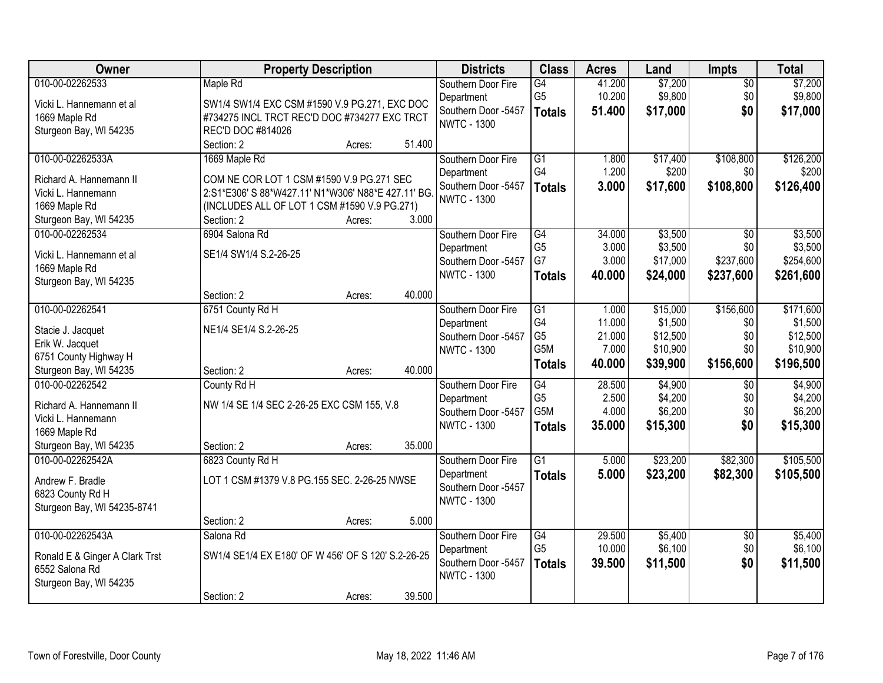| Owner                                     | <b>Property Description</b>                        |        |        | <b>Districts</b>                  | <b>Class</b>    | <b>Acres</b>    | Land               | <b>Impts</b>    | <b>Total</b>       |
|-------------------------------------------|----------------------------------------------------|--------|--------|-----------------------------------|-----------------|-----------------|--------------------|-----------------|--------------------|
| 010-00-02262533                           | Maple Rd                                           |        |        | Southern Door Fire                | G4              | 41.200          | \$7,200            | $\overline{50}$ | \$7,200            |
| Vicki L. Hannemann et al                  | SW1/4 SW1/4 EXC CSM #1590 V.9 PG.271, EXC DOC      |        |        | Department                        | G <sub>5</sub>  | 10.200          | \$9,800            | \$0             | \$9,800            |
| 1669 Maple Rd                             | #734275 INCL TRCT REC'D DOC #734277 EXC TRCT       |        |        | Southern Door -5457               | <b>Totals</b>   | 51.400          | \$17,000           | \$0             | \$17,000           |
| Sturgeon Bay, WI 54235                    | REC'D DOC #814026                                  |        |        | <b>NWTC - 1300</b>                |                 |                 |                    |                 |                    |
|                                           | Section: 2                                         | Acres: | 51.400 |                                   |                 |                 |                    |                 |                    |
| 010-00-02262533A                          | 1669 Maple Rd                                      |        |        | Southern Door Fire                | $\overline{G1}$ | 1.800           | \$17,400           | \$108,800       | \$126,200          |
| Richard A. Hannemann II                   | COM NE COR LOT 1 CSM #1590 V.9 PG.271 SEC          |        |        | Department                        | G4              | 1.200           | \$200              | \$0             | \$200              |
| Vicki L. Hannemann                        | 2:S1*E306' S 88*W427.11' N1*W306' N88*E 427.11' BG |        |        | Southern Door -5457               | <b>Totals</b>   | 3.000           | \$17,600           | \$108,800       | \$126,400          |
| 1669 Maple Rd                             | (INCLUDES ALL OF LOT 1 CSM #1590 V.9 PG.271)       |        |        | <b>NWTC - 1300</b>                |                 |                 |                    |                 |                    |
| Sturgeon Bay, WI 54235                    | Section: 2                                         | Acres: | 3.000  |                                   |                 |                 |                    |                 |                    |
| 010-00-02262534                           | 6904 Salona Rd                                     |        |        | Southern Door Fire                | G4              | 34.000          | \$3,500            | $\overline{50}$ | \$3,500            |
|                                           |                                                    |        |        | Department                        | G <sub>5</sub>  | 3.000           | \$3,500            | \$0             | \$3,500            |
| Vicki L. Hannemann et al                  | SE1/4 SW1/4 S.2-26-25                              |        |        | Southern Door -5457               | G7              | 3.000           | \$17,000           | \$237,600       | \$254,600          |
| 1669 Maple Rd<br>Sturgeon Bay, WI 54235   |                                                    |        |        | <b>NWTC - 1300</b>                | <b>Totals</b>   | 40.000          | \$24,000           | \$237,600       | \$261,600          |
|                                           | Section: 2                                         | Acres: | 40.000 |                                   |                 |                 |                    |                 |                    |
| 010-00-02262541                           | 6751 County Rd H                                   |        |        | Southern Door Fire                | G1              | 1.000           | \$15,000           | \$156,600       | \$171,600          |
|                                           |                                                    |        |        | Department                        | G4              | 11.000          | \$1,500            | \$0             | \$1,500            |
| Stacie J. Jacquet                         | NE1/4 SE1/4 S.2-26-25                              |        |        | Southern Door -5457               | G <sub>5</sub>  | 21.000          | \$12,500           | \$0             | \$12,500           |
| Erik W. Jacquet                           |                                                    |        |        | <b>NWTC - 1300</b>                | G5M             | 7.000           | \$10,900           | \$0             | \$10,900           |
| 6751 County Highway H                     |                                                    |        | 40.000 |                                   | <b>Totals</b>   | 40.000          | \$39,900           | \$156,600       | \$196,500          |
| Sturgeon Bay, WI 54235<br>010-00-02262542 | Section: 2                                         | Acres: |        |                                   | $\overline{G4}$ |                 |                    | $\overline{50}$ |                    |
|                                           | County Rd H                                        |        |        | Southern Door Fire                | G <sub>5</sub>  | 28.500<br>2.500 | \$4,900<br>\$4,200 | \$0             | \$4,900<br>\$4,200 |
| Richard A. Hannemann II                   | NW 1/4 SE 1/4 SEC 2-26-25 EXC CSM 155, V.8         |        |        | Department<br>Southern Door -5457 | G5M             | 4.000           | \$6,200            | \$0             | \$6,200            |
| Vicki L. Hannemann                        |                                                    |        |        | <b>NWTC - 1300</b>                | <b>Totals</b>   | 35.000          | \$15,300           | \$0             | \$15,300           |
| 1669 Maple Rd                             |                                                    |        |        |                                   |                 |                 |                    |                 |                    |
| Sturgeon Bay, WI 54235                    | Section: 2                                         | Acres: | 35.000 |                                   |                 |                 |                    |                 |                    |
| 010-00-02262542A                          | 6823 County Rd H                                   |        |        | Southern Door Fire                | $\overline{G1}$ | 5.000           | \$23,200           | \$82,300        | \$105,500          |
| Andrew F. Bradle                          | LOT 1 CSM #1379 V.8 PG.155 SEC. 2-26-25 NWSE       |        |        | Department                        | <b>Totals</b>   | 5.000           | \$23,200           | \$82,300        | \$105,500          |
| 6823 County Rd H                          |                                                    |        |        | Southern Door -5457               |                 |                 |                    |                 |                    |
| Sturgeon Bay, WI 54235-8741               |                                                    |        |        | <b>NWTC - 1300</b>                |                 |                 |                    |                 |                    |
|                                           | Section: 2                                         | Acres: | 5.000  |                                   |                 |                 |                    |                 |                    |
| 010-00-02262543A                          | Salona Rd                                          |        |        | Southern Door Fire                | G4              | 29.500          | \$5,400            | $\overline{30}$ | \$5,400            |
| Ronald E & Ginger A Clark Trst            | SW1/4 SE1/4 EX E180' OF W 456' OF S 120' S.2-26-25 |        |        | Department                        | G <sub>5</sub>  | 10.000          | \$6,100            | \$0             | \$6,100            |
| 6552 Salona Rd                            |                                                    |        |        | Southern Door -5457               | <b>Totals</b>   | 39.500          | \$11,500           | \$0             | \$11,500           |
| Sturgeon Bay, WI 54235                    |                                                    |        |        | <b>NWTC - 1300</b>                |                 |                 |                    |                 |                    |
|                                           | Section: 2                                         | Acres: | 39.500 |                                   |                 |                 |                    |                 |                    |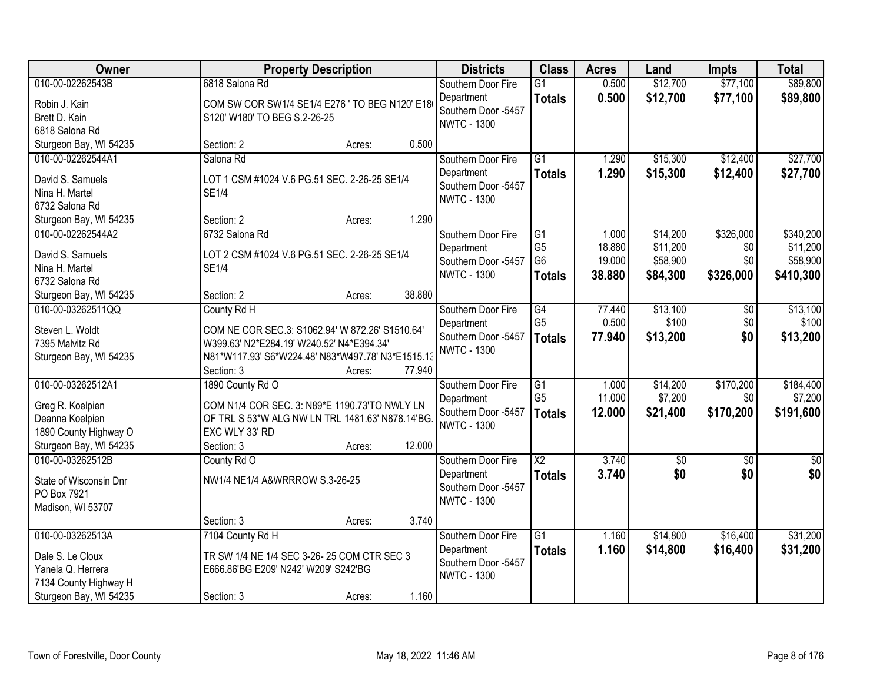| Owner                                       | <b>Property Description</b>                       |        |        | <b>Districts</b>                  | <b>Class</b>                     | <b>Acres</b>     | Land                 | <b>Impts</b>    | <b>Total</b>         |
|---------------------------------------------|---------------------------------------------------|--------|--------|-----------------------------------|----------------------------------|------------------|----------------------|-----------------|----------------------|
| 010-00-02262543B                            | 6818 Salona Rd                                    |        |        | Southern Door Fire                | $\overline{G1}$                  | 0.500            | \$12,700             | \$77,100        | \$89,800             |
| Robin J. Kain                               | COM SW COR SW1/4 SE1/4 E276 ' TO BEG N120' E18    |        |        | Department<br>Southern Door -5457 | <b>Totals</b>                    | 0.500            | \$12,700             | \$77,100        | \$89,800             |
| Brett D. Kain                               | S120' W180' TO BEG S.2-26-25                      |        |        | <b>NWTC - 1300</b>                |                                  |                  |                      |                 |                      |
| 6818 Salona Rd                              |                                                   |        | 0.500  |                                   |                                  |                  |                      |                 |                      |
| Sturgeon Bay, WI 54235<br>010-00-02262544A1 | Section: 2<br>Salona Rd                           | Acres: |        |                                   | $\overline{G1}$                  |                  |                      | \$12,400        | \$27,700             |
|                                             |                                                   |        |        | Southern Door Fire<br>Department  |                                  | 1.290<br>1.290   | \$15,300             |                 |                      |
| David S. Samuels                            | LOT 1 CSM #1024 V.6 PG.51 SEC. 2-26-25 SE1/4      |        |        | Southern Door -5457               | <b>Totals</b>                    |                  | \$15,300             | \$12,400        | \$27,700             |
| Nina H. Martel                              | <b>SE1/4</b>                                      |        |        | <b>NWTC - 1300</b>                |                                  |                  |                      |                 |                      |
| 6732 Salona Rd                              |                                                   |        |        |                                   |                                  |                  |                      |                 |                      |
| Sturgeon Bay, WI 54235                      | Section: 2                                        | Acres: | 1.290  |                                   |                                  |                  |                      |                 |                      |
| 010-00-02262544A2                           | 6732 Salona Rd                                    |        |        | Southern Door Fire                | G1                               | 1.000            | \$14,200             | \$326,000       | \$340,200            |
| David S. Samuels                            | LOT 2 CSM #1024 V.6 PG.51 SEC. 2-26-25 SE1/4      |        |        | Department<br>Southern Door -5457 | G <sub>5</sub><br>G <sub>6</sub> | 18.880<br>19.000 | \$11,200<br>\$58,900 | \$0<br>\$0      | \$11,200<br>\$58,900 |
| Nina H. Martel                              | <b>SE1/4</b>                                      |        |        | <b>NWTC - 1300</b>                | <b>Totals</b>                    | 38,880           | \$84,300             | \$326,000       | \$410,300            |
| 6732 Salona Rd                              |                                                   |        |        |                                   |                                  |                  |                      |                 |                      |
| Sturgeon Bay, WI 54235                      | Section: 2                                        | Acres: | 38.880 |                                   |                                  |                  |                      |                 |                      |
| 010-00-03262511QQ                           | County Rd H                                       |        |        | Southern Door Fire                | G4                               | 77.440           | \$13,100             | \$0             | \$13,100             |
| Steven L. Woldt                             | COM NE COR SEC.3: S1062.94' W 872.26' S1510.64'   |        |        | Department                        | G <sub>5</sub>                   | 0.500            | \$100                | \$0             | \$100                |
| 7395 Malvitz Rd                             | W399.63' N2*E284.19' W240.52' N4*E394.34'         |        |        | Southern Door -5457               | <b>Totals</b>                    | 77.940           | \$13,200             | \$0             | \$13,200             |
| Sturgeon Bay, WI 54235                      | N81*W117.93' S6*W224.48' N83*W497.78' N3*E1515.13 |        |        | <b>NWTC - 1300</b>                |                                  |                  |                      |                 |                      |
|                                             | Section: 3                                        | Acres: | 77.940 |                                   |                                  |                  |                      |                 |                      |
| 010-00-03262512A1                           | 1890 County Rd O                                  |        |        | Southern Door Fire                | $\overline{G1}$                  | 1.000            | \$14,200             | \$170,200       | \$184,400            |
| Greg R. Koelpien                            | COM N1/4 COR SEC. 3: N89*E 1190.73'TO NWLY LN     |        |        | Department                        | G <sub>5</sub>                   | 11.000           | \$7,200              | \$0             | \$7,200              |
| Deanna Koelpien                             | OF TRL S 53*W ALG NW LN TRL 1481.63' N878.14'BG   |        |        | Southern Door -5457               | <b>Totals</b>                    | 12.000           | \$21,400             | \$170,200       | \$191,600            |
| 1890 County Highway O                       | EXC WLY 33' RD                                    |        |        | <b>NWTC - 1300</b>                |                                  |                  |                      |                 |                      |
| Sturgeon Bay, WI 54235                      | Section: 3                                        | Acres: | 12.000 |                                   |                                  |                  |                      |                 |                      |
| 010-00-03262512B                            | County Rd O                                       |        |        | Southern Door Fire                | $\overline{\text{X2}}$           | 3.740            | $\overline{60}$      | $\overline{50}$ | \$0                  |
| State of Wisconsin Dnr                      | NW1/4 NE1/4 A&WRRROW S.3-26-25                    |        |        | Department                        | <b>Totals</b>                    | 3.740            | \$0                  | \$0             | \$0                  |
| PO Box 7921                                 |                                                   |        |        | Southern Door -5457               |                                  |                  |                      |                 |                      |
| Madison, WI 53707                           |                                                   |        |        | <b>NWTC - 1300</b>                |                                  |                  |                      |                 |                      |
|                                             | Section: 3                                        | Acres: | 3.740  |                                   |                                  |                  |                      |                 |                      |
| 010-00-03262513A                            | 7104 County Rd H                                  |        |        | Southern Door Fire                | $\overline{G1}$                  | 1.160            | \$14,800             | \$16,400        | \$31,200             |
| Dale S. Le Cloux                            | TR SW 1/4 NE 1/4 SEC 3-26-25 COM CTR SEC 3        |        |        | Department                        | <b>Totals</b>                    | 1.160            | \$14,800             | \$16,400        | \$31,200             |
| Yanela Q. Herrera                           | E666.86'BG E209' N242' W209' S242'BG              |        |        | Southern Door -5457               |                                  |                  |                      |                 |                      |
| 7134 County Highway H                       |                                                   |        |        | <b>NWTC - 1300</b>                |                                  |                  |                      |                 |                      |
| Sturgeon Bay, WI 54235                      | Section: 3                                        | Acres: | 1.160  |                                   |                                  |                  |                      |                 |                      |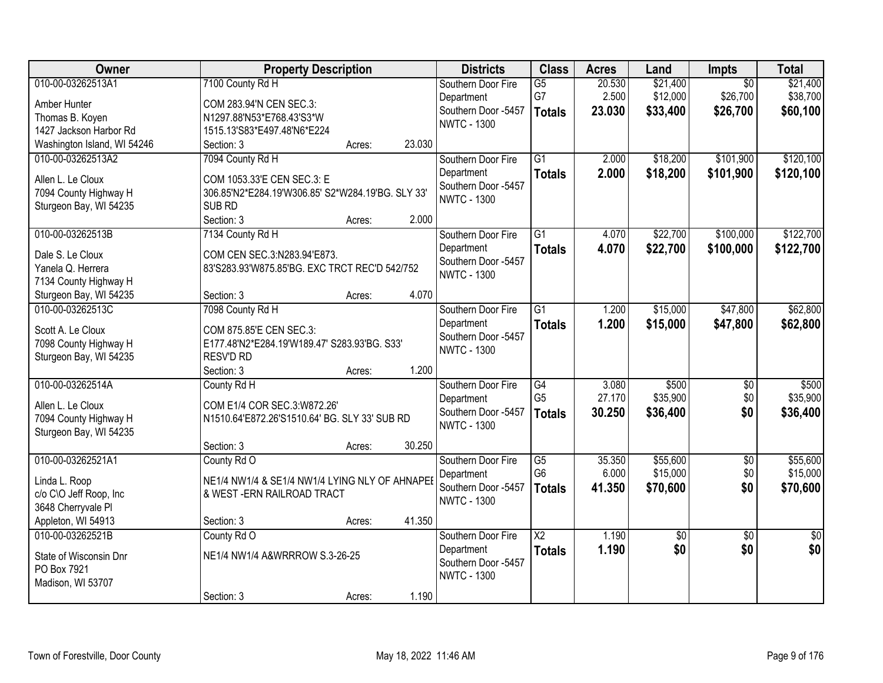| Owner                       | <b>Property Description</b>                       |        | <b>Districts</b>    | <b>Class</b>           | <b>Acres</b> | Land     | <b>Impts</b>    | <b>Total</b>    |
|-----------------------------|---------------------------------------------------|--------|---------------------|------------------------|--------------|----------|-----------------|-----------------|
| 010-00-03262513A1           | 7100 County Rd H                                  |        | Southern Door Fire  | $\overline{G5}$        | 20.530       | \$21,400 | $\overline{50}$ | \$21,400        |
| Amber Hunter                | COM 283.94'N CEN SEC.3:                           |        | Department          | G7                     | 2.500        | \$12,000 | \$26,700        | \$38,700        |
| Thomas B. Koyen             | N1297.88'N53*E768.43'S3*W                         |        | Southern Door -5457 | <b>Totals</b>          | 23.030       | \$33,400 | \$26,700        | \$60,100        |
| 1427 Jackson Harbor Rd      | 1515.13'S83*E497.48'N6*E224                       |        | <b>NWTC - 1300</b>  |                        |              |          |                 |                 |
| Washington Island, WI 54246 | Section: 3<br>Acres:                              | 23.030 |                     |                        |              |          |                 |                 |
| 010-00-03262513A2           | 7094 County Rd H                                  |        | Southern Door Fire  | $\overline{G1}$        | 2.000        | \$18,200 | \$101,900       | \$120,100       |
|                             |                                                   |        | Department          | <b>Totals</b>          | 2.000        | \$18,200 | \$101,900       | \$120,100       |
| Allen L. Le Cloux           | COM 1053.33'E CEN SEC.3: E                        |        | Southern Door -5457 |                        |              |          |                 |                 |
| 7094 County Highway H       | 306.85'N2*E284.19'W306.85' S2*W284.19'BG. SLY 33' |        | <b>NWTC - 1300</b>  |                        |              |          |                 |                 |
| Sturgeon Bay, WI 54235      | SUB RD                                            |        |                     |                        |              |          |                 |                 |
|                             | Section: 3<br>Acres:                              | 2.000  |                     |                        |              |          |                 |                 |
| 010-00-03262513B            | 7134 County Rd H                                  |        | Southern Door Fire  | $\overline{G1}$        | 4.070        | \$22,700 | \$100,000       | \$122,700       |
| Dale S. Le Cloux            | COM CEN SEC.3:N283.94'E873.                       |        | Department          | <b>Totals</b>          | 4.070        | \$22,700 | \$100,000       | \$122,700       |
| Yanela Q. Herrera           | 83'S283.93'W875.85'BG. EXC TRCT REC'D 542/752     |        | Southern Door -5457 |                        |              |          |                 |                 |
| 7134 County Highway H       |                                                   |        | <b>NWTC - 1300</b>  |                        |              |          |                 |                 |
| Sturgeon Bay, WI 54235      | Section: 3<br>Acres:                              | 4.070  |                     |                        |              |          |                 |                 |
| 010-00-03262513C            | 7098 County Rd H                                  |        | Southern Door Fire  | $\overline{G1}$        | 1.200        | \$15,000 | \$47,800        | \$62,800        |
|                             |                                                   |        | Department          | <b>Totals</b>          | 1.200        | \$15,000 | \$47,800        | \$62,800        |
| Scott A. Le Cloux           | COM 875.85'E CEN SEC.3:                           |        | Southern Door -5457 |                        |              |          |                 |                 |
| 7098 County Highway H       | E177.48'N2*E284.19'W189.47' S283.93'BG. S33'      |        | <b>NWTC - 1300</b>  |                        |              |          |                 |                 |
| Sturgeon Bay, WI 54235      | RESV'D RD                                         |        |                     |                        |              |          |                 |                 |
|                             | Section: 3<br>Acres:                              | 1.200  |                     |                        |              |          |                 |                 |
| 010-00-03262514A            | County Rd H                                       |        | Southern Door Fire  | $\overline{G4}$        | 3.080        | \$500    | $\overline{50}$ | \$500           |
| Allen L. Le Cloux           | COM E1/4 COR SEC.3:W872.26'                       |        | Department          | G <sub>5</sub>         | 27.170       | \$35,900 | \$0             | \$35,900        |
| 7094 County Highway H       | N1510.64'E872.26'S1510.64' BG. SLY 33' SUB RD     |        | Southern Door -5457 | <b>Totals</b>          | 30.250       | \$36,400 | \$0             | \$36,400        |
| Sturgeon Bay, WI 54235      |                                                   |        | <b>NWTC - 1300</b>  |                        |              |          |                 |                 |
|                             | Section: 3<br>Acres:                              | 30.250 |                     |                        |              |          |                 |                 |
| 010-00-03262521A1           | County Rd O                                       |        | Southern Door Fire  | $\overline{G5}$        | 35.350       | \$55,600 | $\overline{50}$ | \$55,600        |
|                             |                                                   |        | Department          | G <sub>6</sub>         | 6.000        | \$15,000 | \$0             | \$15,000        |
| Linda L. Roop               | NE1/4 NW1/4 & SE1/4 NW1/4 LYING NLY OF AHNAPEI    |        | Southern Door -5457 | <b>Totals</b>          | 41.350       | \$70,600 | \$0             | \$70,600        |
| c/o C\O Jeff Roop, Inc      | & WEST-ERN RAILROAD TRACT                         |        | <b>NWTC - 1300</b>  |                        |              |          |                 |                 |
| 3648 Cherryvale Pl          |                                                   |        |                     |                        |              |          |                 |                 |
| Appleton, WI 54913          | Section: 3<br>Acres:                              | 41.350 |                     |                        |              |          |                 |                 |
| 010-00-03262521B            | County Rd O                                       |        | Southern Door Fire  | $\overline{\text{X2}}$ | 1.190        | \$0      | $\overline{50}$ | $\overline{50}$ |
| State of Wisconsin Dnr      | NE1/4 NW1/4 A&WRRROW S.3-26-25                    |        | Department          | <b>Totals</b>          | 1.190        | \$0      | \$0             | \$0             |
| PO Box 7921                 |                                                   |        | Southern Door -5457 |                        |              |          |                 |                 |
| Madison, WI 53707           |                                                   |        | <b>NWTC - 1300</b>  |                        |              |          |                 |                 |
|                             | Section: 3<br>Acres:                              | 1.190  |                     |                        |              |          |                 |                 |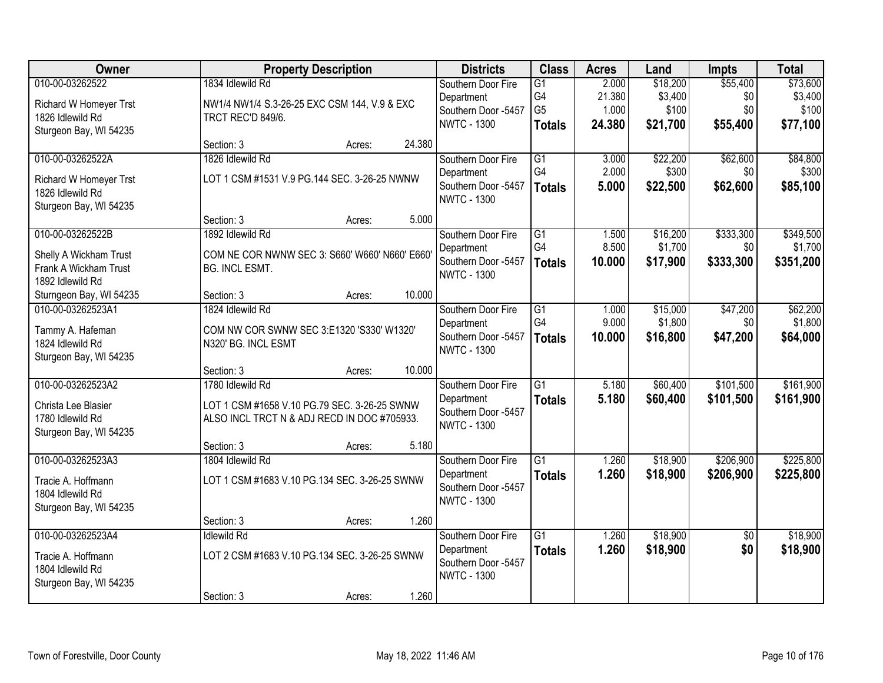| Owner                                                                                           |                                                                                                                 | <b>Property Description</b> |        | <b>Districts</b>                                                              | <b>Class</b>                                             | <b>Acres</b>                       | Land                                     | <b>Impts</b>                       | <b>Total</b>                             |
|-------------------------------------------------------------------------------------------------|-----------------------------------------------------------------------------------------------------------------|-----------------------------|--------|-------------------------------------------------------------------------------|----------------------------------------------------------|------------------------------------|------------------------------------------|------------------------------------|------------------------------------------|
| 010-00-03262522<br><b>Richard W Homeyer Trst</b><br>1826 Idlewild Rd<br>Sturgeon Bay, WI 54235  | 1834 Idlewild Rd<br>NW1/4 NW1/4 S.3-26-25 EXC CSM 144, V.9 & EXC<br>TRCT REC'D 849/6.                           |                             |        | Southern Door Fire<br>Department<br>Southern Door -5457<br><b>NWTC - 1300</b> | $\overline{G1}$<br>G4<br>G <sub>5</sub><br><b>Totals</b> | 2.000<br>21.380<br>1.000<br>24.380 | \$18,200<br>\$3,400<br>\$100<br>\$21,700 | \$55,400<br>\$0<br>\$0<br>\$55,400 | \$73,600<br>\$3,400<br>\$100<br>\$77,100 |
|                                                                                                 | Section: 3                                                                                                      | Acres:                      | 24.380 |                                                                               |                                                          |                                    |                                          |                                    |                                          |
| 010-00-03262522A<br><b>Richard W Homeyer Trst</b><br>1826 Idlewild Rd<br>Sturgeon Bay, WI 54235 | 1826 Idlewild Rd<br>LOT 1 CSM #1531 V.9 PG.144 SEC. 3-26-25 NWNW                                                |                             |        | Southern Door Fire<br>Department<br>Southern Door -5457<br><b>NWTC - 1300</b> | G1<br>G4<br><b>Totals</b>                                | 3.000<br>2.000<br>5.000            | \$22,200<br>\$300<br>\$22,500            | \$62,600<br>\$0<br>\$62,600        | \$84,800<br>\$300<br>\$85,100            |
|                                                                                                 | Section: 3                                                                                                      | Acres:                      | 5.000  |                                                                               |                                                          |                                    |                                          |                                    |                                          |
| 010-00-03262522B<br>Shelly A Wickham Trust<br>Frank A Wickham Trust<br>1892 Idlewild Rd         | 1892 Idlewild Rd<br>COM NE COR NWNW SEC 3: S660' W660' N660' E660'<br>BG. INCL ESMT.                            |                             |        | Southern Door Fire<br>Department<br>Southern Door -5457<br><b>NWTC - 1300</b> | $\overline{G1}$<br>G4<br><b>Totals</b>                   | 1.500<br>8.500<br>10.000           | \$16,200<br>\$1,700<br>\$17,900          | \$333,300<br>\$0<br>\$333,300      | \$349,500<br>\$1,700<br>\$351,200        |
| Sturngeon Bay, WI 54235                                                                         | Section: 3                                                                                                      | Acres:                      | 10.000 |                                                                               |                                                          |                                    |                                          |                                    |                                          |
| 010-00-03262523A1<br>Tammy A. Hafeman<br>1824 Idlewild Rd<br>Sturgeon Bay, WI 54235             | 1824 Idlewild Rd<br>COM NW COR SWNW SEC 3:E1320 'S330' W1320'<br>N320' BG. INCL ESMT                            |                             |        | Southern Door Fire<br>Department<br>Southern Door -5457<br><b>NWTC - 1300</b> | G1<br>G4<br><b>Totals</b>                                | 1.000<br>9.000<br>10.000           | \$15,000<br>\$1,800<br>\$16,800          | \$47,200<br>\$0<br>\$47,200        | \$62,200<br>\$1,800<br>\$64,000          |
|                                                                                                 | Section: 3                                                                                                      | Acres:                      | 10.000 |                                                                               |                                                          |                                    |                                          |                                    |                                          |
| 010-00-03262523A2<br>Christa Lee Blasier<br>1780 Idlewild Rd<br>Sturgeon Bay, WI 54235          | 1780 Idlewild Rd<br>LOT 1 CSM #1658 V.10 PG.79 SEC. 3-26-25 SWNW<br>ALSO INCL TRCT N & ADJ RECD IN DOC #705933. |                             |        | Southern Door Fire<br>Department<br>Southern Door -5457<br><b>NWTC - 1300</b> | $\overline{G1}$<br><b>Totals</b>                         | 5.180<br>5.180                     | \$60,400<br>\$60,400                     | \$101,500<br>\$101,500             | \$161,900<br>\$161,900                   |
|                                                                                                 | Section: 3                                                                                                      | Acres:                      | 5.180  |                                                                               |                                                          |                                    |                                          |                                    |                                          |
| 010-00-03262523A3<br>Tracie A. Hoffmann<br>1804 Idlewild Rd<br>Sturgeon Bay, WI 54235           | 1804 Idlewild Rd<br>LOT 1 CSM #1683 V.10 PG.134 SEC. 3-26-25 SWNW                                               |                             |        | Southern Door Fire<br>Department<br>Southern Door -5457<br><b>NWTC - 1300</b> | G1<br><b>Totals</b>                                      | 1.260<br>1.260                     | \$18,900<br>\$18,900                     | \$206,900<br>\$206,900             | \$225,800<br>\$225,800                   |
|                                                                                                 | Section: 3                                                                                                      | Acres:                      | 1.260  |                                                                               |                                                          |                                    |                                          |                                    |                                          |
| 010-00-03262523A4<br>Tracie A. Hoffmann<br>1804 Idlewild Rd<br>Sturgeon Bay, WI 54235           | <b>Idlewild Rd</b><br>LOT 2 CSM #1683 V.10 PG.134 SEC. 3-26-25 SWNW                                             |                             |        | Southern Door Fire<br>Department<br>Southern Door -5457<br><b>NWTC - 1300</b> | $\overline{G1}$<br><b>Totals</b>                         | 1.260<br>1.260                     | \$18,900<br>\$18,900                     | $\overline{50}$<br>\$0             | \$18,900<br>\$18,900                     |
|                                                                                                 | Section: 3                                                                                                      | Acres:                      | 1.260  |                                                                               |                                                          |                                    |                                          |                                    |                                          |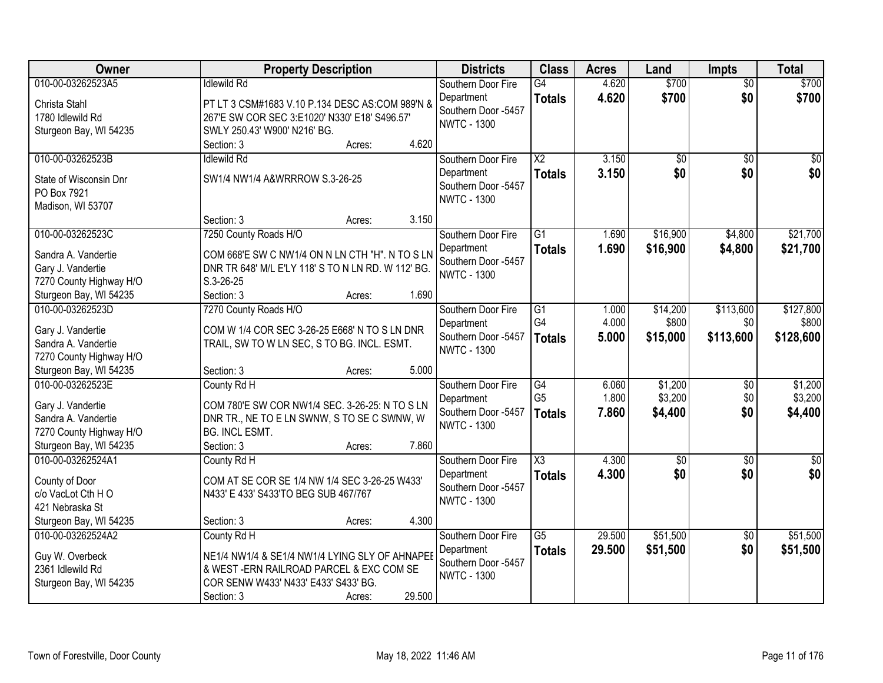| Owner                                       | <b>Property Description</b>                                                                  | <b>Districts</b>                  | <b>Class</b>           | <b>Acres</b> | Land               | <b>Impts</b>      | <b>Total</b>         |
|---------------------------------------------|----------------------------------------------------------------------------------------------|-----------------------------------|------------------------|--------------|--------------------|-------------------|----------------------|
| 010-00-03262523A5                           | <b>Idlewild Rd</b>                                                                           | Southern Door Fire                | G4                     | 4.620        | \$700              | $\overline{50}$   | \$700                |
| Christa Stahl                               | PT LT 3 CSM#1683 V.10 P.134 DESC AS:COM 989'N &                                              | Department                        | <b>Totals</b>          | 4.620        | \$700              | \$0               | \$700                |
| 1780 Idlewild Rd                            | 267'E SW COR SEC 3:E1020' N330' E18' S496.57'                                                | Southern Door -5457               |                        |              |                    |                   |                      |
| Sturgeon Bay, WI 54235                      | SWLY 250.43' W900' N216' BG.                                                                 | <b>NWTC - 1300</b>                |                        |              |                    |                   |                      |
|                                             | 4.620<br>Section: 3<br>Acres:                                                                |                                   |                        |              |                    |                   |                      |
| 010-00-03262523B                            | <b>Idlewild Rd</b>                                                                           | Southern Door Fire                | $\overline{\text{X2}}$ | 3.150        | $\overline{50}$    | $\overline{50}$   | \$0                  |
| State of Wisconsin Dnr                      | SW1/4 NW1/4 A&WRRROW S.3-26-25                                                               | Department                        | <b>Totals</b>          | 3.150        | \$0                | \$0               | \$0                  |
| PO Box 7921                                 |                                                                                              | Southern Door -5457               |                        |              |                    |                   |                      |
| Madison, WI 53707                           |                                                                                              | <b>NWTC - 1300</b>                |                        |              |                    |                   |                      |
|                                             | 3.150<br>Section: 3<br>Acres:                                                                |                                   |                        |              |                    |                   |                      |
| 010-00-03262523C                            | 7250 County Roads H/O                                                                        | Southern Door Fire                | $\overline{G1}$        | 1.690        | \$16,900           | \$4,800           | \$21,700             |
| Sandra A. Vandertie                         | COM 668'E SW C NW1/4 ON N LN CTH "H". N TO S LN                                              | Department                        | <b>Totals</b>          | 1.690        | \$16,900           | \$4,800           | \$21,700             |
| Gary J. Vandertie                           | DNR TR 648' M/L E'LY 118' S TO N LN RD. W 112' BG.                                           | Southern Door -5457               |                        |              |                    |                   |                      |
| 7270 County Highway H/O                     | S.3-26-25                                                                                    | <b>NWTC - 1300</b>                |                        |              |                    |                   |                      |
| Sturgeon Bay, WI 54235                      | 1.690<br>Section: 3<br>Acres:                                                                |                                   |                        |              |                    |                   |                      |
| 010-00-03262523D                            | 7270 County Roads H/O                                                                        | Southern Door Fire                | G1                     | 1.000        | \$14,200           | \$113,600         | \$127,800            |
|                                             |                                                                                              | Department                        | G4                     | 4.000        | \$800              | \$0               | \$800                |
| Gary J. Vandertie<br>Sandra A. Vandertie    | COM W 1/4 COR SEC 3-26-25 E668' N TO S LN DNR<br>TRAIL, SW TO W LN SEC, S TO BG. INCL. ESMT. | Southern Door -5457               | <b>Totals</b>          | 5.000        | \$15,000           | \$113,600         | \$128,600            |
| 7270 County Highway H/O                     |                                                                                              | <b>NWTC - 1300</b>                |                        |              |                    |                   |                      |
| Sturgeon Bay, WI 54235                      | 5.000<br>Section: 3<br>Acres:                                                                |                                   |                        |              |                    |                   |                      |
| 010-00-03262523E                            | County Rd H                                                                                  | Southern Door Fire                | G4                     | 6.060        | \$1,200            | $\overline{50}$   | \$1,200              |
|                                             |                                                                                              | Department                        | G <sub>5</sub>         | 1.800        | \$3,200            | \$0               | \$3,200              |
| Gary J. Vandertie                           | COM 780'E SW COR NW1/4 SEC. 3-26-25: N TO S LN                                               | Southern Door -5457               | <b>Totals</b>          | 7.860        | \$4,400            | \$0               | \$4,400              |
| Sandra A. Vandertie                         | DNR TR., NE TO E LN SWNW, S TO SE C SWNW, W                                                  | <b>NWTC - 1300</b>                |                        |              |                    |                   |                      |
| 7270 County Highway H/O                     | BG. INCL ESMT.                                                                               |                                   |                        |              |                    |                   |                      |
| Sturgeon Bay, WI 54235<br>010-00-03262524A1 | Section: 3<br>7.860<br>Acres:                                                                |                                   | $\overline{\text{X3}}$ |              |                    |                   |                      |
|                                             | County Rd H                                                                                  | Southern Door Fire                |                        | 4.300        | $\sqrt{$0}$<br>\$0 | $\sqrt{6}$<br>\$0 | $\frac{1}{6}$<br>\$0 |
| County of Door                              | COM AT SE COR SE 1/4 NW 1/4 SEC 3-26-25 W433'                                                | Department<br>Southern Door -5457 | <b>Totals</b>          | 4.300        |                    |                   |                      |
| c/o VacLot Cth HO                           | N433' E 433' S433'TO BEG SUB 467/767                                                         | <b>NWTC - 1300</b>                |                        |              |                    |                   |                      |
| 421 Nebraska St                             |                                                                                              |                                   |                        |              |                    |                   |                      |
| Sturgeon Bay, WI 54235                      | 4.300<br>Section: 3<br>Acres:                                                                |                                   |                        |              |                    |                   |                      |
| 010-00-03262524A2                           | County Rd H                                                                                  | Southern Door Fire                | $\overline{G5}$        | 29.500       | \$51,500           | $\overline{50}$   | \$51,500             |
| Guy W. Overbeck                             | NE1/4 NW1/4 & SE1/4 NW1/4 LYING SLY OF AHNAPEE                                               | Department                        | <b>Totals</b>          | 29.500       | \$51,500           | \$0               | \$51,500             |
| 2361 Idlewild Rd                            | & WEST-ERN RAILROAD PARCEL & EXC COM SE                                                      | Southern Door -5457               |                        |              |                    |                   |                      |
| Sturgeon Bay, WI 54235                      | COR SENW W433' N433' E433' S433' BG.                                                         | <b>NWTC - 1300</b>                |                        |              |                    |                   |                      |
|                                             | 29.500<br>Section: 3<br>Acres:                                                               |                                   |                        |              |                    |                   |                      |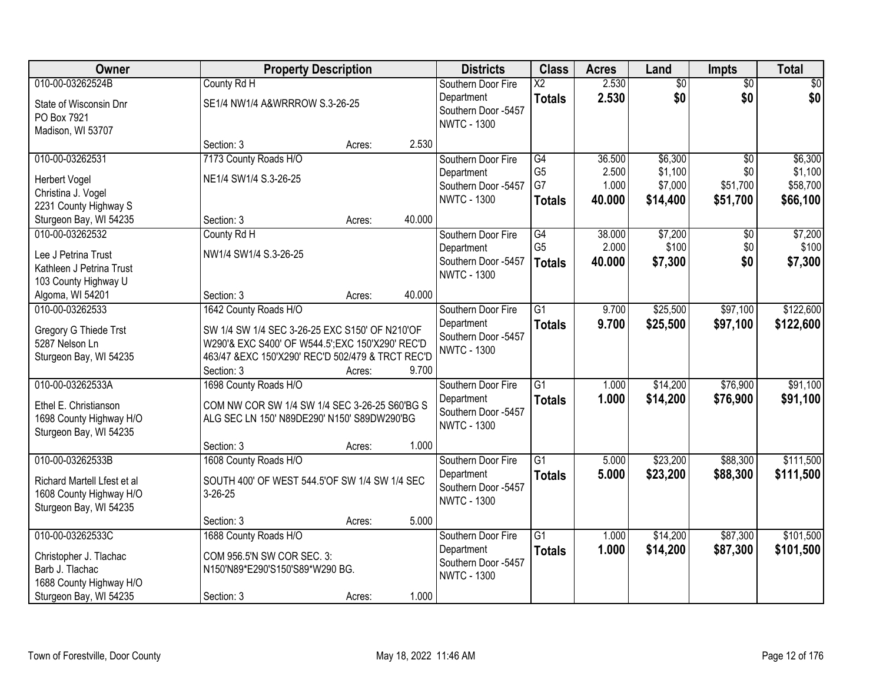| Owner                       | <b>Property Description</b>                       |        |        | <b>Districts</b>    | <b>Class</b>    | <b>Acres</b> | Land            | <b>Impts</b>    | <b>Total</b>    |
|-----------------------------|---------------------------------------------------|--------|--------|---------------------|-----------------|--------------|-----------------|-----------------|-----------------|
| 010-00-03262524B            | County Rd H                                       |        |        | Southern Door Fire  | $\overline{X2}$ | 2.530        | $\overline{50}$ | $\overline{50}$ | $\overline{30}$ |
| State of Wisconsin Dnr      | SE1/4 NW1/4 A&WRRROW S.3-26-25                    |        |        | Department          | <b>Totals</b>   | 2.530        | \$0             | \$0             | \$0             |
| PO Box 7921                 |                                                   |        |        | Southern Door -5457 |                 |              |                 |                 |                 |
| Madison, WI 53707           |                                                   |        |        | <b>NWTC - 1300</b>  |                 |              |                 |                 |                 |
|                             | Section: 3                                        | Acres: | 2.530  |                     |                 |              |                 |                 |                 |
| 010-00-03262531             | 7173 County Roads H/O                             |        |        | Southern Door Fire  | G4              | 36.500       | \$6,300         | \$0             | \$6,300         |
| <b>Herbert Vogel</b>        | NE1/4 SW1/4 S.3-26-25                             |        |        | Department          | G <sub>5</sub>  | 2.500        | \$1,100         | \$0             | \$1,100         |
| Christina J. Vogel          |                                                   |        |        | Southern Door -5457 | G7              | 1.000        | \$7,000         | \$51,700        | \$58,700        |
| 2231 County Highway S       |                                                   |        |        | <b>NWTC - 1300</b>  | <b>Totals</b>   | 40.000       | \$14,400        | \$51,700        | \$66,100        |
| Sturgeon Bay, WI 54235      | Section: 3                                        | Acres: | 40.000 |                     |                 |              |                 |                 |                 |
| 010-00-03262532             | County Rd H                                       |        |        | Southern Door Fire  | G4              | 38.000       | \$7,200         | \$0             | \$7,200         |
| Lee J Petrina Trust         | NW1/4 SW1/4 S.3-26-25                             |        |        | Department          | G <sub>5</sub>  | 2.000        | \$100           | \$0             | \$100           |
| Kathleen J Petrina Trust    |                                                   |        |        | Southern Door -5457 | <b>Totals</b>   | 40.000       | \$7,300         | \$0             | \$7,300         |
| 103 County Highway U        |                                                   |        |        | <b>NWTC - 1300</b>  |                 |              |                 |                 |                 |
| Algoma, WI 54201            | Section: 3                                        | Acres: | 40.000 |                     |                 |              |                 |                 |                 |
| 010-00-03262533             | 1642 County Roads H/O                             |        |        | Southern Door Fire  | $\overline{G1}$ | 9.700        | \$25,500        | \$97,100        | \$122,600       |
| Gregory G Thiede Trst       | SW 1/4 SW 1/4 SEC 3-26-25 EXC S150' OF N210'OF    |        |        | Department          | <b>Totals</b>   | 9.700        | \$25,500        | \$97,100        | \$122,600       |
| 5287 Nelson Ln              | W290'& EXC S400' OF W544.5'; EXC 150'X290' REC'D  |        |        | Southern Door -5457 |                 |              |                 |                 |                 |
| Sturgeon Bay, WI 54235      | 463/47 & EXC 150'X290' REC'D 502/479 & TRCT REC'D |        |        | <b>NWTC - 1300</b>  |                 |              |                 |                 |                 |
|                             | Section: 3                                        | Acres: | 9.700  |                     |                 |              |                 |                 |                 |
| 010-00-03262533A            | 1698 County Roads H/O                             |        |        | Southern Door Fire  | $\overline{G1}$ | 1.000        | \$14,200        | \$76,900        | \$91,100        |
| Ethel E. Christianson       | COM NW COR SW 1/4 SW 1/4 SEC 3-26-25 S60'BG S     |        |        | Department          | <b>Totals</b>   | 1.000        | \$14,200        | \$76,900        | \$91,100        |
| 1698 County Highway H/O     | ALG SEC LN 150' N89DE290' N150' S89DW290'BG       |        |        | Southern Door -5457 |                 |              |                 |                 |                 |
| Sturgeon Bay, WI 54235      |                                                   |        |        | <b>NWTC - 1300</b>  |                 |              |                 |                 |                 |
|                             | Section: 3                                        | Acres: | 1.000  |                     |                 |              |                 |                 |                 |
| 010-00-03262533B            | 1608 County Roads H/O                             |        |        | Southern Door Fire  | $\overline{G1}$ | 5.000        | \$23,200        | \$88,300        | \$111,500       |
| Richard Martell Lfest et al | SOUTH 400' OF WEST 544.5'OF SW 1/4 SW 1/4 SEC     |        |        | Department          | <b>Totals</b>   | 5.000        | \$23,200        | \$88,300        | \$111,500       |
| 1608 County Highway H/O     | $3 - 26 - 25$                                     |        |        | Southern Door -5457 |                 |              |                 |                 |                 |
| Sturgeon Bay, WI 54235      |                                                   |        |        | <b>NWTC - 1300</b>  |                 |              |                 |                 |                 |
|                             | Section: 3                                        | Acres: | 5.000  |                     |                 |              |                 |                 |                 |
| 010-00-03262533C            | 1688 County Roads H/O                             |        |        | Southern Door Fire  | $\overline{G1}$ | 1.000        | \$14,200        | \$87,300        | \$101,500       |
| Christopher J. Tlachac      | COM 956.5'N SW COR SEC. 3:                        |        |        | Department          | <b>Totals</b>   | 1.000        | \$14,200        | \$87,300        | \$101,500       |
| Barb J. Tlachac             | N150'N89*E290'S150'S89*W290 BG.                   |        |        | Southern Door -5457 |                 |              |                 |                 |                 |
| 1688 County Highway H/O     |                                                   |        |        | <b>NWTC - 1300</b>  |                 |              |                 |                 |                 |
| Sturgeon Bay, WI 54235      | Section: 3                                        | Acres: | 1.000  |                     |                 |              |                 |                 |                 |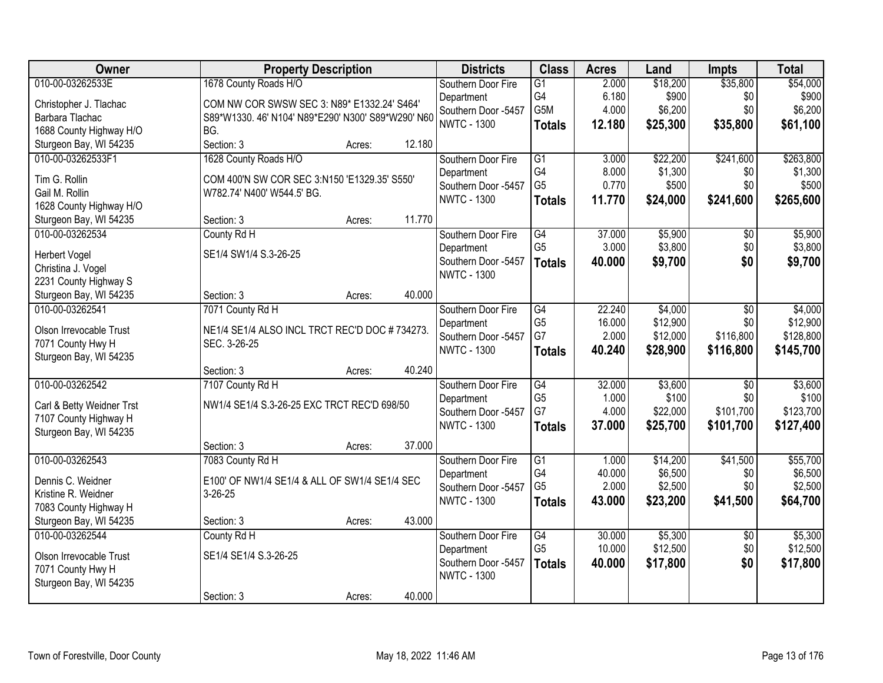| Owner                                           | <b>Property Description</b>                        |        |        | <b>Districts</b>    | <b>Class</b>    | <b>Acres</b> | Land     | <b>Impts</b>    | <b>Total</b> |
|-------------------------------------------------|----------------------------------------------------|--------|--------|---------------------|-----------------|--------------|----------|-----------------|--------------|
| 010-00-03262533E                                | 1678 County Roads H/O                              |        |        | Southern Door Fire  | $\overline{G1}$ | 2.000        | \$18,200 | \$35,800        | \$54,000     |
| Christopher J. Tlachac                          | COM NW COR SWSW SEC 3: N89* E1332.24' S464'        |        |        | Department          | G4              | 6.180        | \$900    | \$0             | \$900        |
| Barbara Tlachac                                 | S89*W1330. 46' N104' N89*E290' N300' S89*W290' N60 |        |        | Southern Door -5457 | G5M             | 4.000        | \$6,200  | \$0             | \$6,200      |
| 1688 County Highway H/O                         | BG.                                                |        |        | <b>NWTC - 1300</b>  | <b>Totals</b>   | 12.180       | \$25,300 | \$35,800        | \$61,100     |
| Sturgeon Bay, WI 54235                          | Section: 3                                         | Acres: | 12.180 |                     |                 |              |          |                 |              |
| 010-00-03262533F1                               | 1628 County Roads H/O                              |        |        | Southern Door Fire  | $\overline{G1}$ | 3.000        | \$22,200 | \$241,600       | \$263,800    |
|                                                 |                                                    |        |        | Department          | G4              | 8.000        | \$1,300  | \$0             | \$1,300      |
| Tim G. Rollin                                   | COM 400'N SW COR SEC 3:N150 'E1329.35' S550'       |        |        | Southern Door -5457 | G <sub>5</sub>  | 0.770        | \$500    | \$0             | \$500        |
| Gail M. Rollin                                  | W782.74' N400' W544.5' BG.                         |        |        | <b>NWTC - 1300</b>  | <b>Totals</b>   | 11.770       | \$24,000 | \$241,600       | \$265,600    |
| 1628 County Highway H/O                         | Section: 3                                         | Acres: | 11.770 |                     |                 |              |          |                 |              |
| Sturgeon Bay, WI 54235<br>010-00-03262534       | County Rd H                                        |        |        | Southern Door Fire  | $\overline{G4}$ | 37.000       | \$5,900  | $\overline{50}$ | \$5,900      |
|                                                 |                                                    |        |        | Department          | G <sub>5</sub>  | 3.000        | \$3,800  | \$0             | \$3,800      |
| <b>Herbert Vogel</b>                            | SE1/4 SW1/4 S.3-26-25                              |        |        | Southern Door -5457 |                 | 40.000       | \$9,700  | \$0             | \$9,700      |
| Christina J. Vogel                              |                                                    |        |        | <b>NWTC - 1300</b>  | <b>Totals</b>   |              |          |                 |              |
| 2231 County Highway S                           |                                                    |        |        |                     |                 |              |          |                 |              |
| Sturgeon Bay, WI 54235                          | Section: 3                                         | Acres: | 40.000 |                     |                 |              |          |                 |              |
| 010-00-03262541                                 | 7071 County Rd H                                   |        |        | Southern Door Fire  | G4              | 22.240       | \$4,000  | \$0             | \$4,000      |
| Olson Irrevocable Trust                         | NE1/4 SE1/4 ALSO INCL TRCT REC'D DOC #734273.      |        |        | Department          | G <sub>5</sub>  | 16.000       | \$12,900 | \$0             | \$12,900     |
| 7071 County Hwy H                               | SEC. 3-26-25                                       |        |        | Southern Door -5457 | G7              | 2.000        | \$12,000 | \$116,800       | \$128,800    |
| Sturgeon Bay, WI 54235                          |                                                    |        |        | <b>NWTC - 1300</b>  | <b>Totals</b>   | 40.240       | \$28,900 | \$116,800       | \$145,700    |
|                                                 | Section: 3                                         | Acres: | 40.240 |                     |                 |              |          |                 |              |
| 010-00-03262542                                 | 7107 County Rd H                                   |        |        | Southern Door Fire  | $\overline{G4}$ | 32.000       | \$3,600  | \$0             | \$3,600      |
|                                                 |                                                    |        |        | Department          | G <sub>5</sub>  | 1.000        | \$100    | \$0             | \$100        |
| Carl & Betty Weidner Trst                       | NW1/4 SE1/4 S.3-26-25 EXC TRCT REC'D 698/50        |        |        | Southern Door -5457 | G7              | 4.000        | \$22,000 | \$101,700       | \$123,700    |
| 7107 County Highway H<br>Sturgeon Bay, WI 54235 |                                                    |        |        | <b>NWTC - 1300</b>  | <b>Totals</b>   | 37.000       | \$25,700 | \$101,700       | \$127,400    |
|                                                 | Section: 3                                         | Acres: | 37,000 |                     |                 |              |          |                 |              |
| 010-00-03262543                                 | 7083 County Rd H                                   |        |        | Southern Door Fire  | $\overline{G1}$ | 1.000        | \$14,200 | \$41,500        | \$55,700     |
|                                                 |                                                    |        |        | Department          | G4              | 40.000       | \$6,500  | \$0             | \$6,500      |
| Dennis C. Weidner                               | E100' OF NW1/4 SE1/4 & ALL OF SW1/4 SE1/4 SEC      |        |        | Southern Door -5457 | G <sub>5</sub>  | 2.000        | \$2,500  | \$0             | \$2,500      |
| Kristine R. Weidner                             | $3-26-25$                                          |        |        | <b>NWTC - 1300</b>  | <b>Totals</b>   | 43.000       | \$23,200 | \$41,500        | \$64,700     |
| 7083 County Highway H                           |                                                    |        |        |                     |                 |              |          |                 |              |
| Sturgeon Bay, WI 54235                          | Section: 3                                         | Acres: | 43.000 |                     |                 |              |          |                 |              |
| 010-00-03262544                                 | County Rd H                                        |        |        | Southern Door Fire  | $\overline{G4}$ | 30.000       | \$5,300  | $\overline{30}$ | \$5,300      |
| Olson Irrevocable Trust                         | SE1/4 SE1/4 S.3-26-25                              |        |        | Department          | G <sub>5</sub>  | 10.000       | \$12,500 | \$0             | \$12,500     |
| 7071 County Hwy H                               |                                                    |        |        | Southern Door -5457 | <b>Totals</b>   | 40.000       | \$17,800 | \$0             | \$17,800     |
| Sturgeon Bay, WI 54235                          |                                                    |        |        | <b>NWTC - 1300</b>  |                 |              |          |                 |              |
|                                                 | Section: 3                                         | Acres: | 40.000 |                     |                 |              |          |                 |              |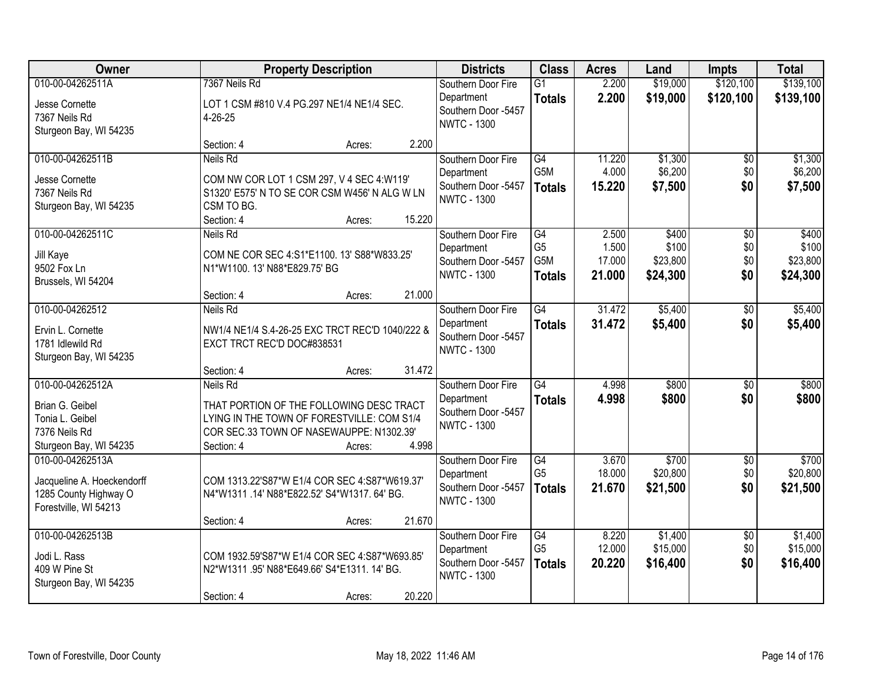| Owner                                                                                             | <b>Property Description</b>                                                                                                                                                |                  |                 | <b>Districts</b>                                                              | <b>Class</b>                                 | <b>Acres</b>                       | Land                                   | <b>Impts</b>                         | <b>Total</b>                           |
|---------------------------------------------------------------------------------------------------|----------------------------------------------------------------------------------------------------------------------------------------------------------------------------|------------------|-----------------|-------------------------------------------------------------------------------|----------------------------------------------|------------------------------------|----------------------------------------|--------------------------------------|----------------------------------------|
| 010-00-04262511A<br>Jesse Cornette<br>7367 Neils Rd<br>Sturgeon Bay, WI 54235                     | 7367 Neils Rd<br>LOT 1 CSM #810 V.4 PG.297 NE1/4 NE1/4 SEC.<br>4-26-25                                                                                                     |                  |                 | Southern Door Fire<br>Department<br>Southern Door -5457<br><b>NWTC - 1300</b> | $\overline{G1}$<br><b>Totals</b>             | 2.200<br>2.200                     | \$19,000<br>\$19,000                   | \$120,100<br>\$120,100               | \$139,100<br>\$139,100                 |
|                                                                                                   | Section: 4                                                                                                                                                                 | Acres:           | 2.200           |                                                                               |                                              |                                    |                                        |                                      |                                        |
| 010-00-04262511B<br>Jesse Cornette<br>7367 Neils Rd<br>Sturgeon Bay, WI 54235                     | <b>Neils Rd</b><br>COM NW COR LOT 1 CSM 297, V 4 SEC 4:W119'<br>S1320' E575' N TO SE COR CSM W456' N ALG W LN<br>CSM TO BG.<br>Section: 4                                  | Acres:           | 15.220          | Southern Door Fire<br>Department<br>Southern Door -5457<br><b>NWTC - 1300</b> | G4<br>G5M<br><b>Totals</b>                   | 11.220<br>4.000<br>15.220          | \$1,300<br>\$6,200<br>\$7,500          | $\overline{50}$<br>\$0<br>\$0        | \$1,300<br>\$6,200<br>\$7,500          |
| 010-00-04262511C<br>Jill Kaye<br>9502 Fox Ln<br>Brussels, WI 54204                                | <b>Neils Rd</b><br>COM NE COR SEC 4:S1*E1100. 13' S88*W833.25'<br>N1*W1100. 13' N88*E829.75' BG<br>Section: 4                                                              | Acres:           | 21.000          | Southern Door Fire<br>Department<br>Southern Door -5457<br><b>NWTC - 1300</b> | G4<br>G <sub>5</sub><br>G5M<br><b>Totals</b> | 2.500<br>1.500<br>17.000<br>21.000 | \$400<br>\$100<br>\$23,800<br>\$24,300 | $\overline{50}$<br>\$0<br>\$0<br>\$0 | \$400<br>\$100<br>\$23,800<br>\$24,300 |
| 010-00-04262512<br>Ervin L. Cornette<br>1781 Idlewild Rd<br>Sturgeon Bay, WI 54235                | Neils Rd<br>NW1/4 NE1/4 S.4-26-25 EXC TRCT REC'D 1040/222 &<br>EXCT TRCT REC'D DOC#838531                                                                                  |                  |                 | Southern Door Fire<br>Department<br>Southern Door -5457<br><b>NWTC - 1300</b> | G4<br><b>Totals</b>                          | 31.472<br>31.472                   | \$5,400<br>\$5,400                     | \$0<br>\$0                           | \$5,400<br>\$5,400                     |
| 010-00-04262512A<br>Brian G. Geibel<br>Tonia L. Geibel<br>7376 Neils Rd<br>Sturgeon Bay, WI 54235 | Section: 4<br>Neils Rd<br>THAT PORTION OF THE FOLLOWING DESC TRACT<br>LYING IN THE TOWN OF FORESTVILLE: COM S1/4<br>COR SEC.33 TOWN OF NASEWAUPPE: N1302.39'<br>Section: 4 | Acres:<br>Acres: | 31.472<br>4.998 | Southern Door Fire<br>Department<br>Southern Door -5457<br><b>NWTC - 1300</b> | $\overline{G4}$<br><b>Totals</b>             | 4.998<br>4.998                     | \$800<br>\$800                         | $\overline{50}$<br>\$0               | \$800<br>\$800                         |
| 010-00-04262513A<br>Jacqueline A. Hoeckendorff<br>1285 County Highway O<br>Forestville, WI 54213  | COM 1313.22'S87*W E1/4 COR SEC 4:S87*W619.37'<br>N4*W1311 .14' N88*E822.52' S4*W1317. 64' BG.<br>Section: 4                                                                | Acres:           | 21.670          | Southern Door Fire<br>Department<br>Southern Door -5457<br><b>NWTC - 1300</b> | G4<br>G <sub>5</sub><br><b>Totals</b>        | 3.670<br>18.000<br>21.670          | \$700<br>\$20,800<br>\$21,500          | $\overline{50}$<br>\$0<br>\$0        | \$700<br>\$20,800<br>\$21,500          |
| 010-00-04262513B<br>Jodi L. Rass<br>409 W Pine St<br>Sturgeon Bay, WI 54235                       | COM 1932.59'S87*W E1/4 COR SEC 4:S87*W693.85'<br>N2*W1311 .95' N88*E649.66' S4*E1311. 14' BG.<br>Section: 4                                                                | Acres:           | 20.220          | Southern Door Fire<br>Department<br>Southern Door -5457<br><b>NWTC - 1300</b> | G4<br>G <sub>5</sub><br><b>Totals</b>        | 8.220<br>12.000<br>20.220          | \$1,400<br>\$15,000<br>\$16,400        | $\overline{50}$<br>\$0<br>\$0        | \$1,400<br>\$15,000<br>\$16,400        |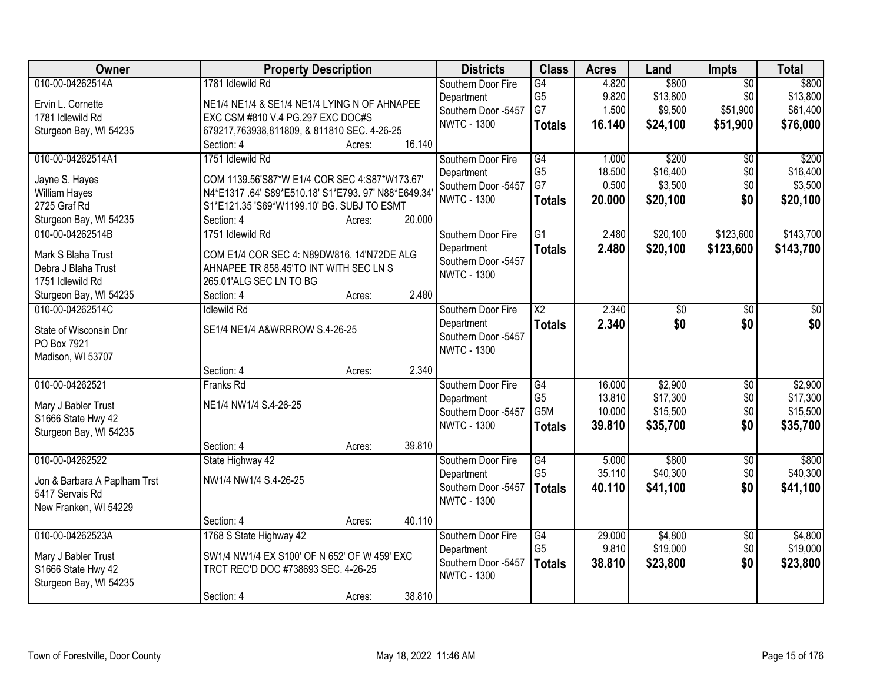| Owner                                     | <b>Property Description</b>                         |        |        | <b>Districts</b>                  | <b>Class</b>           | <b>Acres</b> | Land                | Impts                  | <b>Total</b> |
|-------------------------------------------|-----------------------------------------------------|--------|--------|-----------------------------------|------------------------|--------------|---------------------|------------------------|--------------|
| 010-00-04262514A                          | 1781 Idlewild Rd                                    |        |        | Southern Door Fire                | G4                     | 4.820        | \$800               | $\overline{50}$        | \$800        |
| Ervin L. Cornette                         | NE1/4 NE1/4 & SE1/4 NE1/4 LYING N OF AHNAPEE        |        |        | Department                        | G <sub>5</sub>         | 9.820        | \$13,800            | \$0                    | \$13,800     |
| 1781 Idlewild Rd                          | EXC CSM #810 V.4 PG.297 EXC DOC#S                   |        |        | Southern Door -5457               | G7                     | 1.500        | \$9,500             | \$51,900               | \$61,400     |
| Sturgeon Bay, WI 54235                    | 679217,763938,811809, & 811810 SEC. 4-26-25         |        |        | <b>NWTC - 1300</b>                | <b>Totals</b>          | 16.140       | \$24,100            | \$51,900               | \$76,000     |
|                                           | Section: 4                                          | Acres: | 16.140 |                                   |                        |              |                     |                        |              |
| 010-00-04262514A1                         | 1751 Idlewild Rd                                    |        |        | Southern Door Fire                | G4                     | 1.000        | \$200               | $\overline{50}$        | \$200        |
| Jayne S. Hayes                            | COM 1139.56'S87*W E1/4 COR SEC 4:S87*W173.67'       |        |        | Department                        | G <sub>5</sub>         | 18.500       | \$16,400            | \$0                    | \$16,400     |
| <b>William Hayes</b>                      | N4*E1317.64' S89*E510.18' S1*E793. 97' N88*E649.34' |        |        | Southern Door -5457               | G7                     | 0.500        | \$3,500             | \$0                    | \$3,500      |
| 2725 Graf Rd                              | S1*E121.35 'S69*W1199.10' BG. SUBJ TO ESMT          |        |        | <b>NWTC - 1300</b>                | <b>Totals</b>          | 20.000       | \$20,100            | \$0                    | \$20,100     |
| Sturgeon Bay, WI 54235                    | Section: 4                                          | Acres: | 20.000 |                                   |                        |              |                     |                        |              |
| 010-00-04262514B                          | 1751 Idlewild Rd                                    |        |        | Southern Door Fire                | $\overline{G1}$        | 2.480        | \$20,100            | \$123,600              | \$143,700    |
|                                           |                                                     |        |        | Department                        | <b>Totals</b>          | 2.480        | \$20,100            | \$123,600              | \$143,700    |
| Mark S Blaha Trust                        | COM E1/4 COR SEC 4: N89DW816. 14'N72DE ALG          |        |        | Southern Door -5457               |                        |              |                     |                        |              |
| Debra J Blaha Trust                       | AHNAPEE TR 858.45'TO INT WITH SEC LN S              |        |        | <b>NWTC - 1300</b>                |                        |              |                     |                        |              |
| 1751 Idlewild Rd                          | 265.01'ALG SEC LN TO BG                             |        |        |                                   |                        |              |                     |                        |              |
| Sturgeon Bay, WI 54235                    | Section: 4                                          | Acres: | 2.480  |                                   |                        |              |                     |                        |              |
| 010-00-04262514C                          | <b>Idlewild Rd</b>                                  |        |        | Southern Door Fire                | $\overline{\text{X2}}$ | 2.340        | \$0                 | \$0                    | \$0          |
| State of Wisconsin Dnr                    | SE1/4 NE1/4 A&WRRROW S.4-26-25                      |        |        | Department                        | <b>Totals</b>          | 2.340        | \$0                 | \$0                    | \$0          |
| PO Box 7921                               |                                                     |        |        | Southern Door -5457               |                        |              |                     |                        |              |
| Madison, WI 53707                         |                                                     |        |        | <b>NWTC - 1300</b>                |                        |              |                     |                        |              |
|                                           | Section: 4                                          | Acres: | 2.340  |                                   |                        |              |                     |                        |              |
| 010-00-04262521                           | Franks Rd                                           |        |        | Southern Door Fire                | G4                     | 16.000       | \$2,900             | $\overline{50}$        | \$2,900      |
|                                           | NE1/4 NW1/4 S.4-26-25                               |        |        | Department                        | G <sub>5</sub>         | 13.810       | \$17,300            | \$0                    | \$17,300     |
| Mary J Babler Trust<br>S1666 State Hwy 42 |                                                     |        |        | Southern Door -5457               | G5M                    | 10.000       | \$15,500            | \$0                    | \$15,500     |
| Sturgeon Bay, WI 54235                    |                                                     |        |        | <b>NWTC - 1300</b>                | <b>Totals</b>          | 39.810       | \$35,700            | \$0                    | \$35,700     |
|                                           | Section: 4                                          | Acres: | 39.810 |                                   |                        |              |                     |                        |              |
| 010-00-04262522                           | State Highway 42                                    |        |        | Southern Door Fire                | G4                     | 5.000        | \$800               | $\overline{50}$        | \$800        |
|                                           |                                                     |        |        | Department                        | G <sub>5</sub>         | 35.110       | \$40,300            | \$0                    | \$40,300     |
| Jon & Barbara A Paplham Trst              | NW1/4 NW1/4 S.4-26-25                               |        |        | Southern Door -5457               | <b>Totals</b>          | 40.110       | \$41,100            | \$0                    | \$41,100     |
| 5417 Servais Rd                           |                                                     |        |        | <b>NWTC - 1300</b>                |                        |              |                     |                        |              |
| New Franken, WI 54229                     |                                                     |        |        |                                   |                        |              |                     |                        |              |
| 010-00-04262523A                          | Section: 4                                          | Acres: | 40.110 |                                   | G4                     | 29.000       |                     |                        | \$4,800      |
|                                           | 1768 S State Highway 42                             |        |        | Southern Door Fire                | G <sub>5</sub>         | 9.810        | \$4,800<br>\$19,000 | $\overline{50}$<br>\$0 | \$19,000     |
| Mary J Babler Trust                       | SW1/4 NW1/4 EX S100' OF N 652' OF W 459' EXC        |        |        | Department<br>Southern Door -5457 |                        | 38.810       |                     | \$0                    |              |
| S1666 State Hwy 42                        | TRCT REC'D DOC #738693 SEC. 4-26-25                 |        |        | <b>NWTC - 1300</b>                | <b>Totals</b>          |              | \$23,800            |                        | \$23,800     |
| Sturgeon Bay, WI 54235                    |                                                     |        |        |                                   |                        |              |                     |                        |              |
|                                           | Section: 4                                          | Acres: | 38.810 |                                   |                        |              |                     |                        |              |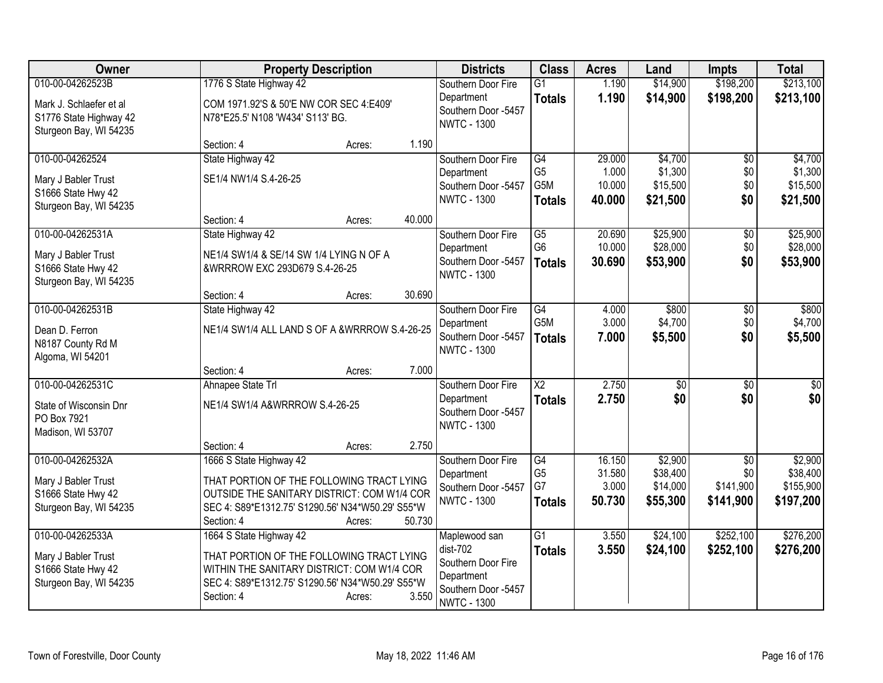| Owner                   |                                                  | <b>Property Description</b> |        | <b>Districts</b>                          | <b>Class</b>           | <b>Acres</b>    | Land     | <b>Impts</b>    | <b>Total</b> |
|-------------------------|--------------------------------------------------|-----------------------------|--------|-------------------------------------------|------------------------|-----------------|----------|-----------------|--------------|
| 010-00-04262523B        | 1776 S State Highway 42                          |                             |        | Southern Door Fire                        | $\overline{G1}$        | 1.190           | \$14,900 | \$198,200       | \$213,100    |
| Mark J. Schlaefer et al | COM 1971.92'S & 50'E NW COR SEC 4:E409'          |                             |        | Department                                | <b>Totals</b>          | 1.190           | \$14,900 | \$198,200       | \$213,100    |
| S1776 State Highway 42  | N78*E25.5' N108 'W434' S113' BG.                 |                             |        | Southern Door -5457                       |                        |                 |          |                 |              |
| Sturgeon Bay, WI 54235  |                                                  |                             |        | <b>NWTC - 1300</b>                        |                        |                 |          |                 |              |
|                         | Section: 4                                       | Acres:                      | 1.190  |                                           |                        |                 |          |                 |              |
| 010-00-04262524         | State Highway 42                                 |                             |        | Southern Door Fire                        | G4                     | 29.000          | \$4,700  | \$0             | \$4,700      |
| Mary J Babler Trust     | SE1/4 NW1/4 S.4-26-25                            |                             |        | Department                                | G5                     | 1.000           | \$1,300  | \$0             | \$1,300      |
| S1666 State Hwy 42      |                                                  |                             |        | Southern Door -5457                       | G5M                    | 10.000          | \$15,500 | \$0             | \$15,500     |
| Sturgeon Bay, WI 54235  |                                                  |                             |        | <b>NWTC - 1300</b>                        | <b>Totals</b>          | 40.000          | \$21,500 | \$0             | \$21,500     |
|                         | Section: 4                                       | Acres:                      | 40.000 |                                           |                        |                 |          |                 |              |
| 010-00-04262531A        | State Highway 42                                 |                             |        | Southern Door Fire                        | $\overline{G5}$        | 20.690          | \$25,900 | $\sqrt[6]{3}$   | \$25,900     |
| Mary J Babler Trust     | NE1/4 SW1/4 & SE/14 SW 1/4 LYING N OF A          |                             |        | Department                                | G <sub>6</sub>         | 10.000          | \$28,000 | \$0             | \$28,000     |
| S1666 State Hwy 42      | &WRRROW EXC 293D679 S.4-26-25                    |                             |        | Southern Door -5457                       | <b>Totals</b>          | 30.690          | \$53,900 | \$0             | \$53,900     |
| Sturgeon Bay, WI 54235  |                                                  |                             |        | <b>NWTC - 1300</b>                        |                        |                 |          |                 |              |
|                         | Section: 4                                       | Acres:                      | 30.690 |                                           |                        |                 |          |                 |              |
| 010-00-04262531B        | State Highway 42                                 |                             |        | Southern Door Fire                        | G4                     | 4.000           | \$800    | $\frac{1}{20}$  | \$800        |
| Dean D. Ferron          | NE1/4 SW1/4 ALL LAND S OF A &WRRROW S.4-26-25    |                             |        | Department                                | G5M                    | 3.000           | \$4,700  | \$0             | \$4,700      |
| N8187 County Rd M       |                                                  |                             |        | Southern Door -5457                       | <b>Totals</b>          | 7.000           | \$5,500  | \$0             | \$5,500      |
| Algoma, WI 54201        |                                                  |                             |        | <b>NWTC - 1300</b>                        |                        |                 |          |                 |              |
|                         | Section: 4                                       | Acres:                      | 7.000  |                                           |                        |                 |          |                 |              |
| 010-00-04262531C        | Ahnapee State Trl                                |                             |        | Southern Door Fire                        | $\overline{\text{X2}}$ | 2.750           | \$0      | \$0             | \$0          |
| State of Wisconsin Dnr  | NE1/4 SW1/4 A&WRRROW S.4-26-25                   |                             |        | Department                                | <b>Totals</b>          | 2.750           | \$0      | \$0             | \$0          |
| PO Box 7921             |                                                  |                             |        | Southern Door -5457                       |                        |                 |          |                 |              |
| Madison, WI 53707       |                                                  |                             |        | <b>NWTC - 1300</b>                        |                        |                 |          |                 |              |
|                         | Section: 4                                       | Acres:                      | 2.750  |                                           |                        |                 |          |                 |              |
| 010-00-04262532A        | 1666 S State Highway 42                          |                             |        | Southern Door Fire                        | G4                     | 16.150          | \$2,900  | $\overline{50}$ | \$2,900      |
| Mary J Babler Trust     | THAT PORTION OF THE FOLLOWING TRACT LYING        |                             |        | Department                                | G <sub>5</sub><br>G7   | 31.580<br>3.000 | \$38,400 | \$0             | \$38,400     |
| S1666 State Hwy 42      | OUTSIDE THE SANITARY DISTRICT: COM W1/4 COR      |                             |        | Southern Door -5457<br><b>NWTC - 1300</b> |                        |                 | \$14,000 | \$141,900       | \$155,900    |
| Sturgeon Bay, WI 54235  | SEC 4: S89*E1312.75' S1290.56' N34*W50.29' S55*W |                             |        |                                           | <b>Totals</b>          | 50.730          | \$55,300 | \$141,900       | \$197,200    |
|                         | Section: 4                                       | Acres:                      | 50.730 |                                           |                        |                 |          |                 |              |
| 010-00-04262533A        | 1664 S State Highway 42                          |                             |        | Maplewood san                             | $\overline{G1}$        | 3.550           | \$24,100 | \$252,100       | \$276,200    |
| Mary J Babler Trust     | THAT PORTION OF THE FOLLOWING TRACT LYING        |                             |        | $dist-702$                                | <b>Totals</b>          | 3.550           | \$24,100 | \$252,100       | \$276,200    |
| S1666 State Hwy 42      | WITHIN THE SANITARY DISTRICT: COM W1/4 COR       |                             |        | Southern Door Fire                        |                        |                 |          |                 |              |
| Sturgeon Bay, WI 54235  | SEC 4: S89*E1312.75' S1290.56' N34*W50.29' S55*W |                             |        | Department<br>Southern Door -5457         |                        |                 |          |                 |              |
|                         | Section: 4                                       | Acres:                      | 3.550  | <b>NWTC - 1300</b>                        |                        |                 |          |                 |              |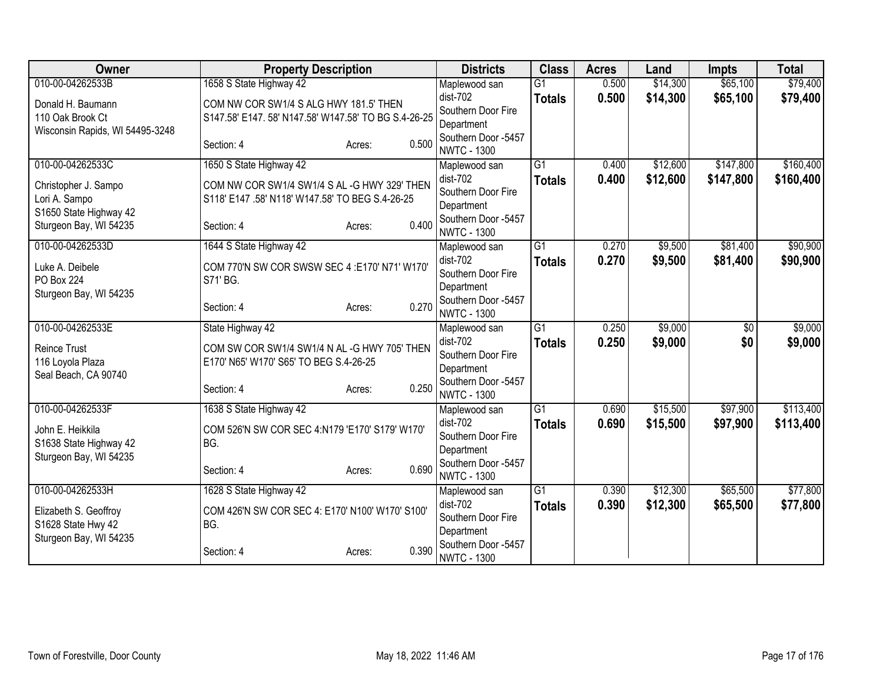| 010-00-04262533B<br>1658 S State Highway 42<br>G1<br>0.500<br>\$14,300<br>\$65,100<br>Maplewood san<br>$dist-702$<br>0.500<br>\$14,300<br>\$65,100<br>\$79,400<br><b>Totals</b><br>COM NW COR SW1/4 S ALG HWY 181.5' THEN<br>Donald H. Baumann<br>Southern Door Fire<br>S147.58' E147. 58' N147.58' W147.58' TO BG S.4-26-25<br>110 Oak Brook Ct<br>Department<br>Wisconsin Rapids, WI 54495-3248<br>Southern Door -5457<br>0.500<br>Section: 4<br>Acres:<br><b>NWTC - 1300</b><br>$\overline{G1}$<br>\$12,600<br>\$147,800<br>010-00-04262533C<br>1650 S State Highway 42<br>0.400<br>Maplewood san<br>\$12,600<br>\$147,800<br>dist-702<br>0.400<br><b>Totals</b><br>COM NW COR SW1/4 SW1/4 S AL -G HWY 329' THEN<br>Christopher J. Sampo<br>Southern Door Fire<br>S118' E147 .58' N118' W147.58' TO BEG S.4-26-25<br>Lori A. Sampo<br>Department<br>S1650 State Highway 42<br>Southern Door -5457<br>0.400<br>Sturgeon Bay, WI 54235<br>Section: 4<br>Acres:<br><b>NWTC - 1300</b><br>010-00-04262533D<br>1644 S State Highway 42<br>$\overline{G1}$<br>0.270<br>\$9,500<br>\$81,400<br>Maplewood san<br>dist-702<br>0.270<br>\$9,500<br>\$81,400<br><b>Totals</b><br>COM 770'N SW COR SWSW SEC 4 :E170' N71' W170'<br>Luke A. Deibele<br>Southern Door Fire<br>PO Box 224<br>S71' BG.<br>Department<br>Sturgeon Bay, WI 54235<br>Southern Door -5457<br>0.270<br>Section: 4<br>Acres:<br><b>NWTC - 1300</b><br>010-00-04262533E<br>State Highway 42<br>$\overline{G1}$<br>\$9,000<br>\$9,000<br>0.250<br>$\overline{50}$<br>Maplewood san<br>0.250<br>\$9,000<br>$dist-702$<br>\$0<br><b>Totals</b><br>COM SW COR SW1/4 SW1/4 N AL -G HWY 705' THEN<br><b>Reince Trust</b><br>Southern Door Fire<br>E170' N65' W170' S65' TO BEG S.4-26-25<br>116 Loyola Plaza<br>Department<br>Seal Beach, CA 90740<br>Southern Door -5457<br>0.250<br>Section: 4<br>Acres:<br><b>NWTC - 1300</b><br>010-00-04262533F<br>1638 S State Highway 42<br>$\overline{G1}$<br>0.690<br>\$15,500<br>\$97,900<br>Maplewood san<br>dist-702<br>0.690<br>\$15,500<br>\$97,900<br><b>Totals</b><br>COM 526'N SW COR SEC 4:N179 'E170' S179' W170'<br>John E. Heikkila<br>Southern Door Fire<br>BG.<br>S1638 State Highway 42<br>Department<br>Sturgeon Bay, WI 54235<br>Southern Door -5457<br>0.690<br>Section: 4<br>Acres:<br><b>NWTC - 1300</b><br>\$12,300<br>\$65,500<br>010-00-04262533H<br>1628 S State Highway 42<br>G1<br>0.390<br>Maplewood san<br>dist-702<br>0.390<br>\$12,300<br>\$65,500<br><b>Totals</b><br>COM 426'N SW COR SEC 4: E170' N100' W170' S100'<br>Elizabeth S. Geoffroy<br>Southern Door Fire<br>S1628 State Hwy 42<br>BG.<br>Department<br>Sturgeon Bay, WI 54235<br>Southern Door -5457<br>0.390<br>Section: 4<br>Acres: | Owner | <b>Property Description</b> | <b>Districts</b>   | <b>Class</b> | <b>Acres</b> | Land | <b>Impts</b> | <b>Total</b> |
|---------------------------------------------------------------------------------------------------------------------------------------------------------------------------------------------------------------------------------------------------------------------------------------------------------------------------------------------------------------------------------------------------------------------------------------------------------------------------------------------------------------------------------------------------------------------------------------------------------------------------------------------------------------------------------------------------------------------------------------------------------------------------------------------------------------------------------------------------------------------------------------------------------------------------------------------------------------------------------------------------------------------------------------------------------------------------------------------------------------------------------------------------------------------------------------------------------------------------------------------------------------------------------------------------------------------------------------------------------------------------------------------------------------------------------------------------------------------------------------------------------------------------------------------------------------------------------------------------------------------------------------------------------------------------------------------------------------------------------------------------------------------------------------------------------------------------------------------------------------------------------------------------------------------------------------------------------------------------------------------------------------------------------------------------------------------------------------------------------------------------------------------------------------------------------------------------------------------------------------------------------------------------------------------------------------------------------------------------------------------------------------------------------------------------------------------------------------------------------------------------------------------------------------------------------------------------------------------------------------------------------------------------------------------------------------------------------------------------------|-------|-----------------------------|--------------------|--------------|--------------|------|--------------|--------------|
|                                                                                                                                                                                                                                                                                                                                                                                                                                                                                                                                                                                                                                                                                                                                                                                                                                                                                                                                                                                                                                                                                                                                                                                                                                                                                                                                                                                                                                                                                                                                                                                                                                                                                                                                                                                                                                                                                                                                                                                                                                                                                                                                                                                                                                                                                                                                                                                                                                                                                                                                                                                                                                                                                                                                 |       |                             |                    |              |              |      |              | \$79,400     |
| \$160,400<br>\$90,900<br>\$9,000<br>\$77,800                                                                                                                                                                                                                                                                                                                                                                                                                                                                                                                                                                                                                                                                                                                                                                                                                                                                                                                                                                                                                                                                                                                                                                                                                                                                                                                                                                                                                                                                                                                                                                                                                                                                                                                                                                                                                                                                                                                                                                                                                                                                                                                                                                                                                                                                                                                                                                                                                                                                                                                                                                                                                                                                                    |       |                             |                    |              |              |      |              |              |
|                                                                                                                                                                                                                                                                                                                                                                                                                                                                                                                                                                                                                                                                                                                                                                                                                                                                                                                                                                                                                                                                                                                                                                                                                                                                                                                                                                                                                                                                                                                                                                                                                                                                                                                                                                                                                                                                                                                                                                                                                                                                                                                                                                                                                                                                                                                                                                                                                                                                                                                                                                                                                                                                                                                                 |       |                             |                    |              |              |      |              |              |
| \$160,400<br>\$90,900<br>\$113,400                                                                                                                                                                                                                                                                                                                                                                                                                                                                                                                                                                                                                                                                                                                                                                                                                                                                                                                                                                                                                                                                                                                                                                                                                                                                                                                                                                                                                                                                                                                                                                                                                                                                                                                                                                                                                                                                                                                                                                                                                                                                                                                                                                                                                                                                                                                                                                                                                                                                                                                                                                                                                                                                                              |       |                             |                    |              |              |      |              |              |
|                                                                                                                                                                                                                                                                                                                                                                                                                                                                                                                                                                                                                                                                                                                                                                                                                                                                                                                                                                                                                                                                                                                                                                                                                                                                                                                                                                                                                                                                                                                                                                                                                                                                                                                                                                                                                                                                                                                                                                                                                                                                                                                                                                                                                                                                                                                                                                                                                                                                                                                                                                                                                                                                                                                                 |       |                             |                    |              |              |      |              |              |
|                                                                                                                                                                                                                                                                                                                                                                                                                                                                                                                                                                                                                                                                                                                                                                                                                                                                                                                                                                                                                                                                                                                                                                                                                                                                                                                                                                                                                                                                                                                                                                                                                                                                                                                                                                                                                                                                                                                                                                                                                                                                                                                                                                                                                                                                                                                                                                                                                                                                                                                                                                                                                                                                                                                                 |       |                             |                    |              |              |      |              |              |
|                                                                                                                                                                                                                                                                                                                                                                                                                                                                                                                                                                                                                                                                                                                                                                                                                                                                                                                                                                                                                                                                                                                                                                                                                                                                                                                                                                                                                                                                                                                                                                                                                                                                                                                                                                                                                                                                                                                                                                                                                                                                                                                                                                                                                                                                                                                                                                                                                                                                                                                                                                                                                                                                                                                                 |       |                             |                    |              |              |      |              |              |
|                                                                                                                                                                                                                                                                                                                                                                                                                                                                                                                                                                                                                                                                                                                                                                                                                                                                                                                                                                                                                                                                                                                                                                                                                                                                                                                                                                                                                                                                                                                                                                                                                                                                                                                                                                                                                                                                                                                                                                                                                                                                                                                                                                                                                                                                                                                                                                                                                                                                                                                                                                                                                                                                                                                                 |       |                             |                    |              |              |      |              |              |
|                                                                                                                                                                                                                                                                                                                                                                                                                                                                                                                                                                                                                                                                                                                                                                                                                                                                                                                                                                                                                                                                                                                                                                                                                                                                                                                                                                                                                                                                                                                                                                                                                                                                                                                                                                                                                                                                                                                                                                                                                                                                                                                                                                                                                                                                                                                                                                                                                                                                                                                                                                                                                                                                                                                                 |       |                             |                    |              |              |      |              |              |
|                                                                                                                                                                                                                                                                                                                                                                                                                                                                                                                                                                                                                                                                                                                                                                                                                                                                                                                                                                                                                                                                                                                                                                                                                                                                                                                                                                                                                                                                                                                                                                                                                                                                                                                                                                                                                                                                                                                                                                                                                                                                                                                                                                                                                                                                                                                                                                                                                                                                                                                                                                                                                                                                                                                                 |       |                             |                    |              |              |      |              |              |
|                                                                                                                                                                                                                                                                                                                                                                                                                                                                                                                                                                                                                                                                                                                                                                                                                                                                                                                                                                                                                                                                                                                                                                                                                                                                                                                                                                                                                                                                                                                                                                                                                                                                                                                                                                                                                                                                                                                                                                                                                                                                                                                                                                                                                                                                                                                                                                                                                                                                                                                                                                                                                                                                                                                                 |       |                             |                    |              |              |      |              |              |
|                                                                                                                                                                                                                                                                                                                                                                                                                                                                                                                                                                                                                                                                                                                                                                                                                                                                                                                                                                                                                                                                                                                                                                                                                                                                                                                                                                                                                                                                                                                                                                                                                                                                                                                                                                                                                                                                                                                                                                                                                                                                                                                                                                                                                                                                                                                                                                                                                                                                                                                                                                                                                                                                                                                                 |       |                             |                    |              |              |      |              |              |
|                                                                                                                                                                                                                                                                                                                                                                                                                                                                                                                                                                                                                                                                                                                                                                                                                                                                                                                                                                                                                                                                                                                                                                                                                                                                                                                                                                                                                                                                                                                                                                                                                                                                                                                                                                                                                                                                                                                                                                                                                                                                                                                                                                                                                                                                                                                                                                                                                                                                                                                                                                                                                                                                                                                                 |       |                             |                    |              |              |      |              |              |
|                                                                                                                                                                                                                                                                                                                                                                                                                                                                                                                                                                                                                                                                                                                                                                                                                                                                                                                                                                                                                                                                                                                                                                                                                                                                                                                                                                                                                                                                                                                                                                                                                                                                                                                                                                                                                                                                                                                                                                                                                                                                                                                                                                                                                                                                                                                                                                                                                                                                                                                                                                                                                                                                                                                                 |       |                             |                    |              |              |      |              |              |
|                                                                                                                                                                                                                                                                                                                                                                                                                                                                                                                                                                                                                                                                                                                                                                                                                                                                                                                                                                                                                                                                                                                                                                                                                                                                                                                                                                                                                                                                                                                                                                                                                                                                                                                                                                                                                                                                                                                                                                                                                                                                                                                                                                                                                                                                                                                                                                                                                                                                                                                                                                                                                                                                                                                                 |       |                             |                    |              |              |      |              |              |
|                                                                                                                                                                                                                                                                                                                                                                                                                                                                                                                                                                                                                                                                                                                                                                                                                                                                                                                                                                                                                                                                                                                                                                                                                                                                                                                                                                                                                                                                                                                                                                                                                                                                                                                                                                                                                                                                                                                                                                                                                                                                                                                                                                                                                                                                                                                                                                                                                                                                                                                                                                                                                                                                                                                                 |       |                             |                    |              |              |      |              |              |
|                                                                                                                                                                                                                                                                                                                                                                                                                                                                                                                                                                                                                                                                                                                                                                                                                                                                                                                                                                                                                                                                                                                                                                                                                                                                                                                                                                                                                                                                                                                                                                                                                                                                                                                                                                                                                                                                                                                                                                                                                                                                                                                                                                                                                                                                                                                                                                                                                                                                                                                                                                                                                                                                                                                                 |       |                             |                    |              |              |      |              |              |
|                                                                                                                                                                                                                                                                                                                                                                                                                                                                                                                                                                                                                                                                                                                                                                                                                                                                                                                                                                                                                                                                                                                                                                                                                                                                                                                                                                                                                                                                                                                                                                                                                                                                                                                                                                                                                                                                                                                                                                                                                                                                                                                                                                                                                                                                                                                                                                                                                                                                                                                                                                                                                                                                                                                                 |       |                             |                    |              |              |      |              |              |
|                                                                                                                                                                                                                                                                                                                                                                                                                                                                                                                                                                                                                                                                                                                                                                                                                                                                                                                                                                                                                                                                                                                                                                                                                                                                                                                                                                                                                                                                                                                                                                                                                                                                                                                                                                                                                                                                                                                                                                                                                                                                                                                                                                                                                                                                                                                                                                                                                                                                                                                                                                                                                                                                                                                                 |       |                             |                    |              |              |      |              |              |
|                                                                                                                                                                                                                                                                                                                                                                                                                                                                                                                                                                                                                                                                                                                                                                                                                                                                                                                                                                                                                                                                                                                                                                                                                                                                                                                                                                                                                                                                                                                                                                                                                                                                                                                                                                                                                                                                                                                                                                                                                                                                                                                                                                                                                                                                                                                                                                                                                                                                                                                                                                                                                                                                                                                                 |       |                             |                    |              |              |      |              |              |
|                                                                                                                                                                                                                                                                                                                                                                                                                                                                                                                                                                                                                                                                                                                                                                                                                                                                                                                                                                                                                                                                                                                                                                                                                                                                                                                                                                                                                                                                                                                                                                                                                                                                                                                                                                                                                                                                                                                                                                                                                                                                                                                                                                                                                                                                                                                                                                                                                                                                                                                                                                                                                                                                                                                                 |       |                             |                    |              |              |      |              |              |
| \$113,400<br>\$77,800                                                                                                                                                                                                                                                                                                                                                                                                                                                                                                                                                                                                                                                                                                                                                                                                                                                                                                                                                                                                                                                                                                                                                                                                                                                                                                                                                                                                                                                                                                                                                                                                                                                                                                                                                                                                                                                                                                                                                                                                                                                                                                                                                                                                                                                                                                                                                                                                                                                                                                                                                                                                                                                                                                           |       |                             |                    |              |              |      |              |              |
|                                                                                                                                                                                                                                                                                                                                                                                                                                                                                                                                                                                                                                                                                                                                                                                                                                                                                                                                                                                                                                                                                                                                                                                                                                                                                                                                                                                                                                                                                                                                                                                                                                                                                                                                                                                                                                                                                                                                                                                                                                                                                                                                                                                                                                                                                                                                                                                                                                                                                                                                                                                                                                                                                                                                 |       |                             |                    |              |              |      |              |              |
|                                                                                                                                                                                                                                                                                                                                                                                                                                                                                                                                                                                                                                                                                                                                                                                                                                                                                                                                                                                                                                                                                                                                                                                                                                                                                                                                                                                                                                                                                                                                                                                                                                                                                                                                                                                                                                                                                                                                                                                                                                                                                                                                                                                                                                                                                                                                                                                                                                                                                                                                                                                                                                                                                                                                 |       |                             |                    |              |              |      |              |              |
|                                                                                                                                                                                                                                                                                                                                                                                                                                                                                                                                                                                                                                                                                                                                                                                                                                                                                                                                                                                                                                                                                                                                                                                                                                                                                                                                                                                                                                                                                                                                                                                                                                                                                                                                                                                                                                                                                                                                                                                                                                                                                                                                                                                                                                                                                                                                                                                                                                                                                                                                                                                                                                                                                                                                 |       |                             |                    |              |              |      |              |              |
|                                                                                                                                                                                                                                                                                                                                                                                                                                                                                                                                                                                                                                                                                                                                                                                                                                                                                                                                                                                                                                                                                                                                                                                                                                                                                                                                                                                                                                                                                                                                                                                                                                                                                                                                                                                                                                                                                                                                                                                                                                                                                                                                                                                                                                                                                                                                                                                                                                                                                                                                                                                                                                                                                                                                 |       |                             |                    |              |              |      |              |              |
|                                                                                                                                                                                                                                                                                                                                                                                                                                                                                                                                                                                                                                                                                                                                                                                                                                                                                                                                                                                                                                                                                                                                                                                                                                                                                                                                                                                                                                                                                                                                                                                                                                                                                                                                                                                                                                                                                                                                                                                                                                                                                                                                                                                                                                                                                                                                                                                                                                                                                                                                                                                                                                                                                                                                 |       |                             |                    |              |              |      |              |              |
|                                                                                                                                                                                                                                                                                                                                                                                                                                                                                                                                                                                                                                                                                                                                                                                                                                                                                                                                                                                                                                                                                                                                                                                                                                                                                                                                                                                                                                                                                                                                                                                                                                                                                                                                                                                                                                                                                                                                                                                                                                                                                                                                                                                                                                                                                                                                                                                                                                                                                                                                                                                                                                                                                                                                 |       |                             |                    |              |              |      |              |              |
|                                                                                                                                                                                                                                                                                                                                                                                                                                                                                                                                                                                                                                                                                                                                                                                                                                                                                                                                                                                                                                                                                                                                                                                                                                                                                                                                                                                                                                                                                                                                                                                                                                                                                                                                                                                                                                                                                                                                                                                                                                                                                                                                                                                                                                                                                                                                                                                                                                                                                                                                                                                                                                                                                                                                 |       |                             |                    |              |              |      |              |              |
|                                                                                                                                                                                                                                                                                                                                                                                                                                                                                                                                                                                                                                                                                                                                                                                                                                                                                                                                                                                                                                                                                                                                                                                                                                                                                                                                                                                                                                                                                                                                                                                                                                                                                                                                                                                                                                                                                                                                                                                                                                                                                                                                                                                                                                                                                                                                                                                                                                                                                                                                                                                                                                                                                                                                 |       |                             |                    |              |              |      |              |              |
|                                                                                                                                                                                                                                                                                                                                                                                                                                                                                                                                                                                                                                                                                                                                                                                                                                                                                                                                                                                                                                                                                                                                                                                                                                                                                                                                                                                                                                                                                                                                                                                                                                                                                                                                                                                                                                                                                                                                                                                                                                                                                                                                                                                                                                                                                                                                                                                                                                                                                                                                                                                                                                                                                                                                 |       |                             |                    |              |              |      |              |              |
|                                                                                                                                                                                                                                                                                                                                                                                                                                                                                                                                                                                                                                                                                                                                                                                                                                                                                                                                                                                                                                                                                                                                                                                                                                                                                                                                                                                                                                                                                                                                                                                                                                                                                                                                                                                                                                                                                                                                                                                                                                                                                                                                                                                                                                                                                                                                                                                                                                                                                                                                                                                                                                                                                                                                 |       |                             | <b>NWTC - 1300</b> |              |              |      |              |              |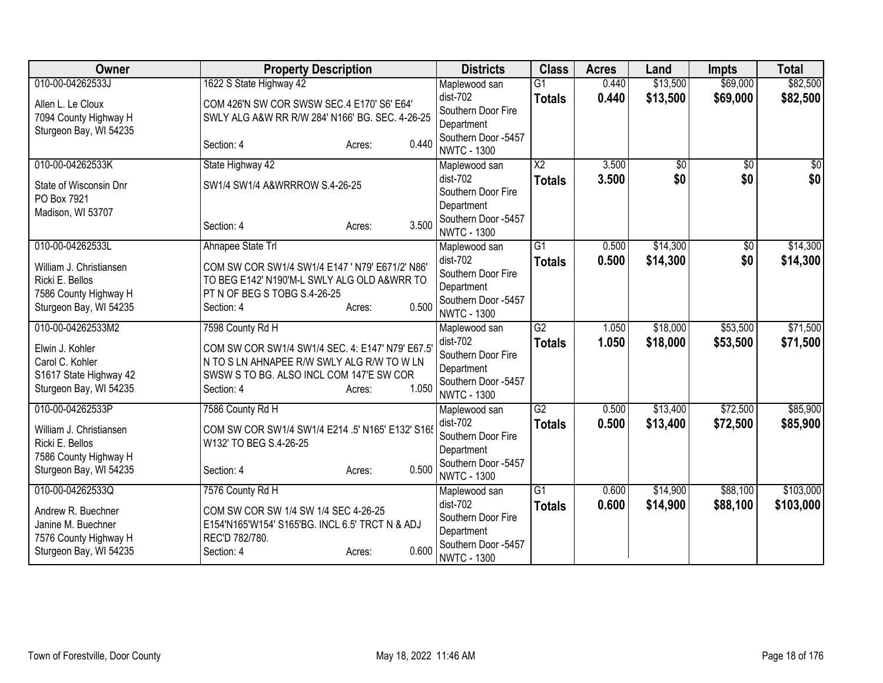| Owner                   | <b>Property Description</b>                      | <b>Districts</b>                          | <b>Class</b>    | <b>Acres</b>   | Land            | <b>Impts</b>    | <b>Total</b>     |
|-------------------------|--------------------------------------------------|-------------------------------------------|-----------------|----------------|-----------------|-----------------|------------------|
| 010-00-04262533J        | 1622 S State Highway 42                          | Maplewood san                             | $\overline{G1}$ | 0.440          | \$13,500        | \$69,000        | \$82,500         |
| Allen L. Le Cloux       | COM 426'N SW COR SWSW SEC.4 E170' S6' E64'       | dist-702                                  | <b>Totals</b>   | 0.440          | \$13,500        | \$69,000        | \$82,500         |
| 7094 County Highway H   | SWLY ALG A&W RR R/W 284' N166' BG. SEC. 4-26-25  | Southern Door Fire                        |                 |                |                 |                 |                  |
| Sturgeon Bay, WI 54235  |                                                  | Department                                |                 |                |                 |                 |                  |
|                         | 0.440<br>Section: 4<br>Acres:                    | Southern Door -5457<br><b>NWTC - 1300</b> |                 |                |                 |                 |                  |
| 010-00-04262533K        | State Highway 42                                 | Maplewood san                             | $\overline{X2}$ | 3.500          | $\overline{50}$ | $\overline{50}$ | $\overline{\$0}$ |
|                         |                                                  | dist-702                                  | <b>Totals</b>   | 3.500          | \$0             | \$0             | \$0              |
| State of Wisconsin Dnr  | SW1/4 SW1/4 A&WRRROW S.4-26-25                   | Southern Door Fire                        |                 |                |                 |                 |                  |
| PO Box 7921             |                                                  | Department                                |                 |                |                 |                 |                  |
| Madison, WI 53707       |                                                  | Southern Door -5457                       |                 |                |                 |                 |                  |
|                         | 3.500<br>Section: 4<br>Acres:                    | <b>NWTC - 1300</b>                        |                 |                |                 |                 |                  |
| 010-00-04262533L        | Ahnapee State Trl                                | Maplewood san                             | $\overline{G1}$ | 0.500          | \$14,300        | \$0             | \$14,300         |
| William J. Christiansen | COM SW COR SW1/4 SW1/4 E147 ' N79' E671/2' N86'  | $dist-702$                                | <b>Totals</b>   | 0.500          | \$14,300        | \$0             | \$14,300         |
| Ricki E. Bellos         | TO BEG E142' N190'M-L SWLY ALG OLD A&WRR TO      | Southern Door Fire                        |                 |                |                 |                 |                  |
| 7586 County Highway H   | PT N OF BEG S TOBG S.4-26-25                     | Department                                |                 |                |                 |                 |                  |
| Sturgeon Bay, WI 54235  | 0.500<br>Section: 4<br>Acres:                    | Southern Door -5457                       |                 |                |                 |                 |                  |
| 010-00-04262533M2       | 7598 County Rd H                                 | <b>NWTC - 1300</b>                        | G2              | 1.050          | \$18,000        | \$53,500        | \$71,500         |
|                         |                                                  | Maplewood san<br>$dist-702$               |                 | 1.050          | \$18,000        | \$53,500        | \$71,500         |
| Elwin J. Kohler         | COM SW COR SW1/4 SW1/4 SEC. 4: E147' N79' E67.5  | Southern Door Fire                        | <b>Totals</b>   |                |                 |                 |                  |
| Carol C. Kohler         | N TO S LN AHNAPEE R/W SWLY ALG R/W TO W LN       | Department                                |                 |                |                 |                 |                  |
| S1617 State Highway 42  | SWSW S TO BG. ALSO INCL COM 147'E SW COR         | Southern Door -5457                       |                 |                |                 |                 |                  |
| Sturgeon Bay, WI 54235  | 1.050<br>Section: 4<br>Acres:                    | <b>NWTC - 1300</b>                        |                 |                |                 |                 |                  |
| 010-00-04262533P        | 7586 County Rd H                                 | Maplewood san                             | $\overline{G2}$ | 0.500          | \$13,400        | \$72,500        | \$85,900         |
| William J. Christiansen | COM SW COR SW1/4 SW1/4 E214 .5' N165' E132' S165 | $dist-702$                                | <b>Totals</b>   | 0.500          | \$13,400        | \$72,500        | \$85,900         |
| Ricki E. Bellos         | W132' TO BEG S.4-26-25                           | Southern Door Fire                        |                 |                |                 |                 |                  |
| 7586 County Highway H   |                                                  | Department                                |                 |                |                 |                 |                  |
| Sturgeon Bay, WI 54235  | 0.500<br>Section: 4<br>Acres:                    | Southern Door -5457                       |                 |                |                 |                 |                  |
|                         |                                                  | <b>NWTC - 1300</b>                        |                 |                |                 |                 |                  |
| 010-00-04262533Q        | 7576 County Rd H                                 | Maplewood san<br>dist-702                 | G1              | 0.600<br>0.600 | \$14,900        | \$88,100        | \$103,000        |
| Andrew R. Buechner      | COM SW COR SW 1/4 SW 1/4 SEC 4-26-25             | Southern Door Fire                        | <b>Totals</b>   |                | \$14,900        | \$88,100        | \$103,000        |
| Janine M. Buechner      | E154'N165'W154' S165'BG. INCL 6.5' TRCT N & ADJ  | Department                                |                 |                |                 |                 |                  |
| 7576 County Highway H   | REC'D 782/780.                                   | Southern Door -5457                       |                 |                |                 |                 |                  |
| Sturgeon Bay, WI 54235  | 0.600<br>Section: 4<br>Acres:                    | <b>NWTC - 1300</b>                        |                 |                |                 |                 |                  |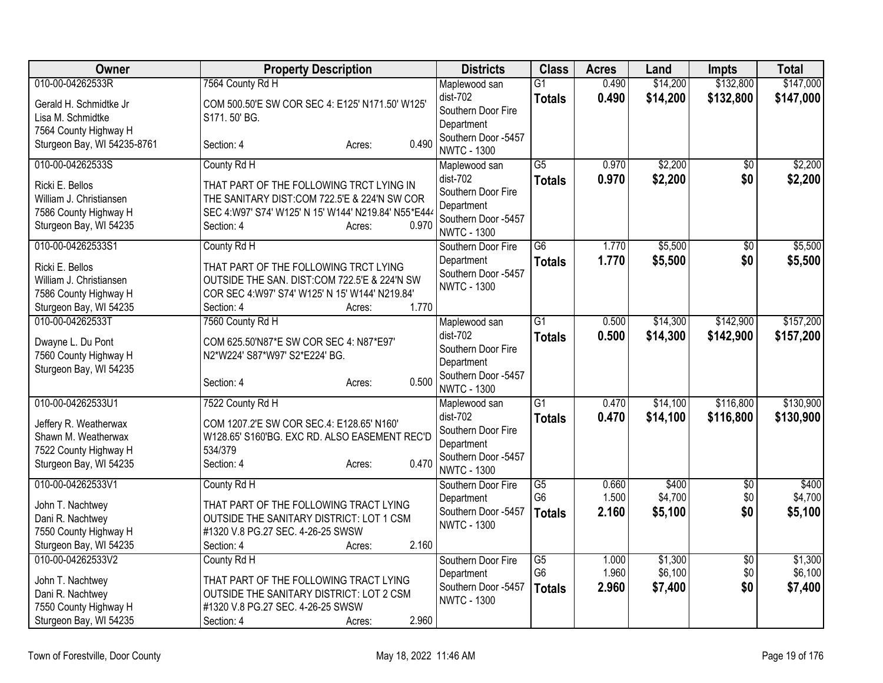| Owner                                                                                                                | <b>Property Description</b>                                                                                                                                                                     | <b>Districts</b>                                                                                             | <b>Class</b>                                       | <b>Acres</b>            | Land                          | <b>Impts</b>                  | <b>Total</b>                  |
|----------------------------------------------------------------------------------------------------------------------|-------------------------------------------------------------------------------------------------------------------------------------------------------------------------------------------------|--------------------------------------------------------------------------------------------------------------|----------------------------------------------------|-------------------------|-------------------------------|-------------------------------|-------------------------------|
| 010-00-04262533R                                                                                                     | 7564 County Rd H                                                                                                                                                                                | Maplewood san                                                                                                | $\overline{G1}$                                    | 0.490                   | \$14,200                      | \$132,800                     | \$147,000                     |
| Gerald H. Schmidtke Jr<br>Lisa M. Schmidtke<br>7564 County Highway H                                                 | COM 500.50'E SW COR SEC 4: E125' N171.50' W125'<br>S171, 50' BG.                                                                                                                                | $dist-702$<br>Southern Door Fire<br>Department<br>Southern Door -5457                                        | <b>Totals</b>                                      | 0.490                   | \$14,200                      | \$132,800                     | \$147,000                     |
| Sturgeon Bay, WI 54235-8761                                                                                          | 0.490<br>Section: 4<br>Acres:                                                                                                                                                                   | <b>NWTC - 1300</b>                                                                                           |                                                    |                         |                               |                               |                               |
| 010-00-04262533S<br>Ricki E. Bellos<br>William J. Christiansen<br>7586 County Highway H<br>Sturgeon Bay, WI 54235    | County Rd H<br>THAT PART OF THE FOLLOWING TRCT LYING IN<br>THE SANITARY DIST:COM 722.5'E & 224'N SW COR<br>SEC 4:W97' S74' W125' N 15' W144' N219.84' N55*E444<br>0.970<br>Section: 4<br>Acres: | Maplewood san<br>dist-702<br>Southern Door Fire<br>Department<br>Southern Door -5457<br><b>NWTC - 1300</b>   | $\overline{G5}$<br><b>Totals</b>                   | 0.970<br>0.970          | \$2,200<br>\$2,200            | $\overline{30}$<br>\$0        | \$2,200<br>\$2,200            |
| 010-00-04262533S1<br>Ricki E. Bellos<br>William J. Christiansen<br>7586 County Highway H<br>Sturgeon Bay, WI 54235   | County Rd H<br>THAT PART OF THE FOLLOWING TRCT LYING<br>OUTSIDE THE SAN. DIST:COM 722.5'E & 224'N SW<br>COR SEC 4:W97' S74' W125' N 15' W144' N219.84'<br>1.770<br>Section: 4<br>Acres:         | Southern Door Fire<br>Department<br>Southern Door -5457<br><b>NWTC - 1300</b>                                | $\overline{G6}$<br><b>Totals</b>                   | 1.770<br>1.770          | \$5,500<br>\$5,500            | $\overline{50}$<br>\$0        | \$5,500<br>\$5,500            |
| 010-00-04262533T<br>Dwayne L. Du Pont<br>7560 County Highway H<br>Sturgeon Bay, WI 54235                             | 7560 County Rd H<br>COM 625.50'N87*E SW COR SEC 4: N87*E97'<br>N2*W224' S87*W97' S2*E224' BG.<br>0.500<br>Section: 4<br>Acres:                                                                  | Maplewood san<br>$dist-702$<br>Southern Door Fire<br>Department<br>Southern Door -5457<br><b>NWTC - 1300</b> | $\overline{G1}$<br><b>Totals</b>                   | 0.500<br>0.500          | \$14,300<br>\$14,300          | \$142,900<br>\$142,900        | \$157,200<br>\$157,200        |
| 010-00-04262533U1<br>Jeffery R. Weatherwax<br>Shawn M. Weatherwax<br>7522 County Highway H<br>Sturgeon Bay, WI 54235 | 7522 County Rd H<br>COM 1207.2'E SW COR SEC.4: E128.65' N160'<br>W128.65' S160'BG. EXC RD. ALSO EASEMENT REC'D<br>534/379<br>0.470<br>Section: 4<br>Acres:                                      | Maplewood san<br>dist-702<br>Southern Door Fire<br>Department<br>Southern Door -5457<br><b>NWTC - 1300</b>   | $\overline{G1}$<br><b>Totals</b>                   | 0.470<br>0.470          | \$14,100<br>\$14,100          | \$116,800<br>\$116,800        | \$130,900<br>\$130,900        |
| 010-00-04262533V1<br>John T. Nachtwey<br>Dani R. Nachtwey<br>7550 County Highway H<br>Sturgeon Bay, WI 54235         | County Rd H<br>THAT PART OF THE FOLLOWING TRACT LYING<br>OUTSIDE THE SANITARY DISTRICT: LOT 1 CSM<br>#1320 V.8 PG.27 SEC. 4-26-25 SWSW<br>2.160<br>Section: 4<br>Acres:                         | Southern Door Fire<br>Department<br>Southern Door -5457<br><b>NWTC - 1300</b>                                | $\overline{G5}$<br>G <sub>6</sub><br><b>Totals</b> | 0.660<br>1.500<br>2.160 | \$400<br>\$4,700<br>\$5,100   | $\overline{50}$<br>\$0<br>\$0 | \$400<br>\$4,700<br>\$5,100   |
| 010-00-04262533V2<br>John T. Nachtwey<br>Dani R. Nachtwey<br>7550 County Highway H<br>Sturgeon Bay, WI 54235         | County Rd H<br>THAT PART OF THE FOLLOWING TRACT LYING<br>OUTSIDE THE SANITARY DISTRICT: LOT 2 CSM<br>#1320 V.8 PG.27 SEC. 4-26-25 SWSW<br>2.960<br>Section: 4<br>Acres:                         | Southern Door Fire<br>Department<br>Southern Door -5457<br><b>NWTC - 1300</b>                                | $\overline{G5}$<br>G <sub>6</sub><br><b>Totals</b> | 1.000<br>1.960<br>2.960 | \$1,300<br>\$6,100<br>\$7,400 | $\overline{50}$<br>\$0<br>\$0 | \$1,300<br>\$6,100<br>\$7,400 |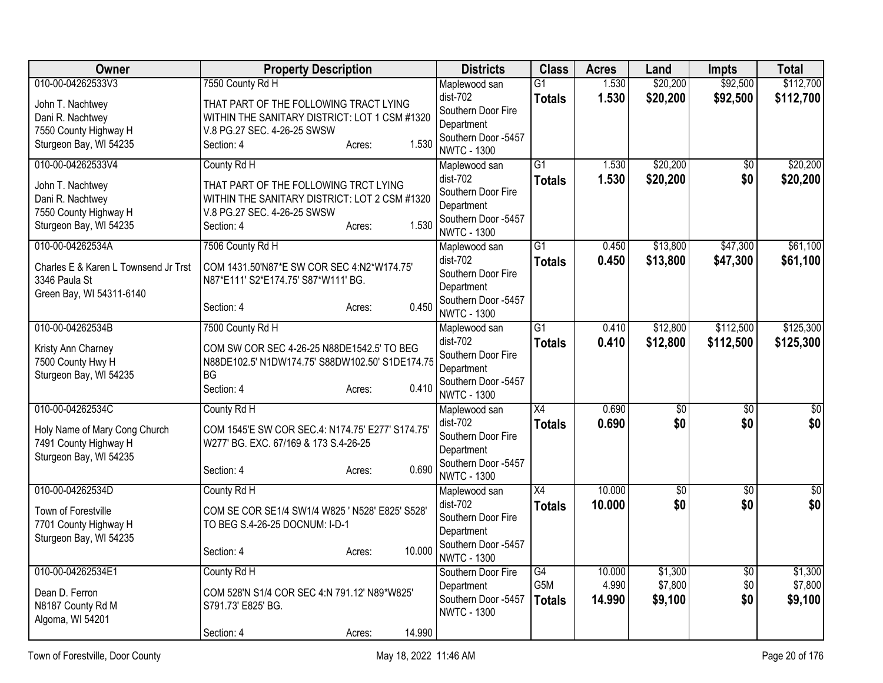| Owner                                                                                                        | <b>Property Description</b>                                                                                                                                           | <b>Districts</b>                                                                                             | <b>Class</b>                            | <b>Acres</b>              | Land                          | <b>Impts</b>                  | <b>Total</b>                  |
|--------------------------------------------------------------------------------------------------------------|-----------------------------------------------------------------------------------------------------------------------------------------------------------------------|--------------------------------------------------------------------------------------------------------------|-----------------------------------------|---------------------------|-------------------------------|-------------------------------|-------------------------------|
| 010-00-04262533V3<br>John T. Nachtwey<br>Dani R. Nachtwey                                                    | 7550 County Rd H<br>THAT PART OF THE FOLLOWING TRACT LYING<br>WITHIN THE SANITARY DISTRICT: LOT 1 CSM #1320                                                           | Maplewood san<br>dist-702<br>Southern Door Fire                                                              | G <sub>1</sub><br><b>Totals</b>         | 1.530<br>1.530            | \$20,200<br>\$20,200          | \$92,500<br>\$92,500          | \$112,700<br>\$112,700        |
| 7550 County Highway H<br>Sturgeon Bay, WI 54235                                                              | V.8 PG.27 SEC. 4-26-25 SWSW<br>1.530<br>Section: 4<br>Acres:                                                                                                          | Department<br>Southern Door -5457<br><b>NWTC - 1300</b>                                                      |                                         |                           |                               |                               |                               |
| 010-00-04262533V4<br>John T. Nachtwey<br>Dani R. Nachtwey<br>7550 County Highway H<br>Sturgeon Bay, WI 54235 | County Rd H<br>THAT PART OF THE FOLLOWING TRCT LYING<br>WITHIN THE SANITARY DISTRICT: LOT 2 CSM #1320<br>V.8 PG.27 SEC. 4-26-25 SWSW<br>1.530<br>Section: 4<br>Acres: | Maplewood san<br>dist-702<br>Southern Door Fire<br>Department<br>Southern Door -5457<br><b>NWTC - 1300</b>   | $\overline{G1}$<br><b>Totals</b>        | 1.530<br>1.530            | \$20,200<br>\$20,200          | $\overline{50}$<br>\$0        | \$20,200<br>\$20,200          |
| 010-00-04262534A<br>Charles E & Karen L Townsend Jr Trst<br>3346 Paula St<br>Green Bay, WI 54311-6140        | 7506 County Rd H<br>COM 1431.50'N87*E SW COR SEC 4:N2*W174.75'<br>N87*E111' S2*E174.75' S87*W111' BG.<br>0.450<br>Section: 4<br>Acres:                                | Maplewood san<br>$dist-702$<br>Southern Door Fire<br>Department<br>Southern Door -5457<br><b>NWTC - 1300</b> | $\overline{G1}$<br><b>Totals</b>        | 0.450<br>0.450            | \$13,800<br>\$13,800          | \$47,300<br>\$47,300          | \$61,100<br>\$61,100          |
| 010-00-04262534B<br>Kristy Ann Charney<br>7500 County Hwy H<br>Sturgeon Bay, WI 54235                        | 7500 County Rd H<br>COM SW COR SEC 4-26-25 N88DE1542.5' TO BEG<br>N88DE102.5' N1DW174.75' S88DW102.50' S1DE174.75<br>BG.<br>0.410<br>Section: 4<br>Acres:             | Maplewood san<br>$dist-702$<br>Southern Door Fire<br>Department<br>Southern Door -5457<br><b>NWTC - 1300</b> | $\overline{G1}$<br><b>Totals</b>        | 0.410<br>0.410            | \$12,800<br>\$12,800          | \$112,500<br>\$112,500        | \$125,300<br>\$125,300        |
| 010-00-04262534C<br>Holy Name of Mary Cong Church<br>7491 County Highway H<br>Sturgeon Bay, WI 54235         | County Rd H<br>COM 1545'E SW COR SEC.4: N174.75' E277' S174.75'<br>W277' BG. EXC. 67/169 & 173 S.4-26-25<br>0.690<br>Section: 4<br>Acres:                             | Maplewood san<br>dist-702<br>Southern Door Fire<br>Department<br>Southern Door -5457<br><b>NWTC - 1300</b>   | $\overline{X4}$<br><b>Totals</b>        | 0.690<br>0.690            | $\overline{50}$<br>\$0        | $\overline{50}$<br>\$0        | $\overline{50}$<br>\$0        |
| 010-00-04262534D<br>Town of Forestville<br>7701 County Highway H<br>Sturgeon Bay, WI 54235                   | County Rd H<br>COM SE COR SE1/4 SW1/4 W825 ' N528' E825' S528'<br>TO BEG S.4-26-25 DOCNUM: I-D-1<br>10.000<br>Section: 4<br>Acres:                                    | Maplewood san<br>dist-702<br>Southern Door Fire<br>Department<br>Southern Door -5457<br><b>NWTC - 1300</b>   | X4<br><b>Totals</b>                     | 10.000<br>10.000          | $\overline{50}$<br>\$0        | $\overline{50}$<br>\$0        | $\overline{50}$<br>\$0        |
| 010-00-04262534E1<br>Dean D. Ferron<br>N8187 County Rd M<br>Algoma, WI 54201                                 | County Rd H<br>COM 528'N S1/4 COR SEC 4:N 791.12' N89*W825'<br>S791.73' E825' BG.<br>14.990<br>Section: 4<br>Acres:                                                   | Southern Door Fire<br>Department<br>Southern Door -5457<br><b>NWTC - 1300</b>                                | G4<br>G <sub>5</sub> M<br><b>Totals</b> | 10.000<br>4.990<br>14.990 | \$1,300<br>\$7,800<br>\$9,100 | $\overline{50}$<br>\$0<br>\$0 | \$1,300<br>\$7,800<br>\$9,100 |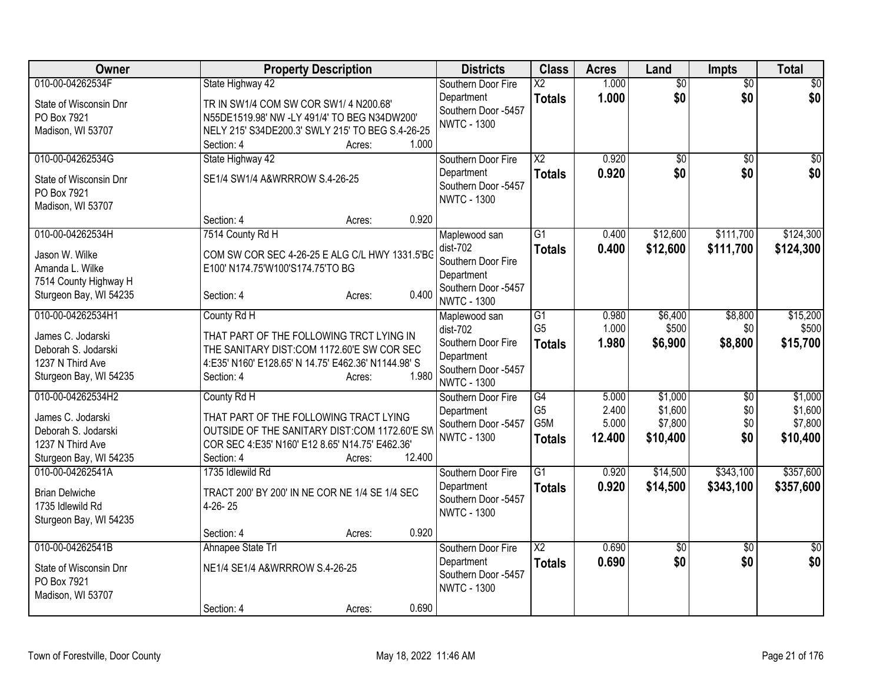| $\overline{50}$<br>$\overline{50}$<br>\$0<br>State Highway 42<br>Southern Door Fire<br>$\overline{\text{X2}}$<br>\$0<br>\$0<br>1.000<br>\$0<br>Department<br><b>Totals</b><br>TR IN SW1/4 COM SW COR SW1/4 N200.68'<br>State of Wisconsin Dnr<br>Southern Door -5457<br>PO Box 7921<br>N55DE1519.98' NW -LY 491/4' TO BEG N34DW200'<br><b>NWTC - 1300</b><br>NELY 215' S34DE200.3' SWLY 215' TO BEG S.4-26-25<br>Madison, WI 53707<br>1.000<br>Section: 4<br>Acres:<br>010-00-04262534G<br>State Highway 42<br>$\overline{X2}$<br>0.920<br>\$0<br>\$0<br>Southern Door Fire<br>\$0<br>0.920<br>\$0<br>Department<br><b>Totals</b><br>SE1/4 SW1/4 A&WRRROW S.4-26-25<br>State of Wisconsin Dnr<br>Southern Door -5457<br>PO Box 7921<br><b>NWTC - 1300</b><br>Madison, WI 53707<br>0.920<br>Section: 4<br>Acres:<br>7514 County Rd H<br>$\overline{G1}$<br>\$12,600<br>\$111,700<br>\$124,300<br>010-00-04262534H<br>0.400<br>Maplewood san<br>$dist-702$<br>0.400<br>\$12,600<br>\$111,700<br><b>Totals</b><br>COM SW COR SEC 4-26-25 E ALG C/L HWY 1331.5'BG<br>Jason W. Wilke<br>Southern Door Fire<br>Amanda L. Wilke<br>E100' N174.75'W100'S174.75'TO BG<br>Department<br>7514 County Highway H<br>Southern Door -5457<br>0.400<br>Sturgeon Bay, WI 54235<br>Section: 4<br>Acres:<br><b>NWTC - 1300</b><br>010-00-04262534H1<br>\$6,400<br>\$8,800<br>\$15,200<br>County Rd H<br>G1<br>0.980<br>Maplewood san<br>G <sub>5</sub><br>1.000<br>\$500<br>\$0<br>dist-702<br>James C. Jodarski<br>THAT PART OF THE FOLLOWING TRCT LYING IN<br>Southern Door Fire<br>1.980<br>\$6,900<br>\$8,800<br><b>Totals</b><br>THE SANITARY DIST:COM 1172.60'E SW COR SEC<br>Deborah S. Jodarski<br>Department<br>1237 N Third Ave<br>4:E35' N160' E128.65' N 14.75' E462.36' N1144.98' S<br>Southern Door -5457<br>1.980<br>Sturgeon Bay, WI 54235<br>Section: 4<br>Acres:<br><b>NWTC - 1300</b><br>010-00-04262534H2<br>\$1,000<br>County Rd H<br>G4<br>5.000<br>\$1,000<br>$\overline{50}$<br>Southern Door Fire<br>\$1,600<br>G <sub>5</sub><br>2.400<br>\$0<br>Department<br>THAT PART OF THE FOLLOWING TRACT LYING<br>James C. Jodarski<br>G5M<br>\$0<br>5.000<br>\$7,800<br>Southern Door -5457<br>Deborah S. Jodarski<br>OUTSIDE OF THE SANITARY DIST:COM 1172.60'E SW<br><b>NWTC - 1300</b><br>12.400<br>\$10,400<br>\$0<br><b>Totals</b><br>1237 N Third Ave<br>COR SEC 4:E35' N160' E12 8.65' N14.75' E462.36'<br>12.400<br>Sturgeon Bay, WI 54235<br>Section: 4<br>Acres:<br>\$357,600<br>1735 Idlewild Rd<br>$\overline{G1}$<br>\$14,500<br>\$343,100<br>010-00-04262541A<br>Southern Door Fire<br>0.920<br>0.920<br>\$14,500<br>\$343,100<br>Department<br><b>Totals</b><br><b>Brian Delwiche</b><br>TRACT 200' BY 200' IN NE COR NE 1/4 SE 1/4 SEC<br>Southern Door -5457<br>1735 Idlewild Rd<br>4-26-25<br><b>NWTC - 1300</b><br>Sturgeon Bay, WI 54235<br>0.920<br>Section: 4<br>Acres:<br>010-00-04262541B<br>Ahnapee State Trl<br>$\overline{\text{X2}}$<br>0.690<br>$\overline{50}$<br>$\overline{50}$<br>Southern Door Fire<br>$\overline{50}$<br>\$0<br>\$0<br>0.690<br>\$0<br>Department<br><b>Totals</b><br>NE1/4 SE1/4 A&WRRROW S.4-26-25<br>State of Wisconsin Dnr<br>Southern Door -5457<br>PO Box 7921<br><b>NWTC - 1300</b><br>Madison, WI 53707 | Owner            | <b>Property Description</b>   | <b>Districts</b> | <b>Class</b> | <b>Acres</b> | Land | Impts | <b>Total</b> |
|-------------------------------------------------------------------------------------------------------------------------------------------------------------------------------------------------------------------------------------------------------------------------------------------------------------------------------------------------------------------------------------------------------------------------------------------------------------------------------------------------------------------------------------------------------------------------------------------------------------------------------------------------------------------------------------------------------------------------------------------------------------------------------------------------------------------------------------------------------------------------------------------------------------------------------------------------------------------------------------------------------------------------------------------------------------------------------------------------------------------------------------------------------------------------------------------------------------------------------------------------------------------------------------------------------------------------------------------------------------------------------------------------------------------------------------------------------------------------------------------------------------------------------------------------------------------------------------------------------------------------------------------------------------------------------------------------------------------------------------------------------------------------------------------------------------------------------------------------------------------------------------------------------------------------------------------------------------------------------------------------------------------------------------------------------------------------------------------------------------------------------------------------------------------------------------------------------------------------------------------------------------------------------------------------------------------------------------------------------------------------------------------------------------------------------------------------------------------------------------------------------------------------------------------------------------------------------------------------------------------------------------------------------------------------------------------------------------------------------------------------------------------------------------------------------------------------------------------------------------------------------------------------------------------------------------------------------------------------------------------------------------------------------------------------------------------------------------------------------------------------------------------------------------------------------------------------------------------------------------------------------------------|------------------|-------------------------------|------------------|--------------|--------------|------|-------|--------------|
|                                                                                                                                                                                                                                                                                                                                                                                                                                                                                                                                                                                                                                                                                                                                                                                                                                                                                                                                                                                                                                                                                                                                                                                                                                                                                                                                                                                                                                                                                                                                                                                                                                                                                                                                                                                                                                                                                                                                                                                                                                                                                                                                                                                                                                                                                                                                                                                                                                                                                                                                                                                                                                                                                                                                                                                                                                                                                                                                                                                                                                                                                                                                                                                                                                                                   | 010-00-04262534F |                               |                  |              | 1.000        |      |       |              |
|                                                                                                                                                                                                                                                                                                                                                                                                                                                                                                                                                                                                                                                                                                                                                                                                                                                                                                                                                                                                                                                                                                                                                                                                                                                                                                                                                                                                                                                                                                                                                                                                                                                                                                                                                                                                                                                                                                                                                                                                                                                                                                                                                                                                                                                                                                                                                                                                                                                                                                                                                                                                                                                                                                                                                                                                                                                                                                                                                                                                                                                                                                                                                                                                                                                                   |                  |                               |                  |              |              |      |       |              |
| \$0<br>\$0<br>\$124,300<br>\$10,400<br>\$357,600                                                                                                                                                                                                                                                                                                                                                                                                                                                                                                                                                                                                                                                                                                                                                                                                                                                                                                                                                                                                                                                                                                                                                                                                                                                                                                                                                                                                                                                                                                                                                                                                                                                                                                                                                                                                                                                                                                                                                                                                                                                                                                                                                                                                                                                                                                                                                                                                                                                                                                                                                                                                                                                                                                                                                                                                                                                                                                                                                                                                                                                                                                                                                                                                                  |                  |                               |                  |              |              |      |       |              |
|                                                                                                                                                                                                                                                                                                                                                                                                                                                                                                                                                                                                                                                                                                                                                                                                                                                                                                                                                                                                                                                                                                                                                                                                                                                                                                                                                                                                                                                                                                                                                                                                                                                                                                                                                                                                                                                                                                                                                                                                                                                                                                                                                                                                                                                                                                                                                                                                                                                                                                                                                                                                                                                                                                                                                                                                                                                                                                                                                                                                                                                                                                                                                                                                                                                                   |                  |                               |                  |              |              |      |       |              |
|                                                                                                                                                                                                                                                                                                                                                                                                                                                                                                                                                                                                                                                                                                                                                                                                                                                                                                                                                                                                                                                                                                                                                                                                                                                                                                                                                                                                                                                                                                                                                                                                                                                                                                                                                                                                                                                                                                                                                                                                                                                                                                                                                                                                                                                                                                                                                                                                                                                                                                                                                                                                                                                                                                                                                                                                                                                                                                                                                                                                                                                                                                                                                                                                                                                                   |                  |                               |                  |              |              |      |       |              |
|                                                                                                                                                                                                                                                                                                                                                                                                                                                                                                                                                                                                                                                                                                                                                                                                                                                                                                                                                                                                                                                                                                                                                                                                                                                                                                                                                                                                                                                                                                                                                                                                                                                                                                                                                                                                                                                                                                                                                                                                                                                                                                                                                                                                                                                                                                                                                                                                                                                                                                                                                                                                                                                                                                                                                                                                                                                                                                                                                                                                                                                                                                                                                                                                                                                                   |                  |                               |                  |              |              |      |       |              |
|                                                                                                                                                                                                                                                                                                                                                                                                                                                                                                                                                                                                                                                                                                                                                                                                                                                                                                                                                                                                                                                                                                                                                                                                                                                                                                                                                                                                                                                                                                                                                                                                                                                                                                                                                                                                                                                                                                                                                                                                                                                                                                                                                                                                                                                                                                                                                                                                                                                                                                                                                                                                                                                                                                                                                                                                                                                                                                                                                                                                                                                                                                                                                                                                                                                                   |                  |                               |                  |              |              |      |       |              |
|                                                                                                                                                                                                                                                                                                                                                                                                                                                                                                                                                                                                                                                                                                                                                                                                                                                                                                                                                                                                                                                                                                                                                                                                                                                                                                                                                                                                                                                                                                                                                                                                                                                                                                                                                                                                                                                                                                                                                                                                                                                                                                                                                                                                                                                                                                                                                                                                                                                                                                                                                                                                                                                                                                                                                                                                                                                                                                                                                                                                                                                                                                                                                                                                                                                                   |                  |                               |                  |              |              |      |       |              |
|                                                                                                                                                                                                                                                                                                                                                                                                                                                                                                                                                                                                                                                                                                                                                                                                                                                                                                                                                                                                                                                                                                                                                                                                                                                                                                                                                                                                                                                                                                                                                                                                                                                                                                                                                                                                                                                                                                                                                                                                                                                                                                                                                                                                                                                                                                                                                                                                                                                                                                                                                                                                                                                                                                                                                                                                                                                                                                                                                                                                                                                                                                                                                                                                                                                                   |                  |                               |                  |              |              |      |       |              |
|                                                                                                                                                                                                                                                                                                                                                                                                                                                                                                                                                                                                                                                                                                                                                                                                                                                                                                                                                                                                                                                                                                                                                                                                                                                                                                                                                                                                                                                                                                                                                                                                                                                                                                                                                                                                                                                                                                                                                                                                                                                                                                                                                                                                                                                                                                                                                                                                                                                                                                                                                                                                                                                                                                                                                                                                                                                                                                                                                                                                                                                                                                                                                                                                                                                                   |                  |                               |                  |              |              |      |       |              |
|                                                                                                                                                                                                                                                                                                                                                                                                                                                                                                                                                                                                                                                                                                                                                                                                                                                                                                                                                                                                                                                                                                                                                                                                                                                                                                                                                                                                                                                                                                                                                                                                                                                                                                                                                                                                                                                                                                                                                                                                                                                                                                                                                                                                                                                                                                                                                                                                                                                                                                                                                                                                                                                                                                                                                                                                                                                                                                                                                                                                                                                                                                                                                                                                                                                                   |                  |                               |                  |              |              |      |       |              |
|                                                                                                                                                                                                                                                                                                                                                                                                                                                                                                                                                                                                                                                                                                                                                                                                                                                                                                                                                                                                                                                                                                                                                                                                                                                                                                                                                                                                                                                                                                                                                                                                                                                                                                                                                                                                                                                                                                                                                                                                                                                                                                                                                                                                                                                                                                                                                                                                                                                                                                                                                                                                                                                                                                                                                                                                                                                                                                                                                                                                                                                                                                                                                                                                                                                                   |                  |                               |                  |              |              |      |       |              |
| \$500<br>\$15,700<br>\$1,600<br>\$7,800                                                                                                                                                                                                                                                                                                                                                                                                                                                                                                                                                                                                                                                                                                                                                                                                                                                                                                                                                                                                                                                                                                                                                                                                                                                                                                                                                                                                                                                                                                                                                                                                                                                                                                                                                                                                                                                                                                                                                                                                                                                                                                                                                                                                                                                                                                                                                                                                                                                                                                                                                                                                                                                                                                                                                                                                                                                                                                                                                                                                                                                                                                                                                                                                                           |                  |                               |                  |              |              |      |       |              |
|                                                                                                                                                                                                                                                                                                                                                                                                                                                                                                                                                                                                                                                                                                                                                                                                                                                                                                                                                                                                                                                                                                                                                                                                                                                                                                                                                                                                                                                                                                                                                                                                                                                                                                                                                                                                                                                                                                                                                                                                                                                                                                                                                                                                                                                                                                                                                                                                                                                                                                                                                                                                                                                                                                                                                                                                                                                                                                                                                                                                                                                                                                                                                                                                                                                                   |                  |                               |                  |              |              |      |       |              |
|                                                                                                                                                                                                                                                                                                                                                                                                                                                                                                                                                                                                                                                                                                                                                                                                                                                                                                                                                                                                                                                                                                                                                                                                                                                                                                                                                                                                                                                                                                                                                                                                                                                                                                                                                                                                                                                                                                                                                                                                                                                                                                                                                                                                                                                                                                                                                                                                                                                                                                                                                                                                                                                                                                                                                                                                                                                                                                                                                                                                                                                                                                                                                                                                                                                                   |                  |                               |                  |              |              |      |       |              |
|                                                                                                                                                                                                                                                                                                                                                                                                                                                                                                                                                                                                                                                                                                                                                                                                                                                                                                                                                                                                                                                                                                                                                                                                                                                                                                                                                                                                                                                                                                                                                                                                                                                                                                                                                                                                                                                                                                                                                                                                                                                                                                                                                                                                                                                                                                                                                                                                                                                                                                                                                                                                                                                                                                                                                                                                                                                                                                                                                                                                                                                                                                                                                                                                                                                                   |                  |                               |                  |              |              |      |       |              |
|                                                                                                                                                                                                                                                                                                                                                                                                                                                                                                                                                                                                                                                                                                                                                                                                                                                                                                                                                                                                                                                                                                                                                                                                                                                                                                                                                                                                                                                                                                                                                                                                                                                                                                                                                                                                                                                                                                                                                                                                                                                                                                                                                                                                                                                                                                                                                                                                                                                                                                                                                                                                                                                                                                                                                                                                                                                                                                                                                                                                                                                                                                                                                                                                                                                                   |                  |                               |                  |              |              |      |       |              |
|                                                                                                                                                                                                                                                                                                                                                                                                                                                                                                                                                                                                                                                                                                                                                                                                                                                                                                                                                                                                                                                                                                                                                                                                                                                                                                                                                                                                                                                                                                                                                                                                                                                                                                                                                                                                                                                                                                                                                                                                                                                                                                                                                                                                                                                                                                                                                                                                                                                                                                                                                                                                                                                                                                                                                                                                                                                                                                                                                                                                                                                                                                                                                                                                                                                                   |                  |                               |                  |              |              |      |       |              |
|                                                                                                                                                                                                                                                                                                                                                                                                                                                                                                                                                                                                                                                                                                                                                                                                                                                                                                                                                                                                                                                                                                                                                                                                                                                                                                                                                                                                                                                                                                                                                                                                                                                                                                                                                                                                                                                                                                                                                                                                                                                                                                                                                                                                                                                                                                                                                                                                                                                                                                                                                                                                                                                                                                                                                                                                                                                                                                                                                                                                                                                                                                                                                                                                                                                                   |                  |                               |                  |              |              |      |       |              |
|                                                                                                                                                                                                                                                                                                                                                                                                                                                                                                                                                                                                                                                                                                                                                                                                                                                                                                                                                                                                                                                                                                                                                                                                                                                                                                                                                                                                                                                                                                                                                                                                                                                                                                                                                                                                                                                                                                                                                                                                                                                                                                                                                                                                                                                                                                                                                                                                                                                                                                                                                                                                                                                                                                                                                                                                                                                                                                                                                                                                                                                                                                                                                                                                                                                                   |                  |                               |                  |              |              |      |       |              |
|                                                                                                                                                                                                                                                                                                                                                                                                                                                                                                                                                                                                                                                                                                                                                                                                                                                                                                                                                                                                                                                                                                                                                                                                                                                                                                                                                                                                                                                                                                                                                                                                                                                                                                                                                                                                                                                                                                                                                                                                                                                                                                                                                                                                                                                                                                                                                                                                                                                                                                                                                                                                                                                                                                                                                                                                                                                                                                                                                                                                                                                                                                                                                                                                                                                                   |                  |                               |                  |              |              |      |       |              |
|                                                                                                                                                                                                                                                                                                                                                                                                                                                                                                                                                                                                                                                                                                                                                                                                                                                                                                                                                                                                                                                                                                                                                                                                                                                                                                                                                                                                                                                                                                                                                                                                                                                                                                                                                                                                                                                                                                                                                                                                                                                                                                                                                                                                                                                                                                                                                                                                                                                                                                                                                                                                                                                                                                                                                                                                                                                                                                                                                                                                                                                                                                                                                                                                                                                                   |                  |                               |                  |              |              |      |       |              |
|                                                                                                                                                                                                                                                                                                                                                                                                                                                                                                                                                                                                                                                                                                                                                                                                                                                                                                                                                                                                                                                                                                                                                                                                                                                                                                                                                                                                                                                                                                                                                                                                                                                                                                                                                                                                                                                                                                                                                                                                                                                                                                                                                                                                                                                                                                                                                                                                                                                                                                                                                                                                                                                                                                                                                                                                                                                                                                                                                                                                                                                                                                                                                                                                                                                                   |                  |                               |                  |              |              |      |       |              |
|                                                                                                                                                                                                                                                                                                                                                                                                                                                                                                                                                                                                                                                                                                                                                                                                                                                                                                                                                                                                                                                                                                                                                                                                                                                                                                                                                                                                                                                                                                                                                                                                                                                                                                                                                                                                                                                                                                                                                                                                                                                                                                                                                                                                                                                                                                                                                                                                                                                                                                                                                                                                                                                                                                                                                                                                                                                                                                                                                                                                                                                                                                                                                                                                                                                                   |                  |                               |                  |              |              |      |       |              |
|                                                                                                                                                                                                                                                                                                                                                                                                                                                                                                                                                                                                                                                                                                                                                                                                                                                                                                                                                                                                                                                                                                                                                                                                                                                                                                                                                                                                                                                                                                                                                                                                                                                                                                                                                                                                                                                                                                                                                                                                                                                                                                                                                                                                                                                                                                                                                                                                                                                                                                                                                                                                                                                                                                                                                                                                                                                                                                                                                                                                                                                                                                                                                                                                                                                                   |                  |                               |                  |              |              |      |       |              |
|                                                                                                                                                                                                                                                                                                                                                                                                                                                                                                                                                                                                                                                                                                                                                                                                                                                                                                                                                                                                                                                                                                                                                                                                                                                                                                                                                                                                                                                                                                                                                                                                                                                                                                                                                                                                                                                                                                                                                                                                                                                                                                                                                                                                                                                                                                                                                                                                                                                                                                                                                                                                                                                                                                                                                                                                                                                                                                                                                                                                                                                                                                                                                                                                                                                                   |                  |                               |                  |              |              |      |       |              |
|                                                                                                                                                                                                                                                                                                                                                                                                                                                                                                                                                                                                                                                                                                                                                                                                                                                                                                                                                                                                                                                                                                                                                                                                                                                                                                                                                                                                                                                                                                                                                                                                                                                                                                                                                                                                                                                                                                                                                                                                                                                                                                                                                                                                                                                                                                                                                                                                                                                                                                                                                                                                                                                                                                                                                                                                                                                                                                                                                                                                                                                                                                                                                                                                                                                                   |                  |                               |                  |              |              |      |       |              |
|                                                                                                                                                                                                                                                                                                                                                                                                                                                                                                                                                                                                                                                                                                                                                                                                                                                                                                                                                                                                                                                                                                                                                                                                                                                                                                                                                                                                                                                                                                                                                                                                                                                                                                                                                                                                                                                                                                                                                                                                                                                                                                                                                                                                                                                                                                                                                                                                                                                                                                                                                                                                                                                                                                                                                                                                                                                                                                                                                                                                                                                                                                                                                                                                                                                                   |                  |                               |                  |              |              |      |       |              |
|                                                                                                                                                                                                                                                                                                                                                                                                                                                                                                                                                                                                                                                                                                                                                                                                                                                                                                                                                                                                                                                                                                                                                                                                                                                                                                                                                                                                                                                                                                                                                                                                                                                                                                                                                                                                                                                                                                                                                                                                                                                                                                                                                                                                                                                                                                                                                                                                                                                                                                                                                                                                                                                                                                                                                                                                                                                                                                                                                                                                                                                                                                                                                                                                                                                                   |                  |                               |                  |              |              |      |       |              |
|                                                                                                                                                                                                                                                                                                                                                                                                                                                                                                                                                                                                                                                                                                                                                                                                                                                                                                                                                                                                                                                                                                                                                                                                                                                                                                                                                                                                                                                                                                                                                                                                                                                                                                                                                                                                                                                                                                                                                                                                                                                                                                                                                                                                                                                                                                                                                                                                                                                                                                                                                                                                                                                                                                                                                                                                                                                                                                                                                                                                                                                                                                                                                                                                                                                                   |                  |                               |                  |              |              |      |       |              |
|                                                                                                                                                                                                                                                                                                                                                                                                                                                                                                                                                                                                                                                                                                                                                                                                                                                                                                                                                                                                                                                                                                                                                                                                                                                                                                                                                                                                                                                                                                                                                                                                                                                                                                                                                                                                                                                                                                                                                                                                                                                                                                                                                                                                                                                                                                                                                                                                                                                                                                                                                                                                                                                                                                                                                                                                                                                                                                                                                                                                                                                                                                                                                                                                                                                                   |                  |                               |                  |              |              |      |       |              |
|                                                                                                                                                                                                                                                                                                                                                                                                                                                                                                                                                                                                                                                                                                                                                                                                                                                                                                                                                                                                                                                                                                                                                                                                                                                                                                                                                                                                                                                                                                                                                                                                                                                                                                                                                                                                                                                                                                                                                                                                                                                                                                                                                                                                                                                                                                                                                                                                                                                                                                                                                                                                                                                                                                                                                                                                                                                                                                                                                                                                                                                                                                                                                                                                                                                                   |                  |                               |                  |              |              |      |       |              |
|                                                                                                                                                                                                                                                                                                                                                                                                                                                                                                                                                                                                                                                                                                                                                                                                                                                                                                                                                                                                                                                                                                                                                                                                                                                                                                                                                                                                                                                                                                                                                                                                                                                                                                                                                                                                                                                                                                                                                                                                                                                                                                                                                                                                                                                                                                                                                                                                                                                                                                                                                                                                                                                                                                                                                                                                                                                                                                                                                                                                                                                                                                                                                                                                                                                                   |                  |                               |                  |              |              |      |       |              |
|                                                                                                                                                                                                                                                                                                                                                                                                                                                                                                                                                                                                                                                                                                                                                                                                                                                                                                                                                                                                                                                                                                                                                                                                                                                                                                                                                                                                                                                                                                                                                                                                                                                                                                                                                                                                                                                                                                                                                                                                                                                                                                                                                                                                                                                                                                                                                                                                                                                                                                                                                                                                                                                                                                                                                                                                                                                                                                                                                                                                                                                                                                                                                                                                                                                                   |                  |                               |                  |              |              |      |       |              |
|                                                                                                                                                                                                                                                                                                                                                                                                                                                                                                                                                                                                                                                                                                                                                                                                                                                                                                                                                                                                                                                                                                                                                                                                                                                                                                                                                                                                                                                                                                                                                                                                                                                                                                                                                                                                                                                                                                                                                                                                                                                                                                                                                                                                                                                                                                                                                                                                                                                                                                                                                                                                                                                                                                                                                                                                                                                                                                                                                                                                                                                                                                                                                                                                                                                                   |                  |                               |                  |              |              |      |       |              |
|                                                                                                                                                                                                                                                                                                                                                                                                                                                                                                                                                                                                                                                                                                                                                                                                                                                                                                                                                                                                                                                                                                                                                                                                                                                                                                                                                                                                                                                                                                                                                                                                                                                                                                                                                                                                                                                                                                                                                                                                                                                                                                                                                                                                                                                                                                                                                                                                                                                                                                                                                                                                                                                                                                                                                                                                                                                                                                                                                                                                                                                                                                                                                                                                                                                                   |                  |                               |                  |              |              |      |       |              |
|                                                                                                                                                                                                                                                                                                                                                                                                                                                                                                                                                                                                                                                                                                                                                                                                                                                                                                                                                                                                                                                                                                                                                                                                                                                                                                                                                                                                                                                                                                                                                                                                                                                                                                                                                                                                                                                                                                                                                                                                                                                                                                                                                                                                                                                                                                                                                                                                                                                                                                                                                                                                                                                                                                                                                                                                                                                                                                                                                                                                                                                                                                                                                                                                                                                                   |                  | 0.690<br>Section: 4<br>Acres: |                  |              |              |      |       |              |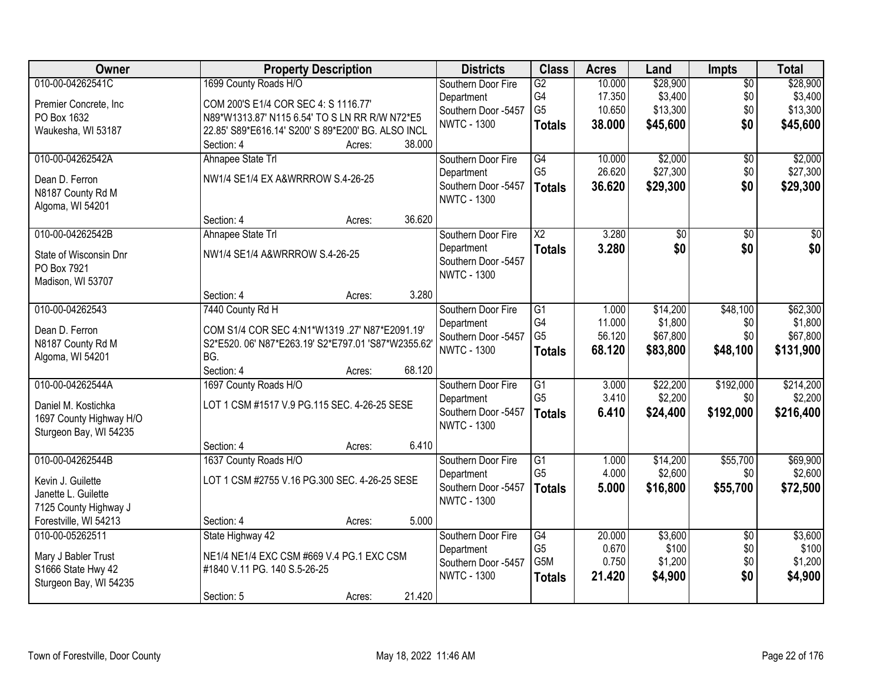| Owner                   | <b>Property Description</b>                         |        |        | <b>Districts</b>    | <b>Class</b>           | <b>Acres</b> | Land            | <b>Impts</b>    | <b>Total</b>    |
|-------------------------|-----------------------------------------------------|--------|--------|---------------------|------------------------|--------------|-----------------|-----------------|-----------------|
| 010-00-04262541C        | 1699 County Roads H/O                               |        |        | Southern Door Fire  | $\overline{G2}$        | 10.000       | \$28,900        | $\overline{50}$ | \$28,900        |
| Premier Concrete, Inc.  | COM 200'S E1/4 COR SEC 4: S 1116.77'                |        |        | Department          | G4                     | 17.350       | \$3,400         | \$0             | \$3,400         |
| PO Box 1632             | N89*W1313.87' N115 6.54' TO S LN RR R/W N72*E5      |        |        | Southern Door -5457 | G <sub>5</sub>         | 10.650       | \$13,300        | \$0             | \$13,300        |
| Waukesha, WI 53187      | 22.85' S89*E616.14' S200' S 89*E200' BG. ALSO INCL  |        |        | <b>NWTC - 1300</b>  | <b>Totals</b>          | 38.000       | \$45,600        | \$0             | \$45,600        |
|                         | Section: 4                                          | Acres: | 38.000 |                     |                        |              |                 |                 |                 |
| 010-00-04262542A        | Ahnapee State Trl                                   |        |        | Southern Door Fire  | $\overline{G4}$        | 10.000       | \$2,000         | $\overline{50}$ | \$2,000         |
| Dean D. Ferron          | NW1/4 SE1/4 EX A&WRRROW S.4-26-25                   |        |        | Department          | G <sub>5</sub>         | 26.620       | \$27,300        | \$0             | \$27,300        |
| N8187 County Rd M       |                                                     |        |        | Southern Door -5457 | <b>Totals</b>          | 36.620       | \$29,300        | \$0             | \$29,300        |
| Algoma, WI 54201        |                                                     |        |        | <b>NWTC - 1300</b>  |                        |              |                 |                 |                 |
|                         | Section: 4                                          | Acres: | 36.620 |                     |                        |              |                 |                 |                 |
| 010-00-04262542B        | Ahnapee State Trl                                   |        |        | Southern Door Fire  | $\overline{\text{X2}}$ | 3.280        | $\overline{50}$ | $\overline{50}$ | $\overline{30}$ |
| State of Wisconsin Dnr  | NW1/4 SE1/4 A&WRRROW S.4-26-25                      |        |        | Department          | <b>Totals</b>          | 3.280        | \$0             | \$0             | \$0             |
| PO Box 7921             |                                                     |        |        | Southern Door -5457 |                        |              |                 |                 |                 |
| Madison, WI 53707       |                                                     |        |        | <b>NWTC - 1300</b>  |                        |              |                 |                 |                 |
|                         | Section: 4                                          | Acres: | 3.280  |                     |                        |              |                 |                 |                 |
| 010-00-04262543         | 7440 County Rd H                                    |        |        | Southern Door Fire  | G1                     | 1.000        | \$14,200        | \$48,100        | \$62,300        |
| Dean D. Ferron          | COM S1/4 COR SEC 4:N1*W1319 .27' N87*E2091.19'      |        |        | Department          | G4                     | 11.000       | \$1,800         | \$0             | \$1,800         |
| N8187 County Rd M       | S2*E520. 06' N87*E263.19' S2*E797.01 'S87*W2355.62' |        |        | Southern Door -5457 | G <sub>5</sub>         | 56.120       | \$67,800        | \$0             | \$67,800        |
| Algoma, WI 54201        | BG.                                                 |        |        | <b>NWTC - 1300</b>  | <b>Totals</b>          | 68.120       | \$83,800        | \$48,100        | \$131,900       |
|                         | Section: 4                                          | Acres: | 68.120 |                     |                        |              |                 |                 |                 |
| 010-00-04262544A        | 1697 County Roads H/O                               |        |        | Southern Door Fire  | $\overline{G1}$        | 3.000        | \$22,200        | \$192,000       | \$214,200       |
| Daniel M. Kostichka     | LOT 1 CSM #1517 V.9 PG.115 SEC. 4-26-25 SESE        |        |        | Department          | G <sub>5</sub>         | 3.410        | \$2,200         | \$0             | \$2,200         |
| 1697 County Highway H/O |                                                     |        |        | Southern Door -5457 | <b>Totals</b>          | 6.410        | \$24,400        | \$192,000       | \$216,400       |
| Sturgeon Bay, WI 54235  |                                                     |        |        | <b>NWTC - 1300</b>  |                        |              |                 |                 |                 |
|                         | Section: 4                                          | Acres: | 6.410  |                     |                        |              |                 |                 |                 |
| 010-00-04262544B        | 1637 County Roads H/O                               |        |        | Southern Door Fire  | $\overline{G1}$        | 1.000        | \$14,200        | \$55,700        | \$69,900        |
| Kevin J. Guilette       | LOT 1 CSM #2755 V.16 PG.300 SEC. 4-26-25 SESE       |        |        | Department          | G <sub>5</sub>         | 4.000        | \$2,600         | \$0             | \$2,600         |
| Janette L. Guilette     |                                                     |        |        | Southern Door -5457 | <b>Totals</b>          | 5.000        | \$16,800        | \$55,700        | \$72,500        |
| 7125 County Highway J   |                                                     |        |        | <b>NWTC - 1300</b>  |                        |              |                 |                 |                 |
| Forestville, WI 54213   | Section: 4                                          | Acres: | 5.000  |                     |                        |              |                 |                 |                 |
| 010-00-05262511         | State Highway 42                                    |        |        | Southern Door Fire  | $\overline{G4}$        | 20.000       | \$3,600         | $\overline{50}$ | \$3,600         |
| Mary J Babler Trust     | NE1/4 NE1/4 EXC CSM #669 V.4 PG.1 EXC CSM           |        |        | Department          | G <sub>5</sub>         | 0.670        | \$100           | \$0             | \$100           |
| S1666 State Hwy 42      | #1840 V.11 PG. 140 S.5-26-25                        |        |        | Southern Door -5457 | G <sub>5</sub> M       | 0.750        | \$1,200         | \$0             | \$1,200         |
| Sturgeon Bay, WI 54235  |                                                     |        |        | <b>NWTC - 1300</b>  | <b>Totals</b>          | 21.420       | \$4,900         | \$0             | \$4,900         |
|                         | Section: 5                                          | Acres: | 21.420 |                     |                        |              |                 |                 |                 |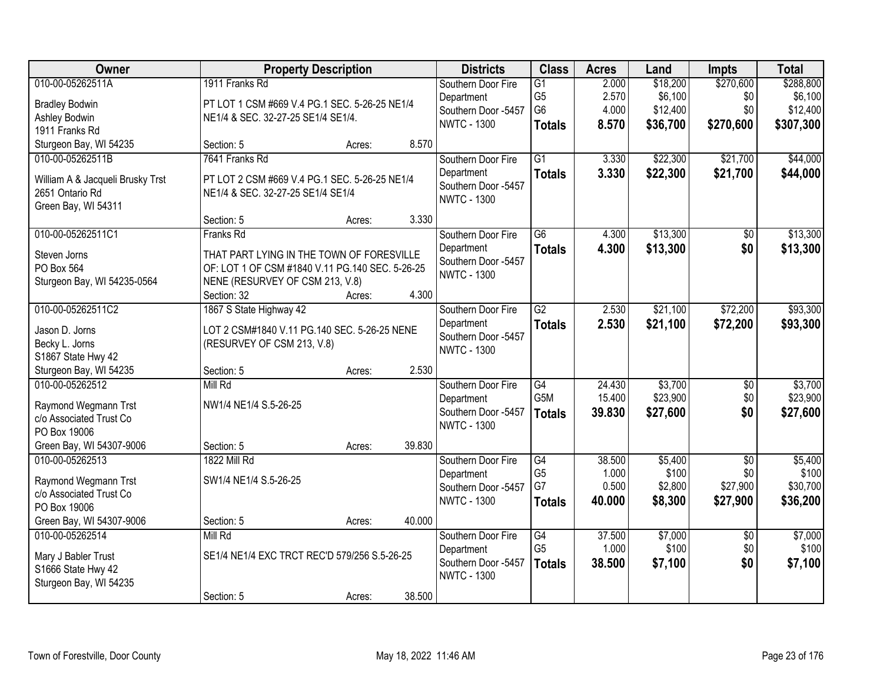| Owner                                                                                          | <b>Property Description</b>                                                                                                                                 |        |        | <b>Districts</b>                                                              | <b>Class</b>                                                         | <b>Acres</b>                       | Land                                        | <b>Impts</b>                                   | <b>Total</b>                                  |
|------------------------------------------------------------------------------------------------|-------------------------------------------------------------------------------------------------------------------------------------------------------------|--------|--------|-------------------------------------------------------------------------------|----------------------------------------------------------------------|------------------------------------|---------------------------------------------|------------------------------------------------|-----------------------------------------------|
| 010-00-05262511A<br><b>Bradley Bodwin</b><br>Ashley Bodwin<br>1911 Franks Rd                   | 1911 Franks Rd<br>PT LOT 1 CSM #669 V.4 PG.1 SEC. 5-26-25 NE1/4<br>NE1/4 & SEC. 32-27-25 SE1/4 SE1/4.                                                       |        |        | Southern Door Fire<br>Department<br>Southern Door -5457<br><b>NWTC - 1300</b> | $\overline{G1}$<br>G <sub>5</sub><br>G <sub>6</sub><br><b>Totals</b> | 2.000<br>2.570<br>4.000<br>8.570   | \$18,200<br>\$6,100<br>\$12,400<br>\$36,700 | \$270,600<br>\$0<br>\$0<br>\$270,600           | \$288,800<br>\$6,100<br>\$12,400<br>\$307,300 |
| Sturgeon Bay, WI 54235                                                                         | Section: 5                                                                                                                                                  | Acres: | 8.570  |                                                                               |                                                                      |                                    |                                             |                                                |                                               |
| 010-00-05262511B<br>William A & Jacqueli Brusky Trst<br>2651 Ontario Rd<br>Green Bay, WI 54311 | 7641 Franks Rd<br>PT LOT 2 CSM #669 V.4 PG.1 SEC. 5-26-25 NE1/4<br>NE1/4 & SEC. 32-27-25 SE1/4 SE1/4                                                        |        |        | Southern Door Fire<br>Department<br>Southern Door -5457<br><b>NWTC - 1300</b> | $\overline{G1}$<br><b>Totals</b>                                     | 3.330<br>3.330                     | \$22,300<br>\$22,300                        | \$21,700<br>\$21,700                           | \$44,000<br>\$44,000                          |
|                                                                                                | Section: 5                                                                                                                                                  | Acres: | 3.330  |                                                                               |                                                                      |                                    |                                             |                                                |                                               |
| 010-00-05262511C1<br>Steven Jorns<br>PO Box 564<br>Sturgeon Bay, WI 54235-0564                 | Franks Rd<br>THAT PART LYING IN THE TOWN OF FORESVILLE<br>OF: LOT 1 OF CSM #1840 V.11 PG.140 SEC. 5-26-25<br>NENE (RESURVEY OF CSM 213, V.8)<br>Section: 32 | Acres: | 4.300  | Southern Door Fire<br>Department<br>Southern Door -5457<br><b>NWTC - 1300</b> | $\overline{G6}$<br><b>Totals</b>                                     | 4.300<br>4.300                     | \$13,300<br>\$13,300                        | $\overline{50}$<br>\$0                         | \$13,300<br>\$13,300                          |
| 010-00-05262511C2                                                                              | 1867 S State Highway 42                                                                                                                                     |        |        | Southern Door Fire                                                            | $\overline{G2}$                                                      | 2.530                              | \$21,100                                    | \$72,200                                       | \$93,300                                      |
| Jason D. Jorns<br>Becky L. Jorns<br>S1867 State Hwy 42                                         | LOT 2 CSM#1840 V.11 PG.140 SEC. 5-26-25 NENE<br>(RESURVEY OF CSM 213, V.8)                                                                                  |        |        | Department<br>Southern Door -5457<br><b>NWTC - 1300</b>                       | <b>Totals</b>                                                        | 2.530                              | \$21,100                                    | \$72,200                                       | \$93,300                                      |
| Sturgeon Bay, WI 54235                                                                         | Section: 5                                                                                                                                                  | Acres: | 2.530  |                                                                               |                                                                      |                                    |                                             |                                                |                                               |
| 010-00-05262512<br>Raymond Wegmann Trst<br>c/o Associated Trust Co<br>PO Box 19006             | Mill Rd<br>NW1/4 NE1/4 S.5-26-25                                                                                                                            |        |        | Southern Door Fire<br>Department<br>Southern Door -5457<br><b>NWTC - 1300</b> | $\overline{G4}$<br>G <sub>5</sub> M<br><b>Totals</b>                 | 24.430<br>15.400<br>39.830         | \$3,700<br>\$23,900<br>\$27,600             | \$0<br>\$0<br>\$0                              | \$3,700<br>\$23,900<br>\$27,600               |
| Green Bay, WI 54307-9006                                                                       | Section: 5                                                                                                                                                  | Acres: | 39.830 |                                                                               |                                                                      |                                    |                                             |                                                |                                               |
| 010-00-05262513<br>Raymond Wegmann Trst<br>c/o Associated Trust Co<br>PO Box 19006             | 1822 Mill Rd<br>SW1/4 NE1/4 S.5-26-25                                                                                                                       |        | 40.000 | Southern Door Fire<br>Department<br>Southern Door -5457<br><b>NWTC - 1300</b> | G4<br>G <sub>5</sub><br>G7<br><b>Totals</b>                          | 38.500<br>1.000<br>0.500<br>40.000 | \$5,400<br>\$100<br>\$2,800<br>\$8,300      | $\overline{50}$<br>\$0<br>\$27,900<br>\$27,900 | \$5,400<br>\$100<br>\$30,700<br>\$36,200      |
| Green Bay, WI 54307-9006<br>010-00-05262514                                                    | Section: 5<br>Mill Rd                                                                                                                                       | Acres: |        | Southern Door Fire                                                            | G4                                                                   | 37.500                             | \$7,000                                     | $\overline{50}$                                | \$7,000                                       |
| Mary J Babler Trust<br>S1666 State Hwy 42<br>Sturgeon Bay, WI 54235                            | SE1/4 NE1/4 EXC TRCT REC'D 579/256 S.5-26-25                                                                                                                |        |        | Department<br>Southern Door -5457<br><b>NWTC - 1300</b>                       | G <sub>5</sub><br><b>Totals</b>                                      | 1.000<br>38.500                    | \$100<br>\$7,100                            | \$0<br>\$0                                     | \$100<br>\$7,100                              |
|                                                                                                | Section: 5                                                                                                                                                  | Acres: | 38.500 |                                                                               |                                                                      |                                    |                                             |                                                |                                               |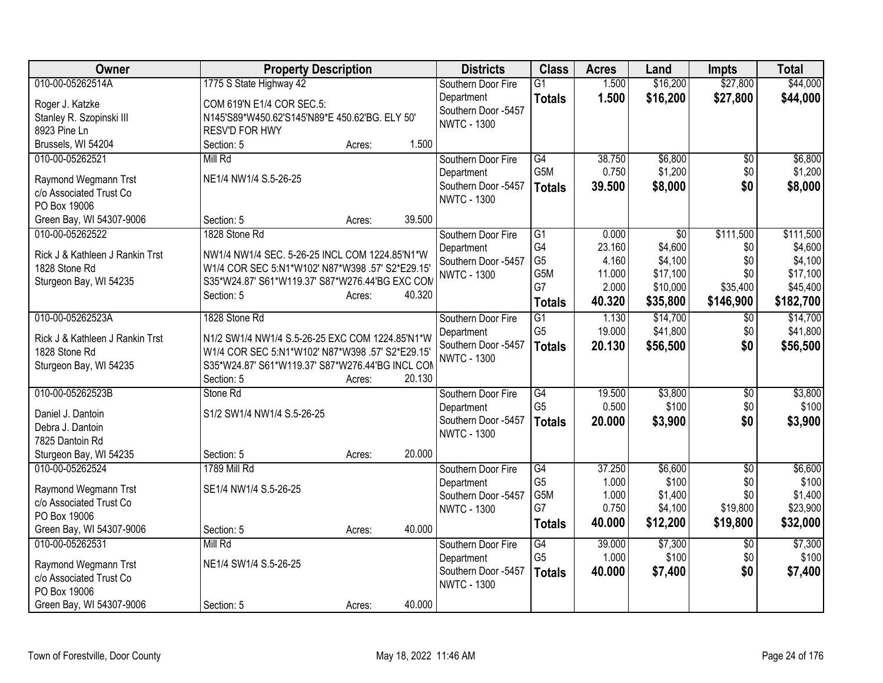| <b>Owner</b>                                    | <b>Property Description</b>                                    |        |        | <b>Districts</b>    | <b>Class</b>    | <b>Acres</b> | Land            | <b>Impts</b>    | <b>Total</b> |
|-------------------------------------------------|----------------------------------------------------------------|--------|--------|---------------------|-----------------|--------------|-----------------|-----------------|--------------|
| 010-00-05262514A                                | 1775 S State Highway 42                                        |        |        | Southern Door Fire  | $\overline{G1}$ | 1.500        | \$16,200        | \$27,800        | \$44,000     |
| Roger J. Katzke                                 | COM 619'N E1/4 COR SEC.5:                                      |        |        | Department          | <b>Totals</b>   | 1.500        | \$16,200        | \$27,800        | \$44,000     |
| Stanley R. Szopinski III                        | N145'S89*W450.62'S145'N89*E 450.62'BG. ELY 50'                 |        |        | Southern Door -5457 |                 |              |                 |                 |              |
| 8923 Pine Ln                                    | RESV'D FOR HWY                                                 |        |        | <b>NWTC - 1300</b>  |                 |              |                 |                 |              |
| Brussels, WI 54204                              | Section: 5                                                     | Acres: | 1.500  |                     |                 |              |                 |                 |              |
| 010-00-05262521                                 | Mill Rd                                                        |        |        | Southern Door Fire  | G4              | 38.750       | \$6,800         | $\overline{60}$ | \$6,800      |
|                                                 |                                                                |        |        | Department          | G5M             | 0.750        | \$1,200         | \$0             | \$1,200      |
| Raymond Wegmann Trst                            | NE1/4 NW1/4 S.5-26-25                                          |        |        | Southern Door -5457 | <b>Totals</b>   | 39.500       | \$8,000         | \$0             | \$8,000      |
| c/o Associated Trust Co<br>PO Box 19006         |                                                                |        |        | <b>NWTC - 1300</b>  |                 |              |                 |                 |              |
| Green Bay, WI 54307-9006                        | Section: 5                                                     | Acres: | 39.500 |                     |                 |              |                 |                 |              |
| 010-00-05262522                                 | 1828 Stone Rd                                                  |        |        | Southern Door Fire  | G1              | 0.000        | $\overline{50}$ | \$111,500       | \$111,500    |
|                                                 |                                                                |        |        | Department          | G4              | 23.160       | \$4,600         | \$0             | \$4,600      |
| Rick J & Kathleen J Rankin Trst                 | NW1/4 NW1/4 SEC. 5-26-25 INCL COM 1224.85'N1*W                 |        |        | Southern Door -5457 | G <sub>5</sub>  | 4.160        | \$4,100         | \$0             | \$4,100      |
| 1828 Stone Rd                                   | W1/4 COR SEC 5:N1*W102' N87*W398 .57' S2*E29.15'               |        |        | <b>NWTC - 1300</b>  | G5M             | 11.000       | \$17,100        | \$0             | \$17,100     |
| Sturgeon Bay, WI 54235                          | S35*W24.87' S61*W119.37' S87*W276.44'BG EXC COM                |        |        |                     | G7              | 2.000        | \$10,000        | \$35,400        | \$45,400     |
|                                                 | Section: 5                                                     | Acres: | 40.320 |                     | <b>Totals</b>   | 40.320       | \$35,800        | \$146,900       | \$182,700    |
| 010-00-05262523A                                | 1828 Stone Rd                                                  |        |        | Southern Door Fire  | $\overline{G1}$ | 1.130        | \$14,700        | $\overline{60}$ | \$14,700     |
|                                                 |                                                                |        |        | Department          | G <sub>5</sub>  | 19.000       | \$41,800        | \$0             | \$41,800     |
| Rick J & Kathleen J Rankin Trst                 | N1/2 SW1/4 NW1/4 S.5-26-25 EXC COM 1224.85'N1*W                |        |        | Southern Door -5457 | <b>Totals</b>   | 20.130       | \$56,500        | \$0             | \$56,500     |
| 1828 Stone Rd                                   | W1/4 COR SEC 5:N1*W102' N87*W398 .57' S2*E29.15'               |        |        | <b>NWTC - 1300</b>  |                 |              |                 |                 |              |
| Sturgeon Bay, WI 54235                          | S35*W24.87' S61*W119.37' S87*W276.44'BG INCL COM<br>Section: 5 | Acres: | 20.130 |                     |                 |              |                 |                 |              |
| 010-00-05262523B                                | Stone Rd                                                       |        |        | Southern Door Fire  | G4              | 19.500       | \$3,800         | $\overline{60}$ | \$3,800      |
|                                                 |                                                                |        |        | Department          | G <sub>5</sub>  | 0.500        | \$100           | \$0             | \$100        |
| Daniel J. Dantoin                               | S1/2 SW1/4 NW1/4 S.5-26-25                                     |        |        | Southern Door -5457 | <b>Totals</b>   | 20,000       | \$3,900         | \$0             | \$3,900      |
| Debra J. Dantoin                                |                                                                |        |        | <b>NWTC - 1300</b>  |                 |              |                 |                 |              |
| 7825 Dantoin Rd                                 |                                                                |        |        |                     |                 |              |                 |                 |              |
| Sturgeon Bay, WI 54235                          | Section: 5                                                     | Acres: | 20.000 |                     |                 |              |                 |                 |              |
| 010-00-05262524                                 | <b>1789 Mill Rd</b>                                            |        |        | Southern Door Fire  | G4              | 37.250       | \$6,600         | \$0             | \$6,600      |
| Raymond Wegmann Trst                            | SE1/4 NW1/4 S.5-26-25                                          |        |        | Department          | G <sub>5</sub>  | 1.000        | \$100           | \$0             | \$100        |
| c/o Associated Trust Co                         |                                                                |        |        | Southern Door -5457 | G5M<br>G7       | 1.000        | \$1,400         | \$0             | \$1,400      |
| PO Box 19006                                    |                                                                |        |        | <b>NWTC - 1300</b>  |                 | 0.750        | \$4,100         | \$19,800        | \$23,900     |
| Green Bay, WI 54307-9006                        | Section: 5                                                     | Acres: | 40.000 |                     | <b>Totals</b>   | 40.000       | \$12,200        | \$19,800        | \$32,000     |
| 010-00-05262531                                 | Mill Rd                                                        |        |        | Southern Door Fire  | G4              | 39.000       | \$7,300         | \$0             | \$7,300      |
|                                                 | NE1/4 SW1/4 S.5-26-25                                          |        |        | Department          | G <sub>5</sub>  | 1.000        | \$100           | \$0             | \$100        |
| Raymond Wegmann Trst<br>c/o Associated Trust Co |                                                                |        |        | Southern Door -5457 | <b>Totals</b>   | 40.000       | \$7,400         | \$0             | \$7,400      |
| PO Box 19006                                    |                                                                |        |        | <b>NWTC - 1300</b>  |                 |              |                 |                 |              |
| Green Bay, WI 54307-9006                        | Section: 5                                                     | Acres: | 40.000 |                     |                 |              |                 |                 |              |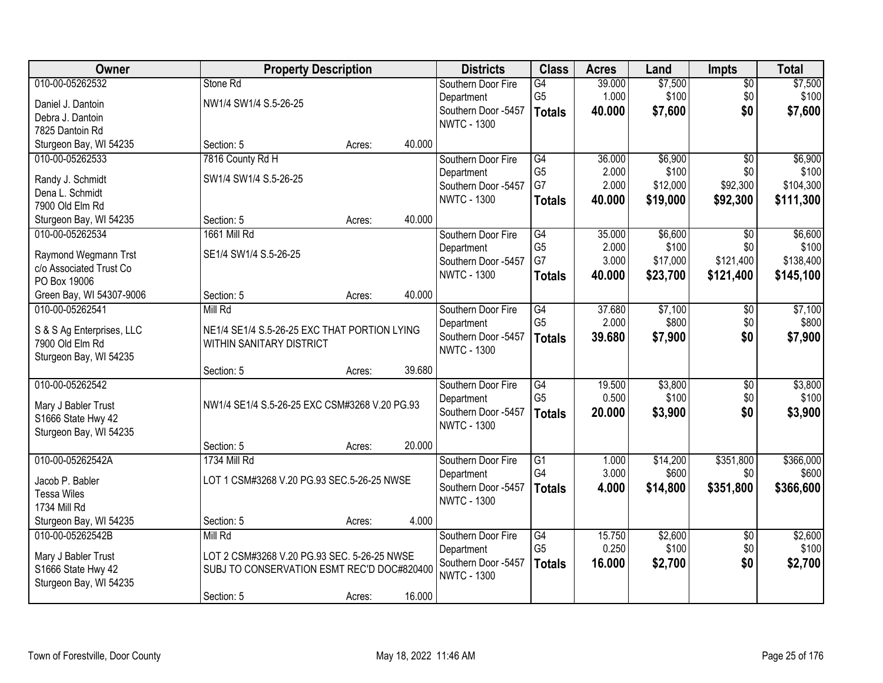| Owner                                           |                                               | <b>Property Description</b> |        | <b>Districts</b>                  | <b>Class</b>          | <b>Acres</b>   | Land              | <b>Impts</b>     | <b>Total</b>       |
|-------------------------------------------------|-----------------------------------------------|-----------------------------|--------|-----------------------------------|-----------------------|----------------|-------------------|------------------|--------------------|
| 010-00-05262532                                 | Stone Rd                                      |                             |        | Southern Door Fire                | G4                    | 39.000         | \$7,500           | $\overline{50}$  | \$7,500            |
| Daniel J. Dantoin                               | NW1/4 SW1/4 S.5-26-25                         |                             |        | Department                        | G <sub>5</sub>        | 1.000          | \$100             | \$0              | \$100              |
| Debra J. Dantoin                                |                                               |                             |        | Southern Door -5457               | <b>Totals</b>         | 40.000         | \$7,600           | \$0              | \$7,600            |
| 7825 Dantoin Rd                                 |                                               |                             |        | <b>NWTC - 1300</b>                |                       |                |                   |                  |                    |
| Sturgeon Bay, WI 54235                          | Section: 5                                    | Acres:                      | 40.000 |                                   |                       |                |                   |                  |                    |
| 010-00-05262533                                 | 7816 County Rd H                              |                             |        | Southern Door Fire                | $\overline{G4}$       | 36.000         | \$6,900           | $\overline{50}$  | \$6,900            |
| Randy J. Schmidt                                | SW1/4 SW1/4 S.5-26-25                         |                             |        | Department                        | G <sub>5</sub>        | 2.000          | \$100             | \$0              | \$100              |
| Dena L. Schmidt                                 |                                               |                             |        | Southern Door -5457               | G7                    | 2.000          | \$12,000          | \$92,300         | \$104,300          |
| 7900 Old Elm Rd                                 |                                               |                             |        | <b>NWTC - 1300</b>                | <b>Totals</b>         | 40.000         | \$19,000          | \$92,300         | \$111,300          |
| Sturgeon Bay, WI 54235                          | Section: 5                                    | Acres:                      | 40.000 |                                   |                       |                |                   |                  |                    |
| 010-00-05262534                                 | 1661 Mill Rd                                  |                             |        | Southern Door Fire                | $\overline{G4}$       | 35.000         | \$6,600           | \$0              | \$6,600            |
|                                                 | SE1/4 SW1/4 S.5-26-25                         |                             |        | Department                        | G <sub>5</sub>        | 2.000          | \$100             | \$0              | \$100              |
| Raymond Wegmann Trst<br>c/o Associated Trust Co |                                               |                             |        | Southern Door -5457               | G7                    | 3.000          | \$17,000          | \$121,400        | \$138,400          |
| PO Box 19006                                    |                                               |                             |        | <b>NWTC - 1300</b>                | <b>Totals</b>         | 40.000         | \$23,700          | \$121,400        | \$145,100          |
| Green Bay, WI 54307-9006                        | Section: 5                                    | Acres:                      | 40.000 |                                   |                       |                |                   |                  |                    |
| 010-00-05262541                                 | Mill Rd                                       |                             |        | Southern Door Fire                | G4                    | 37.680         | \$7,100           | \$0              | \$7,100            |
|                                                 |                                               |                             |        | Department                        | G <sub>5</sub>        | 2.000          | \$800             | \$0              | \$800              |
| S & S Ag Enterprises, LLC                       | NE1/4 SE1/4 S.5-26-25 EXC THAT PORTION LYING  |                             |        | Southern Door -5457               | <b>Totals</b>         | 39.680         | \$7,900           | \$0              | \$7,900            |
| 7900 Old Elm Rd                                 | WITHIN SANITARY DISTRICT                      |                             |        | <b>NWTC - 1300</b>                |                       |                |                   |                  |                    |
| Sturgeon Bay, WI 54235                          | Section: 5                                    | Acres:                      | 39.680 |                                   |                       |                |                   |                  |                    |
| 010-00-05262542                                 |                                               |                             |        | Southern Door Fire                | $\overline{G4}$       | 19.500         | \$3,800           | $\overline{50}$  | \$3,800            |
|                                                 |                                               |                             |        | Department                        | G <sub>5</sub>        | 0.500          | \$100             | \$0              | \$100              |
| Mary J Babler Trust                             | NW1/4 SE1/4 S.5-26-25 EXC CSM#3268 V.20 PG.93 |                             |        | Southern Door -5457               | <b>Totals</b>         | 20.000         | \$3,900           | \$0              | \$3,900            |
| S1666 State Hwy 42                              |                                               |                             |        | <b>NWTC - 1300</b>                |                       |                |                   |                  |                    |
| Sturgeon Bay, WI 54235                          |                                               |                             |        |                                   |                       |                |                   |                  |                    |
|                                                 | Section: 5                                    | Acres:                      | 20.000 |                                   |                       |                |                   |                  |                    |
| 010-00-05262542A                                | 1734 Mill Rd                                  |                             |        | Southern Door Fire                | $\overline{G1}$<br>G4 | 1.000<br>3.000 | \$14,200<br>\$600 | \$351,800<br>\$0 | \$366,000<br>\$600 |
| Jacob P. Babler                                 | LOT 1 CSM#3268 V.20 PG.93 SEC.5-26-25 NWSE    |                             |        | Department<br>Southern Door -5457 |                       | 4.000          |                   |                  |                    |
| <b>Tessa Wiles</b>                              |                                               |                             |        | <b>NWTC - 1300</b>                | <b>Totals</b>         |                | \$14,800          | \$351,800        | \$366,600          |
| 1734 Mill Rd                                    |                                               |                             |        |                                   |                       |                |                   |                  |                    |
| Sturgeon Bay, WI 54235                          | Section: 5                                    | Acres:                      | 4.000  |                                   |                       |                |                   |                  |                    |
| 010-00-05262542B                                | Mill Rd                                       |                             |        | Southern Door Fire                | G4                    | 15.750         | \$2,600           | $\overline{30}$  | \$2,600            |
| Mary J Babler Trust                             | LOT 2 CSM#3268 V.20 PG.93 SEC. 5-26-25 NWSE   |                             |        | Department                        | G <sub>5</sub>        | 0.250          | \$100             | \$0              | \$100              |
| S1666 State Hwy 42                              | SUBJ TO CONSERVATION ESMT REC'D DOC#820400    |                             |        | Southern Door -5457               | <b>Totals</b>         | 16.000         | \$2,700           | \$0              | \$2,700            |
| Sturgeon Bay, WI 54235                          |                                               |                             |        | <b>NWTC - 1300</b>                |                       |                |                   |                  |                    |
|                                                 | Section: 5                                    | Acres:                      | 16.000 |                                   |                       |                |                   |                  |                    |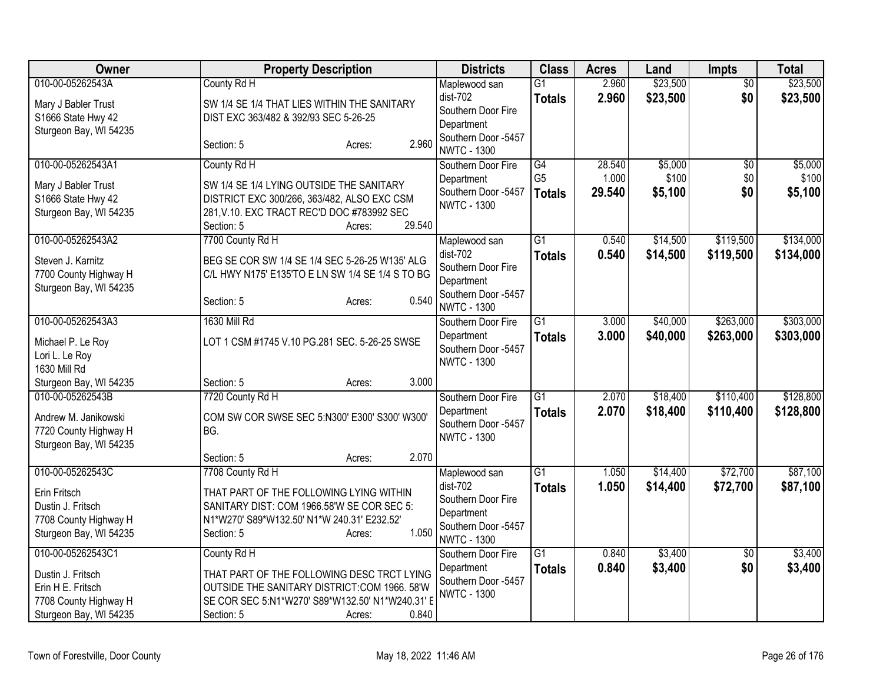| Owner                                                                                                          | <b>Property Description</b>                                                                                                                                                                    | <b>Districts</b>                                                                                             | <b>Class</b>                     | <b>Acres</b>    | Land                 | <b>Impts</b>           | <b>Total</b>           |
|----------------------------------------------------------------------------------------------------------------|------------------------------------------------------------------------------------------------------------------------------------------------------------------------------------------------|--------------------------------------------------------------------------------------------------------------|----------------------------------|-----------------|----------------------|------------------------|------------------------|
| 010-00-05262543A<br>Mary J Babler Trust<br>S1666 State Hwy 42<br>Sturgeon Bay, WI 54235                        | County Rd H<br>SW 1/4 SE 1/4 THAT LIES WITHIN THE SANITARY<br>DIST EXC 363/482 & 392/93 SEC 5-26-25                                                                                            | Maplewood san<br>dist-702<br>Southern Door Fire<br>Department                                                | $\overline{G1}$<br><b>Totals</b> | 2.960<br>2.960  | \$23,500<br>\$23,500 | $\overline{50}$<br>\$0 | \$23,500<br>\$23,500   |
|                                                                                                                | 2.960<br>Section: 5<br>Acres:                                                                                                                                                                  | Southern Door -5457<br><b>NWTC - 1300</b>                                                                    |                                  |                 |                      |                        |                        |
| 010-00-05262543A1                                                                                              | County Rd H                                                                                                                                                                                    | Southern Door Fire                                                                                           | G4                               | 28.540          | \$5,000              | $\overline{60}$        | \$5,000                |
| Mary J Babler Trust<br>S1666 State Hwy 42<br>Sturgeon Bay, WI 54235                                            | SW 1/4 SE 1/4 LYING OUTSIDE THE SANITARY<br>DISTRICT EXC 300/266, 363/482, ALSO EXC CSM<br>281, V.10. EXC TRACT REC'D DOC #783992 SEC                                                          | Department<br>Southern Door -5457<br><b>NWTC - 1300</b>                                                      | G <sub>5</sub><br><b>Totals</b>  | 1.000<br>29.540 | \$100<br>\$5,100     | \$0<br>\$0             | \$100<br>\$5,100       |
| 010-00-05262543A2                                                                                              | Section: 5<br>29.540<br>Acres:                                                                                                                                                                 |                                                                                                              | $\overline{G1}$                  | 0.540           |                      |                        | \$134,000              |
| Steven J. Karnitz<br>7700 County Highway H<br>Sturgeon Bay, WI 54235                                           | 7700 County Rd H<br>BEG SE COR SW 1/4 SE 1/4 SEC 5-26-25 W135' ALG<br>C/L HWY N175' E135'TO E LN SW 1/4 SE 1/4 S TO BG<br>0.540<br>Section: 5<br>Acres:                                        | Maplewood san<br>$dist-702$<br>Southern Door Fire<br>Department<br>Southern Door -5457<br><b>NWTC - 1300</b> | <b>Totals</b>                    | 0.540           | \$14,500<br>\$14,500 | \$119,500<br>\$119,500 | \$134,000              |
| 010-00-05262543A3                                                                                              | 1630 Mill Rd                                                                                                                                                                                   | Southern Door Fire                                                                                           | $\overline{G1}$                  | 3.000           | \$40,000             | \$263,000              | \$303,000              |
| Michael P. Le Roy<br>Lori L. Le Roy<br>1630 Mill Rd                                                            | LOT 1 CSM #1745 V.10 PG.281 SEC. 5-26-25 SWSE                                                                                                                                                  | Department<br>Southern Door -5457<br><b>NWTC - 1300</b>                                                      | <b>Totals</b>                    | 3.000           | \$40,000             | \$263,000              | \$303,000              |
| Sturgeon Bay, WI 54235                                                                                         | 3.000<br>Section: 5<br>Acres:                                                                                                                                                                  |                                                                                                              |                                  |                 |                      |                        |                        |
| 010-00-05262543B<br>Andrew M. Janikowski<br>7720 County Highway H<br>Sturgeon Bay, WI 54235                    | 7720 County Rd H<br>COM SW COR SWSE SEC 5:N300' E300' S300' W300'<br>BG.                                                                                                                       | Southern Door Fire<br>Department<br>Southern Door -5457<br><b>NWTC - 1300</b>                                | $\overline{G1}$<br><b>Totals</b> | 2.070<br>2.070  | \$18,400<br>\$18,400 | \$110,400<br>\$110,400 | \$128,800<br>\$128,800 |
|                                                                                                                | 2.070<br>Section: 5<br>Acres:                                                                                                                                                                  |                                                                                                              |                                  |                 |                      |                        |                        |
| 010-00-05262543C<br>Erin Fritsch<br>Dustin J. Fritsch<br>7708 County Highway H<br>Sturgeon Bay, WI 54235       | 7708 County Rd H<br>THAT PART OF THE FOLLOWING LYING WITHIN<br>SANITARY DIST: COM 1966.58'W SE COR SEC 5:<br>N1*W270' S89*W132.50' N1*W 240.31' E232.52'<br>1.050<br>Section: 5<br>Acres:      | Maplewood san<br>dist-702<br>Southern Door Fire<br>Department<br>Southern Door -5457<br><b>NWTC - 1300</b>   | $\overline{G1}$<br><b>Totals</b> | 1.050<br>1.050  | \$14,400<br>\$14,400 | \$72,700<br>\$72,700   | \$87,100<br>\$87,100   |
| 010-00-05262543C1<br>Dustin J. Fritsch<br>Erin H E. Fritsch<br>7708 County Highway H<br>Sturgeon Bay, WI 54235 | County Rd H<br>THAT PART OF THE FOLLOWING DESC TRCT LYING<br>OUTSIDE THE SANITARY DISTRICT:COM 1966. 58'W<br>SE COR SEC 5:N1*W270' S89*W132.50' N1*W240.31' E<br>0.840<br>Section: 5<br>Acres: | Southern Door Fire<br>Department<br>Southern Door -5457<br><b>NWTC - 1300</b>                                | $\overline{G1}$<br><b>Totals</b> | 0.840<br>0.840  | \$3,400<br>\$3,400   | \$0<br>\$0             | \$3,400<br>\$3,400     |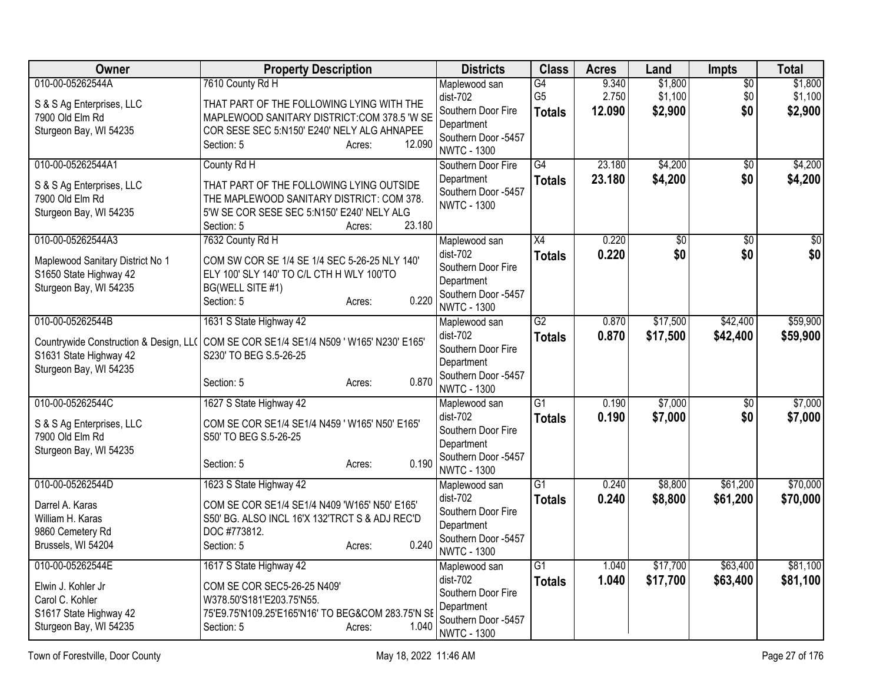| Owner                                                                                                          | <b>Property Description</b>                                                                                                                                                                   | <b>Districts</b>                                                                                             | <b>Class</b>                          | <b>Acres</b>             | Land                          | Impts                         | <b>Total</b>                  |
|----------------------------------------------------------------------------------------------------------------|-----------------------------------------------------------------------------------------------------------------------------------------------------------------------------------------------|--------------------------------------------------------------------------------------------------------------|---------------------------------------|--------------------------|-------------------------------|-------------------------------|-------------------------------|
| 010-00-05262544A<br>S & S Ag Enterprises, LLC<br>7900 Old Elm Rd<br>Sturgeon Bay, WI 54235                     | 7610 County Rd H<br>THAT PART OF THE FOLLOWING LYING WITH THE<br>MAPLEWOOD SANITARY DISTRICT:COM 378.5 'W SE<br>COR SESE SEC 5:N150' E240' NELY ALG AHNAPEE<br>12.090<br>Section: 5<br>Acres: | Maplewood san<br>dist-702<br>Southern Door Fire<br>Department<br>Southern Door -5457                         | G4<br>G <sub>5</sub><br><b>Totals</b> | 9.340<br>2.750<br>12.090 | \$1,800<br>\$1,100<br>\$2,900 | $\overline{50}$<br>\$0<br>\$0 | \$1,800<br>\$1,100<br>\$2,900 |
| 010-00-05262544A1<br>S & S Ag Enterprises, LLC<br>7900 Old Elm Rd<br>Sturgeon Bay, WI 54235                    | County Rd H<br>THAT PART OF THE FOLLOWING LYING OUTSIDE<br>THE MAPLEWOOD SANITARY DISTRICT: COM 378.<br>5'W SE COR SESE SEC 5:N150' E240' NELY ALG<br>23.180<br>Section: 5<br>Acres:          | <b>NWTC - 1300</b><br>Southern Door Fire<br>Department<br>Southern Door -5457<br><b>NWTC - 1300</b>          | G4<br><b>Totals</b>                   | 23.180<br>23.180         | \$4,200<br>\$4,200            | $\overline{50}$<br>\$0        | \$4,200<br>\$4,200            |
| 010-00-05262544A3<br>Maplewood Sanitary District No 1<br>S1650 State Highway 42<br>Sturgeon Bay, WI 54235      | 7632 County Rd H<br>COM SW COR SE 1/4 SE 1/4 SEC 5-26-25 NLY 140'<br>ELY 100' SLY 140' TO C/L CTH H WLY 100'TO<br>BG(WELL SITE #1)<br>0.220<br>Section: 5<br>Acres:                           | Maplewood san<br>dist-702<br>Southern Door Fire<br>Department<br>Southern Door -5457<br><b>NWTC - 1300</b>   | $\overline{X4}$<br><b>Totals</b>      | 0.220<br>0.220           | $\overline{50}$<br>\$0        | $\overline{30}$<br>\$0        | $\overline{50}$<br>\$0        |
| 010-00-05262544B<br>Countrywide Construction & Design, LL(<br>S1631 State Highway 42<br>Sturgeon Bay, WI 54235 | 1631 S State Highway 42<br>COM SE COR SE1/4 SE1/4 N509 ' W165' N230' E165'<br>S230' TO BEG S.5-26-25<br>0.870<br>Section: 5<br>Acres:                                                         | Maplewood san<br>$dist-702$<br>Southern Door Fire<br>Department<br>Southern Door -5457<br><b>NWTC - 1300</b> | $\overline{G2}$<br><b>Totals</b>      | 0.870<br>0.870           | \$17,500<br>\$17,500          | \$42,400<br>\$42,400          | \$59,900<br>\$59,900          |
| 010-00-05262544C<br>S & S Ag Enterprises, LLC<br>7900 Old Elm Rd<br>Sturgeon Bay, WI 54235                     | 1627 S State Highway 42<br>COM SE COR SE1/4 SE1/4 N459 ' W165' N50' E165'<br>S50' TO BEG S.5-26-25<br>0.190<br>Section: 5<br>Acres:                                                           | Maplewood san<br>$dist-702$<br>Southern Door Fire<br>Department<br>Southern Door -5457<br><b>NWTC - 1300</b> | $\overline{G1}$<br><b>Totals</b>      | 0.190<br>0.190           | \$7,000<br>\$7,000            | $\sqrt{6}$<br>\$0             | \$7,000<br>\$7,000            |
| 010-00-05262544D<br>Darrel A. Karas<br>William H. Karas<br>9860 Cemetery Rd<br>Brussels, WI 54204              | 1623 S State Highway 42<br>COM SE COR SE1/4 SE1/4 N409 'W165' N50' E165'<br>S50' BG. ALSO INCL 16'X 132'TRCT S & ADJ REC'D<br>DOC #773812.<br>0.240<br>Section: 5<br>Acres:                   | Maplewood san<br>dist-702<br>Southern Door Fire<br>Department<br>Southern Door -5457<br><b>NWTC - 1300</b>   | $\overline{G1}$<br><b>Totals</b>      | 0.240<br>0.240           | \$8,800<br>\$8,800            | \$61,200<br>\$61,200          | \$70,000<br>\$70,000          |
| 010-00-05262544E<br>Elwin J. Kohler Jr<br>Carol C. Kohler<br>S1617 State Highway 42<br>Sturgeon Bay, WI 54235  | 1617 S State Highway 42<br>COM SE COR SEC5-26-25 N409'<br>W378.50'S181'E203.75'N55.<br>75'E9.75'N109.25'E165'N16' TO BEG&COM 283.75'N SE<br>1.040<br>Section: 5<br>Acres:                     | Maplewood san<br>dist-702<br>Southern Door Fire<br>Department<br>Southern Door -5457<br><b>NWTC - 1300</b>   | $\overline{G1}$<br><b>Totals</b>      | 1.040<br>1.040           | \$17,700<br>\$17,700          | \$63,400<br>\$63,400          | \$81,100<br>\$81,100          |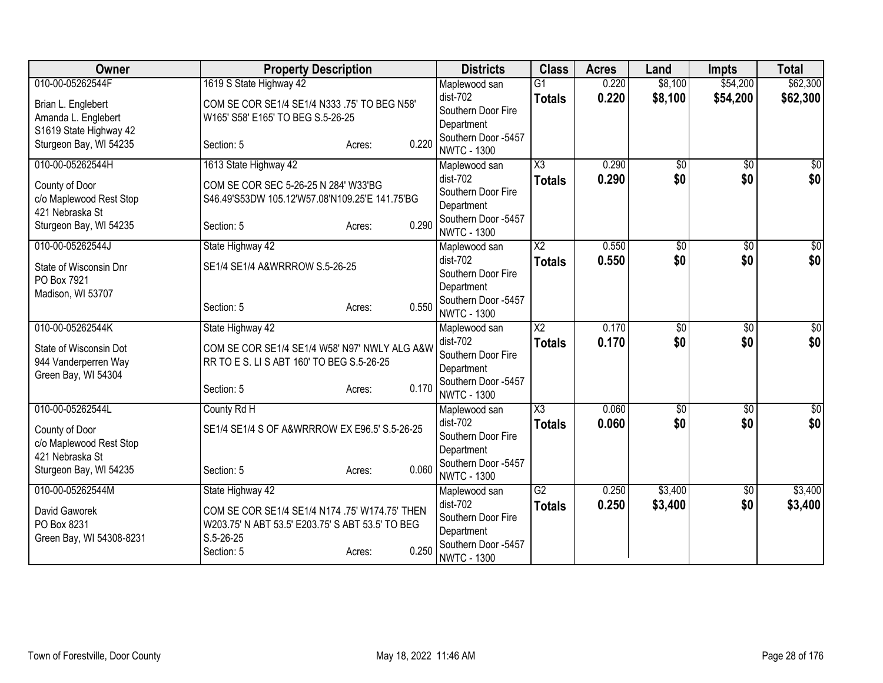| Owner                                      | <b>Property Description</b>                      | <b>Districts</b>                          | <b>Class</b>           | <b>Acres</b> | Land            | <b>Impts</b>    | <b>Total</b>     |
|--------------------------------------------|--------------------------------------------------|-------------------------------------------|------------------------|--------------|-----------------|-----------------|------------------|
| 010-00-05262544F                           | 1619 S State Highway 42                          | Maplewood san                             | $\overline{G1}$        | 0.220        | \$8,100         | \$54,200        | \$62,300         |
| Brian L. Englebert                         | COM SE COR SE1/4 SE1/4 N333 .75' TO BEG N58'     | dist-702                                  | <b>Totals</b>          | 0.220        | \$8,100         | \$54,200        | \$62,300         |
| Amanda L. Englebert                        | W165' S58' E165' TO BEG S.5-26-25                | Southern Door Fire                        |                        |              |                 |                 |                  |
| S1619 State Highway 42                     |                                                  | Department<br>Southern Door -5457         |                        |              |                 |                 |                  |
| Sturgeon Bay, WI 54235                     | 0.220<br>Section: 5<br>Acres:                    | <b>NWTC - 1300</b>                        |                        |              |                 |                 |                  |
| 010-00-05262544H                           | 1613 State Highway 42                            | Maplewood san                             | $\overline{\text{X3}}$ | 0.290        | $\overline{50}$ | $\overline{50}$ | \$0              |
| County of Door                             | COM SE COR SEC 5-26-25 N 284' W33'BG             | dist-702                                  | <b>Totals</b>          | 0.290        | \$0             | \$0             | \$0              |
| c/o Maplewood Rest Stop                    | S46.49'S53DW 105.12'W57.08'N109.25'E 141.75'BG   | Southern Door Fire                        |                        |              |                 |                 |                  |
| 421 Nebraska St                            |                                                  | Department                                |                        |              |                 |                 |                  |
| Sturgeon Bay, WI 54235                     | 0.290<br>Section: 5<br>Acres:                    | Southern Door -5457<br><b>NWTC - 1300</b> |                        |              |                 |                 |                  |
| 010-00-05262544J                           | State Highway 42                                 | Maplewood san                             | $\overline{X2}$        | 0.550        | $\overline{50}$ | \$0             | \$0              |
| State of Wisconsin Dnr                     | SE1/4 SE1/4 A&WRRROW S.5-26-25                   | dist-702                                  | <b>Totals</b>          | 0.550        | \$0             | \$0             | \$0              |
| PO Box 7921                                |                                                  | Southern Door Fire                        |                        |              |                 |                 |                  |
| Madison, WI 53707                          |                                                  | Department<br>Southern Door -5457         |                        |              |                 |                 |                  |
|                                            | 0.550<br>Section: 5<br>Acres:                    | <b>NWTC - 1300</b>                        |                        |              |                 |                 |                  |
| 010-00-05262544K                           | State Highway 42                                 | Maplewood san                             | $\overline{X2}$        | 0.170        | $\overline{50}$ | $\overline{50}$ | $\sqrt{50}$      |
| State of Wisconsin Dot                     | COM SE COR SE1/4 SE1/4 W58' N97' NWLY ALG A&W    | dist-702                                  | <b>Totals</b>          | 0.170        | \$0             | \$0             | \$0              |
| 944 Vanderperren Way                       | RR TO E S. LI S ABT 160' TO BEG S.5-26-25        | Southern Door Fire                        |                        |              |                 |                 |                  |
| Green Bay, WI 54304                        |                                                  | Department                                |                        |              |                 |                 |                  |
|                                            | 0.170<br>Section: 5<br>Acres:                    | Southern Door -5457<br><b>NWTC - 1300</b> |                        |              |                 |                 |                  |
| 010-00-05262544L                           | County Rd H                                      | Maplewood san                             | $\overline{\text{X3}}$ | 0.060        | $\overline{50}$ | $\overline{50}$ | $\overline{\$0}$ |
|                                            |                                                  | dist-702                                  | <b>Totals</b>          | 0.060        | \$0             | \$0             | \$0              |
| County of Door                             | SE1/4 SE1/4 S OF A&WRRROW EX E96.5' S.5-26-25    | Southern Door Fire                        |                        |              |                 |                 |                  |
| c/o Maplewood Rest Stop<br>421 Nebraska St |                                                  | Department                                |                        |              |                 |                 |                  |
| Sturgeon Bay, WI 54235                     | 0.060<br>Section: 5<br>Acres:                    | Southern Door -5457                       |                        |              |                 |                 |                  |
|                                            |                                                  | <b>NWTC - 1300</b>                        |                        |              |                 |                 |                  |
| 010-00-05262544M                           | State Highway 42                                 | Maplewood san<br>$dist-702$               | G2                     | 0.250        | \$3,400         | \$0             | \$3,400          |
| David Gaworek                              | COM SE COR SE1/4 SE1/4 N174 .75' W174.75' THEN   | Southern Door Fire                        | <b>Totals</b>          | 0.250        | \$3,400         | \$0             | \$3,400          |
| PO Box 8231                                | W203.75' N ABT 53.5' E203.75' S ABT 53.5' TO BEG | Department                                |                        |              |                 |                 |                  |
| Green Bay, WI 54308-8231                   | $S.5 - 26 - 25$                                  | Southern Door -5457                       |                        |              |                 |                 |                  |
|                                            | 0.250<br>Section: 5<br>Acres:                    | <b>NWTC - 1300</b>                        |                        |              |                 |                 |                  |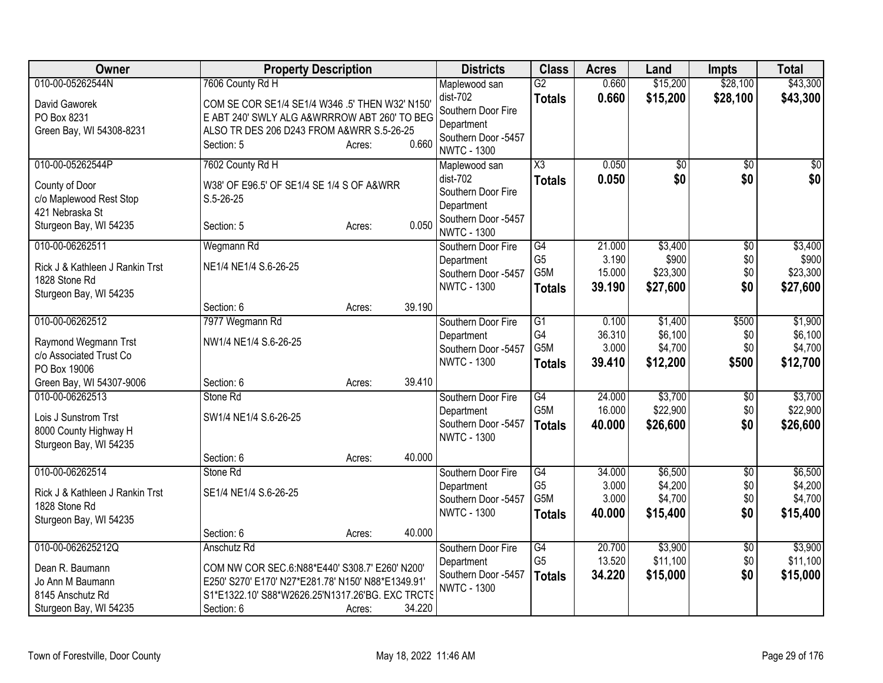| Owner                                                                                                                  | <b>Property Description</b>                                                                                                                                                                     |                  | <b>Districts</b>                                                                                             | <b>Class</b>                                                           | <b>Acres</b>                        | Land                                      | <b>Impts</b>                         | <b>Total</b>                              |
|------------------------------------------------------------------------------------------------------------------------|-------------------------------------------------------------------------------------------------------------------------------------------------------------------------------------------------|------------------|--------------------------------------------------------------------------------------------------------------|------------------------------------------------------------------------|-------------------------------------|-------------------------------------------|--------------------------------------|-------------------------------------------|
| 010-00-05262544N<br>David Gaworek<br>PO Box 8231<br>Green Bay, WI 54308-8231                                           | 7606 County Rd H<br>COM SE COR SE1/4 SE1/4 W346 .5' THEN W32' N150'<br>E ABT 240' SWLY ALG A&WRRROW ABT 260' TO BEG<br>ALSO TR DES 206 D243 FROM A&WRR S.5-26-25<br>Section: 5<br>Acres:        | 0.660            | Maplewood san<br>$dist-702$<br>Southern Door Fire<br>Department<br>Southern Door -5457<br><b>NWTC - 1300</b> | $\overline{G2}$<br><b>Totals</b>                                       | 0.660<br>0.660                      | \$15,200<br>\$15,200                      | \$28,100<br>\$28,100                 | \$43,300<br>\$43,300                      |
| 010-00-05262544P<br>County of Door<br>c/o Maplewood Rest Stop<br>421 Nebraska St<br>Sturgeon Bay, WI 54235             | 7602 County Rd H<br>W38' OF E96.5' OF SE1/4 SE 1/4 S OF A&WRR<br>$S.5 - 26 - 25$<br>Section: 5<br>Acres:                                                                                        | 0.050            | Maplewood san<br>dist-702<br>Southern Door Fire<br>Department<br>Southern Door -5457<br><b>NWTC - 1300</b>   | X3<br><b>Totals</b>                                                    | 0.050<br>0.050                      | $\overline{50}$<br>\$0                    | $\overline{30}$<br>\$0               | \$0<br>\$0                                |
| 010-00-06262511<br>Rick J & Kathleen J Rankin Trst<br>1828 Stone Rd<br>Sturgeon Bay, WI 54235                          | Wegmann Rd<br>NE1/4 NE1/4 S.6-26-25<br>Section: 6<br>Acres:                                                                                                                                     | 39.190           | Southern Door Fire<br>Department<br>Southern Door -5457<br><b>NWTC - 1300</b>                                | $\overline{G4}$<br>G <sub>5</sub><br>G <sub>5</sub> M<br><b>Totals</b> | 21.000<br>3.190<br>15.000<br>39.190 | \$3,400<br>\$900<br>\$23,300<br>\$27,600  | \$0<br>\$0<br>\$0<br>\$0             | \$3,400<br>\$900<br>\$23,300<br>\$27,600  |
| 010-00-06262512<br>Raymond Wegmann Trst<br>c/o Associated Trust Co<br>PO Box 19006                                     | 7977 Wegmann Rd<br>NW1/4 NE1/4 S.6-26-25                                                                                                                                                        |                  | Southern Door Fire<br>Department<br>Southern Door -5457<br><b>NWTC - 1300</b>                                | $\overline{G1}$<br>G4<br>G <sub>5</sub> M<br><b>Totals</b>             | 0.100<br>36.310<br>3.000<br>39.410  | \$1,400<br>\$6,100<br>\$4,700<br>\$12,200 | \$500<br>\$0<br>\$0<br>\$500         | \$1,900<br>\$6,100<br>\$4,700<br>\$12,700 |
| Green Bay, WI 54307-9006<br>010-00-06262513<br>Lois J Sunstrom Trst<br>8000 County Highway H<br>Sturgeon Bay, WI 54235 | Section: 6<br>Acres:<br>Stone Rd<br>SW1/4 NE1/4 S.6-26-25<br>Section: 6<br>Acres:                                                                                                               | 39.410<br>40.000 | Southern Door Fire<br>Department<br>Southern Door -5457<br><b>NWTC - 1300</b>                                | G4<br>G5M<br><b>Totals</b>                                             | 24.000<br>16.000<br>40.000          | \$3,700<br>\$22,900<br>\$26,600           | \$0<br>\$0<br>\$0                    | \$3,700<br>\$22,900<br>\$26,600           |
| 010-00-06262514<br>Rick J & Kathleen J Rankin Trst<br>1828 Stone Rd<br>Sturgeon Bay, WI 54235                          | Stone Rd<br>SE1/4 NE1/4 S.6-26-25<br>Section: 6<br>Acres:                                                                                                                                       | 40.000           | Southern Door Fire<br>Department<br>Southern Door -5457<br><b>NWTC - 1300</b>                                | G4<br>G <sub>5</sub><br>G <sub>5</sub> M<br><b>Totals</b>              | 34.000<br>3.000<br>3.000<br>40.000  | \$6,500<br>\$4,200<br>\$4,700<br>\$15,400 | $\overline{50}$<br>\$0<br>\$0<br>\$0 | \$6,500<br>\$4,200<br>\$4,700<br>\$15,400 |
| 010-00-062625212Q<br>Dean R. Baumann<br>Jo Ann M Baumann<br>8145 Anschutz Rd<br>Sturgeon Bay, WI 54235                 | Anschutz Rd<br>COM NW COR SEC.6:N88*E440' S308.7' E260' N200'<br>E250' S270' E170' N27*E281.78' N150' N88*E1349.91'<br>S1*E1322.10' S88*W2626.25'N1317.26'BG. EXC TRCTS<br>Section: 6<br>Acres: | 34.220           | Southern Door Fire<br>Department<br>Southern Door -5457<br><b>NWTC - 1300</b>                                | G4<br>G <sub>5</sub><br><b>Totals</b>                                  | 20.700<br>13.520<br>34.220          | \$3,900<br>\$11,100<br>\$15,000           | $\overline{60}$<br>\$0<br>\$0        | \$3,900<br>\$11,100<br>\$15,000           |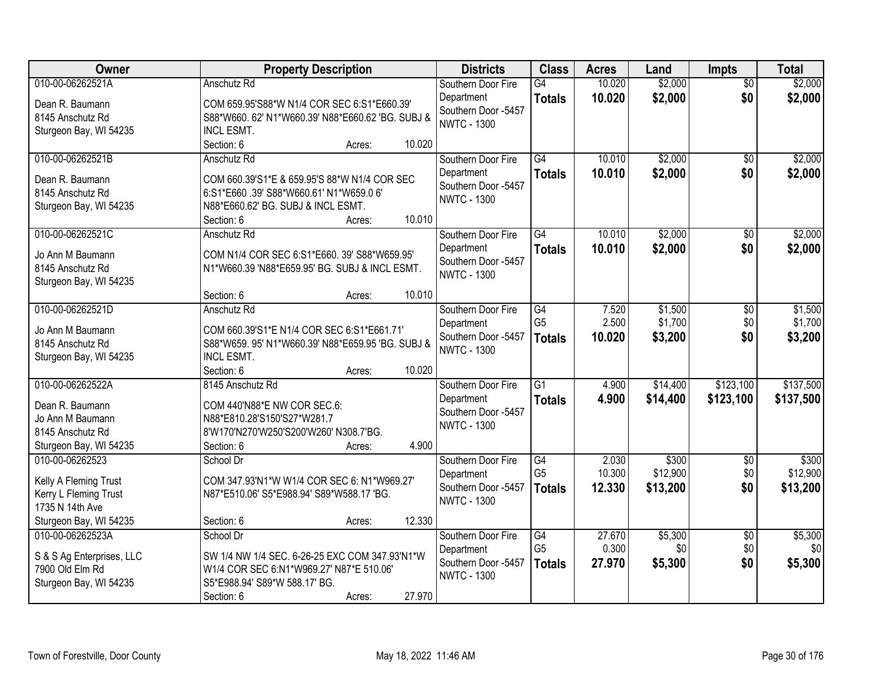| Owner                     | <b>Property Description</b>                       | <b>Districts</b>                          | <b>Class</b>    | <b>Acres</b> | Land     | <b>Impts</b>    | <b>Total</b> |
|---------------------------|---------------------------------------------------|-------------------------------------------|-----------------|--------------|----------|-----------------|--------------|
| 010-00-06262521A          | Anschutz Rd                                       | Southern Door Fire                        | G4              | 10.020       | \$2,000  | $\overline{50}$ | \$2,000      |
| Dean R. Baumann           | COM 659.95'S88*W N1/4 COR SEC 6:S1*E660.39'       | Department<br>Southern Door -5457         | <b>Totals</b>   | 10.020       | \$2,000  | \$0             | \$2,000      |
| 8145 Anschutz Rd          | S88*W660. 62' N1*W660.39' N88*E660.62 'BG. SUBJ & | <b>NWTC - 1300</b>                        |                 |              |          |                 |              |
| Sturgeon Bay, WI 54235    | INCL ESMT.                                        |                                           |                 |              |          |                 |              |
|                           | 10.020<br>Section: 6<br>Acres:                    |                                           |                 |              |          |                 |              |
| 010-00-06262521B          | Anschutz Rd                                       | Southern Door Fire                        | G4              | 10.010       | \$2,000  | $\overline{50}$ | \$2,000      |
| Dean R. Baumann           | COM 660.39'S1*E & 659.95'S 88*W N1/4 COR SEC      | Department                                | <b>Totals</b>   | 10.010       | \$2,000  | \$0             | \$2,000      |
| 8145 Anschutz Rd          | 6:S1*E660 .39' S88*W660.61' N1*W659.0 6'          | Southern Door -5457<br><b>NWTC - 1300</b> |                 |              |          |                 |              |
| Sturgeon Bay, WI 54235    | N88*E660.62' BG. SUBJ & INCL ESMT.                |                                           |                 |              |          |                 |              |
|                           | 10.010<br>Section: 6<br>Acres:                    |                                           |                 |              |          |                 |              |
| 010-00-06262521C          | Anschutz Rd                                       | Southern Door Fire                        | $\overline{G4}$ | 10.010       | \$2,000  | $\overline{50}$ | \$2,000      |
| Jo Ann M Baumann          | COM N1/4 COR SEC 6:S1*E660. 39' S88*W659.95'      | Department                                | <b>Totals</b>   | 10.010       | \$2,000  | \$0             | \$2,000      |
| 8145 Anschutz Rd          | N1*W660.39 'N88*E659.95' BG. SUBJ & INCL ESMT.    | Southern Door -5457                       |                 |              |          |                 |              |
| Sturgeon Bay, WI 54235    |                                                   | <b>NWTC - 1300</b>                        |                 |              |          |                 |              |
|                           | 10.010<br>Section: 6<br>Acres:                    |                                           |                 |              |          |                 |              |
| 010-00-06262521D          | Anschutz Rd                                       | Southern Door Fire                        | $\overline{G4}$ | 7.520        | \$1,500  | \$0             | \$1,500      |
| Jo Ann M Baumann          | COM 660.39'S1*E N1/4 COR SEC 6:S1*E661.71'        | Department                                | G <sub>5</sub>  | 2.500        | \$1,700  | \$0             | \$1,700      |
| 8145 Anschutz Rd          | S88*W659. 95' N1*W660.39' N88*E659.95 'BG. SUBJ & | Southern Door -5457                       | <b>Totals</b>   | 10.020       | \$3,200  | \$0             | \$3,200      |
| Sturgeon Bay, WI 54235    | INCL ESMT.                                        | <b>NWTC - 1300</b>                        |                 |              |          |                 |              |
|                           | 10.020<br>Section: 6<br>Acres:                    |                                           |                 |              |          |                 |              |
| 010-00-06262522A          | 8145 Anschutz Rd                                  | Southern Door Fire                        | $\overline{G1}$ | 4.900        | \$14,400 | \$123,100       | \$137,500    |
| Dean R. Baumann           | COM 440'N88*E NW COR SEC.6:                       | Department                                | <b>Totals</b>   | 4.900        | \$14,400 | \$123,100       | \$137,500    |
| Jo Ann M Baumann          | N88*E810.28'S150'S27*W281.7                       | Southern Door -5457                       |                 |              |          |                 |              |
| 8145 Anschutz Rd          | 8'W170'N270'W250'S200'W260' N308.7'BG.            | <b>NWTC - 1300</b>                        |                 |              |          |                 |              |
| Sturgeon Bay, WI 54235    | 4.900<br>Section: 6<br>Acres:                     |                                           |                 |              |          |                 |              |
| 010-00-06262523           | School Dr                                         | Southern Door Fire                        | $\overline{G4}$ | 2.030        | \$300    | $\overline{60}$ | \$300        |
| Kelly A Fleming Trust     | COM 347.93'N1*W W1/4 COR SEC 6: N1*W969.27'       | Department                                | G <sub>5</sub>  | 10.300       | \$12,900 | \$0             | \$12,900     |
| Kerry L Fleming Trust     | N87*E510.06' S5*E988.94' S89*W588.17 'BG.         | Southern Door -5457                       | <b>Totals</b>   | 12.330       | \$13,200 | \$0             | \$13,200     |
| 1735 N 14th Ave           |                                                   | <b>NWTC - 1300</b>                        |                 |              |          |                 |              |
| Sturgeon Bay, WI 54235    | 12.330<br>Section: 6<br>Acres:                    |                                           |                 |              |          |                 |              |
| 010-00-06262523A          | School Dr                                         | Southern Door Fire                        | $\overline{G4}$ | 27.670       | \$5,300  | $\overline{50}$ | \$5,300      |
| S & S Ag Enterprises, LLC | SW 1/4 NW 1/4 SEC. 6-26-25 EXC COM 347.93'N1*W    | Department                                | G <sub>5</sub>  | 0.300        | \$0      | \$0             | \$0          |
| 7900 Old Elm Rd           | W1/4 COR SEC 6:N1*W969.27' N87*E 510.06'          | Southern Door -5457                       | <b>Totals</b>   | 27.970       | \$5,300  | \$0             | \$5,300      |
| Sturgeon Bay, WI 54235    | S5*E988.94' S89*W 588.17' BG.                     | <b>NWTC - 1300</b>                        |                 |              |          |                 |              |
|                           | 27.970<br>Section: 6<br>Acres:                    |                                           |                 |              |          |                 |              |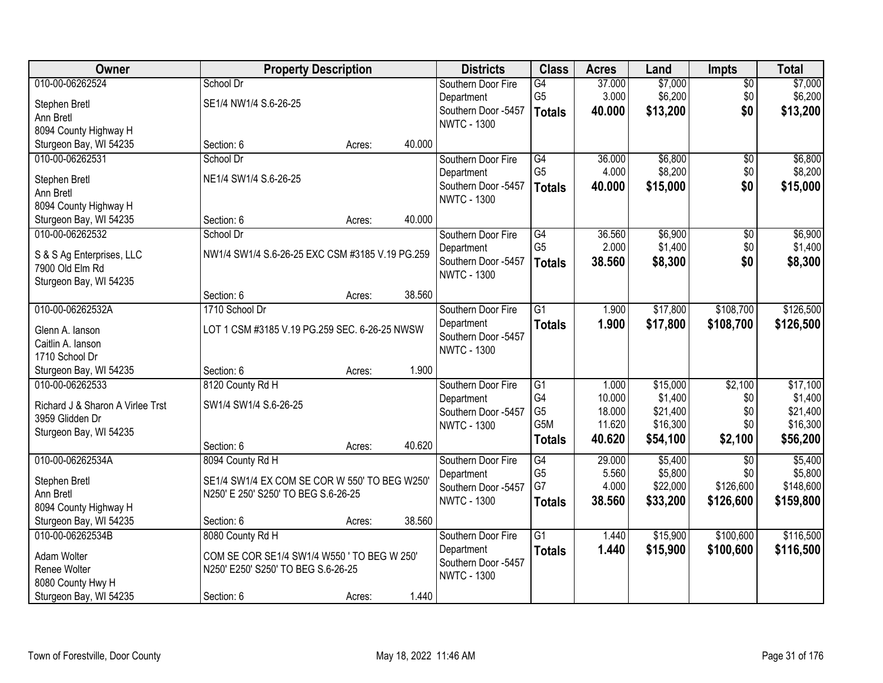| Owner                            |                                                 | <b>Property Description</b> |        | <b>Districts</b>    | <b>Class</b>    | <b>Acres</b> | Land     | <b>Impts</b>    | <b>Total</b> |
|----------------------------------|-------------------------------------------------|-----------------------------|--------|---------------------|-----------------|--------------|----------|-----------------|--------------|
| 010-00-06262524                  | School Dr                                       |                             |        | Southern Door Fire  | G4              | 37.000       | \$7,000  | $\sqrt{$0}$     | \$7,000      |
| Stephen Bretl                    | SE1/4 NW1/4 S.6-26-25                           |                             |        | Department          | G <sub>5</sub>  | 3.000        | \$6,200  | \$0             | \$6,200      |
| Ann Bretl                        |                                                 |                             |        | Southern Door -5457 | <b>Totals</b>   | 40.000       | \$13,200 | \$0             | \$13,200     |
| 8094 County Highway H            |                                                 |                             |        | <b>NWTC - 1300</b>  |                 |              |          |                 |              |
| Sturgeon Bay, WI 54235           | Section: 6                                      | Acres:                      | 40.000 |                     |                 |              |          |                 |              |
| 010-00-06262531                  | School Dr                                       |                             |        | Southern Door Fire  | G4              | 36.000       | \$6,800  | \$0             | \$6,800      |
| Stephen Bretl                    | NE1/4 SW1/4 S.6-26-25                           |                             |        | Department          | G <sub>5</sub>  | 4.000        | \$8,200  | \$0             | \$8,200      |
| Ann Bretl                        |                                                 |                             |        | Southern Door -5457 | <b>Totals</b>   | 40.000       | \$15,000 | \$0             | \$15,000     |
| 8094 County Highway H            |                                                 |                             |        | <b>NWTC - 1300</b>  |                 |              |          |                 |              |
| Sturgeon Bay, WI 54235           | Section: 6                                      | Acres:                      | 40.000 |                     |                 |              |          |                 |              |
| 010-00-06262532                  | School Dr                                       |                             |        | Southern Door Fire  | G4              | 36.560       | \$6,900  | $\sqrt[6]{}$    | \$6,900      |
| S & S Ag Enterprises, LLC        | NW1/4 SW1/4 S.6-26-25 EXC CSM #3185 V.19 PG.259 |                             |        | Department          | G <sub>5</sub>  | 2.000        | \$1,400  | \$0             | \$1,400      |
| 7900 Old Elm Rd                  |                                                 |                             |        | Southern Door -5457 | <b>Totals</b>   | 38.560       | \$8,300  | \$0             | \$8,300      |
| Sturgeon Bay, WI 54235           |                                                 |                             |        | <b>NWTC - 1300</b>  |                 |              |          |                 |              |
|                                  | Section: 6                                      | Acres:                      | 38.560 |                     |                 |              |          |                 |              |
| 010-00-06262532A                 | 1710 School Dr                                  |                             |        | Southern Door Fire  | $\overline{G1}$ | 1.900        | \$17,800 | \$108,700       | \$126,500    |
| Glenn A. lanson                  | LOT 1 CSM #3185 V.19 PG.259 SEC. 6-26-25 NWSW   |                             |        | Department          | <b>Totals</b>   | 1.900        | \$17,800 | \$108,700       | \$126,500    |
| Caitlin A. lanson                |                                                 |                             |        | Southern Door -5457 |                 |              |          |                 |              |
| 1710 School Dr                   |                                                 |                             |        | <b>NWTC - 1300</b>  |                 |              |          |                 |              |
| Sturgeon Bay, WI 54235           | Section: 6                                      | Acres:                      | 1.900  |                     |                 |              |          |                 |              |
| 010-00-06262533                  | 8120 County Rd H                                |                             |        | Southern Door Fire  | $\overline{G1}$ | 1.000        | \$15,000 | \$2,100         | \$17,100     |
| Richard J & Sharon A Virlee Trst | SW1/4 SW1/4 S.6-26-25                           |                             |        | Department          | G4              | 10.000       | \$1,400  | \$0             | \$1,400      |
| 3959 Glidden Dr                  |                                                 |                             |        | Southern Door -5457 | G <sub>5</sub>  | 18.000       | \$21,400 | \$0             | \$21,400     |
| Sturgeon Bay, WI 54235           |                                                 |                             |        | <b>NWTC - 1300</b>  | G5M             | 11.620       | \$16,300 | \$0             | \$16,300     |
|                                  | Section: 6                                      | Acres:                      | 40.620 |                     | <b>Totals</b>   | 40.620       | \$54,100 | \$2,100         | \$56,200     |
| 010-00-06262534A                 | 8094 County Rd H                                |                             |        | Southern Door Fire  | G4              | 29.000       | \$5,400  | $\overline{50}$ | \$5,400      |
| Stephen Bretl                    | SE1/4 SW1/4 EX COM SE COR W 550' TO BEG W250'   |                             |        | Department          | G <sub>5</sub>  | 5.560        | \$5,800  | \$0             | \$5,800      |
| Ann Bretl                        | N250' E 250' S250' TO BEG S.6-26-25             |                             |        | Southern Door -5457 | G7              | 4.000        | \$22,000 | \$126,600       | \$148,600    |
| 8094 County Highway H            |                                                 |                             |        | <b>NWTC - 1300</b>  | <b>Totals</b>   | 38.560       | \$33,200 | \$126,600       | \$159,800    |
| Sturgeon Bay, WI 54235           | Section: 6                                      | Acres:                      | 38.560 |                     |                 |              |          |                 |              |
| 010-00-06262534B                 | 8080 County Rd H                                |                             |        | Southern Door Fire  | $\overline{G1}$ | 1.440        | \$15,900 | \$100,600       | \$116,500    |
| Adam Wolter                      | COM SE COR SE1/4 SW1/4 W550 ' TO BEG W 250'     |                             |        | Department          | <b>Totals</b>   | 1.440        | \$15,900 | \$100,600       | \$116,500    |
| Renee Wolter                     | N250' E250' S250' TO BEG S.6-26-25              |                             |        | Southern Door -5457 |                 |              |          |                 |              |
| 8080 County Hwy H                |                                                 |                             |        | <b>NWTC - 1300</b>  |                 |              |          |                 |              |
| Sturgeon Bay, WI 54235           | Section: 6                                      | Acres:                      | 1.440  |                     |                 |              |          |                 |              |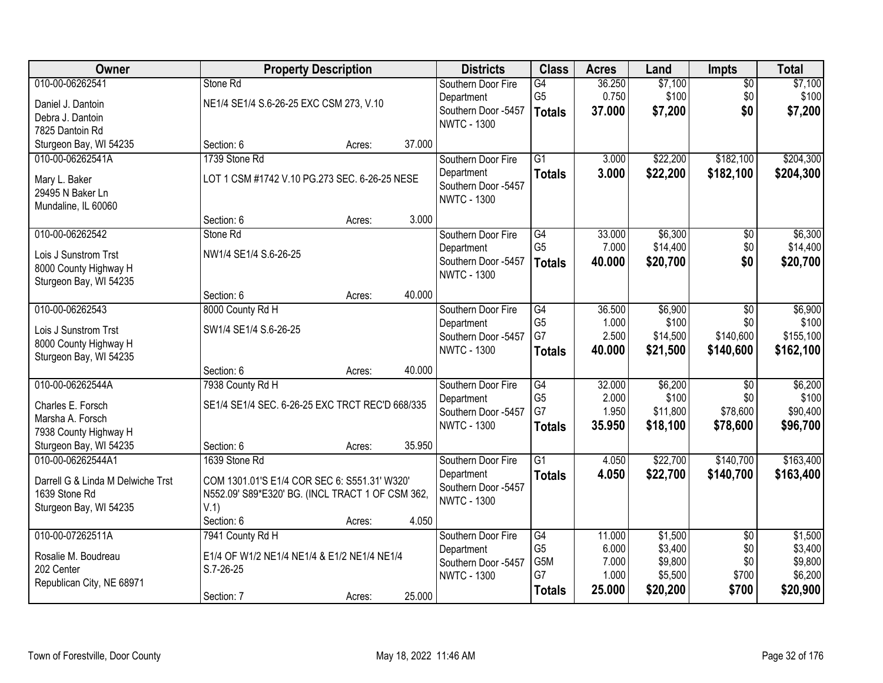| Owner                                 |                                                  | <b>Property Description</b> |        | <b>Districts</b>    | <b>Class</b>    | <b>Acres</b> | Land     | <b>Impts</b>    | <b>Total</b> |
|---------------------------------------|--------------------------------------------------|-----------------------------|--------|---------------------|-----------------|--------------|----------|-----------------|--------------|
| 010-00-06262541                       | Stone Rd                                         |                             |        | Southern Door Fire  | G4              | 36.250       | \$7,100  | $\overline{50}$ | \$7,100      |
| Daniel J. Dantoin                     | NE1/4 SE1/4 S.6-26-25 EXC CSM 273, V.10          |                             |        | Department          | G <sub>5</sub>  | 0.750        | \$100    | \$0             | \$100        |
| Debra J. Dantoin                      |                                                  |                             |        | Southern Door -5457 | <b>Totals</b>   | 37.000       | \$7,200  | \$0             | \$7,200      |
| 7825 Dantoin Rd                       |                                                  |                             |        | <b>NWTC - 1300</b>  |                 |              |          |                 |              |
| Sturgeon Bay, WI 54235                | Section: 6                                       | Acres:                      | 37.000 |                     |                 |              |          |                 |              |
| 010-00-06262541A                      | 1739 Stone Rd                                    |                             |        | Southern Door Fire  | $\overline{G1}$ | 3.000        | \$22,200 | \$182,100       | \$204,300    |
| Mary L. Baker                         | LOT 1 CSM #1742 V.10 PG.273 SEC. 6-26-25 NESE    |                             |        | Department          | <b>Totals</b>   | 3.000        | \$22,200 | \$182,100       | \$204,300    |
| 29495 N Baker Ln                      |                                                  |                             |        | Southern Door -5457 |                 |              |          |                 |              |
| Mundaline, IL 60060                   |                                                  |                             |        | <b>NWTC - 1300</b>  |                 |              |          |                 |              |
|                                       | Section: 6                                       | Acres:                      | 3.000  |                     |                 |              |          |                 |              |
| 010-00-06262542                       | Stone Rd                                         |                             |        | Southern Door Fire  | G4              | 33.000       | \$6,300  | $\overline{50}$ | \$6,300      |
| Lois J Sunstrom Trst                  | NW1/4 SE1/4 S.6-26-25                            |                             |        | Department          | G <sub>5</sub>  | 7.000        | \$14,400 | \$0             | \$14,400     |
| 8000 County Highway H                 |                                                  |                             |        | Southern Door -5457 | <b>Totals</b>   | 40.000       | \$20,700 | \$0             | \$20,700     |
| Sturgeon Bay, WI 54235                |                                                  |                             |        | <b>NWTC - 1300</b>  |                 |              |          |                 |              |
|                                       | Section: 6                                       | Acres:                      | 40.000 |                     |                 |              |          |                 |              |
| 010-00-06262543                       | 8000 County Rd H                                 |                             |        | Southern Door Fire  | G4              | 36.500       | \$6,900  | \$0             | \$6,900      |
| Lois J Sunstrom Trst                  | SW1/4 SE1/4 S.6-26-25                            |                             |        | Department          | G <sub>5</sub>  | 1.000        | \$100    | \$0             | \$100        |
| 8000 County Highway H                 |                                                  |                             |        | Southern Door -5457 | G7              | 2.500        | \$14,500 | \$140,600       | \$155,100    |
| Sturgeon Bay, WI 54235                |                                                  |                             |        | <b>NWTC - 1300</b>  | <b>Totals</b>   | 40.000       | \$21,500 | \$140,600       | \$162,100    |
|                                       | Section: 6                                       | Acres:                      | 40.000 |                     |                 |              |          |                 |              |
| 010-00-06262544A                      | 7938 County Rd H                                 |                             |        | Southern Door Fire  | $\overline{G4}$ | 32.000       | \$6,200  | \$0             | \$6,200      |
|                                       |                                                  |                             |        | Department          | G <sub>5</sub>  | 2.000        | \$100    | \$0             | \$100        |
| Charles E. Forsch<br>Marsha A. Forsch | SE1/4 SE1/4 SEC. 6-26-25 EXC TRCT REC'D 668/335  |                             |        | Southern Door -5457 | G7              | 1.950        | \$11,800 | \$78,600        | \$90,400     |
| 7938 County Highway H                 |                                                  |                             |        | <b>NWTC - 1300</b>  | <b>Totals</b>   | 35.950       | \$18,100 | \$78,600        | \$96,700     |
| Sturgeon Bay, WI 54235                | Section: 6                                       | Acres:                      | 35.950 |                     |                 |              |          |                 |              |
| 010-00-06262544A1                     | 1639 Stone Rd                                    |                             |        | Southern Door Fire  | $\overline{G1}$ | 4.050        | \$22,700 | \$140,700       | \$163,400    |
|                                       |                                                  |                             |        | Department          | <b>Totals</b>   | 4.050        | \$22,700 | \$140,700       | \$163,400    |
| Darrell G & Linda M Delwiche Trst     | COM 1301.01'S E1/4 COR SEC 6: S551.31' W320'     |                             |        | Southern Door -5457 |                 |              |          |                 |              |
| 1639 Stone Rd                         | N552.09' S89*E320' BG. (INCL TRACT 1 OF CSM 362, |                             |        | <b>NWTC - 1300</b>  |                 |              |          |                 |              |
| Sturgeon Bay, WI 54235                | V.1)<br>Section: 6                               |                             | 4.050  |                     |                 |              |          |                 |              |
| 010-00-07262511A                      | 7941 County Rd H                                 | Acres:                      |        | Southern Door Fire  | G4              | 11.000       | \$1,500  | $\overline{50}$ | \$1,500      |
|                                       |                                                  |                             |        | Department          | G <sub>5</sub>  | 6.000        | \$3,400  | \$0             | \$3,400      |
| Rosalie M. Boudreau                   | E1/4 OF W1/2 NE1/4 NE1/4 & E1/2 NE1/4 NE1/4      |                             |        | Southern Door -5457 | G5M             | 7.000        | \$9,800  | \$0             | \$9,800      |
| 202 Center                            | S.7-26-25                                        |                             |        | <b>NWTC - 1300</b>  | G7              | 1.000        | \$5,500  | \$700           | \$6,200      |
| Republican City, NE 68971             |                                                  |                             |        |                     | <b>Totals</b>   | 25.000       | \$20,200 | \$700           | \$20,900     |
|                                       | Section: 7                                       | Acres:                      | 25.000 |                     |                 |              |          |                 |              |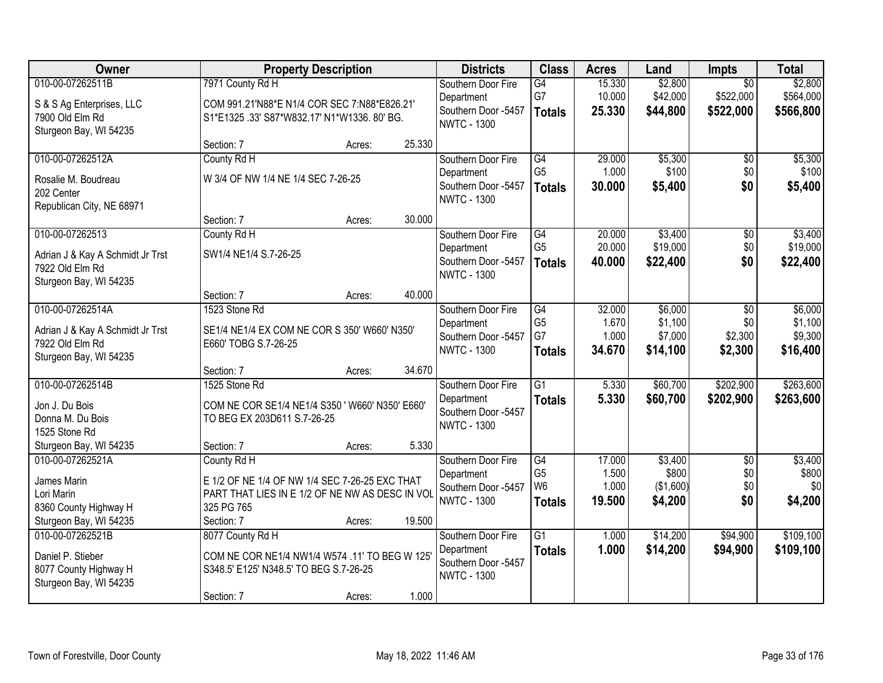| Owner                            |                                                 | <b>Property Description</b> |        | <b>Districts</b>                          | <b>Class</b>                     | <b>Acres</b>   | Land               | <b>Impts</b>    | <b>Total</b> |
|----------------------------------|-------------------------------------------------|-----------------------------|--------|-------------------------------------------|----------------------------------|----------------|--------------------|-----------------|--------------|
| 010-00-07262511B                 | 7971 County Rd H                                |                             |        | Southern Door Fire                        | G4                               | 15.330         | \$2,800            | $\overline{30}$ | \$2,800      |
| S & S Ag Enterprises, LLC        | COM 991.21'N88*E N1/4 COR SEC 7:N88*E826.21'    |                             |        | Department                                | G7                               | 10.000         | \$42,000           | \$522,000       | \$564,000    |
| 7900 Old Elm Rd                  | S1*E1325.33' S87*W832.17' N1*W1336.80' BG.      |                             |        | Southern Door -5457                       | <b>Totals</b>                    | 25.330         | \$44,800           | \$522,000       | \$566,800    |
| Sturgeon Bay, WI 54235           |                                                 |                             |        | <b>NWTC - 1300</b>                        |                                  |                |                    |                 |              |
|                                  | Section: 7                                      | Acres:                      | 25.330 |                                           |                                  |                |                    |                 |              |
| 010-00-07262512A                 | County Rd H                                     |                             |        | Southern Door Fire                        | G4                               | 29.000         | \$5,300            | \$0             | \$5,300      |
| Rosalie M. Boudreau              | W 3/4 OF NW 1/4 NE 1/4 SEC 7-26-25              |                             |        | Department                                | G <sub>5</sub>                   | 1.000          | \$100              | \$0             | \$100        |
| 202 Center                       |                                                 |                             |        | Southern Door -5457<br><b>NWTC - 1300</b> | <b>Totals</b>                    | 30.000         | \$5,400            | \$0             | \$5,400      |
| Republican City, NE 68971        |                                                 |                             |        |                                           |                                  |                |                    |                 |              |
|                                  | Section: 7                                      | Acres:                      | 30.000 |                                           |                                  |                |                    |                 |              |
| 010-00-07262513                  | County Rd H                                     |                             |        | Southern Door Fire                        | G4                               | 20.000         | \$3,400            | \$0             | \$3,400      |
| Adrian J & Kay A Schmidt Jr Trst | SW1/4 NE1/4 S.7-26-25                           |                             |        | Department                                | G <sub>5</sub>                   | 20.000         | \$19,000           | \$0             | \$19,000     |
| 7922 Old Elm Rd                  |                                                 |                             |        | Southern Door -5457<br><b>NWTC - 1300</b> | <b>Totals</b>                    | 40.000         | \$22,400           | \$0             | \$22,400     |
| Sturgeon Bay, WI 54235           |                                                 |                             |        |                                           |                                  |                |                    |                 |              |
|                                  | Section: 7                                      | Acres:                      | 40.000 |                                           |                                  |                |                    |                 |              |
| 010-00-07262514A                 | 1523 Stone Rd                                   |                             |        | Southern Door Fire                        | G4                               | 32.000         | \$6,000            | \$0             | \$6,000      |
| Adrian J & Kay A Schmidt Jr Trst | SE1/4 NE1/4 EX COM NE COR S 350' W660' N350'    |                             |        | Department                                | G <sub>5</sub>                   | 1.670          | \$1,100            | \$0             | \$1,100      |
| 7922 Old Elm Rd                  | E660' TOBG S.7-26-25                            |                             |        | Southern Door -5457<br><b>NWTC - 1300</b> | G7                               | 1.000          | \$7,000            | \$2,300         | \$9,300      |
| Sturgeon Bay, WI 54235           |                                                 |                             |        |                                           | <b>Totals</b>                    | 34.670         | \$14,100           | \$2,300         | \$16,400     |
|                                  | Section: 7                                      | Acres:                      | 34.670 |                                           |                                  |                |                    |                 |              |
| 010-00-07262514B                 | 1525 Stone Rd                                   |                             |        | Southern Door Fire                        | $\overline{G1}$                  | 5.330          | \$60,700           | \$202,900       | \$263,600    |
| Jon J. Du Bois                   | COM NE COR SE1/4 NE1/4 S350 ' W660' N350' E660' |                             |        | Department                                | <b>Totals</b>                    | 5.330          | \$60,700           | \$202,900       | \$263,600    |
| Donna M. Du Bois                 | TO BEG EX 203D611 S.7-26-25                     |                             |        | Southern Door -5457<br><b>NWTC - 1300</b> |                                  |                |                    |                 |              |
| 1525 Stone Rd                    |                                                 |                             |        |                                           |                                  |                |                    |                 |              |
| Sturgeon Bay, WI 54235           | Section: 7                                      | Acres:                      | 5.330  |                                           |                                  |                |                    |                 |              |
| 010-00-07262521A                 | County Rd H                                     |                             |        | Southern Door Fire                        | G4                               | 17.000         | \$3,400            | $\overline{50}$ | \$3,400      |
| James Marin                      | E 1/2 OF NE 1/4 OF NW 1/4 SEC 7-26-25 EXC THAT  |                             |        | Department                                | G <sub>5</sub><br>W <sub>6</sub> | 1.500<br>1.000 | \$800<br>(\$1,600) | \$0<br>\$0      | \$800<br>\$0 |
| Lori Marin                       | PART THAT LIES IN E 1/2 OF NE NW AS DESC IN VOL |                             |        | Southern Door -5457<br><b>NWTC - 1300</b> | <b>Totals</b>                    | 19.500         | \$4,200            | \$0             | \$4,200      |
| 8360 County Highway H            | 325 PG 765                                      |                             |        |                                           |                                  |                |                    |                 |              |
| Sturgeon Bay, WI 54235           | Section: 7                                      | Acres:                      | 19.500 |                                           |                                  |                |                    |                 |              |
| 010-00-07262521B                 | 8077 County Rd H                                |                             |        | Southern Door Fire                        | $\overline{G1}$                  | 1.000          | \$14,200           | \$94,900        | \$109,100    |
| Daniel P. Stieber                | COM NE COR NE1/4 NW1/4 W574 .11' TO BEG W 125'  |                             |        | Department<br>Southern Door -5457         | <b>Totals</b>                    | 1.000          | \$14,200           | \$94,900        | \$109,100    |
| 8077 County Highway H            | S348.5' E125' N348.5' TO BEG S.7-26-25          |                             |        | <b>NWTC - 1300</b>                        |                                  |                |                    |                 |              |
| Sturgeon Bay, WI 54235           |                                                 |                             |        |                                           |                                  |                |                    |                 |              |
|                                  | Section: 7                                      | Acres:                      | 1.000  |                                           |                                  |                |                    |                 |              |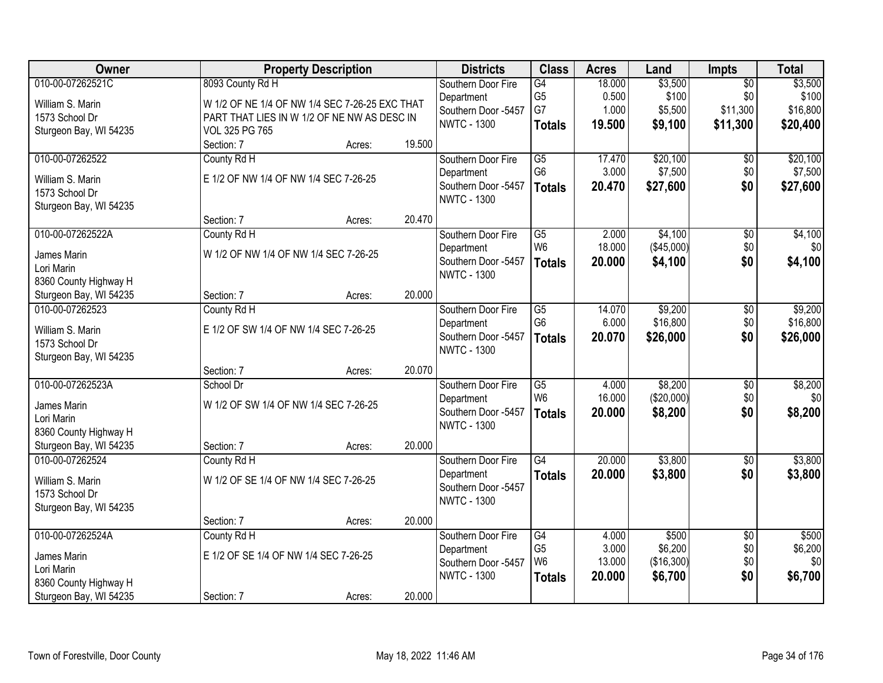| Owner                     |                                                | <b>Property Description</b> |        |                     | <b>Class</b>    | <b>Acres</b> | Land       | Impts           | <b>Total</b> |
|---------------------------|------------------------------------------------|-----------------------------|--------|---------------------|-----------------|--------------|------------|-----------------|--------------|
| 010-00-07262521C          | 8093 County Rd H                               |                             |        | Southern Door Fire  | G4              | 18.000       | \$3,500    | $\overline{50}$ | \$3,500      |
| William S. Marin          | W 1/2 OF NE 1/4 OF NW 1/4 SEC 7-26-25 EXC THAT |                             |        | Department          | G <sub>5</sub>  | 0.500        | \$100      | \$0             | \$100        |
| 1573 School Dr            | PART THAT LIES IN W 1/2 OF NE NW AS DESC IN    |                             |        | Southern Door -5457 | G7              | 1.000        | \$5,500    | \$11,300        | \$16,800     |
| Sturgeon Bay, WI 54235    | VOL 325 PG 765                                 |                             |        | <b>NWTC - 1300</b>  | <b>Totals</b>   | 19.500       | \$9,100    | \$11,300        | \$20,400     |
|                           | Section: 7                                     | Acres:                      | 19.500 |                     |                 |              |            |                 |              |
| 010-00-07262522           | County Rd H                                    |                             |        | Southern Door Fire  | $\overline{G5}$ | 17.470       | \$20,100   | $\overline{60}$ | \$20,100     |
| William S. Marin          | E 1/2 OF NW 1/4 OF NW 1/4 SEC 7-26-25          |                             |        | Department          | G <sub>6</sub>  | 3.000        | \$7,500    | \$0             | \$7,500      |
| 1573 School Dr            |                                                |                             |        | Southern Door -5457 | <b>Totals</b>   | 20.470       | \$27,600   | \$0             | \$27,600     |
| Sturgeon Bay, WI 54235    |                                                |                             |        | <b>NWTC - 1300</b>  |                 |              |            |                 |              |
|                           | Section: 7                                     | Acres:                      | 20.470 |                     |                 |              |            |                 |              |
| 010-00-07262522A          | County Rd H                                    |                             |        | Southern Door Fire  | $\overline{G5}$ | 2.000        | \$4,100    | $\overline{50}$ | \$4,100      |
| James Marin               | W 1/2 OF NW 1/4 OF NW 1/4 SEC 7-26-25          |                             |        | Department          | W <sub>6</sub>  | 18.000       | (\$45,000) | \$0             | \$0          |
| Lori Marin                |                                                |                             |        | Southern Door -5457 | <b>Totals</b>   | 20.000       | \$4,100    | \$0             | \$4,100      |
| 8360 County Highway H     |                                                |                             |        | <b>NWTC - 1300</b>  |                 |              |            |                 |              |
| Sturgeon Bay, WI 54235    | Section: 7                                     | Acres:                      | 20.000 |                     |                 |              |            |                 |              |
| 010-00-07262523           | County Rd H                                    |                             |        | Southern Door Fire  | $\overline{G5}$ | 14.070       | \$9,200    | \$0             | \$9,200      |
| William S. Marin          | E 1/2 OF SW 1/4 OF NW 1/4 SEC 7-26-25          |                             |        | Department          | G <sub>6</sub>  | 6.000        | \$16,800   | \$0             | \$16,800     |
| 1573 School Dr            |                                                |                             |        | Southern Door -5457 | <b>Totals</b>   | 20.070       | \$26,000   | \$0             | \$26,000     |
| Sturgeon Bay, WI 54235    |                                                |                             |        | <b>NWTC - 1300</b>  |                 |              |            |                 |              |
|                           | Section: 7                                     | Acres:                      | 20.070 |                     |                 |              |            |                 |              |
| 010-00-07262523A          | School Dr                                      |                             |        | Southern Door Fire  | $\overline{G5}$ | 4.000        | \$8,200    | $\overline{50}$ | \$8,200      |
|                           |                                                |                             |        | Department          | W <sub>6</sub>  | 16.000       | (\$20,000) | \$0             | \$0          |
| James Marin<br>Lori Marin | W 1/2 OF SW 1/4 OF NW 1/4 SEC 7-26-25          |                             |        | Southern Door -5457 | <b>Totals</b>   | 20.000       | \$8,200    | \$0             | \$8,200      |
| 8360 County Highway H     |                                                |                             |        | <b>NWTC - 1300</b>  |                 |              |            |                 |              |
| Sturgeon Bay, WI 54235    | Section: 7                                     | Acres:                      | 20.000 |                     |                 |              |            |                 |              |
| 010-00-07262524           | County Rd H                                    |                             |        | Southern Door Fire  | $\overline{G4}$ | 20.000       | \$3,800    | $\overline{50}$ | \$3,800      |
| William S. Marin          | W 1/2 OF SE 1/4 OF NW 1/4 SEC 7-26-25          |                             |        | Department          | <b>Totals</b>   | 20.000       | \$3,800    | \$0             | \$3,800      |
| 1573 School Dr            |                                                |                             |        | Southern Door -5457 |                 |              |            |                 |              |
| Sturgeon Bay, WI 54235    |                                                |                             |        | <b>NWTC - 1300</b>  |                 |              |            |                 |              |
|                           | Section: 7                                     | Acres:                      | 20.000 |                     |                 |              |            |                 |              |
| 010-00-07262524A          | County Rd H                                    |                             |        | Southern Door Fire  | G4              | 4.000        | \$500      | $\overline{30}$ | \$500        |
|                           |                                                |                             |        | Department          | G <sub>5</sub>  | 3.000        | \$6,200    | \$0             | \$6,200      |
| James Marin<br>Lori Marin | E 1/2 OF SE 1/4 OF NW 1/4 SEC 7-26-25          |                             |        | Southern Door -5457 | W <sub>6</sub>  | 13.000       | (\$16,300) | \$0             | \$0          |
| 8360 County Highway H     |                                                |                             |        | <b>NWTC - 1300</b>  | <b>Totals</b>   | 20.000       | \$6,700    | \$0             | \$6,700      |
| Sturgeon Bay, WI 54235    | Section: 7                                     | Acres:                      | 20.000 |                     |                 |              |            |                 |              |
|                           |                                                |                             |        |                     |                 |              |            |                 |              |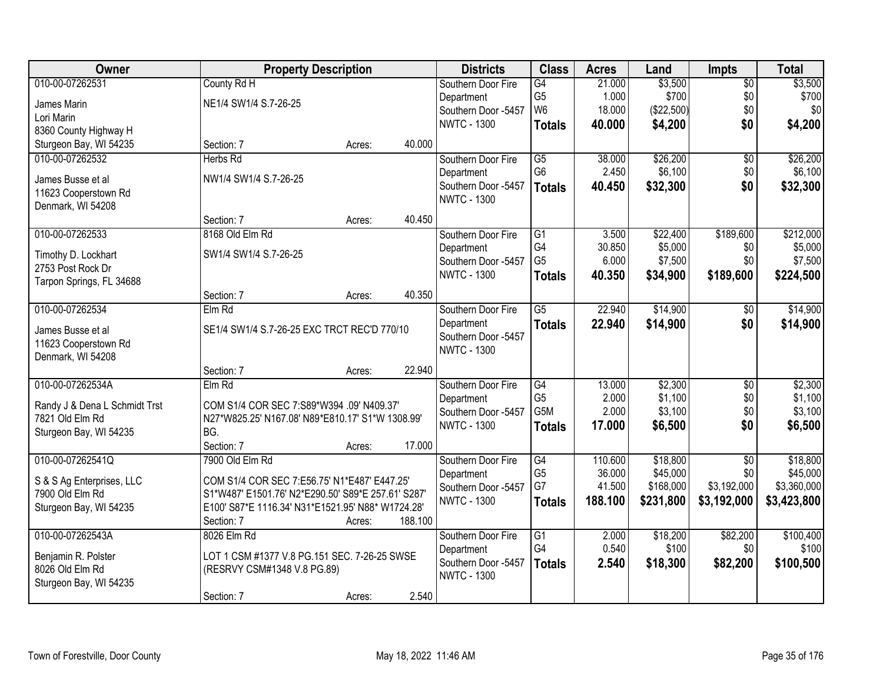| Owner                         | <b>Property Description</b>                        |        |         | <b>Districts</b>    | <b>Class</b>    | <b>Acres</b> | Land       | <b>Impts</b>    | <b>Total</b> |
|-------------------------------|----------------------------------------------------|--------|---------|---------------------|-----------------|--------------|------------|-----------------|--------------|
| 010-00-07262531               | County Rd H                                        |        |         | Southern Door Fire  | $\overline{G4}$ | 21.000       | \$3,500    | $\overline{50}$ | \$3,500      |
| James Marin                   | NE1/4 SW1/4 S.7-26-25                              |        |         | Department          | G <sub>5</sub>  | 1.000        | \$700      | \$0             | \$700        |
| Lori Marin                    |                                                    |        |         | Southern Door -5457 | W <sub>6</sub>  | 18.000       | (\$22,500) | \$0             | \$0          |
| 8360 County Highway H         |                                                    |        |         | <b>NWTC - 1300</b>  | <b>Totals</b>   | 40.000       | \$4,200    | \$0             | \$4,200      |
| Sturgeon Bay, WI 54235        | Section: 7                                         | Acres: | 40.000  |                     |                 |              |            |                 |              |
| 010-00-07262532               | Herbs Rd                                           |        |         | Southern Door Fire  | G5              | 38.000       | \$26,200   | \$0             | \$26,200     |
|                               |                                                    |        |         | Department          | G <sub>6</sub>  | 2.450        | \$6,100    | \$0             | \$6,100      |
| James Busse et al             | NW1/4 SW1/4 S.7-26-25                              |        |         | Southern Door -5457 | <b>Totals</b>   | 40.450       | \$32,300   | \$0             | \$32,300     |
| 11623 Cooperstown Rd          |                                                    |        |         | <b>NWTC - 1300</b>  |                 |              |            |                 |              |
| Denmark, WI 54208             |                                                    |        |         |                     |                 |              |            |                 |              |
|                               | Section: 7                                         | Acres: | 40.450  |                     |                 |              |            |                 |              |
| 010-00-07262533               | 8168 Old Elm Rd                                    |        |         | Southern Door Fire  | G1              | 3.500        | \$22,400   | \$189,600       | \$212,000    |
| Timothy D. Lockhart           | SW1/4 SW1/4 S.7-26-25                              |        |         | Department          | G4              | 30.850       | \$5,000    | \$0             | \$5,000      |
| 2753 Post Rock Dr             |                                                    |        |         | Southern Door -5457 | G <sub>5</sub>  | 6.000        | \$7,500    | \$0             | \$7,500      |
| Tarpon Springs, FL 34688      |                                                    |        |         | <b>NWTC - 1300</b>  | <b>Totals</b>   | 40.350       | \$34,900   | \$189,600       | \$224,500    |
|                               | Section: 7                                         | Acres: | 40.350  |                     |                 |              |            |                 |              |
| 010-00-07262534               | Elm Rd                                             |        |         | Southern Door Fire  | $\overline{G5}$ | 22.940       | \$14,900   | \$0             | \$14,900     |
| James Busse et al             | SE1/4 SW1/4 S.7-26-25 EXC TRCT REC'D 770/10        |        |         | Department          | <b>Totals</b>   | 22.940       | \$14,900   | \$0             | \$14,900     |
| 11623 Cooperstown Rd          |                                                    |        |         | Southern Door -5457 |                 |              |            |                 |              |
| Denmark, WI 54208             |                                                    |        |         | <b>NWTC - 1300</b>  |                 |              |            |                 |              |
|                               | Section: 7                                         | Acres: | 22.940  |                     |                 |              |            |                 |              |
| 010-00-07262534A              | Elm Rd                                             |        |         | Southern Door Fire  | $\overline{G4}$ | 13.000       | \$2,300    | $\overline{50}$ | \$2,300      |
|                               |                                                    |        |         | Department          | G <sub>5</sub>  | 2.000        | \$1,100    | \$0             | \$1,100      |
| Randy J & Dena L Schmidt Trst | COM S1/4 COR SEC 7:S89*W394 .09' N409.37'          |        |         | Southern Door -5457 | G5M             | 2.000        | \$3,100    | \$0             | \$3,100      |
| 7821 Old Elm Rd               | N27*W825.25' N167.08' N89*E810.17' S1*W 1308.99'   |        |         | <b>NWTC - 1300</b>  | <b>Totals</b>   | 17.000       | \$6,500    | \$0             | \$6,500      |
| Sturgeon Bay, WI 54235        | BG.                                                |        |         |                     |                 |              |            |                 |              |
|                               | Section: 7                                         | Acres: | 17.000  |                     |                 |              |            |                 |              |
| 010-00-07262541Q              | 7900 Old Elm Rd                                    |        |         | Southern Door Fire  | G4              | 110.600      | \$18,800   | $\overline{50}$ | \$18,800     |
| S & S Ag Enterprises, LLC     | COM S1/4 COR SEC 7:E56.75' N1*E487' E447.25'       |        |         | Department          | G <sub>5</sub>  | 36.000       | \$45,000   | \$0             | \$45,000     |
| 7900 Old Elm Rd               | S1*W487' E1501.76' N2*E290.50' S89*E 257.61' S287' |        |         | Southern Door -5457 | G7              | 41.500       | \$168,000  | \$3,192,000     | \$3,360,000  |
| Sturgeon Bay, WI 54235        | E100' S87*E 1116.34' N31*E1521.95' N88* W1724.28'  |        |         | <b>NWTC - 1300</b>  | <b>Totals</b>   | 188.100      | \$231,800  | \$3,192,000     | \$3,423,800  |
|                               | Section: 7                                         | Acres: | 188.100 |                     |                 |              |            |                 |              |
| 010-00-07262543A              | 8026 Elm Rd                                        |        |         | Southern Door Fire  | $\overline{G1}$ | 2.000        | \$18,200   | \$82,200        | \$100,400    |
|                               |                                                    |        |         | Department          | G4              | 0.540        | \$100      | \$0             | \$100        |
| Benjamin R. Polster           | LOT 1 CSM #1377 V.8 PG.151 SEC. 7-26-25 SWSE       |        |         | Southern Door -5457 | <b>Totals</b>   | 2.540        | \$18,300   | \$82,200        | \$100,500    |
| 8026 Old Elm Rd               | (RESRVY CSM#1348 V.8 PG.89)                        |        |         | <b>NWTC - 1300</b>  |                 |              |            |                 |              |
| Sturgeon Bay, WI 54235        |                                                    |        | 2.540   |                     |                 |              |            |                 |              |
|                               | Section: 7                                         | Acres: |         |                     |                 |              |            |                 |              |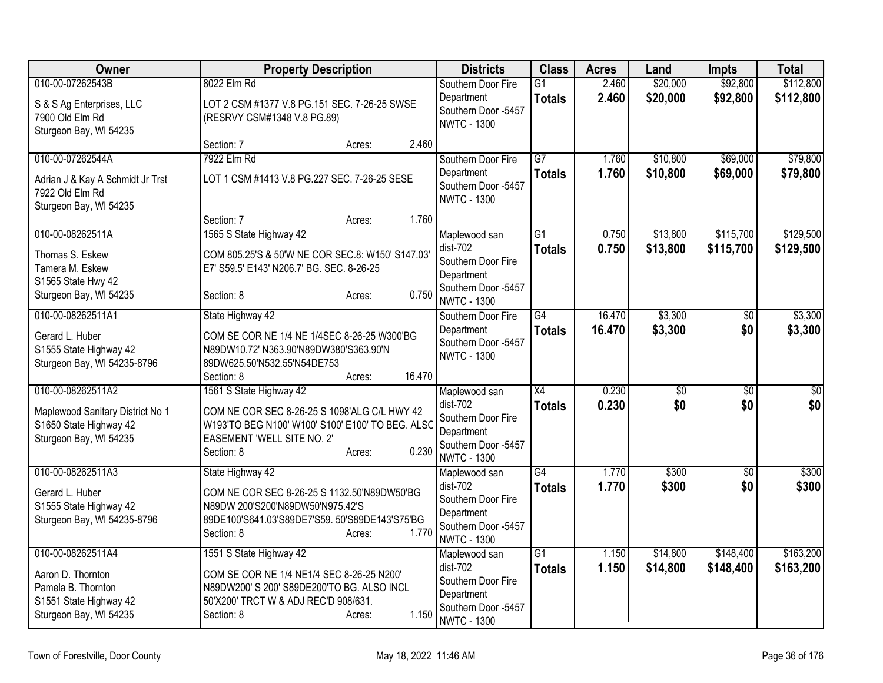| Owner                                                                                                            | <b>Property Description</b>                                                                                                                                              |                  |        | <b>Districts</b>                                                                                             | <b>Class</b>                     | <b>Acres</b>     | Land                   | <b>Impts</b>           | <b>Total</b>           |
|------------------------------------------------------------------------------------------------------------------|--------------------------------------------------------------------------------------------------------------------------------------------------------------------------|------------------|--------|--------------------------------------------------------------------------------------------------------------|----------------------------------|------------------|------------------------|------------------------|------------------------|
| 010-00-07262543B<br>S & S Ag Enterprises, LLC<br>7900 Old Elm Rd                                                 | 8022 Elm Rd<br>LOT 2 CSM #1377 V.8 PG.151 SEC. 7-26-25 SWSE<br>(RESRVY CSM#1348 V.8 PG.89)                                                                               |                  |        | Southern Door Fire<br>Department<br>Southern Door -5457                                                      | $\overline{G1}$<br><b>Totals</b> | 2.460<br>2.460   | \$20,000<br>\$20,000   | \$92,800<br>\$92,800   | \$112,800<br>\$112,800 |
| Sturgeon Bay, WI 54235                                                                                           | Section: 7                                                                                                                                                               | Acres:           | 2.460  | <b>NWTC - 1300</b>                                                                                           |                                  |                  |                        |                        |                        |
| 010-00-07262544A<br>Adrian J & Kay A Schmidt Jr Trst<br>7922 Old Elm Rd<br>Sturgeon Bay, WI 54235                | 7922 Elm Rd<br>LOT 1 CSM #1413 V.8 PG.227 SEC. 7-26-25 SESE<br>Section: 7                                                                                                |                  | 1.760  | Southern Door Fire<br>Department<br>Southern Door -5457<br><b>NWTC - 1300</b>                                | $\overline{G7}$<br><b>Totals</b> | 1.760<br>1.760   | \$10,800<br>\$10,800   | \$69,000<br>\$69,000   | \$79,800<br>\$79,800   |
| 010-00-08262511A<br>Thomas S. Eskew<br>Tamera M. Eskew<br>S1565 State Hwy 42<br>Sturgeon Bay, WI 54235           | 1565 S State Highway 42<br>COM 805.25'S & 50'W NE COR SEC.8: W150' S147.03'<br>E7' S59.5' E143' N206.7' BG. SEC. 8-26-25<br>Section: 8                                   | Acres:<br>Acres: | 0.750  | Maplewood san<br>$dist-702$<br>Southern Door Fire<br>Department<br>Southern Door -5457<br><b>NWTC - 1300</b> | $\overline{G1}$<br><b>Totals</b> | 0.750<br>0.750   | \$13,800<br>\$13,800   | \$115,700<br>\$115,700 | \$129,500<br>\$129,500 |
| 010-00-08262511A1<br>Gerard L. Huber<br>S1555 State Highway 42<br>Sturgeon Bay, WI 54235-8796                    | State Highway 42<br>COM SE COR NE 1/4 NE 1/4SEC 8-26-25 W300'BG<br>N89DW10.72' N363.90'N89DW380'S363.90'N<br>89DW625.50'N532.55'N54DE753<br>Section: 8                   | Acres:           | 16.470 | Southern Door Fire<br>Department<br>Southern Door -5457<br><b>NWTC - 1300</b>                                | G4<br><b>Totals</b>              | 16.470<br>16.470 | \$3,300<br>\$3,300     | $\overline{50}$<br>\$0 | \$3,300<br>\$3,300     |
| 010-00-08262511A2<br>Maplewood Sanitary District No 1<br>S1650 State Highway 42<br>Sturgeon Bay, WI 54235        | 1561 S State Highway 42<br>COM NE COR SEC 8-26-25 S 1098'ALG C/L HWY 42<br>W193'TO BEG N100' W100' S100' E100' TO BEG. ALSC<br>EASEMENT 'WELL SITE NO. 2'<br>Section: 8  | Acres:           | 0.230  | Maplewood san<br>$dist-702$<br>Southern Door Fire<br>Department<br>Southern Door -5457<br><b>NWTC - 1300</b> | X4<br><b>Totals</b>              | 0.230<br>0.230   | $\overline{50}$<br>\$0 | $\overline{50}$<br>\$0 | $\overline{50}$<br>\$0 |
| 010-00-08262511A3<br>Gerard L. Huber<br>S1555 State Highway 42<br>Sturgeon Bay, WI 54235-8796                    | State Highway 42<br>COM NE COR SEC 8-26-25 S 1132.50'N89DW50'BG<br>N89DW 200'S200'N89DW50'N975.42'S<br>89DE100'S641.03'S89DE7'S59.50'S89DE143'S75'BG<br>Section: 8       | Acres:           | 1.770  | Maplewood san<br>$dist-702$<br>Southern Door Fire<br>Department<br>Southern Door -5457<br><b>NWTC - 1300</b> | $\overline{G4}$<br><b>Totals</b> | 1.770<br>1.770   | \$300<br>\$300         | $\overline{30}$<br>\$0 | \$300<br>\$300         |
| 010-00-08262511A4<br>Aaron D. Thornton<br>Pamela B. Thornton<br>S1551 State Highway 42<br>Sturgeon Bay, WI 54235 | 1551 S State Highway 42<br>COM SE COR NE 1/4 NE1/4 SEC 8-26-25 N200'<br>N89DW200' S 200' S89DE200'TO BG. ALSO INCL<br>50'X200' TRCT W & ADJ REC'D 908/631.<br>Section: 8 | Acres:           | 1.150  | Maplewood san<br>$dist-702$<br>Southern Door Fire<br>Department<br>Southern Door -5457<br><b>NWTC - 1300</b> | $\overline{G1}$<br><b>Totals</b> | 1.150<br>1.150   | \$14,800<br>\$14,800   | \$148,400<br>\$148,400 | \$163,200<br>\$163,200 |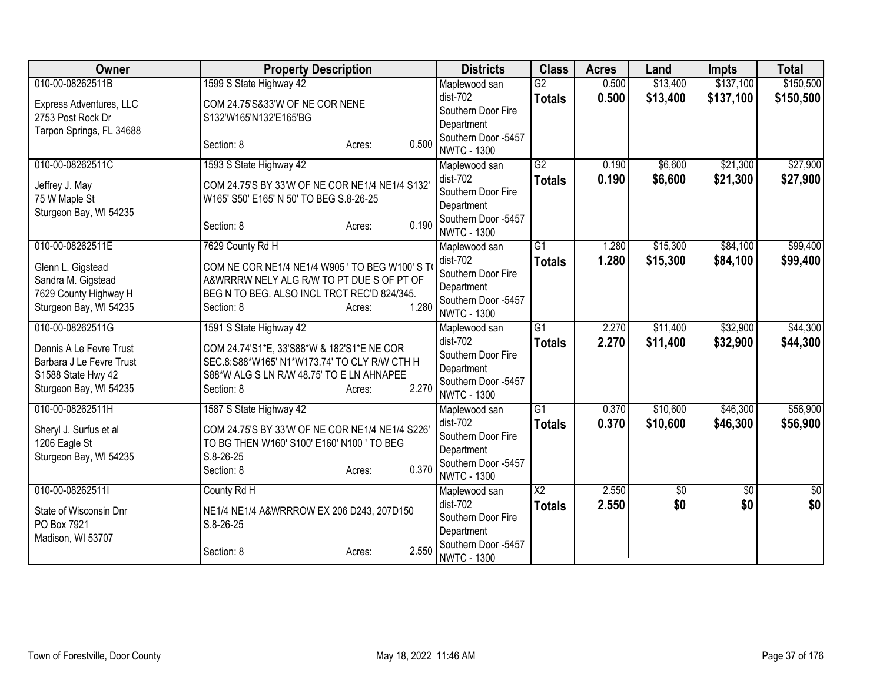| Owner                    | <b>Property Description</b>                     |       | <b>Districts</b>                          | <b>Class</b>           | <b>Acres</b> | Land     | Impts     | <b>Total</b> |
|--------------------------|-------------------------------------------------|-------|-------------------------------------------|------------------------|--------------|----------|-----------|--------------|
| 010-00-08262511B         | 1599 S State Highway 42                         |       | Maplewood san                             | $\overline{G2}$        | 0.500        | \$13,400 | \$137,100 | \$150,500    |
| Express Adventures, LLC  | COM 24.75'S&33'W OF NE COR NENE                 |       | dist-702                                  | <b>Totals</b>          | 0.500        | \$13,400 | \$137,100 | \$150,500    |
| 2753 Post Rock Dr        | S132'W165'N132'E165'BG                          |       | Southern Door Fire                        |                        |              |          |           |              |
| Tarpon Springs, FL 34688 |                                                 |       | Department                                |                        |              |          |           |              |
|                          | Section: 8<br>Acres:                            | 0.500 | Southern Door -5457<br><b>NWTC - 1300</b> |                        |              |          |           |              |
| 010-00-08262511C         | 1593 S State Highway 42                         |       | Maplewood san                             | $\overline{G2}$        | 0.190        | \$6,600  | \$21,300  | \$27,900     |
|                          |                                                 |       | dist-702                                  | <b>Totals</b>          | 0.190        | \$6,600  | \$21,300  | \$27,900     |
| Jeffrey J. May           | COM 24.75'S BY 33'W OF NE COR NE1/4 NE1/4 S132' |       | Southern Door Fire                        |                        |              |          |           |              |
| 75 W Maple St            | W165' S50' E165' N 50' TO BEG S.8-26-25         |       | Department                                |                        |              |          |           |              |
| Sturgeon Bay, WI 54235   |                                                 |       | Southern Door -5457                       |                        |              |          |           |              |
|                          | Section: 8<br>Acres:                            | 0.190 | <b>NWTC - 1300</b>                        |                        |              |          |           |              |
| 010-00-08262511E         | 7629 County Rd H                                |       | Maplewood san                             | $\overline{G1}$        | 1.280        | \$15,300 | \$84,100  | \$99,400     |
| Glenn L. Gigstead        | COM NE COR NE1/4 NE1/4 W905 ' TO BEG W100' S TO |       | dist-702                                  | <b>Totals</b>          | 1.280        | \$15,300 | \$84,100  | \$99,400     |
| Sandra M. Gigstead       | A&WRRRW NELY ALG R/W TO PT DUE S OF PT OF       |       | Southern Door Fire                        |                        |              |          |           |              |
| 7629 County Highway H    | BEG N TO BEG. ALSO INCL TRCT REC'D 824/345.     |       | Department                                |                        |              |          |           |              |
| Sturgeon Bay, WI 54235   | Section: 8<br>Acres:                            | 1.280 | Southern Door -5457                       |                        |              |          |           |              |
|                          |                                                 |       | <b>NWTC - 1300</b>                        |                        |              |          |           |              |
| 010-00-08262511G         | 1591 S State Highway 42                         |       | Maplewood san                             | $\overline{G1}$        | 2.270        | \$11,400 | \$32,900  | \$44,300     |
| Dennis A Le Fevre Trust  | COM 24.74'S1*E, 33'S88*W & 182'S1*E NE COR      |       | dist-702                                  | <b>Totals</b>          | 2.270        | \$11,400 | \$32,900  | \$44,300     |
| Barbara J Le Fevre Trust | SEC.8:S88*W165' N1*W173.74' TO CLY R/W CTH H    |       | Southern Door Fire                        |                        |              |          |           |              |
| S1588 State Hwy 42       | S88*W ALG S LN R/W 48.75' TO E LN AHNAPEE       |       | Department<br>Southern Door -5457         |                        |              |          |           |              |
| Sturgeon Bay, WI 54235   | Section: 8<br>Acres:                            | 2.270 | <b>NWTC - 1300</b>                        |                        |              |          |           |              |
| 010-00-08262511H         | 1587 S State Highway 42                         |       | Maplewood san                             | $\overline{G1}$        | 0.370        | \$10,600 | \$46,300  | \$56,900     |
|                          |                                                 |       | $dist-702$                                | <b>Totals</b>          | 0.370        | \$10,600 | \$46,300  | \$56,900     |
| Sheryl J. Surfus et al   | COM 24.75'S BY 33'W OF NE COR NE1/4 NE1/4 S226' |       | Southern Door Fire                        |                        |              |          |           |              |
| 1206 Eagle St            | TO BG THEN W160' S100' E160' N100 ' TO BEG      |       | Department                                |                        |              |          |           |              |
| Sturgeon Bay, WI 54235   | S.8-26-25                                       | 0.370 | Southern Door -5457                       |                        |              |          |           |              |
|                          | Section: 8<br>Acres:                            |       | <b>NWTC - 1300</b>                        |                        |              |          |           |              |
| 010-00-08262511l         | County Rd H                                     |       | Maplewood san                             | $\overline{\text{X2}}$ | 2.550        | \$0      | \$0       | \$0          |
| State of Wisconsin Dnr   | NE1/4 NE1/4 A&WRRROW EX 206 D243, 207D150       |       | dist-702                                  | <b>Totals</b>          | 2.550        | \$0      | \$0       | \$0          |
| PO Box 7921              | S.8-26-25                                       |       | Southern Door Fire                        |                        |              |          |           |              |
| Madison, WI 53707        |                                                 |       | Department                                |                        |              |          |           |              |
|                          | Section: 8<br>Acres:                            | 2.550 | Southern Door -5457                       |                        |              |          |           |              |
|                          |                                                 |       | <b>NWTC - 1300</b>                        |                        |              |          |           |              |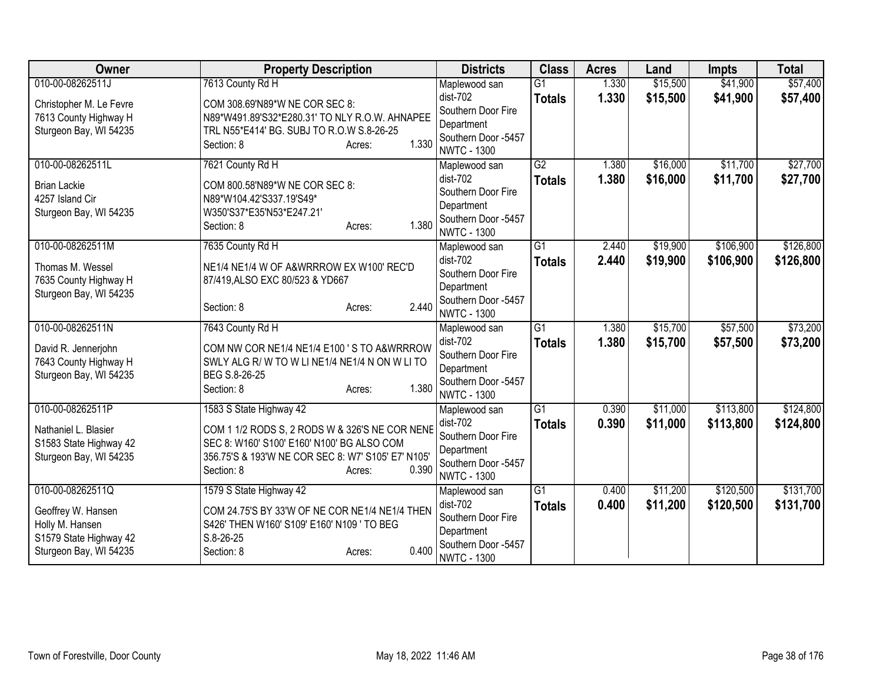| <b>Owner</b>                                     | <b>Property Description</b>                                                                  | <b>Districts</b>                          | <b>Class</b>    | <b>Acres</b> | Land     | <b>Impts</b> | <b>Total</b> |
|--------------------------------------------------|----------------------------------------------------------------------------------------------|-------------------------------------------|-----------------|--------------|----------|--------------|--------------|
| 010-00-08262511J                                 | 7613 County Rd H                                                                             | Maplewood san                             | G1              | 1.330        | \$15,500 | \$41,900     | \$57,400     |
| Christopher M. Le Fevre                          | COM 308.69'N89*W NE COR SEC 8:                                                               | dist-702                                  | <b>Totals</b>   | 1.330        | \$15,500 | \$41,900     | \$57,400     |
| 7613 County Highway H                            | N89*W491.89'S32*E280.31' TO NLY R.O.W. AHNAPEE                                               | Southern Door Fire                        |                 |              |          |              |              |
| Sturgeon Bay, WI 54235                           | TRL N55*E414' BG. SUBJ TO R.O.W S.8-26-25                                                    | Department                                |                 |              |          |              |              |
|                                                  | 1.330<br>Section: 8<br>Acres:                                                                | Southern Door -5457<br><b>NWTC - 1300</b> |                 |              |          |              |              |
| 010-00-08262511L                                 | 7621 County Rd H                                                                             | Maplewood san                             | $\overline{G2}$ | 1.380        | \$16,000 | \$11,700     | \$27,700     |
| <b>Brian Lackie</b>                              | COM 800.58'N89*W NE COR SEC 8:                                                               | dist-702                                  | <b>Totals</b>   | 1.380        | \$16,000 | \$11,700     | \$27,700     |
| 4257 Island Cir                                  | N89*W104.42'S337.19'S49*                                                                     | Southern Door Fire                        |                 |              |          |              |              |
| Sturgeon Bay, WI 54235                           | W350'S37*E35'N53*E247.21'                                                                    | Department                                |                 |              |          |              |              |
|                                                  | 1.380<br>Section: 8<br>Acres:                                                                | Southern Door -5457<br><b>NWTC - 1300</b> |                 |              |          |              |              |
| 010-00-08262511M                                 | 7635 County Rd H                                                                             | Maplewood san                             | $\overline{G1}$ | 2.440        | \$19,900 | \$106,900    | \$126,800    |
|                                                  |                                                                                              | $dist-702$                                | <b>Totals</b>   | 2.440        | \$19,900 | \$106,900    | \$126,800    |
| Thomas M. Wessel<br>7635 County Highway H        | NE1/4 NE1/4 W OF A&WRRROW EX W100' REC'D<br>87/419, ALSO EXC 80/523 & YD667                  | Southern Door Fire                        |                 |              |          |              |              |
| Sturgeon Bay, WI 54235                           |                                                                                              | Department                                |                 |              |          |              |              |
|                                                  | 2.440<br>Section: 8<br>Acres:                                                                | Southern Door -5457                       |                 |              |          |              |              |
|                                                  |                                                                                              | <b>NWTC - 1300</b>                        |                 |              |          |              |              |
| 010-00-08262511N                                 | 7643 County Rd H                                                                             | Maplewood san                             | $\overline{G1}$ | 1.380        | \$15,700 | \$57,500     | \$73,200     |
| David R. Jennerjohn                              | COM NW COR NE1/4 NE1/4 E100 'S TO A&WRRROW                                                   | dist-702                                  | <b>Totals</b>   | 1.380        | \$15,700 | \$57,500     | \$73,200     |
| 7643 County Highway H                            | SWLY ALG R/W TO W LINE1/4 NE1/4 N ON W LITO                                                  | Southern Door Fire                        |                 |              |          |              |              |
| Sturgeon Bay, WI 54235                           | BEG S.8-26-25                                                                                | Department<br>Southern Door -5457         |                 |              |          |              |              |
|                                                  | 1.380<br>Section: 8<br>Acres:                                                                | <b>NWTC - 1300</b>                        |                 |              |          |              |              |
| 010-00-08262511P                                 | 1583 S State Highway 42                                                                      | Maplewood san                             | $\overline{G1}$ | 0.390        | \$11,000 | \$113,800    | \$124,800    |
|                                                  |                                                                                              | dist-702                                  | <b>Totals</b>   | 0.390        | \$11,000 | \$113,800    | \$124,800    |
| Nathaniel L. Blasier                             | COM 1 1/2 RODS S, 2 RODS W & 326'S NE COR NENE<br>SEC 8: W160' S100' E160' N100' BG ALSO COM | Southern Door Fire                        |                 |              |          |              |              |
| S1583 State Highway 42<br>Sturgeon Bay, WI 54235 | 356.75'S & 193'W NE COR SEC 8: W7' S105' E7' N105'                                           | Department                                |                 |              |          |              |              |
|                                                  | 0.390<br>Section: 8<br>Acres:                                                                | Southern Door -5457                       |                 |              |          |              |              |
|                                                  |                                                                                              | <b>NWTC - 1300</b>                        |                 |              |          |              |              |
| 010-00-08262511Q                                 | 1579 S State Highway 42                                                                      | Maplewood san                             | $\overline{G1}$ | 0.400        | \$11,200 | \$120,500    | \$131,700    |
| Geoffrey W. Hansen                               | COM 24.75'S BY 33'W OF NE COR NE1/4 NE1/4 THEN                                               | dist-702                                  | <b>Totals</b>   | 0.400        | \$11,200 | \$120,500    | \$131,700    |
| Holly M. Hansen                                  | S426' THEN W160' S109' E160' N109 ' TO BEG                                                   | Southern Door Fire                        |                 |              |          |              |              |
| S1579 State Highway 42                           | $S.8 - 26 - 25$                                                                              | Department<br>Southern Door -5457         |                 |              |          |              |              |
| Sturgeon Bay, WI 54235                           | 0.400<br>Section: 8<br>Acres:                                                                | <b>NWTC - 1300</b>                        |                 |              |          |              |              |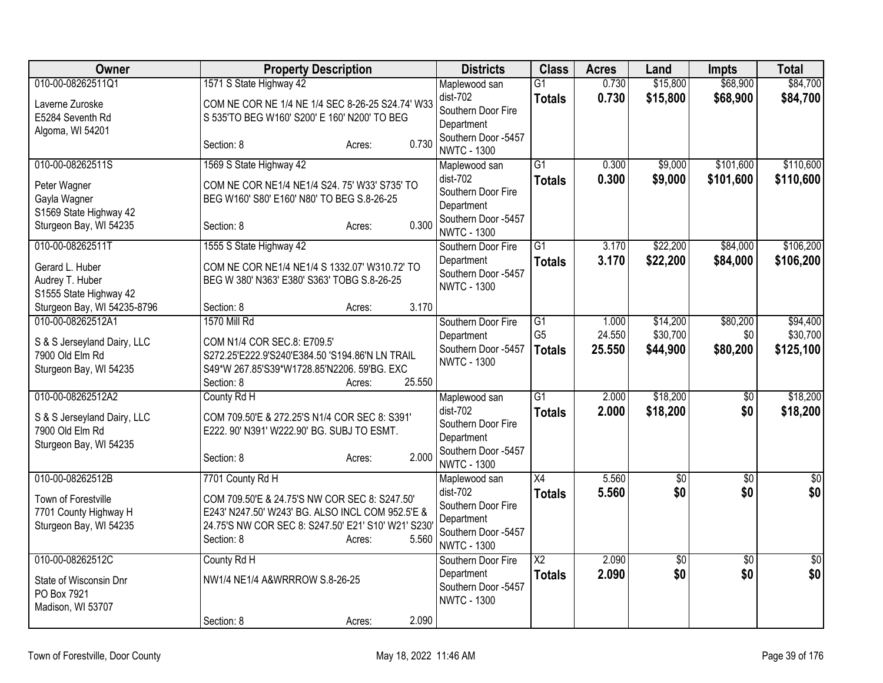| <b>Owner</b>                                                                                                                 | <b>Property Description</b>                                                                                                                                                                                  | <b>Districts</b>                                                                                             | <b>Class</b>                            | <b>Acres</b>              | Land                             | <b>Impts</b>                | <b>Total</b>                      |
|------------------------------------------------------------------------------------------------------------------------------|--------------------------------------------------------------------------------------------------------------------------------------------------------------------------------------------------------------|--------------------------------------------------------------------------------------------------------------|-----------------------------------------|---------------------------|----------------------------------|-----------------------------|-----------------------------------|
| 010-00-08262511Q1<br>Laverne Zuroske<br>E5284 Seventh Rd<br>Algoma, WI 54201                                                 | 1571 S State Highway 42<br>COM NE COR NE 1/4 NE 1/4 SEC 8-26-25 S24.74' W33<br>S 535'TO BEG W160' S200' E 160' N200' TO BEG                                                                                  | Maplewood san<br>$dist-702$<br>Southern Door Fire<br>Department                                              | $\overline{G1}$<br><b>Totals</b>        | 0.730<br>0.730            | \$15,800<br>\$15,800             | \$68,900<br>\$68,900        | \$84,700<br>\$84,700              |
|                                                                                                                              | 0.730<br>Section: 8<br>Acres:                                                                                                                                                                                | Southern Door -5457<br><b>NWTC - 1300</b>                                                                    |                                         |                           |                                  |                             |                                   |
| 010-00-08262511S<br>Peter Wagner<br>Gayla Wagner<br>S1569 State Highway 42<br>Sturgeon Bay, WI 54235                         | 1569 S State Highway 42<br>COM NE COR NE1/4 NE1/4 S24. 75' W33' S735' TO<br>BEG W160' S80' E160' N80' TO BEG S.8-26-25<br>0.300<br>Section: 8<br>Acres:                                                      | Maplewood san<br>dist-702<br>Southern Door Fire<br>Department<br>Southern Door -5457<br><b>NWTC - 1300</b>   | $\overline{G1}$<br><b>Totals</b>        | 0.300<br>0.300            | \$9,000<br>\$9,000               | \$101,600<br>\$101,600      | \$110,600<br>\$110,600            |
| 010-00-08262511T<br>Gerard L. Huber<br>Audrey T. Huber<br>S1555 State Highway 42                                             | 1555 S State Highway 42<br>COM NE COR NE1/4 NE1/4 S 1332.07' W310.72' TO<br>BEG W 380' N363' E380' S363' TOBG S.8-26-25                                                                                      | Southern Door Fire<br>Department<br>Southern Door -5457<br><b>NWTC - 1300</b>                                | $\overline{G1}$<br><b>Totals</b>        | 3.170<br>3.170            | \$22,200<br>\$22,200             | \$84,000<br>\$84,000        | \$106,200<br>\$106,200            |
| Sturgeon Bay, WI 54235-8796<br>010-00-08262512A1<br>S & S Jerseyland Dairy, LLC<br>7900 Old Elm Rd<br>Sturgeon Bay, WI 54235 | 3.170<br>Section: 8<br>Acres:<br><b>1570 Mill Rd</b><br>COM N1/4 COR SEC.8: E709.5'<br>S272.25'E222.9'S240'E384.50 'S194.86'N LN TRAIL<br>S49*W 267.85'S39*W1728.85'N2206. 59'BG. EXC                        | Southern Door Fire<br>Department<br>Southern Door -5457<br><b>NWTC - 1300</b>                                | G1<br>G <sub>5</sub><br><b>Totals</b>   | 1.000<br>24.550<br>25.550 | \$14,200<br>\$30,700<br>\$44,900 | \$80,200<br>\$0<br>\$80,200 | \$94,400<br>\$30,700<br>\$125,100 |
| 010-00-08262512A2<br>S & S Jerseyland Dairy, LLC<br>7900 Old Elm Rd<br>Sturgeon Bay, WI 54235                                | 25.550<br>Section: 8<br>Acres:<br>County Rd H<br>COM 709.50'E & 272.25'S N1/4 COR SEC 8: S391'<br>E222. 90' N391' W222.90' BG. SUBJ TO ESMT.<br>2.000<br>Section: 8<br>Acres:                                | Maplewood san<br>$dist-702$<br>Southern Door Fire<br>Department<br>Southern Door -5457<br><b>NWTC - 1300</b> | $\overline{G1}$<br><b>Totals</b>        | 2.000<br>2.000            | \$18,200<br>\$18,200             | $\sqrt{6}$<br>\$0           | \$18,200<br>\$18,200              |
| 010-00-08262512B<br>Town of Forestville<br>7701 County Highway H<br>Sturgeon Bay, WI 54235                                   | 7701 County Rd H<br>COM 709.50'E & 24.75'S NW COR SEC 8: S247.50'<br>E243' N247.50' W243' BG. ALSO INCL COM 952.5'E &<br>24.75'S NW COR SEC 8: S247.50' E21' S10' W21' S230<br>5.560<br>Section: 8<br>Acres: | Maplewood san<br>dist-702<br>Southern Door Fire<br>Department<br>Southern Door -5457<br><b>NWTC - 1300</b>   | $\overline{X4}$<br><b>Totals</b>        | 5.560<br>5.560            | $\overline{50}$<br>\$0           | $\overline{50}$<br>\$0      | $\overline{50}$<br>\$0            |
| 010-00-08262512C<br>State of Wisconsin Dnr<br>PO Box 7921<br>Madison, WI 53707                                               | County Rd H<br>NW1/4 NE1/4 A&WRRROW S.8-26-25<br>2.090<br>Section: 8<br>Acres:                                                                                                                               | Southern Door Fire<br>Department<br>Southern Door -5457<br><b>NWTC - 1300</b>                                | $\overline{\text{X2}}$<br><b>Totals</b> | 2.090<br>2.090            | $\overline{50}$<br>\$0           | $\overline{50}$<br>\$0      | $\overline{50}$<br>\$0            |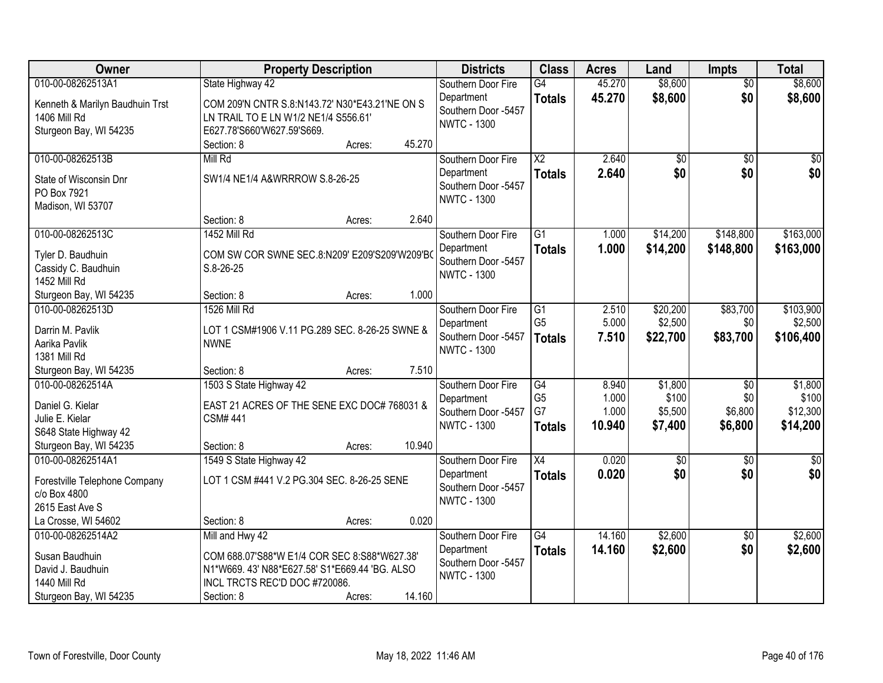| Owner                           |                                                | <b>Property Description</b> |        | <b>Districts</b>    | <b>Class</b>           | <b>Acres</b> | Land            | <b>Impts</b>    | <b>Total</b>    |
|---------------------------------|------------------------------------------------|-----------------------------|--------|---------------------|------------------------|--------------|-----------------|-----------------|-----------------|
| 010-00-08262513A1               | State Highway 42                               |                             |        | Southern Door Fire  | G4                     | 45.270       | \$8,600         | $\overline{50}$ | \$8,600         |
| Kenneth & Marilyn Baudhuin Trst | COM 209'N CNTR S.8:N143.72' N30*E43.21'NE ON S |                             |        | Department          | <b>Totals</b>          | 45.270       | \$8,600         | \$0             | \$8,600         |
| 1406 Mill Rd                    | LN TRAIL TO E LN W1/2 NE1/4 S556.61'           |                             |        | Southern Door -5457 |                        |              |                 |                 |                 |
| Sturgeon Bay, WI 54235          | E627.78'S660'W627.59'S669.                     |                             |        | <b>NWTC - 1300</b>  |                        |              |                 |                 |                 |
|                                 | Section: 8                                     | Acres:                      | 45.270 |                     |                        |              |                 |                 |                 |
| 010-00-08262513B                | Mill Rd                                        |                             |        | Southern Door Fire  | $\overline{\text{X2}}$ | 2.640        | $\overline{50}$ | $\overline{50}$ | $\overline{50}$ |
| State of Wisconsin Dnr          | SW1/4 NE1/4 A&WRRROW S.8-26-25                 |                             |        | Department          | <b>Totals</b>          | 2.640        | \$0             | \$0             | \$0             |
| PO Box 7921                     |                                                |                             |        | Southern Door -5457 |                        |              |                 |                 |                 |
| Madison, WI 53707               |                                                |                             |        | <b>NWTC - 1300</b>  |                        |              |                 |                 |                 |
|                                 | Section: 8                                     | Acres:                      | 2.640  |                     |                        |              |                 |                 |                 |
| 010-00-08262513C                | 1452 Mill Rd                                   |                             |        | Southern Door Fire  | G1                     | 1.000        | \$14,200        | \$148,800       | \$163,000       |
| Tyler D. Baudhuin               | COM SW COR SWNE SEC.8:N209' E209'S209'W209'BO  |                             |        | Department          | <b>Totals</b>          | 1.000        | \$14,200        | \$148,800       | \$163,000       |
| Cassidy C. Baudhuin             | $S.8 - 26 - 25$                                |                             |        | Southern Door -5457 |                        |              |                 |                 |                 |
| <b>1452 Mill Rd</b>             |                                                |                             |        | <b>NWTC - 1300</b>  |                        |              |                 |                 |                 |
| Sturgeon Bay, WI 54235          | Section: 8                                     | Acres:                      | 1.000  |                     |                        |              |                 |                 |                 |
| 010-00-08262513D                | 1526 Mill Rd                                   |                             |        | Southern Door Fire  | G1                     | 2.510        | \$20,200        | \$83,700        | \$103,900       |
| Darrin M. Pavlik                | LOT 1 CSM#1906 V.11 PG.289 SEC. 8-26-25 SWNE & |                             |        | Department          | G <sub>5</sub>         | 5.000        | \$2,500         | \$0             | \$2,500         |
| Aarika Pavlik                   | <b>NWNE</b>                                    |                             |        | Southern Door -5457 | <b>Totals</b>          | 7.510        | \$22,700        | \$83,700        | \$106,400       |
| 1381 Mill Rd                    |                                                |                             |        | <b>NWTC - 1300</b>  |                        |              |                 |                 |                 |
| Sturgeon Bay, WI 54235          | Section: 8                                     | Acres:                      | 7.510  |                     |                        |              |                 |                 |                 |
| 010-00-08262514A                | 1503 S State Highway 42                        |                             |        | Southern Door Fire  | G4                     | 8.940        | \$1,800         | $\overline{50}$ | \$1,800         |
| Daniel G. Kielar                | EAST 21 ACRES OF THE SENE EXC DOC# 768031 &    |                             |        | Department          | G <sub>5</sub>         | 1.000        | \$100           | \$0             | \$100           |
| Julie E. Kielar                 | <b>CSM#441</b>                                 |                             |        | Southern Door -5457 | G7                     | 1.000        | \$5,500         | \$6,800         | \$12,300        |
| S648 State Highway 42           |                                                |                             |        | <b>NWTC - 1300</b>  | <b>Totals</b>          | 10.940       | \$7,400         | \$6,800         | \$14,200        |
| Sturgeon Bay, WI 54235          | Section: 8                                     | Acres:                      | 10.940 |                     |                        |              |                 |                 |                 |
| 010-00-08262514A1               | 1549 S State Highway 42                        |                             |        | Southern Door Fire  | $\overline{X4}$        | 0.020        | $\overline{60}$ | $\overline{50}$ | $\overline{50}$ |
| Forestville Telephone Company   | LOT 1 CSM #441 V.2 PG.304 SEC. 8-26-25 SENE    |                             |        | Department          | <b>Totals</b>          | 0.020        | \$0             | \$0             | \$0             |
| c/o Box 4800                    |                                                |                             |        | Southern Door -5457 |                        |              |                 |                 |                 |
| 2615 East Ave S                 |                                                |                             |        | <b>NWTC - 1300</b>  |                        |              |                 |                 |                 |
| La Crosse, WI 54602             | Section: 8                                     | Acres:                      | 0.020  |                     |                        |              |                 |                 |                 |
| 010-00-08262514A2               | Mill and Hwy 42                                |                             |        | Southern Door Fire  | $\overline{G4}$        | 14.160       | \$2,600         | $\overline{30}$ | \$2,600         |
| Susan Baudhuin                  | COM 688.07'S88*W E1/4 COR SEC 8:S88*W627.38'   |                             |        | Department          | <b>Totals</b>          | 14.160       | \$2,600         | \$0             | \$2,600         |
| David J. Baudhuin               | N1*W669. 43' N88*E627.58' S1*E669.44 'BG. ALSO |                             |        | Southern Door -5457 |                        |              |                 |                 |                 |
| 1440 Mill Rd                    | INCL TRCTS REC'D DOC #720086.                  |                             |        | <b>NWTC - 1300</b>  |                        |              |                 |                 |                 |
| Sturgeon Bay, WI 54235          | Section: 8                                     | Acres:                      | 14.160 |                     |                        |              |                 |                 |                 |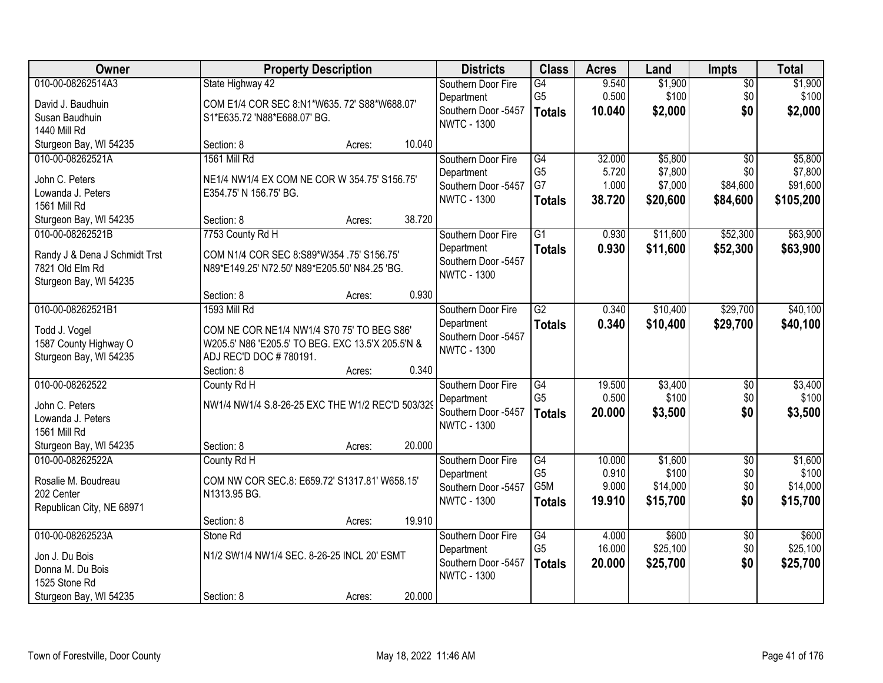| Owner                                      | <b>Property Description</b>                       |                  | <b>Districts</b>                  | <b>Class</b>         | <b>Acres</b>    | Land                 | <b>Impts</b>           | <b>Total</b>       |
|--------------------------------------------|---------------------------------------------------|------------------|-----------------------------------|----------------------|-----------------|----------------------|------------------------|--------------------|
| 010-00-08262514A3                          | State Highway 42                                  |                  | Southern Door Fire                | $\overline{G4}$      | 9.540           | \$1,900              | $\sqrt{$0}$            | \$1,900            |
| David J. Baudhuin                          | COM E1/4 COR SEC 8:N1*W635. 72' S88*W688.07'      |                  | Department<br>Southern Door -5457 | G <sub>5</sub>       | 0.500           | \$100                | \$0<br>\$0             | \$100              |
| Susan Baudhuin                             | S1*E635.72 'N88*E688.07' BG.                      |                  | <b>NWTC - 1300</b>                | <b>Totals</b>        | 10.040          | \$2,000              |                        | \$2,000            |
| <b>1440 Mill Rd</b>                        |                                                   |                  |                                   |                      |                 |                      |                        |                    |
| Sturgeon Bay, WI 54235                     | Section: 8                                        | 10.040<br>Acres: |                                   |                      |                 |                      |                        |                    |
| 010-00-08262521A                           | 1561 Mill Rd                                      |                  | Southern Door Fire                | G4<br>G <sub>5</sub> | 32.000<br>5.720 | \$5,800<br>\$7,800   | $\overline{50}$<br>\$0 | \$5,800<br>\$7,800 |
| John C. Peters                             | NE1/4 NW1/4 EX COM NE COR W 354.75' S156.75'      |                  | Department<br>Southern Door -5457 | G7                   | 1.000           | \$7,000              | \$84,600               | \$91,600           |
| Lowanda J. Peters                          | E354.75' N 156.75' BG.                            |                  | <b>NWTC - 1300</b>                | <b>Totals</b>        | 38.720          | \$20,600             | \$84,600               | \$105,200          |
| 1561 Mill Rd                               |                                                   |                  |                                   |                      |                 |                      |                        |                    |
| Sturgeon Bay, WI 54235                     | Section: 8                                        | 38.720<br>Acres: |                                   |                      |                 |                      |                        |                    |
| 010-00-08262521B                           | 7753 County Rd H                                  |                  | Southern Door Fire                | $\overline{G1}$      | 0.930           | \$11,600             | \$52,300               | \$63,900           |
| Randy J & Dena J Schmidt Trst              | COM N1/4 COR SEC 8:S89*W354 .75' S156.75'         |                  | Department<br>Southern Door -5457 | <b>Totals</b>        | 0.930           | \$11,600             | \$52,300               | \$63,900           |
| 7821 Old Elm Rd                            | N89*E149.25' N72.50' N89*E205.50' N84.25 'BG.     |                  | <b>NWTC - 1300</b>                |                      |                 |                      |                        |                    |
| Sturgeon Bay, WI 54235                     |                                                   |                  |                                   |                      |                 |                      |                        |                    |
| 010-00-08262521B1                          | Section: 8<br>1593 Mill Rd                        | 0.930<br>Acres:  |                                   | $\overline{G2}$      | 0.340           |                      |                        |                    |
|                                            |                                                   |                  | Southern Door Fire<br>Department  |                      | 0.340           | \$10,400<br>\$10,400 | \$29,700               | \$40,100           |
| Todd J. Vogel                              | COM NE COR NE1/4 NW1/4 S70 75' TO BEG S86'        |                  | Southern Door -5457               | <b>Totals</b>        |                 |                      | \$29,700               | \$40,100           |
| 1587 County Highway O                      | W205.5' N86 'E205.5' TO BEG. EXC 13.5'X 205.5'N & |                  | <b>NWTC - 1300</b>                |                      |                 |                      |                        |                    |
| Sturgeon Bay, WI 54235                     | ADJ REC'D DOC #780191.                            |                  |                                   |                      |                 |                      |                        |                    |
| 010-00-08262522                            | Section: 8                                        | 0.340<br>Acres:  |                                   | $\overline{G4}$      | 19.500          | \$3,400              |                        | \$3,400            |
|                                            | County Rd H                                       |                  | Southern Door Fire<br>Department  | G <sub>5</sub>       | 0.500           | \$100                | $\overline{50}$<br>\$0 | \$100              |
| John C. Peters                             | NW1/4 NW1/4 S.8-26-25 EXC THE W1/2 REC'D 503/329  |                  | Southern Door -5457               | <b>Totals</b>        | 20,000          | \$3,500              | \$0                    | \$3,500            |
| Lowanda J. Peters                          |                                                   |                  | <b>NWTC - 1300</b>                |                      |                 |                      |                        |                    |
| 1561 Mill Rd                               |                                                   |                  |                                   |                      |                 |                      |                        |                    |
| Sturgeon Bay, WI 54235<br>010-00-08262522A | Section: 8                                        | 20.000<br>Acres: |                                   | G4                   | 10.000          | \$1,600              |                        | \$1,600            |
|                                            | County Rd H                                       |                  | Southern Door Fire<br>Department  | G <sub>5</sub>       | 0.910           | \$100                | $\sqrt{6}$<br>\$0      | \$100              |
| Rosalie M. Boudreau                        | COM NW COR SEC.8: E659.72' S1317.81' W658.15'     |                  | Southern Door -5457               | G5M                  | 9.000           | \$14,000             | \$0                    | \$14,000           |
| 202 Center                                 | N1313.95 BG.                                      |                  | <b>NWTC - 1300</b>                | <b>Totals</b>        | 19.910          | \$15,700             | \$0                    | \$15,700           |
| Republican City, NE 68971                  |                                                   | 19.910           |                                   |                      |                 |                      |                        |                    |
| 010-00-08262523A                           | Section: 8<br>Stone Rd                            | Acres:           | Southern Door Fire                | G4                   | 4.000           | \$600                |                        | \$600              |
|                                            |                                                   |                  | Department                        | G <sub>5</sub>       | 16.000          | \$25,100             | $\overline{60}$<br>\$0 | \$25,100           |
| Jon J. Du Bois                             | N1/2 SW1/4 NW1/4 SEC. 8-26-25 INCL 20' ESMT       |                  | Southern Door -5457               | <b>Totals</b>        | 20.000          | \$25,700             | \$0                    | \$25,700           |
| Donna M. Du Bois                           |                                                   |                  | <b>NWTC - 1300</b>                |                      |                 |                      |                        |                    |
| 1525 Stone Rd                              |                                                   |                  |                                   |                      |                 |                      |                        |                    |
| Sturgeon Bay, WI 54235                     | Section: 8                                        | 20.000<br>Acres: |                                   |                      |                 |                      |                        |                    |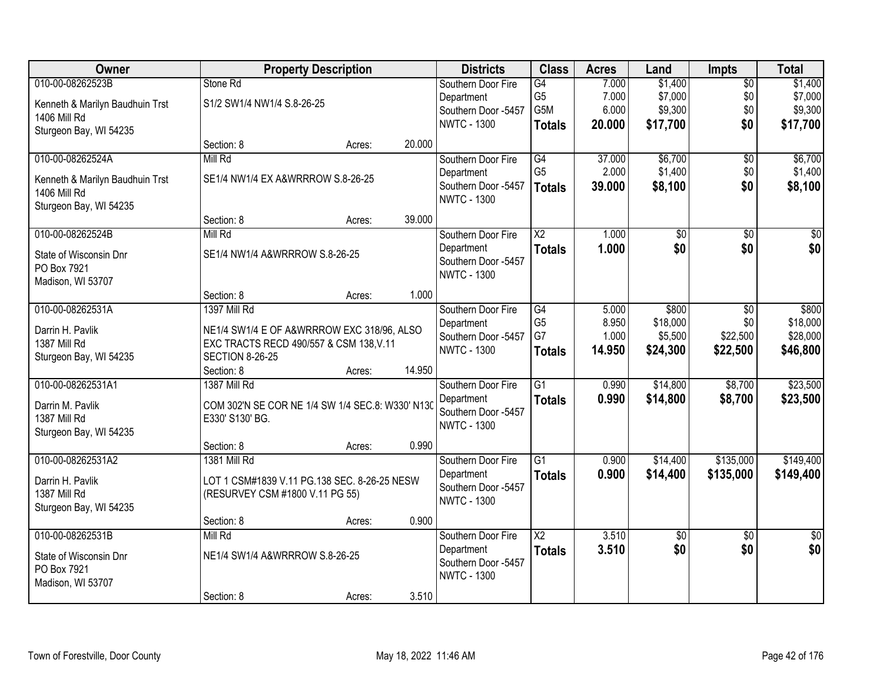| Owner                           |                                                                     | <b>Property Description</b> |        | <b>Districts</b>    | <b>Class</b>           | <b>Acres</b> | Land       | <b>Impts</b>    | <b>Total</b>    |
|---------------------------------|---------------------------------------------------------------------|-----------------------------|--------|---------------------|------------------------|--------------|------------|-----------------|-----------------|
| 010-00-08262523B                | Stone Rd                                                            |                             |        | Southern Door Fire  | $\overline{G4}$        | 7.000        | \$1,400    | $\overline{50}$ | \$1,400         |
| Kenneth & Marilyn Baudhuin Trst | S1/2 SW1/4 NW1/4 S.8-26-25                                          |                             |        | Department          | G <sub>5</sub>         | 7.000        | \$7,000    | \$0             | \$7,000         |
| 1406 Mill Rd                    |                                                                     |                             |        | Southern Door -5457 | G5M                    | 6.000        | \$9,300    | \$0             | \$9,300         |
| Sturgeon Bay, WI 54235          |                                                                     |                             |        | <b>NWTC - 1300</b>  | <b>Totals</b>          | 20.000       | \$17,700   | \$0             | \$17,700        |
|                                 | Section: 8                                                          | Acres:                      | 20.000 |                     |                        |              |            |                 |                 |
| 010-00-08262524A                | Mill Rd                                                             |                             |        | Southern Door Fire  | G4                     | 37.000       | \$6,700    | $\overline{50}$ | \$6,700         |
| Kenneth & Marilyn Baudhuin Trst | SE1/4 NW1/4 EX A&WRRROW S.8-26-25                                   |                             |        | Department          | G <sub>5</sub>         | 2.000        | \$1,400    | \$0             | \$1,400         |
| <b>1406 Mill Rd</b>             |                                                                     |                             |        | Southern Door -5457 | <b>Totals</b>          | 39.000       | \$8,100    | \$0             | \$8,100         |
| Sturgeon Bay, WI 54235          |                                                                     |                             |        | <b>NWTC - 1300</b>  |                        |              |            |                 |                 |
|                                 | Section: 8                                                          | Acres:                      | 39.000 |                     |                        |              |            |                 |                 |
| 010-00-08262524B                | Mill Rd                                                             |                             |        | Southern Door Fire  | X2                     | 1.000        | \$0        | \$0             | \$0             |
| State of Wisconsin Dnr          | SE1/4 NW1/4 A&WRRROW S.8-26-25                                      |                             |        | Department          | <b>Totals</b>          | 1.000        | \$0        | \$0             | \$0             |
| PO Box 7921                     |                                                                     |                             |        | Southern Door -5457 |                        |              |            |                 |                 |
| Madison, WI 53707               |                                                                     |                             |        | <b>NWTC - 1300</b>  |                        |              |            |                 |                 |
|                                 | Section: 8                                                          | Acres:                      | 1.000  |                     |                        |              |            |                 |                 |
| 010-00-08262531A                | <b>1397 Mill Rd</b>                                                 |                             |        | Southern Door Fire  | G4                     | 5.000        | \$800      | \$0             | \$800           |
| Darrin H. Pavlik                | NE1/4 SW1/4 E OF A&WRRROW EXC 318/96, ALSO                          |                             |        | Department          | G <sub>5</sub>         | 8.950        | \$18,000   | \$0             | \$18,000        |
| 1387 Mill Rd                    | EXC TRACTS RECD 490/557 & CSM 138, V.11                             |                             |        | Southern Door -5457 | G7                     | 1.000        | \$5,500    | \$22,500        | \$28,000        |
| Sturgeon Bay, WI 54235          | <b>SECTION 8-26-25</b>                                              |                             |        | <b>NWTC - 1300</b>  | <b>Totals</b>          | 14.950       | \$24,300   | \$22,500        | \$46,800        |
|                                 | Section: 8                                                          | Acres:                      | 14.950 |                     |                        |              |            |                 |                 |
| 010-00-08262531A1               | 1387 Mill Rd                                                        |                             |        | Southern Door Fire  | $\overline{G1}$        | 0.990        | \$14,800   | \$8,700         | \$23,500        |
| Darrin M. Pavlik                |                                                                     |                             |        | Department          | <b>Totals</b>          | 0.990        | \$14,800   | \$8,700         | \$23,500        |
| 1387 Mill Rd                    | COM 302'N SE COR NE 1/4 SW 1/4 SEC.8: W330' N130<br>E330' S130' BG. |                             |        | Southern Door -5457 |                        |              |            |                 |                 |
| Sturgeon Bay, WI 54235          |                                                                     |                             |        | <b>NWTC - 1300</b>  |                        |              |            |                 |                 |
|                                 | Section: 8                                                          | Acres:                      | 0.990  |                     |                        |              |            |                 |                 |
| 010-00-08262531A2               | 1381 Mill Rd                                                        |                             |        | Southern Door Fire  | $\overline{G1}$        | 0.900        | \$14,400   | \$135,000       | \$149,400       |
| Darrin H. Pavlik                | LOT 1 CSM#1839 V.11 PG.138 SEC. 8-26-25 NESW                        |                             |        | Department          | <b>Totals</b>          | 0.900        | \$14,400   | \$135,000       | \$149,400       |
| 1387 Mill Rd                    | (RESURVEY CSM #1800 V.11 PG 55)                                     |                             |        | Southern Door -5457 |                        |              |            |                 |                 |
| Sturgeon Bay, WI 54235          |                                                                     |                             |        | <b>NWTC - 1300</b>  |                        |              |            |                 |                 |
|                                 | Section: 8                                                          | Acres:                      | 0.900  |                     |                        |              |            |                 |                 |
| 010-00-08262531B                | Mill Rd                                                             |                             |        | Southern Door Fire  | $\overline{\text{X2}}$ | 3.510        | $\sqrt{6}$ | $\overline{30}$ | $\overline{50}$ |
| State of Wisconsin Dnr          | NE1/4 SW1/4 A&WRRROW S.8-26-25                                      |                             |        | Department          | <b>Totals</b>          | 3.510        | \$0        | \$0             | \$0             |
| PO Box 7921                     |                                                                     |                             |        | Southern Door -5457 |                        |              |            |                 |                 |
| Madison, WI 53707               |                                                                     |                             |        | <b>NWTC - 1300</b>  |                        |              |            |                 |                 |
|                                 | Section: 8                                                          | Acres:                      | 3.510  |                     |                        |              |            |                 |                 |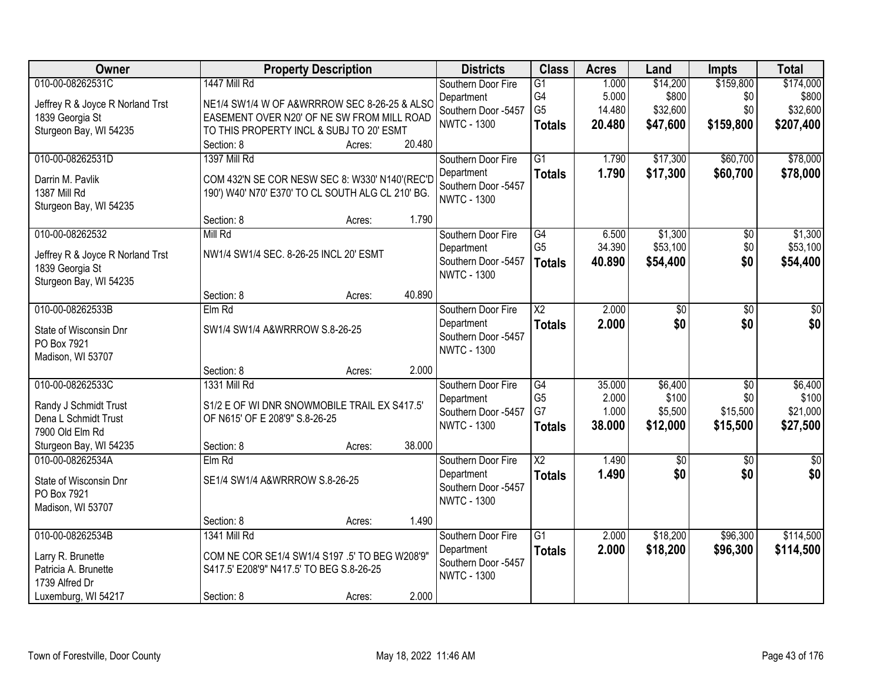| \$159,800<br>010-00-08262531C<br>1447 Mill Rd<br>\$14,200<br>\$174,000<br>$\overline{G1}$<br>1.000<br>Southern Door Fire<br>G4<br>\$800<br>5.000<br>\$0<br>\$800<br>Department<br>Jeffrey R & Joyce R Norland Trst<br>NE1/4 SW1/4 W OF A&WRRROW SEC 8-26-25 & ALSO<br>G <sub>5</sub><br>\$32,600<br>\$0<br>\$32,600<br>14.480<br>Southern Door -5457<br>EASEMENT OVER N20' OF NE SW FROM MILL ROAD<br>1839 Georgia St<br><b>NWTC - 1300</b><br>\$47,600<br>\$159,800<br>\$207,400<br>20.480<br><b>Totals</b><br>TO THIS PROPERTY INCL & SUBJ TO 20' ESMT<br>Sturgeon Bay, WI 54235<br>20.480<br>Section: 8<br>Acres:<br>010-00-08262531D<br>1397 Mill Rd<br>$\overline{G1}$<br>\$17,300<br>\$60,700<br>\$78,000<br>1.790<br>Southern Door Fire<br>1.790<br>\$17,300<br>\$60,700<br>\$78,000<br>Department<br><b>Totals</b><br>Darrin M. Pavlik<br>COM 432'N SE COR NESW SEC 8: W330' N140'(REC'D<br>Southern Door -5457<br>190') W40' N70' E370' TO CL SOUTH ALG CL 210' BG.<br>1387 Mill Rd<br><b>NWTC - 1300</b><br>Sturgeon Bay, WI 54235<br>Section: 8<br>1.790<br>Acres:<br>010-00-08262532<br>\$1,300<br>Mill Rd<br>$\overline{G4}$<br>6.500<br>$\overline{50}$<br>\$1,300<br>Southern Door Fire<br>G <sub>5</sub><br>\$53,100<br>\$0<br>\$53,100<br>34.390<br>Department<br>NW1/4 SW1/4 SEC. 8-26-25 INCL 20' ESMT<br>Jeffrey R & Joyce R Norland Trst<br>Southern Door -5457<br>40.890<br>\$54,400<br>\$0<br>\$54,400<br><b>Totals</b> |
|------------------------------------------------------------------------------------------------------------------------------------------------------------------------------------------------------------------------------------------------------------------------------------------------------------------------------------------------------------------------------------------------------------------------------------------------------------------------------------------------------------------------------------------------------------------------------------------------------------------------------------------------------------------------------------------------------------------------------------------------------------------------------------------------------------------------------------------------------------------------------------------------------------------------------------------------------------------------------------------------------------------------------------------------------------------------------------------------------------------------------------------------------------------------------------------------------------------------------------------------------------------------------------------------------------------------------------------------------------------------------------------------------------------------------------------------|
|                                                                                                                                                                                                                                                                                                                                                                                                                                                                                                                                                                                                                                                                                                                                                                                                                                                                                                                                                                                                                                                                                                                                                                                                                                                                                                                                                                                                                                                |
|                                                                                                                                                                                                                                                                                                                                                                                                                                                                                                                                                                                                                                                                                                                                                                                                                                                                                                                                                                                                                                                                                                                                                                                                                                                                                                                                                                                                                                                |
|                                                                                                                                                                                                                                                                                                                                                                                                                                                                                                                                                                                                                                                                                                                                                                                                                                                                                                                                                                                                                                                                                                                                                                                                                                                                                                                                                                                                                                                |
|                                                                                                                                                                                                                                                                                                                                                                                                                                                                                                                                                                                                                                                                                                                                                                                                                                                                                                                                                                                                                                                                                                                                                                                                                                                                                                                                                                                                                                                |
|                                                                                                                                                                                                                                                                                                                                                                                                                                                                                                                                                                                                                                                                                                                                                                                                                                                                                                                                                                                                                                                                                                                                                                                                                                                                                                                                                                                                                                                |
|                                                                                                                                                                                                                                                                                                                                                                                                                                                                                                                                                                                                                                                                                                                                                                                                                                                                                                                                                                                                                                                                                                                                                                                                                                                                                                                                                                                                                                                |
|                                                                                                                                                                                                                                                                                                                                                                                                                                                                                                                                                                                                                                                                                                                                                                                                                                                                                                                                                                                                                                                                                                                                                                                                                                                                                                                                                                                                                                                |
|                                                                                                                                                                                                                                                                                                                                                                                                                                                                                                                                                                                                                                                                                                                                                                                                                                                                                                                                                                                                                                                                                                                                                                                                                                                                                                                                                                                                                                                |
|                                                                                                                                                                                                                                                                                                                                                                                                                                                                                                                                                                                                                                                                                                                                                                                                                                                                                                                                                                                                                                                                                                                                                                                                                                                                                                                                                                                                                                                |
|                                                                                                                                                                                                                                                                                                                                                                                                                                                                                                                                                                                                                                                                                                                                                                                                                                                                                                                                                                                                                                                                                                                                                                                                                                                                                                                                                                                                                                                |
|                                                                                                                                                                                                                                                                                                                                                                                                                                                                                                                                                                                                                                                                                                                                                                                                                                                                                                                                                                                                                                                                                                                                                                                                                                                                                                                                                                                                                                                |
|                                                                                                                                                                                                                                                                                                                                                                                                                                                                                                                                                                                                                                                                                                                                                                                                                                                                                                                                                                                                                                                                                                                                                                                                                                                                                                                                                                                                                                                |
| 1839 Georgia St<br><b>NWTC - 1300</b>                                                                                                                                                                                                                                                                                                                                                                                                                                                                                                                                                                                                                                                                                                                                                                                                                                                                                                                                                                                                                                                                                                                                                                                                                                                                                                                                                                                                          |
| Sturgeon Bay, WI 54235                                                                                                                                                                                                                                                                                                                                                                                                                                                                                                                                                                                                                                                                                                                                                                                                                                                                                                                                                                                                                                                                                                                                                                                                                                                                                                                                                                                                                         |
| 40.890<br>Section: 8<br>Acres:                                                                                                                                                                                                                                                                                                                                                                                                                                                                                                                                                                                                                                                                                                                                                                                                                                                                                                                                                                                                                                                                                                                                                                                                                                                                                                                                                                                                                 |
| 010-00-08262533B<br>Elm Rd<br>$\overline{\text{X2}}$<br>2.000<br>Southern Door Fire<br>\$0<br>\$0<br>\$0<br>\$0<br>\$0<br>2.000<br>\$0<br>Department                                                                                                                                                                                                                                                                                                                                                                                                                                                                                                                                                                                                                                                                                                                                                                                                                                                                                                                                                                                                                                                                                                                                                                                                                                                                                           |
| <b>Totals</b><br>SW1/4 SW1/4 A&WRRROW S.8-26-25<br>State of Wisconsin Dnr<br>Southern Door -5457                                                                                                                                                                                                                                                                                                                                                                                                                                                                                                                                                                                                                                                                                                                                                                                                                                                                                                                                                                                                                                                                                                                                                                                                                                                                                                                                               |
| PO Box 7921<br><b>NWTC - 1300</b>                                                                                                                                                                                                                                                                                                                                                                                                                                                                                                                                                                                                                                                                                                                                                                                                                                                                                                                                                                                                                                                                                                                                                                                                                                                                                                                                                                                                              |
| Madison, WI 53707                                                                                                                                                                                                                                                                                                                                                                                                                                                                                                                                                                                                                                                                                                                                                                                                                                                                                                                                                                                                                                                                                                                                                                                                                                                                                                                                                                                                                              |
| 2.000<br>Section: 8<br>Acres:<br>010-00-08262533C<br>$\overline{G4}$<br>35.000<br>\$6,400<br>$\overline{50}$<br>\$6,400<br>1331 Mill Rd                                                                                                                                                                                                                                                                                                                                                                                                                                                                                                                                                                                                                                                                                                                                                                                                                                                                                                                                                                                                                                                                                                                                                                                                                                                                                                        |
| Southern Door Fire<br>G <sub>5</sub><br>2.000<br>\$100<br>\$100<br>\$0<br>Department                                                                                                                                                                                                                                                                                                                                                                                                                                                                                                                                                                                                                                                                                                                                                                                                                                                                                                                                                                                                                                                                                                                                                                                                                                                                                                                                                           |
| S1/2 E OF WI DNR SNOWMOBILE TRAIL EX S417.5'<br>Randy J Schmidt Trust<br>G7<br>\$21,000<br>1.000<br>\$5,500<br>\$15,500<br>Southern Door -5457                                                                                                                                                                                                                                                                                                                                                                                                                                                                                                                                                                                                                                                                                                                                                                                                                                                                                                                                                                                                                                                                                                                                                                                                                                                                                                 |
| Dena L Schmidt Trust<br>OF N615' OF E 208'9" S.8-26-25<br>38.000<br><b>NWTC - 1300</b><br>\$12,000<br>\$15,500<br>\$27,500<br><b>Totals</b>                                                                                                                                                                                                                                                                                                                                                                                                                                                                                                                                                                                                                                                                                                                                                                                                                                                                                                                                                                                                                                                                                                                                                                                                                                                                                                    |
| 7900 Old Elm Rd<br>38.000                                                                                                                                                                                                                                                                                                                                                                                                                                                                                                                                                                                                                                                                                                                                                                                                                                                                                                                                                                                                                                                                                                                                                                                                                                                                                                                                                                                                                      |
| Sturgeon Bay, WI 54235<br>Section: 8<br>Acres:<br>$\overline{\text{X2}}$<br>010-00-08262534A<br>1.490<br>$\overline{60}$<br>$\overline{50}$<br>$\overline{30}$<br>$Elm$ Rd<br>Southern Door Fire                                                                                                                                                                                                                                                                                                                                                                                                                                                                                                                                                                                                                                                                                                                                                                                                                                                                                                                                                                                                                                                                                                                                                                                                                                               |
| \$0<br>\$0<br>1.490<br>\$0<br>Department<br><b>Totals</b>                                                                                                                                                                                                                                                                                                                                                                                                                                                                                                                                                                                                                                                                                                                                                                                                                                                                                                                                                                                                                                                                                                                                                                                                                                                                                                                                                                                      |
| SE1/4 SW1/4 A&WRRROW S.8-26-25<br>State of Wisconsin Dnr<br>Southern Door -5457                                                                                                                                                                                                                                                                                                                                                                                                                                                                                                                                                                                                                                                                                                                                                                                                                                                                                                                                                                                                                                                                                                                                                                                                                                                                                                                                                                |
| PO Box 7921<br><b>NWTC - 1300</b>                                                                                                                                                                                                                                                                                                                                                                                                                                                                                                                                                                                                                                                                                                                                                                                                                                                                                                                                                                                                                                                                                                                                                                                                                                                                                                                                                                                                              |
| Madison, WI 53707<br>1.490<br>Section: 8                                                                                                                                                                                                                                                                                                                                                                                                                                                                                                                                                                                                                                                                                                                                                                                                                                                                                                                                                                                                                                                                                                                                                                                                                                                                                                                                                                                                       |
| Acres:<br>010-00-08262534B<br>1341 Mill Rd<br>$\overline{G1}$<br>\$18,200<br>\$96,300<br>\$114,500<br>Southern Door Fire<br>2.000                                                                                                                                                                                                                                                                                                                                                                                                                                                                                                                                                                                                                                                                                                                                                                                                                                                                                                                                                                                                                                                                                                                                                                                                                                                                                                              |
| 2.000<br>\$18,200<br>\$96,300<br>\$114,500<br>Department<br><b>Totals</b>                                                                                                                                                                                                                                                                                                                                                                                                                                                                                                                                                                                                                                                                                                                                                                                                                                                                                                                                                                                                                                                                                                                                                                                                                                                                                                                                                                      |
| COM NE COR SE1/4 SW1/4 S197 .5' TO BEG W208'9"<br>Larry R. Brunette<br>Southern Door -5457                                                                                                                                                                                                                                                                                                                                                                                                                                                                                                                                                                                                                                                                                                                                                                                                                                                                                                                                                                                                                                                                                                                                                                                                                                                                                                                                                     |
| Patricia A. Brunette<br>S417.5' E208'9" N417.5' TO BEG S.8-26-25<br><b>NWTC - 1300</b><br>1739 Alfred Dr                                                                                                                                                                                                                                                                                                                                                                                                                                                                                                                                                                                                                                                                                                                                                                                                                                                                                                                                                                                                                                                                                                                                                                                                                                                                                                                                       |
| 2.000<br>Luxemburg, WI 54217<br>Section: 8<br>Acres:                                                                                                                                                                                                                                                                                                                                                                                                                                                                                                                                                                                                                                                                                                                                                                                                                                                                                                                                                                                                                                                                                                                                                                                                                                                                                                                                                                                           |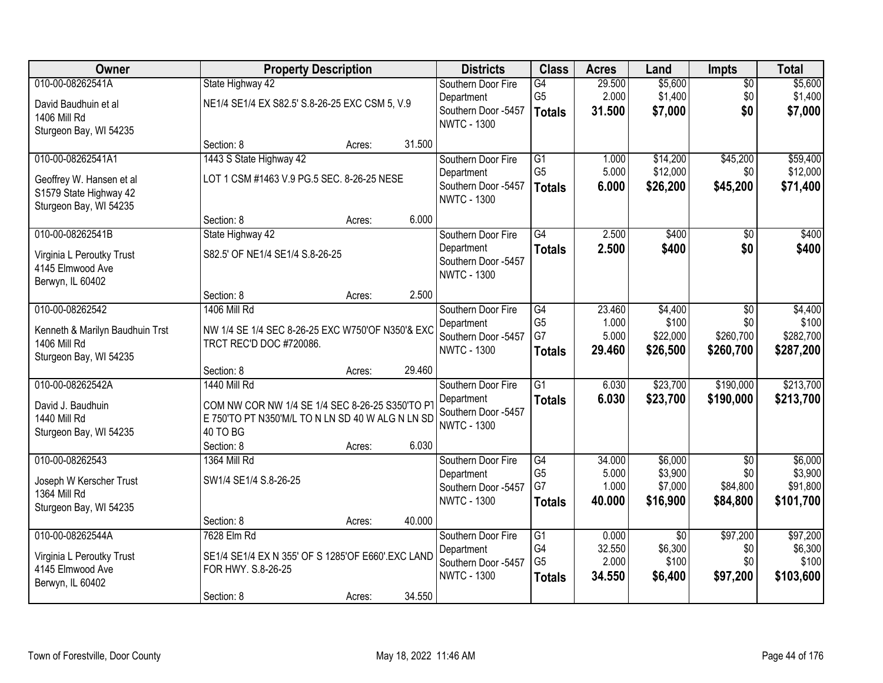| Owner                                                                                             | <b>Property Description</b>                                                                                                            |        |        | <b>Districts</b>                                                              | <b>Class</b>                                             | <b>Acres</b>                       | Land                                           | Impts                                          | <b>Total</b>                                |
|---------------------------------------------------------------------------------------------------|----------------------------------------------------------------------------------------------------------------------------------------|--------|--------|-------------------------------------------------------------------------------|----------------------------------------------------------|------------------------------------|------------------------------------------------|------------------------------------------------|---------------------------------------------|
| 010-00-08262541A<br>David Baudhuin et al<br>1406 Mill Rd<br>Sturgeon Bay, WI 54235                | State Highway 42<br>NE1/4 SE1/4 EX S82.5' S.8-26-25 EXC CSM 5, V.9                                                                     |        |        | Southern Door Fire<br>Department<br>Southern Door -5457<br><b>NWTC - 1300</b> | G4<br>G <sub>5</sub><br><b>Totals</b>                    | 29.500<br>2.000<br>31.500          | \$5,600<br>\$1,400<br>\$7,000                  | $\overline{50}$<br>\$0<br>\$0                  | \$5,600<br>\$1,400<br>\$7,000               |
|                                                                                                   | Section: 8                                                                                                                             | Acres: | 31.500 |                                                                               |                                                          |                                    |                                                |                                                |                                             |
| 010-00-08262541A1<br>Geoffrey W. Hansen et al<br>S1579 State Highway 42<br>Sturgeon Bay, WI 54235 | 1443 S State Highway 42<br>LOT 1 CSM #1463 V.9 PG.5 SEC. 8-26-25 NESE                                                                  |        |        | Southern Door Fire<br>Department<br>Southern Door -5457<br><b>NWTC - 1300</b> | $\overline{G1}$<br>G <sub>5</sub><br><b>Totals</b>       | 1.000<br>5.000<br>6.000            | \$14,200<br>\$12,000<br>\$26,200               | \$45,200<br>\$0<br>\$45,200                    | \$59,400<br>\$12,000<br>\$71,400            |
|                                                                                                   | Section: 8                                                                                                                             | Acres: | 6.000  |                                                                               |                                                          |                                    |                                                |                                                |                                             |
| 010-00-08262541B<br>Virginia L Peroutky Trust<br>4145 Elmwood Ave<br>Berwyn, IL 60402             | State Highway 42<br>S82.5' OF NE1/4 SE1/4 S.8-26-25                                                                                    |        |        | Southern Door Fire<br>Department<br>Southern Door -5457<br><b>NWTC - 1300</b> | $\overline{G4}$<br><b>Totals</b>                         | 2.500<br>2.500                     | \$400<br>\$400                                 | $\overline{50}$<br>\$0                         | \$400<br>\$400                              |
|                                                                                                   | Section: 8                                                                                                                             | Acres: | 2.500  |                                                                               |                                                          |                                    |                                                |                                                |                                             |
| 010-00-08262542<br>Kenneth & Marilyn Baudhuin Trst<br>1406 Mill Rd<br>Sturgeon Bay, WI 54235      | <b>1406 Mill Rd</b><br>NW 1/4 SE 1/4 SEC 8-26-25 EXC W750'OF N350'& EXC<br>TRCT REC'D DOC #720086.                                     |        |        | Southern Door Fire<br>Department<br>Southern Door -5457<br><b>NWTC - 1300</b> | G4<br>G <sub>5</sub><br>G7<br><b>Totals</b>              | 23.460<br>1.000<br>5.000<br>29.460 | \$4,400<br>\$100<br>\$22,000<br>\$26,500       | \$0<br>\$0<br>\$260,700<br>\$260,700           | \$4,400<br>\$100<br>\$282,700<br>\$287,200  |
|                                                                                                   | Section: 8                                                                                                                             | Acres: | 29.460 |                                                                               |                                                          |                                    |                                                |                                                |                                             |
| 010-00-08262542A<br>David J. Baudhuin<br><b>1440 Mill Rd</b><br>Sturgeon Bay, WI 54235            | <b>1440 Mill Rd</b><br>COM NW COR NW 1/4 SE 1/4 SEC 8-26-25 S350'TO PT<br>E 750'TO PT N350'M/L TO N LN SD 40 W ALG N LN SD<br>40 TO BG |        |        | Southern Door Fire<br>Department<br>Southern Door -5457<br><b>NWTC - 1300</b> | $\overline{G1}$<br><b>Totals</b>                         | 6.030<br>6.030                     | \$23,700<br>\$23,700                           | \$190,000<br>\$190,000                         | \$213,700<br>\$213,700                      |
|                                                                                                   | Section: 8                                                                                                                             | Acres: | 6.030  |                                                                               |                                                          |                                    |                                                |                                                |                                             |
| 010-00-08262543<br>Joseph W Kerscher Trust<br>1364 Mill Rd<br>Sturgeon Bay, WI 54235              | 1364 Mill Rd<br>SW1/4 SE1/4 S.8-26-25                                                                                                  |        |        | Southern Door Fire<br>Department<br>Southern Door -5457<br><b>NWTC - 1300</b> | G4<br>G <sub>5</sub><br>G7<br><b>Totals</b>              | 34.000<br>5.000<br>1.000<br>40.000 | \$6,000<br>\$3,900<br>\$7,000<br>\$16,900      | $\overline{50}$<br>\$0<br>\$84,800<br>\$84,800 | \$6,000<br>\$3,900<br>\$91,800<br>\$101,700 |
|                                                                                                   | Section: 8                                                                                                                             | Acres: | 40.000 |                                                                               |                                                          |                                    |                                                |                                                |                                             |
| 010-00-08262544A<br>Virginia L Peroutky Trust<br>4145 Elmwood Ave<br>Berwyn, IL 60402             | 7628 Elm Rd<br>SE1/4 SE1/4 EX N 355' OF S 1285' OF E660' EXC LAND<br>FOR HWY. S.8-26-25<br>Section: 8                                  | Acres: | 34.550 | Southern Door Fire<br>Department<br>Southern Door -5457<br><b>NWTC - 1300</b> | $\overline{G1}$<br>G4<br>G <sub>5</sub><br><b>Totals</b> | 0.000<br>32.550<br>2.000<br>34.550 | $\overline{50}$<br>\$6,300<br>\$100<br>\$6,400 | \$97,200<br>\$0<br>\$0<br>\$97,200             | \$97,200<br>\$6,300<br>\$100<br>\$103,600   |
|                                                                                                   |                                                                                                                                        |        |        |                                                                               |                                                          |                                    |                                                |                                                |                                             |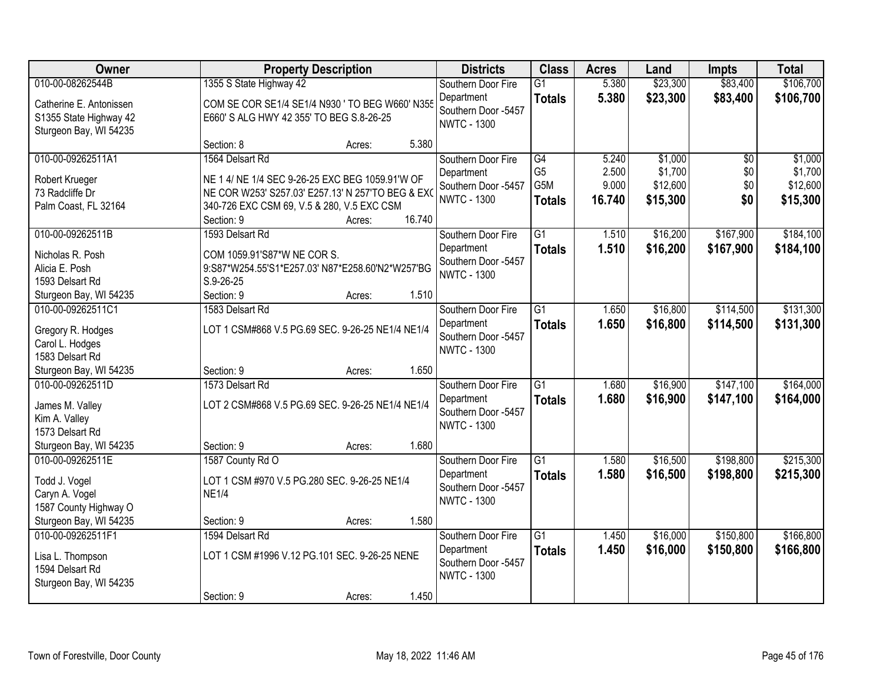| Owner                                                                       |                                                                                             | <b>Property Description</b> |        | <b>Districts</b>                          | <b>Class</b>                       | <b>Acres</b>   | Land                 | <b>Impts</b>         | <b>Total</b>           |
|-----------------------------------------------------------------------------|---------------------------------------------------------------------------------------------|-----------------------------|--------|-------------------------------------------|------------------------------------|----------------|----------------------|----------------------|------------------------|
| 010-00-08262544B                                                            | 1355 S State Highway 42                                                                     |                             |        | Southern Door Fire<br>Department          | $\overline{G1}$<br><b>Totals</b>   | 5.380<br>5.380 | \$23,300<br>\$23,300 | \$83,400<br>\$83,400 | \$106,700<br>\$106,700 |
| Catherine E. Antonissen<br>S1355 State Highway 42<br>Sturgeon Bay, WI 54235 | COM SE COR SE1/4 SE1/4 N930 ' TO BEG W660' N355<br>E660' S ALG HWY 42 355' TO BEG S.8-26-25 |                             |        | Southern Door -5457<br><b>NWTC - 1300</b> |                                    |                |                      |                      |                        |
|                                                                             | Section: 8                                                                                  | Acres:                      | 5.380  |                                           |                                    |                |                      |                      |                        |
| 010-00-09262511A1                                                           | 1564 Delsart Rd                                                                             |                             |        | Southern Door Fire                        | G4                                 | 5.240          | \$1,000              | $\overline{50}$      | \$1,000                |
| Robert Krueger                                                              | NE 1 4/ NE 1/4 SEC 9-26-25 EXC BEG 1059.91'W OF                                             |                             |        | Department                                | G <sub>5</sub><br>G <sub>5</sub> M | 2.500<br>9.000 | \$1,700<br>\$12,600  | \$0<br>\$0           | \$1,700<br>\$12,600    |
| 73 Radcliffe Dr                                                             | NE COR W253' S257.03' E257.13' N 257'TO BEG & EXO                                           |                             |        | Southern Door -5457<br><b>NWTC - 1300</b> |                                    | 16.740         | \$15,300             | \$0                  | \$15,300               |
| Palm Coast, FL 32164                                                        | 340-726 EXC CSM 69, V.5 & 280, V.5 EXC CSM                                                  |                             |        |                                           | <b>Totals</b>                      |                |                      |                      |                        |
|                                                                             | Section: 9                                                                                  | Acres:                      | 16.740 |                                           |                                    |                |                      |                      |                        |
| 010-00-09262511B                                                            | 1593 Delsart Rd                                                                             |                             |        | Southern Door Fire                        | G1                                 | 1.510          | \$16,200             | \$167,900            | \$184,100              |
| Nicholas R. Posh                                                            | COM 1059.91'S87*W NE COR S.                                                                 |                             |        | Department<br>Southern Door -5457         | <b>Totals</b>                      | 1.510          | \$16,200             | \$167,900            | \$184,100              |
| Alicia E. Posh                                                              | 9:S87*W254.55'S1*E257.03' N87*E258.60'N2*W257'BG                                            |                             |        | <b>NWTC - 1300</b>                        |                                    |                |                      |                      |                        |
| 1593 Delsart Rd                                                             | $S.9 - 26 - 25$                                                                             |                             |        |                                           |                                    |                |                      |                      |                        |
| Sturgeon Bay, WI 54235                                                      | Section: 9                                                                                  | Acres:                      | 1.510  |                                           |                                    |                |                      |                      |                        |
| 010-00-09262511C1                                                           | 1583 Delsart Rd                                                                             |                             |        | Southern Door Fire                        | $\overline{G1}$                    | 1.650          | \$16,800             | \$114,500            | \$131,300              |
| Gregory R. Hodges                                                           | LOT 1 CSM#868 V.5 PG.69 SEC. 9-26-25 NE1/4 NE1/4                                            |                             |        | Department<br>Southern Door -5457         | <b>Totals</b>                      | 1.650          | \$16,800             | \$114,500            | \$131,300              |
| Carol L. Hodges                                                             |                                                                                             |                             |        | <b>NWTC - 1300</b>                        |                                    |                |                      |                      |                        |
| 1583 Delsart Rd                                                             |                                                                                             |                             |        |                                           |                                    |                |                      |                      |                        |
| Sturgeon Bay, WI 54235                                                      | Section: 9                                                                                  | Acres:                      | 1.650  |                                           |                                    |                |                      |                      |                        |
| 010-00-09262511D                                                            | 1573 Delsart Rd                                                                             |                             |        | Southern Door Fire                        | $\overline{G1}$                    | 1.680          | \$16,900             | \$147,100            | \$164,000              |
| James M. Valley                                                             | LOT 2 CSM#868 V.5 PG.69 SEC. 9-26-25 NE1/4 NE1/4                                            |                             |        | Department<br>Southern Door -5457         | <b>Totals</b>                      | 1.680          | \$16,900             | \$147,100            | \$164,000              |
| Kim A. Valley                                                               |                                                                                             |                             |        | <b>NWTC - 1300</b>                        |                                    |                |                      |                      |                        |
| 1573 Delsart Rd                                                             |                                                                                             |                             |        |                                           |                                    |                |                      |                      |                        |
| Sturgeon Bay, WI 54235                                                      | Section: 9                                                                                  | Acres:                      | 1.680  |                                           |                                    |                |                      |                      |                        |
| 010-00-09262511E                                                            | 1587 County Rd O                                                                            |                             |        | Southern Door Fire                        | $\overline{G1}$                    | 1.580          | \$16,500             | \$198,800            | \$215,300              |
| Todd J. Vogel                                                               | LOT 1 CSM #970 V.5 PG.280 SEC. 9-26-25 NE1/4                                                |                             |        | Department<br>Southern Door -5457         | <b>Totals</b>                      | 1.580          | \$16,500             | \$198,800            | \$215,300              |
| Caryn A. Vogel                                                              | <b>NE1/4</b>                                                                                |                             |        | <b>NWTC - 1300</b>                        |                                    |                |                      |                      |                        |
| 1587 County Highway O                                                       |                                                                                             |                             |        |                                           |                                    |                |                      |                      |                        |
| Sturgeon Bay, WI 54235                                                      | Section: 9                                                                                  | Acres:                      | 1.580  |                                           |                                    |                |                      |                      |                        |
| 010-00-09262511F1                                                           | 1594 Delsart Rd                                                                             |                             |        | Southern Door Fire                        | $\overline{G1}$                    | 1.450          | \$16,000             | \$150,800            | \$166,800              |
| Lisa L. Thompson                                                            | LOT 1 CSM #1996 V.12 PG.101 SEC. 9-26-25 NENE                                               |                             |        | Department<br>Southern Door -5457         | <b>Totals</b>                      | 1.450          | \$16,000             | \$150,800            | \$166,800              |
| 1594 Delsart Rd                                                             |                                                                                             |                             |        | <b>NWTC - 1300</b>                        |                                    |                |                      |                      |                        |
| Sturgeon Bay, WI 54235                                                      |                                                                                             |                             |        |                                           |                                    |                |                      |                      |                        |
|                                                                             | Section: 9                                                                                  | Acres:                      | 1.450  |                                           |                                    |                |                      |                      |                        |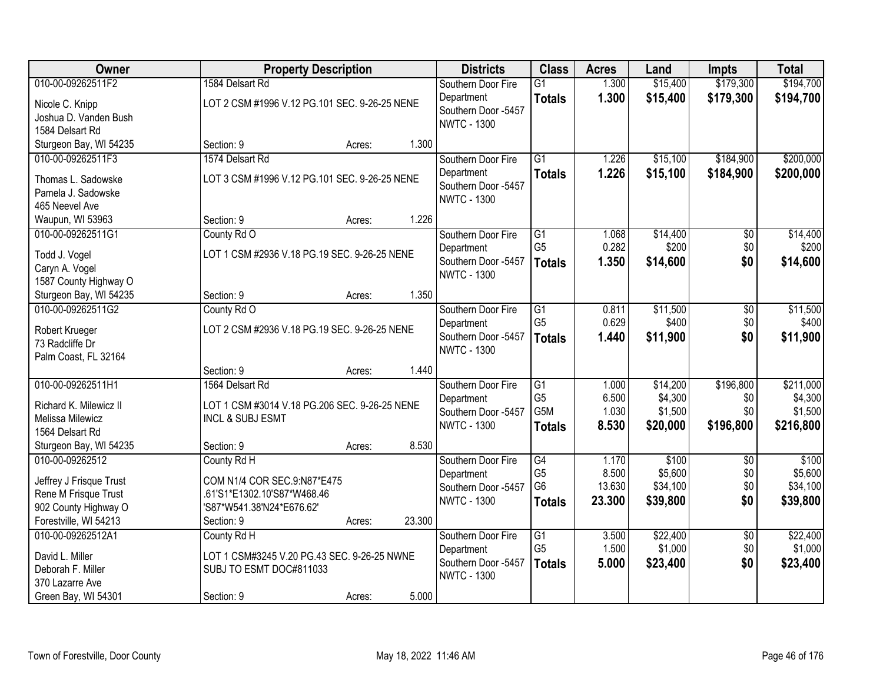| <b>Class</b><br><b>Owner</b><br><b>Districts</b><br><b>Acres</b><br><b>Property Description</b><br>Land<br><b>Impts</b>                |                 | <b>Total</b> |
|----------------------------------------------------------------------------------------------------------------------------------------|-----------------|--------------|
| 010-00-09262511F2<br>1584 Delsart Rd<br>$\overline{G1}$<br>1.300<br>\$15,400<br>Southern Door Fire                                     | \$179,300       | \$194,700    |
| 1.300<br>\$15,400<br>Department<br><b>Totals</b><br>LOT 2 CSM #1996 V.12 PG.101 SEC. 9-26-25 NENE<br>Nicole C. Knipp                   | \$179,300       | \$194,700    |
| Southern Door -5457<br>Joshua D. Vanden Bush                                                                                           |                 |              |
| <b>NWTC - 1300</b><br>1584 Delsart Rd                                                                                                  |                 |              |
| Sturgeon Bay, WI 54235<br>1.300<br>Section: 9<br>Acres:                                                                                |                 |              |
| 010-00-09262511F3<br>1574 Delsart Rd<br>$\overline{G1}$<br>1.226<br>\$15,100<br>Southern Door Fire                                     | \$184,900       | \$200,000    |
| 1.226<br>\$15,100<br>Department<br><b>Totals</b><br>LOT 3 CSM #1996 V.12 PG.101 SEC. 9-26-25 NENE<br>Thomas L. Sadowske                | \$184,900       | \$200,000    |
| Southern Door -5457<br>Pamela J. Sadowske                                                                                              |                 |              |
| <b>NWTC - 1300</b><br>465 Neevel Ave                                                                                                   |                 |              |
| 1.226<br>Waupun, WI 53963<br>Section: 9<br>Acres:                                                                                      |                 |              |
| 010-00-09262511G1<br>\$14,400<br>County Rd O<br>G1<br>1.068<br>Southern Door Fire                                                      | \$0             | \$14,400     |
| G <sub>5</sub><br>0.282<br>\$200<br>Department                                                                                         | \$0             | \$200        |
| LOT 1 CSM #2936 V.18 PG.19 SEC. 9-26-25 NENE<br>Todd J. Vogel<br>1.350<br>\$14,600<br>Southern Door -5457<br><b>Totals</b>             | \$0             | \$14,600     |
| Caryn A. Vogel<br><b>NWTC - 1300</b>                                                                                                   |                 |              |
| 1587 County Highway O                                                                                                                  |                 |              |
| 1.350<br>Sturgeon Bay, WI 54235<br>Section: 9<br>Acres:                                                                                |                 |              |
| 010-00-09262511G2<br>\$11,500<br>County Rd O<br>Southern Door Fire<br>G1<br>0.811                                                      | \$0             | \$11,500     |
| G <sub>5</sub><br>0.629<br>\$400<br>Department<br>LOT 2 CSM #2936 V.18 PG.19 SEC. 9-26-25 NENE<br>Robert Krueger                       | \$0             | \$400        |
| Southern Door -5457<br>1.440<br>\$11,900<br><b>Totals</b><br>73 Radcliffe Dr                                                           | \$0             | \$11,900     |
| <b>NWTC - 1300</b><br>Palm Coast, FL 32164                                                                                             |                 |              |
| 1.440<br>Section: 9<br>Acres:                                                                                                          |                 |              |
| 010-00-09262511H1<br>$\overline{G1}$<br>1564 Delsart Rd<br>1.000<br>\$14,200<br>Southern Door Fire                                     | \$196,800       | \$211,000    |
| G <sub>5</sub><br>6.500<br>\$4,300<br>Department                                                                                       | \$0             | \$4,300      |
| Richard K. Milewicz II<br>LOT 1 CSM #3014 V.18 PG.206 SEC. 9-26-25 NENE<br>G <sub>5</sub> M<br>1.030<br>\$1,500<br>Southern Door -5457 | \$0             | \$1,500      |
| Melissa Milewicz<br><b>INCL &amp; SUBJ ESMT</b><br><b>NWTC - 1300</b><br>8.530<br>\$20,000<br><b>Totals</b>                            | \$196,800       | \$216,800    |
| 1564 Delsart Rd                                                                                                                        |                 |              |
| 8.530<br>Sturgeon Bay, WI 54235<br>Section: 9<br>Acres:                                                                                |                 |              |
| \$100<br>010-00-09262512<br>G4<br>1.170<br>County Rd H<br>Southern Door Fire                                                           | $\overline{50}$ | \$100        |
| G <sub>5</sub><br>8.500<br>\$5,600<br>Department<br>Jeffrey J Frisque Trust<br>COM N1/4 COR SEC.9:N87*E475<br>G <sub>6</sub>           | \$0             | \$5,600      |
| 13.630<br>\$34,100<br>Southern Door -5457<br>Rene M Frisque Trust<br>.61'S1*E1302.10'S87*W468.46                                       | \$0             | \$34,100     |
| 23.300<br><b>NWTC - 1300</b><br>\$39,800<br><b>Totals</b><br>902 County Highway O<br>'S87*W541.38'N24*E676.62'                         | \$0             | \$39,800     |
| 23.300<br>Forestville, WI 54213<br>Section: 9<br>Acres:                                                                                |                 |              |
| 010-00-09262512A1<br>$\overline{G1}$<br>\$22,400<br>County Rd H<br>Southern Door Fire<br>3.500                                         | $\overline{50}$ | \$22,400     |
| G <sub>5</sub><br>\$1,000<br>1.500<br>Department<br>David L. Miller<br>LOT 1 CSM#3245 V.20 PG.43 SEC. 9-26-25 NWNE                     | \$0             | \$1,000      |
| Southern Door -5457<br>5.000<br>\$23,400<br><b>Totals</b><br>Deborah F. Miller<br>SUBJ TO ESMT DOC#811033                              | \$0             | \$23,400     |
| <b>NWTC - 1300</b><br>370 Lazarre Ave                                                                                                  |                 |              |
| 5.000<br>Green Bay, WI 54301<br>Section: 9<br>Acres:                                                                                   |                 |              |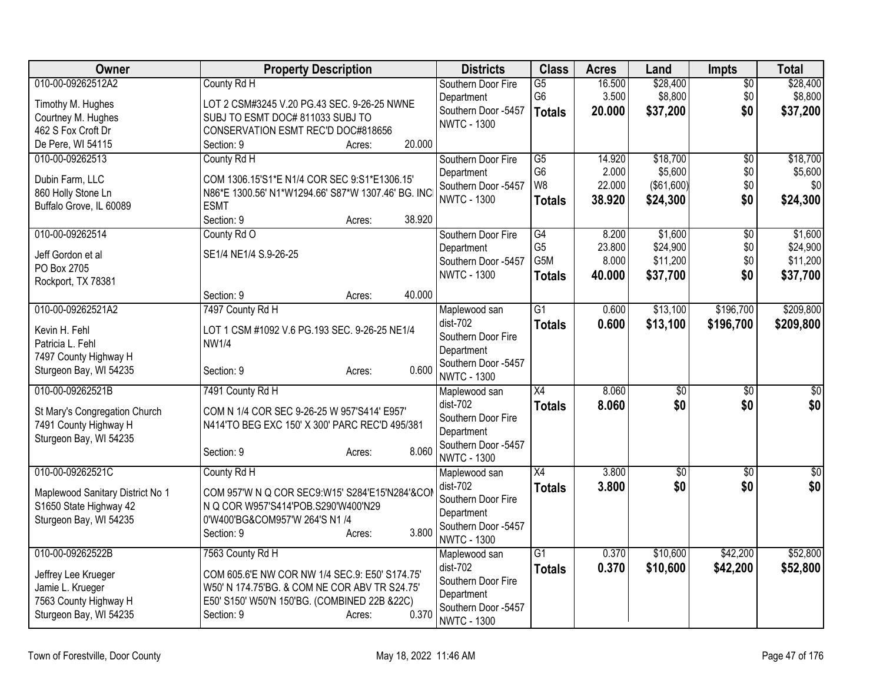| Owner                                            | <b>Property Description</b>                                           | <b>Districts</b>                  | <b>Class</b>    | <b>Acres</b> | Land            | <b>Impts</b>    | <b>Total</b>    |
|--------------------------------------------------|-----------------------------------------------------------------------|-----------------------------------|-----------------|--------------|-----------------|-----------------|-----------------|
| 010-00-09262512A2                                | County Rd H                                                           | Southern Door Fire                | $\overline{G5}$ | 16.500       | \$28,400        | $\overline{50}$ | \$28,400        |
| Timothy M. Hughes                                | LOT 2 CSM#3245 V.20 PG.43 SEC. 9-26-25 NWNE                           | Department                        | G6              | 3.500        | \$8,800         | \$0             | \$8,800         |
| Courtney M. Hughes                               | SUBJ TO ESMT DOC# 811033 SUBJ TO                                      | Southern Door -5457               | <b>Totals</b>   | 20.000       | \$37,200        | \$0             | \$37,200        |
| 462 S Fox Croft Dr                               | CONSERVATION ESMT REC'D DOC#818656                                    | <b>NWTC - 1300</b>                |                 |              |                 |                 |                 |
| De Pere, WI 54115                                | 20.000<br>Section: 9<br>Acres:                                        |                                   |                 |              |                 |                 |                 |
| 010-00-09262513                                  | County Rd H                                                           | Southern Door Fire                | $\overline{G5}$ | 14.920       | \$18,700        | $\overline{50}$ | \$18,700        |
| Dubin Farm, LLC                                  | COM 1306.15'S1*E N1/4 COR SEC 9:S1*E1306.15'                          | Department                        | G <sub>6</sub>  | 2.000        | \$5,600         | \$0             | \$5,600         |
| 860 Holly Stone Ln                               | N86*E 1300.56' N1*W1294.66' S87*W 1307.46' BG. INC                    | Southern Door -5457               | W8              | 22.000       | (\$61,600)      | \$0             | \$0             |
| Buffalo Grove, IL 60089                          | <b>ESMT</b>                                                           | <b>NWTC - 1300</b>                | <b>Totals</b>   | 38.920       | \$24,300        | \$0             | \$24,300        |
|                                                  | Section: 9<br>38.920<br>Acres:                                        |                                   |                 |              |                 |                 |                 |
| 010-00-09262514                                  | County Rd O                                                           | Southern Door Fire                | G4              | 8.200        | \$1,600         | $\overline{50}$ | \$1,600         |
| Jeff Gordon et al                                | SE1/4 NE1/4 S.9-26-25                                                 | Department                        | G <sub>5</sub>  | 23.800       | \$24,900        | \$0             | \$24,900        |
| PO Box 2705                                      |                                                                       | Southern Door -5457               | G5M             | 8.000        | \$11,200        | \$0             | \$11,200        |
| Rockport, TX 78381                               |                                                                       | <b>NWTC - 1300</b>                | <b>Totals</b>   | 40.000       | \$37,700        | \$0             | \$37,700        |
|                                                  | 40.000<br>Section: 9<br>Acres:                                        |                                   |                 |              |                 |                 |                 |
| 010-00-09262521A2                                | 7497 County Rd H                                                      | Maplewood san                     | $\overline{G1}$ | 0.600        | \$13,100        | \$196,700       | \$209,800       |
|                                                  |                                                                       | dist-702                          | <b>Totals</b>   | 0.600        | \$13,100        | \$196,700       | \$209,800       |
| Kevin H. Fehl<br>Patricia L. Fehl                | LOT 1 CSM #1092 V.6 PG.193 SEC. 9-26-25 NE1/4<br><b>NW1/4</b>         | Southern Door Fire                |                 |              |                 |                 |                 |
| 7497 County Highway H                            |                                                                       | Department                        |                 |              |                 |                 |                 |
| Sturgeon Bay, WI 54235                           | 0.600<br>Section: 9<br>Acres:                                         | Southern Door -5457               |                 |              |                 |                 |                 |
|                                                  |                                                                       | <b>NWTC - 1300</b>                |                 |              |                 |                 |                 |
| 010-00-09262521B                                 | 7491 County Rd H                                                      | Maplewood san                     | $\overline{X4}$ | 8.060        | $\overline{50}$ | $\overline{30}$ | $\overline{50}$ |
| St Mary's Congregation Church                    | COM N 1/4 COR SEC 9-26-25 W 957'S414' E957'                           | dist-702                          | <b>Totals</b>   | 8.060        | \$0             | \$0             | \$0             |
| 7491 County Highway H                            | N414'TO BEG EXC 150' X 300' PARC REC'D 495/381                        | Southern Door Fire<br>Department  |                 |              |                 |                 |                 |
| Sturgeon Bay, WI 54235                           |                                                                       | Southern Door -5457               |                 |              |                 |                 |                 |
|                                                  | 8.060<br>Section: 9<br>Acres:                                         | <b>NWTC - 1300</b>                |                 |              |                 |                 |                 |
| 010-00-09262521C                                 | County Rd H                                                           | Maplewood san                     | $\overline{X4}$ | 3.800        | $\overline{60}$ | $\overline{30}$ | $\overline{50}$ |
|                                                  |                                                                       | dist-702                          | <b>Totals</b>   | 3.800        | \$0             | \$0             | \$0             |
| Maplewood Sanitary District No 1                 | COM 957'W N Q COR SEC9:W15' S284'E15'N284'&COM                        | Southern Door Fire                |                 |              |                 |                 |                 |
| S1650 State Highway 42<br>Sturgeon Bay, WI 54235 | N Q COR W957'S414'POB.S290'W400'N29<br>0'W400'BG&COM957'W 264'S N1 /4 | Department                        |                 |              |                 |                 |                 |
|                                                  | 3.800<br>Section: 9<br>Acres:                                         | Southern Door -5457               |                 |              |                 |                 |                 |
|                                                  |                                                                       | <b>NWTC - 1300</b>                |                 |              |                 |                 |                 |
| 010-00-09262522B                                 | 7563 County Rd H                                                      | Maplewood san                     | $\overline{G1}$ | 0.370        | \$10,600        | \$42,200        | \$52,800        |
| Jeffrey Lee Krueger                              | COM 605.6'E NW COR NW 1/4 SEC.9: E50' S174.75'                        | $dist-702$                        | <b>Totals</b>   | 0.370        | \$10,600        | \$42,200        | \$52,800        |
| Jamie L. Krueger                                 | W50' N 174.75'BG. & COM NE COR ABV TR S24.75'                         | Southern Door Fire                |                 |              |                 |                 |                 |
| 7563 County Highway H                            | E50' S150' W50'N 150'BG. (COMBINED 22B &22C)                          | Department<br>Southern Door -5457 |                 |              |                 |                 |                 |
| Sturgeon Bay, WI 54235                           | 0.370<br>Section: 9<br>Acres:                                         | <b>NWTC - 1300</b>                |                 |              |                 |                 |                 |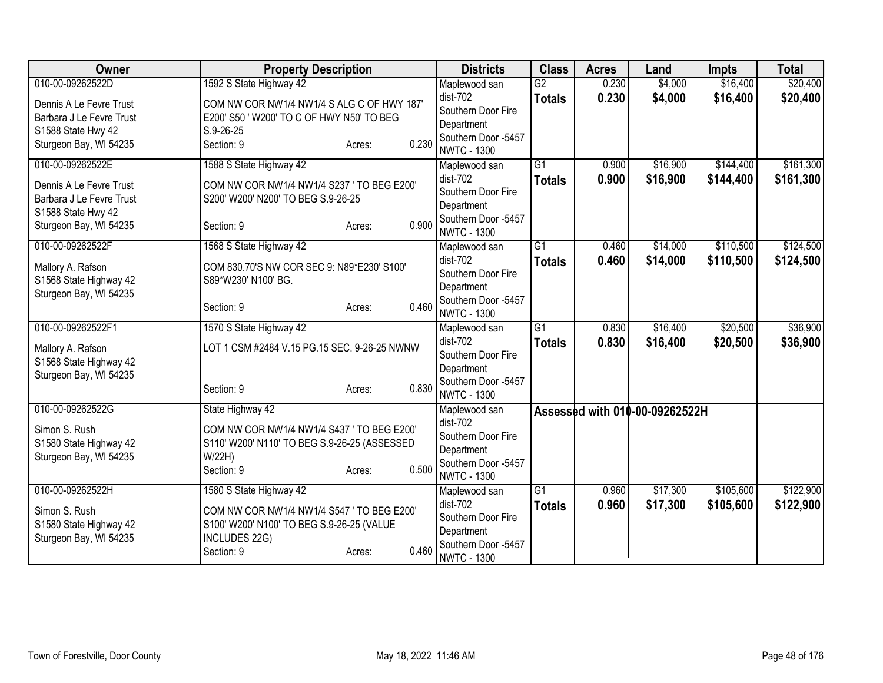| Owner                                       | <b>Property Description</b>                                       |                 | <b>Districts</b>                  | <b>Class</b>    | <b>Acres</b> | Land                           | <b>Impts</b> | <b>Total</b> |
|---------------------------------------------|-------------------------------------------------------------------|-----------------|-----------------------------------|-----------------|--------------|--------------------------------|--------------|--------------|
| 010-00-09262522D                            | 1592 S State Highway 42                                           |                 | Maplewood san                     | $\overline{G2}$ | 0.230        | \$4,000                        | \$16,400     | \$20,400     |
| Dennis A Le Fevre Trust                     | COM NW COR NW1/4 NW1/4 S ALG C OF HWY 187'                        |                 | dist-702                          | <b>Totals</b>   | 0.230        | \$4,000                        | \$16,400     | \$20,400     |
| Barbara J Le Fevre Trust                    | E200' S50 ' W200' TO C OF HWY N50' TO BEG                         |                 | Southern Door Fire                |                 |              |                                |              |              |
| S1588 State Hwy 42                          | $S.9 - 26 - 25$                                                   |                 | Department                        |                 |              |                                |              |              |
| Sturgeon Bay, WI 54235                      | Section: 9                                                        | 0.230<br>Acres: | Southern Door -5457               |                 |              |                                |              |              |
| 010-00-09262522E                            |                                                                   |                 | <b>NWTC - 1300</b>                | $\overline{G1}$ |              |                                |              | \$161,300    |
|                                             | 1588 S State Highway 42                                           |                 | Maplewood san<br>dist-702         |                 | 0.900        | \$16,900                       | \$144,400    |              |
| Dennis A Le Fevre Trust                     | COM NW COR NW1/4 NW1/4 S237 ' TO BEG E200'                        |                 | Southern Door Fire                | <b>Totals</b>   | 0.900        | \$16,900                       | \$144,400    | \$161,300    |
| Barbara J Le Fevre Trust                    | S200' W200' N200' TO BEG S.9-26-25                                |                 | Department                        |                 |              |                                |              |              |
| S1588 State Hwy 42                          |                                                                   |                 | Southern Door -5457               |                 |              |                                |              |              |
| Sturgeon Bay, WI 54235                      | Section: 9                                                        | 0.900<br>Acres: | <b>NWTC - 1300</b>                |                 |              |                                |              |              |
| 010-00-09262522F                            | 1568 S State Highway 42                                           |                 | Maplewood san                     | $\overline{G1}$ | 0.460        | \$14,000                       | \$110,500    | \$124,500    |
|                                             |                                                                   |                 | dist-702                          | <b>Totals</b>   | 0.460        | \$14,000                       | \$110,500    | \$124,500    |
| Mallory A. Rafson<br>S1568 State Highway 42 | COM 830.70'S NW COR SEC 9: N89*E230' S100'<br>S89*W230' N100' BG. |                 | Southern Door Fire                |                 |              |                                |              |              |
| Sturgeon Bay, WI 54235                      |                                                                   |                 | Department                        |                 |              |                                |              |              |
|                                             | Section: 9                                                        | 0.460<br>Acres: | Southern Door -5457               |                 |              |                                |              |              |
|                                             |                                                                   |                 | <b>NWTC - 1300</b>                |                 |              |                                |              |              |
| 010-00-09262522F1                           | 1570 S State Highway 42                                           |                 | Maplewood san                     | $\overline{G1}$ | 0.830        | \$16,400                       | \$20,500     | \$36,900     |
| Mallory A. Rafson                           | LOT 1 CSM #2484 V.15 PG.15 SEC. 9-26-25 NWNW                      |                 | dist-702                          | <b>Totals</b>   | 0.830        | \$16,400                       | \$20,500     | \$36,900     |
| S1568 State Highway 42                      |                                                                   |                 | Southern Door Fire                |                 |              |                                |              |              |
| Sturgeon Bay, WI 54235                      |                                                                   |                 | Department<br>Southern Door -5457 |                 |              |                                |              |              |
|                                             | Section: 9                                                        | 0.830<br>Acres: | <b>NWTC - 1300</b>                |                 |              |                                |              |              |
| 010-00-09262522G                            | State Highway 42                                                  |                 | Maplewood san                     |                 |              | Assessed with 010-00-09262522H |              |              |
|                                             |                                                                   |                 | dist-702                          |                 |              |                                |              |              |
| Simon S. Rush                               | COM NW COR NW1/4 NW1/4 S437 ' TO BEG E200'                        |                 | Southern Door Fire                |                 |              |                                |              |              |
| S1580 State Highway 42                      | S110' W200' N110' TO BEG S.9-26-25 (ASSESSED                      |                 | Department                        |                 |              |                                |              |              |
| Sturgeon Bay, WI 54235                      | W/22H)                                                            | 0.500           | Southern Door -5457               |                 |              |                                |              |              |
|                                             | Section: 9                                                        | Acres:          | <b>NWTC - 1300</b>                |                 |              |                                |              |              |
| 010-00-09262522H                            | 1580 S State Highway 42                                           |                 | Maplewood san                     | G1              | 0.960        | \$17,300                       | \$105,600    | \$122,900    |
| Simon S. Rush                               | COM NW COR NW1/4 NW1/4 S547 ' TO BEG E200'                        |                 | dist-702                          | <b>Totals</b>   | 0.960        | \$17,300                       | \$105,600    | \$122,900    |
| S1580 State Highway 42                      | S100' W200' N100' TO BEG S.9-26-25 (VALUE                         |                 | Southern Door Fire                |                 |              |                                |              |              |
| Sturgeon Bay, WI 54235                      | INCLUDES 22G)                                                     |                 | Department                        |                 |              |                                |              |              |
|                                             | Section: 9                                                        | 0.460<br>Acres: | Southern Door -5457               |                 |              |                                |              |              |
|                                             |                                                                   |                 | <b>NWTC - 1300</b>                |                 |              |                                |              |              |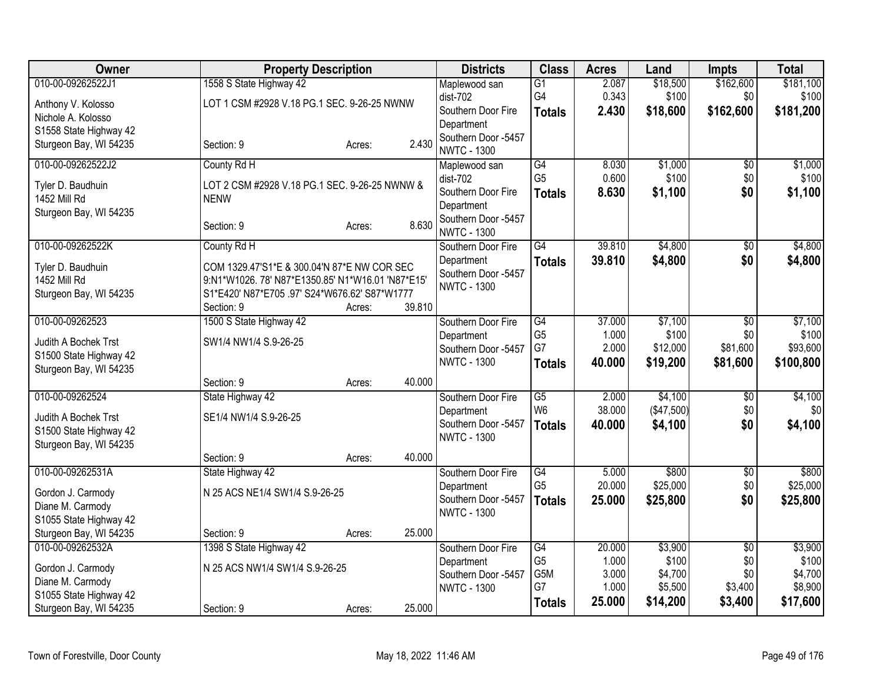| <b>Owner</b>                                     | <b>Property Description</b>                      |        |        | <b>Districts</b>                          | <b>Class</b>         | <b>Acres</b>    | Land              | <b>Impts</b>           | <b>Total</b>      |
|--------------------------------------------------|--------------------------------------------------|--------|--------|-------------------------------------------|----------------------|-----------------|-------------------|------------------------|-------------------|
| 010-00-09262522J1                                | 1558 S State Highway 42                          |        |        | Maplewood san                             | $\overline{G1}$      | 2.087           | \$18,500          | \$162,600              | \$181,100         |
| Anthony V. Kolosso                               | LOT 1 CSM #2928 V.18 PG.1 SEC. 9-26-25 NWNW      |        |        | dist-702                                  | G <sub>4</sub>       | 0.343           | \$100             | \$0                    | \$100             |
| Nichole A. Kolosso                               |                                                  |        |        | Southern Door Fire<br>Department          | <b>Totals</b>        | 2.430           | \$18,600          | \$162,600              | \$181,200         |
| S1558 State Highway 42                           |                                                  |        |        | Southern Door -5457                       |                      |                 |                   |                        |                   |
| Sturgeon Bay, WI 54235                           | Section: 9                                       | Acres: | 2.430  | <b>NWTC - 1300</b>                        |                      |                 |                   |                        |                   |
| 010-00-09262522J2                                | County Rd H                                      |        |        | Maplewood san                             | G4                   | 8.030           | \$1,000           | $\sqrt{6}$             | \$1,000           |
| Tyler D. Baudhuin                                | LOT 2 CSM #2928 V.18 PG.1 SEC. 9-26-25 NWNW &    |        |        | dist-702                                  | G <sub>5</sub>       | 0.600           | \$100             | \$0                    | \$100             |
| <b>1452 Mill Rd</b>                              | <b>NENW</b>                                      |        |        | Southern Door Fire<br>Department          | <b>Totals</b>        | 8.630           | \$1,100           | \$0                    | \$1,100           |
| Sturgeon Bay, WI 54235                           |                                                  |        |        | Southern Door -5457                       |                      |                 |                   |                        |                   |
|                                                  | Section: 9                                       | Acres: | 8.630  | <b>NWTC - 1300</b>                        |                      |                 |                   |                        |                   |
| 010-00-09262522K                                 | County Rd H                                      |        |        | Southern Door Fire                        | G4                   | 39.810          | \$4,800           | $\overline{50}$        | \$4,800           |
| Tyler D. Baudhuin                                | COM 1329.47'S1*E & 300.04'N 87*E NW COR SEC      |        |        | Department                                | <b>Totals</b>        | 39.810          | \$4,800           | \$0                    | \$4,800           |
| 1452 Mill Rd                                     | 9:N1*W1026.78' N87*E1350.85' N1*W16.01 'N87*E15' |        |        | Southern Door -5457<br><b>NWTC - 1300</b> |                      |                 |                   |                        |                   |
| Sturgeon Bay, WI 54235                           | S1*E420' N87*E705 .97' S24*W676.62' S87*W1777    |        |        |                                           |                      |                 |                   |                        |                   |
| 010-00-09262523                                  | Section: 9<br>1500 S State Highway 42            | Acres: | 39.810 |                                           | G4                   | 37.000          | \$7,100           | $\overline{50}$        | \$7,100           |
|                                                  |                                                  |        |        | Southern Door Fire<br>Department          | G <sub>5</sub>       | 1.000           | \$100             | \$0                    | \$100             |
| Judith A Bochek Trst                             | SW1/4 NW1/4 S.9-26-25                            |        |        | Southern Door -5457                       | G7                   | 2.000           | \$12,000          | \$81,600               | \$93,600          |
| S1500 State Highway 42<br>Sturgeon Bay, WI 54235 |                                                  |        |        | <b>NWTC - 1300</b>                        | <b>Totals</b>        | 40.000          | \$19,200          | \$81,600               | \$100,800         |
|                                                  | Section: 9                                       | Acres: | 40.000 |                                           |                      |                 |                   |                        |                   |
| 010-00-09262524                                  | State Highway 42                                 |        |        | Southern Door Fire                        | $\overline{G5}$      | 2.000           | \$4,100           | $\overline{50}$        | \$4,100           |
| Judith A Bochek Trst                             | SE1/4 NW1/4 S.9-26-25                            |        |        | Department                                | W <sub>6</sub>       | 38.000          | (\$47,500)        | \$0                    | \$0               |
| S1500 State Highway 42                           |                                                  |        |        | Southern Door -5457<br><b>NWTC - 1300</b> | <b>Totals</b>        | 40.000          | \$4,100           | \$0                    | \$4,100           |
| Sturgeon Bay, WI 54235                           |                                                  |        |        |                                           |                      |                 |                   |                        |                   |
|                                                  | Section: 9                                       | Acres: | 40.000 |                                           |                      |                 |                   |                        |                   |
| 010-00-09262531A                                 | State Highway 42                                 |        |        | Southern Door Fire<br>Department          | G4<br>G <sub>5</sub> | 5.000<br>20.000 | \$800<br>\$25,000 | $\overline{50}$<br>\$0 | \$800<br>\$25,000 |
| Gordon J. Carmody                                | N 25 ACS NE1/4 SW1/4 S.9-26-25                   |        |        | Southern Door -5457                       | <b>Totals</b>        | 25.000          | \$25,800          | \$0                    | \$25,800          |
| Diane M. Carmody                                 |                                                  |        |        | <b>NWTC - 1300</b>                        |                      |                 |                   |                        |                   |
| S1055 State Highway 42<br>Sturgeon Bay, WI 54235 | Section: 9                                       | Acres: | 25.000 |                                           |                      |                 |                   |                        |                   |
| 010-00-09262532A                                 | 1398 S State Highway 42                          |        |        | Southern Door Fire                        | G4                   | 20.000          | \$3,900           | $\overline{50}$        | \$3,900           |
|                                                  | N 25 ACS NW1/4 SW1/4 S.9-26-25                   |        |        | Department                                | G <sub>5</sub>       | 1.000           | \$100             | \$0                    | \$100             |
| Gordon J. Carmody<br>Diane M. Carmody            |                                                  |        |        | Southern Door -5457                       | G5M                  | 3.000           | \$4,700           | \$0                    | \$4,700           |
| S1055 State Highway 42                           |                                                  |        |        | <b>NWTC - 1300</b>                        | G7                   | 1.000           | \$5,500           | \$3,400                | \$8,900           |
| Sturgeon Bay, WI 54235                           | Section: 9                                       | Acres: | 25.000 |                                           | <b>Totals</b>        | 25.000          | \$14,200          | \$3,400                | \$17,600          |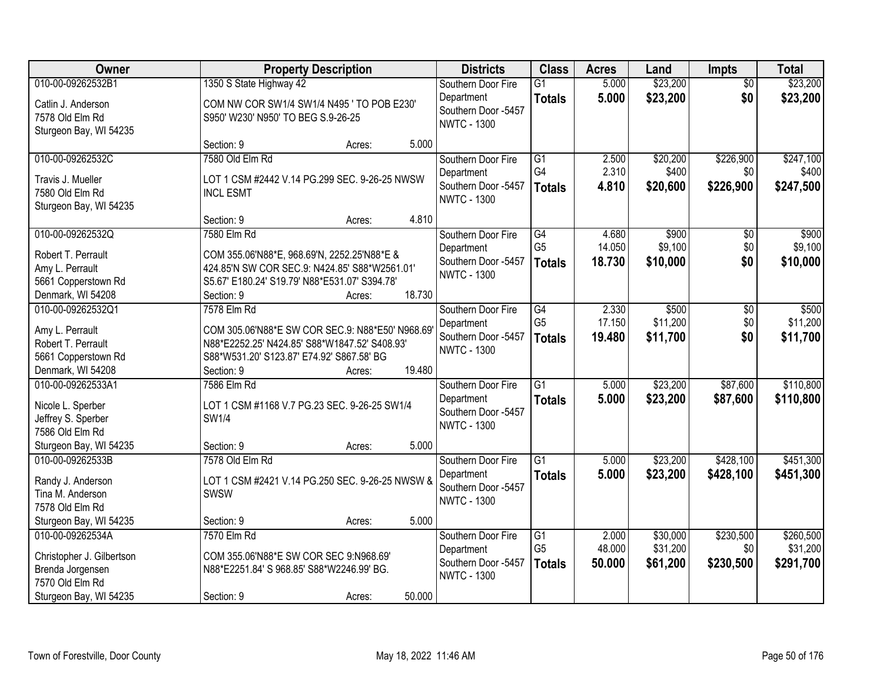| Owner                                     | <b>Property Description</b>                      |                                                                                |        | <b>Districts</b>                          | <b>Class</b>                     | <b>Acres</b>   | Land                 | <b>Impts</b>           | <b>Total</b>         |
|-------------------------------------------|--------------------------------------------------|--------------------------------------------------------------------------------|--------|-------------------------------------------|----------------------------------|----------------|----------------------|------------------------|----------------------|
| 010-00-09262532B1<br>Catlin J. Anderson   | 1350 S State Highway 42                          | Southern Door Fire<br>Department<br>COM NW COR SW1/4 SW1/4 N495 ' TO POB E230' |        |                                           | $\overline{G1}$<br><b>Totals</b> | 5.000<br>5.000 | \$23,200<br>\$23,200 | $\overline{50}$<br>\$0 | \$23,200<br>\$23,200 |
| 7578 Old Elm Rd<br>Sturgeon Bay, WI 54235 | S950' W230' N950' TO BEG S.9-26-25               |                                                                                |        | Southern Door -5457<br><b>NWTC - 1300</b> |                                  |                |                      |                        |                      |
|                                           | Section: 9                                       | Acres:                                                                         | 5.000  |                                           |                                  |                |                      |                        |                      |
| 010-00-09262532C                          | 7580 Old Elm Rd                                  |                                                                                |        | Southern Door Fire                        | $\overline{G1}$                  | 2.500          | \$20,200             | \$226,900              | \$247,100            |
| Travis J. Mueller                         | LOT 1 CSM #2442 V.14 PG.299 SEC. 9-26-25 NWSW    |                                                                                |        | Department                                | G4                               | 2.310          | \$400                | \$0                    | \$400                |
| 7580 Old Elm Rd                           | <b>INCL ESMT</b>                                 |                                                                                |        | Southern Door -5457                       | <b>Totals</b>                    | 4.810          | \$20,600             | \$226,900              | \$247,500            |
| Sturgeon Bay, WI 54235                    |                                                  |                                                                                |        | <b>NWTC - 1300</b>                        |                                  |                |                      |                        |                      |
|                                           | Section: 9                                       | Acres:                                                                         | 4.810  |                                           |                                  |                |                      |                        |                      |
| 010-00-09262532Q                          | 7580 Elm Rd                                      |                                                                                |        | Southern Door Fire                        | $\overline{G4}$                  | 4.680          | \$900                | \$0                    | \$900                |
| Robert T. Perrault                        | COM 355.06'N88*E, 968.69'N, 2252.25'N88*E &      |                                                                                |        | Department                                | G <sub>5</sub>                   | 14.050         | \$9,100              | \$0                    | \$9,100              |
| Amy L. Perrault                           | 424.85'N SW COR SEC.9: N424.85' S88*W2561.01'    |                                                                                |        | Southern Door -5457                       | <b>Totals</b>                    | 18.730         | \$10,000             | \$0                    | \$10,000             |
| 5661 Copperstown Rd                       | S5.67' E180.24' S19.79' N88*E531.07' S394.78'    |                                                                                |        | <b>NWTC - 1300</b>                        |                                  |                |                      |                        |                      |
| Denmark, WI 54208                         | Section: 9                                       | Acres:                                                                         | 18.730 |                                           |                                  |                |                      |                        |                      |
| 010-00-09262532Q1                         | 7578 Elm Rd                                      |                                                                                |        | Southern Door Fire                        | $\overline{G4}$                  | 2.330          | \$500                | \$0                    | \$500                |
| Amy L. Perrault                           | COM 305.06'N88*E SW COR SEC.9: N88*E50' N968.69' |                                                                                |        | Department                                | G <sub>5</sub>                   | 17.150         | \$11,200             | \$0                    | \$11,200             |
| Robert T. Perrault                        | N88*E2252.25' N424.85' S88*W1847.52' S408.93'    |                                                                                |        | Southern Door -5457                       | <b>Totals</b>                    | 19.480         | \$11,700             | \$0                    | \$11,700             |
| 5661 Copperstown Rd                       | S88*W531.20' S123.87' E74.92' S867.58' BG        |                                                                                |        | <b>NWTC - 1300</b>                        |                                  |                |                      |                        |                      |
| Denmark, WI 54208                         | Section: 9                                       | Acres:                                                                         | 19.480 |                                           |                                  |                |                      |                        |                      |
| 010-00-09262533A1                         | 7586 Elm Rd                                      |                                                                                |        | Southern Door Fire                        | $\overline{G1}$                  | 5.000          | \$23,200             | \$87,600               | \$110,800            |
| Nicole L. Sperber                         | LOT 1 CSM #1168 V.7 PG.23 SEC. 9-26-25 SW1/4     |                                                                                |        | Department                                | <b>Totals</b>                    | 5.000          | \$23,200             | \$87,600               | \$110,800            |
| Jeffrey S. Sperber                        | SW1/4                                            |                                                                                |        | Southern Door -5457                       |                                  |                |                      |                        |                      |
| 7586 Old Elm Rd                           |                                                  |                                                                                |        | <b>NWTC - 1300</b>                        |                                  |                |                      |                        |                      |
| Sturgeon Bay, WI 54235                    | Section: 9                                       | Acres:                                                                         | 5.000  |                                           |                                  |                |                      |                        |                      |
| 010-00-09262533B                          | 7578 Old Elm Rd                                  |                                                                                |        | Southern Door Fire                        | $\overline{G1}$                  | 5.000          | \$23,200             | \$428,100              | \$451,300            |
| Randy J. Anderson                         | LOT 1 CSM #2421 V.14 PG.250 SEC. 9-26-25 NWSW &  |                                                                                |        | Department                                | <b>Totals</b>                    | 5.000          | \$23,200             | \$428,100              | \$451,300            |
| Tina M. Anderson                          | SWSW                                             |                                                                                |        | Southern Door -5457                       |                                  |                |                      |                        |                      |
| 7578 Old Elm Rd                           |                                                  |                                                                                |        | <b>NWTC - 1300</b>                        |                                  |                |                      |                        |                      |
| Sturgeon Bay, WI 54235                    | Section: 9                                       | Acres:                                                                         | 5.000  |                                           |                                  |                |                      |                        |                      |
| 010-00-09262534A                          | 7570 Elm Rd                                      |                                                                                |        | Southern Door Fire                        | $\overline{G1}$                  | 2.000          | \$30,000             | \$230,500              | \$260,500            |
| Christopher J. Gilbertson                 | COM 355.06'N88*E SW COR SEC 9:N968.69'           |                                                                                |        | Department                                | G <sub>5</sub>                   | 48.000         | \$31,200             | \$0                    | \$31,200             |
| Brenda Jorgensen                          | N88*E2251.84' S 968.85' S88*W2246.99' BG.        |                                                                                |        | Southern Door -5457                       | <b>Totals</b>                    | 50.000         | \$61,200             | \$230,500              | \$291,700            |
| 7570 Old Elm Rd                           |                                                  |                                                                                |        | <b>NWTC - 1300</b>                        |                                  |                |                      |                        |                      |
| Sturgeon Bay, WI 54235                    | Section: 9                                       | Acres:                                                                         | 50.000 |                                           |                                  |                |                      |                        |                      |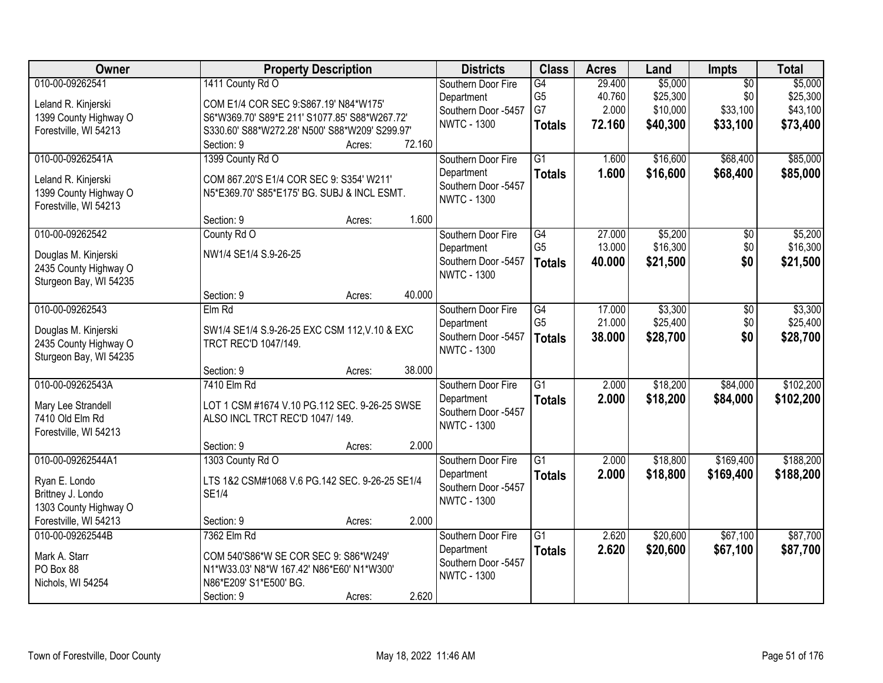| Owner                                                                                                                                | <b>Property Description</b>                                                                                                                                                                                            | <b>Districts</b>                                                                                                  | <b>Class</b>                                             | <b>Acres</b>                        | Land                                        | Impts                                          | <b>Total</b>                                |
|--------------------------------------------------------------------------------------------------------------------------------------|------------------------------------------------------------------------------------------------------------------------------------------------------------------------------------------------------------------------|-------------------------------------------------------------------------------------------------------------------|----------------------------------------------------------|-------------------------------------|---------------------------------------------|------------------------------------------------|---------------------------------------------|
| 010-00-09262541<br>Leland R. Kinjerski<br>1399 County Highway O<br>Forestville, WI 54213                                             | 1411 County Rd O<br>COM E1/4 COR SEC 9:S867.19' N84*W175'<br>S6*W369.70' S89*E 211' S1077.85' S88*W267.72'<br>S330.60' S88*W272.28' N500' S88*W209' S299.97'                                                           | Southern Door Fire<br>Department<br>Southern Door -5457<br><b>NWTC - 1300</b>                                     | G4<br>G <sub>5</sub><br>G7<br><b>Totals</b>              | 29.400<br>40.760<br>2.000<br>72.160 | \$5,000<br>\$25,300<br>\$10,000<br>\$40,300 | $\overline{50}$<br>\$0<br>\$33,100<br>\$33,100 | \$5,000<br>\$25,300<br>\$43,100<br>\$73,400 |
| 010-00-09262541A<br>Leland R. Kinjerski<br>1399 County Highway O<br>Forestville, WI 54213<br>010-00-09262542<br>Douglas M. Kinjerski | 72.160<br>Section: 9<br>Acres:<br>1399 County Rd O<br>COM 867.20'S E1/4 COR SEC 9: S354' W211'<br>N5*E369.70' S85*E175' BG. SUBJ & INCL ESMT.<br>1.600<br>Section: 9<br>Acres:<br>County Rd O<br>NW1/4 SE1/4 S.9-26-25 | Southern Door Fire<br>Department<br>Southern Door -5457<br><b>NWTC - 1300</b><br>Southern Door Fire<br>Department | $\overline{G1}$<br><b>Totals</b><br>G4<br>G <sub>5</sub> | 1.600<br>1.600<br>27.000<br>13.000  | \$16,600<br>\$16,600<br>\$5,200<br>\$16,300 | \$68,400<br>\$68,400<br>$\overline{50}$<br>\$0 | \$85,000<br>\$85,000<br>\$5,200<br>\$16,300 |
| 2435 County Highway O<br>Sturgeon Bay, WI 54235<br>010-00-09262543                                                                   | 40.000<br>Section: 9<br>Acres:<br>$Elm$ Rd                                                                                                                                                                             | Southern Door -5457<br><b>NWTC - 1300</b><br>Southern Door Fire                                                   | <b>Totals</b><br>G4                                      | 40.000<br>17.000                    | \$21,500<br>\$3,300                         | \$0<br>\$0                                     | \$21,500<br>\$3,300                         |
| Douglas M. Kinjerski<br>2435 County Highway O<br>Sturgeon Bay, WI 54235                                                              | SW1/4 SE1/4 S.9-26-25 EXC CSM 112, V.10 & EXC<br>TRCT REC'D 1047/149.<br>38.000<br>Section: 9<br>Acres:                                                                                                                | Department<br>Southern Door -5457<br><b>NWTC - 1300</b>                                                           | G <sub>5</sub><br><b>Totals</b>                          | 21.000<br>38.000                    | \$25,400<br>\$28,700                        | \$0<br>\$0                                     | \$25,400<br>\$28,700                        |
| 010-00-09262543A<br>Mary Lee Strandell<br>7410 Old Elm Rd<br>Forestville, WI 54213                                                   | 7410 Elm Rd<br>LOT 1 CSM #1674 V.10 PG.112 SEC. 9-26-25 SWSE<br>ALSO INCL TRCT REC'D 1047/149.<br>2.000<br>Section: 9<br>Acres:                                                                                        | Southern Door Fire<br>Department<br>Southern Door -5457<br><b>NWTC - 1300</b>                                     | $\overline{G1}$<br><b>Totals</b>                         | 2.000<br>2.000                      | \$18,200<br>\$18,200                        | \$84,000<br>\$84,000                           | \$102,200<br>\$102,200                      |
| 010-00-09262544A1<br>Ryan E. Londo<br>Brittney J. Londo<br>1303 County Highway O<br>Forestville, WI 54213                            | 1303 County Rd O<br>LTS 1&2 CSM#1068 V.6 PG.142 SEC. 9-26-25 SE1/4<br><b>SE1/4</b><br>2.000<br>Section: 9<br>Acres:                                                                                                    | Southern Door Fire<br>Department<br>Southern Door -5457<br><b>NWTC - 1300</b>                                     | $\overline{G1}$<br><b>Totals</b>                         | 2.000<br>2.000                      | \$18,800<br>\$18,800                        | \$169,400<br>\$169,400                         | \$188,200<br>\$188,200                      |
| 010-00-09262544B<br>Mark A. Starr<br>PO Box 88<br>Nichols, WI 54254                                                                  | 7362 Elm Rd<br>COM 540'S86*W SE COR SEC 9: S86*W249'<br>N1*W33.03' N8*W 167.42' N86*E60' N1*W300'<br>N86*E209' S1*E500' BG.<br>2.620<br>Section: 9<br>Acres:                                                           | Southern Door Fire<br>Department<br>Southern Door -5457<br><b>NWTC - 1300</b>                                     | $\overline{G1}$<br><b>Totals</b>                         | 2.620<br>2.620                      | \$20,600<br>\$20,600                        | \$67,100<br>\$67,100                           | \$87,700<br>\$87,700                        |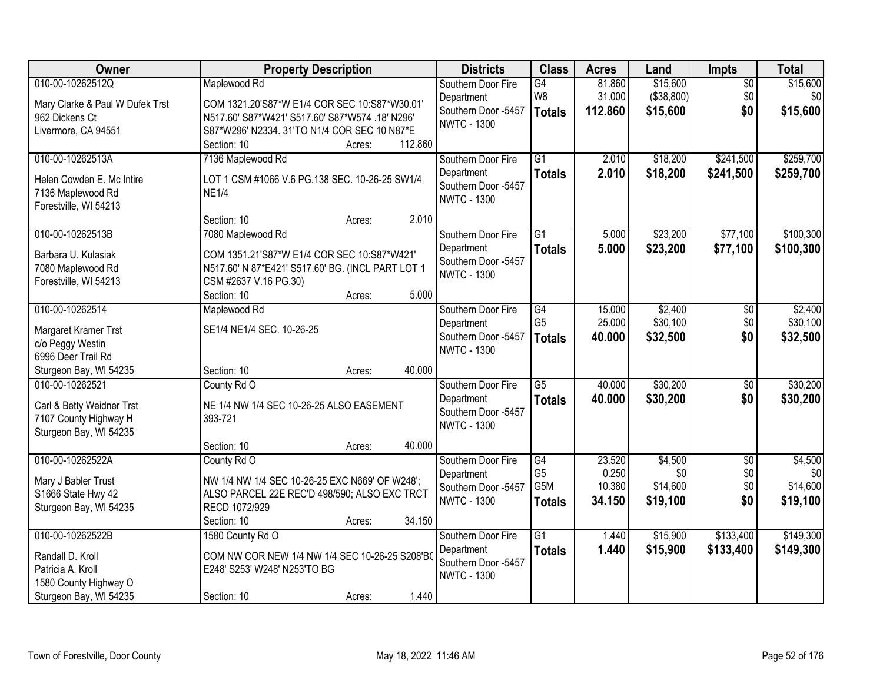| Owner                           | <b>Property Description</b>                       | <b>Districts</b>                          | <b>Class</b>     | <b>Acres</b>      | Land                   | Impts           | <b>Total</b>    |
|---------------------------------|---------------------------------------------------|-------------------------------------------|------------------|-------------------|------------------------|-----------------|-----------------|
| 010-00-10262512Q                | Maplewood Rd                                      | Southern Door Fire                        | G4               | 81.860            | \$15,600               | $\overline{50}$ | \$15,600        |
| Mary Clarke & Paul W Dufek Trst | COM 1321.20'S87*W E1/4 COR SEC 10:S87*W30.01      | Department<br>Southern Door -5457         | W8               | 31.000<br>112.860 | (\$38,800)<br>\$15,600 | \$0<br>\$0      | \$0<br>\$15,600 |
| 962 Dickens Ct                  | N517.60' S87*W421' S517.60' S87*W574 .18' N296'   | <b>NWTC - 1300</b>                        | <b>Totals</b>    |                   |                        |                 |                 |
| Livermore, CA 94551             | S87*W296' N2334. 31'TO N1/4 COR SEC 10 N87*E      |                                           |                  |                   |                        |                 |                 |
|                                 | Section: 10<br>112.860<br>Acres:                  |                                           |                  |                   |                        |                 |                 |
| 010-00-10262513A                | 7136 Maplewood Rd                                 | Southern Door Fire                        | $\overline{G1}$  | 2.010             | \$18,200               | \$241,500       | \$259,700       |
| Helen Cowden E. Mc Intire       | LOT 1 CSM #1066 V.6 PG.138 SEC. 10-26-25 SW1/4    | Department                                | <b>Totals</b>    | 2.010             | \$18,200               | \$241,500       | \$259,700       |
| 7136 Maplewood Rd               | <b>NE1/4</b>                                      | Southern Door -5457<br><b>NWTC - 1300</b> |                  |                   |                        |                 |                 |
| Forestville, WI 54213           |                                                   |                                           |                  |                   |                        |                 |                 |
|                                 | 2.010<br>Section: 10<br>Acres:                    |                                           |                  |                   |                        |                 |                 |
| 010-00-10262513B                | 7080 Maplewood Rd                                 | Southern Door Fire                        | $\overline{G1}$  | 5.000             | \$23,200               | \$77,100        | \$100,300       |
| Barbara U. Kulasiak             | COM 1351.21'S87*W E1/4 COR SEC 10:S87*W421'       | Department                                | <b>Totals</b>    | 5.000             | \$23,200               | \$77,100        | \$100,300       |
| 7080 Maplewood Rd               | N517.60' N 87*E421' S517.60' BG. (INCL PART LOT 1 | Southern Door -5457                       |                  |                   |                        |                 |                 |
| Forestville, WI 54213           | CSM #2637 V.16 PG.30)                             | <b>NWTC - 1300</b>                        |                  |                   |                        |                 |                 |
|                                 | 5.000<br>Section: 10<br>Acres:                    |                                           |                  |                   |                        |                 |                 |
| 010-00-10262514                 | Maplewood Rd                                      | Southern Door Fire                        | G4               | 15.000            | \$2,400                | \$0             | \$2,400         |
| Margaret Kramer Trst            | SE1/4 NE1/4 SEC. 10-26-25                         | Department                                | G <sub>5</sub>   | 25.000            | \$30,100               | \$0             | \$30,100        |
| c/o Peggy Westin                |                                                   | Southern Door -5457                       | <b>Totals</b>    | 40.000            | \$32,500               | \$0             | \$32,500        |
| 6996 Deer Trail Rd              |                                                   | <b>NWTC - 1300</b>                        |                  |                   |                        |                 |                 |
| Sturgeon Bay, WI 54235          | 40.000<br>Section: 10<br>Acres:                   |                                           |                  |                   |                        |                 |                 |
| 010-00-10262521                 | County Rd O                                       | Southern Door Fire                        | $\overline{G5}$  | 40.000            | \$30,200               | $\overline{50}$ | \$30,200        |
| Carl & Betty Weidner Trst       | NE 1/4 NW 1/4 SEC 10-26-25 ALSO EASEMENT          | Department                                | <b>Totals</b>    | 40.000            | \$30,200               | \$0             | \$30,200        |
| 7107 County Highway H           | 393-721                                           | Southern Door -5457                       |                  |                   |                        |                 |                 |
| Sturgeon Bay, WI 54235          |                                                   | <b>NWTC - 1300</b>                        |                  |                   |                        |                 |                 |
|                                 | 40.000<br>Section: 10<br>Acres:                   |                                           |                  |                   |                        |                 |                 |
| 010-00-10262522A                | County Rd O                                       | Southern Door Fire                        | G4               | 23.520            | \$4,500                | $\overline{50}$ | \$4,500         |
| Mary J Babler Trust             | NW 1/4 NW 1/4 SEC 10-26-25 EXC N669' OF W248';    | Department                                | G <sub>5</sub>   | 0.250             | \$0                    | \$0             | \$0             |
| S1666 State Hwy 42              | ALSO PARCEL 22E REC'D 498/590; ALSO EXC TRCT      | Southern Door -5457                       | G <sub>5</sub> M | 10.380            | \$14,600               | \$0             | \$14,600        |
| Sturgeon Bay, WI 54235          | RECD 1072/929                                     | <b>NWTC - 1300</b>                        | <b>Totals</b>    | 34.150            | \$19,100               | \$0             | \$19,100        |
|                                 | 34.150<br>Section: 10<br>Acres:                   |                                           |                  |                   |                        |                 |                 |
| 010-00-10262522B                | 1580 County Rd O                                  | Southern Door Fire                        | $\overline{G1}$  | 1.440             | \$15,900               | \$133,400       | \$149,300       |
| Randall D. Kroll                | COM NW COR NEW 1/4 NW 1/4 SEC 10-26-25 S208'BO    | Department                                | <b>Totals</b>    | 1.440             | \$15,900               | \$133,400       | \$149,300       |
| Patricia A. Kroll               | E248' S253' W248' N253'TO BG                      | Southern Door -5457                       |                  |                   |                        |                 |                 |
| 1580 County Highway O           |                                                   | <b>NWTC - 1300</b>                        |                  |                   |                        |                 |                 |
| Sturgeon Bay, WI 54235          | 1.440<br>Section: 10<br>Acres:                    |                                           |                  |                   |                        |                 |                 |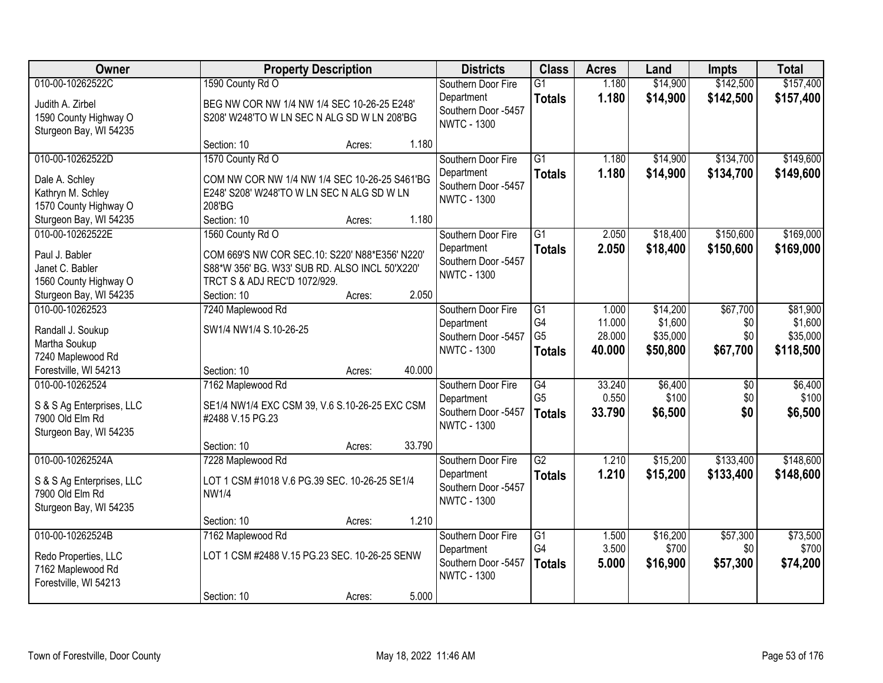| Owner                     | <b>Property Description</b>                    |        |        | <b>Districts</b>                          | <b>Class</b>    | <b>Acres</b> | Land     | <b>Impts</b>    | <b>Total</b> |
|---------------------------|------------------------------------------------|--------|--------|-------------------------------------------|-----------------|--------------|----------|-----------------|--------------|
| 010-00-10262522C          | 1590 County Rd O                               |        |        | Southern Door Fire                        | $\overline{G1}$ | 1.180        | \$14,900 | \$142,500       | \$157,400    |
| Judith A. Zirbel          | BEG NW COR NW 1/4 NW 1/4 SEC 10-26-25 E248'    |        |        | Department                                | <b>Totals</b>   | 1.180        | \$14,900 | \$142,500       | \$157,400    |
| 1590 County Highway O     | S208' W248'TO W LN SEC N ALG SD W LN 208'BG    |        |        | Southern Door -5457                       |                 |              |          |                 |              |
| Sturgeon Bay, WI 54235    |                                                |        |        | <b>NWTC - 1300</b>                        |                 |              |          |                 |              |
|                           | Section: 10                                    | Acres: | 1.180  |                                           |                 |              |          |                 |              |
| 010-00-10262522D          | 1570 County Rd O                               |        |        | Southern Door Fire                        | $\overline{G1}$ | 1.180        | \$14,900 | \$134,700       | \$149,600    |
| Dale A. Schley            | COM NW COR NW 1/4 NW 1/4 SEC 10-26-25 S461'BG  |        |        | Department                                | <b>Totals</b>   | 1.180        | \$14,900 | \$134,700       | \$149,600    |
| Kathryn M. Schley         | E248' S208' W248'TO W LN SEC N ALG SD W LN     |        |        | Southern Door -5457<br><b>NWTC - 1300</b> |                 |              |          |                 |              |
| 1570 County Highway O     | 208'BG                                         |        |        |                                           |                 |              |          |                 |              |
| Sturgeon Bay, WI 54235    | Section: 10                                    | Acres: | 1.180  |                                           |                 |              |          |                 |              |
| 010-00-10262522E          | 1560 County Rd O                               |        |        | Southern Door Fire                        | $\overline{G1}$ | 2.050        | \$18,400 | \$150,600       | \$169,000    |
| Paul J. Babler            | COM 669'S NW COR SEC.10: S220' N88*E356' N220' |        |        | Department                                | <b>Totals</b>   | 2.050        | \$18,400 | \$150,600       | \$169,000    |
| Janet C. Babler           | S88*W 356' BG. W33' SUB RD. ALSO INCL 50'X220' |        |        | Southern Door -5457<br><b>NWTC - 1300</b> |                 |              |          |                 |              |
| 1560 County Highway O     | TRCT S & ADJ REC'D 1072/929.                   |        |        |                                           |                 |              |          |                 |              |
| Sturgeon Bay, WI 54235    | Section: 10                                    | Acres: | 2.050  |                                           |                 |              |          |                 |              |
| 010-00-10262523           | 7240 Maplewood Rd                              |        |        | Southern Door Fire                        | G1              | 1.000        | \$14,200 | \$67,700        | \$81,900     |
| Randall J. Soukup         | SW1/4 NW1/4 S.10-26-25                         |        |        | Department                                | G4              | 11.000       | \$1,600  | \$0             | \$1,600      |
| Martha Soukup             |                                                |        |        | Southern Door -5457<br><b>NWTC - 1300</b> | G <sub>5</sub>  | 28.000       | \$35,000 | \$0             | \$35,000     |
| 7240 Maplewood Rd         |                                                |        |        |                                           | <b>Totals</b>   | 40.000       | \$50,800 | \$67,700        | \$118,500    |
| Forestville, WI 54213     | Section: 10                                    | Acres: | 40.000 |                                           |                 |              |          |                 |              |
| 010-00-10262524           | 7162 Maplewood Rd                              |        |        | Southern Door Fire                        | $\overline{G4}$ | 33.240       | \$6,400  | $\overline{50}$ | \$6,400      |
| S & S Ag Enterprises, LLC | SE1/4 NW1/4 EXC CSM 39, V.6 S.10-26-25 EXC CSM |        |        | Department                                | G <sub>5</sub>  | 0.550        | \$100    | \$0             | \$100        |
| 7900 Old Elm Rd           | #2488 V.15 PG.23                               |        |        | Southern Door -5457<br><b>NWTC - 1300</b> | <b>Totals</b>   | 33.790       | \$6,500  | \$0             | \$6,500      |
| Sturgeon Bay, WI 54235    |                                                |        |        |                                           |                 |              |          |                 |              |
|                           | Section: 10                                    | Acres: | 33.790 |                                           |                 |              |          |                 |              |
| 010-00-10262524A          | 7228 Maplewood Rd                              |        |        | Southern Door Fire                        | $\overline{G2}$ | 1.210        | \$15,200 | \$133,400       | \$148,600    |
| S & S Ag Enterprises, LLC | LOT 1 CSM #1018 V.6 PG.39 SEC. 10-26-25 SE1/4  |        |        | Department                                | <b>Totals</b>   | 1.210        | \$15,200 | \$133,400       | \$148,600    |
| 7900 Old Elm Rd           | <b>NW1/4</b>                                   |        |        | Southern Door -5457<br><b>NWTC - 1300</b> |                 |              |          |                 |              |
| Sturgeon Bay, WI 54235    |                                                |        |        |                                           |                 |              |          |                 |              |
|                           | Section: 10                                    | Acres: | 1.210  |                                           |                 |              |          |                 |              |
| 010-00-10262524B          | 7162 Maplewood Rd                              |        |        | Southern Door Fire                        | $\overline{G1}$ | 1.500        | \$16,200 | \$57,300        | \$73,500     |
| Redo Properties, LLC      | LOT 1 CSM #2488 V.15 PG.23 SEC. 10-26-25 SENW  |        |        | Department<br>Southern Door -5457         | G4              | 3.500        | \$700    | \$0             | \$700        |
| 7162 Maplewood Rd         |                                                |        |        | <b>NWTC - 1300</b>                        | <b>Totals</b>   | 5.000        | \$16,900 | \$57,300        | \$74,200     |
| Forestville, WI 54213     |                                                |        |        |                                           |                 |              |          |                 |              |
|                           | Section: 10                                    | Acres: | 5.000  |                                           |                 |              |          |                 |              |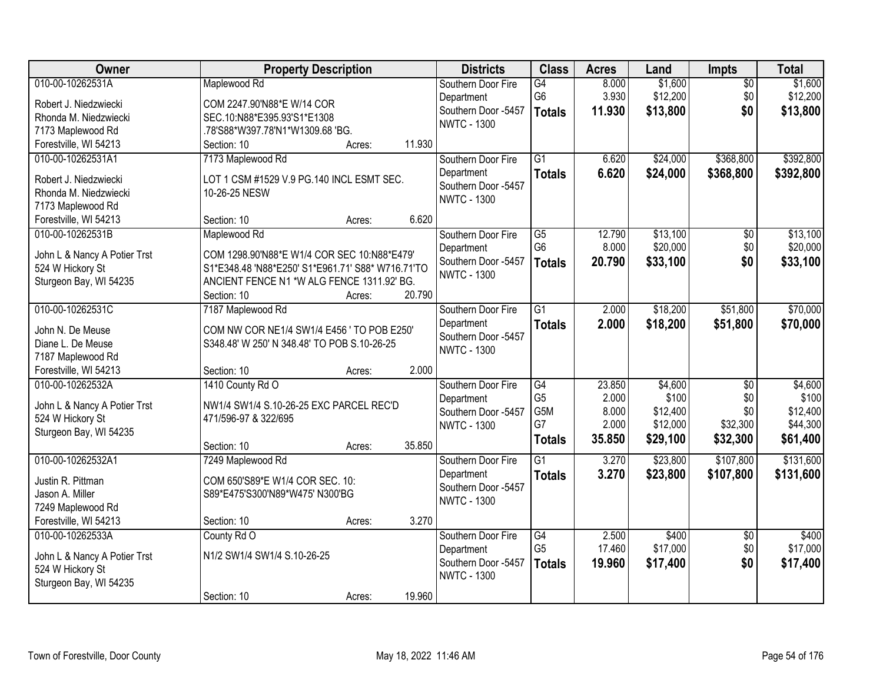| Owner                        | <b>Property Description</b>                       | <b>Districts</b>    | <b>Class</b>    | <b>Acres</b>   | Land                 | Impts           | <b>Total</b>         |
|------------------------------|---------------------------------------------------|---------------------|-----------------|----------------|----------------------|-----------------|----------------------|
| 010-00-10262531A             | Maplewood Rd                                      | Southern Door Fire  | G4              | 8.000          | \$1,600              | $\overline{50}$ | \$1,600              |
| Robert J. Niedzwiecki        | COM 2247.90'N88*E W/14 COR                        | Department          | G6              | 3.930          | \$12,200             | \$0             | \$12,200             |
| Rhonda M. Niedzwiecki        | SEC.10:N88*E395.93'S1*E1308                       | Southern Door -5457 | <b>Totals</b>   | 11.930         | \$13,800             | \$0             | \$13,800             |
| 7173 Maplewood Rd            | .78'S88*W397.78'N1*W1309.68 'BG.                  | <b>NWTC - 1300</b>  |                 |                |                      |                 |                      |
| Forestville, WI 54213        | 11.930<br>Section: 10<br>Acres:                   |                     |                 |                |                      |                 |                      |
| 010-00-10262531A1            | 7173 Maplewood Rd                                 | Southern Door Fire  | $\overline{G1}$ | 6.620          | \$24,000             | \$368,800       | \$392,800            |
|                              |                                                   | Department          | <b>Totals</b>   | 6.620          | \$24,000             | \$368,800       | \$392,800            |
| Robert J. Niedzwiecki        | LOT 1 CSM #1529 V.9 PG.140 INCL ESMT SEC.         | Southern Door -5457 |                 |                |                      |                 |                      |
| Rhonda M. Niedzwiecki        | 10-26-25 NESW                                     | <b>NWTC - 1300</b>  |                 |                |                      |                 |                      |
| 7173 Maplewood Rd            |                                                   |                     |                 |                |                      |                 |                      |
| Forestville, WI 54213        | 6.620<br>Section: 10<br>Acres:                    |                     |                 |                |                      |                 |                      |
| 010-00-10262531B             | Maplewood Rd                                      | Southern Door Fire  | $\overline{G5}$ | 12.790         | \$13,100             | $\overline{50}$ | \$13,100             |
| John L & Nancy A Potier Trst | COM 1298.90'N88*E W1/4 COR SEC 10:N88*E479'       | Department          | G <sub>6</sub>  | 8.000          | \$20,000             | \$0             | \$20,000             |
| 524 W Hickory St             | S1*E348.48 'N88*E250' S1*E961.71' S88* W716.71'TO | Southern Door -5457 | <b>Totals</b>   | 20.790         | \$33,100             | \$0             | \$33,100             |
| Sturgeon Bay, WI 54235       | ANCIENT FENCE N1 *W ALG FENCE 1311.92' BG.        | <b>NWTC - 1300</b>  |                 |                |                      |                 |                      |
|                              | 20.790<br>Section: 10<br>Acres:                   |                     |                 |                |                      |                 |                      |
| 010-00-10262531C             | 7187 Maplewood Rd                                 | Southern Door Fire  | $\overline{G1}$ | 2.000          | \$18,200             | \$51,800        | \$70,000             |
|                              |                                                   | Department          | <b>Totals</b>   | 2.000          | \$18,200             | \$51,800        | \$70,000             |
| John N. De Meuse             | COM NW COR NE1/4 SW1/4 E456 ' TO POB E250'        | Southern Door -5457 |                 |                |                      |                 |                      |
| Diane L. De Meuse            | S348.48' W 250' N 348.48' TO POB S.10-26-25       | <b>NWTC - 1300</b>  |                 |                |                      |                 |                      |
| 7187 Maplewood Rd            |                                                   |                     |                 |                |                      |                 |                      |
| Forestville, WI 54213        | 2.000<br>Section: 10<br>Acres:                    |                     |                 |                |                      |                 |                      |
| 010-00-10262532A             | 1410 County Rd O                                  | Southern Door Fire  | $\overline{G4}$ | 23.850         | \$4,600              | $\overline{50}$ | \$4,600              |
| John L & Nancy A Potier Trst | NW1/4 SW1/4 S.10-26-25 EXC PARCEL REC'D           | Department          | G <sub>5</sub>  | 2.000          | \$100                | \$0             | \$100                |
| 524 W Hickory St             | 471/596-97 & 322/695                              | Southern Door -5457 | G5M<br>G7       | 8.000<br>2.000 | \$12,400<br>\$12,000 | \$0<br>\$32,300 | \$12,400<br>\$44,300 |
| Sturgeon Bay, WI 54235       |                                                   | <b>NWTC - 1300</b>  |                 |                |                      |                 |                      |
|                              | 35.850<br>Section: 10<br>Acres:                   |                     | <b>Totals</b>   | 35.850         | \$29,100             | \$32,300        | \$61,400             |
| 010-00-10262532A1            | 7249 Maplewood Rd                                 | Southern Door Fire  | $\overline{G1}$ | 3.270          | \$23,800             | \$107,800       | \$131,600            |
| Justin R. Pittman            | COM 650'S89*E W1/4 COR SEC. 10:                   | Department          | <b>Totals</b>   | 3.270          | \$23,800             | \$107,800       | \$131,600            |
| Jason A. Miller              | S89*E475'S300'N89*W475' N300'BG                   | Southern Door -5457 |                 |                |                      |                 |                      |
| 7249 Maplewood Rd            |                                                   | <b>NWTC - 1300</b>  |                 |                |                      |                 |                      |
| Forestville, WI 54213        | 3.270<br>Section: 10<br>Acres:                    |                     |                 |                |                      |                 |                      |
| 010-00-10262533A             | County Rd O                                       | Southern Door Fire  | $\overline{G4}$ | 2.500          | \$400                | $\overline{50}$ | \$400                |
|                              |                                                   | Department          | G <sub>5</sub>  | 17.460         | \$17,000             | \$0             | \$17,000             |
| John L & Nancy A Potier Trst | N1/2 SW1/4 SW1/4 S.10-26-25                       | Southern Door -5457 | <b>Totals</b>   | 19.960         | \$17,400             | \$0             | \$17,400             |
| 524 W Hickory St             |                                                   | <b>NWTC - 1300</b>  |                 |                |                      |                 |                      |
| Sturgeon Bay, WI 54235       |                                                   |                     |                 |                |                      |                 |                      |
|                              | 19.960<br>Section: 10<br>Acres:                   |                     |                 |                |                      |                 |                      |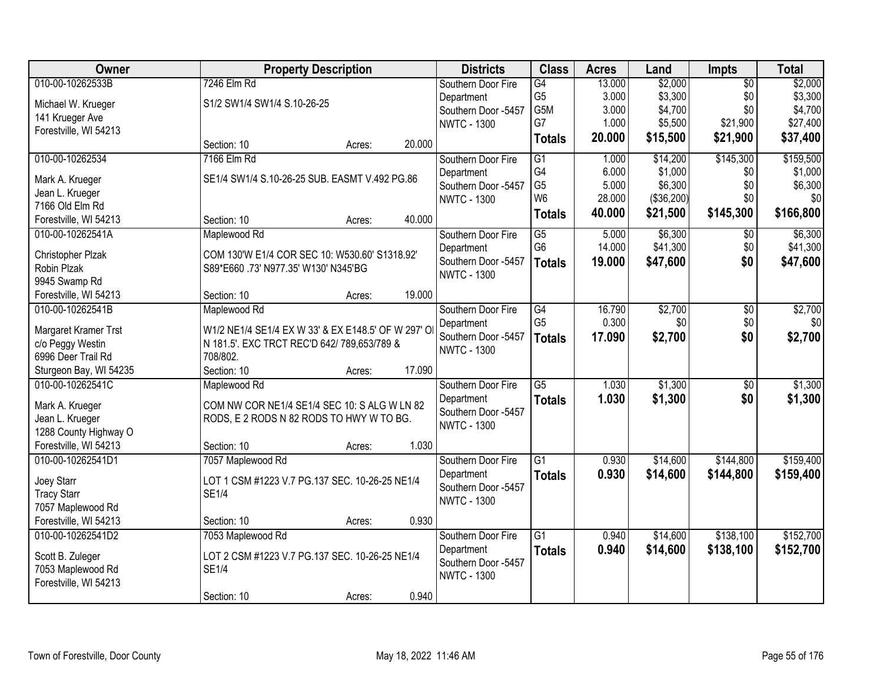| Owner                                    | <b>Property Description</b>                                                                       |        |        | <b>Districts</b>                          | <b>Class</b>    | <b>Acres</b> | Land       | Impts           | <b>Total</b> |
|------------------------------------------|---------------------------------------------------------------------------------------------------|--------|--------|-------------------------------------------|-----------------|--------------|------------|-----------------|--------------|
| 010-00-10262533B                         | 7246 Elm Rd                                                                                       |        |        | Southern Door Fire                        | G4              | 13.000       | \$2,000    | $\overline{50}$ | \$2,000      |
| Michael W. Krueger                       | S1/2 SW1/4 SW1/4 S.10-26-25                                                                       |        |        | Department                                | G <sub>5</sub>  | 3.000        | \$3,300    | \$0             | \$3,300      |
| 141 Krueger Ave                          |                                                                                                   |        |        | Southern Door -5457                       | G5M             | 3.000        | \$4,700    | \$0             | \$4,700      |
| Forestville, WI 54213                    |                                                                                                   |        |        | <b>NWTC - 1300</b>                        | G7              | 1.000        | \$5,500    | \$21,900        | \$27,400     |
|                                          | Section: 10                                                                                       | Acres: | 20.000 |                                           | <b>Totals</b>   | 20.000       | \$15,500   | \$21,900        | \$37,400     |
| 010-00-10262534                          | 7166 Elm Rd                                                                                       |        |        | Southern Door Fire                        | G1              | 1.000        | \$14,200   | \$145,300       | \$159,500    |
| Mark A. Krueger                          | SE1/4 SW1/4 S.10-26-25 SUB. EASMT V.492 PG.86                                                     |        |        | Department                                | G4              | 6.000        | \$1,000    | \$0             | \$1,000      |
| Jean L. Krueger                          |                                                                                                   |        |        | Southern Door -5457                       | G <sub>5</sub>  | 5.000        | \$6,300    | \$0             | \$6,300      |
| 7166 Old Elm Rd                          |                                                                                                   |        |        | <b>NWTC - 1300</b>                        | W <sub>6</sub>  | 28.000       | (\$36,200) | \$0             | \$0          |
| Forestville, WI 54213                    | Section: 10                                                                                       | Acres: | 40.000 |                                           | <b>Totals</b>   | 40.000       | \$21,500   | \$145,300       | \$166,800    |
| 010-00-10262541A                         | Maplewood Rd                                                                                      |        |        | Southern Door Fire                        | $\overline{G5}$ | 5.000        | \$6,300    | \$0             | \$6,300      |
| Christopher Plzak                        | COM 130'W E1/4 COR SEC 10: W530.60' S1318.92'                                                     |        |        | Department                                | G <sub>6</sub>  | 14.000       | \$41,300   | \$0             | \$41,300     |
| Robin Plzak                              | S89*E660 .73' N977.35' W130' N345'BG                                                              |        |        | Southern Door -5457                       | <b>Totals</b>   | 19.000       | \$47,600   | \$0             | \$47,600     |
| 9945 Swamp Rd                            |                                                                                                   |        |        | <b>NWTC - 1300</b>                        |                 |              |            |                 |              |
| Forestville, WI 54213                    | Section: 10                                                                                       | Acres: | 19.000 |                                           |                 |              |            |                 |              |
| 010-00-10262541B                         | Maplewood Rd                                                                                      |        |        | Southern Door Fire                        | G4              | 16.790       | \$2,700    | \$0             | \$2,700      |
|                                          |                                                                                                   |        |        | Department                                | G <sub>5</sub>  | 0.300        | \$0        | \$0             | \$0          |
| Margaret Kramer Trst<br>c/o Peggy Westin | W1/2 NE1/4 SE1/4 EX W 33' & EX E148.5' OF W 297' O<br>N 181.5'. EXC TRCT REC'D 642/ 789,653/789 & |        |        | Southern Door -5457                       | <b>Totals</b>   | 17.090       | \$2,700    | \$0             | \$2,700      |
| 6996 Deer Trail Rd                       | 708/802.                                                                                          |        |        | <b>NWTC - 1300</b>                        |                 |              |            |                 |              |
| Sturgeon Bay, WI 54235                   | Section: 10                                                                                       | Acres: | 17.090 |                                           |                 |              |            |                 |              |
| 010-00-10262541C                         | Maplewood Rd                                                                                      |        |        | Southern Door Fire                        | $\overline{G5}$ | 1.030        | \$1,300    | $\overline{50}$ | \$1,300      |
|                                          |                                                                                                   |        |        | Department                                | <b>Totals</b>   | 1.030        | \$1,300    | \$0             | \$1,300      |
| Mark A. Krueger                          | COM NW COR NE1/4 SE1/4 SEC 10: S ALG W LN 82                                                      |        |        | Southern Door -5457                       |                 |              |            |                 |              |
| Jean L. Krueger                          | RODS, E 2 RODS N 82 RODS TO HWY W TO BG.                                                          |        |        | <b>NWTC - 1300</b>                        |                 |              |            |                 |              |
| 1288 County Highway O                    |                                                                                                   |        |        |                                           |                 |              |            |                 |              |
| Forestville, WI 54213                    | Section: 10                                                                                       | Acres: | 1.030  |                                           |                 |              |            |                 |              |
| 010-00-10262541D1                        | 7057 Maplewood Rd                                                                                 |        |        | Southern Door Fire                        | G <sub>1</sub>  | 0.930        | \$14,600   | \$144,800       | \$159,400    |
| Joey Starr                               | LOT 1 CSM #1223 V.7 PG.137 SEC. 10-26-25 NE1/4                                                    |        |        | Department                                | <b>Totals</b>   | 0.930        | \$14,600   | \$144,800       | \$159,400    |
| <b>Tracy Starr</b>                       | <b>SE1/4</b>                                                                                      |        |        | Southern Door -5457<br><b>NWTC - 1300</b> |                 |              |            |                 |              |
| 7057 Maplewood Rd                        |                                                                                                   |        |        |                                           |                 |              |            |                 |              |
| Forestville, WI 54213                    | Section: 10                                                                                       | Acres: | 0.930  |                                           |                 |              |            |                 |              |
| 010-00-10262541D2                        | 7053 Maplewood Rd                                                                                 |        |        | Southern Door Fire                        | $\overline{G1}$ | 0.940        | \$14,600   | \$138,100       | \$152,700    |
| Scott B. Zuleger                         | LOT 2 CSM #1223 V.7 PG.137 SEC. 10-26-25 NE1/4                                                    |        |        | Department                                | <b>Totals</b>   | 0.940        | \$14,600   | \$138,100       | \$152,700    |
| 7053 Maplewood Rd                        | <b>SE1/4</b>                                                                                      |        |        | Southern Door -5457                       |                 |              |            |                 |              |
| Forestville, WI 54213                    |                                                                                                   |        |        | <b>NWTC - 1300</b>                        |                 |              |            |                 |              |
|                                          | Section: 10                                                                                       | Acres: | 0.940  |                                           |                 |              |            |                 |              |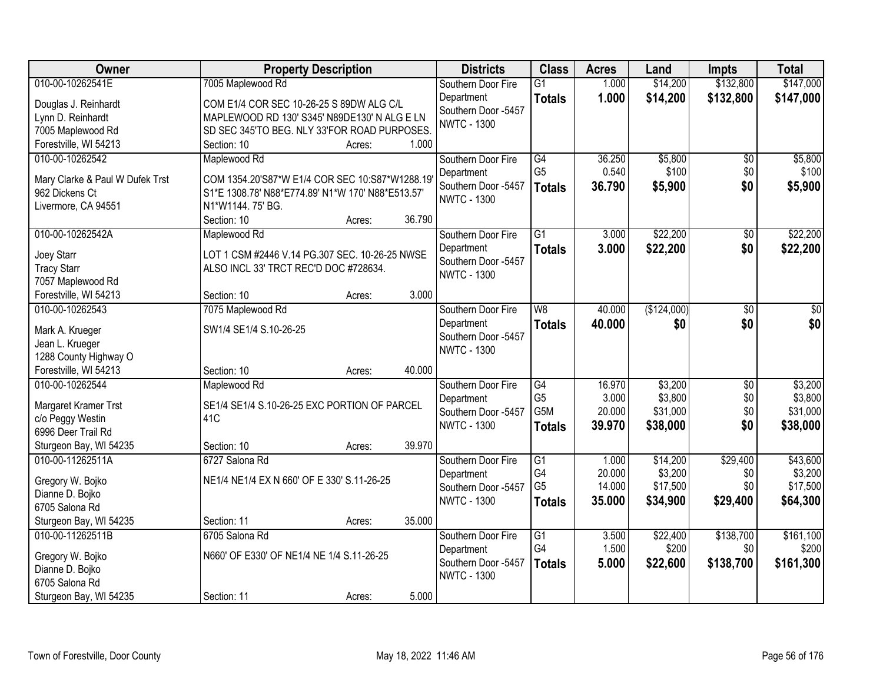| Owner                                             | <b>Property Description</b>                                                                         |                  | <b>Districts</b>                  | <b>Class</b>          | <b>Acres</b>   | Land              | <b>Impts</b>    | <b>Total</b>       |
|---------------------------------------------------|-----------------------------------------------------------------------------------------------------|------------------|-----------------------------------|-----------------------|----------------|-------------------|-----------------|--------------------|
| 010-00-10262541E                                  | 7005 Maplewood Rd                                                                                   |                  | Southern Door Fire                | $\overline{G1}$       | 1.000          | \$14,200          | \$132,800       | \$147,000          |
| Douglas J. Reinhardt                              | COM E1/4 COR SEC 10-26-25 S 89DW ALG C/L                                                            |                  | Department                        | <b>Totals</b>         | 1.000          | \$14,200          | \$132,800       | \$147,000          |
| Lynn D. Reinhardt                                 | MAPLEWOOD RD 130' S345' N89DE130' N ALG E LN                                                        |                  | Southern Door -5457               |                       |                |                   |                 |                    |
| 7005 Maplewood Rd                                 | SD SEC 345'TO BEG. NLY 33'FOR ROAD PURPOSES.                                                        |                  | <b>NWTC - 1300</b>                |                       |                |                   |                 |                    |
| Forestville, WI 54213                             | Section: 10                                                                                         | 1.000<br>Acres:  |                                   |                       |                |                   |                 |                    |
| 010-00-10262542                                   | Maplewood Rd                                                                                        |                  | Southern Door Fire                | G4                    | 36.250         | \$5,800           | \$0             | \$5,800            |
|                                                   |                                                                                                     |                  | Department                        | G <sub>5</sub>        | 0.540          | \$100             | \$0             | \$100              |
| Mary Clarke & Paul W Dufek Trst<br>962 Dickens Ct | COM 1354.20'S87*W E1/4 COR SEC 10:S87*W1288.19<br>S1*E 1308.78' N88*E774.89' N1*W 170' N88*E513.57' |                  | Southern Door -5457               | <b>Totals</b>         | 36.790         | \$5,900           | \$0             | \$5,900            |
| Livermore, CA 94551                               | N1*W1144.75' BG.                                                                                    |                  | <b>NWTC - 1300</b>                |                       |                |                   |                 |                    |
|                                                   | Section: 10                                                                                         | 36.790<br>Acres: |                                   |                       |                |                   |                 |                    |
| 010-00-10262542A                                  | Maplewood Rd                                                                                        |                  | Southern Door Fire                | $\overline{G1}$       | 3.000          | \$22,200          | $\overline{50}$ | \$22,200           |
|                                                   |                                                                                                     |                  | Department                        | <b>Totals</b>         | 3.000          | \$22,200          | \$0             | \$22,200           |
| Joey Starr                                        | LOT 1 CSM #2446 V.14 PG.307 SEC. 10-26-25 NWSE                                                      |                  | Southern Door -5457               |                       |                |                   |                 |                    |
| <b>Tracy Starr</b>                                | ALSO INCL 33' TRCT REC'D DOC #728634.                                                               |                  | <b>NWTC - 1300</b>                |                       |                |                   |                 |                    |
| 7057 Maplewood Rd                                 |                                                                                                     |                  |                                   |                       |                |                   |                 |                    |
| Forestville, WI 54213                             | Section: 10                                                                                         | 3.000<br>Acres:  |                                   |                       |                |                   |                 |                    |
| 010-00-10262543                                   | 7075 Maplewood Rd                                                                                   |                  | Southern Door Fire                | W <sub>8</sub>        | 40.000         | (\$124,000)       | \$0             | \$0                |
| Mark A. Krueger                                   | SW1/4 SE1/4 S.10-26-25                                                                              |                  | Department                        | <b>Totals</b>         | 40.000         | \$0               | \$0             | \$0                |
| Jean L. Krueger                                   |                                                                                                     |                  | Southern Door -5457               |                       |                |                   |                 |                    |
| 1288 County Highway O                             |                                                                                                     |                  | <b>NWTC - 1300</b>                |                       |                |                   |                 |                    |
| Forestville, WI 54213                             | Section: 10                                                                                         | 40.000<br>Acres: |                                   |                       |                |                   |                 |                    |
| 010-00-10262544                                   | Maplewood Rd                                                                                        |                  | Southern Door Fire                | G4                    | 16.970         | \$3,200           | \$0             | \$3,200            |
| Margaret Kramer Trst                              | SE1/4 SE1/4 S.10-26-25 EXC PORTION OF PARCEL                                                        |                  | Department                        | G <sub>5</sub>        | 3.000          | \$3,800           | \$0             | \$3,800            |
| c/o Peggy Westin                                  | 41 <sub>C</sub>                                                                                     |                  | Southern Door -5457               | G5M                   | 20.000         | \$31,000          | \$0             | \$31,000           |
| 6996 Deer Trail Rd                                |                                                                                                     |                  | <b>NWTC - 1300</b>                | <b>Totals</b>         | 39.970         | \$38,000          | \$0             | \$38,000           |
| Sturgeon Bay, WI 54235                            | Section: 10                                                                                         | 39.970<br>Acres: |                                   |                       |                |                   |                 |                    |
| 010-00-11262511A                                  | 6727 Salona Rd                                                                                      |                  | Southern Door Fire                | $\overline{G1}$       | 1.000          | \$14,200          | \$29,400        | \$43,600           |
|                                                   |                                                                                                     |                  | Department                        | G4                    | 20.000         | \$3,200           | \$0             | \$3,200            |
| Gregory W. Bojko                                  | NE1/4 NE1/4 EX N 660' OF E 330' S.11-26-25                                                          |                  | Southern Door -5457               | G <sub>5</sub>        | 14.000         | \$17,500          | \$0             | \$17,500           |
| Dianne D. Bojko                                   |                                                                                                     |                  | <b>NWTC - 1300</b>                | <b>Totals</b>         | 35.000         | \$34,900          | \$29,400        | \$64,300           |
| 6705 Salona Rd                                    |                                                                                                     |                  |                                   |                       |                |                   |                 |                    |
| Sturgeon Bay, WI 54235                            | Section: 11                                                                                         | 35.000<br>Acres: |                                   |                       |                |                   |                 |                    |
| 010-00-11262511B                                  | 6705 Salona Rd                                                                                      |                  | Southern Door Fire                | $\overline{G1}$<br>G4 | 3.500<br>1.500 | \$22,400<br>\$200 | \$138,700       | \$161,100<br>\$200 |
| Gregory W. Bojko                                  | N660' OF E330' OF NE1/4 NE 1/4 S.11-26-25                                                           |                  | Department<br>Southern Door -5457 |                       |                |                   | \$0             |                    |
| Dianne D. Bojko                                   |                                                                                                     |                  | <b>NWTC - 1300</b>                | <b>Totals</b>         | 5.000          | \$22,600          | \$138,700       | \$161,300          |
| 6705 Salona Rd                                    |                                                                                                     |                  |                                   |                       |                |                   |                 |                    |
| Sturgeon Bay, WI 54235                            | Section: 11                                                                                         | 5.000<br>Acres:  |                                   |                       |                |                   |                 |                    |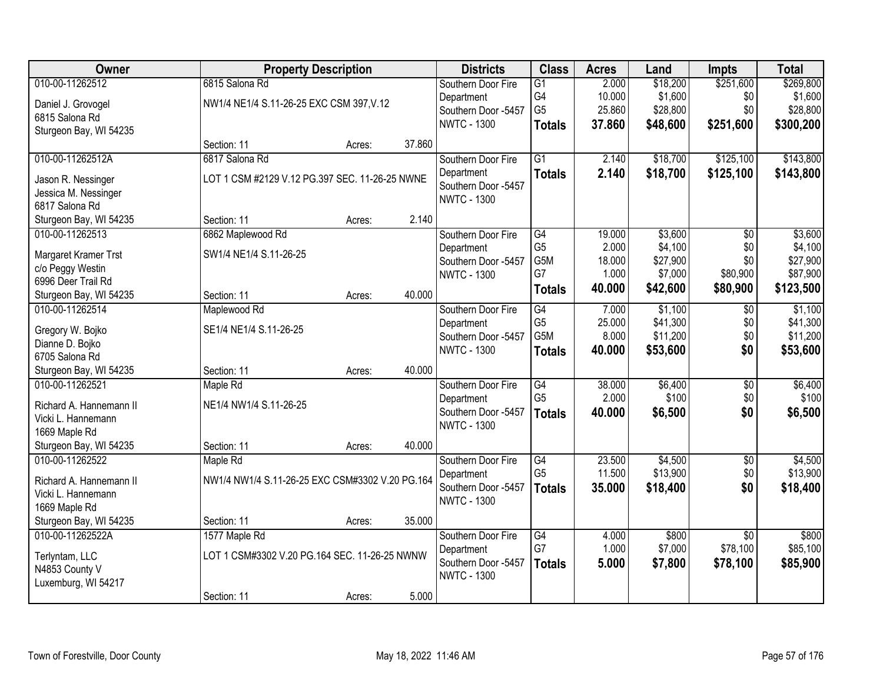| Owner                   |                                                 | <b>Property Description</b> |        | <b>Districts</b>                  | <b>Class</b>         | <b>Acres</b>    | Land                | <b>Impts</b>    | <b>Total</b>         |
|-------------------------|-------------------------------------------------|-----------------------------|--------|-----------------------------------|----------------------|-----------------|---------------------|-----------------|----------------------|
| 010-00-11262512         | 6815 Salona Rd                                  |                             |        | Southern Door Fire                | $\overline{G1}$      | 2.000           | \$18,200            | \$251,600       | \$269,800            |
| Daniel J. Grovogel      | NW1/4 NE1/4 S.11-26-25 EXC CSM 397, V.12        |                             |        | Department                        | G4                   | 10.000          | \$1,600             | \$0             | \$1,600              |
| 6815 Salona Rd          |                                                 |                             |        | Southern Door -5457               | G <sub>5</sub>       | 25.860          | \$28,800            | \$0             | \$28,800             |
| Sturgeon Bay, WI 54235  |                                                 |                             |        | <b>NWTC - 1300</b>                | <b>Totals</b>        | 37.860          | \$48,600            | \$251,600       | \$300,200            |
|                         | Section: 11                                     | Acres:                      | 37.860 |                                   |                      |                 |                     |                 |                      |
| 010-00-11262512A        | 6817 Salona Rd                                  |                             |        | Southern Door Fire                | $\overline{G1}$      | 2.140           | \$18,700            | \$125,100       | \$143,800            |
| Jason R. Nessinger      | LOT 1 CSM #2129 V.12 PG.397 SEC. 11-26-25 NWNE  |                             |        | Department                        | <b>Totals</b>        | 2.140           | \$18,700            | \$125,100       | \$143,800            |
| Jessica M. Nessinger    |                                                 |                             |        | Southern Door -5457               |                      |                 |                     |                 |                      |
| 6817 Salona Rd          |                                                 |                             |        | <b>NWTC - 1300</b>                |                      |                 |                     |                 |                      |
| Sturgeon Bay, WI 54235  | Section: 11                                     | Acres:                      | 2.140  |                                   |                      |                 |                     |                 |                      |
| 010-00-11262513         | 6862 Maplewood Rd                               |                             |        | Southern Door Fire                | G4                   | 19.000          | \$3,600             | $\overline{50}$ | \$3,600              |
|                         |                                                 |                             |        | Department                        | G <sub>5</sub>       | 2.000           | \$4,100             | \$0             | \$4,100              |
| Margaret Kramer Trst    | SW1/4 NE1/4 S.11-26-25                          |                             |        | Southern Door -5457               | G5M                  | 18.000          | \$27,900            | \$0             | \$27,900             |
| c/o Peggy Westin        |                                                 |                             |        | <b>NWTC - 1300</b>                | G7                   | 1.000           | \$7,000             | \$80,900        | \$87,900             |
| 6996 Deer Trail Rd      |                                                 |                             |        |                                   | <b>Totals</b>        | 40.000          | \$42,600            | \$80,900        | \$123,500            |
| Sturgeon Bay, WI 54235  | Section: 11                                     | Acres:                      | 40.000 |                                   |                      |                 |                     |                 |                      |
| 010-00-11262514         | Maplewood Rd                                    |                             |        | Southern Door Fire                | G4<br>G <sub>5</sub> | 7.000           | \$1,100<br>\$41,300 | \$0<br>\$0      | \$1,100              |
| Gregory W. Bojko        | SE1/4 NE1/4 S.11-26-25                          |                             |        | Department<br>Southern Door -5457 | G5M                  | 25.000<br>8.000 | \$11,200            | \$0             | \$41,300<br>\$11,200 |
| Dianne D. Bojko         |                                                 |                             |        | <b>NWTC - 1300</b>                |                      | 40.000          | \$53,600            | \$0             |                      |
| 6705 Salona Rd          |                                                 |                             |        |                                   | <b>Totals</b>        |                 |                     |                 | \$53,600             |
| Sturgeon Bay, WI 54235  | Section: 11                                     | Acres:                      | 40.000 |                                   |                      |                 |                     |                 |                      |
| 010-00-11262521         | Maple Rd                                        |                             |        | Southern Door Fire                | G4                   | 38.000          | \$6,400             | $\overline{50}$ | \$6,400              |
| Richard A. Hannemann II | NE1/4 NW1/4 S.11-26-25                          |                             |        | Department                        | G <sub>5</sub>       | 2.000           | \$100               | \$0             | \$100                |
| Vicki L. Hannemann      |                                                 |                             |        | Southern Door -5457               | <b>Totals</b>        | 40.000          | \$6,500             | \$0             | \$6,500              |
| 1669 Maple Rd           |                                                 |                             |        | <b>NWTC - 1300</b>                |                      |                 |                     |                 |                      |
| Sturgeon Bay, WI 54235  | Section: 11                                     | Acres:                      | 40.000 |                                   |                      |                 |                     |                 |                      |
| 010-00-11262522         | Maple Rd                                        |                             |        | Southern Door Fire                | G4                   | 23.500          | \$4,500             | $\overline{60}$ | \$4,500              |
| Richard A. Hannemann II | NW1/4 NW1/4 S.11-26-25 EXC CSM#3302 V.20 PG.164 |                             |        | Department                        | G <sub>5</sub>       | 11.500          | \$13,900            | \$0             | \$13,900             |
| Vicki L. Hannemann      |                                                 |                             |        | Southern Door -5457               | <b>Totals</b>        | 35.000          | \$18,400            | \$0             | \$18,400             |
| 1669 Maple Rd           |                                                 |                             |        | <b>NWTC - 1300</b>                |                      |                 |                     |                 |                      |
| Sturgeon Bay, WI 54235  | Section: 11                                     | Acres:                      | 35.000 |                                   |                      |                 |                     |                 |                      |
| 010-00-11262522A        | 1577 Maple Rd                                   |                             |        | Southern Door Fire                | G4                   | 4.000           | \$800               | $\overline{50}$ | \$800                |
| Terlyntam, LLC          | LOT 1 CSM#3302 V.20 PG.164 SEC. 11-26-25 NWNW   |                             |        | Department                        | G7                   | 1.000           | \$7,000             | \$78,100        | \$85,100             |
| N4853 County V          |                                                 |                             |        | Southern Door -5457               | <b>Totals</b>        | 5.000           | \$7,800             | \$78,100        | \$85,900             |
| Luxemburg, WI 54217     |                                                 |                             |        | <b>NWTC - 1300</b>                |                      |                 |                     |                 |                      |
|                         | Section: 11                                     | Acres:                      | 5.000  |                                   |                      |                 |                     |                 |                      |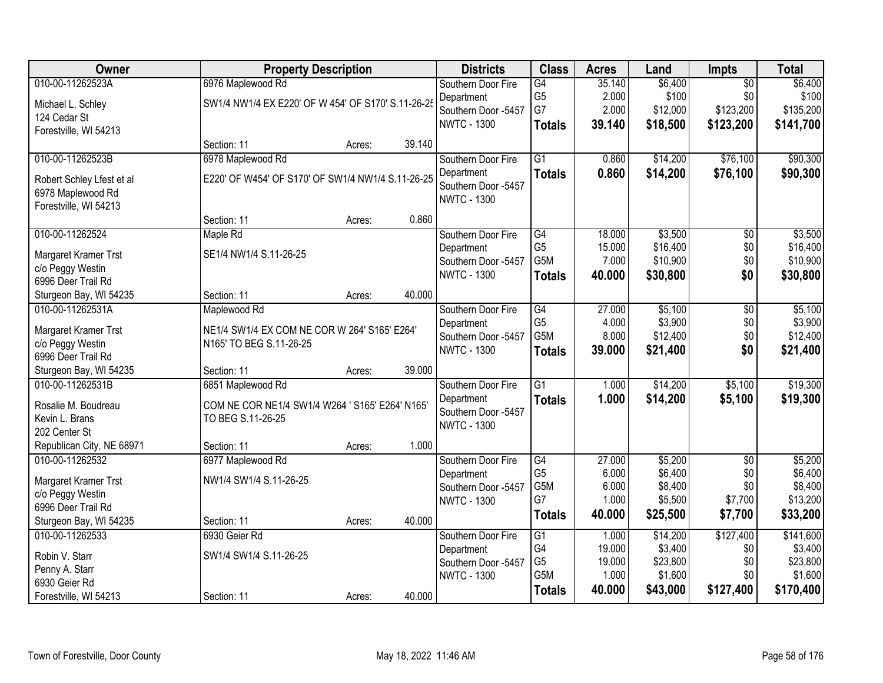| Owner                                      | <b>Property Description</b>                        |        |        | <b>Districts</b>                  | <b>Class</b>    | <b>Acres</b> | Land     | Impts           | <b>Total</b> |
|--------------------------------------------|----------------------------------------------------|--------|--------|-----------------------------------|-----------------|--------------|----------|-----------------|--------------|
| 010-00-11262523A                           | 6976 Maplewood Rd                                  |        |        | Southern Door Fire                | G4              | 35.140       | \$6,400  | $\overline{50}$ | \$6,400      |
| Michael L. Schley                          | SW1/4 NW1/4 EX E220' OF W 454' OF S170' S.11-26-25 |        |        | Department                        | G <sub>5</sub>  | 2.000        | \$100    | \$0             | \$100        |
| 124 Cedar St                               |                                                    |        |        | Southern Door -5457               | G7              | 2.000        | \$12,000 | \$123,200       | \$135,200    |
| Forestville, WI 54213                      |                                                    |        |        | <b>NWTC - 1300</b>                | <b>Totals</b>   | 39.140       | \$18,500 | \$123,200       | \$141,700    |
|                                            | Section: 11                                        | Acres: | 39.140 |                                   |                 |              |          |                 |              |
| 010-00-11262523B                           | 6978 Maplewood Rd                                  |        |        | Southern Door Fire                | $\overline{G1}$ | 0.860        | \$14,200 | \$76,100        | \$90,300     |
| Robert Schley Lfest et al                  | E220' OF W454' OF S170' OF SW1/4 NW1/4 S.11-26-25  |        |        | Department                        | <b>Totals</b>   | 0.860        | \$14,200 | \$76,100        | \$90,300     |
| 6978 Maplewood Rd                          |                                                    |        |        | Southern Door -5457               |                 |              |          |                 |              |
| Forestville, WI 54213                      |                                                    |        |        | <b>NWTC - 1300</b>                |                 |              |          |                 |              |
|                                            | Section: 11                                        | Acres: | 0.860  |                                   |                 |              |          |                 |              |
| 010-00-11262524                            | Maple Rd                                           |        |        | Southern Door Fire                | G4              | 18.000       | \$3,500  | $\overline{50}$ | \$3,500      |
| <b>Margaret Kramer Trst</b>                | SE1/4 NW1/4 S.11-26-25                             |        |        | Department                        | G <sub>5</sub>  | 15.000       | \$16,400 | \$0             | \$16,400     |
| c/o Peggy Westin                           |                                                    |        |        | Southern Door -5457               | G5M             | 7.000        | \$10,900 | \$0             | \$10,900     |
| 6996 Deer Trail Rd                         |                                                    |        |        | <b>NWTC - 1300</b>                | <b>Totals</b>   | 40.000       | \$30,800 | \$0             | \$30,800     |
| Sturgeon Bay, WI 54235                     | Section: 11                                        | Acres: | 40.000 |                                   |                 |              |          |                 |              |
| 010-00-11262531A                           | Maplewood Rd                                       |        |        | Southern Door Fire                | G4              | 27.000       | \$5,100  | $\overline{50}$ | \$5,100      |
|                                            |                                                    |        |        | Department                        | G <sub>5</sub>  | 4.000        | \$3,900  | \$0             | \$3,900      |
| Margaret Kramer Trst                       | NE1/4 SW1/4 EX COM NE COR W 264' S165' E264'       |        |        | Southern Door -5457               | G5M             | 8.000        | \$12,400 | \$0             | \$12,400     |
| c/o Peggy Westin                           | N165' TO BEG S.11-26-25                            |        |        | <b>NWTC - 1300</b>                | <b>Totals</b>   | 39.000       | \$21,400 | \$0             | \$21,400     |
| 6996 Deer Trail Rd                         | Section: 11                                        |        | 39.000 |                                   |                 |              |          |                 |              |
| Sturgeon Bay, WI 54235<br>010-00-11262531B | 6851 Maplewood Rd                                  | Acres: |        |                                   | $\overline{G1}$ | 1.000        | \$14,200 | \$5,100         | \$19,300     |
|                                            |                                                    |        |        | Southern Door Fire                |                 | 1.000        |          |                 |              |
| Rosalie M. Boudreau                        | COM NE COR NE1/4 SW1/4 W264 ' S165' E264' N165'    |        |        | Department<br>Southern Door -5457 | <b>Totals</b>   |              | \$14,200 | \$5,100         | \$19,300     |
| Kevin L. Brans                             | TO BEG S.11-26-25                                  |        |        | <b>NWTC - 1300</b>                |                 |              |          |                 |              |
| 202 Center St                              |                                                    |        |        |                                   |                 |              |          |                 |              |
| Republican City, NE 68971                  | Section: 11                                        | Acres: | 1.000  |                                   |                 |              |          |                 |              |
| 010-00-11262532                            | 6977 Maplewood Rd                                  |        |        | Southern Door Fire                | G4              | 27.000       | \$5,200  | $\overline{50}$ | \$5,200      |
| Margaret Kramer Trst                       | NW1/4 SW1/4 S.11-26-25                             |        |        | Department                        | G <sub>5</sub>  | 6.000        | \$6,400  | \$0             | \$6,400      |
| c/o Peggy Westin                           |                                                    |        |        | Southern Door -5457               | G5M             | 6.000        | \$8,400  | \$0             | \$8,400      |
| 6996 Deer Trail Rd                         |                                                    |        |        | <b>NWTC - 1300</b>                | G7              | 1.000        | \$5,500  | \$7,700         | \$13,200     |
| Sturgeon Bay, WI 54235                     | Section: 11                                        | Acres: | 40.000 |                                   | <b>Totals</b>   | 40.000       | \$25,500 | \$7,700         | \$33,200     |
| 010-00-11262533                            | 6930 Geier Rd                                      |        |        | Southern Door Fire                | $\overline{G1}$ | 1.000        | \$14,200 | \$127,400       | \$141,600    |
| Robin V. Starr                             | SW1/4 SW1/4 S.11-26-25                             |        |        | Department                        | G4              | 19.000       | \$3,400  | \$0             | \$3,400      |
| Penny A. Starr                             |                                                    |        |        | Southern Door -5457               | G <sub>5</sub>  | 19.000       | \$23,800 | \$0             | \$23,800     |
| 6930 Geier Rd                              |                                                    |        |        | <b>NWTC - 1300</b>                | G5M             | 1.000        | \$1,600  | \$0             | \$1,600      |
| Forestville, WI 54213                      | Section: 11                                        | Acres: | 40.000 |                                   | <b>Totals</b>   | 40.000       | \$43,000 | \$127,400       | \$170,400    |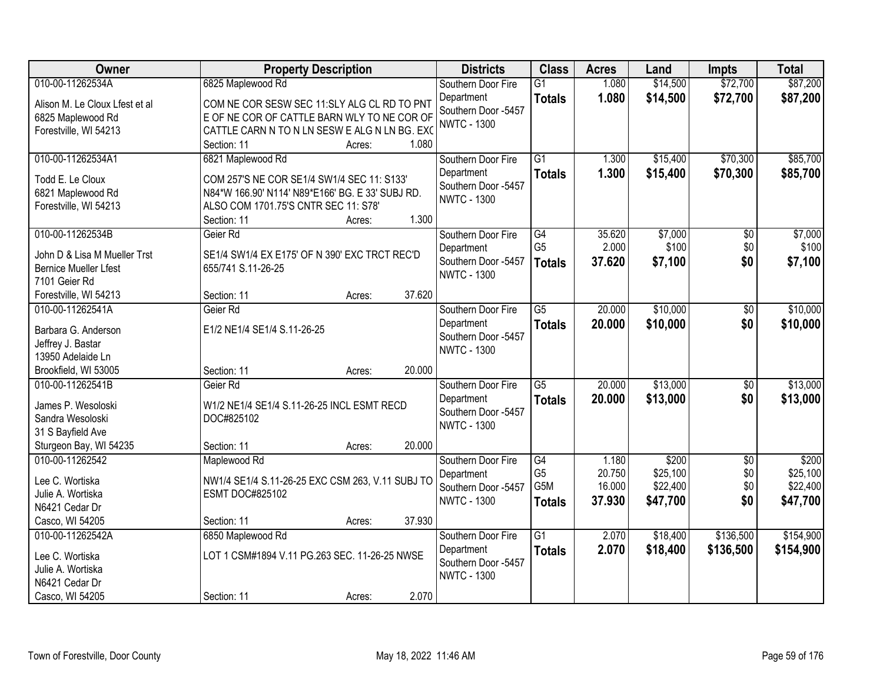| Owner                                         | <b>Property Description</b>                      | <b>Districts</b>    | <b>Class</b>    | <b>Acres</b> | Land     | <b>Impts</b>    | <b>Total</b> |
|-----------------------------------------------|--------------------------------------------------|---------------------|-----------------|--------------|----------|-----------------|--------------|
| 010-00-11262534A                              | 6825 Maplewood Rd                                | Southern Door Fire  | $\overline{G1}$ | 1.080        | \$14,500 | \$72,700        | \$87,200     |
| Alison M. Le Cloux Lfest et al                | COM NE COR SESW SEC 11:SLY ALG CL RD TO PNT      | Department          | <b>Totals</b>   | 1.080        | \$14,500 | \$72,700        | \$87,200     |
| 6825 Maplewood Rd                             | E OF NE COR OF CATTLE BARN WLY TO NE COR OF      | Southern Door -5457 |                 |              |          |                 |              |
| Forestville, WI 54213                         | CATTLE CARN N TO N LN SESW E ALG N LN BG. EXC    | <b>NWTC - 1300</b>  |                 |              |          |                 |              |
|                                               | 1.080<br>Section: 11<br>Acres:                   |                     |                 |              |          |                 |              |
| 010-00-11262534A1                             | 6821 Maplewood Rd                                | Southern Door Fire  | $\overline{G1}$ | 1.300        | \$15,400 | \$70,300        | \$85,700     |
| Todd E. Le Cloux                              | COM 257'S NE COR SE1/4 SW1/4 SEC 11: S133'       | Department          | <b>Totals</b>   | 1.300        | \$15,400 | \$70,300        | \$85,700     |
| 6821 Maplewood Rd                             | N84*W 166.90' N114' N89*E166' BG. E 33' SUBJ RD. | Southern Door -5457 |                 |              |          |                 |              |
| Forestville, WI 54213                         | ALSO COM 1701.75'S CNTR SEC 11: S78'             | <b>NWTC - 1300</b>  |                 |              |          |                 |              |
|                                               | 1.300<br>Section: 11<br>Acres:                   |                     |                 |              |          |                 |              |
| 010-00-11262534B                              | Geier Rd                                         | Southern Door Fire  | $\overline{G4}$ | 35.620       | \$7,000  | $\overline{50}$ | \$7,000      |
|                                               |                                                  | Department          | G <sub>5</sub>  | 2.000        | \$100    | \$0             | \$100        |
| John D & Lisa M Mueller Trst                  | SE1/4 SW1/4 EX E175' OF N 390' EXC TRCT REC'D    | Southern Door -5457 | <b>Totals</b>   | 37.620       | \$7,100  | \$0             | \$7,100      |
| <b>Bernice Mueller Lfest</b><br>7101 Geier Rd | 655/741 S.11-26-25                               | <b>NWTC - 1300</b>  |                 |              |          |                 |              |
| Forestville, WI 54213                         | 37.620<br>Section: 11<br>Acres:                  |                     |                 |              |          |                 |              |
| 010-00-11262541A                              | Geier Rd                                         | Southern Door Fire  | $\overline{G5}$ | 20,000       | \$10,000 | $\sqrt[6]{}$    | \$10,000     |
|                                               |                                                  | Department          |                 | 20.000       | \$10,000 | \$0             | \$10,000     |
| Barbara G. Anderson                           | E1/2 NE1/4 SE1/4 S.11-26-25                      | Southern Door -5457 | <b>Totals</b>   |              |          |                 |              |
| Jeffrey J. Bastar                             |                                                  | <b>NWTC - 1300</b>  |                 |              |          |                 |              |
| 13950 Adelaide Ln                             |                                                  |                     |                 |              |          |                 |              |
| Brookfield, WI 53005                          | 20.000<br>Section: 11<br>Acres:                  |                     |                 |              |          |                 |              |
| 010-00-11262541B                              | Geier Rd                                         | Southern Door Fire  | $\overline{G5}$ | 20.000       | \$13,000 | $\overline{50}$ | \$13,000     |
| James P. Wesoloski                            | W1/2 NE1/4 SE1/4 S.11-26-25 INCL ESMT RECD       | Department          | <b>Totals</b>   | 20,000       | \$13,000 | \$0             | \$13,000     |
| Sandra Wesoloski                              | DOC#825102                                       | Southern Door -5457 |                 |              |          |                 |              |
| 31 S Bayfield Ave                             |                                                  | <b>NWTC - 1300</b>  |                 |              |          |                 |              |
| Sturgeon Bay, WI 54235                        | 20.000<br>Section: 11<br>Acres:                  |                     |                 |              |          |                 |              |
| 010-00-11262542                               | Maplewood Rd                                     | Southern Door Fire  | G4              | 1.180        | \$200    | $\sqrt{6}$      | \$200        |
| Lee C. Wortiska                               | NW1/4 SE1/4 S.11-26-25 EXC CSM 263, V.11 SUBJ TO | Department          | G <sub>5</sub>  | 20.750       | \$25,100 | \$0             | \$25,100     |
| Julie A. Wortiska                             | <b>ESMT DOC#825102</b>                           | Southern Door -5457 | G5M             | 16.000       | \$22,400 | \$0             | \$22,400     |
| N6421 Cedar Dr                                |                                                  | <b>NWTC - 1300</b>  | <b>Totals</b>   | 37,930       | \$47,700 | \$0             | \$47,700     |
| Casco, WI 54205                               | 37.930<br>Section: 11<br>Acres:                  |                     |                 |              |          |                 |              |
| 010-00-11262542A                              | 6850 Maplewood Rd                                | Southern Door Fire  | $\overline{G1}$ | 2.070        | \$18,400 | \$136,500       | \$154,900    |
|                                               |                                                  | Department          | <b>Totals</b>   | 2.070        | \$18,400 | \$136,500       | \$154,900    |
| Lee C. Wortiska                               | LOT 1 CSM#1894 V.11 PG.263 SEC. 11-26-25 NWSE    | Southern Door -5457 |                 |              |          |                 |              |
| Julie A. Wortiska                             |                                                  | <b>NWTC - 1300</b>  |                 |              |          |                 |              |
| N6421 Cedar Dr                                |                                                  |                     |                 |              |          |                 |              |
| Casco, WI 54205                               | 2.070<br>Section: 11<br>Acres:                   |                     |                 |              |          |                 |              |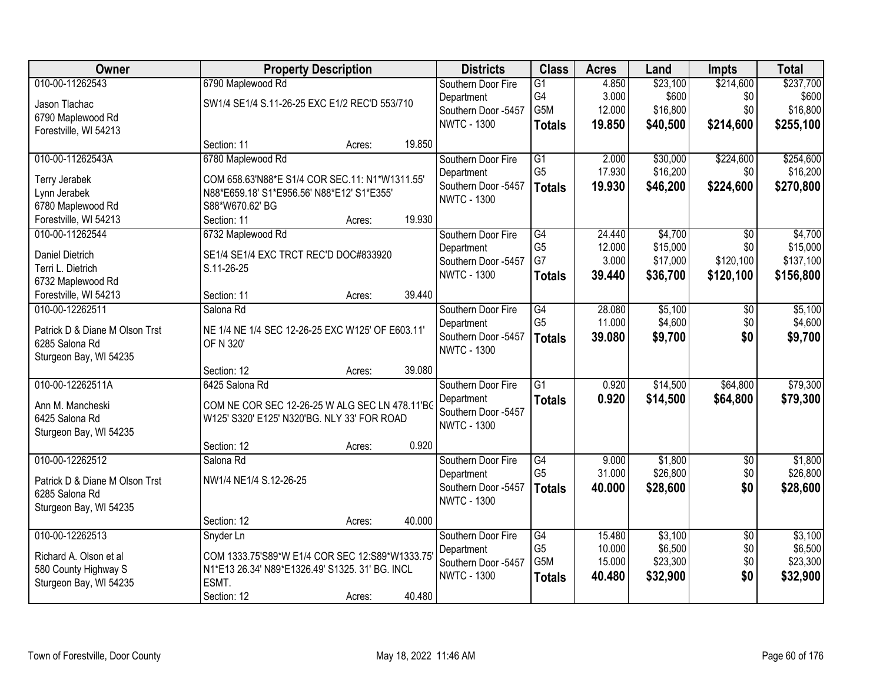| <b>Owner</b>                       |                                                                                               | <b>Property Description</b> |        | <b>Districts</b>    | <b>Class</b>    | <b>Acres</b> | Land     | <b>Impts</b>    | <b>Total</b> |
|------------------------------------|-----------------------------------------------------------------------------------------------|-----------------------------|--------|---------------------|-----------------|--------------|----------|-----------------|--------------|
| 010-00-11262543                    | 6790 Maplewood Rd                                                                             |                             |        | Southern Door Fire  | G1              | 4.850        | \$23,100 | \$214,600       | \$237,700    |
| Jason Tlachac                      | SW1/4 SE1/4 S.11-26-25 EXC E1/2 REC'D 553/710                                                 |                             |        | Department          | G4              | 3.000        | \$600    | \$0             | \$600        |
| 6790 Maplewood Rd                  |                                                                                               |                             |        | Southern Door -5457 | G5M             | 12.000       | \$16,800 | \$0             | \$16,800     |
| Forestville, WI 54213              |                                                                                               |                             |        | <b>NWTC - 1300</b>  | <b>Totals</b>   | 19.850       | \$40,500 | \$214,600       | \$255,100    |
|                                    | Section: 11                                                                                   | Acres:                      | 19.850 |                     |                 |              |          |                 |              |
| 010-00-11262543A                   | 6780 Maplewood Rd                                                                             |                             |        | Southern Door Fire  | $\overline{G1}$ | 2.000        | \$30,000 | \$224,600       | \$254,600    |
| Terry Jerabek                      | COM 658.63'N88*E S1/4 COR SEC.11: N1*W1311.55'                                                |                             |        | Department          | G <sub>5</sub>  | 17.930       | \$16,200 | \$0             | \$16,200     |
| Lynn Jerabek                       | N88*E659.18' S1*E956.56' N88*E12' S1*E355'                                                    |                             |        | Southern Door -5457 | <b>Totals</b>   | 19.930       | \$46,200 | \$224,600       | \$270,800    |
| 6780 Maplewood Rd                  | S88*W670.62' BG                                                                               |                             |        | <b>NWTC - 1300</b>  |                 |              |          |                 |              |
| Forestville, WI 54213              | Section: 11                                                                                   | Acres:                      | 19.930 |                     |                 |              |          |                 |              |
| 010-00-11262544                    | 6732 Maplewood Rd                                                                             |                             |        | Southern Door Fire  | G4              | 24.440       | \$4,700  | $\overline{50}$ | \$4,700      |
| <b>Daniel Dietrich</b>             | SE1/4 SE1/4 EXC TRCT REC'D DOC#833920                                                         |                             |        | Department          | G <sub>5</sub>  | 12.000       | \$15,000 | \$0             | \$15,000     |
| Terri L. Dietrich                  | S.11-26-25                                                                                    |                             |        | Southern Door -5457 | G7              | 3.000        | \$17,000 | \$120,100       | \$137,100    |
| 6732 Maplewood Rd                  |                                                                                               |                             |        | <b>NWTC - 1300</b>  | <b>Totals</b>   | 39.440       | \$36,700 | \$120,100       | \$156,800    |
| Forestville, WI 54213              | Section: 11                                                                                   | Acres:                      | 39.440 |                     |                 |              |          |                 |              |
| 010-00-12262511                    | Salona Rd                                                                                     |                             |        | Southern Door Fire  | G4              | 28.080       | \$5,100  | \$0             | \$5,100      |
| Patrick D & Diane M Olson Trst     | NE 1/4 NE 1/4 SEC 12-26-25 EXC W125' OF E603.11'                                              |                             |        | Department          | G <sub>5</sub>  | 11.000       | \$4,600  | \$0             | \$4,600      |
| 6285 Salona Rd                     | OF N 320'                                                                                     |                             |        | Southern Door -5457 | <b>Totals</b>   | 39.080       | \$9,700  | \$0             | \$9,700      |
| Sturgeon Bay, WI 54235             |                                                                                               |                             |        | <b>NWTC - 1300</b>  |                 |              |          |                 |              |
|                                    | Section: 12                                                                                   | Acres:                      | 39.080 |                     |                 |              |          |                 |              |
| 010-00-12262511A                   | 6425 Salona Rd                                                                                |                             |        | Southern Door Fire  | $\overline{G1}$ | 0.920        | \$14,500 | \$64,800        | \$79,300     |
|                                    |                                                                                               |                             |        | Department          | <b>Totals</b>   | 0.920        | \$14,500 | \$64,800        | \$79,300     |
| Ann M. Mancheski<br>6425 Salona Rd | COM NE COR SEC 12-26-25 W ALG SEC LN 478.11'BC<br>W125' S320' E125' N320'BG. NLY 33' FOR ROAD |                             |        | Southern Door -5457 |                 |              |          |                 |              |
| Sturgeon Bay, WI 54235             |                                                                                               |                             |        | <b>NWTC - 1300</b>  |                 |              |          |                 |              |
|                                    | Section: 12                                                                                   | Acres:                      | 0.920  |                     |                 |              |          |                 |              |
| 010-00-12262512                    | Salona Rd                                                                                     |                             |        | Southern Door Fire  | G4              | 9.000        | \$1,800  | $\overline{50}$ | \$1,800      |
| Patrick D & Diane M Olson Trst     | NW1/4 NE1/4 S.12-26-25                                                                        |                             |        | Department          | G <sub>5</sub>  | 31.000       | \$26,800 | \$0             | \$26,800     |
| 6285 Salona Rd                     |                                                                                               |                             |        | Southern Door -5457 | <b>Totals</b>   | 40.000       | \$28,600 | \$0             | \$28,600     |
| Sturgeon Bay, WI 54235             |                                                                                               |                             |        | <b>NWTC - 1300</b>  |                 |              |          |                 |              |
|                                    | Section: 12                                                                                   | Acres:                      | 40.000 |                     |                 |              |          |                 |              |
| 010-00-12262513                    | Snyder Ln                                                                                     |                             |        | Southern Door Fire  | G4              | 15.480       | \$3,100  | $\overline{50}$ | \$3,100      |
| Richard A. Olson et al             | COM 1333.75'S89*W E1/4 COR SEC 12:S89*W1333.75                                                |                             |        | Department          | G <sub>5</sub>  | 10.000       | \$6,500  | \$0             | \$6,500      |
| 580 County Highway S               | N1*E13 26.34' N89*E1326.49' S1325. 31' BG. INCL                                               |                             |        | Southern Door -5457 | G5M             | 15.000       | \$23,300 | \$0             | \$23,300     |
| Sturgeon Bay, WI 54235             | ESMT.                                                                                         |                             |        | <b>NWTC - 1300</b>  | <b>Totals</b>   | 40.480       | \$32,900 | \$0             | \$32,900     |
|                                    | Section: 12                                                                                   | Acres:                      | 40.480 |                     |                 |              |          |                 |              |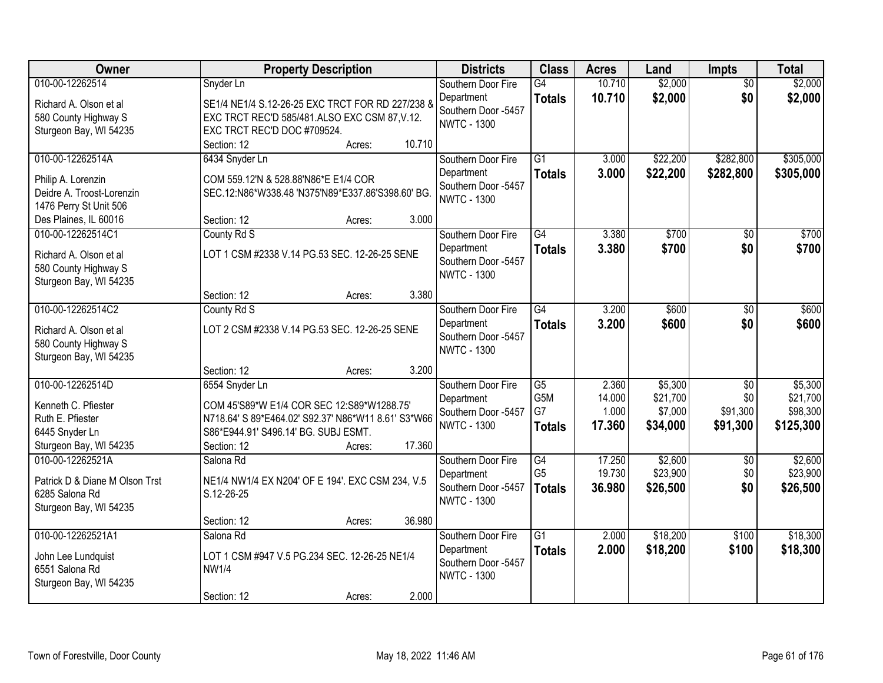| Owner                                          | <b>Property Description</b>                                                                       | <b>Districts</b>    | <b>Class</b>     | <b>Acres</b> | Land     | <b>Impts</b>    | <b>Total</b> |
|------------------------------------------------|---------------------------------------------------------------------------------------------------|---------------------|------------------|--------------|----------|-----------------|--------------|
| 010-00-12262514                                | Snyder Ln                                                                                         | Southern Door Fire  | G4               | 10.710       | \$2,000  | $\overline{50}$ | \$2,000      |
| Richard A. Olson et al                         | SE1/4 NE1/4 S.12-26-25 EXC TRCT FOR RD 227/238 &                                                  | Department          | <b>Totals</b>    | 10.710       | \$2,000  | \$0             | \$2,000      |
| 580 County Highway S                           | EXC TRCT REC'D 585/481.ALSO EXC CSM 87, V.12.                                                     | Southern Door -5457 |                  |              |          |                 |              |
| Sturgeon Bay, WI 54235                         | EXC TRCT REC'D DOC #709524.                                                                       | <b>NWTC - 1300</b>  |                  |              |          |                 |              |
|                                                | 10.710<br>Section: 12<br>Acres:                                                                   |                     |                  |              |          |                 |              |
| 010-00-12262514A                               | 6434 Snyder Ln                                                                                    | Southern Door Fire  | $\overline{G1}$  | 3.000        | \$22,200 | \$282,800       | \$305,000    |
| Philip A. Lorenzin                             | COM 559.12'N & 528.88'N86*E E1/4 COR                                                              | Department          | <b>Totals</b>    | 3.000        | \$22,200 | \$282,800       | \$305,000    |
| Deidre A. Troost-Lorenzin                      | SEC.12:N86*W338.48 'N375'N89*E337.86'S398.60' BG.                                                 | Southern Door -5457 |                  |              |          |                 |              |
| 1476 Perry St Unit 506                         |                                                                                                   | <b>NWTC - 1300</b>  |                  |              |          |                 |              |
| Des Plaines, IL 60016                          | 3.000<br>Section: 12<br>Acres:                                                                    |                     |                  |              |          |                 |              |
| 010-00-12262514C1                              | County Rd S                                                                                       | Southern Door Fire  | $\overline{G4}$  | 3.380        | \$700    | \$0             | \$700        |
| Richard A. Olson et al                         | LOT 1 CSM #2338 V.14 PG.53 SEC. 12-26-25 SENE                                                     | Department          | <b>Totals</b>    | 3.380        | \$700    | \$0             | \$700        |
| 580 County Highway S                           |                                                                                                   | Southern Door -5457 |                  |              |          |                 |              |
| Sturgeon Bay, WI 54235                         |                                                                                                   | <b>NWTC - 1300</b>  |                  |              |          |                 |              |
|                                                | 3.380<br>Section: 12<br>Acres:                                                                    |                     |                  |              |          |                 |              |
| 010-00-12262514C2                              | County Rd S                                                                                       | Southern Door Fire  | $\overline{G4}$  | 3.200        | \$600    | \$0             | \$600        |
|                                                |                                                                                                   | Department          | <b>Totals</b>    | 3.200        | \$600    | \$0             | \$600        |
| Richard A. Olson et al<br>580 County Highway S | LOT 2 CSM #2338 V.14 PG.53 SEC. 12-26-25 SENE                                                     | Southern Door -5457 |                  |              |          |                 |              |
| Sturgeon Bay, WI 54235                         |                                                                                                   | <b>NWTC - 1300</b>  |                  |              |          |                 |              |
|                                                | 3.200<br>Section: 12<br>Acres:                                                                    |                     |                  |              |          |                 |              |
| 010-00-12262514D                               | 6554 Snyder Ln                                                                                    | Southern Door Fire  | $\overline{G5}$  | 2.360        | \$5,300  | $\overline{50}$ | \$5,300      |
|                                                |                                                                                                   | Department          | G <sub>5</sub> M | 14.000       | \$21,700 | \$0             | \$21,700     |
| Kenneth C. Pfiester<br>Ruth E. Pfiester        | COM 45'S89*W E1/4 COR SEC 12:S89*W1288.75'<br>N718.64' S 89*E464.02' S92.37' N86*W11 8.61' S3*W66 | Southern Door -5457 | G7               | 1.000        | \$7,000  | \$91,300        | \$98,300     |
| 6445 Snyder Ln                                 | S86*E944.91' S496.14' BG. SUBJ ESMT.                                                              | <b>NWTC - 1300</b>  | <b>Totals</b>    | 17.360       | \$34,000 | \$91,300        | \$125,300    |
| Sturgeon Bay, WI 54235                         | 17.360<br>Section: 12<br>Acres:                                                                   |                     |                  |              |          |                 |              |
| 010-00-12262521A                               | Salona Rd                                                                                         | Southern Door Fire  | $\overline{G4}$  | 17.250       | \$2,600  | $\sqrt{6}$      | \$2,600      |
|                                                |                                                                                                   | Department          | G <sub>5</sub>   | 19.730       | \$23,900 | \$0             | \$23,900     |
| Patrick D & Diane M Olson Trst                 | NE1/4 NW1/4 EX N204' OF E 194'. EXC CSM 234, V.5                                                  | Southern Door -5457 | <b>Totals</b>    | 36,980       | \$26,500 | \$0             | \$26,500     |
| 6285 Salona Rd                                 | S.12-26-25                                                                                        | <b>NWTC - 1300</b>  |                  |              |          |                 |              |
| Sturgeon Bay, WI 54235                         | 36.980<br>Section: 12<br>Acres:                                                                   |                     |                  |              |          |                 |              |
| 010-00-12262521A1                              | Salona Rd                                                                                         | Southern Door Fire  | $\overline{G1}$  | 2.000        | \$18,200 | \$100           | \$18,300     |
|                                                |                                                                                                   | Department          | <b>Totals</b>    | 2.000        | \$18,200 | \$100           | \$18,300     |
| John Lee Lundquist                             | LOT 1 CSM #947 V.5 PG.234 SEC. 12-26-25 NE1/4                                                     | Southern Door -5457 |                  |              |          |                 |              |
| 6551 Salona Rd                                 | <b>NW1/4</b>                                                                                      | <b>NWTC - 1300</b>  |                  |              |          |                 |              |
| Sturgeon Bay, WI 54235                         | 2.000<br>Section: 12                                                                              |                     |                  |              |          |                 |              |
|                                                | Acres:                                                                                            |                     |                  |              |          |                 |              |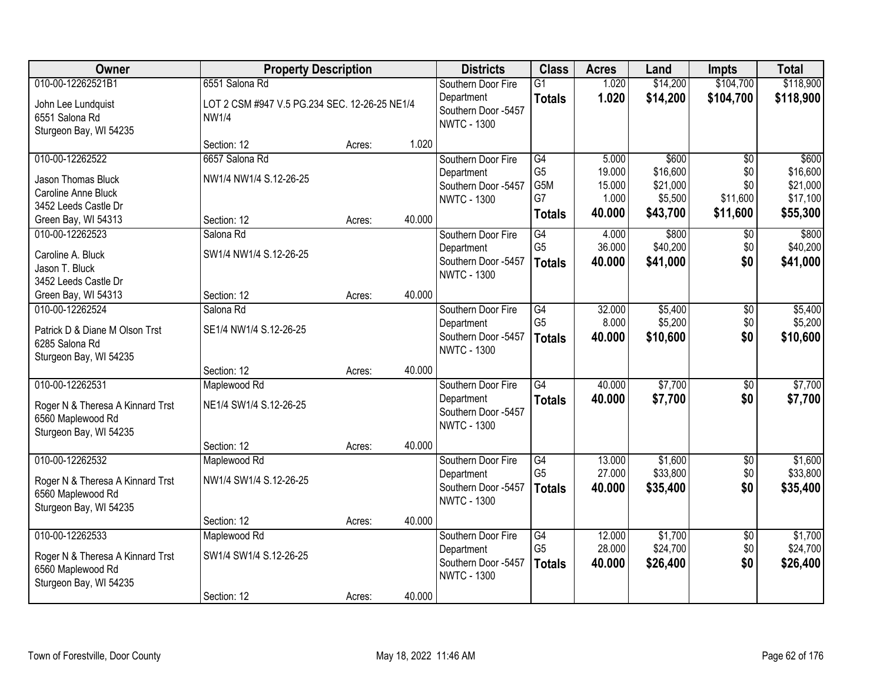| Owner                                | <b>Property Description</b>                                   |        |        | <b>Districts</b>                  | <b>Class</b>    | <b>Acres</b> | Land     | Impts           | <b>Total</b> |
|--------------------------------------|---------------------------------------------------------------|--------|--------|-----------------------------------|-----------------|--------------|----------|-----------------|--------------|
| 010-00-12262521B1                    | 6551 Salona Rd                                                |        |        | Southern Door Fire                | G1              | 1.020        | \$14,200 | \$104,700       | \$118,900    |
| John Lee Lundquist<br>6551 Salona Rd | LOT 2 CSM #947 V.5 PG.234 SEC. 12-26-25 NE1/4<br><b>NW1/4</b> |        |        | Department<br>Southern Door -5457 | <b>Totals</b>   | 1.020        | \$14,200 | \$104,700       | \$118,900    |
| Sturgeon Bay, WI 54235               |                                                               |        |        | <b>NWTC - 1300</b>                |                 |              |          |                 |              |
|                                      | Section: 12                                                   | Acres: | 1.020  |                                   |                 |              |          |                 |              |
| 010-00-12262522                      | 6657 Salona Rd                                                |        |        | Southern Door Fire                | $\overline{G4}$ | 5.000        | \$600    | \$0             | \$600        |
| Jason Thomas Bluck                   | NW1/4 NW1/4 S.12-26-25                                        |        |        | Department                        | G <sub>5</sub>  | 19.000       | \$16,600 | \$0             | \$16,600     |
| Caroline Anne Bluck                  |                                                               |        |        | Southern Door -5457               | G5M             | 15.000       | \$21,000 | \$0             | \$21,000     |
| 3452 Leeds Castle Dr                 |                                                               |        |        | <b>NWTC - 1300</b>                | G7              | 1.000        | \$5,500  | \$11,600        | \$17,100     |
| Green Bay, WI 54313                  | Section: 12                                                   | Acres: | 40.000 |                                   | <b>Totals</b>   | 40.000       | \$43,700 | \$11,600        | \$55,300     |
| 010-00-12262523                      | Salona Rd                                                     |        |        | Southern Door Fire                | $\overline{G4}$ | 4.000        | \$800    | $\sqrt[6]{}$    | \$800        |
| Caroline A. Bluck                    | SW1/4 NW1/4 S.12-26-25                                        |        |        | Department                        | G <sub>5</sub>  | 36.000       | \$40,200 | \$0             | \$40,200     |
| Jason T. Bluck                       |                                                               |        |        | Southern Door -5457               | <b>Totals</b>   | 40.000       | \$41,000 | \$0             | \$41,000     |
| 3452 Leeds Castle Dr                 |                                                               |        |        | <b>NWTC - 1300</b>                |                 |              |          |                 |              |
| Green Bay, WI 54313                  | Section: 12                                                   | Acres: | 40.000 |                                   |                 |              |          |                 |              |
| 010-00-12262524                      | Salona Rd                                                     |        |        | Southern Door Fire                | G4              | 32.000       | \$5,400  | \$0             | \$5,400      |
| Patrick D & Diane M Olson Trst       | SE1/4 NW1/4 S.12-26-25                                        |        |        | Department                        | G <sub>5</sub>  | 8.000        | \$5,200  | \$0             | \$5,200      |
| 6285 Salona Rd                       |                                                               |        |        | Southern Door -5457               | <b>Totals</b>   | 40.000       | \$10,600 | \$0             | \$10,600     |
| Sturgeon Bay, WI 54235               |                                                               |        |        | <b>NWTC - 1300</b>                |                 |              |          |                 |              |
|                                      | Section: 12                                                   | Acres: | 40.000 |                                   |                 |              |          |                 |              |
| 010-00-12262531                      | Maplewood Rd                                                  |        |        | Southern Door Fire                | $\overline{G4}$ | 40.000       | \$7,700  | $\overline{30}$ | \$7,700      |
| Roger N & Theresa A Kinnard Trst     | NE1/4 SW1/4 S.12-26-25                                        |        |        | Department                        | <b>Totals</b>   | 40.000       | \$7,700  | \$0             | \$7,700      |
| 6560 Maplewood Rd                    |                                                               |        |        | Southern Door -5457               |                 |              |          |                 |              |
| Sturgeon Bay, WI 54235               |                                                               |        |        | <b>NWTC - 1300</b>                |                 |              |          |                 |              |
|                                      | Section: 12                                                   | Acres: | 40.000 |                                   |                 |              |          |                 |              |
| 010-00-12262532                      | Maplewood Rd                                                  |        |        | Southern Door Fire                | $\overline{G4}$ | 13.000       | \$1,600  | $\overline{60}$ | \$1,600      |
| Roger N & Theresa A Kinnard Trst     | NW1/4 SW1/4 S.12-26-25                                        |        |        | Department                        | G <sub>5</sub>  | 27.000       | \$33,800 | \$0             | \$33,800     |
| 6560 Maplewood Rd                    |                                                               |        |        | Southern Door -5457               | <b>Totals</b>   | 40.000       | \$35,400 | \$0             | \$35,400     |
| Sturgeon Bay, WI 54235               |                                                               |        |        | <b>NWTC - 1300</b>                |                 |              |          |                 |              |
|                                      | Section: 12                                                   | Acres: | 40.000 |                                   |                 |              |          |                 |              |
| 010-00-12262533                      | Maplewood Rd                                                  |        |        | Southern Door Fire                | G4              | 12.000       | \$1,700  | $\overline{30}$ | \$1,700      |
| Roger N & Theresa A Kinnard Trst     | SW1/4 SW1/4 S.12-26-25                                        |        |        | Department                        | G <sub>5</sub>  | 28.000       | \$24,700 | \$0             | \$24,700     |
| 6560 Maplewood Rd                    |                                                               |        |        | Southern Door -5457               | <b>Totals</b>   | 40.000       | \$26,400 | \$0             | \$26,400     |
| Sturgeon Bay, WI 54235               |                                                               |        |        | <b>NWTC - 1300</b>                |                 |              |          |                 |              |
|                                      | Section: 12                                                   | Acres: | 40.000 |                                   |                 |              |          |                 |              |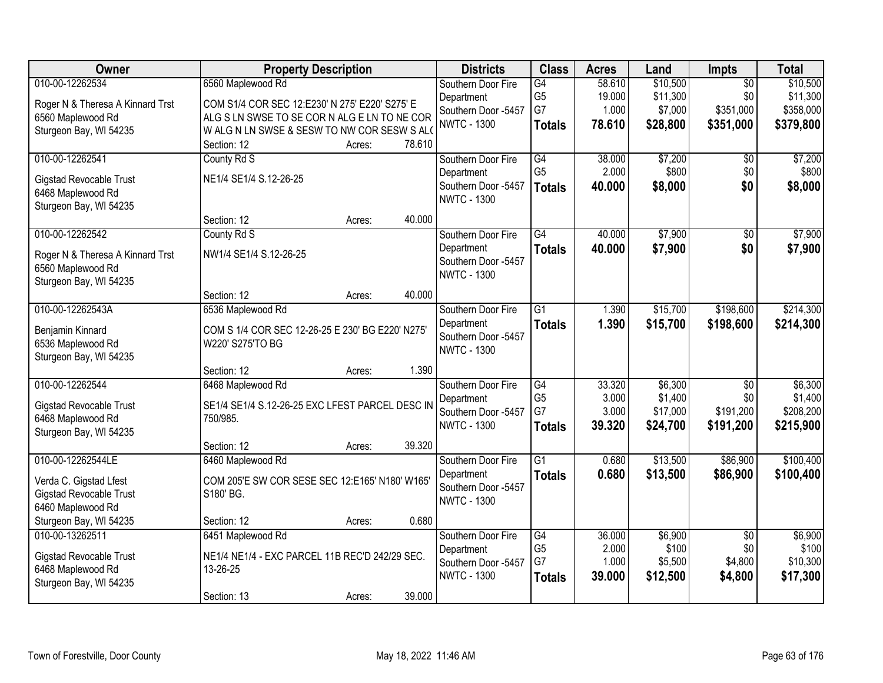| <b>Owner</b>                     | <b>Property Description</b>                      |                  | <b>Districts</b>    | <b>Class</b>    | <b>Acres</b> | Land     | Impts           | <b>Total</b> |
|----------------------------------|--------------------------------------------------|------------------|---------------------|-----------------|--------------|----------|-----------------|--------------|
| 010-00-12262534                  | 6560 Maplewood Rd                                |                  | Southern Door Fire  | G4              | 58.610       | \$10,500 | $\overline{50}$ | \$10,500     |
| Roger N & Theresa A Kinnard Trst | COM S1/4 COR SEC 12:E230' N 275' E220' S275' E   |                  | Department          | G <sub>5</sub>  | 19.000       | \$11,300 | \$0             | \$11,300     |
| 6560 Maplewood Rd                | ALG S LN SWSE TO SE COR N ALG E LN TO NE COR     |                  | Southern Door -5457 | G7              | 1.000        | \$7,000  | \$351,000       | \$358,000    |
| Sturgeon Bay, WI 54235           | WALG N LN SWSE & SESW TO NW COR SESW S ALO       |                  | <b>NWTC - 1300</b>  | <b>Totals</b>   | 78.610       | \$28,800 | \$351,000       | \$379,800    |
|                                  | Section: 12                                      | 78.610<br>Acres: |                     |                 |              |          |                 |              |
| 010-00-12262541                  | County Rd S                                      |                  | Southern Door Fire  | G4              | 38.000       | \$7,200  | $\overline{50}$ | \$7,200      |
| Gigstad Revocable Trust          | NE1/4 SE1/4 S.12-26-25                           |                  | Department          | G <sub>5</sub>  | 2.000        | \$800    | \$0             | \$800        |
| 6468 Maplewood Rd                |                                                  |                  | Southern Door -5457 | <b>Totals</b>   | 40.000       | \$8,000  | \$0             | \$8,000      |
| Sturgeon Bay, WI 54235           |                                                  |                  | <b>NWTC - 1300</b>  |                 |              |          |                 |              |
|                                  | Section: 12                                      | 40.000<br>Acres: |                     |                 |              |          |                 |              |
| 010-00-12262542                  | County Rd S                                      |                  | Southern Door Fire  | G4              | 40.000       | \$7,900  | \$0             | \$7,900      |
| Roger N & Theresa A Kinnard Trst | NW1/4 SE1/4 S.12-26-25                           |                  | Department          | <b>Totals</b>   | 40.000       | \$7,900  | \$0             | \$7,900      |
| 6560 Maplewood Rd                |                                                  |                  | Southern Door -5457 |                 |              |          |                 |              |
| Sturgeon Bay, WI 54235           |                                                  |                  | <b>NWTC - 1300</b>  |                 |              |          |                 |              |
|                                  | Section: 12                                      | 40.000<br>Acres: |                     |                 |              |          |                 |              |
| 010-00-12262543A                 | 6536 Maplewood Rd                                |                  | Southern Door Fire  | $\overline{G1}$ | 1.390        | \$15,700 | \$198,600       | \$214,300    |
| Benjamin Kinnard                 | COM S 1/4 COR SEC 12-26-25 E 230' BG E220' N275' |                  | Department          | <b>Totals</b>   | 1.390        | \$15,700 | \$198,600       | \$214,300    |
| 6536 Maplewood Rd                | W220' S275'TO BG                                 |                  | Southern Door -5457 |                 |              |          |                 |              |
| Sturgeon Bay, WI 54235           |                                                  |                  | <b>NWTC - 1300</b>  |                 |              |          |                 |              |
|                                  | Section: 12                                      | 1.390<br>Acres:  |                     |                 |              |          |                 |              |
| 010-00-12262544                  | 6468 Maplewood Rd                                |                  | Southern Door Fire  | G4              | 33.320       | \$6,300  | $\overline{50}$ | \$6,300      |
| <b>Gigstad Revocable Trust</b>   | SE1/4 SE1/4 S.12-26-25 EXC LFEST PARCEL DESC IN  |                  | Department          | G <sub>5</sub>  | 3.000        | \$1,400  | \$0             | \$1,400      |
| 6468 Maplewood Rd                | 750/985.                                         |                  | Southern Door -5457 | G7              | 3.000        | \$17,000 | \$191,200       | \$208,200    |
| Sturgeon Bay, WI 54235           |                                                  |                  | <b>NWTC - 1300</b>  | <b>Totals</b>   | 39.320       | \$24,700 | \$191,200       | \$215,900    |
|                                  | Section: 12                                      | 39.320<br>Acres: |                     |                 |              |          |                 |              |
| 010-00-12262544LE                | 6460 Maplewood Rd                                |                  | Southern Door Fire  | $\overline{G1}$ | 0.680        | \$13,500 | \$86,900        | \$100,400    |
| Verda C. Gigstad Lfest           | COM 205'E SW COR SESE SEC 12:E165' N180' W165'   |                  | Department          | <b>Totals</b>   | 0.680        | \$13,500 | \$86,900        | \$100,400    |
| <b>Gigstad Revocable Trust</b>   | S180' BG.                                        |                  | Southern Door -5457 |                 |              |          |                 |              |
| 6460 Maplewood Rd                |                                                  |                  | <b>NWTC - 1300</b>  |                 |              |          |                 |              |
| Sturgeon Bay, WI 54235           | Section: 12                                      | 0.680<br>Acres:  |                     |                 |              |          |                 |              |
| 010-00-13262511                  | 6451 Maplewood Rd                                |                  | Southern Door Fire  | G4              | 36.000       | \$6,900  | $\overline{60}$ | \$6,900      |
| Gigstad Revocable Trust          | NE1/4 NE1/4 - EXC PARCEL 11B REC'D 242/29 SEC.   |                  | Department          | G <sub>5</sub>  | 2.000        | \$100    | \$0             | \$100        |
| 6468 Maplewood Rd                | 13-26-25                                         |                  | Southern Door -5457 | G7              | 1.000        | \$5,500  | \$4,800         | \$10,300     |
| Sturgeon Bay, WI 54235           |                                                  |                  | <b>NWTC - 1300</b>  | <b>Totals</b>   | 39.000       | \$12,500 | \$4,800         | \$17,300     |
|                                  | Section: 13                                      | 39.000<br>Acres: |                     |                 |              |          |                 |              |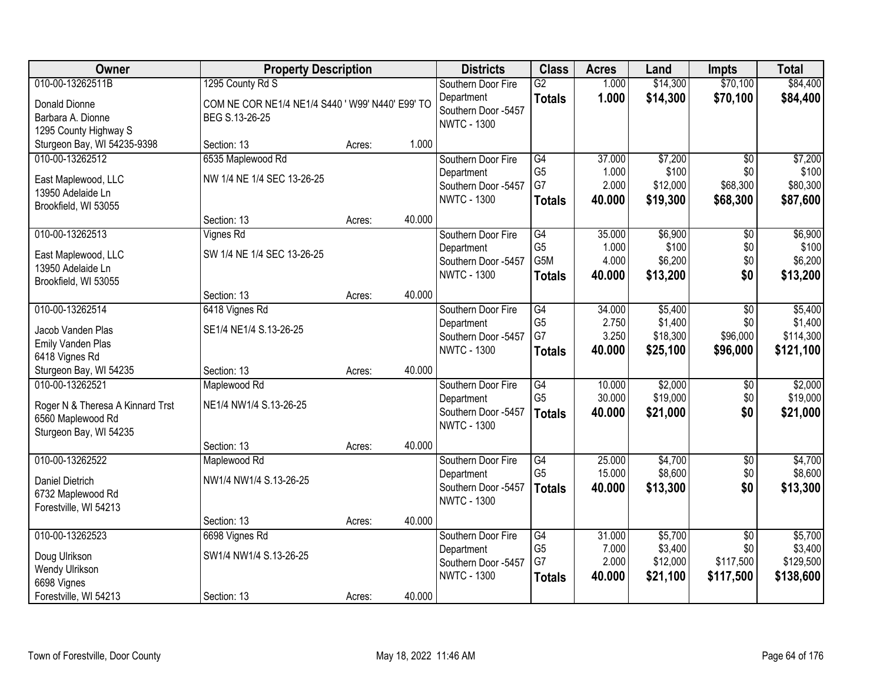| <b>Owner</b>                             | <b>Property Description</b>                      |        |        | <b>Districts</b>    | <b>Class</b>    | <b>Acres</b> | Land     | <b>Impts</b>    | <b>Total</b> |
|------------------------------------------|--------------------------------------------------|--------|--------|---------------------|-----------------|--------------|----------|-----------------|--------------|
| 010-00-13262511B                         | 1295 County Rd S                                 |        |        | Southern Door Fire  | $\overline{G2}$ | 1.000        | \$14,300 | \$70,100        | \$84,400     |
| Donald Dionne                            | COM NE COR NE1/4 NE1/4 S440 ' W99' N440' E99' TO |        |        | Department          | <b>Totals</b>   | 1.000        | \$14,300 | \$70,100        | \$84,400     |
| Barbara A. Dionne                        | BEG S.13-26-25                                   |        |        | Southern Door -5457 |                 |              |          |                 |              |
| 1295 County Highway S                    |                                                  |        |        | <b>NWTC - 1300</b>  |                 |              |          |                 |              |
| Sturgeon Bay, WI 54235-9398              | Section: 13                                      | Acres: | 1.000  |                     |                 |              |          |                 |              |
| 010-00-13262512                          | 6535 Maplewood Rd                                |        |        | Southern Door Fire  | $\overline{G4}$ | 37.000       | \$7,200  | $\overline{50}$ | \$7,200      |
|                                          | NW 1/4 NE 1/4 SEC 13-26-25                       |        |        | Department          | G <sub>5</sub>  | 1.000        | \$100    | \$0             | \$100        |
| East Maplewood, LLC<br>13950 Adelaide Ln |                                                  |        |        | Southern Door -5457 | G7              | 2.000        | \$12,000 | \$68,300        | \$80,300     |
| Brookfield, WI 53055                     |                                                  |        |        | <b>NWTC - 1300</b>  | <b>Totals</b>   | 40.000       | \$19,300 | \$68,300        | \$87,600     |
|                                          | Section: 13                                      | Acres: | 40.000 |                     |                 |              |          |                 |              |
| 010-00-13262513                          | <b>Vignes Rd</b>                                 |        |        | Southern Door Fire  | G4              | 35.000       | \$6,900  | \$0             | \$6,900      |
|                                          |                                                  |        |        | Department          | G <sub>5</sub>  | 1.000        | \$100    | \$0             | \$100        |
| East Maplewood, LLC<br>13950 Adelaide Ln | SW 1/4 NE 1/4 SEC 13-26-25                       |        |        | Southern Door -5457 | G5M             | 4.000        | \$6,200  | \$0             | \$6,200      |
| Brookfield, WI 53055                     |                                                  |        |        | <b>NWTC - 1300</b>  | <b>Totals</b>   | 40.000       | \$13,200 | \$0             | \$13,200     |
|                                          | Section: 13                                      | Acres: | 40.000 |                     |                 |              |          |                 |              |
| 010-00-13262514                          | 6418 Vignes Rd                                   |        |        | Southern Door Fire  | G4              | 34.000       | \$5,400  | \$0             | \$5,400      |
|                                          |                                                  |        |        | Department          | G <sub>5</sub>  | 2.750        | \$1,400  | \$0             | \$1,400      |
| Jacob Vanden Plas                        | SE1/4 NE1/4 S.13-26-25                           |        |        | Southern Door -5457 | G7              | 3.250        | \$18,300 | \$96,000        | \$114,300    |
| Emily Vanden Plas                        |                                                  |        |        | <b>NWTC - 1300</b>  | <b>Totals</b>   | 40.000       | \$25,100 | \$96,000        | \$121,100    |
| 6418 Vignes Rd<br>Sturgeon Bay, WI 54235 | Section: 13                                      | Acres: | 40.000 |                     |                 |              |          |                 |              |
| 010-00-13262521                          | Maplewood Rd                                     |        |        | Southern Door Fire  | G4              | 10.000       | \$2,000  | $\overline{50}$ | \$2,000      |
|                                          |                                                  |        |        | Department          | G <sub>5</sub>  | 30.000       | \$19,000 | \$0             | \$19,000     |
| Roger N & Theresa A Kinnard Trst         | NE1/4 NW1/4 S.13-26-25                           |        |        | Southern Door -5457 | <b>Totals</b>   | 40.000       | \$21,000 | \$0             | \$21,000     |
| 6560 Maplewood Rd                        |                                                  |        |        | <b>NWTC - 1300</b>  |                 |              |          |                 |              |
| Sturgeon Bay, WI 54235                   |                                                  |        |        |                     |                 |              |          |                 |              |
|                                          | Section: 13                                      | Acres: | 40.000 |                     |                 |              |          |                 |              |
| 010-00-13262522                          | Maplewood Rd                                     |        |        | Southern Door Fire  | G4              | 25.000       | \$4,700  | $\overline{50}$ | \$4,700      |
| Daniel Dietrich                          | NW1/4 NW1/4 S.13-26-25                           |        |        | Department          | G <sub>5</sub>  | 15.000       | \$8,600  | \$0             | \$8,600      |
| 6732 Maplewood Rd                        |                                                  |        |        | Southern Door -5457 | <b>Totals</b>   | 40.000       | \$13,300 | \$0             | \$13,300     |
| Forestville, WI 54213                    |                                                  |        |        | <b>NWTC - 1300</b>  |                 |              |          |                 |              |
|                                          | Section: 13                                      | Acres: | 40.000 |                     |                 |              |          |                 |              |
| 010-00-13262523                          | 6698 Vignes Rd                                   |        |        | Southern Door Fire  | $\overline{G4}$ | 31.000       | \$5,700  | $\overline{30}$ | \$5,700      |
| Doug Ulrikson                            | SW1/4 NW1/4 S.13-26-25                           |        |        | Department          | G <sub>5</sub>  | 7.000        | \$3,400  | \$0             | \$3,400      |
| Wendy Ulrikson                           |                                                  |        |        | Southern Door -5457 | G7              | 2.000        | \$12,000 | \$117,500       | \$129,500    |
| 6698 Vignes                              |                                                  |        |        | <b>NWTC - 1300</b>  | <b>Totals</b>   | 40.000       | \$21,100 | \$117,500       | \$138,600    |
| Forestville, WI 54213                    | Section: 13                                      | Acres: | 40.000 |                     |                 |              |          |                 |              |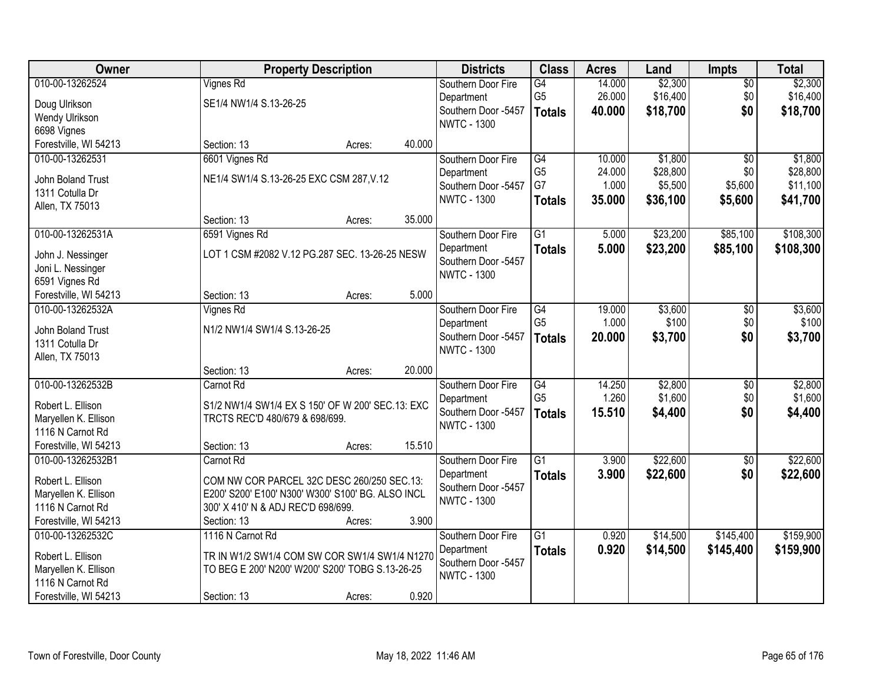| Owner                                |                                                   | <b>Property Description</b> |        | <b>Districts</b>    | <b>Class</b>    | <b>Acres</b> | Land     | <b>Impts</b>    | <b>Total</b> |
|--------------------------------------|---------------------------------------------------|-----------------------------|--------|---------------------|-----------------|--------------|----------|-----------------|--------------|
| 010-00-13262524                      | <b>Vignes Rd</b>                                  |                             |        | Southern Door Fire  | G4              | 14.000       | \$2,300  | $\overline{50}$ | \$2,300      |
| Doug Ulrikson                        | SE1/4 NW1/4 S.13-26-25                            |                             |        | Department          | G <sub>5</sub>  | 26.000       | \$16,400 | \$0             | \$16,400     |
| Wendy Ulrikson                       |                                                   |                             |        | Southern Door -5457 | <b>Totals</b>   | 40.000       | \$18,700 | \$0             | \$18,700     |
| 6698 Vignes                          |                                                   |                             |        | <b>NWTC - 1300</b>  |                 |              |          |                 |              |
| Forestville, WI 54213                | Section: 13                                       | Acres:                      | 40.000 |                     |                 |              |          |                 |              |
| 010-00-13262531                      | 6601 Vignes Rd                                    |                             |        | Southern Door Fire  | G4              | 10.000       | \$1,800  | $\overline{50}$ | \$1,800      |
|                                      | NE1/4 SW1/4 S.13-26-25 EXC CSM 287, V.12          |                             |        | Department          | G <sub>5</sub>  | 24.000       | \$28,800 | \$0             | \$28,800     |
| John Boland Trust<br>1311 Cotulla Dr |                                                   |                             |        | Southern Door -5457 | G7              | 1.000        | \$5,500  | \$5,600         | \$11,100     |
|                                      |                                                   |                             |        | <b>NWTC - 1300</b>  | <b>Totals</b>   | 35.000       | \$36,100 | \$5,600         | \$41,700     |
| Allen, TX 75013                      | Section: 13                                       | Acres:                      | 35.000 |                     |                 |              |          |                 |              |
| 010-00-13262531A                     | 6591 Vignes Rd                                    |                             |        | Southern Door Fire  | G1              | 5.000        | \$23,200 | \$85,100        | \$108,300    |
|                                      |                                                   |                             |        | Department          | <b>Totals</b>   | 5.000        | \$23,200 | \$85,100        | \$108,300    |
| John J. Nessinger                    | LOT 1 CSM #2082 V.12 PG.287 SEC. 13-26-25 NESW    |                             |        | Southern Door -5457 |                 |              |          |                 |              |
| Joni L. Nessinger                    |                                                   |                             |        | <b>NWTC - 1300</b>  |                 |              |          |                 |              |
| 6591 Vignes Rd                       |                                                   |                             |        |                     |                 |              |          |                 |              |
| Forestville, WI 54213                | Section: 13                                       | Acres:                      | 5.000  |                     |                 |              |          |                 |              |
| 010-00-13262532A                     | Vignes Rd                                         |                             |        | Southern Door Fire  | $\overline{G4}$ | 19.000       | \$3,600  | \$0             | \$3,600      |
| John Boland Trust                    | N1/2 NW1/4 SW1/4 S.13-26-25                       |                             |        | Department          | G <sub>5</sub>  | 1.000        | \$100    | \$0             | \$100        |
| 1311 Cotulla Dr                      |                                                   |                             |        | Southern Door -5457 | <b>Totals</b>   | 20.000       | \$3,700  | \$0             | \$3,700      |
| Allen, TX 75013                      |                                                   |                             |        | <b>NWTC - 1300</b>  |                 |              |          |                 |              |
|                                      | Section: 13                                       | Acres:                      | 20.000 |                     |                 |              |          |                 |              |
| 010-00-13262532B                     | Carnot Rd                                         |                             |        | Southern Door Fire  | G4              | 14.250       | \$2,800  | \$0             | \$2,800      |
| Robert L. Ellison                    | S1/2 NW1/4 SW1/4 EX S 150' OF W 200' SEC.13: EXC  |                             |        | Department          | G <sub>5</sub>  | 1.260        | \$1,600  | \$0             | \$1,600      |
| Maryellen K. Ellison                 | TRCTS REC'D 480/679 & 698/699.                    |                             |        | Southern Door -5457 | <b>Totals</b>   | 15.510       | \$4,400  | \$0             | \$4,400      |
| 1116 N Carnot Rd                     |                                                   |                             |        | <b>NWTC - 1300</b>  |                 |              |          |                 |              |
| Forestville, WI 54213                | Section: 13                                       | Acres:                      | 15.510 |                     |                 |              |          |                 |              |
| 010-00-13262532B1                    | Carnot Rd                                         |                             |        | Southern Door Fire  | $\overline{G1}$ | 3.900        | \$22,600 | $\sqrt{6}$      | \$22,600     |
|                                      |                                                   |                             |        | Department          | <b>Totals</b>   | 3.900        | \$22,600 | \$0             | \$22,600     |
| Robert L. Ellison                    | COM NW COR PARCEL 32C DESC 260/250 SEC.13:        |                             |        | Southern Door -5457 |                 |              |          |                 |              |
| Maryellen K. Ellison                 | E200' S200' E100' N300' W300' S100' BG. ALSO INCL |                             |        | <b>NWTC - 1300</b>  |                 |              |          |                 |              |
| 1116 N Carnot Rd                     | 300' X 410' N & ADJ REC'D 698/699.                |                             |        |                     |                 |              |          |                 |              |
| Forestville, WI 54213                | Section: 13                                       | Acres:                      | 3.900  |                     |                 |              |          |                 |              |
| 010-00-13262532C                     | 1116 N Carnot Rd                                  |                             |        | Southern Door Fire  | $\overline{G1}$ | 0.920        | \$14,500 | \$145,400       | \$159,900    |
| Robert L. Ellison                    | TR IN W1/2 SW1/4 COM SW COR SW1/4 SW1/4 N1270     |                             |        | Department          | <b>Totals</b>   | 0.920        | \$14,500 | \$145,400       | \$159,900    |
| Maryellen K. Ellison                 | TO BEG E 200' N200' W200' S200' TOBG S.13-26-25   |                             |        | Southern Door -5457 |                 |              |          |                 |              |
| 1116 N Carnot Rd                     |                                                   |                             |        | <b>NWTC - 1300</b>  |                 |              |          |                 |              |
| Forestville, WI 54213                | Section: 13                                       | Acres:                      | 0.920  |                     |                 |              |          |                 |              |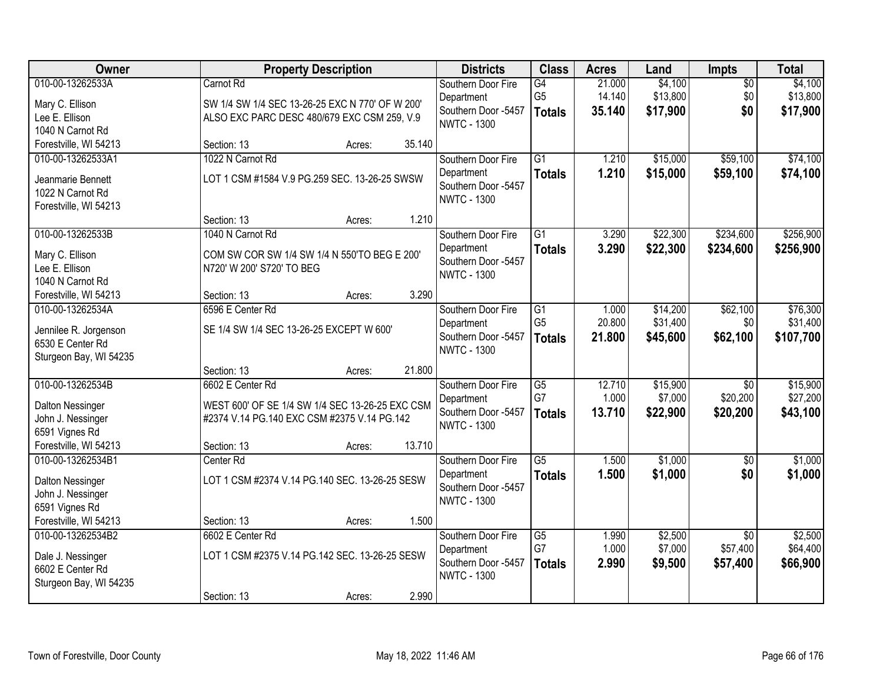| Owner                   | <b>Property Description</b>                     |        |        | <b>Districts</b>    | <b>Class</b>    | <b>Acres</b> | Land     | <b>Impts</b>    | <b>Total</b> |
|-------------------------|-------------------------------------------------|--------|--------|---------------------|-----------------|--------------|----------|-----------------|--------------|
| 010-00-13262533A        | Carnot Rd                                       |        |        | Southern Door Fire  | $\overline{G4}$ | 21.000       | \$4,100  | $\overline{50}$ | \$4,100      |
| Mary C. Ellison         | SW 1/4 SW 1/4 SEC 13-26-25 EXC N 770' OF W 200' |        |        | Department          | G <sub>5</sub>  | 14.140       | \$13,800 | \$0             | \$13,800     |
| Lee E. Ellison          | ALSO EXC PARC DESC 480/679 EXC CSM 259, V.9     |        |        | Southern Door -5457 | <b>Totals</b>   | 35.140       | \$17,900 | \$0             | \$17,900     |
| 1040 N Carnot Rd        |                                                 |        |        | <b>NWTC - 1300</b>  |                 |              |          |                 |              |
| Forestville, WI 54213   | Section: 13                                     | Acres: | 35.140 |                     |                 |              |          |                 |              |
| 010-00-13262533A1       | 1022 N Carnot Rd                                |        |        | Southern Door Fire  | $\overline{G1}$ | 1.210        | \$15,000 | \$59,100        | \$74,100     |
| Jeanmarie Bennett       | LOT 1 CSM #1584 V.9 PG.259 SEC. 13-26-25 SWSW   |        |        | Department          | <b>Totals</b>   | 1.210        | \$15,000 | \$59,100        | \$74,100     |
| 1022 N Carnot Rd        |                                                 |        |        | Southern Door -5457 |                 |              |          |                 |              |
| Forestville, WI 54213   |                                                 |        |        | <b>NWTC - 1300</b>  |                 |              |          |                 |              |
|                         | Section: 13                                     | Acres: | 1.210  |                     |                 |              |          |                 |              |
| 010-00-13262533B        | 1040 N Carnot Rd                                |        |        | Southern Door Fire  | G1              | 3.290        | \$22,300 | \$234,600       | \$256,900    |
| Mary C. Ellison         | COM SW COR SW 1/4 SW 1/4 N 550'TO BEG E 200'    |        |        | Department          | <b>Totals</b>   | 3.290        | \$22,300 | \$234,600       | \$256,900    |
| Lee E. Ellison          | N720' W 200' S720' TO BEG                       |        |        | Southern Door -5457 |                 |              |          |                 |              |
| 1040 N Carnot Rd        |                                                 |        |        | <b>NWTC - 1300</b>  |                 |              |          |                 |              |
| Forestville, WI 54213   | Section: 13                                     | Acres: | 3.290  |                     |                 |              |          |                 |              |
| 010-00-13262534A        | 6596 E Center Rd                                |        |        | Southern Door Fire  | G1              | 1.000        | \$14,200 | \$62,100        | \$76,300     |
| Jennilee R. Jorgenson   | SE 1/4 SW 1/4 SEC 13-26-25 EXCEPT W 600'        |        |        | Department          | G <sub>5</sub>  | 20.800       | \$31,400 | \$0             | \$31,400     |
| 6530 E Center Rd        |                                                 |        |        | Southern Door -5457 | <b>Totals</b>   | 21.800       | \$45,600 | \$62,100        | \$107,700    |
| Sturgeon Bay, WI 54235  |                                                 |        |        | <b>NWTC - 1300</b>  |                 |              |          |                 |              |
|                         | Section: 13                                     | Acres: | 21.800 |                     |                 |              |          |                 |              |
| 010-00-13262534B        | 6602 E Center Rd                                |        |        | Southern Door Fire  | $\overline{G5}$ | 12.710       | \$15,900 | $\overline{30}$ | \$15,900     |
| Dalton Nessinger        | WEST 600' OF SE 1/4 SW 1/4 SEC 13-26-25 EXC CSM |        |        | Department          | G7              | 1.000        | \$7,000  | \$20,200        | \$27,200     |
| John J. Nessinger       | #2374 V.14 PG.140 EXC CSM #2375 V.14 PG.142     |        |        | Southern Door -5457 | <b>Totals</b>   | 13.710       | \$22,900 | \$20,200        | \$43,100     |
| 6591 Vignes Rd          |                                                 |        |        | <b>NWTC - 1300</b>  |                 |              |          |                 |              |
| Forestville, WI 54213   | Section: 13                                     | Acres: | 13.710 |                     |                 |              |          |                 |              |
| 010-00-13262534B1       | Center Rd                                       |        |        | Southern Door Fire  | $\overline{G5}$ | 1.500        | \$1,000  | $\overline{50}$ | \$1,000      |
| <b>Dalton Nessinger</b> | LOT 1 CSM #2374 V.14 PG.140 SEC. 13-26-25 SESW  |        |        | Department          | <b>Totals</b>   | 1.500        | \$1,000  | \$0             | \$1,000      |
| John J. Nessinger       |                                                 |        |        | Southern Door -5457 |                 |              |          |                 |              |
| 6591 Vignes Rd          |                                                 |        |        | <b>NWTC - 1300</b>  |                 |              |          |                 |              |
| Forestville, WI 54213   | Section: 13                                     | Acres: | 1.500  |                     |                 |              |          |                 |              |
| 010-00-13262534B2       | 6602 E Center Rd                                |        |        | Southern Door Fire  | $\overline{G5}$ | 1.990        | \$2,500  | $\overline{50}$ | \$2,500      |
| Dale J. Nessinger       | LOT 1 CSM #2375 V.14 PG.142 SEC. 13-26-25 SESW  |        |        | Department          | G7              | 1.000        | \$7,000  | \$57,400        | \$64,400     |
| 6602 E Center Rd        |                                                 |        |        | Southern Door -5457 | <b>Totals</b>   | 2.990        | \$9,500  | \$57,400        | \$66,900     |
| Sturgeon Bay, WI 54235  |                                                 |        |        | <b>NWTC - 1300</b>  |                 |              |          |                 |              |
|                         | Section: 13                                     | Acres: | 2.990  |                     |                 |              |          |                 |              |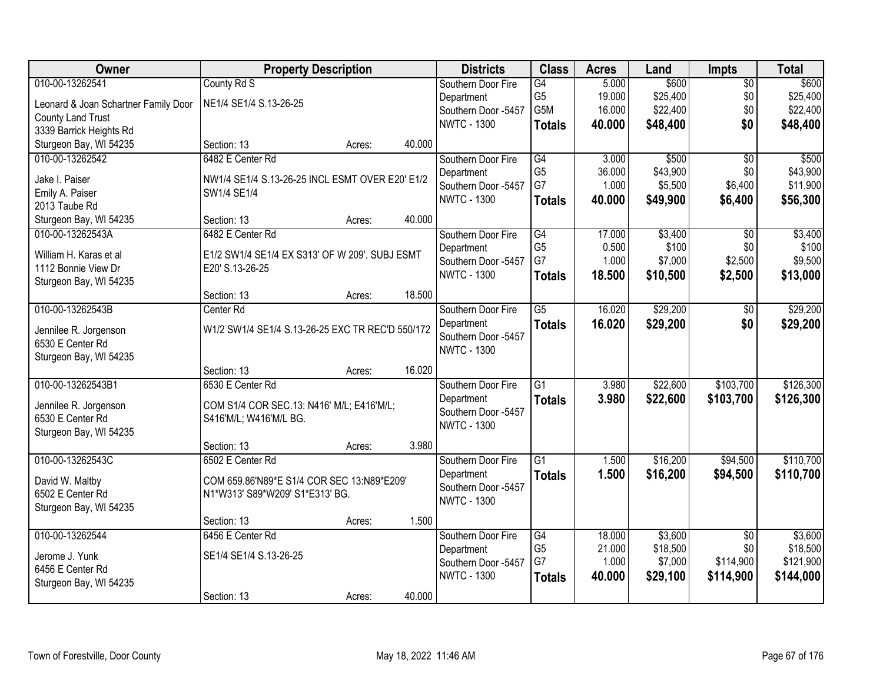| Owner                                     | <b>Property Description</b>                                         |        |        | <b>Districts</b>                  | <b>Class</b>         | <b>Acres</b>     | Land                | Impts                  | <b>Total</b>        |
|-------------------------------------------|---------------------------------------------------------------------|--------|--------|-----------------------------------|----------------------|------------------|---------------------|------------------------|---------------------|
| 010-00-13262541                           | County Rd S                                                         |        |        | Southern Door Fire                | G4                   | 5.000            | \$600               | $\overline{50}$        | \$600               |
| Leonard & Joan Schartner Family Door      | NE1/4 SE1/4 S.13-26-25                                              |        |        | Department                        | G <sub>5</sub>       | 19.000           | \$25,400            | \$0                    | \$25,400            |
| <b>County Land Trust</b>                  |                                                                     |        |        | Southern Door -5457               | G5M                  | 16.000           | \$22,400            | \$0                    | \$22,400            |
| 3339 Barrick Heights Rd                   |                                                                     |        |        | <b>NWTC - 1300</b>                | <b>Totals</b>        | 40.000           | \$48,400            | \$0                    | \$48,400            |
| Sturgeon Bay, WI 54235                    | Section: 13                                                         | Acres: | 40.000 |                                   |                      |                  |                     |                        |                     |
| 010-00-13262542                           | 6482 E Center Rd                                                    |        |        | Southern Door Fire                | G4                   | 3.000            | \$500               | $\overline{50}$        | \$500               |
|                                           |                                                                     |        |        | Department                        | G <sub>5</sub>       | 36.000           | \$43,900            | \$0                    | \$43,900            |
| Jake I. Paiser<br>Emily A. Paiser         | NW1/4 SE1/4 S.13-26-25 INCL ESMT OVER E20' E1/2<br>SW1/4 SE1/4      |        |        | Southern Door -5457               | G7                   | 1.000            | \$5,500             | \$6,400                | \$11,900            |
| 2013 Taube Rd                             |                                                                     |        |        | <b>NWTC - 1300</b>                | <b>Totals</b>        | 40.000           | \$49,900            | \$6,400                | \$56,300            |
| Sturgeon Bay, WI 54235                    | Section: 13                                                         | Acres: | 40.000 |                                   |                      |                  |                     |                        |                     |
| 010-00-13262543A                          | 6482 E Center Rd                                                    |        |        | Southern Door Fire                | G4                   | 17.000           | \$3,400             | $\overline{50}$        | \$3,400             |
|                                           |                                                                     |        |        | Department                        | G <sub>5</sub>       | 0.500            | \$100               | \$0                    | \$100               |
| William H. Karas et al                    | E1/2 SW1/4 SE1/4 EX S313' OF W 209'. SUBJ ESMT                      |        |        | Southern Door -5457               | G7                   | 1.000            | \$7,000             | \$2,500                | \$9,500             |
| 1112 Bonnie View Dr                       | E20' S.13-26-25                                                     |        |        | <b>NWTC - 1300</b>                | <b>Totals</b>        | 18.500           | \$10,500            | \$2,500                | \$13,000            |
| Sturgeon Bay, WI 54235                    |                                                                     |        |        |                                   |                      |                  |                     |                        |                     |
|                                           | Section: 13                                                         | Acres: | 18.500 |                                   |                      |                  |                     |                        |                     |
| 010-00-13262543B                          | Center Rd                                                           |        |        | Southern Door Fire                | G5                   | 16.020           | \$29,200            | \$0                    | \$29,200            |
| Jennilee R. Jorgenson                     | W1/2 SW1/4 SE1/4 S.13-26-25 EXC TR REC'D 550/172                    |        |        | Department                        | <b>Totals</b>        | 16.020           | \$29,200            | \$0                    | \$29,200            |
| 6530 E Center Rd                          |                                                                     |        |        | Southern Door -5457               |                      |                  |                     |                        |                     |
| Sturgeon Bay, WI 54235                    |                                                                     |        |        | <b>NWTC - 1300</b>                |                      |                  |                     |                        |                     |
|                                           | Section: 13                                                         | Acres: | 16.020 |                                   |                      |                  |                     |                        |                     |
| 010-00-13262543B1                         | 6530 E Center Rd                                                    |        |        | Southern Door Fire                | $\overline{G1}$      | 3.980            | \$22,600            | \$103,700              | \$126,300           |
|                                           |                                                                     |        |        | Department                        | <b>Totals</b>        | 3.980            | \$22,600            | \$103,700              | \$126,300           |
| Jennilee R. Jorgenson<br>6530 E Center Rd | COM S1/4 COR SEC.13: N416' M/L; E416'M/L;<br>S416'M/L; W416'M/L BG. |        |        | Southern Door -5457               |                      |                  |                     |                        |                     |
| Sturgeon Bay, WI 54235                    |                                                                     |        |        | <b>NWTC - 1300</b>                |                      |                  |                     |                        |                     |
|                                           | Section: 13                                                         | Acres: | 3.980  |                                   |                      |                  |                     |                        |                     |
| 010-00-13262543C                          | 6502 E Center Rd                                                    |        |        | Southern Door Fire                | $\overline{G1}$      | 1.500            | \$16,200            | \$94,500               | \$110,700           |
|                                           |                                                                     |        |        | Department                        | <b>Totals</b>        | 1.500            | \$16,200            | \$94,500               | \$110,700           |
| David W. Maltby                           | COM 659.86'N89*E S1/4 COR SEC 13:N89*E209'                          |        |        | Southern Door -5457               |                      |                  |                     |                        |                     |
| 6502 E Center Rd                          | N1*W313' S89*W209' S1*E313' BG.                                     |        |        | <b>NWTC - 1300</b>                |                      |                  |                     |                        |                     |
| Sturgeon Bay, WI 54235                    |                                                                     |        | 1.500  |                                   |                      |                  |                     |                        |                     |
| 010-00-13262544                           | Section: 13<br>6456 E Center Rd                                     | Acres: |        |                                   |                      |                  |                     |                        |                     |
|                                           |                                                                     |        |        | Southern Door Fire                | G4<br>G <sub>5</sub> | 18.000<br>21.000 | \$3,600<br>\$18,500 | $\overline{50}$<br>\$0 | \$3,600<br>\$18,500 |
| Jerome J. Yunk                            | SE1/4 SE1/4 S.13-26-25                                              |        |        | Department<br>Southern Door -5457 | G7                   | 1.000            | \$7,000             | \$114,900              | \$121,900           |
| 6456 E Center Rd                          |                                                                     |        |        | <b>NWTC - 1300</b>                |                      | 40.000           | \$29,100            | \$114,900              | \$144,000           |
| Sturgeon Bay, WI 54235                    |                                                                     |        |        |                                   | <b>Totals</b>        |                  |                     |                        |                     |
|                                           | Section: 13                                                         | Acres: | 40.000 |                                   |                      |                  |                     |                        |                     |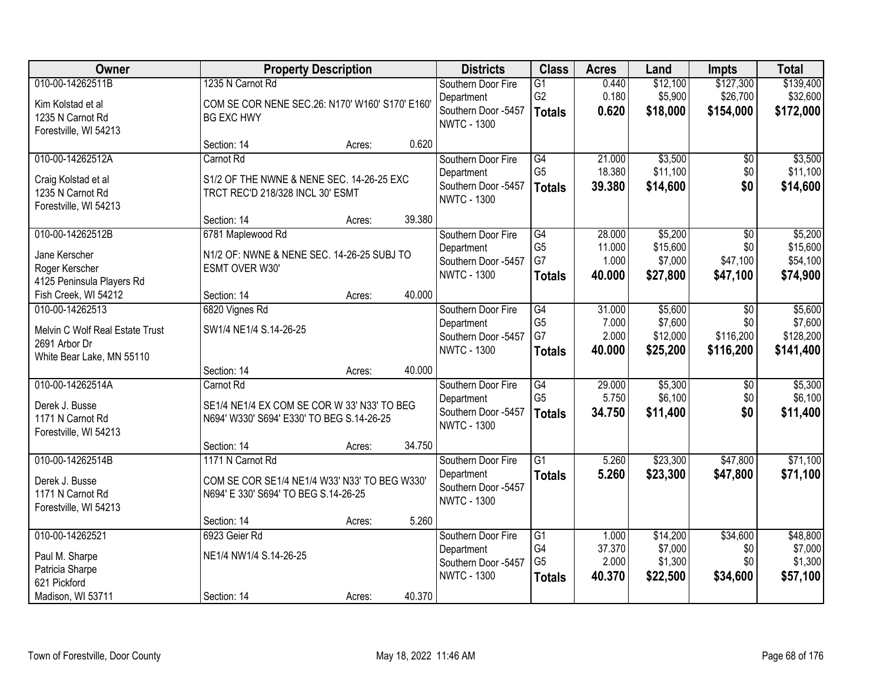| Owner                                                                                            | <b>Property Description</b>                                                                               |        |        | <b>Districts</b>                                                              | <b>Class</b>                                             | <b>Acres</b>                        | Land                                       | <b>Impts</b>                                   | <b>Total</b>                                 |
|--------------------------------------------------------------------------------------------------|-----------------------------------------------------------------------------------------------------------|--------|--------|-------------------------------------------------------------------------------|----------------------------------------------------------|-------------------------------------|--------------------------------------------|------------------------------------------------|----------------------------------------------|
| 010-00-14262511B<br>Kim Kolstad et al<br>1235 N Carnot Rd<br>Forestville, WI 54213               | 1235 N Carnot Rd<br>COM SE COR NENE SEC.26: N170' W160' S170' E160'<br><b>BG EXC HWY</b>                  |        |        | Southern Door Fire<br>Department<br>Southern Door -5457<br><b>NWTC - 1300</b> | $\overline{G1}$<br>G <sub>2</sub><br><b>Totals</b>       | 0.440<br>0.180<br>0.620             | \$12,100<br>\$5,900<br>\$18,000            | \$127,300<br>\$26,700<br>\$154,000             | \$139,400<br>\$32,600<br>\$172,000           |
|                                                                                                  | Section: 14                                                                                               | Acres: | 0.620  |                                                                               |                                                          |                                     |                                            |                                                |                                              |
| 010-00-14262512A<br>Craig Kolstad et al<br>1235 N Carnot Rd<br>Forestville, WI 54213             | Carnot Rd<br>S1/2 OF THE NWNE & NENE SEC. 14-26-25 EXC<br>TRCT REC'D 218/328 INCL 30' ESMT                |        |        | Southern Door Fire<br>Department<br>Southern Door -5457<br><b>NWTC - 1300</b> | G4<br>G <sub>5</sub><br><b>Totals</b>                    | 21.000<br>18.380<br>39.380          | \$3,500<br>\$11,100<br>\$14,600            | \$0<br>\$0<br>\$0                              | \$3,500<br>\$11,100<br>\$14,600              |
|                                                                                                  | Section: 14                                                                                               | Acres: | 39.380 |                                                                               |                                                          |                                     |                                            |                                                |                                              |
| 010-00-14262512B<br>Jane Kerscher<br>Roger Kerscher<br>4125 Peninsula Players Rd                 | 6781 Maplewood Rd<br>N1/2 OF: NWNE & NENE SEC. 14-26-25 SUBJ TO<br>ESMT OVER W30'                         |        |        | Southern Door Fire<br>Department<br>Southern Door -5457<br><b>NWTC - 1300</b> | $\overline{G4}$<br>G <sub>5</sub><br>G7<br><b>Totals</b> | 28.000<br>11.000<br>1.000<br>40.000 | \$5,200<br>\$15,600<br>\$7,000<br>\$27,800 | $\overline{50}$<br>\$0<br>\$47,100<br>\$47,100 | \$5,200<br>\$15,600<br>\$54,100<br>\$74,900  |
| Fish Creek, WI 54212                                                                             | Section: 14                                                                                               | Acres: | 40.000 |                                                                               |                                                          |                                     |                                            |                                                |                                              |
| 010-00-14262513<br>Melvin C Wolf Real Estate Trust<br>2691 Arbor Dr<br>White Bear Lake, MN 55110 | 6820 Vignes Rd<br>SW1/4 NE1/4 S.14-26-25                                                                  |        |        | Southern Door Fire<br>Department<br>Southern Door -5457<br><b>NWTC - 1300</b> | G4<br>G <sub>5</sub><br>G7<br><b>Totals</b>              | 31.000<br>7.000<br>2.000<br>40.000  | \$5,600<br>\$7,600<br>\$12,000<br>\$25,200 | \$0<br>\$0<br>\$116,200<br>\$116,200           | \$5,600<br>\$7,600<br>\$128,200<br>\$141,400 |
|                                                                                                  | Section: 14                                                                                               | Acres: | 40.000 |                                                                               |                                                          |                                     |                                            |                                                |                                              |
| 010-00-14262514A<br>Derek J. Busse<br>1171 N Carnot Rd<br>Forestville, WI 54213                  | Carnot Rd<br>SE1/4 NE1/4 EX COM SE COR W 33' N33' TO BEG<br>N694' W330' S694' E330' TO BEG S.14-26-25     |        |        | Southern Door Fire<br>Department<br>Southern Door -5457<br><b>NWTC - 1300</b> | $\overline{G4}$<br>G <sub>5</sub><br><b>Totals</b>       | 29.000<br>5.750<br>34.750           | \$5,300<br>\$6,100<br>\$11,400             | \$0<br>\$0<br>\$0                              | \$5,300<br>\$6,100<br>\$11,400               |
|                                                                                                  | Section: 14                                                                                               | Acres: | 34.750 |                                                                               |                                                          |                                     |                                            |                                                |                                              |
| 010-00-14262514B<br>Derek J. Busse<br>1171 N Carnot Rd<br>Forestville, WI 54213                  | 1171 N Carnot Rd<br>COM SE COR SE1/4 NE1/4 W33' N33' TO BEG W330'<br>N694' E 330' S694' TO BEG S.14-26-25 |        |        | Southern Door Fire<br>Department<br>Southern Door -5457<br><b>NWTC - 1300</b> | $\overline{G1}$<br><b>Totals</b>                         | 5.260<br>5.260                      | \$23,300<br>\$23,300                       | \$47,800<br>\$47,800                           | \$71,100<br>\$71,100                         |
|                                                                                                  | Section: 14                                                                                               | Acres: | 5.260  |                                                                               |                                                          |                                     |                                            |                                                |                                              |
| 010-00-14262521<br>Paul M. Sharpe<br>Patricia Sharpe<br>621 Pickford                             | 6923 Geier Rd<br>NE1/4 NW1/4 S.14-26-25                                                                   |        |        | Southern Door Fire<br>Department<br>Southern Door -5457<br><b>NWTC - 1300</b> | G1<br>G4<br>G <sub>5</sub><br><b>Totals</b>              | 1.000<br>37.370<br>2.000<br>40.370  | \$14,200<br>\$7,000<br>\$1,300<br>\$22,500 | \$34,600<br>\$0<br>\$0<br>\$34,600             | \$48,800<br>\$7,000<br>\$1,300<br>\$57,100   |
| Madison, WI 53711                                                                                | Section: 14                                                                                               | Acres: | 40.370 |                                                                               |                                                          |                                     |                                            |                                                |                                              |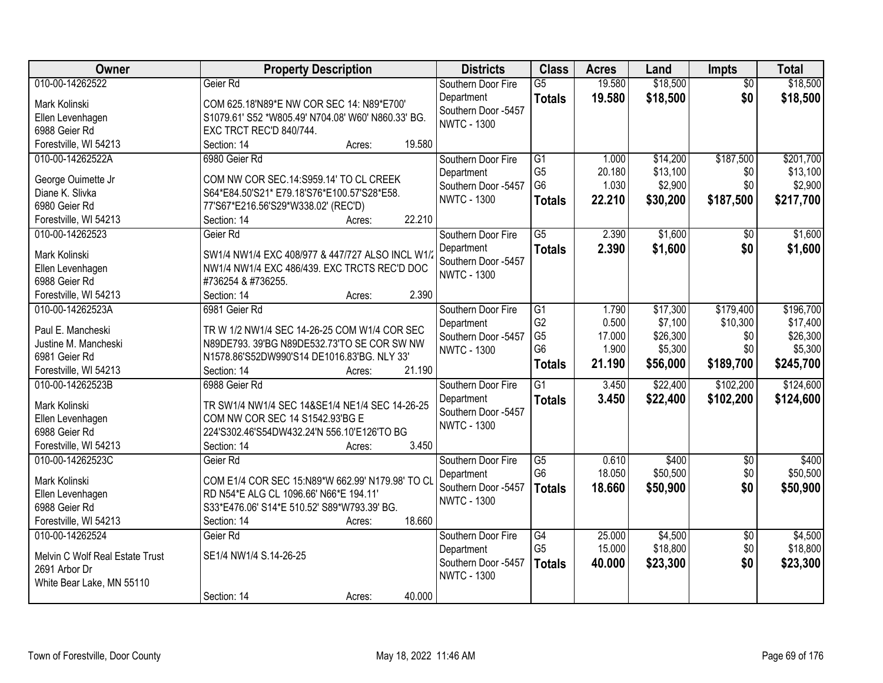| Owner                             | <b>Property Description</b>                        | <b>Districts</b>    | <b>Class</b>                     | <b>Acres</b>    | Land     | <b>Impts</b>    | <b>Total</b>        |
|-----------------------------------|----------------------------------------------------|---------------------|----------------------------------|-----------------|----------|-----------------|---------------------|
| 010-00-14262522                   | Geier Rd                                           | Southern Door Fire  | $\overline{G5}$                  | 19.580          | \$18,500 | $\overline{50}$ | \$18,500            |
| Mark Kolinski                     | COM 625.18'N89*E NW COR SEC 14: N89*E700'          | Department          | <b>Totals</b>                    | 19.580          | \$18,500 | \$0             | \$18,500            |
| Ellen Levenhagen                  | S1079.61' S52 *W805.49' N704.08' W60' N860.33' BG. | Southern Door -5457 |                                  |                 |          |                 |                     |
| 6988 Geier Rd                     | EXC TRCT REC'D 840/744.                            | <b>NWTC - 1300</b>  |                                  |                 |          |                 |                     |
| Forestville, WI 54213             | 19.580<br>Section: 14<br>Acres:                    |                     |                                  |                 |          |                 |                     |
| 010-00-14262522A                  | 6980 Geier Rd                                      | Southern Door Fire  | $\overline{G1}$                  | 1.000           | \$14,200 | \$187,500       | \$201,700           |
|                                   |                                                    | Department          | G <sub>5</sub>                   | 20.180          | \$13,100 | \$0             | \$13,100            |
| George Ouimette Jr                | COM NW COR SEC.14:S959.14' TO CL CREEK             | Southern Door -5457 | G <sub>6</sub>                   | 1.030           | \$2,900  | \$0             | \$2,900             |
| Diane K. Slivka                   | S64*E84.50'S21* E79.18'S76*E100.57'S28*E58.        | <b>NWTC - 1300</b>  |                                  | 22.210          | \$30,200 | \$187,500       | \$217,700           |
| 6980 Geier Rd                     | 77'S67*E216.56'S29*W338.02' (REC'D)                |                     | <b>Totals</b>                    |                 |          |                 |                     |
| Forestville, WI 54213             | 22.210<br>Section: 14<br>Acres:                    |                     |                                  |                 |          |                 |                     |
| 010-00-14262523                   | Geier Rd                                           | Southern Door Fire  | $\overline{G5}$                  | 2.390           | \$1,600  | \$0             | \$1,600             |
| Mark Kolinski                     | SW1/4 NW1/4 EXC 408/977 & 447/727 ALSO INCL W1/    | Department          | <b>Totals</b>                    | 2.390           | \$1,600  | \$0             | \$1,600             |
|                                   | NW1/4 NW1/4 EXC 486/439. EXC TRCTS REC'D DOC       | Southern Door -5457 |                                  |                 |          |                 |                     |
| Ellen Levenhagen<br>6988 Geier Rd | #736254 & #736255.                                 | <b>NWTC - 1300</b>  |                                  |                 |          |                 |                     |
| Forestville, WI 54213             | 2.390<br>Section: 14                               |                     |                                  |                 |          |                 |                     |
| 010-00-14262523A                  | Acres:<br>6981 Geier Rd                            |                     | $\overline{G1}$                  |                 |          |                 | \$196,700           |
|                                   |                                                    | Southern Door Fire  |                                  | 1.790           | \$17,300 | \$179,400       |                     |
| Paul E. Mancheski                 | TR W 1/2 NW1/4 SEC 14-26-25 COM W1/4 COR SEC       | Department          | G <sub>2</sub><br>G <sub>5</sub> | 0.500           | \$7,100  | \$10,300        | \$17,400            |
| Justine M. Mancheski              | N89DE793. 39'BG N89DE532.73'TO SE COR SW NW        | Southern Door -5457 | G <sub>6</sub>                   | 17.000<br>1.900 | \$26,300 | \$0<br>\$0      | \$26,300<br>\$5,300 |
| 6981 Geier Rd                     | N1578.86'S52DW990'S14 DE1016.83'BG. NLY 33'        | <b>NWTC - 1300</b>  |                                  |                 | \$5,300  |                 |                     |
| Forestville, WI 54213             | 21.190<br>Section: 14<br>Acres:                    |                     | <b>Totals</b>                    | 21.190          | \$56,000 | \$189,700       | \$245,700           |
| 010-00-14262523B                  | 6988 Geier Rd                                      | Southern Door Fire  | $\overline{G1}$                  | 3.450           | \$22,400 | \$102,200       | \$124,600           |
|                                   |                                                    | Department          | <b>Totals</b>                    | 3.450           | \$22,400 | \$102,200       | \$124,600           |
| Mark Kolinski                     | TR SW1/4 NW1/4 SEC 14&SE1/4 NE1/4 SEC 14-26-25     | Southern Door -5457 |                                  |                 |          |                 |                     |
| Ellen Levenhagen                  | COM NW COR SEC 14 S1542.93'BG E                    | <b>NWTC - 1300</b>  |                                  |                 |          |                 |                     |
| 6988 Geier Rd                     | 224'S302.46'S54DW432.24'N 556.10'E126'TO BG        |                     |                                  |                 |          |                 |                     |
| Forestville, WI 54213             | 3.450<br>Section: 14<br>Acres:                     |                     |                                  |                 |          |                 |                     |
| 010-00-14262523C                  | Geier Rd                                           | Southern Door Fire  | $\overline{G5}$                  | 0.610           | \$400    | $\sqrt{$0}$     | \$400               |
| Mark Kolinski                     | COM E1/4 COR SEC 15:N89*W 662.99' N179.98' TO CI   | Department          | G <sub>6</sub>                   | 18.050          | \$50,500 | \$0             | \$50,500            |
| Ellen Levenhagen                  | RD N54*E ALG CL 1096.66' N66*E 194.11'             | Southern Door -5457 | <b>Totals</b>                    | 18.660          | \$50,900 | \$0             | \$50,900            |
| 6988 Geier Rd                     | S33*E476.06' S14*E 510.52' S89*W793.39' BG.        | <b>NWTC - 1300</b>  |                                  |                 |          |                 |                     |
| Forestville, WI 54213             | 18.660<br>Section: 14<br>Acres:                    |                     |                                  |                 |          |                 |                     |
| 010-00-14262524                   | Geier Rd                                           | Southern Door Fire  | $\overline{G4}$                  | 25.000          | \$4,500  | $\overline{50}$ | \$4,500             |
|                                   |                                                    | Department          | G <sub>5</sub>                   | 15.000          | \$18,800 | \$0             | \$18,800            |
| Melvin C Wolf Real Estate Trust   | SE1/4 NW1/4 S.14-26-25                             | Southern Door -5457 | <b>Totals</b>                    | 40.000          | \$23,300 | \$0             | \$23,300            |
| 2691 Arbor Dr                     |                                                    | <b>NWTC - 1300</b>  |                                  |                 |          |                 |                     |
| White Bear Lake, MN 55110         |                                                    |                     |                                  |                 |          |                 |                     |
|                                   | 40.000<br>Section: 14<br>Acres:                    |                     |                                  |                 |          |                 |                     |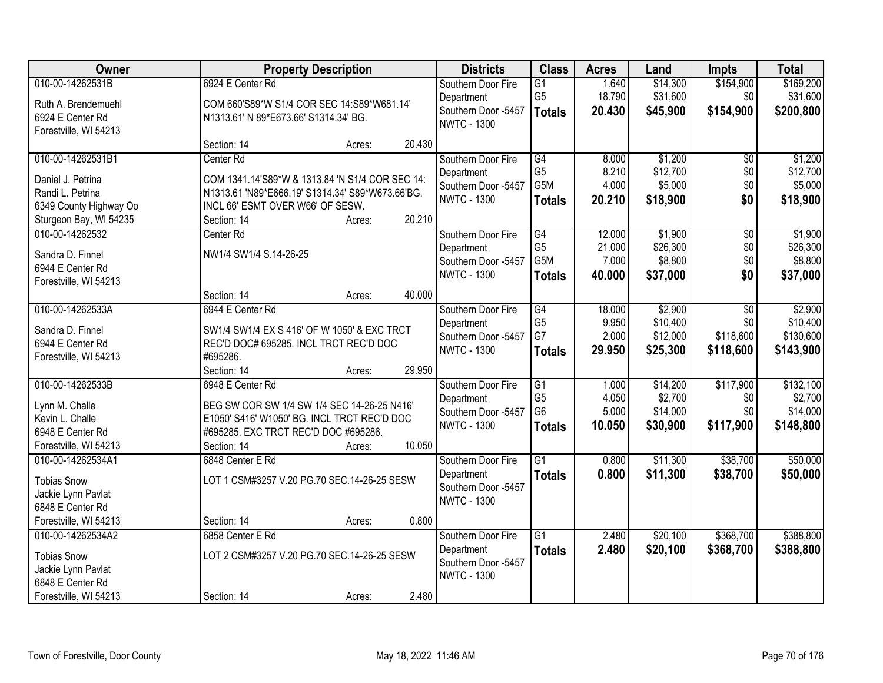| Owner                  |                                                  | <b>Property Description</b> |        | <b>Districts</b>                  | <b>Class</b>         | <b>Acres</b>    | Land                | <b>Impts</b>    | <b>Total</b>        |
|------------------------|--------------------------------------------------|-----------------------------|--------|-----------------------------------|----------------------|-----------------|---------------------|-----------------|---------------------|
| 010-00-14262531B       | 6924 E Center Rd                                 |                             |        | Southern Door Fire                | $\overline{G1}$      | 1.640           | \$14,300            | \$154,900       | \$169,200           |
| Ruth A. Brendemuehl    | COM 660'S89*W S1/4 COR SEC 14:S89*W681.14'       |                             |        | Department                        | G <sub>5</sub>       | 18.790          | \$31,600            | \$0             | \$31,600            |
| 6924 E Center Rd       | N1313.61' N 89*E673.66' S1314.34' BG.            |                             |        | Southern Door -5457               | <b>Totals</b>        | 20.430          | \$45,900            | \$154,900       | \$200,800           |
| Forestville, WI 54213  |                                                  |                             |        | <b>NWTC - 1300</b>                |                      |                 |                     |                 |                     |
|                        | Section: 14                                      | Acres:                      | 20.430 |                                   |                      |                 |                     |                 |                     |
| 010-00-14262531B1      | Center Rd                                        |                             |        | Southern Door Fire                | G4                   | 8.000           | \$1,200             | $\overline{50}$ | \$1,200             |
| Daniel J. Petrina      | COM 1341.14'S89*W & 1313.84 'N S1/4 COR SEC 14:  |                             |        | Department                        | G <sub>5</sub>       | 8.210           | \$12,700            | \$0             | \$12,700            |
| Randi L. Petrina       | N1313.61 'N89*E666.19' S1314.34' S89*W673.66'BG. |                             |        | Southern Door -5457               | G5M                  | 4.000           | \$5,000             | \$0             | \$5,000             |
| 6349 County Highway Oo | INCL 66' ESMT OVER W66' OF SESW.                 |                             |        | <b>NWTC - 1300</b>                | <b>Totals</b>        | 20.210          | \$18,900            | \$0             | \$18,900            |
| Sturgeon Bay, WI 54235 | Section: 14                                      | Acres:                      | 20.210 |                                   |                      |                 |                     |                 |                     |
| 010-00-14262532        | Center <sub>Rd</sub>                             |                             |        | Southern Door Fire                | G4                   | 12.000          | \$1,900             | $\overline{50}$ | \$1,900             |
|                        |                                                  |                             |        | Department                        | G <sub>5</sub>       | 21.000          | \$26,300            | \$0             | \$26,300            |
| Sandra D. Finnel       | NW1/4 SW1/4 S.14-26-25                           |                             |        | Southern Door -5457               | G <sub>5</sub> M     | 7.000           | \$8,800             | \$0             | \$8,800             |
| 6944 E Center Rd       |                                                  |                             |        | <b>NWTC - 1300</b>                | <b>Totals</b>        | 40.000          | \$37,000            | \$0             | \$37,000            |
| Forestville, WI 54213  |                                                  |                             |        |                                   |                      |                 |                     |                 |                     |
|                        | Section: 14                                      | Acres:                      | 40.000 |                                   |                      |                 |                     |                 |                     |
| 010-00-14262533A       | 6944 E Center Rd                                 |                             |        | Southern Door Fire                | G4<br>G <sub>5</sub> | 18.000<br>9.950 | \$2,900<br>\$10,400 | \$0<br>\$0      | \$2,900<br>\$10,400 |
| Sandra D. Finnel       | SW1/4 SW1/4 EX S 416' OF W 1050' & EXC TRCT      |                             |        | Department<br>Southern Door -5457 | G7                   | 2.000           | \$12,000            | \$118,600       | \$130,600           |
| 6944 E Center Rd       | REC'D DOC# 695285. INCL TRCT REC'D DOC           |                             |        | <b>NWTC - 1300</b>                |                      | 29.950          |                     | \$118,600       |                     |
| Forestville, WI 54213  | #695286.                                         |                             |        |                                   | <b>Totals</b>        |                 | \$25,300            |                 | \$143,900           |
|                        | Section: 14                                      | Acres:                      | 29.950 |                                   |                      |                 |                     |                 |                     |
| 010-00-14262533B       | 6948 E Center Rd                                 |                             |        | Southern Door Fire                | $\overline{G1}$      | 1.000           | \$14,200            | \$117,900       | \$132,100           |
| Lynn M. Challe         | BEG SW COR SW 1/4 SW 1/4 SEC 14-26-25 N416'      |                             |        | Department                        | G <sub>5</sub>       | 4.050           | \$2,700             | \$0             | \$2,700             |
| Kevin L. Challe        | E1050' S416' W1050' BG. INCL TRCT REC'D DOC      |                             |        | Southern Door -5457               | G <sub>6</sub>       | 5.000           | \$14,000            | \$0             | \$14,000            |
| 6948 E Center Rd       | #695285. EXC TRCT REC'D DOC #695286.             |                             |        | <b>NWTC - 1300</b>                | <b>Totals</b>        | 10.050          | \$30,900            | \$117,900       | \$148,800           |
| Forestville, WI 54213  | Section: 14                                      | Acres:                      | 10.050 |                                   |                      |                 |                     |                 |                     |
| 010-00-14262534A1      | 6848 Center E Rd                                 |                             |        | Southern Door Fire                | G1                   | 0.800           | \$11,300            | \$38,700        | \$50,000            |
| <b>Tobias Snow</b>     | LOT 1 CSM#3257 V.20 PG.70 SEC.14-26-25 SESW      |                             |        | Department                        | <b>Totals</b>        | 0.800           | \$11,300            | \$38,700        | \$50,000            |
| Jackie Lynn Pavlat     |                                                  |                             |        | Southern Door -5457               |                      |                 |                     |                 |                     |
| 6848 E Center Rd       |                                                  |                             |        | <b>NWTC - 1300</b>                |                      |                 |                     |                 |                     |
| Forestville, WI 54213  | Section: 14                                      | Acres:                      | 0.800  |                                   |                      |                 |                     |                 |                     |
| 010-00-14262534A2      | 6858 Center E Rd                                 |                             |        | Southern Door Fire                | $\overline{G1}$      | 2.480           | \$20,100            | \$368,700       | \$388,800           |
|                        |                                                  |                             |        | Department                        | <b>Totals</b>        | 2.480           | \$20,100            | \$368,700       | \$388,800           |
| <b>Tobias Snow</b>     | LOT 2 CSM#3257 V.20 PG.70 SEC.14-26-25 SESW      |                             |        | Southern Door -5457               |                      |                 |                     |                 |                     |
| Jackie Lynn Pavlat     |                                                  |                             |        | <b>NWTC - 1300</b>                |                      |                 |                     |                 |                     |
| 6848 E Center Rd       |                                                  |                             |        |                                   |                      |                 |                     |                 |                     |
| Forestville, WI 54213  | Section: 14                                      | Acres:                      | 2.480  |                                   |                      |                 |                     |                 |                     |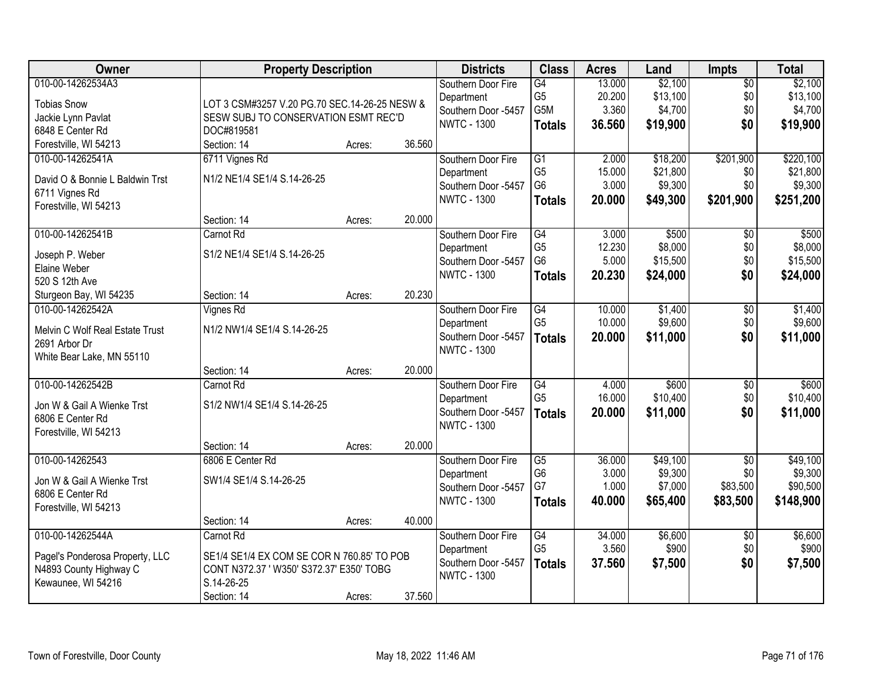| <b>Owner</b>                    | <b>Property Description</b>                   |        |        | <b>Districts</b>                  | <b>Class</b>                      | <b>Acres</b>    | Land                | <b>Impts</b>           | <b>Total</b>        |
|---------------------------------|-----------------------------------------------|--------|--------|-----------------------------------|-----------------------------------|-----------------|---------------------|------------------------|---------------------|
| 010-00-14262534A3               |                                               |        |        | Southern Door Fire                | $\overline{G4}$                   | 13.000          | \$2,100             | $\overline{50}$        | \$2,100             |
| <b>Tobias Snow</b>              | LOT 3 CSM#3257 V.20 PG.70 SEC.14-26-25 NESW & |        |        | Department                        | G <sub>5</sub>                    | 20.200          | \$13,100            | \$0                    | \$13,100            |
| Jackie Lynn Pavlat              | SESW SUBJ TO CONSERVATION ESMT REC'D          |        |        | Southern Door -5457               | G5M                               | 3.360           | \$4,700             | \$0                    | \$4,700             |
| 6848 E Center Rd                | DOC#819581                                    |        |        | <b>NWTC - 1300</b>                | <b>Totals</b>                     | 36.560          | \$19,900            | \$0                    | \$19,900            |
| Forestville, WI 54213           | Section: 14                                   | Acres: | 36.560 |                                   |                                   |                 |                     |                        |                     |
| 010-00-14262541A                | 6711 Vignes Rd                                |        |        | Southern Door Fire                | $\overline{G1}$                   | 2.000           | \$18,200            | \$201,900              | \$220,100           |
|                                 |                                               |        |        | Department                        | G <sub>5</sub>                    | 15.000          | \$21,800            | \$0                    | \$21,800            |
| David O & Bonnie L Baldwin Trst | N1/2 NE1/4 SE1/4 S.14-26-25                   |        |        | Southern Door -5457               | G <sub>6</sub>                    | 3.000           | \$9,300             | \$0                    | \$9,300             |
| 6711 Vignes Rd                  |                                               |        |        | <b>NWTC - 1300</b>                | <b>Totals</b>                     | 20.000          | \$49,300            | \$201,900              | \$251,200           |
| Forestville, WI 54213           |                                               |        |        |                                   |                                   |                 |                     |                        |                     |
|                                 | Section: 14                                   | Acres: | 20.000 |                                   |                                   |                 |                     |                        |                     |
| 010-00-14262541B                | Carnot Rd                                     |        |        | Southern Door Fire                | G4<br>G <sub>5</sub>              | 3.000<br>12.230 | \$500<br>\$8,000    | \$0                    | \$500               |
| Joseph P. Weber                 | S1/2 NE1/4 SE1/4 S.14-26-25                   |        |        | Department<br>Southern Door -5457 | G <sub>6</sub>                    | 5.000           | \$15,500            | \$0<br>\$0             | \$8,000<br>\$15,500 |
| Elaine Weber                    |                                               |        |        | <b>NWTC - 1300</b>                |                                   | 20.230          | \$24,000            | \$0                    | \$24,000            |
| 520 S 12th Ave                  |                                               |        |        |                                   | <b>Totals</b>                     |                 |                     |                        |                     |
| Sturgeon Bay, WI 54235          | Section: 14                                   | Acres: | 20.230 |                                   |                                   |                 |                     |                        |                     |
| 010-00-14262542A                | <b>Vignes Rd</b>                              |        |        | Southern Door Fire                | G4                                | 10.000          | \$1,400             | \$0                    | \$1,400             |
| Melvin C Wolf Real Estate Trust | N1/2 NW1/4 SE1/4 S.14-26-25                   |        |        | Department                        | G <sub>5</sub>                    | 10.000          | \$9,600             | \$0                    | \$9,600             |
| 2691 Arbor Dr                   |                                               |        |        | Southern Door -5457               | <b>Totals</b>                     | 20.000          | \$11,000            | \$0                    | \$11,000            |
| White Bear Lake, MN 55110       |                                               |        |        | <b>NWTC - 1300</b>                |                                   |                 |                     |                        |                     |
|                                 | Section: 14                                   | Acres: | 20.000 |                                   |                                   |                 |                     |                        |                     |
| 010-00-14262542B                | Carnot Rd                                     |        |        | Southern Door Fire                | G4                                | 4.000           | \$600               | \$0                    | \$600               |
|                                 |                                               |        |        | Department                        | G <sub>5</sub>                    | 16.000          | \$10,400            | \$0                    | \$10,400            |
| Jon W & Gail A Wienke Trst      | S1/2 NW1/4 SE1/4 S.14-26-25                   |        |        | Southern Door -5457               | <b>Totals</b>                     | 20.000          | \$11,000            | \$0                    | \$11,000            |
| 6806 E Center Rd                |                                               |        |        | <b>NWTC - 1300</b>                |                                   |                 |                     |                        |                     |
| Forestville, WI 54213           |                                               |        |        |                                   |                                   |                 |                     |                        |                     |
|                                 | Section: 14                                   | Acres: | 20.000 |                                   |                                   |                 |                     |                        |                     |
| 010-00-14262543                 | 6806 E Center Rd                              |        |        | Southern Door Fire                | $\overline{G5}$<br>G <sub>6</sub> | 36.000<br>3.000 | \$49,100<br>\$9,300 | $\overline{50}$<br>\$0 | \$49,100<br>\$9,300 |
| Jon W & Gail A Wienke Trst      | SW1/4 SE1/4 S.14-26-25                        |        |        | Department<br>Southern Door -5457 | G7                                | 1.000           | \$7,000             | \$83,500               | \$90,500            |
| 6806 E Center Rd                |                                               |        |        | <b>NWTC - 1300</b>                |                                   | 40.000          | \$65,400            | \$83,500               | \$148,900           |
| Forestville, WI 54213           |                                               |        |        |                                   | <b>Totals</b>                     |                 |                     |                        |                     |
|                                 | Section: 14                                   | Acres: | 40.000 |                                   |                                   |                 |                     |                        |                     |
| 010-00-14262544A                | Carnot Rd                                     |        |        | Southern Door Fire                | G4                                | 34.000          | \$6,600             | $\overline{30}$        | \$6,600             |
| Pagel's Ponderosa Property, LLC | SE1/4 SE1/4 EX COM SE COR N 760.85' TO POB    |        |        | Department                        | G <sub>5</sub>                    | 3.560           | \$900               | \$0                    | \$900               |
| N4893 County Highway C          | CONT N372.37 ' W350' S372.37' E350' TOBG      |        |        | Southern Door -5457               | <b>Totals</b>                     | 37.560          | \$7,500             | \$0                    | \$7,500             |
| Kewaunee, WI 54216              | S.14-26-25                                    |        |        | <b>NWTC - 1300</b>                |                                   |                 |                     |                        |                     |
|                                 | Section: 14                                   | Acres: | 37.560 |                                   |                                   |                 |                     |                        |                     |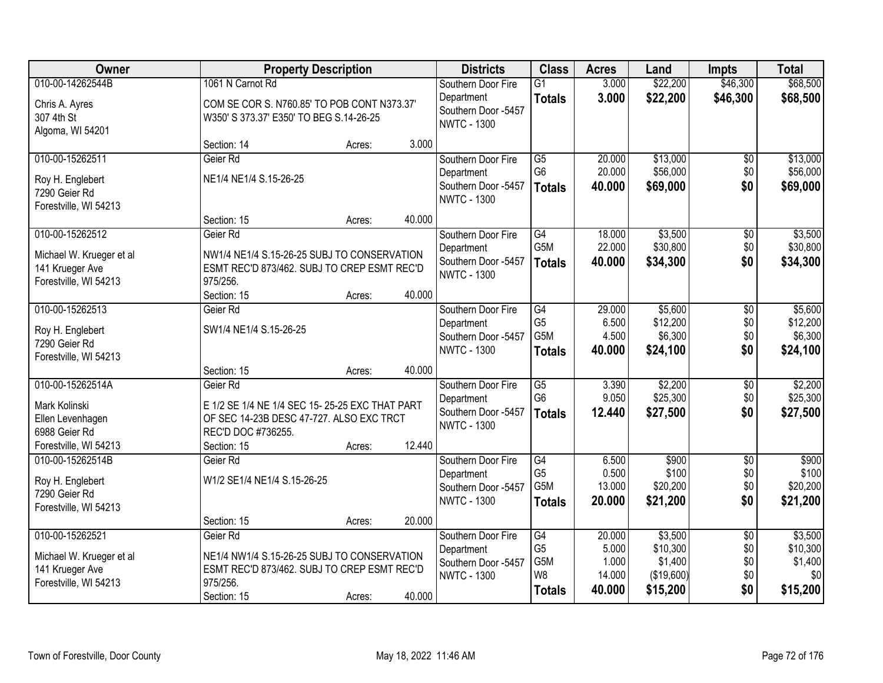| Owner                    | <b>Property Description</b>                    |        |        | <b>Districts</b>                          | <b>Class</b>     | <b>Acres</b> | Land       | <b>Impts</b>    | <b>Total</b> |
|--------------------------|------------------------------------------------|--------|--------|-------------------------------------------|------------------|--------------|------------|-----------------|--------------|
| 010-00-14262544B         | 1061 N Carnot Rd                               |        |        | Southern Door Fire                        | $\overline{G1}$  | 3.000        | \$22,200   | \$46,300        | \$68,500     |
| Chris A. Ayres           | COM SE COR S. N760.85' TO POB CONT N373.37'    |        |        | Department                                | <b>Totals</b>    | 3.000        | \$22,200   | \$46,300        | \$68,500     |
| 307 4th St               | W350' S 373.37' E350' TO BEG S.14-26-25        |        |        | Southern Door -5457<br><b>NWTC - 1300</b> |                  |              |            |                 |              |
| Algoma, WI 54201         |                                                |        |        |                                           |                  |              |            |                 |              |
|                          | Section: 14                                    | Acres: | 3.000  |                                           |                  |              |            |                 |              |
| 010-00-15262511          | Geier Rd                                       |        |        | Southern Door Fire                        | $\overline{G5}$  | 20.000       | \$13,000   | \$0             | \$13,000     |
| Roy H. Englebert         | NE1/4 NE1/4 S.15-26-25                         |        |        | Department                                | G <sub>6</sub>   | 20.000       | \$56,000   | \$0             | \$56,000     |
| 7290 Geier Rd            |                                                |        |        | Southern Door -5457<br><b>NWTC - 1300</b> | <b>Totals</b>    | 40.000       | \$69,000   | \$0             | \$69,000     |
| Forestville, WI 54213    |                                                |        |        |                                           |                  |              |            |                 |              |
|                          | Section: 15                                    | Acres: | 40.000 |                                           |                  |              |            |                 |              |
| 010-00-15262512          | Geier Rd                                       |        |        | Southern Door Fire                        | G4               | 18.000       | \$3,500    | \$0             | \$3,500      |
| Michael W. Krueger et al | NW1/4 NE1/4 S.15-26-25 SUBJ TO CONSERVATION    |        |        | Department                                | G5M              | 22.000       | \$30,800   | \$0             | \$30,800     |
| 141 Krueger Ave          | ESMT REC'D 873/462. SUBJ TO CREP ESMT REC'D    |        |        | Southern Door -5457<br><b>NWTC - 1300</b> | <b>Totals</b>    | 40.000       | \$34,300   | \$0             | \$34,300     |
| Forestville, WI 54213    | 975/256.                                       |        |        |                                           |                  |              |            |                 |              |
|                          | Section: 15                                    | Acres: | 40.000 |                                           |                  |              |            |                 |              |
| 010-00-15262513          | Geier Rd                                       |        |        | Southern Door Fire                        | G4               | 29.000       | \$5,600    | \$0             | \$5,600      |
| Roy H. Englebert         | SW1/4 NE1/4 S.15-26-25                         |        |        | Department                                | G <sub>5</sub>   | 6.500        | \$12,200   | \$0             | \$12,200     |
| 7290 Geier Rd            |                                                |        |        | Southern Door -5457                       | G5M              | 4.500        | \$6,300    | \$0             | \$6,300      |
| Forestville, WI 54213    |                                                |        |        | <b>NWTC - 1300</b>                        | <b>Totals</b>    | 40.000       | \$24,100   | \$0             | \$24,100     |
|                          | Section: 15                                    | Acres: | 40.000 |                                           |                  |              |            |                 |              |
| 010-00-15262514A         | Geier Rd                                       |        |        | Southern Door Fire                        | $\overline{G5}$  | 3.390        | \$2,200    | $\overline{50}$ | \$2,200      |
| Mark Kolinski            | E 1/2 SE 1/4 NE 1/4 SEC 15-25-25 EXC THAT PART |        |        | Department                                | G <sub>6</sub>   | 9.050        | \$25,300   | \$0             | \$25,300     |
| Ellen Levenhagen         | OF SEC 14-23B DESC 47-727. ALSO EXC TRCT       |        |        | Southern Door -5457                       | <b>Totals</b>    | 12.440       | \$27,500   | \$0             | \$27,500     |
| 6988 Geier Rd            | REC'D DOC #736255.                             |        |        | <b>NWTC - 1300</b>                        |                  |              |            |                 |              |
| Forestville, WI 54213    | Section: 15                                    | Acres: | 12.440 |                                           |                  |              |            |                 |              |
| 010-00-15262514B         | Geier Rd                                       |        |        | Southern Door Fire                        | G4               | 6.500        | \$900      | $\overline{$0}$ | \$900        |
| Roy H. Englebert         | W1/2 SE1/4 NE1/4 S.15-26-25                    |        |        | Department                                | G <sub>5</sub>   | 0.500        | \$100      | \$0             | \$100        |
| 7290 Geier Rd            |                                                |        |        | Southern Door -5457                       | G <sub>5</sub> M | 13.000       | \$20,200   | \$0             | \$20,200     |
| Forestville, WI 54213    |                                                |        |        | <b>NWTC - 1300</b>                        | <b>Totals</b>    | 20.000       | \$21,200   | \$0             | \$21,200     |
|                          | Section: 15                                    | Acres: | 20.000 |                                           |                  |              |            |                 |              |
| 010-00-15262521          | Geier Rd                                       |        |        | Southern Door Fire                        | G4               | 20.000       | \$3,500    | $\overline{60}$ | \$3,500      |
| Michael W. Krueger et al | NE1/4 NW1/4 S.15-26-25 SUBJ TO CONSERVATION    |        |        | Department                                | G <sub>5</sub>   | 5.000        | \$10,300   | \$0             | \$10,300     |
| 141 Krueger Ave          | ESMT REC'D 873/462. SUBJ TO CREP ESMT REC'D    |        |        | Southern Door -5457                       | G5M              | 1.000        | \$1,400    | \$0             | \$1,400      |
| Forestville, WI 54213    | 975/256.                                       |        |        | <b>NWTC - 1300</b>                        | W <sub>8</sub>   | 14.000       | (\$19,600) | \$0             | \$0          |
|                          | Section: 15                                    | Acres: | 40.000 |                                           | <b>Totals</b>    | 40.000       | \$15,200   | \$0             | \$15,200     |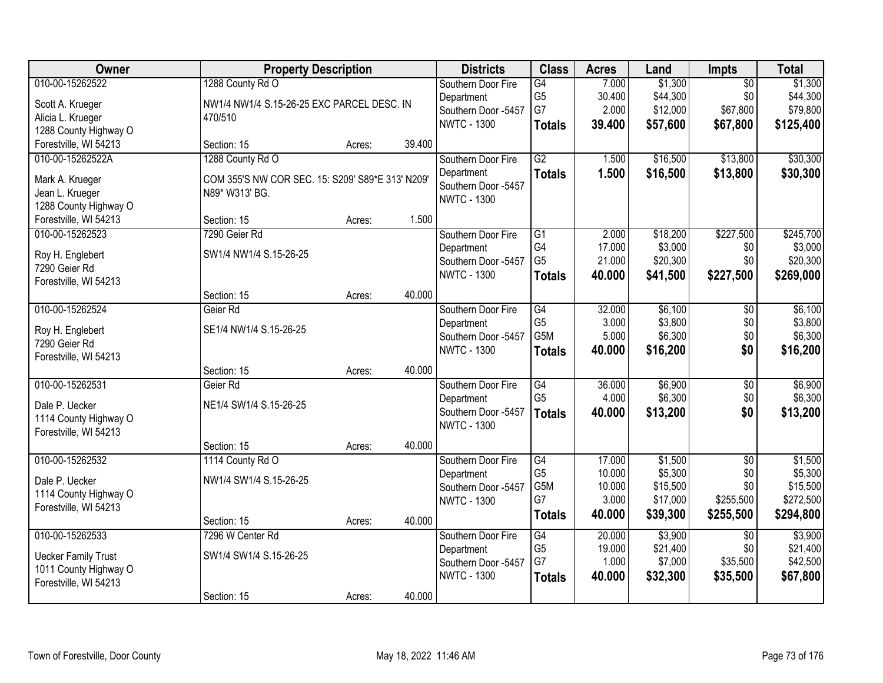| Owner                      | <b>Property Description</b>                      |        |        | <b>Districts</b>    | <b>Class</b>     | <b>Acres</b> | Land     | Impts           | <b>Total</b> |
|----------------------------|--------------------------------------------------|--------|--------|---------------------|------------------|--------------|----------|-----------------|--------------|
| 010-00-15262522            | 1288 County Rd O                                 |        |        | Southern Door Fire  | G4               | 7.000        | \$1,300  | $\overline{50}$ | \$1,300      |
| Scott A. Krueger           | NW1/4 NW1/4 S.15-26-25 EXC PARCEL DESC. IN       |        |        | Department          | G <sub>5</sub>   | 30.400       | \$44,300 | \$0             | \$44,300     |
| Alicia L. Krueger          | 470/510                                          |        |        | Southern Door -5457 | G7               | 2.000        | \$12,000 | \$67,800        | \$79,800     |
| 1288 County Highway O      |                                                  |        |        | <b>NWTC - 1300</b>  | <b>Totals</b>    | 39.400       | \$57,600 | \$67,800        | \$125,400    |
| Forestville, WI 54213      | Section: 15                                      | Acres: | 39.400 |                     |                  |              |          |                 |              |
| 010-00-15262522A           | 1288 County Rd O                                 |        |        | Southern Door Fire  | G2               | 1.500        | \$16,500 | \$13,800        | \$30,300     |
| Mark A. Krueger            | COM 355'S NW COR SEC. 15: S209' S89*E 313' N209' |        |        | Department          | <b>Totals</b>    | 1.500        | \$16,500 | \$13,800        | \$30,300     |
| Jean L. Krueger            | N89* W313' BG.                                   |        |        | Southern Door -5457 |                  |              |          |                 |              |
| 1288 County Highway O      |                                                  |        |        | <b>NWTC - 1300</b>  |                  |              |          |                 |              |
| Forestville, WI 54213      | Section: 15                                      | Acres: | 1.500  |                     |                  |              |          |                 |              |
| 010-00-15262523            | 7290 Geier Rd                                    |        |        | Southern Door Fire  | $\overline{G1}$  | 2.000        | \$18,200 | \$227,500       | \$245,700    |
| Roy H. Englebert           | SW1/4 NW1/4 S.15-26-25                           |        |        | Department          | G4               | 17.000       | \$3,000  | \$0             | \$3,000      |
| 7290 Geier Rd              |                                                  |        |        | Southern Door -5457 | G <sub>5</sub>   | 21.000       | \$20,300 | \$0             | \$20,300     |
| Forestville, WI 54213      |                                                  |        |        | <b>NWTC - 1300</b>  | <b>Totals</b>    | 40.000       | \$41,500 | \$227,500       | \$269,000    |
|                            | Section: 15                                      | Acres: | 40.000 |                     |                  |              |          |                 |              |
| 010-00-15262524            | Geier Rd                                         |        |        | Southern Door Fire  | G4               | 32.000       | \$6,100  | \$0             | \$6,100      |
| Roy H. Englebert           | SE1/4 NW1/4 S.15-26-25                           |        |        | Department          | G <sub>5</sub>   | 3.000        | \$3,800  | \$0             | \$3,800      |
| 7290 Geier Rd              |                                                  |        |        | Southern Door -5457 | G <sub>5</sub> M | 5.000        | \$6,300  | \$0             | \$6,300      |
| Forestville, WI 54213      |                                                  |        |        | <b>NWTC - 1300</b>  | <b>Totals</b>    | 40.000       | \$16,200 | \$0             | \$16,200     |
|                            | Section: 15                                      | Acres: | 40.000 |                     |                  |              |          |                 |              |
| 010-00-15262531            | Geier Rd                                         |        |        | Southern Door Fire  | $\overline{G4}$  | 36.000       | \$6,900  | $\overline{50}$ | \$6,900      |
| Dale P. Uecker             | NE1/4 SW1/4 S.15-26-25                           |        |        | Department          | G <sub>5</sub>   | 4.000        | \$6,300  | \$0             | \$6,300      |
| 1114 County Highway O      |                                                  |        |        | Southern Door -5457 | <b>Totals</b>    | 40.000       | \$13,200 | \$0             | \$13,200     |
| Forestville, WI 54213      |                                                  |        |        | <b>NWTC - 1300</b>  |                  |              |          |                 |              |
|                            | Section: 15                                      | Acres: | 40.000 |                     |                  |              |          |                 |              |
| 010-00-15262532            | 1114 County Rd O                                 |        |        | Southern Door Fire  | $\overline{G4}$  | 17.000       | \$1,500  | $\overline{50}$ | \$1,500      |
| Dale P. Uecker             | NW1/4 SW1/4 S.15-26-25                           |        |        | Department          | G <sub>5</sub>   | 10.000       | \$5,300  | \$0             | \$5,300      |
| 1114 County Highway O      |                                                  |        |        | Southern Door -5457 | G5M              | 10.000       | \$15,500 | \$0             | \$15,500     |
| Forestville, WI 54213      |                                                  |        |        | <b>NWTC - 1300</b>  | G7               | 3.000        | \$17,000 | \$255,500       | \$272,500    |
|                            | Section: 15                                      | Acres: | 40.000 |                     | <b>Totals</b>    | 40.000       | \$39,300 | \$255,500       | \$294,800    |
| 010-00-15262533            | 7296 W Center Rd                                 |        |        | Southern Door Fire  | G4               | 20.000       | \$3,900  | $\overline{50}$ | \$3,900      |
| <b>Uecker Family Trust</b> | SW1/4 SW1/4 S.15-26-25                           |        |        | Department          | G <sub>5</sub>   | 19.000       | \$21,400 | \$0             | \$21,400     |
| 1011 County Highway O      |                                                  |        |        | Southern Door -5457 | G7               | 1.000        | \$7,000  | \$35,500        | \$42,500     |
| Forestville, WI 54213      |                                                  |        |        | <b>NWTC - 1300</b>  | <b>Totals</b>    | 40.000       | \$32,300 | \$35,500        | \$67,800     |
|                            | Section: 15                                      | Acres: | 40.000 |                     |                  |              |          |                 |              |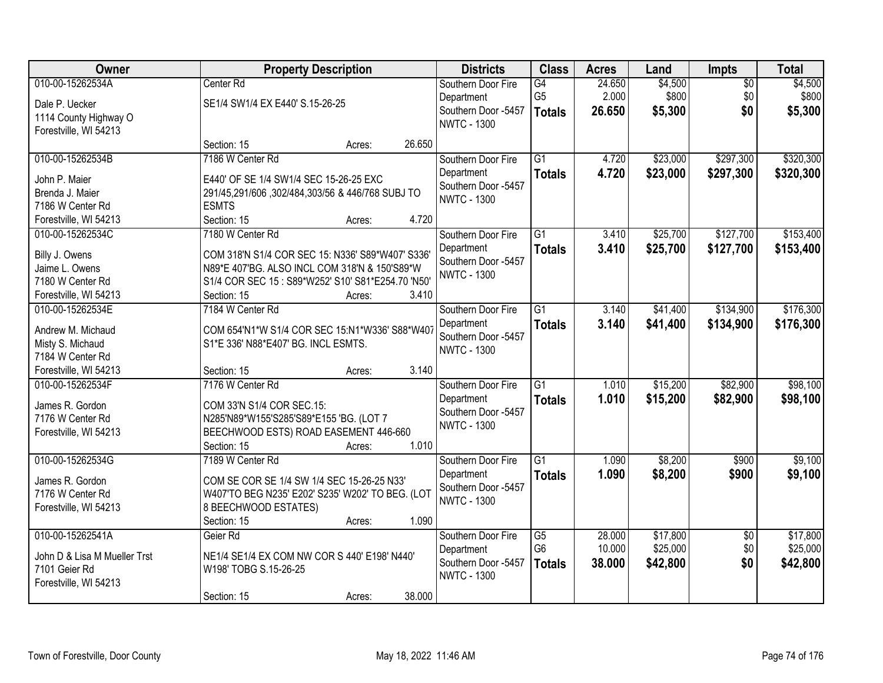| Center <sub>Rd</sub><br>24.650<br>\$4,500<br>\$4,500<br>G4<br>$\overline{50}$<br>Southern Door Fire<br>\$800<br>\$0<br>\$800<br>G <sub>5</sub><br>2.000<br>Department<br>Dale P. Uecker<br>SE1/4 SW1/4 EX E440' S.15-26-25<br>\$0<br>Southern Door -5457<br>26.650<br>\$5,300<br>\$5,300<br><b>Totals</b><br>1114 County Highway O<br><b>NWTC - 1300</b><br>Forestville, WI 54213<br>26.650<br>Section: 15<br>Acres:<br>010-00-15262534B<br>7186 W Center Rd<br>$\overline{G1}$<br>4.720<br>\$23,000<br>\$297,300<br>Southern Door Fire<br>4.720<br>\$23,000<br>\$297,300<br>Department<br><b>Totals</b><br>E440' OF SE 1/4 SW1/4 SEC 15-26-25 EXC<br>John P. Maier<br>Southern Door -5457<br>291/45,291/606,302/484,303/56 & 446/768 SUBJ TO<br>Brenda J. Maier<br><b>NWTC - 1300</b><br>7186 W Center Rd<br><b>ESMTS</b><br>4.720<br>Section: 15<br>Forestville, WI 54213<br>Acres:<br>\$25,700<br>\$127,700<br>010-00-15262534C<br>7180 W Center Rd<br>G1<br>3.410<br>Southern Door Fire<br>\$25,700<br>\$127,700<br>Department<br>3.410<br><b>Totals</b><br>COM 318'N S1/4 COR SEC 15: N336' S89*W407' S336'<br>Billy J. Owens<br>Southern Door -5457<br>Jaime L. Owens<br>N89*E 407'BG. ALSO INCL COM 318'N & 150'S89*W<br><b>NWTC - 1300</b><br>7180 W Center Rd<br>S1/4 COR SEC 15 : S89*W252' S10' S81*E254.70 'N50'<br>Section: 15<br>3.410<br>Forestville, WI 54213<br>Acres:<br>\$134,900<br>010-00-15262534E<br>7184 W Center Rd<br>$\overline{G1}$<br>\$41,400<br>Southern Door Fire<br>3.140<br>3.140<br>Department<br>\$41,400<br>\$134,900<br><b>Totals</b><br>Andrew M. Michaud<br>COM 654'N1*W S1/4 COR SEC 15:N1*W336' S88*W407<br>Southern Door -5457<br>S1*E 336' N88*E407' BG. INCL ESMTS.<br>Misty S. Michaud<br><b>NWTC - 1300</b><br>7184 W Center Rd<br>3.140<br>Forestville, WI 54213<br>Section: 15<br>Acres:<br>$\overline{G1}$<br>\$15,200<br>\$82,900<br>010-00-15262534F<br>7176 W Center Rd<br>1.010<br>Southern Door Fire<br>1.010<br>\$15,200<br>\$82,900<br>Department<br><b>Totals</b><br>James R. Gordon<br>COM 33'N S1/4 COR SEC.15:<br>Southern Door -5457<br>7176 W Center Rd<br>N285'N89*W155'S285'S89*E155 'BG. (LOT 7<br><b>NWTC - 1300</b><br>BEECHWOOD ESTS) ROAD EASEMENT 446-660<br>Forestville, WI 54213<br>1.010<br>Section: 15<br>Acres:<br>\$8,200<br>010-00-15262534G<br>$\overline{G1}$<br>\$900<br>7189 W Center Rd<br>1.090<br>Southern Door Fire<br>\$8,200<br>\$900<br>Department<br>1.090<br><b>Totals</b><br>COM SE COR SE 1/4 SW 1/4 SEC 15-26-25 N33'<br>James R. Gordon | Owner            | <b>Property Description</b>                      | <b>Districts</b>    | <b>Class</b> | <b>Acres</b> | Land | Impts | <b>Total</b> |
|----------------------------------------------------------------------------------------------------------------------------------------------------------------------------------------------------------------------------------------------------------------------------------------------------------------------------------------------------------------------------------------------------------------------------------------------------------------------------------------------------------------------------------------------------------------------------------------------------------------------------------------------------------------------------------------------------------------------------------------------------------------------------------------------------------------------------------------------------------------------------------------------------------------------------------------------------------------------------------------------------------------------------------------------------------------------------------------------------------------------------------------------------------------------------------------------------------------------------------------------------------------------------------------------------------------------------------------------------------------------------------------------------------------------------------------------------------------------------------------------------------------------------------------------------------------------------------------------------------------------------------------------------------------------------------------------------------------------------------------------------------------------------------------------------------------------------------------------------------------------------------------------------------------------------------------------------------------------------------------------------------------------------------------------------------------------------------------------------------------------------------------------------------------------------------------------------------------------------------------------------------------------------------------------------------------------------------------------------------------------------------------------------------------------------------------------------------------------------------------------------------------------------------------|------------------|--------------------------------------------------|---------------------|--------------|--------------|------|-------|--------------|
|                                                                                                                                                                                                                                                                                                                                                                                                                                                                                                                                                                                                                                                                                                                                                                                                                                                                                                                                                                                                                                                                                                                                                                                                                                                                                                                                                                                                                                                                                                                                                                                                                                                                                                                                                                                                                                                                                                                                                                                                                                                                                                                                                                                                                                                                                                                                                                                                                                                                                                                                        | 010-00-15262534A |                                                  |                     |              |              |      |       |              |
|                                                                                                                                                                                                                                                                                                                                                                                                                                                                                                                                                                                                                                                                                                                                                                                                                                                                                                                                                                                                                                                                                                                                                                                                                                                                                                                                                                                                                                                                                                                                                                                                                                                                                                                                                                                                                                                                                                                                                                                                                                                                                                                                                                                                                                                                                                                                                                                                                                                                                                                                        |                  |                                                  |                     |              |              |      |       |              |
|                                                                                                                                                                                                                                                                                                                                                                                                                                                                                                                                                                                                                                                                                                                                                                                                                                                                                                                                                                                                                                                                                                                                                                                                                                                                                                                                                                                                                                                                                                                                                                                                                                                                                                                                                                                                                                                                                                                                                                                                                                                                                                                                                                                                                                                                                                                                                                                                                                                                                                                                        |                  |                                                  |                     |              |              |      |       |              |
|                                                                                                                                                                                                                                                                                                                                                                                                                                                                                                                                                                                                                                                                                                                                                                                                                                                                                                                                                                                                                                                                                                                                                                                                                                                                                                                                                                                                                                                                                                                                                                                                                                                                                                                                                                                                                                                                                                                                                                                                                                                                                                                                                                                                                                                                                                                                                                                                                                                                                                                                        |                  |                                                  |                     |              |              |      |       |              |
|                                                                                                                                                                                                                                                                                                                                                                                                                                                                                                                                                                                                                                                                                                                                                                                                                                                                                                                                                                                                                                                                                                                                                                                                                                                                                                                                                                                                                                                                                                                                                                                                                                                                                                                                                                                                                                                                                                                                                                                                                                                                                                                                                                                                                                                                                                                                                                                                                                                                                                                                        |                  |                                                  |                     |              |              |      |       |              |
| \$320,300<br>\$153,400<br>\$153,400<br>\$176,300<br>\$176,300                                                                                                                                                                                                                                                                                                                                                                                                                                                                                                                                                                                                                                                                                                                                                                                                                                                                                                                                                                                                                                                                                                                                                                                                                                                                                                                                                                                                                                                                                                                                                                                                                                                                                                                                                                                                                                                                                                                                                                                                                                                                                                                                                                                                                                                                                                                                                                                                                                                                          |                  |                                                  |                     |              |              |      |       | \$320,300    |
|                                                                                                                                                                                                                                                                                                                                                                                                                                                                                                                                                                                                                                                                                                                                                                                                                                                                                                                                                                                                                                                                                                                                                                                                                                                                                                                                                                                                                                                                                                                                                                                                                                                                                                                                                                                                                                                                                                                                                                                                                                                                                                                                                                                                                                                                                                                                                                                                                                                                                                                                        |                  |                                                  |                     |              |              |      |       |              |
|                                                                                                                                                                                                                                                                                                                                                                                                                                                                                                                                                                                                                                                                                                                                                                                                                                                                                                                                                                                                                                                                                                                                                                                                                                                                                                                                                                                                                                                                                                                                                                                                                                                                                                                                                                                                                                                                                                                                                                                                                                                                                                                                                                                                                                                                                                                                                                                                                                                                                                                                        |                  |                                                  |                     |              |              |      |       |              |
|                                                                                                                                                                                                                                                                                                                                                                                                                                                                                                                                                                                                                                                                                                                                                                                                                                                                                                                                                                                                                                                                                                                                                                                                                                                                                                                                                                                                                                                                                                                                                                                                                                                                                                                                                                                                                                                                                                                                                                                                                                                                                                                                                                                                                                                                                                                                                                                                                                                                                                                                        |                  |                                                  |                     |              |              |      |       |              |
|                                                                                                                                                                                                                                                                                                                                                                                                                                                                                                                                                                                                                                                                                                                                                                                                                                                                                                                                                                                                                                                                                                                                                                                                                                                                                                                                                                                                                                                                                                                                                                                                                                                                                                                                                                                                                                                                                                                                                                                                                                                                                                                                                                                                                                                                                                                                                                                                                                                                                                                                        |                  |                                                  |                     |              |              |      |       |              |
|                                                                                                                                                                                                                                                                                                                                                                                                                                                                                                                                                                                                                                                                                                                                                                                                                                                                                                                                                                                                                                                                                                                                                                                                                                                                                                                                                                                                                                                                                                                                                                                                                                                                                                                                                                                                                                                                                                                                                                                                                                                                                                                                                                                                                                                                                                                                                                                                                                                                                                                                        |                  |                                                  |                     |              |              |      |       |              |
|                                                                                                                                                                                                                                                                                                                                                                                                                                                                                                                                                                                                                                                                                                                                                                                                                                                                                                                                                                                                                                                                                                                                                                                                                                                                                                                                                                                                                                                                                                                                                                                                                                                                                                                                                                                                                                                                                                                                                                                                                                                                                                                                                                                                                                                                                                                                                                                                                                                                                                                                        |                  |                                                  |                     |              |              |      |       |              |
|                                                                                                                                                                                                                                                                                                                                                                                                                                                                                                                                                                                                                                                                                                                                                                                                                                                                                                                                                                                                                                                                                                                                                                                                                                                                                                                                                                                                                                                                                                                                                                                                                                                                                                                                                                                                                                                                                                                                                                                                                                                                                                                                                                                                                                                                                                                                                                                                                                                                                                                                        |                  |                                                  |                     |              |              |      |       |              |
|                                                                                                                                                                                                                                                                                                                                                                                                                                                                                                                                                                                                                                                                                                                                                                                                                                                                                                                                                                                                                                                                                                                                                                                                                                                                                                                                                                                                                                                                                                                                                                                                                                                                                                                                                                                                                                                                                                                                                                                                                                                                                                                                                                                                                                                                                                                                                                                                                                                                                                                                        |                  |                                                  |                     |              |              |      |       |              |
|                                                                                                                                                                                                                                                                                                                                                                                                                                                                                                                                                                                                                                                                                                                                                                                                                                                                                                                                                                                                                                                                                                                                                                                                                                                                                                                                                                                                                                                                                                                                                                                                                                                                                                                                                                                                                                                                                                                                                                                                                                                                                                                                                                                                                                                                                                                                                                                                                                                                                                                                        |                  |                                                  |                     |              |              |      |       |              |
|                                                                                                                                                                                                                                                                                                                                                                                                                                                                                                                                                                                                                                                                                                                                                                                                                                                                                                                                                                                                                                                                                                                                                                                                                                                                                                                                                                                                                                                                                                                                                                                                                                                                                                                                                                                                                                                                                                                                                                                                                                                                                                                                                                                                                                                                                                                                                                                                                                                                                                                                        |                  |                                                  |                     |              |              |      |       |              |
|                                                                                                                                                                                                                                                                                                                                                                                                                                                                                                                                                                                                                                                                                                                                                                                                                                                                                                                                                                                                                                                                                                                                                                                                                                                                                                                                                                                                                                                                                                                                                                                                                                                                                                                                                                                                                                                                                                                                                                                                                                                                                                                                                                                                                                                                                                                                                                                                                                                                                                                                        |                  |                                                  |                     |              |              |      |       |              |
| \$98,100<br>\$98,100<br>\$9,100<br>\$9,100                                                                                                                                                                                                                                                                                                                                                                                                                                                                                                                                                                                                                                                                                                                                                                                                                                                                                                                                                                                                                                                                                                                                                                                                                                                                                                                                                                                                                                                                                                                                                                                                                                                                                                                                                                                                                                                                                                                                                                                                                                                                                                                                                                                                                                                                                                                                                                                                                                                                                             |                  |                                                  |                     |              |              |      |       |              |
|                                                                                                                                                                                                                                                                                                                                                                                                                                                                                                                                                                                                                                                                                                                                                                                                                                                                                                                                                                                                                                                                                                                                                                                                                                                                                                                                                                                                                                                                                                                                                                                                                                                                                                                                                                                                                                                                                                                                                                                                                                                                                                                                                                                                                                                                                                                                                                                                                                                                                                                                        |                  |                                                  |                     |              |              |      |       |              |
|                                                                                                                                                                                                                                                                                                                                                                                                                                                                                                                                                                                                                                                                                                                                                                                                                                                                                                                                                                                                                                                                                                                                                                                                                                                                                                                                                                                                                                                                                                                                                                                                                                                                                                                                                                                                                                                                                                                                                                                                                                                                                                                                                                                                                                                                                                                                                                                                                                                                                                                                        |                  |                                                  |                     |              |              |      |       |              |
|                                                                                                                                                                                                                                                                                                                                                                                                                                                                                                                                                                                                                                                                                                                                                                                                                                                                                                                                                                                                                                                                                                                                                                                                                                                                                                                                                                                                                                                                                                                                                                                                                                                                                                                                                                                                                                                                                                                                                                                                                                                                                                                                                                                                                                                                                                                                                                                                                                                                                                                                        |                  |                                                  |                     |              |              |      |       |              |
|                                                                                                                                                                                                                                                                                                                                                                                                                                                                                                                                                                                                                                                                                                                                                                                                                                                                                                                                                                                                                                                                                                                                                                                                                                                                                                                                                                                                                                                                                                                                                                                                                                                                                                                                                                                                                                                                                                                                                                                                                                                                                                                                                                                                                                                                                                                                                                                                                                                                                                                                        |                  |                                                  |                     |              |              |      |       |              |
|                                                                                                                                                                                                                                                                                                                                                                                                                                                                                                                                                                                                                                                                                                                                                                                                                                                                                                                                                                                                                                                                                                                                                                                                                                                                                                                                                                                                                                                                                                                                                                                                                                                                                                                                                                                                                                                                                                                                                                                                                                                                                                                                                                                                                                                                                                                                                                                                                                                                                                                                        |                  |                                                  |                     |              |              |      |       |              |
|                                                                                                                                                                                                                                                                                                                                                                                                                                                                                                                                                                                                                                                                                                                                                                                                                                                                                                                                                                                                                                                                                                                                                                                                                                                                                                                                                                                                                                                                                                                                                                                                                                                                                                                                                                                                                                                                                                                                                                                                                                                                                                                                                                                                                                                                                                                                                                                                                                                                                                                                        |                  |                                                  |                     |              |              |      |       |              |
|                                                                                                                                                                                                                                                                                                                                                                                                                                                                                                                                                                                                                                                                                                                                                                                                                                                                                                                                                                                                                                                                                                                                                                                                                                                                                                                                                                                                                                                                                                                                                                                                                                                                                                                                                                                                                                                                                                                                                                                                                                                                                                                                                                                                                                                                                                                                                                                                                                                                                                                                        |                  |                                                  |                     |              |              |      |       |              |
|                                                                                                                                                                                                                                                                                                                                                                                                                                                                                                                                                                                                                                                                                                                                                                                                                                                                                                                                                                                                                                                                                                                                                                                                                                                                                                                                                                                                                                                                                                                                                                                                                                                                                                                                                                                                                                                                                                                                                                                                                                                                                                                                                                                                                                                                                                                                                                                                                                                                                                                                        |                  |                                                  |                     |              |              |      |       |              |
|                                                                                                                                                                                                                                                                                                                                                                                                                                                                                                                                                                                                                                                                                                                                                                                                                                                                                                                                                                                                                                                                                                                                                                                                                                                                                                                                                                                                                                                                                                                                                                                                                                                                                                                                                                                                                                                                                                                                                                                                                                                                                                                                                                                                                                                                                                                                                                                                                                                                                                                                        |                  |                                                  |                     |              |              |      |       |              |
|                                                                                                                                                                                                                                                                                                                                                                                                                                                                                                                                                                                                                                                                                                                                                                                                                                                                                                                                                                                                                                                                                                                                                                                                                                                                                                                                                                                                                                                                                                                                                                                                                                                                                                                                                                                                                                                                                                                                                                                                                                                                                                                                                                                                                                                                                                                                                                                                                                                                                                                                        |                  |                                                  |                     |              |              |      |       |              |
| 7176 W Center Rd                                                                                                                                                                                                                                                                                                                                                                                                                                                                                                                                                                                                                                                                                                                                                                                                                                                                                                                                                                                                                                                                                                                                                                                                                                                                                                                                                                                                                                                                                                                                                                                                                                                                                                                                                                                                                                                                                                                                                                                                                                                                                                                                                                                                                                                                                                                                                                                                                                                                                                                       |                  | W407'TO BEG N235' E202' S235' W202' TO BEG. (LOT | Southern Door -5457 |              |              |      |       |              |
| <b>NWTC - 1300</b><br>8 BEECHWOOD ESTATES)<br>Forestville, WI 54213                                                                                                                                                                                                                                                                                                                                                                                                                                                                                                                                                                                                                                                                                                                                                                                                                                                                                                                                                                                                                                                                                                                                                                                                                                                                                                                                                                                                                                                                                                                                                                                                                                                                                                                                                                                                                                                                                                                                                                                                                                                                                                                                                                                                                                                                                                                                                                                                                                                                    |                  |                                                  |                     |              |              |      |       |              |
| 1.090<br>Section: 15<br>Acres:                                                                                                                                                                                                                                                                                                                                                                                                                                                                                                                                                                                                                                                                                                                                                                                                                                                                                                                                                                                                                                                                                                                                                                                                                                                                                                                                                                                                                                                                                                                                                                                                                                                                                                                                                                                                                                                                                                                                                                                                                                                                                                                                                                                                                                                                                                                                                                                                                                                                                                         |                  |                                                  |                     |              |              |      |       |              |
| 010-00-15262541A<br>\$17,800<br>\$17,800<br>Geier Rd<br>Southern Door Fire<br>$\overline{G5}$<br>28.000<br>$\overline{50}$                                                                                                                                                                                                                                                                                                                                                                                                                                                                                                                                                                                                                                                                                                                                                                                                                                                                                                                                                                                                                                                                                                                                                                                                                                                                                                                                                                                                                                                                                                                                                                                                                                                                                                                                                                                                                                                                                                                                                                                                                                                                                                                                                                                                                                                                                                                                                                                                             |                  |                                                  |                     |              |              |      |       |              |
| G <sub>6</sub><br>10.000<br>\$25,000<br>\$0<br>\$25,000<br>Department                                                                                                                                                                                                                                                                                                                                                                                                                                                                                                                                                                                                                                                                                                                                                                                                                                                                                                                                                                                                                                                                                                                                                                                                                                                                                                                                                                                                                                                                                                                                                                                                                                                                                                                                                                                                                                                                                                                                                                                                                                                                                                                                                                                                                                                                                                                                                                                                                                                                  |                  |                                                  |                     |              |              |      |       |              |
| John D & Lisa M Mueller Trst<br>NE1/4 SE1/4 EX COM NW COR S 440' E198' N440'<br>\$42,800<br>\$0<br>\$42,800<br>Southern Door -5457<br>38.000<br><b>Totals</b><br>7101 Geier Rd<br>W198' TOBG S.15-26-25                                                                                                                                                                                                                                                                                                                                                                                                                                                                                                                                                                                                                                                                                                                                                                                                                                                                                                                                                                                                                                                                                                                                                                                                                                                                                                                                                                                                                                                                                                                                                                                                                                                                                                                                                                                                                                                                                                                                                                                                                                                                                                                                                                                                                                                                                                                                |                  |                                                  |                     |              |              |      |       |              |
| <b>NWTC - 1300</b><br>Forestville, WI 54213                                                                                                                                                                                                                                                                                                                                                                                                                                                                                                                                                                                                                                                                                                                                                                                                                                                                                                                                                                                                                                                                                                                                                                                                                                                                                                                                                                                                                                                                                                                                                                                                                                                                                                                                                                                                                                                                                                                                                                                                                                                                                                                                                                                                                                                                                                                                                                                                                                                                                            |                  |                                                  |                     |              |              |      |       |              |
| 38.000<br>Section: 15<br>Acres:                                                                                                                                                                                                                                                                                                                                                                                                                                                                                                                                                                                                                                                                                                                                                                                                                                                                                                                                                                                                                                                                                                                                                                                                                                                                                                                                                                                                                                                                                                                                                                                                                                                                                                                                                                                                                                                                                                                                                                                                                                                                                                                                                                                                                                                                                                                                                                                                                                                                                                        |                  |                                                  |                     |              |              |      |       |              |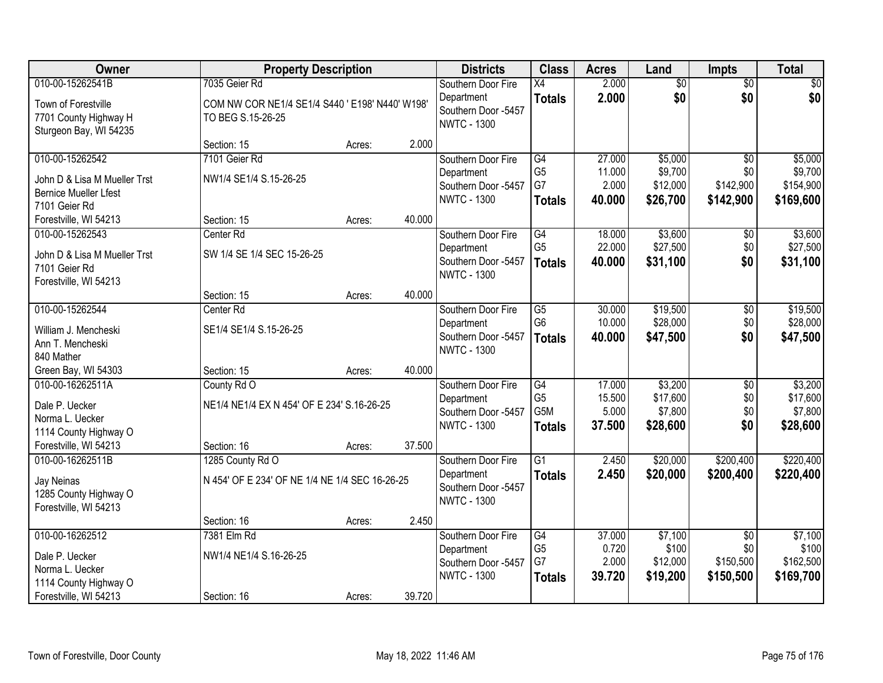| Owner                                                                                                   |                                                                          | <b>Property Description</b> |        | <b>Districts</b>                                                              | <b>Class</b>                                                           | <b>Acres</b>                        | Land                                       | Impts                                            | <b>Total</b>                                 |
|---------------------------------------------------------------------------------------------------------|--------------------------------------------------------------------------|-----------------------------|--------|-------------------------------------------------------------------------------|------------------------------------------------------------------------|-------------------------------------|--------------------------------------------|--------------------------------------------------|----------------------------------------------|
| 010-00-15262541B                                                                                        | 7035 Geier Rd                                                            |                             |        | Southern Door Fire                                                            | $\overline{X4}$                                                        | 2.000                               | $\overline{60}$                            | $\overline{50}$                                  | \$0                                          |
| Town of Forestville<br>7701 County Highway H<br>Sturgeon Bay, WI 54235                                  | COM NW COR NE1/4 SE1/4 S440 ' E198' N440' W198'<br>TO BEG S.15-26-25     |                             |        | Department<br>Southern Door -5457<br><b>NWTC - 1300</b>                       | <b>Totals</b>                                                          | 2.000                               | \$0                                        | \$0                                              | \$0                                          |
|                                                                                                         | Section: 15                                                              | Acres:                      | 2.000  |                                                                               |                                                                        |                                     |                                            |                                                  |                                              |
| 010-00-15262542<br>John D & Lisa M Mueller Trst<br><b>Bernice Mueller Lfest</b><br>7101 Geier Rd        | 7101 Geier Rd<br>NW1/4 SE1/4 S.15-26-25                                  |                             |        | Southern Door Fire<br>Department<br>Southern Door -5457<br><b>NWTC - 1300</b> | $\overline{G4}$<br>G <sub>5</sub><br>G7<br><b>Totals</b>               | 27.000<br>11.000<br>2.000<br>40.000 | \$5,000<br>\$9,700<br>\$12,000<br>\$26,700 | $\overline{50}$<br>\$0<br>\$142,900<br>\$142,900 | \$5,000<br>\$9,700<br>\$154,900<br>\$169,600 |
| Forestville, WI 54213                                                                                   | Section: 15                                                              | Acres:                      | 40.000 |                                                                               |                                                                        |                                     |                                            |                                                  |                                              |
| 010-00-15262543<br>John D & Lisa M Mueller Trst<br>7101 Geier Rd<br>Forestville, WI 54213               | Center Rd<br>SW 1/4 SE 1/4 SEC 15-26-25                                  |                             |        | Southern Door Fire<br>Department<br>Southern Door -5457<br><b>NWTC - 1300</b> | $\overline{G4}$<br>G <sub>5</sub><br><b>Totals</b>                     | 18.000<br>22.000<br>40.000          | \$3,600<br>\$27,500<br>\$31,100            | $\overline{50}$<br>\$0<br>\$0                    | \$3,600<br>\$27,500<br>\$31,100              |
|                                                                                                         | Section: 15                                                              | Acres:                      | 40.000 |                                                                               |                                                                        |                                     |                                            |                                                  |                                              |
| 010-00-15262544<br>William J. Mencheski<br>Ann T. Mencheski<br>840 Mather                               | Center Rd<br>SE1/4 SE1/4 S.15-26-25                                      |                             |        | Southern Door Fire<br>Department<br>Southern Door -5457<br><b>NWTC - 1300</b> | $\overline{G5}$<br>G <sub>6</sub><br><b>Totals</b>                     | 30.000<br>10.000<br>40.000          | \$19,500<br>\$28,000<br>\$47,500           | \$0<br>\$0<br>\$0                                | \$19,500<br>\$28,000<br>\$47,500             |
| Green Bay, WI 54303                                                                                     | Section: 15                                                              | Acres:                      | 40.000 |                                                                               |                                                                        |                                     |                                            |                                                  |                                              |
| 010-00-16262511A<br>Dale P. Uecker<br>Norma L. Uecker<br>1114 County Highway O<br>Forestville, WI 54213 | County Rd O<br>NE1/4 NE1/4 EX N 454' OF E 234' S.16-26-25<br>Section: 16 | Acres:                      | 37.500 | Southern Door Fire<br>Department<br>Southern Door -5457<br><b>NWTC - 1300</b> | $\overline{G4}$<br>G <sub>5</sub><br>G <sub>5</sub> M<br><b>Totals</b> | 17.000<br>15.500<br>5.000<br>37.500 | \$3,200<br>\$17,600<br>\$7,800<br>\$28,600 | $\overline{50}$<br>\$0<br>\$0<br>\$0             | \$3,200<br>\$17,600<br>\$7,800<br>\$28,600   |
| 010-00-16262511B                                                                                        | 1285 County Rd O                                                         |                             |        | Southern Door Fire                                                            | $\overline{G1}$                                                        | 2.450                               | \$20,000                                   | \$200,400                                        | \$220,400                                    |
| Jay Neinas<br>1285 County Highway O<br>Forestville, WI 54213                                            | N 454' OF E 234' OF NE 1/4 NE 1/4 SEC 16-26-25                           |                             |        | Department<br>Southern Door -5457<br><b>NWTC - 1300</b>                       | <b>Totals</b>                                                          | 2.450                               | \$20,000                                   | \$200,400                                        | \$220,400                                    |
|                                                                                                         | Section: 16                                                              | Acres:                      | 2.450  |                                                                               |                                                                        |                                     |                                            |                                                  |                                              |
| 010-00-16262512<br>Dale P. Uecker<br>Norma L. Uecker<br>1114 County Highway O<br>Forestville, WI 54213  | 7381 Elm Rd<br>NW1/4 NE1/4 S.16-26-25<br>Section: 16                     | Acres:                      | 39.720 | Southern Door Fire<br>Department<br>Southern Door -5457<br><b>NWTC - 1300</b> | $\overline{G4}$<br>G <sub>5</sub><br>G7<br><b>Totals</b>               | 37.000<br>0.720<br>2.000<br>39.720  | \$7,100<br>\$100<br>\$12,000<br>\$19,200   | $\overline{50}$<br>\$0<br>\$150,500<br>\$150,500 | \$7,100<br>\$100<br>\$162,500<br>\$169,700   |
|                                                                                                         |                                                                          |                             |        |                                                                               |                                                                        |                                     |                                            |                                                  |                                              |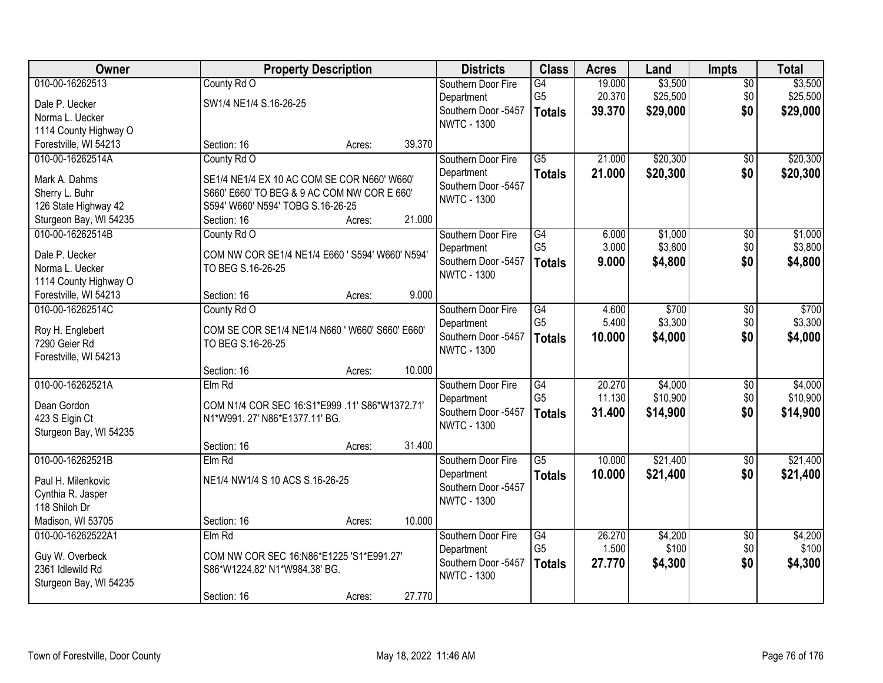| Owner                                     | <b>Property Description</b>                     |        |        | <b>Districts</b>                  | <b>Class</b>    | <b>Acres</b> | Land     | Impts           | <b>Total</b> |
|-------------------------------------------|-------------------------------------------------|--------|--------|-----------------------------------|-----------------|--------------|----------|-----------------|--------------|
| 010-00-16262513                           | County Rd O                                     |        |        | Southern Door Fire                | G4              | 19.000       | \$3,500  | $\overline{50}$ | \$3,500      |
| Dale P. Uecker                            | SW1/4 NE1/4 S.16-26-25                          |        |        | Department                        | G <sub>5</sub>  | 20.370       | \$25,500 | \$0             | \$25,500     |
| Norma L. Uecker                           |                                                 |        |        | Southern Door -5457               | <b>Totals</b>   | 39.370       | \$29,000 | \$0             | \$29,000     |
| 1114 County Highway O                     |                                                 |        |        | <b>NWTC - 1300</b>                |                 |              |          |                 |              |
| Forestville, WI 54213                     | Section: 16                                     | Acres: | 39.370 |                                   |                 |              |          |                 |              |
| 010-00-16262514A                          | County Rd O                                     |        |        | Southern Door Fire                | $\overline{G5}$ | 21.000       | \$20,300 | $\overline{50}$ | \$20,300     |
| Mark A. Dahms                             | SE1/4 NE1/4 EX 10 AC COM SE COR N660' W660'     |        |        | Department                        | <b>Totals</b>   | 21.000       | \$20,300 | \$0             | \$20,300     |
| Sherry L. Buhr                            | S660' E660' TO BEG & 9 AC COM NW COR E 660'     |        |        | Southern Door -5457               |                 |              |          |                 |              |
| 126 State Highway 42                      | S594' W660' N594' TOBG S.16-26-25               |        |        | <b>NWTC - 1300</b>                |                 |              |          |                 |              |
| Sturgeon Bay, WI 54235                    | Section: 16                                     | Acres: | 21.000 |                                   |                 |              |          |                 |              |
| 010-00-16262514B                          | County Rd O                                     |        |        | Southern Door Fire                | $\overline{G4}$ | 6.000        | \$1,000  | $\overline{50}$ | \$1,000      |
|                                           |                                                 |        |        | Department                        | G <sub>5</sub>  | 3.000        | \$3,800  | \$0             | \$3,800      |
| Dale P. Uecker                            | COM NW COR SE1/4 NE1/4 E660 ' S594' W660' N594' |        |        | Southern Door -5457               | <b>Totals</b>   | 9.000        | \$4,800  | \$0             | \$4,800      |
| Norma L. Uecker                           | TO BEG S.16-26-25                               |        |        | <b>NWTC - 1300</b>                |                 |              |          |                 |              |
| 1114 County Highway O                     |                                                 |        | 9.000  |                                   |                 |              |          |                 |              |
| Forestville, WI 54213<br>010-00-16262514C | Section: 16                                     | Acres: |        |                                   | $\overline{G4}$ | 4.600        | \$700    |                 | \$700        |
|                                           | County Rd O                                     |        |        | Southern Door Fire                | G <sub>5</sub>  | 5.400        | \$3,300  | \$0<br>\$0      | \$3,300      |
| Roy H. Englebert                          | COM SE COR SE1/4 NE1/4 N660 ' W660' S660' E660' |        |        | Department<br>Southern Door -5457 |                 | 10.000       | \$4,000  | \$0             | \$4,000      |
| 7290 Geier Rd                             | TO BEG S.16-26-25                               |        |        | <b>NWTC - 1300</b>                | <b>Totals</b>   |              |          |                 |              |
| Forestville, WI 54213                     |                                                 |        |        |                                   |                 |              |          |                 |              |
|                                           | Section: 16                                     | Acres: | 10.000 |                                   |                 |              |          |                 |              |
| 010-00-16262521A                          | Elm Rd                                          |        |        | Southern Door Fire                | $\overline{G4}$ | 20.270       | \$4,000  | $\overline{50}$ | \$4,000      |
| Dean Gordon                               | COM N1/4 COR SEC 16:S1*E999 .11' S86*W1372.71'  |        |        | Department                        | G <sub>5</sub>  | 11.130       | \$10,900 | \$0             | \$10,900     |
| 423 S Elgin Ct                            | N1*W991. 27' N86*E1377.11' BG.                  |        |        | Southern Door -5457               | <b>Totals</b>   | 31.400       | \$14,900 | \$0             | \$14,900     |
| Sturgeon Bay, WI 54235                    |                                                 |        |        | <b>NWTC - 1300</b>                |                 |              |          |                 |              |
|                                           | Section: 16                                     | Acres: | 31.400 |                                   |                 |              |          |                 |              |
| 010-00-16262521B                          | $Elm$ Rd                                        |        |        | Southern Door Fire                | $\overline{G5}$ | 10.000       | \$21,400 | $\overline{60}$ | \$21,400     |
| Paul H. Milenkovic                        | NE1/4 NW1/4 S 10 ACS S.16-26-25                 |        |        | Department                        | <b>Totals</b>   | 10.000       | \$21,400 | \$0             | \$21,400     |
| Cynthia R. Jasper                         |                                                 |        |        | Southern Door -5457               |                 |              |          |                 |              |
| 118 Shiloh Dr                             |                                                 |        |        | <b>NWTC - 1300</b>                |                 |              |          |                 |              |
| Madison, WI 53705                         | Section: 16                                     | Acres: | 10.000 |                                   |                 |              |          |                 |              |
| 010-00-16262522A1                         | Elm Rd                                          |        |        | Southern Door Fire                | $\overline{G4}$ | 26.270       | \$4,200  | $\overline{50}$ | \$4,200      |
| Guy W. Overbeck                           | COM NW COR SEC 16:N86*E1225 'S1*E991.27'        |        |        | Department                        | G <sub>5</sub>  | 1.500        | \$100    | \$0             | \$100        |
| 2361 Idlewild Rd                          | S86*W1224.82' N1*W984.38' BG.                   |        |        | Southern Door -5457               | <b>Totals</b>   | 27.770       | \$4,300  | \$0             | \$4,300      |
| Sturgeon Bay, WI 54235                    |                                                 |        |        | <b>NWTC - 1300</b>                |                 |              |          |                 |              |
|                                           | Section: 16                                     | Acres: | 27.770 |                                   |                 |              |          |                 |              |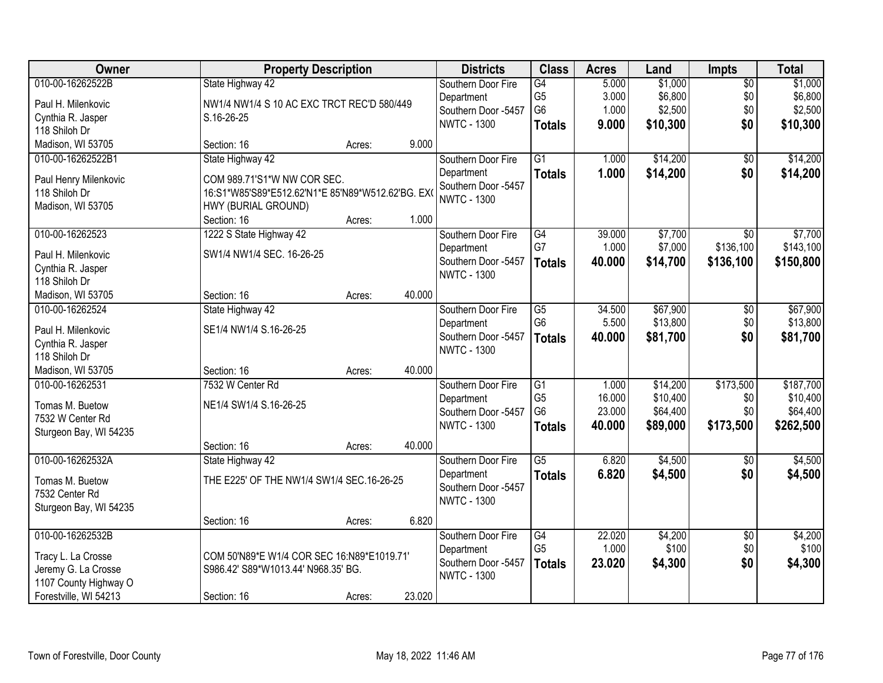| Owner                              |                                                   | <b>Property Description</b> |        | <b>Districts</b>                  | <b>Class</b>    | <b>Acres</b> | Land     | <b>Impts</b>    | <b>Total</b> |
|------------------------------------|---------------------------------------------------|-----------------------------|--------|-----------------------------------|-----------------|--------------|----------|-----------------|--------------|
| 010-00-16262522B                   | State Highway 42                                  |                             |        | Southern Door Fire                | $\overline{G4}$ | 5.000        | \$1,000  | $\overline{50}$ | \$1,000      |
| Paul H. Milenkovic                 | NW1/4 NW1/4 S 10 AC EXC TRCT REC'D 580/449        |                             |        | Department                        | G <sub>5</sub>  | 3.000        | \$6,800  | \$0             | \$6,800      |
| Cynthia R. Jasper                  | S.16-26-25                                        |                             |        | Southern Door -5457               | G <sub>6</sub>  | 1.000        | \$2,500  | \$0             | \$2,500      |
| 118 Shiloh Dr                      |                                                   |                             |        | <b>NWTC - 1300</b>                | <b>Totals</b>   | 9.000        | \$10,300 | \$0             | \$10,300     |
| Madison, WI 53705                  | Section: 16                                       | Acres:                      | 9.000  |                                   |                 |              |          |                 |              |
| 010-00-16262522B1                  | State Highway 42                                  |                             |        | Southern Door Fire                | $\overline{G1}$ | 1.000        | \$14,200 | $\overline{50}$ | \$14,200     |
|                                    |                                                   |                             |        | Department                        | <b>Totals</b>   | 1.000        | \$14,200 | \$0             | \$14,200     |
| Paul Henry Milenkovic              | COM 989.71'S1*W NW COR SEC.                       |                             |        | Southern Door -5457               |                 |              |          |                 |              |
| 118 Shiloh Dr                      | 16:S1*W85'S89*E512.62'N1*E 85'N89*W512.62'BG. EX0 |                             |        | <b>NWTC - 1300</b>                |                 |              |          |                 |              |
| Madison, WI 53705                  | HWY (BURIAL GROUND)                               |                             | 1.000  |                                   |                 |              |          |                 |              |
|                                    | Section: 16                                       | Acres:                      |        |                                   |                 | 39.000       |          |                 |              |
| 010-00-16262523                    | 1222 S State Highway 42                           |                             |        | Southern Door Fire                | G4<br>G7        |              | \$7,700  | $\overline{50}$ | \$7,700      |
| Paul H. Milenkovic                 | SW1/4 NW1/4 SEC. 16-26-25                         |                             |        | Department<br>Southern Door -5457 |                 | 1.000        | \$7,000  | \$136,100       | \$143,100    |
| Cynthia R. Jasper                  |                                                   |                             |        | <b>NWTC - 1300</b>                | <b>Totals</b>   | 40.000       | \$14,700 | \$136,100       | \$150,800    |
| 118 Shiloh Dr                      |                                                   |                             |        |                                   |                 |              |          |                 |              |
| Madison, WI 53705                  | Section: 16                                       | Acres:                      | 40.000 |                                   |                 |              |          |                 |              |
| 010-00-16262524                    | State Highway 42                                  |                             |        | Southern Door Fire                | G5              | 34.500       | \$67,900 | \$0             | \$67,900     |
| Paul H. Milenkovic                 | SE1/4 NW1/4 S.16-26-25                            |                             |        | Department                        | G <sub>6</sub>  | 5.500        | \$13,800 | \$0             | \$13,800     |
|                                    |                                                   |                             |        | Southern Door -5457               | <b>Totals</b>   | 40.000       | \$81,700 | \$0             | \$81,700     |
| Cynthia R. Jasper<br>118 Shiloh Dr |                                                   |                             |        | <b>NWTC - 1300</b>                |                 |              |          |                 |              |
| Madison, WI 53705                  | Section: 16                                       | Acres:                      | 40.000 |                                   |                 |              |          |                 |              |
| 010-00-16262531                    | 7532 W Center Rd                                  |                             |        | Southern Door Fire                | $\overline{G1}$ | 1.000        | \$14,200 | \$173,500       | \$187,700    |
|                                    |                                                   |                             |        | Department                        | G <sub>5</sub>  | 16.000       | \$10,400 | \$0             | \$10,400     |
| Tomas M. Buetow                    | NE1/4 SW1/4 S.16-26-25                            |                             |        | Southern Door -5457               | G <sub>6</sub>  | 23.000       | \$64,400 | \$0             | \$64,400     |
| 7532 W Center Rd                   |                                                   |                             |        | <b>NWTC - 1300</b>                | <b>Totals</b>   | 40.000       | \$89,000 | \$173,500       | \$262,500    |
| Sturgeon Bay, WI 54235             |                                                   |                             |        |                                   |                 |              |          |                 |              |
|                                    | Section: 16                                       | Acres:                      | 40.000 |                                   |                 |              |          |                 |              |
| 010-00-16262532A                   | State Highway 42                                  |                             |        | Southern Door Fire                | $\overline{G5}$ | 6.820        | \$4,500  | $\sqrt{6}$      | \$4,500      |
| Tomas M. Buetow                    | THE E225' OF THE NW1/4 SW1/4 SEC.16-26-25         |                             |        | Department                        | <b>Totals</b>   | 6.820        | \$4,500  | \$0             | \$4,500      |
| 7532 Center Rd                     |                                                   |                             |        | Southern Door -5457               |                 |              |          |                 |              |
| Sturgeon Bay, WI 54235             |                                                   |                             |        | <b>NWTC - 1300</b>                |                 |              |          |                 |              |
|                                    | Section: 16                                       | Acres:                      | 6.820  |                                   |                 |              |          |                 |              |
| 010-00-16262532B                   |                                                   |                             |        | Southern Door Fire                | G4              | 22.020       | \$4,200  | $\overline{50}$ | \$4,200      |
|                                    |                                                   |                             |        | Department                        | G <sub>5</sub>  | 1.000        | \$100    | \$0             | \$100        |
| Tracy L. La Crosse                 | COM 50'N89*E W1/4 COR SEC 16:N89*E1019.71'        |                             |        | Southern Door -5457               | <b>Totals</b>   | 23.020       | \$4,300  | \$0             | \$4,300      |
| Jeremy G. La Crosse                | S986.42' S89*W1013.44' N968.35' BG.               |                             |        | <b>NWTC - 1300</b>                |                 |              |          |                 |              |
| 1107 County Highway O              |                                                   |                             |        |                                   |                 |              |          |                 |              |
| Forestville, WI 54213              | Section: 16                                       | Acres:                      | 23.020 |                                   |                 |              |          |                 |              |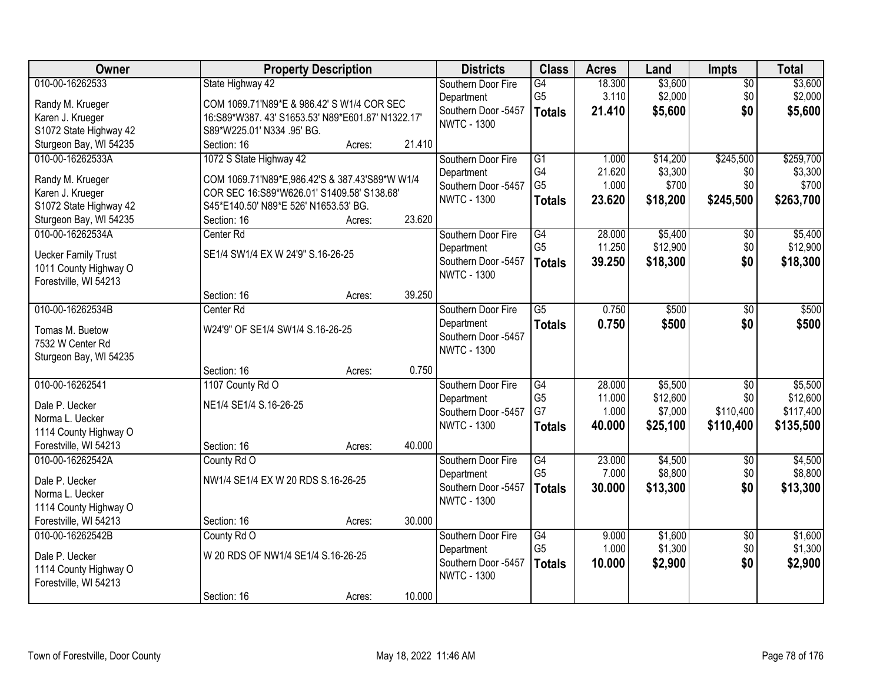| Owner                      | <b>Property Description</b>                      |        |        | <b>Districts</b>                          | <b>Class</b>         | <b>Acres</b> | Land               | Impts           | <b>Total</b>       |
|----------------------------|--------------------------------------------------|--------|--------|-------------------------------------------|----------------------|--------------|--------------------|-----------------|--------------------|
| 010-00-16262533            | State Highway 42                                 |        |        | Southern Door Fire                        | G4                   | 18.300       | \$3,600            | $\overline{50}$ | \$3,600            |
| Randy M. Krueger           | COM 1069.71'N89*E & 986.42' S W1/4 COR SEC       |        |        | Department                                | G <sub>5</sub>       | 3.110        | \$2,000            | \$0             | \$2,000            |
| Karen J. Krueger           | 16:S89*W387.43' S1653.53' N89*E601.87' N1322.17' |        |        | Southern Door -5457                       | <b>Totals</b>        | 21.410       | \$5,600            | \$0             | \$5,600            |
| S1072 State Highway 42     | S89*W225.01' N334 .95' BG.                       |        |        | <b>NWTC - 1300</b>                        |                      |              |                    |                 |                    |
| Sturgeon Bay, WI 54235     | Section: 16                                      | Acres: | 21.410 |                                           |                      |              |                    |                 |                    |
| 010-00-16262533A           | 1072 S State Highway 42                          |        |        | Southern Door Fire                        | $\overline{G1}$      | 1.000        | \$14,200           | \$245,500       | \$259,700          |
|                            |                                                  |        |        | Department                                | G4                   | 21.620       | \$3,300            | \$0             | \$3,300            |
| Randy M. Krueger           | COM 1069.71'N89*E,986.42'S & 387.43'S89*W W1/4   |        |        | Southern Door -5457                       | G <sub>5</sub>       | 1.000        | \$700              | \$0             | \$700              |
| Karen J. Krueger           | COR SEC 16:S89*W626.01' S1409.58' S138.68'       |        |        | <b>NWTC - 1300</b>                        | <b>Totals</b>        | 23.620       | \$18,200           | \$245,500       | \$263,700          |
| S1072 State Highway 42     | S45*E140.50' N89*E 526' N1653.53' BG.            |        |        |                                           |                      |              |                    |                 |                    |
| Sturgeon Bay, WI 54235     | Section: 16                                      | Acres: | 23.620 |                                           |                      |              |                    |                 |                    |
| 010-00-16262534A           | Center Rd                                        |        |        | Southern Door Fire                        | G4                   | 28.000       | \$5,400            | \$0             | \$5,400            |
| <b>Uecker Family Trust</b> | SE1/4 SW1/4 EX W 24'9" S.16-26-25                |        |        | Department                                | G <sub>5</sub>       | 11.250       | \$12,900           | \$0             | \$12,900           |
| 1011 County Highway O      |                                                  |        |        | Southern Door -5457<br><b>NWTC - 1300</b> | <b>Totals</b>        | 39.250       | \$18,300           | \$0             | \$18,300           |
| Forestville, WI 54213      |                                                  |        |        |                                           |                      |              |                    |                 |                    |
|                            | Section: 16                                      | Acres: | 39.250 |                                           |                      |              |                    |                 |                    |
| 010-00-16262534B           | Center Rd                                        |        |        | Southern Door Fire                        | $\overline{G5}$      | 0.750        | \$500              | \$0             | \$500              |
| Tomas M. Buetow            | W24'9" OF SE1/4 SW1/4 S.16-26-25                 |        |        | Department                                | <b>Totals</b>        | 0.750        | \$500              | \$0             | \$500              |
| 7532 W Center Rd           |                                                  |        |        | Southern Door -5457                       |                      |              |                    |                 |                    |
| Sturgeon Bay, WI 54235     |                                                  |        |        | <b>NWTC - 1300</b>                        |                      |              |                    |                 |                    |
|                            | Section: 16                                      | Acres: | 0.750  |                                           |                      |              |                    |                 |                    |
| 010-00-16262541            | 1107 County Rd O                                 |        |        | Southern Door Fire                        | G4                   | 28.000       | \$5,500            | $\overline{50}$ | \$5,500            |
|                            |                                                  |        |        | Department                                | G <sub>5</sub>       | 11.000       | \$12,600           | \$0             | \$12,600           |
| Dale P. Uecker             | NE1/4 SE1/4 S.16-26-25                           |        |        | Southern Door -5457                       | G7                   | 1.000        | \$7,000            | \$110,400       | \$117,400          |
| Norma L. Uecker            |                                                  |        |        | <b>NWTC - 1300</b>                        | <b>Totals</b>        | 40.000       | \$25,100           | \$110,400       | \$135,500          |
| 1114 County Highway O      |                                                  |        |        |                                           |                      |              |                    |                 |                    |
| Forestville, WI 54213      | Section: 16                                      | Acres: | 40.000 |                                           |                      |              |                    |                 |                    |
| 010-00-16262542A           | County Rd O                                      |        |        | Southern Door Fire                        | G4<br>G <sub>5</sub> | 23.000       | \$4,500<br>\$8,800 | $\sqrt{6}$      | \$4,500<br>\$8,800 |
| Dale P. Uecker             | NW1/4 SE1/4 EX W 20 RDS S.16-26-25               |        |        | Department                                |                      | 7.000        |                    | \$0             |                    |
| Norma L. Uecker            |                                                  |        |        | Southern Door -5457<br><b>NWTC - 1300</b> | <b>Totals</b>        | 30.000       | \$13,300           | \$0             | \$13,300           |
| 1114 County Highway O      |                                                  |        |        |                                           |                      |              |                    |                 |                    |
| Forestville, WI 54213      | Section: 16                                      | Acres: | 30.000 |                                           |                      |              |                    |                 |                    |
| 010-00-16262542B           | County Rd O                                      |        |        | Southern Door Fire                        | G4                   | 9.000        | \$1,600            | $\overline{30}$ | \$1,600            |
| Dale P. Uecker             | W 20 RDS OF NW1/4 SE1/4 S.16-26-25               |        |        | Department                                | G <sub>5</sub>       | 1.000        | \$1,300            | \$0             | \$1,300            |
| 1114 County Highway O      |                                                  |        |        | Southern Door -5457                       | <b>Totals</b>        | 10,000       | \$2,900            | \$0             | \$2,900            |
| Forestville, WI 54213      |                                                  |        |        | <b>NWTC - 1300</b>                        |                      |              |                    |                 |                    |
|                            | Section: 16                                      | Acres: | 10.000 |                                           |                      |              |                    |                 |                    |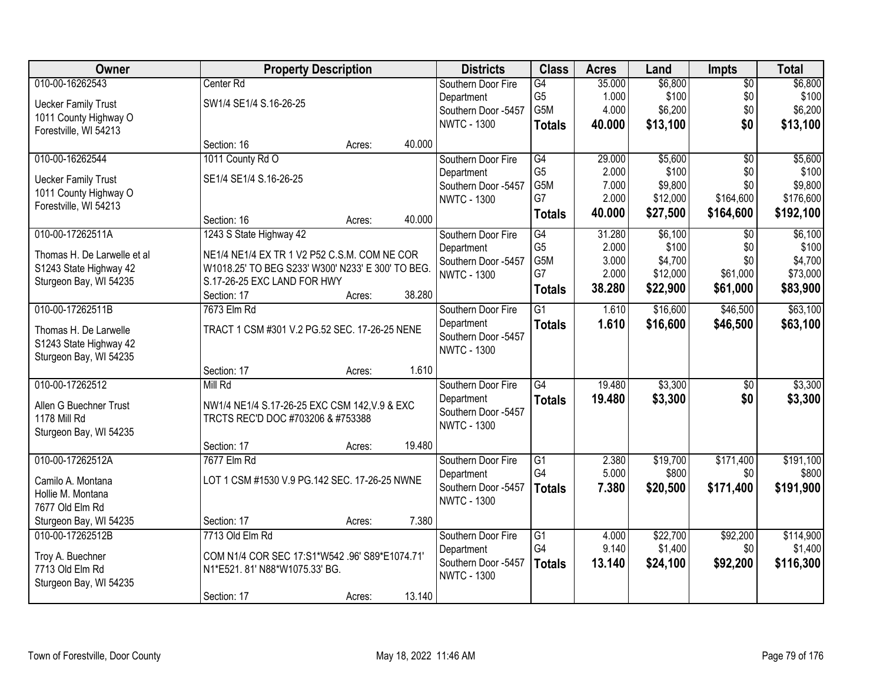| Owner                       | <b>Property Description</b>                       |        |        | <b>Districts</b>    | <b>Class</b>    | <b>Acres</b> | Land     | <b>Impts</b>    | <b>Total</b> |
|-----------------------------|---------------------------------------------------|--------|--------|---------------------|-----------------|--------------|----------|-----------------|--------------|
| 010-00-16262543             | Center Rd                                         |        |        | Southern Door Fire  | G4              | 35.000       | \$6,800  | $\overline{50}$ | \$6,800      |
| <b>Uecker Family Trust</b>  | SW1/4 SE1/4 S.16-26-25                            |        |        | Department          | G <sub>5</sub>  | 1.000        | \$100    | \$0             | \$100        |
| 1011 County Highway O       |                                                   |        |        | Southern Door -5457 | G5M             | 4.000        | \$6,200  | \$0             | \$6,200      |
| Forestville, WI 54213       |                                                   |        |        | <b>NWTC - 1300</b>  | <b>Totals</b>   | 40.000       | \$13,100 | \$0             | \$13,100     |
|                             | Section: 16                                       | Acres: | 40.000 |                     |                 |              |          |                 |              |
| 010-00-16262544             | 1011 County Rd O                                  |        |        | Southern Door Fire  | G4              | 29.000       | \$5,600  | $\overline{50}$ | \$5,600      |
| <b>Uecker Family Trust</b>  | SE1/4 SE1/4 S.16-26-25                            |        |        | Department          | G <sub>5</sub>  | 2.000        | \$100    | \$0             | \$100        |
| 1011 County Highway O       |                                                   |        |        | Southern Door -5457 | G5M             | 7.000        | \$9,800  | \$0             | \$9,800      |
| Forestville, WI 54213       |                                                   |        |        | <b>NWTC - 1300</b>  | G7              | 2.000        | \$12,000 | \$164,600       | \$176,600    |
|                             | Section: 16                                       | Acres: | 40.000 |                     | <b>Totals</b>   | 40.000       | \$27,500 | \$164,600       | \$192,100    |
| 010-00-17262511A            | 1243 S State Highway 42                           |        |        | Southern Door Fire  | G4              | 31.280       | \$6,100  | \$0             | \$6,100      |
| Thomas H. De Larwelle et al | NE1/4 NE1/4 EX TR 1 V2 P52 C.S.M. COM NE COR      |        |        | Department          | G <sub>5</sub>  | 2.000        | \$100    | \$0             | \$100        |
| S1243 State Highway 42      | W1018.25' TO BEG S233' W300' N233' E 300' TO BEG. |        |        | Southern Door -5457 | G5M             | 3.000        | \$4,700  | \$0             | \$4,700      |
| Sturgeon Bay, WI 54235      | S.17-26-25 EXC LAND FOR HWY                       |        |        | <b>NWTC - 1300</b>  | G7              | 2.000        | \$12,000 | \$61,000        | \$73,000     |
|                             | Section: 17                                       | Acres: | 38.280 |                     | <b>Totals</b>   | 38.280       | \$22,900 | \$61,000        | \$83,900     |
| 010-00-17262511B            | 7673 Elm Rd                                       |        |        | Southern Door Fire  | $\overline{G1}$ | 1.610        | \$16,600 | \$46,500        | \$63,100     |
| Thomas H. De Larwelle       | TRACT 1 CSM #301 V.2 PG.52 SEC. 17-26-25 NENE     |        |        | Department          | <b>Totals</b>   | 1.610        | \$16,600 | \$46,500        | \$63,100     |
| S1243 State Highway 42      |                                                   |        |        | Southern Door -5457 |                 |              |          |                 |              |
| Sturgeon Bay, WI 54235      |                                                   |        |        | <b>NWTC - 1300</b>  |                 |              |          |                 |              |
|                             | Section: 17                                       | Acres: | 1.610  |                     |                 |              |          |                 |              |
| 010-00-17262512             | Mill Rd                                           |        |        | Southern Door Fire  | $\overline{G4}$ | 19.480       | \$3,300  | $\overline{60}$ | \$3,300      |
| Allen G Buechner Trust      | NW1/4 NE1/4 S.17-26-25 EXC CSM 142, V.9 & EXC     |        |        | Department          | <b>Totals</b>   | 19.480       | \$3,300  | \$0             | \$3,300      |
| 1178 Mill Rd                | TRCTS REC'D DOC #703206 & #753388                 |        |        | Southern Door -5457 |                 |              |          |                 |              |
| Sturgeon Bay, WI 54235      |                                                   |        |        | <b>NWTC - 1300</b>  |                 |              |          |                 |              |
|                             | Section: 17                                       | Acres: | 19.480 |                     |                 |              |          |                 |              |
| 010-00-17262512A            | 7677 Elm Rd                                       |        |        | Southern Door Fire  | $\overline{G1}$ | 2.380        | \$19,700 | \$171,400       | \$191,100    |
| Camilo A. Montana           | LOT 1 CSM #1530 V.9 PG.142 SEC. 17-26-25 NWNE     |        |        | Department          | G4              | 5.000        | \$800    | \$0             | \$800        |
| Hollie M. Montana           |                                                   |        |        | Southern Door -5457 | <b>Totals</b>   | 7.380        | \$20,500 | \$171,400       | \$191,900    |
| 7677 Old Elm Rd             |                                                   |        |        | <b>NWTC - 1300</b>  |                 |              |          |                 |              |
| Sturgeon Bay, WI 54235      | Section: 17                                       | Acres: | 7.380  |                     |                 |              |          |                 |              |
| 010-00-17262512B            | 7713 Old Elm Rd                                   |        |        | Southern Door Fire  | G1              | 4.000        | \$22,700 | \$92,200        | \$114,900    |
| Troy A. Buechner            | COM N1/4 COR SEC 17:S1*W542 .96' S89*E1074.71'    |        |        | Department          | G4              | 9.140        | \$1,400  | \$0             | \$1,400      |
| 7713 Old Elm Rd             | N1*E521.81' N88*W1075.33' BG.                     |        |        | Southern Door -5457 | <b>Totals</b>   | 13.140       | \$24,100 | \$92,200        | \$116,300    |
| Sturgeon Bay, WI 54235      |                                                   |        |        | <b>NWTC - 1300</b>  |                 |              |          |                 |              |
|                             | Section: 17                                       | Acres: | 13.140 |                     |                 |              |          |                 |              |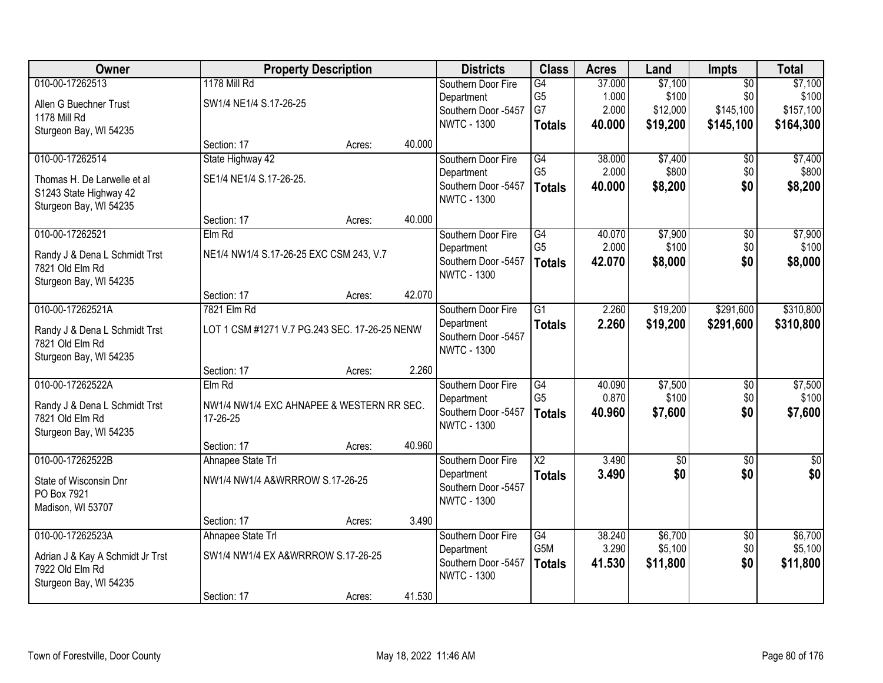| Owner                            |                                               | <b>Property Description</b> |        | <b>Districts</b>                          | <b>Class</b>           | <b>Acres</b> | Land            | <b>Impts</b>    | <b>Total</b>    |
|----------------------------------|-----------------------------------------------|-----------------------------|--------|-------------------------------------------|------------------------|--------------|-----------------|-----------------|-----------------|
| 010-00-17262513                  | <b>1178 Mill Rd</b>                           |                             |        | Southern Door Fire                        | G4                     | 37.000       | \$7,100         | $\overline{50}$ | \$7,100         |
| Allen G Buechner Trust           | SW1/4 NE1/4 S.17-26-25                        |                             |        | Department                                | G <sub>5</sub>         | 1.000        | \$100           | \$0             | \$100           |
| 1178 Mill Rd                     |                                               |                             |        | Southern Door -5457                       | G7                     | 2.000        | \$12,000        | \$145,100       | \$157,100       |
| Sturgeon Bay, WI 54235           |                                               |                             |        | <b>NWTC - 1300</b>                        | <b>Totals</b>          | 40.000       | \$19,200        | \$145,100       | \$164,300       |
|                                  | Section: 17                                   | Acres:                      | 40.000 |                                           |                        |              |                 |                 |                 |
| 010-00-17262514                  | State Highway 42                              |                             |        | Southern Door Fire                        | G4                     | 38.000       | \$7,400         | $\overline{50}$ | \$7,400         |
| Thomas H. De Larwelle et al      | SE1/4 NE1/4 S.17-26-25.                       |                             |        | Department                                | G <sub>5</sub>         | 2.000        | \$800           | \$0             | \$800           |
| S1243 State Highway 42           |                                               |                             |        | Southern Door -5457                       | <b>Totals</b>          | 40.000       | \$8,200         | \$0             | \$8,200         |
| Sturgeon Bay, WI 54235           |                                               |                             |        | <b>NWTC - 1300</b>                        |                        |              |                 |                 |                 |
|                                  | Section: 17                                   | Acres:                      | 40.000 |                                           |                        |              |                 |                 |                 |
| 010-00-17262521                  | Elm Rd                                        |                             |        | Southern Door Fire                        | G4                     | 40.070       | \$7,900         | $\overline{50}$ | \$7,900         |
| Randy J & Dena L Schmidt Trst    | NE1/4 NW1/4 S.17-26-25 EXC CSM 243, V.7       |                             |        | Department                                | G <sub>5</sub>         | 2.000        | \$100           | \$0             | \$100           |
| 7821 Old Elm Rd                  |                                               |                             |        | Southern Door -5457<br><b>NWTC - 1300</b> | <b>Totals</b>          | 42.070       | \$8,000         | \$0             | \$8,000         |
| Sturgeon Bay, WI 54235           |                                               |                             |        |                                           |                        |              |                 |                 |                 |
|                                  | Section: 17                                   | Acres:                      | 42.070 |                                           |                        |              |                 |                 |                 |
| 010-00-17262521A                 | 7821 Elm Rd                                   |                             |        | Southern Door Fire                        | $\overline{G1}$        | 2.260        | \$19,200        | \$291,600       | \$310,800       |
| Randy J & Dena L Schmidt Trst    | LOT 1 CSM #1271 V.7 PG.243 SEC. 17-26-25 NENW |                             |        | Department                                | <b>Totals</b>          | 2.260        | \$19,200        | \$291,600       | \$310,800       |
| 7821 Old Elm Rd                  |                                               |                             |        | Southern Door -5457<br><b>NWTC - 1300</b> |                        |              |                 |                 |                 |
| Sturgeon Bay, WI 54235           |                                               |                             |        |                                           |                        |              |                 |                 |                 |
|                                  | Section: 17                                   | Acres:                      | 2.260  |                                           |                        |              |                 |                 |                 |
| 010-00-17262522A                 | Elm Rd                                        |                             |        | Southern Door Fire                        | G4                     | 40.090       | \$7,500         | \$0             | \$7,500         |
| Randy J & Dena L Schmidt Trst    | NW1/4 NW1/4 EXC AHNAPEE & WESTERN RR SEC.     |                             |        | Department                                | G <sub>5</sub>         | 0.870        | \$100           | \$0             | \$100           |
| 7821 Old Elm Rd                  | 17-26-25                                      |                             |        | Southern Door -5457<br><b>NWTC - 1300</b> | <b>Totals</b>          | 40.960       | \$7,600         | \$0             | \$7,600         |
| Sturgeon Bay, WI 54235           |                                               |                             |        |                                           |                        |              |                 |                 |                 |
|                                  | Section: 17                                   | Acres:                      | 40.960 |                                           |                        |              |                 |                 |                 |
| 010-00-17262522B                 | Ahnapee State Trl                             |                             |        | Southern Door Fire                        | $\overline{\text{X2}}$ | 3.490        | $\overline{50}$ | $\overline{30}$ | $\overline{50}$ |
| State of Wisconsin Dnr           | NW1/4 NW1/4 A&WRRROW S.17-26-25               |                             |        | Department                                | <b>Totals</b>          | 3.490        | \$0             | \$0             | \$0             |
| PO Box 7921                      |                                               |                             |        | Southern Door -5457<br><b>NWTC - 1300</b> |                        |              |                 |                 |                 |
| Madison, WI 53707                |                                               |                             |        |                                           |                        |              |                 |                 |                 |
|                                  | Section: 17                                   | Acres:                      | 3.490  |                                           |                        |              |                 |                 |                 |
| 010-00-17262523A                 | Ahnapee State Trl                             |                             |        | Southern Door Fire                        | G4                     | 38.240       | \$6,700         | $\overline{50}$ | \$6,700         |
| Adrian J & Kay A Schmidt Jr Trst | SW1/4 NW1/4 EX A&WRRROW S.17-26-25            |                             |        | Department                                | G5M                    | 3.290        | \$5,100         | \$0             | \$5,100         |
| 7922 Old Elm Rd                  |                                               |                             |        | Southern Door -5457<br><b>NWTC - 1300</b> | <b>Totals</b>          | 41.530       | \$11,800        | \$0             | \$11,800        |
| Sturgeon Bay, WI 54235           |                                               |                             |        |                                           |                        |              |                 |                 |                 |
|                                  | Section: 17                                   | Acres:                      | 41.530 |                                           |                        |              |                 |                 |                 |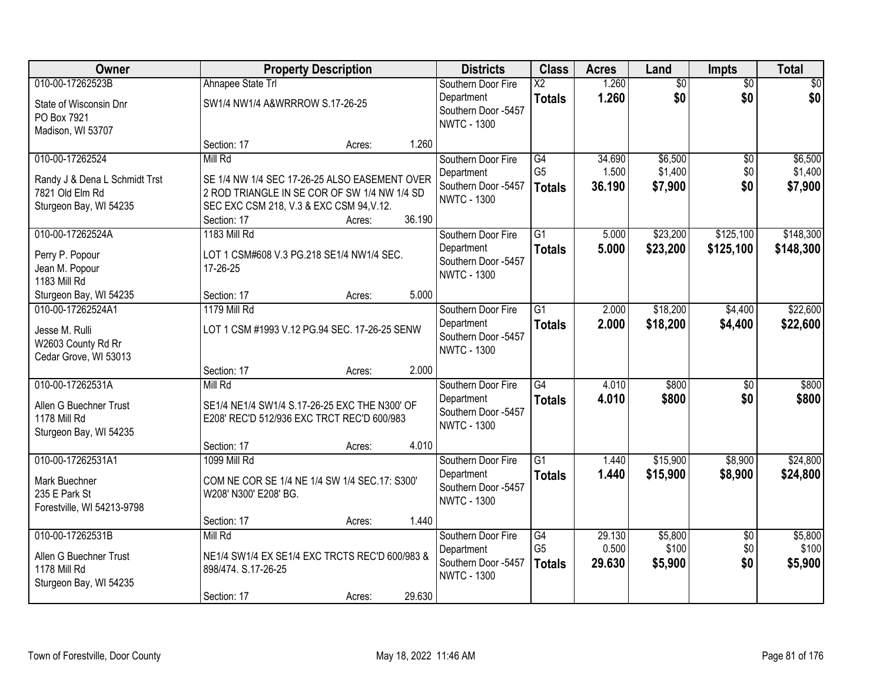| Owner                         |                                                | <b>Property Description</b> |        | <b>Districts</b>                          | <b>Class</b>           | <b>Acres</b> | Land            | <b>Impts</b>    | <b>Total</b>    |
|-------------------------------|------------------------------------------------|-----------------------------|--------|-------------------------------------------|------------------------|--------------|-----------------|-----------------|-----------------|
| 010-00-17262523B              | Ahnapee State Trl                              |                             |        | Southern Door Fire                        | $\overline{\text{X2}}$ | 1.260        | $\overline{50}$ | $\overline{50}$ | $\overline{30}$ |
| State of Wisconsin Dnr        | SW1/4 NW1/4 A&WRRROW S.17-26-25                |                             |        | Department<br>Southern Door -5457         | <b>Totals</b>          | 1.260        | \$0             | \$0             | \$0             |
| PO Box 7921                   |                                                |                             |        | <b>NWTC - 1300</b>                        |                        |              |                 |                 |                 |
| Madison, WI 53707             |                                                |                             |        |                                           |                        |              |                 |                 |                 |
|                               | Section: 17                                    | Acres:                      | 1.260  |                                           |                        |              |                 |                 |                 |
| 010-00-17262524               | Mill Rd                                        |                             |        | Southern Door Fire                        | $\overline{G4}$        | 34.690       | \$6,500         | $\overline{50}$ | \$6,500         |
| Randy J & Dena L Schmidt Trst | SE 1/4 NW 1/4 SEC 17-26-25 ALSO EASEMENT OVER  |                             |        | Department<br>Southern Door -5457         | G <sub>5</sub>         | 1.500        | \$1,400         | \$0<br>\$0      | \$1,400         |
| 7821 Old Elm Rd               | 2 ROD TRIANGLE IN SE COR OF SW 1/4 NW 1/4 SD   |                             |        | <b>NWTC - 1300</b>                        | <b>Totals</b>          | 36.190       | \$7,900         |                 | \$7,900         |
| Sturgeon Bay, WI 54235        | SEC EXC CSM 218, V.3 & EXC CSM 94, V.12.       |                             |        |                                           |                        |              |                 |                 |                 |
|                               | Section: 17                                    | Acres:                      | 36.190 |                                           |                        |              |                 |                 |                 |
| 010-00-17262524A              | 1183 Mill Rd                                   |                             |        | Southern Door Fire                        | $\overline{G1}$        | 5.000        | \$23,200        | \$125,100       | \$148,300       |
| Perry P. Popour               | LOT 1 CSM#608 V.3 PG.218 SE1/4 NW1/4 SEC.      |                             |        | Department<br>Southern Door -5457         | <b>Totals</b>          | 5.000        | \$23,200        | \$125,100       | \$148,300       |
| Jean M. Popour                | 17-26-25                                       |                             |        | <b>NWTC - 1300</b>                        |                        |              |                 |                 |                 |
| 1183 Mill Rd                  |                                                |                             |        |                                           |                        |              |                 |                 |                 |
| Sturgeon Bay, WI 54235        | Section: 17                                    | Acres:                      | 5.000  |                                           |                        |              |                 |                 |                 |
| 010-00-17262524A1             | <b>1179 Mill Rd</b>                            |                             |        | Southern Door Fire                        | $\overline{G1}$        | 2.000        | \$18,200        | \$4,400         | \$22,600        |
| Jesse M. Rulli                | LOT 1 CSM #1993 V.12 PG.94 SEC. 17-26-25 SENW  |                             |        | Department                                | <b>Totals</b>          | 2.000        | \$18,200        | \$4,400         | \$22,600        |
| W2603 County Rd Rr            |                                                |                             |        | Southern Door -5457<br><b>NWTC - 1300</b> |                        |              |                 |                 |                 |
| Cedar Grove, WI 53013         |                                                |                             |        |                                           |                        |              |                 |                 |                 |
|                               | Section: 17                                    | Acres:                      | 2.000  |                                           |                        |              |                 |                 |                 |
| 010-00-17262531A              | Mill Rd                                        |                             |        | Southern Door Fire                        | $\overline{G4}$        | 4.010        | \$800           | $\overline{50}$ | \$800           |
| Allen G Buechner Trust        | SE1/4 NE1/4 SW1/4 S.17-26-25 EXC THE N300' OF  |                             |        | Department                                | <b>Totals</b>          | 4.010        | \$800           | \$0             | \$800           |
| 1178 Mill Rd                  | E208' REC'D 512/936 EXC TRCT REC'D 600/983     |                             |        | Southern Door -5457<br><b>NWTC - 1300</b> |                        |              |                 |                 |                 |
| Sturgeon Bay, WI 54235        |                                                |                             |        |                                           |                        |              |                 |                 |                 |
|                               | Section: 17                                    | Acres:                      | 4.010  |                                           |                        |              |                 |                 |                 |
| 010-00-17262531A1             | 1099 Mill Rd                                   |                             |        | Southern Door Fire                        | $\overline{G1}$        | 1.440        | \$15,900        | \$8,900         | \$24,800        |
| Mark Buechner                 | COM NE COR SE 1/4 NE 1/4 SW 1/4 SEC.17: S300'  |                             |        | Department                                | <b>Totals</b>          | 1.440        | \$15,900        | \$8,900         | \$24,800        |
| 235 E Park St                 | W208' N300' E208' BG.                          |                             |        | Southern Door -5457<br><b>NWTC - 1300</b> |                        |              |                 |                 |                 |
| Forestville, WI 54213-9798    |                                                |                             |        |                                           |                        |              |                 |                 |                 |
|                               | Section: 17                                    | Acres:                      | 1.440  |                                           |                        |              |                 |                 |                 |
| 010-00-17262531B              | Mill Rd                                        |                             |        | Southern Door Fire                        | $\overline{G4}$        | 29.130       | \$5,800         | $\overline{30}$ | \$5,800         |
| Allen G Buechner Trust        | NE1/4 SW1/4 EX SE1/4 EXC TRCTS REC'D 600/983 & |                             |        | Department                                | G <sub>5</sub>         | 0.500        | \$100           | \$0             | \$100           |
| 1178 Mill Rd                  | 898/474. S.17-26-25                            |                             |        | Southern Door -5457<br><b>NWTC - 1300</b> | <b>Totals</b>          | 29.630       | \$5,900         | \$0             | \$5,900         |
| Sturgeon Bay, WI 54235        |                                                |                             |        |                                           |                        |              |                 |                 |                 |
|                               | Section: 17                                    | Acres:                      | 29.630 |                                           |                        |              |                 |                 |                 |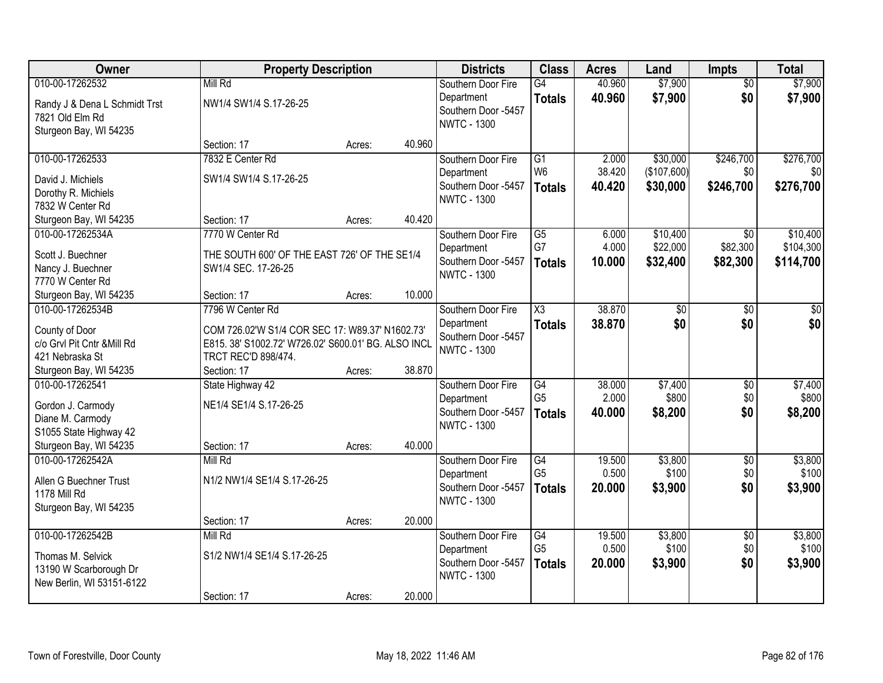| Owner                                        | <b>Property Description</b>                                                                            |        |        | <b>Districts</b>                  | <b>Class</b>         | <b>Acres</b>    | Land             | Impts                  | <b>Total</b>     |
|----------------------------------------------|--------------------------------------------------------------------------------------------------------|--------|--------|-----------------------------------|----------------------|-----------------|------------------|------------------------|------------------|
| 010-00-17262532                              | Mill Rd                                                                                                |        |        | Southern Door Fire                | G4                   | 40.960          | \$7,900          | $\overline{50}$        | \$7,900          |
| Randy J & Dena L Schmidt Trst                | NW1/4 SW1/4 S.17-26-25                                                                                 |        |        | Department                        | <b>Totals</b>        | 40.960          | \$7,900          | \$0                    | \$7,900          |
| 7821 Old Elm Rd                              |                                                                                                        |        |        | Southern Door -5457               |                      |                 |                  |                        |                  |
| Sturgeon Bay, WI 54235                       |                                                                                                        |        |        | <b>NWTC - 1300</b>                |                      |                 |                  |                        |                  |
|                                              | Section: 17                                                                                            | Acres: | 40.960 |                                   |                      |                 |                  |                        |                  |
| 010-00-17262533                              | 7832 E Center Rd                                                                                       |        |        | Southern Door Fire                | $\overline{G1}$      | 2.000           | \$30,000         | \$246,700              | \$276,700        |
| David J. Michiels                            | SW1/4 SW1/4 S.17-26-25                                                                                 |        |        | Department                        | W <sub>6</sub>       | 38.420          | (\$107,600)      | \$0                    | \$0              |
| Dorothy R. Michiels                          |                                                                                                        |        |        | Southern Door -5457               | <b>Totals</b>        | 40.420          | \$30,000         | \$246,700              | \$276,700        |
| 7832 W Center Rd                             |                                                                                                        |        |        | <b>NWTC - 1300</b>                |                      |                 |                  |                        |                  |
| Sturgeon Bay, WI 54235                       | Section: 17                                                                                            | Acres: | 40.420 |                                   |                      |                 |                  |                        |                  |
| 010-00-17262534A                             | 7770 W Center Rd                                                                                       |        |        | Southern Door Fire                | $\overline{G5}$      | 6.000           | \$10,400         | $\overline{50}$        | \$10,400         |
| Scott J. Buechner                            | THE SOUTH 600' OF THE EAST 726' OF THE SE1/4                                                           |        |        | Department                        | G7                   | 4.000           | \$22,000         | \$82,300               | \$104,300        |
| Nancy J. Buechner                            | SW1/4 SEC. 17-26-25                                                                                    |        |        | Southern Door -5457               | <b>Totals</b>        | 10.000          | \$32,400         | \$82,300               | \$114,700        |
| 7770 W Center Rd                             |                                                                                                        |        |        | <b>NWTC - 1300</b>                |                      |                 |                  |                        |                  |
| Sturgeon Bay, WI 54235                       | Section: 17                                                                                            | Acres: | 10.000 |                                   |                      |                 |                  |                        |                  |
| 010-00-17262534B                             | 7796 W Center Rd                                                                                       |        |        | Southern Door Fire                | X3                   | 38.870          | \$0              | \$0                    | \$0              |
|                                              |                                                                                                        |        |        | Department                        | <b>Totals</b>        | 38.870          | \$0              | \$0                    | \$0              |
| County of Door<br>c/o Grvl Pit Cntr &Mill Rd | COM 726.02'W S1/4 COR SEC 17: W89.37' N1602.73'<br>E815. 38' S1002.72' W726.02' S600.01' BG. ALSO INCL |        |        | Southern Door -5457               |                      |                 |                  |                        |                  |
| 421 Nebraska St                              | TRCT REC'D 898/474.                                                                                    |        |        | <b>NWTC - 1300</b>                |                      |                 |                  |                        |                  |
| Sturgeon Bay, WI 54235                       | Section: 17                                                                                            | Acres: | 38.870 |                                   |                      |                 |                  |                        |                  |
| 010-00-17262541                              | State Highway 42                                                                                       |        |        | Southern Door Fire                | $\overline{G4}$      | 38.000          | \$7,400          | $\overline{50}$        | \$7,400          |
|                                              |                                                                                                        |        |        | Department                        | G <sub>5</sub>       | 2.000           | \$800            | \$0                    | \$800            |
| Gordon J. Carmody                            | NE1/4 SE1/4 S.17-26-25                                                                                 |        |        | Southern Door -5457               | <b>Totals</b>        | 40.000          | \$8,200          | \$0                    | \$8,200          |
| Diane M. Carmody                             |                                                                                                        |        |        | <b>NWTC - 1300</b>                |                      |                 |                  |                        |                  |
| S1055 State Highway 42                       |                                                                                                        |        |        |                                   |                      |                 |                  |                        |                  |
| Sturgeon Bay, WI 54235<br>010-00-17262542A   | Section: 17<br>Mill Rd                                                                                 | Acres: | 40.000 |                                   |                      |                 |                  |                        |                  |
|                                              |                                                                                                        |        |        | Southern Door Fire                | G4<br>G <sub>5</sub> | 19.500<br>0.500 | \$3,800<br>\$100 | $\overline{60}$<br>\$0 | \$3,800<br>\$100 |
| Allen G Buechner Trust                       | N1/2 NW1/4 SE1/4 S.17-26-25                                                                            |        |        | Department<br>Southern Door -5457 |                      | 20.000          | \$3,900          | \$0                    | \$3,900          |
| 1178 Mill Rd                                 |                                                                                                        |        |        | <b>NWTC - 1300</b>                | <b>Totals</b>        |                 |                  |                        |                  |
| Sturgeon Bay, WI 54235                       |                                                                                                        |        |        |                                   |                      |                 |                  |                        |                  |
|                                              | Section: 17                                                                                            | Acres: | 20.000 |                                   |                      |                 |                  |                        |                  |
| 010-00-17262542B                             | Mill Rd                                                                                                |        |        | Southern Door Fire                | G4                   | 19.500          | \$3,800          | $\overline{50}$        | \$3,800          |
| Thomas M. Selvick                            | S1/2 NW1/4 SE1/4 S.17-26-25                                                                            |        |        | Department                        | G <sub>5</sub>       | 0.500           | \$100            | \$0                    | \$100            |
| 13190 W Scarborough Dr                       |                                                                                                        |        |        | Southern Door -5457               | <b>Totals</b>        | 20,000          | \$3,900          | \$0                    | \$3,900          |
| New Berlin, WI 53151-6122                    |                                                                                                        |        |        | <b>NWTC - 1300</b>                |                      |                 |                  |                        |                  |
|                                              | Section: 17                                                                                            | Acres: | 20.000 |                                   |                      |                 |                  |                        |                  |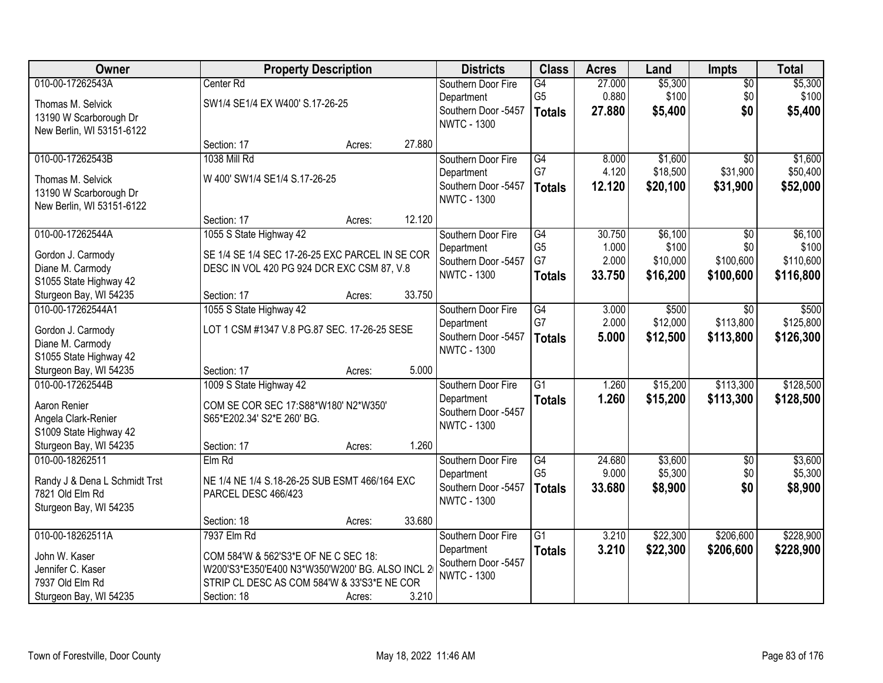| Owner                         |                                                 | <b>Property Description</b> |        | <b>Districts</b>    | <b>Class</b>    | <b>Acres</b> | Land     | <b>Impts</b>    | <b>Total</b> |
|-------------------------------|-------------------------------------------------|-----------------------------|--------|---------------------|-----------------|--------------|----------|-----------------|--------------|
| 010-00-17262543A              | Center Rd                                       |                             |        | Southern Door Fire  | G4              | 27.000       | \$5,300  | \$0             | \$5,300      |
| Thomas M. Selvick             | SW1/4 SE1/4 EX W400' S.17-26-25                 |                             |        | Department          | G <sub>5</sub>  | 0.880        | \$100    | \$0             | \$100        |
| 13190 W Scarborough Dr        |                                                 |                             |        | Southern Door -5457 | <b>Totals</b>   | 27.880       | \$5,400  | \$0             | \$5,400      |
| New Berlin, WI 53151-6122     |                                                 |                             |        | <b>NWTC - 1300</b>  |                 |              |          |                 |              |
|                               | Section: 17                                     | Acres:                      | 27.880 |                     |                 |              |          |                 |              |
| 010-00-17262543B              | 1038 Mill Rd                                    |                             |        | Southern Door Fire  | G4              | 8.000        | \$1,600  | $\overline{50}$ | \$1,600      |
| Thomas M. Selvick             | W 400' SW1/4 SE1/4 S.17-26-25                   |                             |        | Department          | G7              | 4.120        | \$18,500 | \$31,900        | \$50,400     |
| 13190 W Scarborough Dr        |                                                 |                             |        | Southern Door -5457 | <b>Totals</b>   | 12.120       | \$20,100 | \$31,900        | \$52,000     |
| New Berlin, WI 53151-6122     |                                                 |                             |        | <b>NWTC - 1300</b>  |                 |              |          |                 |              |
|                               | Section: 17                                     | Acres:                      | 12.120 |                     |                 |              |          |                 |              |
| 010-00-17262544A              | 1055 S State Highway 42                         |                             |        | Southern Door Fire  | $\overline{G4}$ | 30.750       | \$6,100  | $\sqrt{6}$      | \$6,100      |
| Gordon J. Carmody             | SE 1/4 SE 1/4 SEC 17-26-25 EXC PARCEL IN SE COR |                             |        | Department          | G <sub>5</sub>  | 1.000        | \$100    | \$0             | \$100        |
| Diane M. Carmody              | DESC IN VOL 420 PG 924 DCR EXC CSM 87, V.8      |                             |        | Southern Door -5457 | G7              | 2.000        | \$10,000 | \$100,600       | \$110,600    |
| S1055 State Highway 42        |                                                 |                             |        | <b>NWTC - 1300</b>  | <b>Totals</b>   | 33.750       | \$16,200 | \$100,600       | \$116,800    |
| Sturgeon Bay, WI 54235        | Section: 17                                     | Acres:                      | 33.750 |                     |                 |              |          |                 |              |
| 010-00-17262544A1             | 1055 S State Highway 42                         |                             |        | Southern Door Fire  | $\overline{G4}$ | 3.000        | \$500    | $\overline{50}$ | \$500        |
| Gordon J. Carmody             | LOT 1 CSM #1347 V.8 PG.87 SEC. 17-26-25 SESE    |                             |        | Department          | G7              | 2.000        | \$12,000 | \$113,800       | \$125,800    |
| Diane M. Carmody              |                                                 |                             |        | Southern Door -5457 | <b>Totals</b>   | 5.000        | \$12,500 | \$113,800       | \$126,300    |
| S1055 State Highway 42        |                                                 |                             |        | <b>NWTC - 1300</b>  |                 |              |          |                 |              |
| Sturgeon Bay, WI 54235        | Section: 17                                     | Acres:                      | 5.000  |                     |                 |              |          |                 |              |
| 010-00-17262544B              | 1009 S State Highway 42                         |                             |        | Southern Door Fire  | $\overline{G1}$ | 1.260        | \$15,200 | \$113,300       | \$128,500    |
| Aaron Renier                  | COM SE COR SEC 17:S88*W180' N2*W350'            |                             |        | Department          | <b>Totals</b>   | 1.260        | \$15,200 | \$113,300       | \$128,500    |
| Angela Clark-Renier           | S65*E202.34' S2*E 260' BG.                      |                             |        | Southern Door -5457 |                 |              |          |                 |              |
| S1009 State Highway 42        |                                                 |                             |        | <b>NWTC - 1300</b>  |                 |              |          |                 |              |
| Sturgeon Bay, WI 54235        | Section: 17                                     | Acres:                      | 1.260  |                     |                 |              |          |                 |              |
| 010-00-18262511               | ElmRd                                           |                             |        | Southern Door Fire  | G4              | 24.680       | \$3,600  | $\overline{50}$ | \$3,600      |
| Randy J & Dena L Schmidt Trst | NE 1/4 NE 1/4 S.18-26-25 SUB ESMT 466/164 EXC   |                             |        | Department          | G <sub>5</sub>  | 9.000        | \$5,300  | \$0             | \$5,300      |
| 7821 Old Elm Rd               | PARCEL DESC 466/423                             |                             |        | Southern Door -5457 | <b>Totals</b>   | 33.680       | \$8,900  | \$0             | \$8,900      |
| Sturgeon Bay, WI 54235        |                                                 |                             |        | <b>NWTC - 1300</b>  |                 |              |          |                 |              |
|                               | Section: 18                                     | Acres:                      | 33.680 |                     |                 |              |          |                 |              |
| 010-00-18262511A              | 7937 Elm Rd                                     |                             |        | Southern Door Fire  | $\overline{G1}$ | 3.210        | \$22,300 | \$206,600       | \$228,900    |
| John W. Kaser                 | COM 584'W & 562'S3*E OF NE C SEC 18:            |                             |        | Department          | <b>Totals</b>   | 3.210        | \$22,300 | \$206,600       | \$228,900    |
| Jennifer C. Kaser             | W200'S3*E350'E400 N3*W350'W200' BG. ALSO INCL 2 |                             |        | Southern Door -5457 |                 |              |          |                 |              |
| 7937 Old Elm Rd               | STRIP CL DESC AS COM 584'W & 33'S3*E NE COR     |                             |        | <b>NWTC - 1300</b>  |                 |              |          |                 |              |
| Sturgeon Bay, WI 54235        | Section: 18                                     | Acres:                      | 3.210  |                     |                 |              |          |                 |              |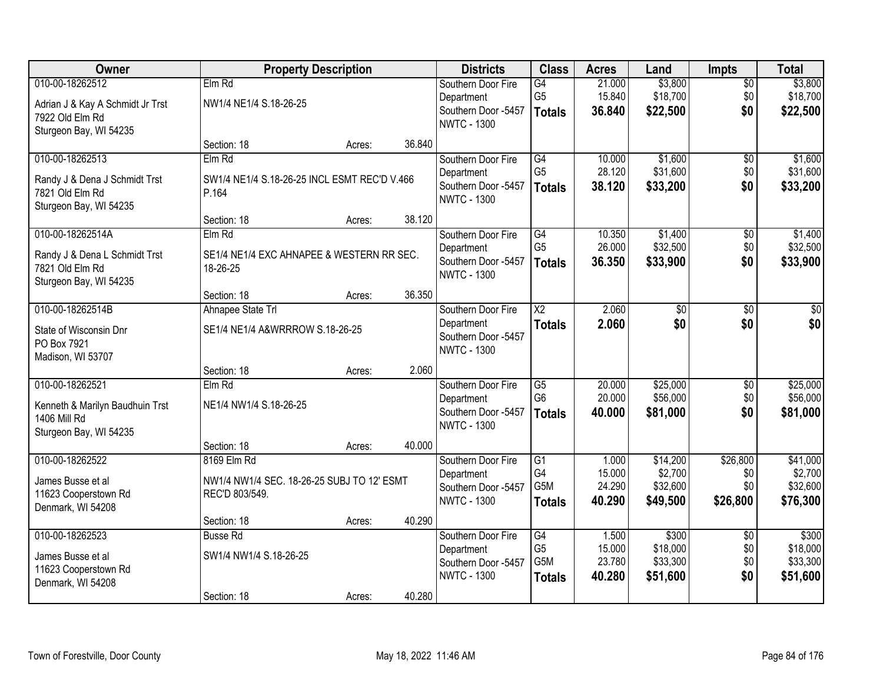| Owner                                                                                               | <b>Property Description</b>                                                                |        |        | <b>Districts</b>                                                              | <b>Class</b>                                               | <b>Acres</b>                        | Land                                        | <b>Impts</b>                       | <b>Total</b>                                |
|-----------------------------------------------------------------------------------------------------|--------------------------------------------------------------------------------------------|--------|--------|-------------------------------------------------------------------------------|------------------------------------------------------------|-------------------------------------|---------------------------------------------|------------------------------------|---------------------------------------------|
| 010-00-18262512<br>Adrian J & Kay A Schmidt Jr Trst<br>7922 Old Elm Rd<br>Sturgeon Bay, WI 54235    | Elm Rd<br>NW1/4 NE1/4 S.18-26-25                                                           |        |        | Southern Door Fire<br>Department<br>Southern Door -5457<br><b>NWTC - 1300</b> | G4<br>G <sub>5</sub><br><b>Totals</b>                      | 21.000<br>15.840<br>36.840          | \$3,800<br>\$18,700<br>\$22,500             | \$0<br>\$0<br>\$0                  | \$3,800<br>\$18,700<br>\$22,500             |
|                                                                                                     | Section: 18                                                                                | Acres: | 36.840 |                                                                               |                                                            |                                     |                                             |                                    |                                             |
| 010-00-18262513<br>Randy J & Dena J Schmidt Trst<br>7821 Old Elm Rd<br>Sturgeon Bay, WI 54235       | Elm Rd<br>SW1/4 NE1/4 S.18-26-25 INCL ESMT REC'D V.466<br>P.164                            |        |        | Southern Door Fire<br>Department<br>Southern Door -5457<br><b>NWTC - 1300</b> | G4<br>G <sub>5</sub><br><b>Totals</b>                      | 10.000<br>28.120<br>38.120          | \$1,600<br>\$31,600<br>\$33,200             | \$0<br>\$0<br>\$0                  | \$1,600<br>\$31,600<br>\$33,200             |
|                                                                                                     | Section: 18                                                                                | Acres: | 38.120 |                                                                               |                                                            |                                     |                                             |                                    |                                             |
| 010-00-18262514A<br>Randy J & Dena L Schmidt Trst<br>7821 Old Elm Rd<br>Sturgeon Bay, WI 54235      | Elm Rd<br>SE1/4 NE1/4 EXC AHNAPEE & WESTERN RR SEC.<br>18-26-25                            |        |        | Southern Door Fire<br>Department<br>Southern Door -5457<br><b>NWTC - 1300</b> | G4<br>G <sub>5</sub><br><b>Totals</b>                      | 10.350<br>26.000<br>36.350          | \$1,400<br>\$32,500<br>\$33,900             | \$0<br>\$0<br>\$0                  | \$1,400<br>\$32,500<br>\$33,900             |
|                                                                                                     | Section: 18                                                                                | Acres: | 36.350 |                                                                               |                                                            |                                     |                                             |                                    |                                             |
| 010-00-18262514B<br>State of Wisconsin Dnr<br>PO Box 7921<br>Madison, WI 53707                      | Ahnapee State Trl<br>SE1/4 NE1/4 A&WRRROW S.18-26-25                                       |        |        | Southern Door Fire<br>Department<br>Southern Door -5457<br><b>NWTC - 1300</b> | $\overline{\text{X2}}$<br><b>Totals</b>                    | 2.060<br>2.060                      | $\overline{50}$<br>\$0                      | $\sqrt[6]{3}$<br>\$0               | $\sqrt{50}$<br>\$0                          |
|                                                                                                     | Section: 18                                                                                | Acres: | 2.060  |                                                                               |                                                            |                                     |                                             |                                    |                                             |
| 010-00-18262521<br>Kenneth & Marilyn Baudhuin Trst<br><b>1406 Mill Rd</b><br>Sturgeon Bay, WI 54235 | Elm Rd<br>NE1/4 NW1/4 S.18-26-25                                                           |        |        | Southern Door Fire<br>Department<br>Southern Door -5457<br><b>NWTC - 1300</b> | $\overline{G5}$<br>G <sub>6</sub><br><b>Totals</b>         | 20.000<br>20.000<br>40.000          | \$25,000<br>\$56,000<br>\$81,000            | \$0<br>\$0<br>\$0                  | \$25,000<br>\$56,000<br>\$81,000            |
|                                                                                                     | Section: 18                                                                                | Acres: | 40.000 |                                                                               |                                                            |                                     |                                             |                                    |                                             |
| 010-00-18262522<br>James Busse et al<br>11623 Cooperstown Rd<br>Denmark, WI 54208                   | 8169 Elm Rd<br>NW1/4 NW1/4 SEC. 18-26-25 SUBJ TO 12' ESMT<br>REC'D 803/549.<br>Section: 18 | Acres: | 40.290 | Southern Door Fire<br>Department<br>Southern Door -5457<br><b>NWTC - 1300</b> | $\overline{G1}$<br>G4<br>G <sub>5</sub> M<br><b>Totals</b> | 1.000<br>15.000<br>24.290<br>40.290 | \$14,200<br>\$2,700<br>\$32,600<br>\$49,500 | \$26,800<br>\$0<br>\$0<br>\$26,800 | \$41,000<br>\$2,700<br>\$32,600<br>\$76,300 |
| 010-00-18262523                                                                                     | <b>Busse Rd</b>                                                                            |        |        | Southern Door Fire                                                            | G4                                                         | 1.500                               | \$300                                       | $\overline{60}$                    | \$300                                       |
| James Busse et al<br>11623 Cooperstown Rd<br>Denmark, WI 54208                                      | SW1/4 NW1/4 S.18-26-25                                                                     |        |        | Department<br>Southern Door -5457<br><b>NWTC - 1300</b>                       | G <sub>5</sub><br>G5M<br><b>Totals</b>                     | 15.000<br>23.780<br>40.280          | \$18,000<br>\$33,300<br>\$51,600            | \$0<br>\$0<br>\$0                  | \$18,000<br>\$33,300<br>\$51,600            |
|                                                                                                     | Section: 18                                                                                | Acres: | 40.280 |                                                                               |                                                            |                                     |                                             |                                    |                                             |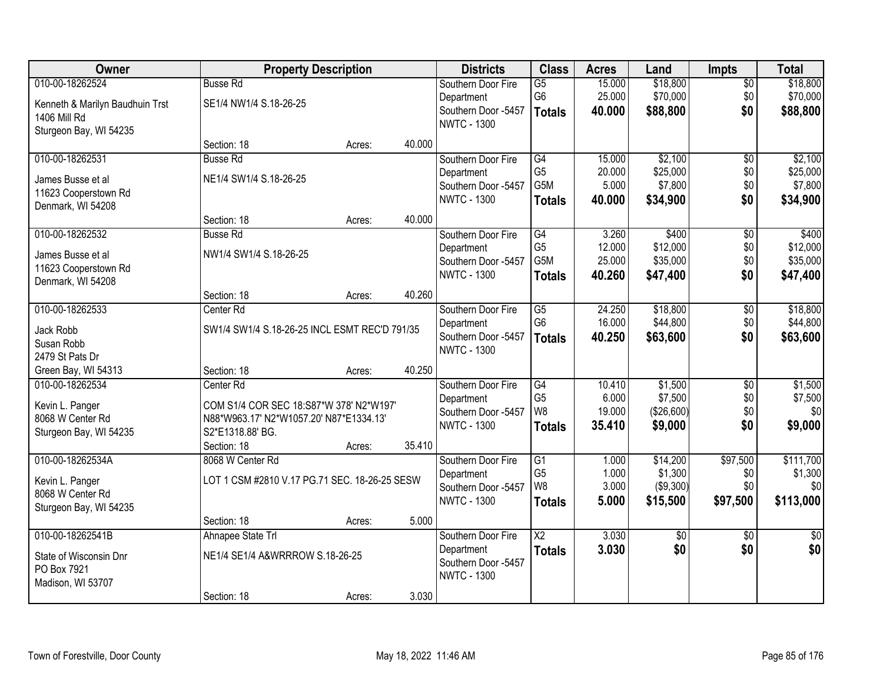| Owner                           |                                               | <b>Property Description</b> |        | <b>Districts</b>    | <b>Class</b>    | <b>Acres</b> | Land        | Impts           | <b>Total</b>    |
|---------------------------------|-----------------------------------------------|-----------------------------|--------|---------------------|-----------------|--------------|-------------|-----------------|-----------------|
| 010-00-18262524                 | <b>Busse Rd</b>                               |                             |        | Southern Door Fire  | $\overline{G5}$ | 15.000       | \$18,800    | $\overline{50}$ | \$18,800        |
| Kenneth & Marilyn Baudhuin Trst | SE1/4 NW1/4 S.18-26-25                        |                             |        | Department          | G <sub>6</sub>  | 25.000       | \$70,000    | \$0             | \$70,000        |
| <b>1406 Mill Rd</b>             |                                               |                             |        | Southern Door -5457 | <b>Totals</b>   | 40.000       | \$88,800    | \$0             | \$88,800        |
| Sturgeon Bay, WI 54235          |                                               |                             |        | <b>NWTC - 1300</b>  |                 |              |             |                 |                 |
|                                 | Section: 18                                   | Acres:                      | 40.000 |                     |                 |              |             |                 |                 |
| 010-00-18262531                 | <b>Busse Rd</b>                               |                             |        | Southern Door Fire  | G4              | 15.000       | \$2,100     | $\overline{50}$ | \$2,100         |
| James Busse et al               | NE1/4 SW1/4 S.18-26-25                        |                             |        | Department          | G <sub>5</sub>  | 20.000       | \$25,000    | \$0             | \$25,000        |
| 11623 Cooperstown Rd            |                                               |                             |        | Southern Door -5457 | G5M             | 5.000        | \$7,800     | \$0             | \$7,800         |
| Denmark, WI 54208               |                                               |                             |        | <b>NWTC - 1300</b>  | <b>Totals</b>   | 40.000       | \$34,900    | \$0             | \$34,900        |
|                                 | Section: 18                                   | Acres:                      | 40.000 |                     |                 |              |             |                 |                 |
| 010-00-18262532                 | <b>Busse Rd</b>                               |                             |        | Southern Door Fire  | G4              | 3.260        | \$400       | $\overline{50}$ | \$400           |
| James Busse et al               | NW1/4 SW1/4 S.18-26-25                        |                             |        | Department          | G <sub>5</sub>  | 12.000       | \$12,000    | \$0             | \$12,000        |
| 11623 Cooperstown Rd            |                                               |                             |        | Southern Door -5457 | G5M             | 25.000       | \$35,000    | \$0             | \$35,000        |
| Denmark, WI 54208               |                                               |                             |        | <b>NWTC - 1300</b>  | <b>Totals</b>   | 40.260       | \$47,400    | \$0             | \$47,400        |
|                                 | Section: 18                                   | Acres:                      | 40.260 |                     |                 |              |             |                 |                 |
| 010-00-18262533                 | Center Rd                                     |                             |        | Southern Door Fire  | G5              | 24.250       | \$18,800    | \$0             | \$18,800        |
| Jack Robb                       | SW1/4 SW1/4 S.18-26-25 INCL ESMT REC'D 791/35 |                             |        | Department          | G <sub>6</sub>  | 16.000       | \$44,800    | \$0             | \$44,800        |
| Susan Robb                      |                                               |                             |        | Southern Door -5457 | <b>Totals</b>   | 40.250       | \$63,600    | \$0             | \$63,600        |
| 2479 St Pats Dr                 |                                               |                             |        | <b>NWTC - 1300</b>  |                 |              |             |                 |                 |
| Green Bay, WI 54313             | Section: 18                                   | Acres:                      | 40.250 |                     |                 |              |             |                 |                 |
| 010-00-18262534                 | Center Rd                                     |                             |        | Southern Door Fire  | G4              | 10.410       | \$1,500     | $\overline{50}$ | \$1,500         |
| Kevin L. Panger                 | COM S1/4 COR SEC 18:S87*W 378' N2*W197'       |                             |        | Department          | G <sub>5</sub>  | 6.000        | \$7,500     | \$0             | \$7,500         |
| 8068 W Center Rd                | N88*W963.17' N2*W1057.20' N87*E1334.13'       |                             |        | Southern Door -5457 | W <sub>8</sub>  | 19.000       | (\$26,600)  | \$0             | \$0             |
| Sturgeon Bay, WI 54235          | S2*E1318.88' BG.                              |                             |        | <b>NWTC - 1300</b>  | <b>Totals</b>   | 35.410       | \$9,000     | \$0             | \$9,000         |
|                                 | Section: 18                                   | Acres:                      | 35.410 |                     |                 |              |             |                 |                 |
| 010-00-18262534A                | 8068 W Center Rd                              |                             |        | Southern Door Fire  | G1              | 1.000        | \$14,200    | \$97,500        | \$111,700       |
| Kevin L. Panger                 | LOT 1 CSM #2810 V.17 PG.71 SEC. 18-26-25 SESW |                             |        | Department          | G <sub>5</sub>  | 1.000        | \$1,300     | \$0             | \$1,300         |
| 8068 W Center Rd                |                                               |                             |        | Southern Door -5457 | W8              | 3.000        | ( \$9,300)  | \$0             | \$0             |
| Sturgeon Bay, WI 54235          |                                               |                             |        | <b>NWTC - 1300</b>  | <b>Totals</b>   | 5.000        | \$15,500    | \$97,500        | \$113,000       |
|                                 | Section: 18                                   | Acres:                      | 5.000  |                     |                 |              |             |                 |                 |
| 010-00-18262541B                | Ahnapee State Trl                             |                             |        | Southern Door Fire  | $\overline{X2}$ | 3.030        | $\sqrt{$0}$ | $\overline{50}$ | $\overline{50}$ |
| State of Wisconsin Dnr          | NE1/4 SE1/4 A&WRRROW S.18-26-25               |                             |        | Department          | <b>Totals</b>   | 3.030        | \$0         | \$0             | \$0             |
| PO Box 7921                     |                                               |                             |        | Southern Door -5457 |                 |              |             |                 |                 |
| Madison, WI 53707               |                                               |                             |        | <b>NWTC - 1300</b>  |                 |              |             |                 |                 |
|                                 | Section: 18                                   | Acres:                      | 3.030  |                     |                 |              |             |                 |                 |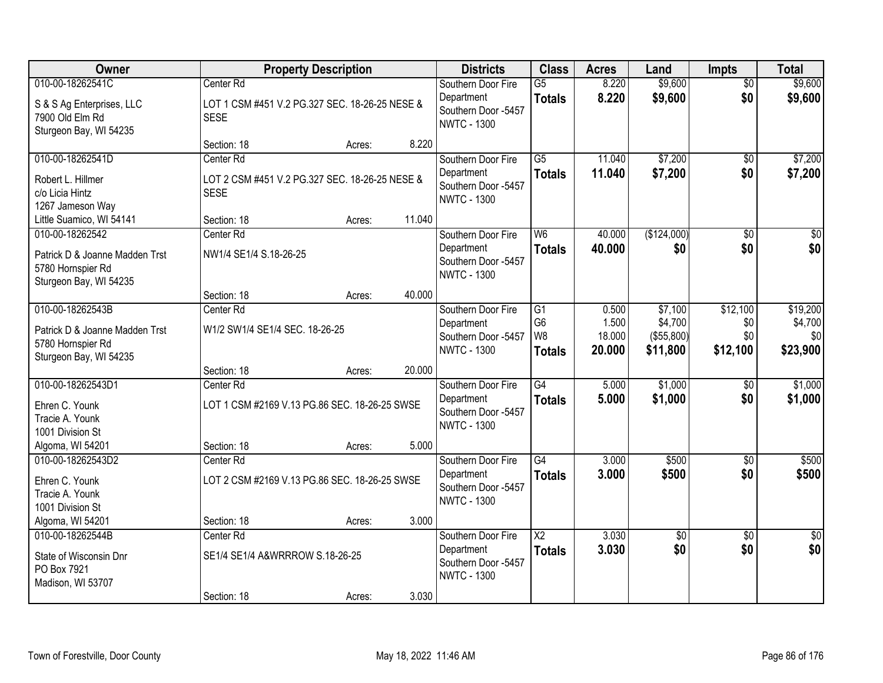| Owner                                                                         |                                                               | <b>Property Description</b> |        | <b>Districts</b>                                        | <b>Class</b>                      | <b>Acres</b>     | Land                   | <b>Impts</b>           | <b>Total</b>        |
|-------------------------------------------------------------------------------|---------------------------------------------------------------|-----------------------------|--------|---------------------------------------------------------|-----------------------------------|------------------|------------------------|------------------------|---------------------|
| 010-00-18262541C                                                              | Center Rd                                                     |                             |        | Southern Door Fire<br>Department                        | G5<br><b>Totals</b>               | 8.220<br>8.220   | \$9,600<br>\$9,600     | $\overline{50}$<br>\$0 | \$9,600<br>\$9,600  |
| S & S Ag Enterprises, LLC<br>7900 Old Elm Rd<br>Sturgeon Bay, WI 54235        | LOT 1 CSM #451 V.2 PG.327 SEC. 18-26-25 NESE &<br><b>SESE</b> |                             |        | Southern Door -5457<br><b>NWTC - 1300</b>               |                                   |                  |                        |                        |                     |
|                                                                               | Section: 18                                                   | Acres:                      | 8.220  |                                                         |                                   |                  |                        |                        |                     |
| 010-00-18262541D                                                              | Center Rd                                                     |                             |        | Southern Door Fire                                      | $\overline{G5}$                   | 11.040           | \$7,200                | \$0                    | \$7,200             |
| Robert L. Hillmer<br>c/o Licia Hintz<br>1267 Jameson Way                      | LOT 2 CSM #451 V.2 PG.327 SEC. 18-26-25 NESE &<br><b>SESE</b> |                             |        | Department<br>Southern Door -5457<br><b>NWTC - 1300</b> | <b>Totals</b>                     | 11.040           | \$7,200                | \$0                    | \$7,200             |
| Little Suamico, WI 54141                                                      | Section: 18                                                   | Acres:                      | 11.040 |                                                         |                                   |                  |                        |                        |                     |
| 010-00-18262542                                                               | Center Rd                                                     |                             |        | Southern Door Fire                                      | W <sub>6</sub>                    | 40.000           | (\$124,000)            | \$0                    | \$0                 |
| Patrick D & Joanne Madden Trst<br>5780 Hornspier Rd<br>Sturgeon Bay, WI 54235 | NW1/4 SE1/4 S.18-26-25                                        |                             |        | Department<br>Southern Door -5457<br><b>NWTC - 1300</b> | <b>Totals</b>                     | 40.000           | \$0                    | \$0                    | \$0                 |
|                                                                               | Section: 18                                                   | Acres:                      | 40.000 |                                                         |                                   |                  |                        |                        |                     |
| 010-00-18262543B<br>Patrick D & Joanne Madden Trst                            | Center Rd<br>W1/2 SW1/4 SE1/4 SEC. 18-26-25                   |                             |        | Southern Door Fire<br>Department                        | $\overline{G1}$<br>G <sub>6</sub> | 0.500<br>1.500   | \$7,100<br>\$4,700     | \$12,100<br>\$0        | \$19,200<br>\$4,700 |
| 5780 Hornspier Rd<br>Sturgeon Bay, WI 54235                                   |                                                               |                             |        | Southern Door -5457<br><b>NWTC - 1300</b>               | W <sub>8</sub><br><b>Totals</b>   | 18.000<br>20.000 | (\$55,800)<br>\$11,800 | \$0<br>\$12,100        | \$0<br>\$23,900     |
|                                                                               | Section: 18                                                   | Acres:                      | 20.000 |                                                         |                                   |                  |                        |                        |                     |
| 010-00-18262543D1                                                             | Center Rd                                                     |                             |        | Southern Door Fire                                      | G4                                | 5.000            | \$1,000                | \$0                    | \$1,000             |
| Ehren C. Younk<br>Tracie A. Younk<br>1001 Division St                         | LOT 1 CSM #2169 V.13 PG.86 SEC. 18-26-25 SWSE                 |                             |        | Department<br>Southern Door -5457<br><b>NWTC - 1300</b> | <b>Totals</b>                     | 5.000            | \$1,000                | \$0                    | \$1,000             |
| Algoma, WI 54201                                                              | Section: 18                                                   | Acres:                      | 5.000  |                                                         |                                   |                  |                        |                        |                     |
| 010-00-18262543D2                                                             | Center Rd                                                     |                             |        | Southern Door Fire                                      | $\overline{G4}$                   | 3.000            | \$500                  | $\overline{50}$        | \$500               |
| Ehren C. Younk<br>Tracie A. Younk<br>1001 Division St                         | LOT 2 CSM #2169 V.13 PG.86 SEC. 18-26-25 SWSE                 |                             |        | Department<br>Southern Door -5457<br><b>NWTC - 1300</b> | <b>Totals</b>                     | 3.000            | \$500                  | \$0                    | \$500               |
| Algoma, WI 54201                                                              | Section: 18                                                   | Acres:                      | 3.000  |                                                         |                                   |                  |                        |                        |                     |
| 010-00-18262544B                                                              | Center Rd                                                     |                             |        | Southern Door Fire                                      | $\overline{X2}$                   | 3.030            | $\sqrt{$0}$            | $\overline{30}$        | $\overline{50}$     |
| State of Wisconsin Dnr<br>PO Box 7921<br>Madison, WI 53707                    | SE1/4 SE1/4 A&WRRROW S.18-26-25                               |                             |        | Department<br>Southern Door -5457<br><b>NWTC - 1300</b> | <b>Totals</b>                     | 3.030            | \$0                    | \$0                    | \$0                 |
|                                                                               | Section: 18                                                   | Acres:                      | 3.030  |                                                         |                                   |                  |                        |                        |                     |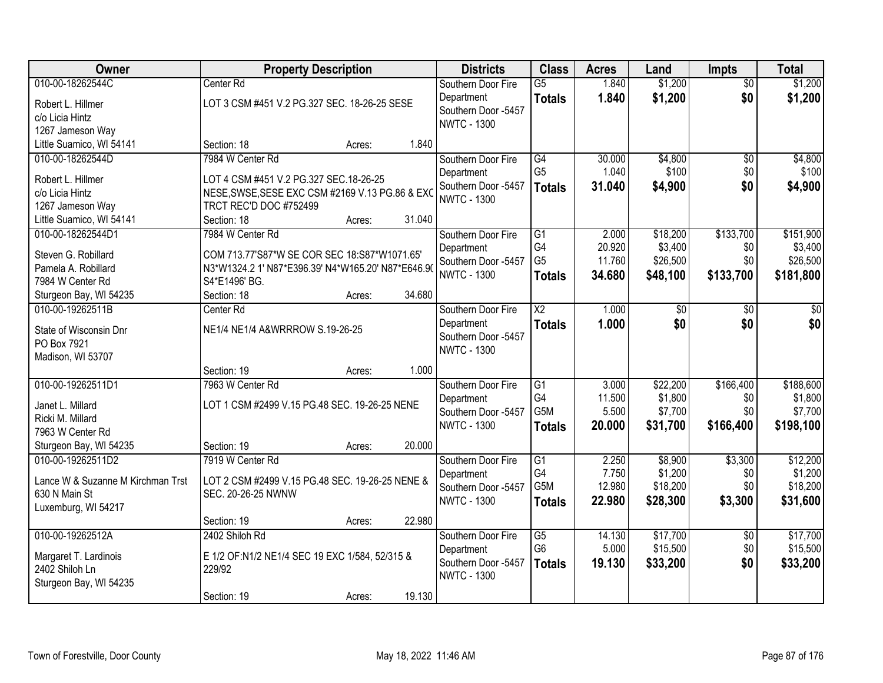| Owner                                              | <b>Property Description</b>                                           |        |        | <b>Districts</b>    | <b>Class</b>           | <b>Acres</b> | Land     | Impts           | <b>Total</b> |
|----------------------------------------------------|-----------------------------------------------------------------------|--------|--------|---------------------|------------------------|--------------|----------|-----------------|--------------|
| 010-00-18262544C                                   | Center <sub>Rd</sub>                                                  |        |        | Southern Door Fire  | $\overline{G5}$        | 1.840        | \$1,200  | $\overline{50}$ | \$1,200      |
| Robert L. Hillmer                                  | LOT 3 CSM #451 V.2 PG.327 SEC. 18-26-25 SESE                          |        |        | Department          | <b>Totals</b>          | 1.840        | \$1,200  | \$0             | \$1,200      |
| c/o Licia Hintz                                    |                                                                       |        |        | Southern Door -5457 |                        |              |          |                 |              |
| 1267 Jameson Way                                   |                                                                       |        |        | <b>NWTC - 1300</b>  |                        |              |          |                 |              |
| Little Suamico, WI 54141                           | Section: 18                                                           | Acres: | 1.840  |                     |                        |              |          |                 |              |
| 010-00-18262544D                                   | 7984 W Center Rd                                                      |        |        | Southern Door Fire  | G4                     | 30.000       | \$4,800  | $\overline{30}$ | \$4,800      |
|                                                    |                                                                       |        |        | Department          | G <sub>5</sub>         | 1.040        | \$100    | \$0             | \$100        |
| Robert L. Hillmer                                  | LOT 4 CSM #451 V.2 PG.327 SEC.18-26-25                                |        |        | Southern Door -5457 | <b>Totals</b>          | 31.040       | \$4,900  | \$0             | \$4,900      |
| c/o Licia Hintz                                    | NESE, SWSE, SESE EXC CSM #2169 V.13 PG.86 & EXC                       |        |        | <b>NWTC - 1300</b>  |                        |              |          |                 |              |
| 1267 Jameson Way                                   | TRCT REC'D DOC #752499                                                |        |        |                     |                        |              |          |                 |              |
| Little Suamico, WI 54141                           | Section: 18                                                           | Acres: | 31.040 |                     |                        |              |          |                 |              |
| 010-00-18262544D1                                  | 7984 W Center Rd                                                      |        |        | Southern Door Fire  | G1                     | 2.000        | \$18,200 | \$133,700       | \$151,900    |
| Steven G. Robillard                                | COM 713.77'S87*W SE COR SEC 18:S87*W1071.65'                          |        |        | Department          | G4                     | 20.920       | \$3,400  | \$0             | \$3,400      |
| Pamela A. Robillard                                | N3*W1324.2 1' N87*E396.39' N4*W165.20' N87*E646.90                    |        |        | Southern Door -5457 | G <sub>5</sub>         | 11.760       | \$26,500 | \$0             | \$26,500     |
| 7984 W Center Rd                                   | S4*E1496' BG.                                                         |        |        | <b>NWTC - 1300</b>  | <b>Totals</b>          | 34.680       | \$48,100 | \$133,700       | \$181,800    |
| Sturgeon Bay, WI 54235                             | Section: 18                                                           | Acres: | 34.680 |                     |                        |              |          |                 |              |
| 010-00-19262511B                                   | Center Rd                                                             |        |        | Southern Door Fire  | $\overline{\text{X2}}$ | 1.000        | \$0      | \$0             | \$0          |
|                                                    |                                                                       |        |        | Department          | <b>Totals</b>          | 1.000        | \$0      | \$0             | \$0          |
| State of Wisconsin Dnr                             | NE1/4 NE1/4 A&WRRROW S.19-26-25                                       |        |        | Southern Door -5457 |                        |              |          |                 |              |
| PO Box 7921                                        |                                                                       |        |        | <b>NWTC - 1300</b>  |                        |              |          |                 |              |
| Madison, WI 53707                                  |                                                                       |        |        |                     |                        |              |          |                 |              |
|                                                    | Section: 19                                                           | Acres: | 1.000  |                     |                        |              |          |                 |              |
| 010-00-19262511D1                                  | 7963 W Center Rd                                                      |        |        | Southern Door Fire  | $\overline{G1}$        | 3.000        | \$22,200 | \$166,400       | \$188,600    |
| Janet L. Millard                                   | LOT 1 CSM #2499 V.15 PG.48 SEC. 19-26-25 NENE                         |        |        | Department          | G4                     | 11.500       | \$1,800  | \$0             | \$1,800      |
| Ricki M. Millard                                   |                                                                       |        |        | Southern Door -5457 | G5M                    | 5.500        | \$7,700  | \$0             | \$7,700      |
| 7963 W Center Rd                                   |                                                                       |        |        | <b>NWTC - 1300</b>  | <b>Totals</b>          | 20.000       | \$31,700 | \$166,400       | \$198,100    |
| Sturgeon Bay, WI 54235                             | Section: 19                                                           | Acres: | 20.000 |                     |                        |              |          |                 |              |
| 010-00-19262511D2                                  | 7919 W Center Rd                                                      |        |        | Southern Door Fire  | G1                     | 2.250        | \$8,900  | \$3,300         | \$12,200     |
|                                                    |                                                                       |        |        | Department          | G4                     | 7.750        | \$1,200  | \$0             | \$1,200      |
| Lance W & Suzanne M Kirchman Trst<br>630 N Main St | LOT 2 CSM #2499 V.15 PG.48 SEC. 19-26-25 NENE &<br>SEC. 20-26-25 NWNW |        |        | Southern Door -5457 | G5M                    | 12.980       | \$18,200 | \$0             | \$18,200     |
|                                                    |                                                                       |        |        | <b>NWTC - 1300</b>  | <b>Totals</b>          | 22.980       | \$28,300 | \$3,300         | \$31,600     |
| Luxemburg, WI 54217                                | Section: 19                                                           | Acres: | 22.980 |                     |                        |              |          |                 |              |
| 010-00-19262512A                                   | 2402 Shiloh Rd                                                        |        |        | Southern Door Fire  | $\overline{G5}$        | 14.130       | \$17,700 | $\overline{50}$ | \$17,700     |
|                                                    |                                                                       |        |        | Department          | G <sub>6</sub>         | 5.000        | \$15,500 | \$0             | \$15,500     |
| Margaret T. Lardinois                              | E 1/2 OF:N1/2 NE1/4 SEC 19 EXC 1/584, 52/315 &                        |        |        | Southern Door -5457 |                        |              |          | \$0             |              |
| 2402 Shiloh Ln                                     | 229/92                                                                |        |        | <b>NWTC - 1300</b>  | <b>Totals</b>          | 19.130       | \$33,200 |                 | \$33,200     |
| Sturgeon Bay, WI 54235                             |                                                                       |        |        |                     |                        |              |          |                 |              |
|                                                    | Section: 19                                                           | Acres: | 19.130 |                     |                        |              |          |                 |              |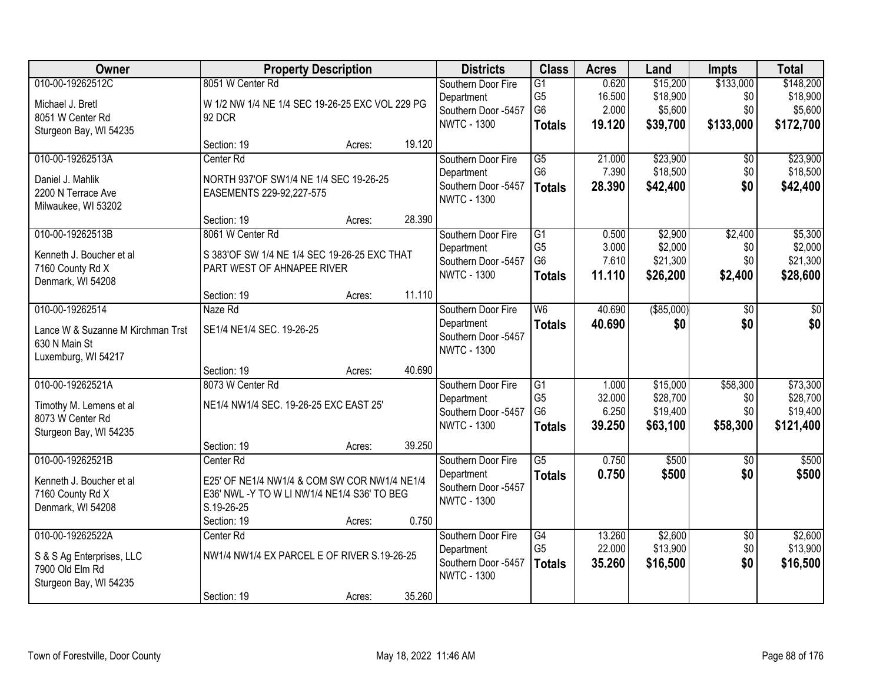| Owner                             | <b>Property Description</b>                     |        |        | <b>Districts</b>                          | <b>Class</b>                     | <b>Acres</b>    | Land                 | <b>Impts</b>    | <b>Total</b>         |
|-----------------------------------|-------------------------------------------------|--------|--------|-------------------------------------------|----------------------------------|-----------------|----------------------|-----------------|----------------------|
| 010-00-19262512C                  | 8051 W Center Rd                                |        |        | Southern Door Fire                        | $\overline{G1}$                  | 0.620           | \$15,200             | \$133,000       | \$148,200            |
| Michael J. Bretl                  | W 1/2 NW 1/4 NE 1/4 SEC 19-26-25 EXC VOL 229 PG |        |        | Department                                | G <sub>5</sub><br>G <sub>6</sub> | 16.500<br>2.000 | \$18,900<br>\$5,600  | \$0<br>\$0      | \$18,900<br>\$5,600  |
| 8051 W Center Rd                  | 92 DCR                                          |        |        | Southern Door -5457<br><b>NWTC - 1300</b> |                                  | 19.120          | \$39,700             | \$133,000       | \$172,700            |
| Sturgeon Bay, WI 54235            |                                                 |        |        |                                           | <b>Totals</b>                    |                 |                      |                 |                      |
|                                   | Section: 19                                     | Acres: | 19.120 |                                           |                                  |                 |                      |                 |                      |
| 010-00-19262513A                  | Center Rd                                       |        |        | Southern Door Fire                        | G5                               | 21.000          | \$23,900             | \$0             | \$23,900             |
| Daniel J. Mahlik                  | NORTH 937'OF SW1/4 NE 1/4 SEC 19-26-25          |        |        | Department<br>Southern Door -5457         | G <sub>6</sub>                   | 7.390           | \$18,500             | \$0             | \$18,500             |
| 2200 N Terrace Ave                | EASEMENTS 229-92,227-575                        |        |        | <b>NWTC - 1300</b>                        | <b>Totals</b>                    | 28.390          | \$42,400             | \$0             | \$42,400             |
| Milwaukee, WI 53202               |                                                 |        |        |                                           |                                  |                 |                      |                 |                      |
|                                   | Section: 19                                     | Acres: | 28.390 |                                           |                                  |                 |                      |                 |                      |
| 010-00-19262513B                  | 8061 W Center Rd                                |        |        | Southern Door Fire                        | G1                               | 0.500           | \$2,900              | \$2,400         | \$5,300              |
| Kenneth J. Boucher et al          | S 383'OF SW 1/4 NE 1/4 SEC 19-26-25 EXC THAT    |        |        | Department<br>Southern Door -5457         | G <sub>5</sub><br>G <sub>6</sub> | 3.000<br>7.610  | \$2,000<br>\$21,300  | \$0<br>\$0      | \$2,000<br>\$21,300  |
| 7160 County Rd X                  | PART WEST OF AHNAPEE RIVER                      |        |        | <b>NWTC - 1300</b>                        | <b>Totals</b>                    | 11.110          | \$26,200             | \$2,400         | \$28,600             |
| Denmark, WI 54208                 |                                                 |        |        |                                           |                                  |                 |                      |                 |                      |
|                                   | Section: 19                                     | Acres: | 11.110 |                                           |                                  |                 |                      |                 |                      |
| 010-00-19262514                   | Naze Rd                                         |        |        | Southern Door Fire                        | W6                               | 40.690          | ( \$85,000)          | \$0             | \$0                  |
| Lance W & Suzanne M Kirchman Trst | SE1/4 NE1/4 SEC. 19-26-25                       |        |        | Department<br>Southern Door -5457         | <b>Totals</b>                    | 40.690          | \$0                  | \$0             | \$0                  |
| 630 N Main St                     |                                                 |        |        | <b>NWTC - 1300</b>                        |                                  |                 |                      |                 |                      |
| Luxemburg, WI 54217               |                                                 |        |        |                                           |                                  |                 |                      |                 |                      |
|                                   | Section: 19                                     | Acres: | 40.690 |                                           |                                  |                 |                      |                 |                      |
| 010-00-19262521A                  | 8073 W Center Rd                                |        |        | Southern Door Fire                        | $\overline{G1}$                  | 1.000           | \$15,000             | \$58,300        | \$73,300             |
| Timothy M. Lemens et al           | NE1/4 NW1/4 SEC. 19-26-25 EXC EAST 25'          |        |        | Department                                | G <sub>5</sub><br>G <sub>6</sub> | 32.000<br>6.250 | \$28,700<br>\$19,400 | \$0<br>\$0      | \$28,700<br>\$19,400 |
| 8073 W Center Rd                  |                                                 |        |        | Southern Door -5457<br><b>NWTC - 1300</b> | <b>Totals</b>                    | 39.250          | \$63,100             | \$58,300        | \$121,400            |
| Sturgeon Bay, WI 54235            |                                                 |        |        |                                           |                                  |                 |                      |                 |                      |
|                                   | Section: 19                                     | Acres: | 39.250 |                                           |                                  |                 |                      |                 |                      |
| 010-00-19262521B                  | Center Rd                                       |        |        | Southern Door Fire                        | $\overline{\text{G5}}$           | 0.750           | \$500                | $\overline{50}$ | \$500                |
| Kenneth J. Boucher et al          | E25' OF NE1/4 NW1/4 & COM SW COR NW1/4 NE1/4    |        |        | Department                                | <b>Totals</b>                    | 0.750           | \$500                | \$0             | \$500                |
| 7160 County Rd X                  | E36' NWL -Y TO W LI NW1/4 NE1/4 S36' TO BEG     |        |        | Southern Door -5457<br><b>NWTC - 1300</b> |                                  |                 |                      |                 |                      |
| Denmark, WI 54208                 | S.19-26-25                                      |        |        |                                           |                                  |                 |                      |                 |                      |
|                                   | Section: 19                                     | Acres: | 0.750  |                                           |                                  |                 |                      |                 |                      |
| 010-00-19262522A                  | Center Rd                                       |        |        | Southern Door Fire                        | G4                               | 13.260          | \$2,600              | $\overline{50}$ | \$2,600              |
| S & S Ag Enterprises, LLC         | NW1/4 NW1/4 EX PARCEL E OF RIVER S.19-26-25     |        |        | Department                                | G <sub>5</sub>                   | 22.000          | \$13,900             | \$0             | \$13,900             |
| 7900 Old Elm Rd                   |                                                 |        |        | Southern Door -5457                       | <b>Totals</b>                    | 35.260          | \$16,500             | \$0             | \$16,500             |
| Sturgeon Bay, WI 54235            |                                                 |        |        | <b>NWTC - 1300</b>                        |                                  |                 |                      |                 |                      |
|                                   | Section: 19                                     | Acres: | 35.260 |                                           |                                  |                 |                      |                 |                      |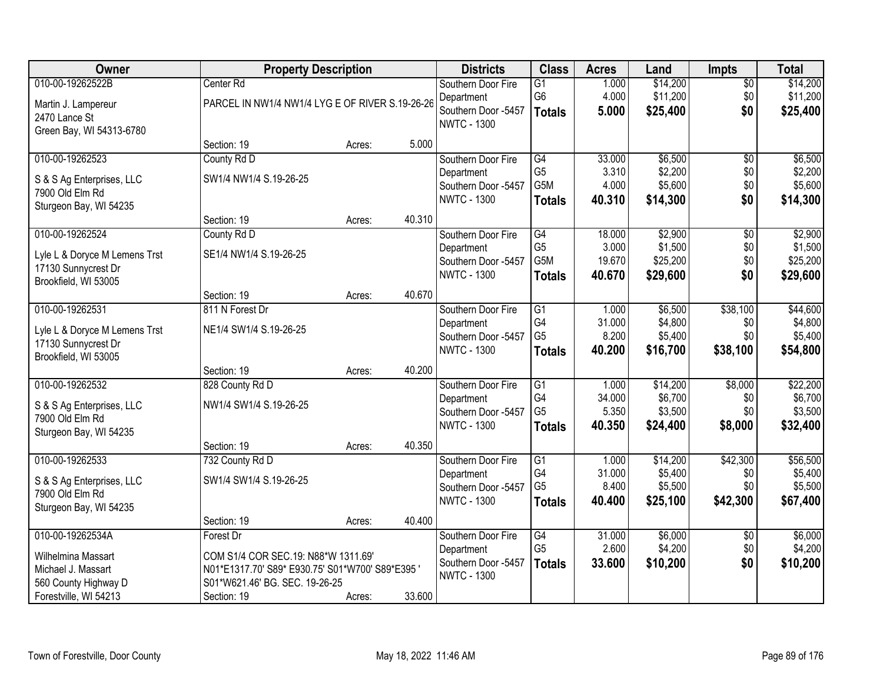| Owner                         | <b>Property Description</b>                     |        |        | <b>Districts</b>    | <b>Class</b>    | <b>Acres</b> | Land     | <b>Impts</b>    | <b>Total</b> |
|-------------------------------|-------------------------------------------------|--------|--------|---------------------|-----------------|--------------|----------|-----------------|--------------|
| 010-00-19262522B              | Center Rd                                       |        |        | Southern Door Fire  | $\overline{G1}$ | 1.000        | \$14,200 | $\sqrt{$0}$     | \$14,200     |
| Martin J. Lampereur           | PARCEL IN NW1/4 NW1/4 LYG E OF RIVER S.19-26-26 |        |        | Department          | G <sub>6</sub>  | 4.000        | \$11,200 | \$0             | \$11,200     |
| 2470 Lance St                 |                                                 |        |        | Southern Door -5457 | <b>Totals</b>   | 5.000        | \$25,400 | \$0             | \$25,400     |
| Green Bay, WI 54313-6780      |                                                 |        |        | <b>NWTC - 1300</b>  |                 |              |          |                 |              |
|                               | Section: 19                                     | Acres: | 5.000  |                     |                 |              |          |                 |              |
| 010-00-19262523               | County Rd D                                     |        |        | Southern Door Fire  | G4              | 33.000       | \$6,500  | $\overline{50}$ | \$6,500      |
| S & S Ag Enterprises, LLC     | SW1/4 NW1/4 S.19-26-25                          |        |        | Department          | G <sub>5</sub>  | 3.310        | \$2,200  | \$0             | \$2,200      |
| 7900 Old Elm Rd               |                                                 |        |        | Southern Door -5457 | G5M             | 4.000        | \$5,600  | \$0             | \$5,600      |
| Sturgeon Bay, WI 54235        |                                                 |        |        | <b>NWTC - 1300</b>  | <b>Totals</b>   | 40.310       | \$14,300 | \$0             | \$14,300     |
|                               | Section: 19                                     | Acres: | 40.310 |                     |                 |              |          |                 |              |
| 010-00-19262524               | County Rd D                                     |        |        | Southern Door Fire  | $\overline{G4}$ | 18.000       | \$2,900  | $\overline{50}$ | \$2,900      |
| Lyle L & Doryce M Lemens Trst | SE1/4 NW1/4 S.19-26-25                          |        |        | Department          | G <sub>5</sub>  | 3.000        | \$1,500  | \$0             | \$1,500      |
| 17130 Sunnycrest Dr           |                                                 |        |        | Southern Door -5457 | G5M             | 19.670       | \$25,200 | \$0             | \$25,200     |
| Brookfield, WI 53005          |                                                 |        |        | <b>NWTC - 1300</b>  | <b>Totals</b>   | 40.670       | \$29,600 | \$0             | \$29,600     |
|                               | Section: 19                                     | Acres: | 40.670 |                     |                 |              |          |                 |              |
| 010-00-19262531               | 811 N Forest Dr                                 |        |        | Southern Door Fire  | G1              | 1.000        | \$6,500  | \$38,100        | \$44,600     |
| Lyle L & Doryce M Lemens Trst | NE1/4 SW1/4 S.19-26-25                          |        |        | Department          | G4              | 31.000       | \$4,800  | \$0             | \$4,800      |
| 17130 Sunnycrest Dr           |                                                 |        |        | Southern Door -5457 | G <sub>5</sub>  | 8.200        | \$5,400  | \$0             | \$5,400      |
| Brookfield, WI 53005          |                                                 |        |        | <b>NWTC - 1300</b>  | <b>Totals</b>   | 40.200       | \$16,700 | \$38,100        | \$54,800     |
|                               | Section: 19                                     | Acres: | 40.200 |                     |                 |              |          |                 |              |
| 010-00-19262532               | 828 County Rd D                                 |        |        | Southern Door Fire  | $\overline{G1}$ | 1.000        | \$14,200 | \$8,000         | \$22,200     |
| S & S Ag Enterprises, LLC     | NW1/4 SW1/4 S.19-26-25                          |        |        | Department          | G4              | 34.000       | \$6,700  | \$0             | \$6,700      |
| 7900 Old Elm Rd               |                                                 |        |        | Southern Door -5457 | G <sub>5</sub>  | 5.350        | \$3,500  | \$0             | \$3,500      |
| Sturgeon Bay, WI 54235        |                                                 |        |        | <b>NWTC - 1300</b>  | <b>Totals</b>   | 40.350       | \$24,400 | \$8,000         | \$32,400     |
|                               | Section: 19                                     | Acres: | 40.350 |                     |                 |              |          |                 |              |
| 010-00-19262533               | 732 County Rd D                                 |        |        | Southern Door Fire  | $\overline{G1}$ | 1.000        | \$14,200 | \$42,300        | \$56,500     |
| S & S Ag Enterprises, LLC     | SW1/4 SW1/4 S.19-26-25                          |        |        | Department          | G4              | 31.000       | \$5,400  | \$0             | \$5,400      |
| 7900 Old Elm Rd               |                                                 |        |        | Southern Door -5457 | G <sub>5</sub>  | 8.400        | \$5,500  | \$0             | \$5,500      |
| Sturgeon Bay, WI 54235        |                                                 |        |        | <b>NWTC - 1300</b>  | <b>Totals</b>   | 40.400       | \$25,100 | \$42,300        | \$67,400     |
|                               | Section: 19                                     | Acres: | 40.400 |                     |                 |              |          |                 |              |
| 010-00-19262534A              | Forest Dr                                       |        |        | Southern Door Fire  | G4              | 31.000       | \$6,000  | $\overline{50}$ | \$6,000      |
| Wilhelmina Massart            | COM S1/4 COR SEC.19: N88*W 1311.69'             |        |        | Department          | G <sub>5</sub>  | 2.600        | \$4,200  | \$0             | \$4,200      |
| Michael J. Massart            | N01*E1317.70' S89* E930.75' S01*W700' S89*E395  |        |        | Southern Door -5457 | <b>Totals</b>   | 33.600       | \$10,200 | \$0             | \$10,200     |
| 560 County Highway D          | S01*W621.46' BG. SEC. 19-26-25                  |        |        | <b>NWTC - 1300</b>  |                 |              |          |                 |              |
| Forestville, WI 54213         | Section: 19                                     | Acres: | 33.600 |                     |                 |              |          |                 |              |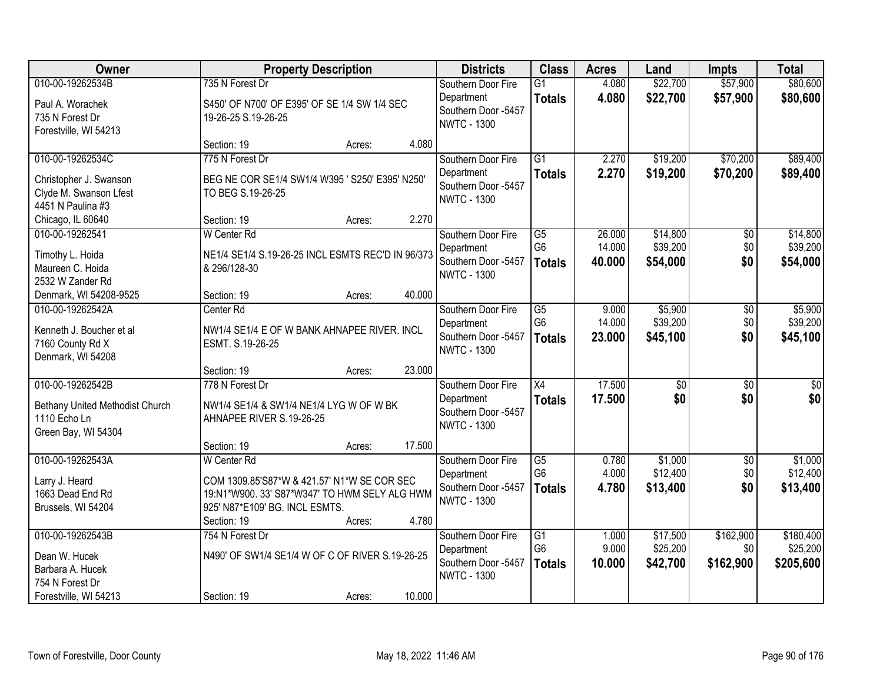| Owner                                                                                             |                                                                                                                                                                     | <b>Property Description</b> |        | <b>Districts</b>                                                              | <b>Class</b>                                              | <b>Acres</b>               | Land                             | <b>Impts</b>                  | <b>Total</b>                       |
|---------------------------------------------------------------------------------------------------|---------------------------------------------------------------------------------------------------------------------------------------------------------------------|-----------------------------|--------|-------------------------------------------------------------------------------|-----------------------------------------------------------|----------------------------|----------------------------------|-------------------------------|------------------------------------|
| 010-00-19262534B<br>Paul A. Worachek<br>735 N Forest Dr<br>Forestville, WI 54213                  | 735 N Forest Dr<br>S450' OF N700' OF E395' OF SE 1/4 SW 1/4 SEC<br>19-26-25 S.19-26-25                                                                              |                             |        | Southern Door Fire<br>Department<br>Southern Door -5457<br><b>NWTC - 1300</b> | $\overline{G1}$<br><b>Totals</b>                          | 4.080<br>4.080             | \$22,700<br>\$22,700             | \$57,900<br>\$57,900          | \$80,600<br>\$80,600               |
|                                                                                                   | Section: 19                                                                                                                                                         | Acres:                      | 4.080  |                                                                               |                                                           |                            |                                  |                               |                                    |
| 010-00-19262534C<br>Christopher J. Swanson<br>Clyde M. Swanson Lfest<br>4451 N Paulina #3         | 775 N Forest Dr<br>BEG NE COR SE1/4 SW1/4 W395 ' S250' E395' N250'<br>TO BEG S.19-26-25                                                                             |                             |        | Southern Door Fire<br>Department<br>Southern Door -5457<br><b>NWTC - 1300</b> | $\overline{G1}$<br><b>Totals</b>                          | 2.270<br>2.270             | \$19,200<br>\$19,200             | \$70,200<br>\$70,200          | \$89,400<br>\$89,400               |
| Chicago, IL 60640                                                                                 | Section: 19                                                                                                                                                         | Acres:                      | 2.270  |                                                                               |                                                           |                            |                                  |                               |                                    |
| 010-00-19262541<br>Timothy L. Hoida<br>Maureen C. Hoida<br>2532 W Zander Rd                       | W Center Rd<br>NE1/4 SE1/4 S.19-26-25 INCL ESMTS REC'D IN 96/373<br>& 296/128-30                                                                                    |                             |        | Southern Door Fire<br>Department<br>Southern Door -5457<br><b>NWTC - 1300</b> | $\overline{G5}$<br>G <sub>6</sub><br><b>Totals</b>        | 26.000<br>14.000<br>40.000 | \$14,800<br>\$39,200<br>\$54,000 | $\overline{50}$<br>\$0<br>\$0 | \$14,800<br>\$39,200<br>\$54,000   |
| Denmark, WI 54208-9525                                                                            | Section: 19                                                                                                                                                         | Acres:                      | 40.000 |                                                                               |                                                           |                            |                                  |                               |                                    |
| 010-00-19262542A<br>Kenneth J. Boucher et al<br>7160 County Rd X<br>Denmark, WI 54208             | Center Rd<br>NW1/4 SE1/4 E OF W BANK AHNAPEE RIVER. INCL<br>ESMT. S.19-26-25                                                                                        |                             |        | Southern Door Fire<br>Department<br>Southern Door -5457<br><b>NWTC - 1300</b> | G5<br>G <sub>6</sub><br><b>Totals</b>                     | 9.000<br>14.000<br>23.000  | \$5,900<br>\$39,200<br>\$45,100  | \$0<br>\$0<br>\$0             | \$5,900<br>\$39,200<br>\$45,100    |
|                                                                                                   | Section: 19                                                                                                                                                         | Acres:                      | 23.000 |                                                                               |                                                           |                            |                                  |                               |                                    |
| 010-00-19262542B<br>Bethany United Methodist Church<br>1110 Echo Ln<br>Green Bay, WI 54304        | 778 N Forest Dr<br>NW1/4 SE1/4 & SW1/4 NE1/4 LYG W OF W BK<br>AHNAPEE RIVER S.19-26-25                                                                              |                             |        | Southern Door Fire<br>Department<br>Southern Door -5457<br><b>NWTC - 1300</b> | $\overline{X4}$<br><b>Totals</b>                          | 17.500<br>17.500           | $\overline{50}$<br>\$0           | $\overline{50}$<br>\$0        | $\overline{50}$<br>\$0             |
|                                                                                                   | Section: 19                                                                                                                                                         | Acres:                      | 17.500 |                                                                               |                                                           |                            |                                  |                               |                                    |
| 010-00-19262543A<br>Larry J. Heard<br>1663 Dead End Rd<br>Brussels, WI 54204                      | <b>W</b> Center Rd<br>COM 1309.85'S87*W & 421.57' N1*W SE COR SEC<br>19:N1*W900. 33' S87*W347' TO HWM SELY ALG HWM<br>925' N87*E109' BG. INCL ESMTS.<br>Section: 19 | Acres:                      | 4.780  | Southern Door Fire<br>Department<br>Southern Door -5457<br><b>NWTC - 1300</b> | $\overline{\text{G5}}$<br>G <sub>6</sub><br><b>Totals</b> | 0.780<br>4.000<br>4.780    | \$1,000<br>\$12,400<br>\$13,400  | $\sqrt{6}$<br>\$0<br>\$0      | \$1,000<br>\$12,400<br>\$13,400    |
| 010-00-19262543B<br>Dean W. Hucek<br>Barbara A. Hucek<br>754 N Forest Dr<br>Forestville, WI 54213 | 754 N Forest Dr<br>N490' OF SW1/4 SE1/4 W OF C OF RIVER S.19-26-25<br>Section: 19                                                                                   | Acres:                      | 10.000 | Southern Door Fire<br>Department<br>Southern Door -5457<br><b>NWTC - 1300</b> | G1<br>G <sub>6</sub><br><b>Totals</b>                     | 1.000<br>9.000<br>10.000   | \$17,500<br>\$25,200<br>\$42,700 | \$162,900<br>\$0<br>\$162,900 | \$180,400<br>\$25,200<br>\$205,600 |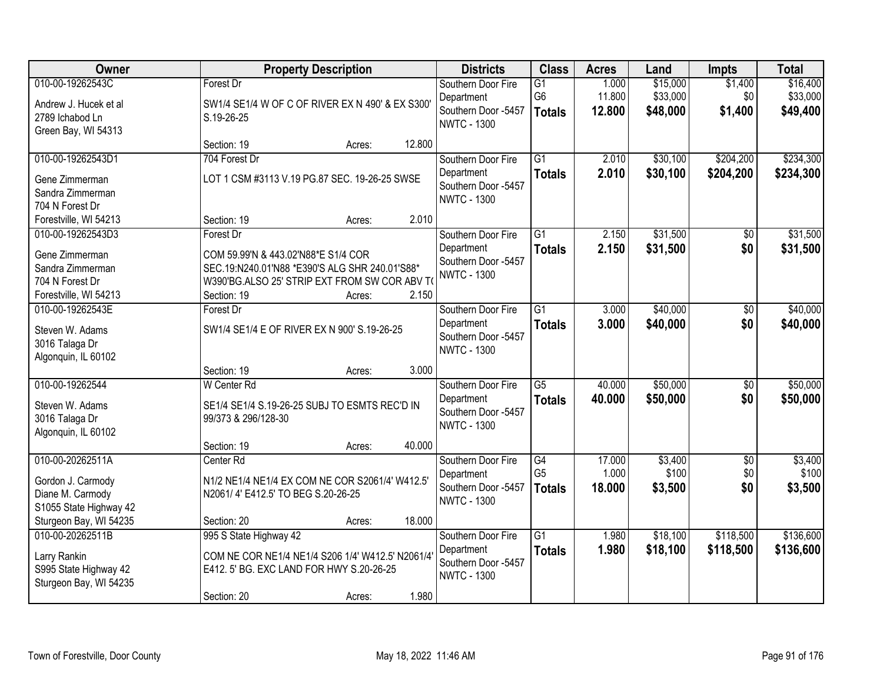| Owner                                                                                               | <b>Property Description</b>                                                                                                                                        |        |        | <b>Districts</b>                                                              | <b>Class</b>                           | <b>Acres</b>              | Land                             | <b>Impts</b>                  | <b>Total</b>                     |
|-----------------------------------------------------------------------------------------------------|--------------------------------------------------------------------------------------------------------------------------------------------------------------------|--------|--------|-------------------------------------------------------------------------------|----------------------------------------|---------------------------|----------------------------------|-------------------------------|----------------------------------|
| 010-00-19262543C<br>Andrew J. Hucek et al<br>2789 Ichabod Ln<br>Green Bay, WI 54313                 | Forest Dr<br>SW1/4 SE1/4 W OF C OF RIVER EX N 490' & EX S300'<br>S.19-26-25                                                                                        |        |        | Southern Door Fire<br>Department<br>Southern Door -5457<br><b>NWTC - 1300</b> | $\overline{G1}$<br>G6<br><b>Totals</b> | 1.000<br>11.800<br>12.800 | \$15,000<br>\$33,000<br>\$48,000 | \$1,400<br>\$0<br>\$1,400     | \$16,400<br>\$33,000<br>\$49,400 |
|                                                                                                     | Section: 19                                                                                                                                                        | Acres: | 12.800 |                                                                               |                                        |                           |                                  |                               |                                  |
| 010-00-19262543D1<br>Gene Zimmerman<br>Sandra Zimmerman<br>704 N Forest Dr                          | 704 Forest Dr<br>LOT 1 CSM #3113 V.19 PG.87 SEC. 19-26-25 SWSE                                                                                                     |        |        | Southern Door Fire<br>Department<br>Southern Door -5457<br><b>NWTC - 1300</b> | $\overline{G1}$<br><b>Totals</b>       | 2.010<br>2.010            | \$30,100<br>\$30,100             | \$204,200<br>\$204,200        | \$234,300<br>\$234,300           |
| Forestville, WI 54213                                                                               | Section: 19                                                                                                                                                        | Acres: | 2.010  |                                                                               |                                        |                           |                                  |                               |                                  |
| 010-00-19262543D3<br>Gene Zimmerman<br>Sandra Zimmerman<br>704 N Forest Dr<br>Forestville, WI 54213 | Forest Dr<br>COM 59.99'N & 443.02'N88*E S1/4 COR<br>SEC.19:N240.01'N88 *E390'S ALG SHR 240.01'S88*<br>W390'BG.ALSO 25' STRIP EXT FROM SW COR ABV TO<br>Section: 19 | Acres: | 2.150  | Southern Door Fire<br>Department<br>Southern Door -5457<br><b>NWTC - 1300</b> | G1<br><b>Totals</b>                    | 2.150<br>2.150            | \$31,500<br>\$31,500             | \$0<br>\$0                    | \$31,500<br>\$31,500             |
| 010-00-19262543E<br>Steven W. Adams<br>3016 Talaga Dr<br>Algonquin, IL 60102                        | Forest Dr<br>SW1/4 SE1/4 E OF RIVER EX N 900' S.19-26-25                                                                                                           |        |        | Southern Door Fire<br>Department<br>Southern Door -5457<br><b>NWTC - 1300</b> | $\overline{G1}$<br><b>Totals</b>       | 3.000<br>3.000            | \$40,000<br>\$40,000             | \$0<br>\$0                    | \$40,000<br>\$40,000             |
| 010-00-19262544<br>Steven W. Adams<br>3016 Talaga Dr<br>Algonquin, IL 60102                         | Section: 19<br>W Center Rd<br>SE1/4 SE1/4 S.19-26-25 SUBJ TO ESMTS REC'D IN<br>99/373 & 296/128-30                                                                 | Acres: | 3.000  | Southern Door Fire<br>Department<br>Southern Door -5457<br><b>NWTC - 1300</b> | $\overline{G5}$<br><b>Totals</b>       | 40.000<br>40.000          | \$50,000<br>\$50,000             | $\overline{50}$<br>\$0        | \$50,000<br>\$50,000             |
|                                                                                                     | Section: 19                                                                                                                                                        | Acres: | 40.000 |                                                                               |                                        |                           |                                  |                               |                                  |
| 010-00-20262511A<br>Gordon J. Carmody<br>Diane M. Carmody<br>S1055 State Highway 42                 | Center Rd<br>N1/2 NE1/4 NE1/4 EX COM NE COR S2061/4' W412.5'<br>N2061/4' E412.5' TO BEG S.20-26-25                                                                 |        | 18.000 | Southern Door Fire<br>Department<br>Southern Door -5457<br><b>NWTC - 1300</b> | G4<br>G <sub>5</sub><br><b>Totals</b>  | 17.000<br>1.000<br>18,000 | \$3,400<br>\$100<br>\$3,500      | $\overline{50}$<br>\$0<br>\$0 | \$3,400<br>\$100<br>\$3,500      |
| Sturgeon Bay, WI 54235<br>010-00-20262511B                                                          | Section: 20<br>995 S State Highway 42                                                                                                                              | Acres: |        | Southern Door Fire                                                            | $\overline{G1}$                        | 1.980                     | \$18,100                         | \$118,500                     | \$136,600                        |
| Larry Rankin<br>S995 State Highway 42<br>Sturgeon Bay, WI 54235                                     | COM NE COR NE1/4 NE1/4 S206 1/4' W412.5' N2061/4'<br>E412. 5' BG. EXC LAND FOR HWY S.20-26-25<br>Section: 20                                                       | Acres: | 1.980  | Department<br>Southern Door -5457<br><b>NWTC - 1300</b>                       | <b>Totals</b>                          | 1.980                     | \$18,100                         | \$118,500                     | \$136,600                        |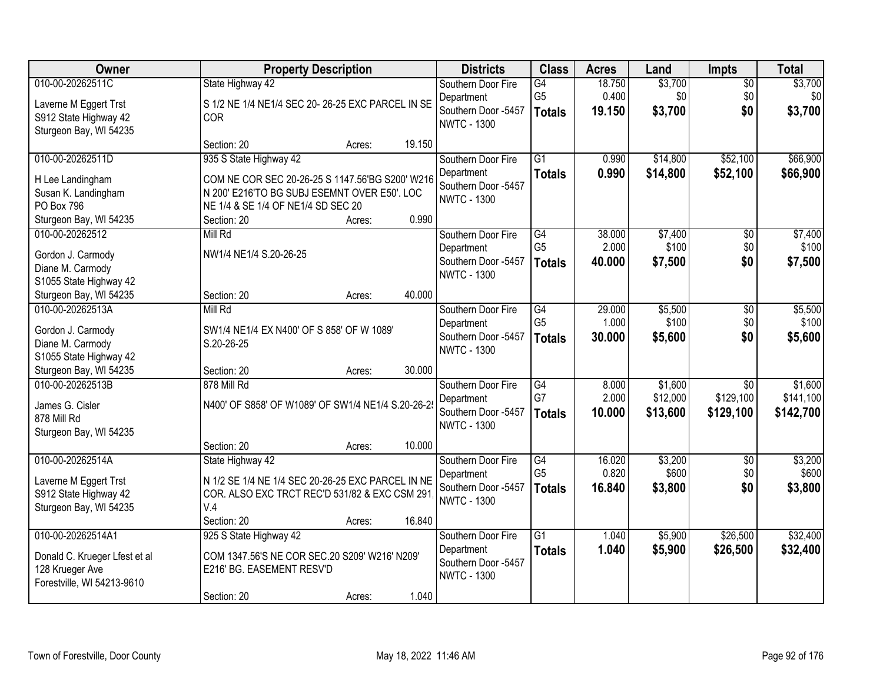| Owner                         | <b>Property Description</b>                       |        |        | <b>Districts</b>                          | <b>Class</b>    | <b>Acres</b> | Land     | <b>Impts</b>    | <b>Total</b> |
|-------------------------------|---------------------------------------------------|--------|--------|-------------------------------------------|-----------------|--------------|----------|-----------------|--------------|
| 010-00-20262511C              | State Highway 42                                  |        |        | Southern Door Fire                        | G4              | 18.750       | \$3,700  | $\sqrt{$0}$     | \$3,700      |
| Laverne M Eggert Trst         | S 1/2 NE 1/4 NE1/4 SEC 20-26-25 EXC PARCEL IN SE  |        |        | Department                                | G <sub>5</sub>  | 0.400        | \$0      | \$0             | \$0          |
| S912 State Highway 42         | <b>COR</b>                                        |        |        | Southern Door -5457<br><b>NWTC - 1300</b> | <b>Totals</b>   | 19.150       | \$3,700  | \$0             | \$3,700      |
| Sturgeon Bay, WI 54235        |                                                   |        |        |                                           |                 |              |          |                 |              |
|                               | Section: 20                                       | Acres: | 19.150 |                                           |                 |              |          |                 |              |
| 010-00-20262511D              | 935 S State Highway 42                            |        |        | Southern Door Fire                        | $\overline{G1}$ | 0.990        | \$14,800 | \$52,100        | \$66,900     |
| H Lee Landingham              | COM NE COR SEC 20-26-25 S 1147.56'BG S200' W216   |        |        | Department<br>Southern Door -5457         | <b>Totals</b>   | 0.990        | \$14,800 | \$52,100        | \$66,900     |
| Susan K. Landingham           | N 200' E216'TO BG SUBJ ESEMNT OVER E50'. LOC      |        |        | <b>NWTC - 1300</b>                        |                 |              |          |                 |              |
| PO Box 796                    | NE 1/4 & SE 1/4 OF NE1/4 SD SEC 20                |        |        |                                           |                 |              |          |                 |              |
| Sturgeon Bay, WI 54235        | Section: 20                                       | Acres: | 0.990  |                                           |                 |              |          |                 |              |
| 010-00-20262512               | Mill Rd                                           |        |        | Southern Door Fire                        | G4              | 38.000       | \$7,400  | \$0             | \$7,400      |
| Gordon J. Carmody             | NW1/4 NE1/4 S.20-26-25                            |        |        | Department                                | G <sub>5</sub>  | 2.000        | \$100    | \$0             | \$100        |
| Diane M. Carmody              |                                                   |        |        | Southern Door -5457<br><b>NWTC - 1300</b> | <b>Totals</b>   | 40.000       | \$7,500  | \$0             | \$7,500      |
| S1055 State Highway 42        |                                                   |        |        |                                           |                 |              |          |                 |              |
| Sturgeon Bay, WI 54235        | Section: 20                                       | Acres: | 40.000 |                                           |                 |              |          |                 |              |
| 010-00-20262513A              | Mill Rd                                           |        |        | Southern Door Fire                        | $\overline{G4}$ | 29.000       | \$5,500  | \$0             | \$5,500      |
| Gordon J. Carmody             | SW1/4 NE1/4 EX N400' OF S 858' OF W 1089'         |        |        | Department                                | G <sub>5</sub>  | 1.000        | \$100    | \$0             | \$100        |
| Diane M. Carmody              | S.20-26-25                                        |        |        | Southern Door -5457<br><b>NWTC - 1300</b> | <b>Totals</b>   | 30.000       | \$5,600  | \$0             | \$5,600      |
| S1055 State Highway 42        |                                                   |        |        |                                           |                 |              |          |                 |              |
| Sturgeon Bay, WI 54235        | Section: 20                                       | Acres: | 30.000 |                                           |                 |              |          |                 |              |
| 010-00-20262513B              | 878 Mill Rd                                       |        |        | Southern Door Fire                        | $\overline{G4}$ | 8.000        | \$1,600  | $\overline{50}$ | \$1,600      |
| James G. Cisler               | N400' OF S858' OF W1089' OF SW1/4 NE1/4 S.20-26-2 |        |        | Department                                | G7              | 2.000        | \$12,000 | \$129,100       | \$141,100    |
| 878 Mill Rd                   |                                                   |        |        | Southern Door -5457<br><b>NWTC - 1300</b> | <b>Totals</b>   | 10.000       | \$13,600 | \$129,100       | \$142,700    |
| Sturgeon Bay, WI 54235        |                                                   |        |        |                                           |                 |              |          |                 |              |
|                               | Section: 20                                       | Acres: | 10.000 |                                           |                 |              |          |                 |              |
| 010-00-20262514A              | State Highway 42                                  |        |        | Southern Door Fire                        | $\overline{G4}$ | 16.020       | \$3,200  | $\overline{50}$ | \$3,200      |
| Laverne M Eggert Trst         | N 1/2 SE 1/4 NE 1/4 SEC 20-26-25 EXC PARCEL IN NE |        |        | Department                                | G <sub>5</sub>  | 0.820        | \$600    | \$0             | \$600        |
| S912 State Highway 42         | COR. ALSO EXC TRCT REC'D 531/82 & EXC CSM 291     |        |        | Southern Door -5457                       | <b>Totals</b>   | 16.840       | \$3,800  | \$0             | \$3,800      |
| Sturgeon Bay, WI 54235        | V.4                                               |        |        | <b>NWTC - 1300</b>                        |                 |              |          |                 |              |
|                               | Section: 20                                       | Acres: | 16.840 |                                           |                 |              |          |                 |              |
| 010-00-20262514A1             | 925 S State Highway 42                            |        |        | Southern Door Fire                        | $\overline{G1}$ | 1.040        | \$5,900  | \$26,500        | \$32,400     |
| Donald C. Krueger Lfest et al | COM 1347.56'S NE COR SEC.20 S209' W216' N209'     |        |        | Department                                | <b>Totals</b>   | 1.040        | \$5,900  | \$26,500        | \$32,400     |
| 128 Krueger Ave               | E216' BG. EASEMENT RESV'D                         |        |        | Southern Door -5457                       |                 |              |          |                 |              |
| Forestville, WI 54213-9610    |                                                   |        |        | <b>NWTC - 1300</b>                        |                 |              |          |                 |              |
|                               | Section: 20                                       | Acres: | 1.040  |                                           |                 |              |          |                 |              |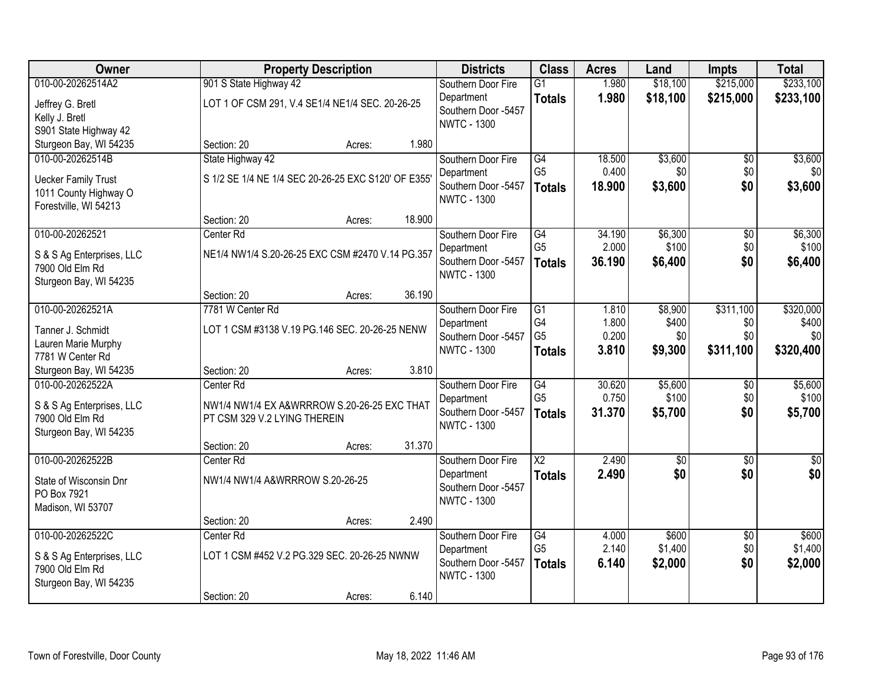| Owner                                                                  | <b>Property Description</b>                                                 |        |        | <b>Districts</b>                                        | <b>Class</b>                          | <b>Acres</b>              | Land                      | <b>Impts</b>           | <b>Total</b>              |
|------------------------------------------------------------------------|-----------------------------------------------------------------------------|--------|--------|---------------------------------------------------------|---------------------------------------|---------------------------|---------------------------|------------------------|---------------------------|
| 010-00-20262514A2                                                      | 901 S State Highway 42                                                      |        |        | Southern Door Fire                                      | $\overline{G1}$                       | 1.980                     | \$18,100                  | \$215,000              | \$233,100                 |
| Jeffrey G. Bretl<br>Kelly J. Bretl<br>S901 State Highway 42            | LOT 1 OF CSM 291, V.4 SE1/4 NE1/4 SEC. 20-26-25                             |        |        | Department<br>Southern Door -5457<br><b>NWTC - 1300</b> | <b>Totals</b>                         | 1.980                     | \$18,100                  | \$215,000              | \$233,100                 |
| Sturgeon Bay, WI 54235                                                 | Section: 20                                                                 | Acres: | 1.980  |                                                         |                                       |                           |                           |                        |                           |
| 010-00-20262514B<br><b>Uecker Family Trust</b>                         | State Highway 42<br>S 1/2 SE 1/4 NE 1/4 SEC 20-26-25 EXC S120' OF E355'     |        |        | Southern Door Fire<br>Department<br>Southern Door -5457 | G4<br>G <sub>5</sub><br><b>Totals</b> | 18.500<br>0.400<br>18.900 | \$3,600<br>\$0<br>\$3,600 | \$0<br>\$0<br>\$0      | \$3,600<br>\$0<br>\$3,600 |
| 1011 County Highway O<br>Forestville, WI 54213                         | Section: 20                                                                 | Acres: | 18.900 | <b>NWTC - 1300</b>                                      |                                       |                           |                           |                        |                           |
| 010-00-20262521                                                        | Center <sub>Rd</sub>                                                        |        |        | Southern Door Fire                                      | G4                                    | 34.190                    | \$6,300                   | \$0                    | \$6,300                   |
| S & S Ag Enterprises, LLC<br>7900 Old Elm Rd<br>Sturgeon Bay, WI 54235 | NE1/4 NW1/4 S.20-26-25 EXC CSM #2470 V.14 PG.357                            |        |        | Department<br>Southern Door -5457<br><b>NWTC - 1300</b> | G <sub>5</sub><br><b>Totals</b>       | 2.000<br>36.190           | \$100<br>\$6,400          | \$0<br>\$0             | \$100<br>\$6,400          |
|                                                                        | Section: 20                                                                 | Acres: | 36.190 |                                                         |                                       |                           |                           |                        |                           |
| 010-00-20262521A                                                       | 7781 W Center Rd                                                            |        |        | Southern Door Fire<br>Department                        | G1<br>G4                              | 1.810<br>1.800            | \$8,900<br>\$400          | \$311,100<br>\$0       | \$320,000<br>\$400        |
| Tanner J. Schmidt                                                      | LOT 1 CSM #3138 V.19 PG.146 SEC. 20-26-25 NENW                              |        |        | Southern Door -5457                                     | G <sub>5</sub>                        | 0.200                     | \$0                       | \$0                    | \$0                       |
| Lauren Marie Murphy<br>7781 W Center Rd                                |                                                                             |        |        | <b>NWTC - 1300</b>                                      | <b>Totals</b>                         | 3.810                     | \$9,300                   | \$311,100              | \$320,400                 |
| Sturgeon Bay, WI 54235                                                 | Section: 20                                                                 | Acres: | 3.810  |                                                         |                                       |                           |                           |                        |                           |
| 010-00-20262522A                                                       | Center Rd                                                                   |        |        | Southern Door Fire<br>Department                        | $\overline{G4}$<br>G <sub>5</sub>     | 30.620<br>0.750           | \$5,600<br>\$100          | $\overline{50}$<br>\$0 | \$5,600<br>\$100          |
| S & S Ag Enterprises, LLC<br>7900 Old Elm Rd<br>Sturgeon Bay, WI 54235 | NW1/4 NW1/4 EX A&WRRROW S.20-26-25 EXC THAT<br>PT CSM 329 V.2 LYING THEREIN |        |        | Southern Door -5457<br><b>NWTC - 1300</b>               | <b>Totals</b>                         | 31.370                    | \$5,700                   | \$0                    | \$5,700                   |
|                                                                        | Section: 20                                                                 | Acres: | 31.370 |                                                         |                                       |                           |                           |                        |                           |
| 010-00-20262522B                                                       | Center Rd                                                                   |        |        | Southern Door Fire                                      | $\overline{\text{X2}}$                | 2.490                     | $\overline{60}$           | $\overline{50}$        | \$0                       |
| State of Wisconsin Dnr<br>PO Box 7921<br>Madison, WI 53707             | NW1/4 NW1/4 A&WRRROW S.20-26-25                                             |        |        | Department<br>Southern Door -5457<br><b>NWTC - 1300</b> | <b>Totals</b>                         | 2.490                     | \$0                       | \$0                    | \$0                       |
|                                                                        | Section: 20                                                                 | Acres: | 2.490  |                                                         |                                       |                           |                           |                        |                           |
| 010-00-20262522C                                                       | Center Rd                                                                   |        |        | Southern Door Fire                                      | G4                                    | 4.000                     | \$600                     | $\overline{50}$        | \$600                     |
| S & S Ag Enterprises, LLC<br>7900 Old Elm Rd<br>Sturgeon Bay, WI 54235 | LOT 1 CSM #452 V.2 PG.329 SEC. 20-26-25 NWNW                                |        |        | Department<br>Southern Door -5457<br><b>NWTC - 1300</b> | G <sub>5</sub><br><b>Totals</b>       | 2.140<br>6.140            | \$1,400<br>\$2,000        | \$0<br>\$0             | \$1,400<br>\$2,000        |
|                                                                        | Section: 20                                                                 | Acres: | 6.140  |                                                         |                                       |                           |                           |                        |                           |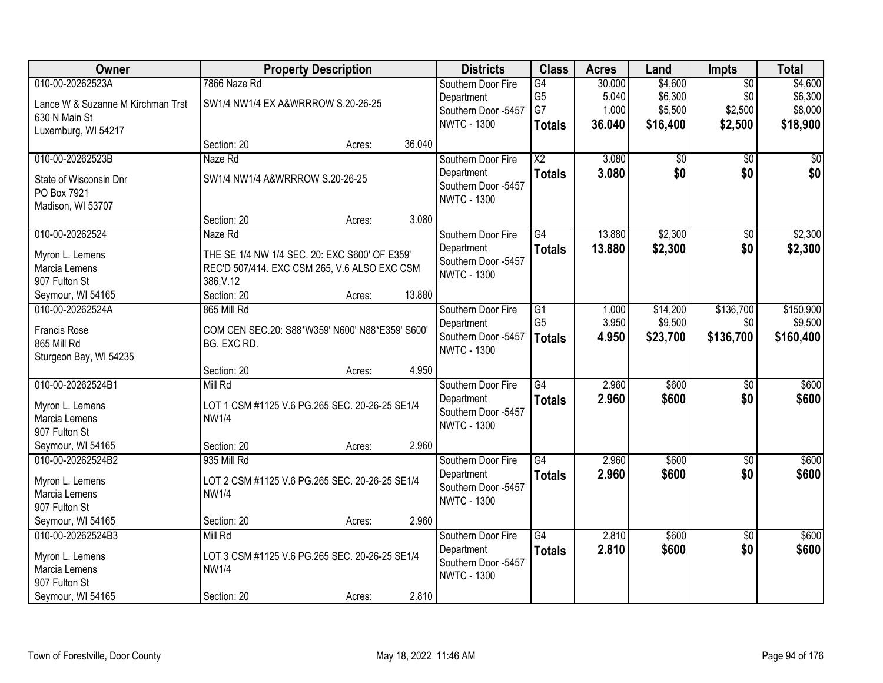| <b>Owner</b>                      |                                                 | <b>Property Description</b> |        | <b>Districts</b>                          | <b>Class</b>           | <b>Acres</b> | Land            | <b>Impts</b>    | <b>Total</b> |
|-----------------------------------|-------------------------------------------------|-----------------------------|--------|-------------------------------------------|------------------------|--------------|-----------------|-----------------|--------------|
| 010-00-20262523A                  | 7866 Naze Rd                                    |                             |        | Southern Door Fire                        | $\overline{G4}$        | 30.000       | \$4,600         | $\overline{50}$ | \$4,600      |
| Lance W & Suzanne M Kirchman Trst | SW1/4 NW1/4 EX A&WRRROW S.20-26-25              |                             |        | Department                                | G <sub>5</sub>         | 5.040        | \$6,300         | \$0             | \$6,300      |
| 630 N Main St                     |                                                 |                             |        | Southern Door -5457                       | G7                     | 1.000        | \$5,500         | \$2,500         | \$8,000      |
| Luxemburg, WI 54217               |                                                 |                             |        | <b>NWTC - 1300</b>                        | <b>Totals</b>          | 36.040       | \$16,400        | \$2,500         | \$18,900     |
|                                   | Section: 20                                     | Acres:                      | 36.040 |                                           |                        |              |                 |                 |              |
| 010-00-20262523B                  | Naze Rd                                         |                             |        | Southern Door Fire                        | $\overline{\text{X2}}$ | 3.080        | $\overline{50}$ | $\overline{50}$ | \$0          |
| State of Wisconsin Dnr            | SW1/4 NW1/4 A&WRRROW S.20-26-25                 |                             |        | Department                                | <b>Totals</b>          | 3.080        | \$0             | \$0             | \$0          |
| PO Box 7921                       |                                                 |                             |        | Southern Door -5457                       |                        |              |                 |                 |              |
| Madison, WI 53707                 |                                                 |                             |        | <b>NWTC - 1300</b>                        |                        |              |                 |                 |              |
|                                   | Section: 20                                     | Acres:                      | 3.080  |                                           |                        |              |                 |                 |              |
| 010-00-20262524                   | Naze Rd                                         |                             |        | Southern Door Fire                        | G4                     | 13.880       | \$2,300         | \$0             | \$2,300      |
| Myron L. Lemens                   | THE SE 1/4 NW 1/4 SEC. 20: EXC S600' OF E359'   |                             |        | Department                                | <b>Totals</b>          | 13.880       | \$2,300         | \$0             | \$2,300      |
| Marcia Lemens                     | REC'D 507/414. EXC CSM 265, V.6 ALSO EXC CSM    |                             |        | Southern Door -5457                       |                        |              |                 |                 |              |
| 907 Fulton St                     | 386, V.12                                       |                             |        | <b>NWTC - 1300</b>                        |                        |              |                 |                 |              |
| Seymour, WI 54165                 | Section: 20                                     | Acres:                      | 13.880 |                                           |                        |              |                 |                 |              |
| 010-00-20262524A                  | 865 Mill Rd                                     |                             |        | Southern Door Fire                        | G1                     | 1.000        | \$14,200        | \$136,700       | \$150,900    |
|                                   |                                                 |                             |        | Department                                | G <sub>5</sub>         | 3.950        | \$9,500         | \$0             | \$9,500      |
| Francis Rose                      | COM CEN SEC.20: S88*W359' N600' N88*E359' S600' |                             |        | Southern Door -5457                       | <b>Totals</b>          | 4.950        | \$23,700        | \$136,700       | \$160,400    |
| 865 Mill Rd                       | BG. EXC RD.                                     |                             |        | <b>NWTC - 1300</b>                        |                        |              |                 |                 |              |
| Sturgeon Bay, WI 54235            |                                                 |                             |        |                                           |                        |              |                 |                 |              |
|                                   | Section: 20                                     | Acres:                      | 4.950  |                                           |                        |              |                 |                 |              |
| 010-00-20262524B1                 | Mill Rd                                         |                             |        | Southern Door Fire                        | $\overline{G4}$        | 2.960        | \$600           | $\overline{50}$ | \$600        |
| Myron L. Lemens                   | LOT 1 CSM #1125 V.6 PG.265 SEC. 20-26-25 SE1/4  |                             |        | Department                                | <b>Totals</b>          | 2.960        | \$600           | \$0             | \$600        |
| Marcia Lemens                     | <b>NW1/4</b>                                    |                             |        | Southern Door -5457<br><b>NWTC - 1300</b> |                        |              |                 |                 |              |
| 907 Fulton St                     |                                                 |                             |        |                                           |                        |              |                 |                 |              |
| Seymour, WI 54165                 | Section: 20                                     | Acres:                      | 2.960  |                                           |                        |              |                 |                 |              |
| 010-00-20262524B2                 | 935 Mill Rd                                     |                             |        | Southern Door Fire                        | $\overline{G4}$        | 2.960        | \$600           | $\overline{60}$ | \$600        |
| Myron L. Lemens                   | LOT 2 CSM #1125 V.6 PG.265 SEC. 20-26-25 SE1/4  |                             |        | Department                                | <b>Totals</b>          | 2.960        | \$600           | \$0             | \$600        |
| Marcia Lemens                     | <b>NW1/4</b>                                    |                             |        | Southern Door -5457                       |                        |              |                 |                 |              |
| 907 Fulton St                     |                                                 |                             |        | <b>NWTC - 1300</b>                        |                        |              |                 |                 |              |
| Seymour, WI 54165                 | Section: 20                                     | Acres:                      | 2.960  |                                           |                        |              |                 |                 |              |
| 010-00-20262524B3                 | Mill Rd                                         |                             |        | Southern Door Fire                        | $\overline{G4}$        | 2.810        | \$600           | $\overline{50}$ | \$600        |
| Myron L. Lemens                   | LOT 3 CSM #1125 V.6 PG.265 SEC. 20-26-25 SE1/4  |                             |        | Department                                | <b>Totals</b>          | 2.810        | \$600           | \$0             | \$600        |
| Marcia Lemens                     | NW1/4                                           |                             |        | Southern Door -5457                       |                        |              |                 |                 |              |
| 907 Fulton St                     |                                                 |                             |        | <b>NWTC - 1300</b>                        |                        |              |                 |                 |              |
| Seymour, WI 54165                 | Section: 20                                     | Acres:                      | 2.810  |                                           |                        |              |                 |                 |              |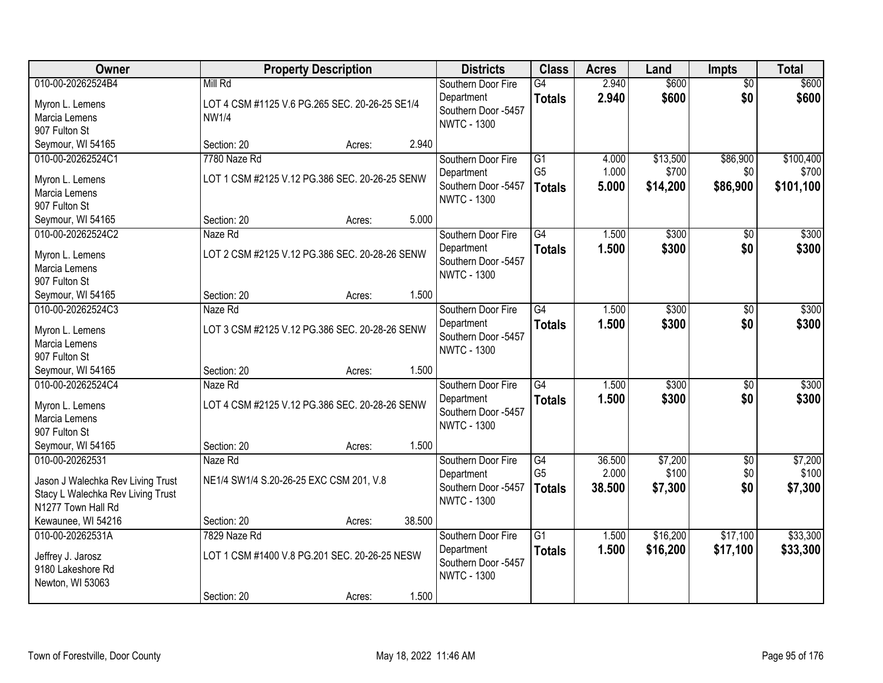| Owner                                                                                                           | <b>Property Description</b>                                               | <b>Districts</b>                                                              | <b>Class</b>                                       | <b>Acres</b>              | Land                          | <b>Impts</b>                  | <b>Total</b>                    |
|-----------------------------------------------------------------------------------------------------------------|---------------------------------------------------------------------------|-------------------------------------------------------------------------------|----------------------------------------------------|---------------------------|-------------------------------|-------------------------------|---------------------------------|
| 010-00-20262524B4<br>Myron L. Lemens<br>Marcia Lemens<br>907 Fulton St                                          | Mill Rd<br>LOT 4 CSM #1125 V.6 PG.265 SEC. 20-26-25 SE1/4<br><b>NW1/4</b> | Southern Door Fire<br>Department<br>Southern Door -5457<br><b>NWTC - 1300</b> | $\overline{G4}$<br><b>Totals</b>                   | 2.940<br>2.940            | \$600<br>\$600                | \$0<br>\$0                    | \$600<br>\$600                  |
| Seymour, WI 54165                                                                                               | 2.940<br>Section: 20<br>Acres:                                            |                                                                               |                                                    |                           |                               |                               |                                 |
| 010-00-20262524C1<br>Myron L. Lemens<br>Marcia Lemens<br>907 Fulton St                                          | 7780 Naze Rd<br>LOT 1 CSM #2125 V.12 PG.386 SEC. 20-26-25 SENW            | Southern Door Fire<br>Department<br>Southern Door -5457<br><b>NWTC - 1300</b> | $\overline{G1}$<br>G <sub>5</sub><br><b>Totals</b> | 4.000<br>1.000<br>5.000   | \$13,500<br>\$700<br>\$14,200 | \$86,900<br>\$0<br>\$86,900   | \$100,400<br>\$700<br>\$101,100 |
| Seymour, WI 54165                                                                                               | 5.000<br>Section: 20<br>Acres:                                            |                                                                               |                                                    |                           |                               |                               |                                 |
| 010-00-20262524C2<br>Myron L. Lemens<br>Marcia Lemens<br>907 Fulton St                                          | Naze Rd<br>LOT 2 CSM #2125 V.12 PG.386 SEC. 20-28-26 SENW                 | Southern Door Fire<br>Department<br>Southern Door -5457<br><b>NWTC - 1300</b> | G4<br><b>Totals</b>                                | 1.500<br>1.500            | \$300<br>\$300                | \$0<br>\$0                    | \$300<br>\$300                  |
| Seymour, WI 54165                                                                                               | 1.500<br>Section: 20<br>Acres:                                            |                                                                               |                                                    |                           |                               |                               |                                 |
| 010-00-20262524C3<br>Myron L. Lemens<br>Marcia Lemens<br>907 Fulton St                                          | Naze Rd<br>LOT 3 CSM #2125 V.12 PG.386 SEC. 20-28-26 SENW                 | Southern Door Fire<br>Department<br>Southern Door -5457<br><b>NWTC - 1300</b> | G4<br><b>Totals</b>                                | 1.500<br>1.500            | \$300<br>\$300                | $\sqrt{6}$<br>\$0             | \$300<br>\$300                  |
| Seymour, WI 54165                                                                                               | 1.500<br>Section: 20<br>Acres:                                            |                                                                               |                                                    |                           |                               |                               |                                 |
| 010-00-20262524C4<br>Myron L. Lemens<br>Marcia Lemens<br>907 Fulton St                                          | Naze Rd<br>LOT 4 CSM #2125 V.12 PG.386 SEC. 20-28-26 SENW                 | Southern Door Fire<br>Department<br>Southern Door -5457<br><b>NWTC - 1300</b> | $\overline{G4}$<br><b>Totals</b>                   | 1.500<br>1.500            | \$300<br>\$300                | $\overline{50}$<br>\$0        | \$300<br>\$300                  |
| Seymour, WI 54165                                                                                               | 1.500<br>Section: 20<br>Acres:                                            |                                                                               |                                                    |                           |                               |                               |                                 |
| 010-00-20262531<br>Jason J Walechka Rev Living Trust<br>Stacy L Walechka Rev Living Trust<br>N1277 Town Hall Rd | Naze Rd<br>NE1/4 SW1/4 S.20-26-25 EXC CSM 201, V.8                        | Southern Door Fire<br>Department<br>Southern Door -5457<br><b>NWTC - 1300</b> | G4<br>G <sub>5</sub><br><b>Totals</b>              | 36.500<br>2.000<br>38.500 | \$7,200<br>\$100<br>\$7,300   | $\overline{50}$<br>\$0<br>\$0 | \$7,200<br>\$100<br>\$7,300     |
| Kewaunee, WI 54216                                                                                              | 38.500<br>Section: 20<br>Acres:                                           |                                                                               |                                                    |                           |                               |                               |                                 |
| 010-00-20262531A<br>Jeffrey J. Jarosz<br>9180 Lakeshore Rd<br>Newton, WI 53063                                  | 7829 Naze Rd<br>LOT 1 CSM #1400 V.8 PG.201 SEC. 20-26-25 NESW             | Southern Door Fire<br>Department<br>Southern Door -5457<br><b>NWTC - 1300</b> | $\overline{G1}$<br><b>Totals</b>                   | 1.500<br>1.500            | \$16,200<br>\$16,200          | \$17,100<br>\$17,100          | \$33,300<br>\$33,300            |
|                                                                                                                 | 1.500<br>Section: 20<br>Acres:                                            |                                                                               |                                                    |                           |                               |                               |                                 |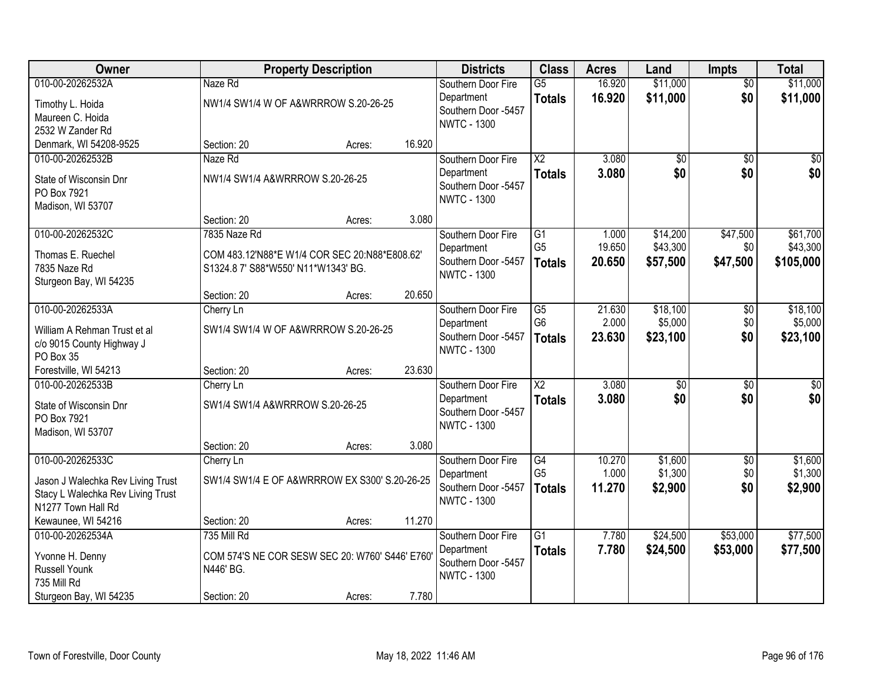| Owner                                                                                        |                                                                                      | <b>Property Description</b> |        | <b>Districts</b>                                        | <b>Class</b>                     | <b>Acres</b>     | Land                 | <b>Impts</b>           | <b>Total</b>          |
|----------------------------------------------------------------------------------------------|--------------------------------------------------------------------------------------|-----------------------------|--------|---------------------------------------------------------|----------------------------------|------------------|----------------------|------------------------|-----------------------|
| 010-00-20262532A                                                                             | Naze Rd                                                                              |                             |        | Southern Door Fire<br>Department                        | $\overline{G5}$<br><b>Totals</b> | 16.920<br>16.920 | \$11,000<br>\$11,000 | $\overline{50}$<br>\$0 | \$11,000<br>\$11,000  |
| Timothy L. Hoida<br>Maureen C. Hoida                                                         | NW1/4 SW1/4 W OF A&WRRROW S.20-26-25                                                 |                             |        | Southern Door -5457                                     |                                  |                  |                      |                        |                       |
| 2532 W Zander Rd                                                                             |                                                                                      |                             |        | <b>NWTC - 1300</b>                                      |                                  |                  |                      |                        |                       |
| Denmark, WI 54208-9525                                                                       | Section: 20                                                                          | Acres:                      | 16.920 |                                                         |                                  |                  |                      |                        |                       |
| 010-00-20262532B                                                                             | Naze Rd                                                                              |                             |        | Southern Door Fire                                      | $\overline{\text{X2}}$           | 3.080            | \$0                  | $\overline{50}$        | $\overline{50}$       |
| State of Wisconsin Dnr<br>PO Box 7921<br>Madison, WI 53707                                   | NW1/4 SW1/4 A&WRRROW S.20-26-25                                                      |                             |        | Department<br>Southern Door -5457<br><b>NWTC - 1300</b> | <b>Totals</b>                    | 3.080            | \$0                  | \$0                    | \$0                   |
|                                                                                              | Section: 20                                                                          | Acres:                      | 3.080  |                                                         |                                  |                  |                      |                        |                       |
| 010-00-20262532C                                                                             | 7835 Naze Rd                                                                         |                             |        | Southern Door Fire                                      | G1                               | 1.000            | \$14,200             | \$47,500               | \$61,700              |
| Thomas E. Ruechel<br>7835 Naze Rd<br>Sturgeon Bay, WI 54235                                  | COM 483.12'N88*E W1/4 COR SEC 20:N88*E808.62'<br>S1324.8 7' S88*W550' N11*W1343' BG. |                             |        | Department<br>Southern Door -5457<br><b>NWTC - 1300</b> | G <sub>5</sub><br><b>Totals</b>  | 19.650<br>20.650 | \$43,300<br>\$57,500 | \$0<br>\$47,500        | \$43,300<br>\$105,000 |
|                                                                                              | Section: 20                                                                          | Acres:                      | 20.650 |                                                         |                                  |                  |                      |                        |                       |
| 010-00-20262533A                                                                             | Cherry Ln                                                                            |                             |        | Southern Door Fire                                      | G5                               | 21.630           | \$18,100             | \$0                    | \$18,100              |
| William A Rehman Trust et al<br>c/o 9015 County Highway J<br>PO Box 35                       | SW1/4 SW1/4 W OF A&WRRROW S.20-26-25                                                 |                             |        | Department<br>Southern Door -5457<br><b>NWTC - 1300</b> | G <sub>6</sub><br><b>Totals</b>  | 2.000<br>23.630  | \$5,000<br>\$23,100  | \$0<br>\$0             | \$5,000<br>\$23,100   |
| Forestville, WI 54213                                                                        | Section: 20                                                                          | Acres:                      | 23.630 |                                                         |                                  |                  |                      |                        |                       |
| 010-00-20262533B                                                                             | Cherry Ln                                                                            |                             |        | Southern Door Fire                                      | $\overline{\text{X2}}$           | 3.080            | $\overline{50}$      | $\overline{50}$        | $\overline{50}$       |
| State of Wisconsin Dnr<br>PO Box 7921<br>Madison, WI 53707                                   | SW1/4 SW1/4 A&WRRROW S.20-26-25                                                      |                             |        | Department<br>Southern Door -5457<br><b>NWTC - 1300</b> | <b>Totals</b>                    | 3.080            | \$0                  | \$0                    | \$0                   |
|                                                                                              | Section: 20                                                                          | Acres:                      | 3.080  |                                                         |                                  |                  |                      |                        |                       |
| 010-00-20262533C                                                                             | Cherry Ln                                                                            |                             |        | Southern Door Fire                                      | G4                               | 10.270           | \$1,600              | $\overline{50}$        | \$1,600               |
| Jason J Walechka Rev Living Trust<br>Stacy L Walechka Rev Living Trust<br>N1277 Town Hall Rd | SW1/4 SW1/4 E OF A&WRRROW EX S300' S.20-26-25                                        |                             |        | Department<br>Southern Door -5457<br><b>NWTC - 1300</b> | G <sub>5</sub><br><b>Totals</b>  | 1.000<br>11.270  | \$1,300<br>\$2,900   | \$0<br>\$0             | \$1,300<br>\$2,900    |
| Kewaunee, WI 54216                                                                           | Section: 20                                                                          | Acres:                      | 11.270 |                                                         |                                  |                  |                      |                        |                       |
| 010-00-20262534A                                                                             | 735 Mill Rd                                                                          |                             |        | Southern Door Fire                                      | $\overline{G1}$                  | 7.780            | \$24,500             | \$53,000               | \$77,500              |
| Yvonne H. Denny<br><b>Russell Younk</b><br>735 Mill Rd                                       | COM 574'S NE COR SESW SEC 20: W760' S446' E760'<br>N446' BG.                         |                             |        | Department<br>Southern Door -5457<br><b>NWTC - 1300</b> | <b>Totals</b>                    | 7.780            | \$24,500             | \$53,000               | \$77,500              |
| Sturgeon Bay, WI 54235                                                                       | Section: 20                                                                          | Acres:                      | 7.780  |                                                         |                                  |                  |                      |                        |                       |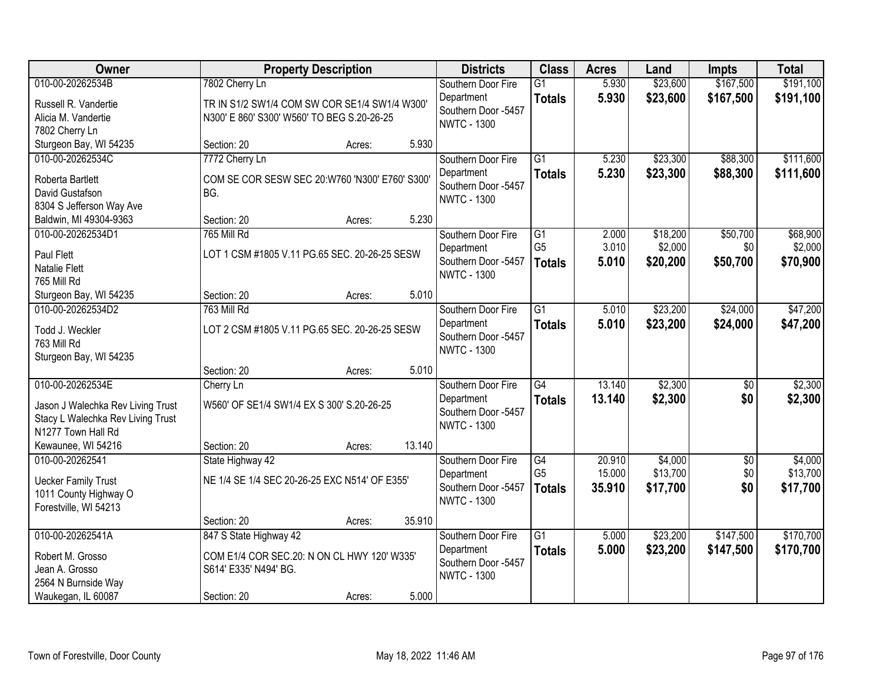| Owner                                                                                                            | <b>Property Description</b>                                                                                   |        |        | <b>Districts</b>                                                              | <b>Class</b>                                       | <b>Acres</b>               | Land                            | <b>Impts</b>                | <b>Total</b>                    |
|------------------------------------------------------------------------------------------------------------------|---------------------------------------------------------------------------------------------------------------|--------|--------|-------------------------------------------------------------------------------|----------------------------------------------------|----------------------------|---------------------------------|-----------------------------|---------------------------------|
| 010-00-20262534B<br>Russell R. Vandertie<br>Alicia M. Vandertie<br>7802 Cherry Ln                                | 7802 Cherry Ln<br>TR IN S1/2 SW1/4 COM SW COR SE1/4 SW1/4 W300'<br>N300' E 860' S300' W560' TO BEG S.20-26-25 |        |        | Southern Door Fire<br>Department<br>Southern Door -5457<br><b>NWTC - 1300</b> | $\overline{G1}$<br><b>Totals</b>                   | 5.930<br>5.930             | \$23,600<br>\$23,600            | \$167,500<br>\$167,500      | \$191,100<br>\$191,100          |
| Sturgeon Bay, WI 54235                                                                                           | Section: 20                                                                                                   | Acres: | 5.930  |                                                                               |                                                    |                            |                                 |                             |                                 |
| 010-00-20262534C<br>Roberta Bartlett<br>David Gustafson<br>8304 S Jefferson Way Ave                              | 7772 Cherry Ln<br>COM SE COR SESW SEC 20:W760 'N300' E760' S300'<br>BG.                                       |        |        | Southern Door Fire<br>Department<br>Southern Door -5457<br><b>NWTC - 1300</b> | $\overline{G1}$<br><b>Totals</b>                   | 5.230<br>5.230             | \$23,300<br>\$23,300            | \$88,300<br>\$88,300        | \$111,600<br>\$111,600          |
| Baldwin, MI 49304-9363                                                                                           | Section: 20                                                                                                   | Acres: | 5.230  |                                                                               |                                                    |                            |                                 |                             |                                 |
| 010-00-20262534D1<br>Paul Flett<br>Natalie Flett<br>765 Mill Rd                                                  | 765 Mill Rd<br>LOT 1 CSM #1805 V.11 PG.65 SEC. 20-26-25 SESW                                                  |        |        | Southern Door Fire<br>Department<br>Southern Door -5457<br><b>NWTC - 1300</b> | $\overline{G1}$<br>G <sub>5</sub><br><b>Totals</b> | 2.000<br>3.010<br>5.010    | \$18,200<br>\$2,000<br>\$20,200 | \$50,700<br>\$0<br>\$50,700 | \$68,900<br>\$2,000<br>\$70,900 |
| Sturgeon Bay, WI 54235                                                                                           | Section: 20                                                                                                   | Acres: | 5.010  |                                                                               |                                                    |                            |                                 |                             |                                 |
| 010-00-20262534D2<br>Todd J. Weckler<br>763 Mill Rd<br>Sturgeon Bay, WI 54235                                    | 763 Mill Rd<br>LOT 2 CSM #1805 V.11 PG.65 SEC. 20-26-25 SESW                                                  |        |        | Southern Door Fire<br>Department<br>Southern Door -5457<br><b>NWTC - 1300</b> | $\overline{G1}$<br><b>Totals</b>                   | 5.010<br>5.010             | \$23,200<br>\$23,200            | \$24,000<br>\$24,000        | \$47,200<br>\$47,200            |
|                                                                                                                  | Section: 20                                                                                                   | Acres: | 5.010  |                                                                               |                                                    |                            |                                 |                             |                                 |
| 010-00-20262534E<br>Jason J Walechka Rev Living Trust<br>Stacy L Walechka Rev Living Trust<br>N1277 Town Hall Rd | Cherry Ln<br>W560' OF SE1/4 SW1/4 EX S 300' S.20-26-25                                                        |        |        | Southern Door Fire<br>Department<br>Southern Door -5457<br><b>NWTC - 1300</b> | $\overline{G4}$<br><b>Totals</b>                   | 13.140<br>13.140           | \$2,300<br>\$2,300              | $\overline{50}$<br>\$0      | \$2,300<br>\$2,300              |
| Kewaunee, WI 54216                                                                                               | Section: 20                                                                                                   | Acres: | 13.140 |                                                                               |                                                    |                            |                                 |                             |                                 |
| 010-00-20262541<br><b>Uecker Family Trust</b><br>1011 County Highway O<br>Forestville, WI 54213                  | State Highway 42<br>NE 1/4 SE 1/4 SEC 20-26-25 EXC N514' OF E355'                                             |        |        | Southern Door Fire<br>Department<br>Southern Door -5457<br><b>NWTC - 1300</b> | $\overline{G4}$<br>G <sub>5</sub><br><b>Totals</b> | 20.910<br>15.000<br>35.910 | \$4,000<br>\$13,700<br>\$17,700 | $\sqrt{6}$<br>\$0<br>\$0    | \$4,000<br>\$13,700<br>\$17,700 |
|                                                                                                                  | Section: 20                                                                                                   | Acres: | 35.910 |                                                                               |                                                    |                            |                                 |                             |                                 |
| 010-00-20262541A<br>Robert M. Grosso<br>Jean A. Grosso<br>2564 N Burnside Way<br>Waukegan, IL 60087              | 847 S State Highway 42<br>COM E1/4 COR SEC.20: N ON CL HWY 120' W335'<br>S614' E335' N494' BG.<br>Section: 20 | Acres: | 5.000  | Southern Door Fire<br>Department<br>Southern Door -5457<br><b>NWTC - 1300</b> | $\overline{G1}$<br><b>Totals</b>                   | 5.000<br>5.000             | \$23,200<br>\$23,200            | \$147,500<br>\$147,500      | \$170,700<br>\$170,700          |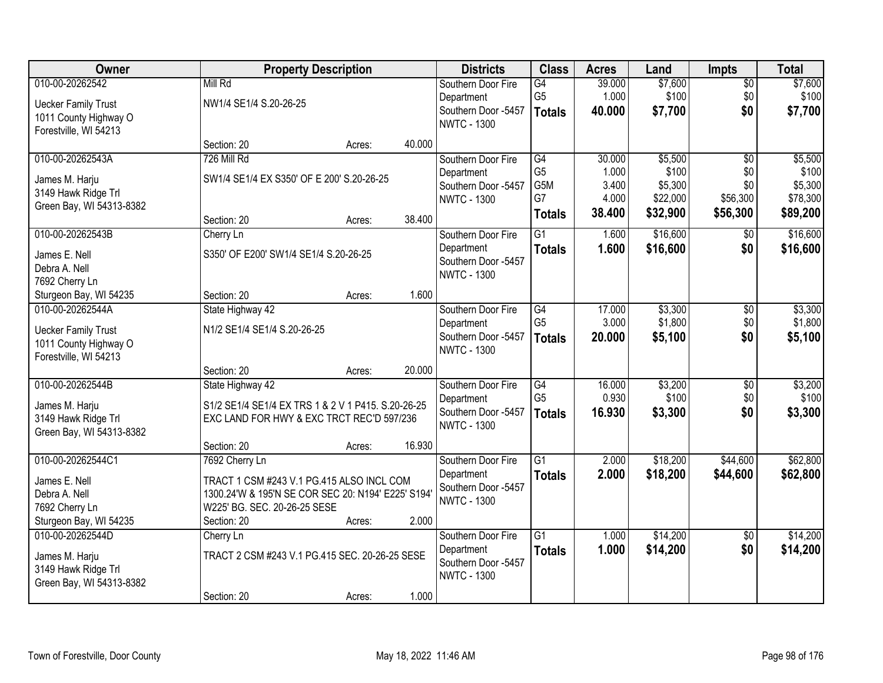| Owner                      |                                                    | <b>Property Description</b> |        | <b>Districts</b>    | <b>Class</b>    | <b>Acres</b> | Land     | <b>Impts</b>    | <b>Total</b> |
|----------------------------|----------------------------------------------------|-----------------------------|--------|---------------------|-----------------|--------------|----------|-----------------|--------------|
| 010-00-20262542            | Mill Rd                                            |                             |        | Southern Door Fire  | G4              | 39.000       | \$7,600  | $\sqrt{$0}$     | \$7,600      |
| <b>Uecker Family Trust</b> | NW1/4 SE1/4 S.20-26-25                             |                             |        | Department          | G <sub>5</sub>  | 1.000        | \$100    | \$0             | \$100        |
| 1011 County Highway O      |                                                    |                             |        | Southern Door -5457 | <b>Totals</b>   | 40.000       | \$7,700  | \$0             | \$7,700      |
| Forestville, WI 54213      |                                                    |                             |        | <b>NWTC - 1300</b>  |                 |              |          |                 |              |
|                            | Section: 20                                        | Acres:                      | 40.000 |                     |                 |              |          |                 |              |
| 010-00-20262543A           | 726 Mill Rd                                        |                             |        | Southern Door Fire  | G4              | 30.000       | \$5,500  | $\overline{50}$ | \$5,500      |
| James M. Harju             | SW1/4 SE1/4 EX S350' OF E 200' S.20-26-25          |                             |        | Department          | G <sub>5</sub>  | 1.000        | \$100    | \$0             | \$100        |
| 3149 Hawk Ridge Trl        |                                                    |                             |        | Southern Door -5457 | G5M             | 3.400        | \$5,300  | \$0             | \$5,300      |
| Green Bay, WI 54313-8382   |                                                    |                             |        | <b>NWTC - 1300</b>  | G7              | 4.000        | \$22,000 | \$56,300        | \$78,300     |
|                            | Section: 20                                        | Acres:                      | 38.400 |                     | <b>Totals</b>   | 38.400       | \$32,900 | \$56,300        | \$89,200     |
| 010-00-20262543B           | Cherry Ln                                          |                             |        | Southern Door Fire  | G1              | 1.600        | \$16,600 | \$0             | \$16,600     |
| James E. Nell              | S350' OF E200' SW1/4 SE1/4 S.20-26-25              |                             |        | Department          | <b>Totals</b>   | 1.600        | \$16,600 | \$0             | \$16,600     |
| Debra A. Nell              |                                                    |                             |        | Southern Door -5457 |                 |              |          |                 |              |
| 7692 Cherry Ln             |                                                    |                             |        | <b>NWTC - 1300</b>  |                 |              |          |                 |              |
| Sturgeon Bay, WI 54235     | Section: 20                                        | Acres:                      | 1.600  |                     |                 |              |          |                 |              |
| 010-00-20262544A           | State Highway 42                                   |                             |        | Southern Door Fire  | G4              | 17.000       | \$3,300  | \$0             | \$3,300      |
| <b>Uecker Family Trust</b> | N1/2 SE1/4 SE1/4 S.20-26-25                        |                             |        | Department          | G <sub>5</sub>  | 3.000        | \$1,800  | \$0             | \$1,800      |
| 1011 County Highway O      |                                                    |                             |        | Southern Door -5457 | <b>Totals</b>   | 20.000       | \$5,100  | \$0             | \$5,100      |
| Forestville, WI 54213      |                                                    |                             |        | <b>NWTC - 1300</b>  |                 |              |          |                 |              |
|                            | Section: 20                                        | Acres:                      | 20.000 |                     |                 |              |          |                 |              |
| 010-00-20262544B           | State Highway 42                                   |                             |        | Southern Door Fire  | $\overline{G4}$ | 16.000       | \$3,200  | $\overline{50}$ | \$3,200      |
| James M. Harju             | S1/2 SE1/4 SE1/4 EX TRS 1 & 2 V 1 P415. S.20-26-25 |                             |        | Department          | G <sub>5</sub>  | 0.930        | \$100    | \$0             | \$100        |
| 3149 Hawk Ridge Trl        | EXC LAND FOR HWY & EXC TRCT REC'D 597/236          |                             |        | Southern Door -5457 | <b>Totals</b>   | 16.930       | \$3,300  | \$0             | \$3,300      |
| Green Bay, WI 54313-8382   |                                                    |                             |        | <b>NWTC - 1300</b>  |                 |              |          |                 |              |
|                            | Section: 20                                        | Acres:                      | 16.930 |                     |                 |              |          |                 |              |
| 010-00-20262544C1          | 7692 Cherry Ln                                     |                             |        | Southern Door Fire  | $\overline{G1}$ | 2.000        | \$18,200 | \$44,600        | \$62,800     |
| James E. Nell              | TRACT 1 CSM #243 V.1 PG.415 ALSO INCL COM          |                             |        | Department          | <b>Totals</b>   | 2.000        | \$18,200 | \$44,600        | \$62,800     |
| Debra A. Nell              | 1300.24'W & 195'N SE COR SEC 20: N194' E225' S194' |                             |        | Southern Door -5457 |                 |              |          |                 |              |
| 7692 Cherry Ln             | W225' BG. SEC. 20-26-25 SESE                       |                             |        | <b>NWTC - 1300</b>  |                 |              |          |                 |              |
| Sturgeon Bay, WI 54235     | Section: 20                                        | Acres:                      | 2.000  |                     |                 |              |          |                 |              |
| 010-00-20262544D           | Cherry Ln                                          |                             |        | Southern Door Fire  | $\overline{G1}$ | 1.000        | \$14,200 | $\overline{60}$ | \$14,200     |
| James M. Harju             | TRACT 2 CSM #243 V.1 PG.415 SEC. 20-26-25 SESE     |                             |        | Department          | <b>Totals</b>   | 1.000        | \$14,200 | \$0             | \$14,200     |
| 3149 Hawk Ridge Trl        |                                                    |                             |        | Southern Door -5457 |                 |              |          |                 |              |
| Green Bay, WI 54313-8382   |                                                    |                             |        | <b>NWTC - 1300</b>  |                 |              |          |                 |              |
|                            | Section: 20                                        | Acres:                      | 1.000  |                     |                 |              |          |                 |              |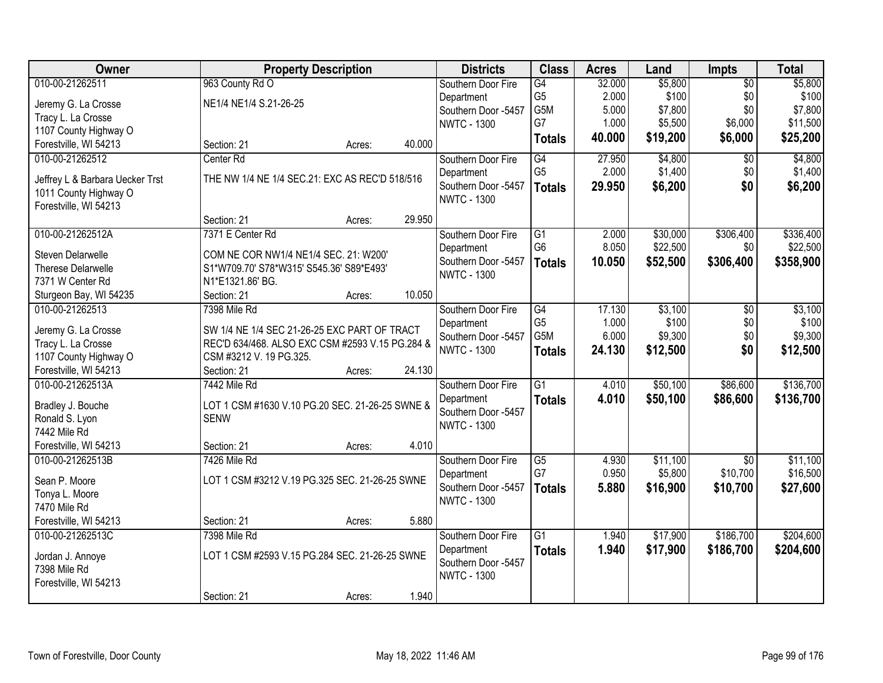| <b>Owner</b>                    | <b>Property Description</b>                     |        |        | <b>Districts</b>                          | <b>Class</b>    | <b>Acres</b> | Land     | Impts           | <b>Total</b> |
|---------------------------------|-------------------------------------------------|--------|--------|-------------------------------------------|-----------------|--------------|----------|-----------------|--------------|
| 010-00-21262511                 | 963 County Rd O                                 |        |        | Southern Door Fire                        | G4              | 32.000       | \$5,800  | $\overline{50}$ | \$5,800      |
| Jeremy G. La Crosse             | NE1/4 NE1/4 S.21-26-25                          |        |        | Department                                | G <sub>5</sub>  | 2.000        | \$100    | \$0             | \$100        |
| Tracy L. La Crosse              |                                                 |        |        | Southern Door -5457                       | G5M             | 5.000        | \$7,800  | \$0             | \$7,800      |
| 1107 County Highway O           |                                                 |        |        | <b>NWTC - 1300</b>                        | G7              | 1.000        | \$5,500  | \$6,000         | \$11,500     |
| Forestville, WI 54213           | Section: 21                                     | Acres: | 40.000 |                                           | <b>Totals</b>   | 40.000       | \$19,200 | \$6,000         | \$25,200     |
| 010-00-21262512                 | Center Rd                                       |        |        | Southern Door Fire                        | G4              | 27.950       | \$4,800  | $\overline{50}$ | \$4,800      |
|                                 |                                                 |        |        | Department                                | G <sub>5</sub>  | 2.000        | \$1,400  | \$0             | \$1,400      |
| Jeffrey L & Barbara Uecker Trst | THE NW 1/4 NE 1/4 SEC.21: EXC AS REC'D 518/516  |        |        | Southern Door -5457                       | <b>Totals</b>   | 29.950       | \$6,200  | \$0             | \$6,200      |
| 1011 County Highway O           |                                                 |        |        | <b>NWTC - 1300</b>                        |                 |              |          |                 |              |
| Forestville, WI 54213           |                                                 |        |        |                                           |                 |              |          |                 |              |
|                                 | Section: 21                                     | Acres: | 29.950 |                                           |                 |              |          |                 |              |
| 010-00-21262512A                | 7371 E Center Rd                                |        |        | Southern Door Fire                        | G1              | 2.000        | \$30,000 | \$306,400       | \$336,400    |
| Steven Delarwelle               | COM NE COR NW1/4 NE1/4 SEC. 21: W200'           |        |        | Department                                | G <sub>6</sub>  | 8.050        | \$22,500 | \$0             | \$22,500     |
| Therese Delarwelle              | S1*W709.70' S78*W315' S545.36' S89*E493'        |        |        | Southern Door -5457<br><b>NWTC - 1300</b> | <b>Totals</b>   | 10.050       | \$52,500 | \$306,400       | \$358,900    |
| 7371 W Center Rd                | N1*E1321.86' BG.                                |        |        |                                           |                 |              |          |                 |              |
| Sturgeon Bay, WI 54235          | Section: 21                                     | Acres: | 10.050 |                                           |                 |              |          |                 |              |
| 010-00-21262513                 | 7398 Mile Rd                                    |        |        | Southern Door Fire                        | G4              | 17.130       | \$3,100  | \$0             | \$3,100      |
| Jeremy G. La Crosse             | SW 1/4 NE 1/4 SEC 21-26-25 EXC PART OF TRACT    |        |        | Department                                | G <sub>5</sub>  | 1.000        | \$100    | \$0             | \$100        |
| Tracy L. La Crosse              | REC'D 634/468. ALSO EXC CSM #2593 V.15 PG.284 & |        |        | Southern Door -5457                       | G5M             | 6.000        | \$9,300  | \$0             | \$9,300      |
| 1107 County Highway O           | CSM #3212 V. 19 PG.325.                         |        |        | <b>NWTC - 1300</b>                        | <b>Totals</b>   | 24.130       | \$12,500 | \$0             | \$12,500     |
| Forestville, WI 54213           | Section: 21                                     | Acres: | 24.130 |                                           |                 |              |          |                 |              |
| 010-00-21262513A                | 7442 Mile Rd                                    |        |        | Southern Door Fire                        | $\overline{G1}$ | 4.010        | \$50,100 | \$86,600        | \$136,700    |
|                                 |                                                 |        |        | Department                                | <b>Totals</b>   | 4.010        | \$50,100 | \$86,600        | \$136,700    |
| Bradley J. Bouche               | LOT 1 CSM #1630 V.10 PG.20 SEC. 21-26-25 SWNE & |        |        | Southern Door -5457                       |                 |              |          |                 |              |
| Ronald S. Lyon                  | <b>SENW</b>                                     |        |        | <b>NWTC - 1300</b>                        |                 |              |          |                 |              |
| 7442 Mile Rd                    |                                                 |        |        |                                           |                 |              |          |                 |              |
| Forestville, WI 54213           | Section: 21                                     | Acres: | 4.010  |                                           |                 |              |          |                 |              |
| 010-00-21262513B                | 7426 Mile Rd                                    |        |        | Southern Door Fire                        | G5              | 4.930        | \$11,100 | $\sqrt{6}$      | \$11,100     |
| Sean P. Moore                   | LOT 1 CSM #3212 V.19 PG.325 SEC. 21-26-25 SWNE  |        |        | Department                                | G7              | 0.950        | \$5,800  | \$10,700        | \$16,500     |
| Tonya L. Moore                  |                                                 |        |        | Southern Door -5457                       | <b>Totals</b>   | 5.880        | \$16,900 | \$10,700        | \$27,600     |
| 7470 Mile Rd                    |                                                 |        |        | <b>NWTC - 1300</b>                        |                 |              |          |                 |              |
| Forestville, WI 54213           | Section: 21                                     | Acres: | 5.880  |                                           |                 |              |          |                 |              |
| 010-00-21262513C                | 7398 Mile Rd                                    |        |        | Southern Door Fire                        | $\overline{G1}$ | 1.940        | \$17,900 | \$186,700       | \$204,600    |
| Jordan J. Annoye                | LOT 1 CSM #2593 V.15 PG.284 SEC. 21-26-25 SWNE  |        |        | Department                                | <b>Totals</b>   | 1.940        | \$17,900 | \$186,700       | \$204,600    |
| 7398 Mile Rd                    |                                                 |        |        | Southern Door -5457                       |                 |              |          |                 |              |
| Forestville, WI 54213           |                                                 |        |        | <b>NWTC - 1300</b>                        |                 |              |          |                 |              |
|                                 | Section: 21                                     | Acres: | 1.940  |                                           |                 |              |          |                 |              |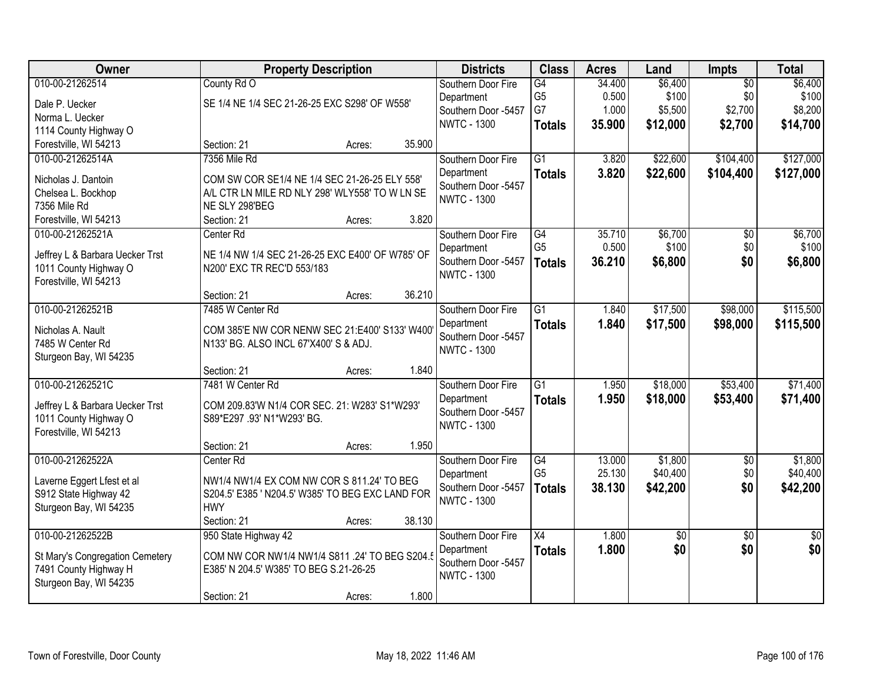| Owner                           |                                                                                                 | <b>Property Description</b> |        | <b>Districts</b>                  | <b>Class</b>    | <b>Acres</b> | Land     | Impts           | <b>Total</b>    |
|---------------------------------|-------------------------------------------------------------------------------------------------|-----------------------------|--------|-----------------------------------|-----------------|--------------|----------|-----------------|-----------------|
| 010-00-21262514                 | County Rd O                                                                                     |                             |        | Southern Door Fire                | G4              | 34.400       | \$6,400  | $\overline{50}$ | \$6,400         |
| Dale P. Uecker                  | SE 1/4 NE 1/4 SEC 21-26-25 EXC S298' OF W558'                                                   |                             |        | Department                        | G <sub>5</sub>  | 0.500        | \$100    | \$0             | \$100           |
| Norma L. Uecker                 |                                                                                                 |                             |        | Southern Door -5457               | G7              | 1.000        | \$5,500  | \$2,700         | \$8,200         |
| 1114 County Highway O           |                                                                                                 |                             |        | <b>NWTC - 1300</b>                | <b>Totals</b>   | 35.900       | \$12,000 | \$2,700         | \$14,700        |
| Forestville, WI 54213           | Section: 21                                                                                     | Acres:                      | 35.900 |                                   |                 |              |          |                 |                 |
| 010-00-21262514A                | 7356 Mile Rd                                                                                    |                             |        | Southern Door Fire                | $\overline{G1}$ | 3.820        | \$22,600 | \$104,400       | \$127,000       |
| Nicholas J. Dantoin             |                                                                                                 |                             |        | Department                        | <b>Totals</b>   | 3.820        | \$22,600 | \$104,400       | \$127,000       |
| Chelsea L. Bockhop              | COM SW COR SE1/4 NE 1/4 SEC 21-26-25 ELY 558'<br>A/L CTR LN MILE RD NLY 298' WLY558' TO W LN SE |                             |        | Southern Door -5457               |                 |              |          |                 |                 |
| 7356 Mile Rd                    | NE SLY 298'BEG                                                                                  |                             |        | <b>NWTC - 1300</b>                |                 |              |          |                 |                 |
| Forestville, WI 54213           | Section: 21                                                                                     | Acres:                      | 3.820  |                                   |                 |              |          |                 |                 |
| 010-00-21262521A                | Center Rd                                                                                       |                             |        | Southern Door Fire                | G4              | 35.710       | \$6,700  | $\overline{50}$ | \$6,700         |
|                                 |                                                                                                 |                             |        | Department                        | G <sub>5</sub>  | 0.500        | \$100    | \$0             | \$100           |
| Jeffrey L & Barbara Uecker Trst | NE 1/4 NW 1/4 SEC 21-26-25 EXC E400' OF W785' OF                                                |                             |        | Southern Door -5457               | <b>Totals</b>   | 36.210       | \$6,800  | \$0             | \$6,800         |
| 1011 County Highway O           | N200' EXC TR REC'D 553/183                                                                      |                             |        | <b>NWTC - 1300</b>                |                 |              |          |                 |                 |
| Forestville, WI 54213           |                                                                                                 |                             |        |                                   |                 |              |          |                 |                 |
|                                 | Section: 21                                                                                     | Acres:                      | 36.210 |                                   |                 |              |          |                 |                 |
| 010-00-21262521B                | 7485 W Center Rd                                                                                |                             |        | Southern Door Fire                | $\overline{G1}$ | 1.840        | \$17,500 | \$98,000        | \$115,500       |
| Nicholas A. Nault               | COM 385'E NW COR NENW SEC 21:E400' S133' W400                                                   |                             |        | Department<br>Southern Door -5457 | <b>Totals</b>   | 1.840        | \$17,500 | \$98,000        | \$115,500       |
| 7485 W Center Rd                | N133' BG. ALSO INCL 67'X400' S & ADJ.                                                           |                             |        | <b>NWTC - 1300</b>                |                 |              |          |                 |                 |
| Sturgeon Bay, WI 54235          |                                                                                                 |                             |        |                                   |                 |              |          |                 |                 |
|                                 | Section: 21                                                                                     | Acres:                      | 1.840  |                                   |                 |              |          |                 |                 |
| 010-00-21262521C                | 7481 W Center Rd                                                                                |                             |        | Southern Door Fire                | $\overline{G1}$ | 1.950        | \$18,000 | \$53,400        | \$71,400        |
| Jeffrey L & Barbara Uecker Trst | COM 209.83'W N1/4 COR SEC. 21: W283' S1*W293'                                                   |                             |        | Department                        | <b>Totals</b>   | 1.950        | \$18,000 | \$53,400        | \$71,400        |
| 1011 County Highway O           | S89*E297 .93' N1*W293' BG.                                                                      |                             |        | Southern Door -5457               |                 |              |          |                 |                 |
| Forestville, WI 54213           |                                                                                                 |                             |        | <b>NWTC - 1300</b>                |                 |              |          |                 |                 |
|                                 | Section: 21                                                                                     | Acres:                      | 1.950  |                                   |                 |              |          |                 |                 |
| 010-00-21262522A                | Center Rd                                                                                       |                             |        | Southern Door Fire                | G4              | 13.000       | \$1,800  | $\sqrt{6}$      | \$1,800         |
| Laverne Eggert Lfest et al      | NW1/4 NW1/4 EX COM NW COR S 811.24' TO BEG                                                      |                             |        | Department                        | G <sub>5</sub>  | 25.130       | \$40,400 | \$0             | \$40,400        |
| S912 State Highway 42           | S204.5' E385 ' N204.5' W385' TO BEG EXC LAND FOR                                                |                             |        | Southern Door -5457               | <b>Totals</b>   | 38.130       | \$42,200 | \$0             | \$42,200        |
| Sturgeon Bay, WI 54235          | <b>HWY</b>                                                                                      |                             |        | <b>NWTC - 1300</b>                |                 |              |          |                 |                 |
|                                 | Section: 21                                                                                     | Acres:                      | 38.130 |                                   |                 |              |          |                 |                 |
| 010-00-21262522B                | 950 State Highway 42                                                                            |                             |        | Southern Door Fire                | $\overline{X4}$ | 1.800        | \$0      | $\overline{50}$ | $\overline{50}$ |
| St Mary's Congregation Cemetery | COM NW COR NW1/4 NW1/4 S811 .24' TO BEG S204.5                                                  |                             |        | Department                        | <b>Totals</b>   | 1.800        | \$0      | \$0             | \$0             |
| 7491 County Highway H           | E385' N 204.5' W385' TO BEG S.21-26-25                                                          |                             |        | Southern Door -5457               |                 |              |          |                 |                 |
| Sturgeon Bay, WI 54235          |                                                                                                 |                             |        | <b>NWTC - 1300</b>                |                 |              |          |                 |                 |
|                                 | Section: 21                                                                                     | Acres:                      | 1.800  |                                   |                 |              |          |                 |                 |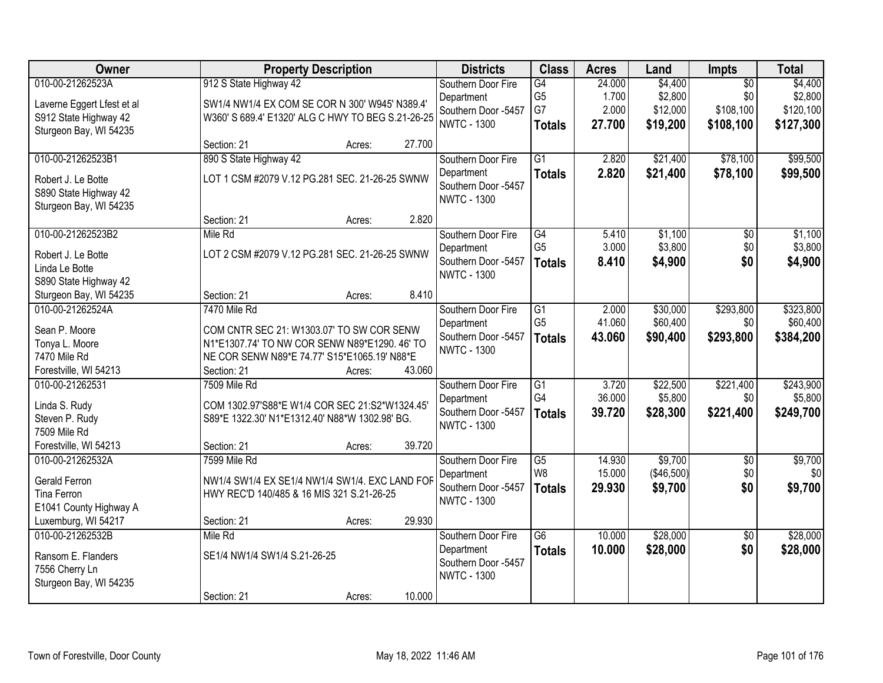| Owner                                 | <b>Property Description</b>                                           | <b>Districts</b>    | <b>Class</b>    | <b>Acres</b> | Land       | Impts           | <b>Total</b> |
|---------------------------------------|-----------------------------------------------------------------------|---------------------|-----------------|--------------|------------|-----------------|--------------|
| 010-00-21262523A                      | 912 S State Highway 42                                                | Southern Door Fire  | G4              | 24.000       | \$4,400    | $\overline{50}$ | \$4,400      |
| Laverne Eggert Lfest et al            | SW1/4 NW1/4 EX COM SE COR N 300' W945' N389.4'                        | Department          | G <sub>5</sub>  | 1.700        | \$2,800    | \$0             | \$2,800      |
| S912 State Highway 42                 | W360' S 689.4' E1320' ALG C HWY TO BEG S.21-26-25                     | Southern Door -5457 | G7              | 2.000        | \$12,000   | \$108,100       | \$120,100    |
| Sturgeon Bay, WI 54235                |                                                                       | <b>NWTC - 1300</b>  | <b>Totals</b>   | 27.700       | \$19,200   | \$108,100       | \$127,300    |
|                                       | 27.700<br>Section: 21<br>Acres:                                       |                     |                 |              |            |                 |              |
| 010-00-21262523B1                     | 890 S State Highway 42                                                | Southern Door Fire  | $\overline{G1}$ | 2.820        | \$21,400   | \$78,100        | \$99,500     |
| Robert J. Le Botte                    | LOT 1 CSM #2079 V.12 PG.281 SEC. 21-26-25 SWNW                        | Department          | <b>Totals</b>   | 2.820        | \$21,400   | \$78,100        | \$99,500     |
| S890 State Highway 42                 |                                                                       | Southern Door -5457 |                 |              |            |                 |              |
| Sturgeon Bay, WI 54235                |                                                                       | <b>NWTC - 1300</b>  |                 |              |            |                 |              |
|                                       | 2.820<br>Section: 21<br>Acres:                                        |                     |                 |              |            |                 |              |
| 010-00-21262523B2                     | Mile Rd                                                               | Southern Door Fire  | G4              | 5.410        | \$1,100    | $\overline{50}$ | \$1,100      |
| Robert J. Le Botte                    | LOT 2 CSM #2079 V.12 PG.281 SEC. 21-26-25 SWNW                        | Department          | G <sub>5</sub>  | 3.000        | \$3,800    | \$0             | \$3,800      |
| Linda Le Botte                        |                                                                       | Southern Door -5457 | <b>Totals</b>   | 8.410        | \$4,900    | \$0             | \$4,900      |
| S890 State Highway 42                 |                                                                       | <b>NWTC - 1300</b>  |                 |              |            |                 |              |
| Sturgeon Bay, WI 54235                | 8.410<br>Section: 21<br>Acres:                                        |                     |                 |              |            |                 |              |
| 010-00-21262524A                      | 7470 Mile Rd                                                          | Southern Door Fire  | $\overline{G1}$ | 2.000        | \$30,000   | \$293,800       | \$323,800    |
|                                       |                                                                       | Department          | G <sub>5</sub>  | 41.060       | \$60,400   | \$0             | \$60,400     |
| Sean P. Moore                         | COM CNTR SEC 21: W1303.07' TO SW COR SENW                             | Southern Door -5457 | <b>Totals</b>   | 43.060       | \$90,400   | \$293,800       | \$384,200    |
| Tonya L. Moore                        | N1*E1307.74' TO NW COR SENW N89*E1290. 46' TO                         | <b>NWTC - 1300</b>  |                 |              |            |                 |              |
| 7470 Mile Rd<br>Forestville, WI 54213 | NE COR SENW N89*E 74.77' S15*E1065.19' N88*E<br>43.060<br>Section: 21 |                     |                 |              |            |                 |              |
| 010-00-21262531                       | Acres:<br>7509 Mile Rd                                                | Southern Door Fire  | $\overline{G1}$ | 3.720        | \$22,500   | \$221,400       | \$243,900    |
|                                       |                                                                       | Department          | G <sub>4</sub>  | 36.000       | \$5,800    | \$0             | \$5,800      |
| Linda S. Rudy                         | COM 1302.97'S88*E W1/4 COR SEC 21:S2*W1324.45'                        | Southern Door -5457 | <b>Totals</b>   | 39.720       | \$28,300   | \$221,400       | \$249,700    |
| Steven P. Rudy                        | S89*E 1322.30' N1*E1312.40' N88*W 1302.98' BG.                        | <b>NWTC - 1300</b>  |                 |              |            |                 |              |
| 7509 Mile Rd                          |                                                                       |                     |                 |              |            |                 |              |
| Forestville, WI 54213                 | 39.720<br>Section: 21<br>Acres:                                       |                     |                 |              |            |                 |              |
| 010-00-21262532A                      | 7599 Mile Rd                                                          | Southern Door Fire  | G5              | 14.930       | \$9,700    | $\overline{50}$ | \$9,700      |
| Gerald Ferron                         | NW1/4 SW1/4 EX SE1/4 NW1/4 SW1/4. EXC LAND FOR                        | Department          | W8              | 15.000       | (\$46,500) | \$0             | \$0          |
| Tina Ferron                           | HWY REC'D 140/485 & 16 MIS 321 S.21-26-25                             | Southern Door -5457 | <b>Totals</b>   | 29.930       | \$9,700    | \$0             | \$9,700      |
| E1041 County Highway A                |                                                                       | <b>NWTC - 1300</b>  |                 |              |            |                 |              |
| Luxemburg, WI 54217                   | 29.930<br>Section: 21<br>Acres:                                       |                     |                 |              |            |                 |              |
| 010-00-21262532B                      | Mile Rd                                                               | Southern Door Fire  | $\overline{G6}$ | 10.000       | \$28,000   | $\overline{30}$ | \$28,000     |
| Ransom E. Flanders                    | SE1/4 NW1/4 SW1/4 S.21-26-25                                          | Department          | <b>Totals</b>   | 10.000       | \$28,000   | \$0             | \$28,000     |
| 7556 Cherry Ln                        |                                                                       | Southern Door -5457 |                 |              |            |                 |              |
| Sturgeon Bay, WI 54235                |                                                                       | <b>NWTC - 1300</b>  |                 |              |            |                 |              |
|                                       | 10.000<br>Section: 21<br>Acres:                                       |                     |                 |              |            |                 |              |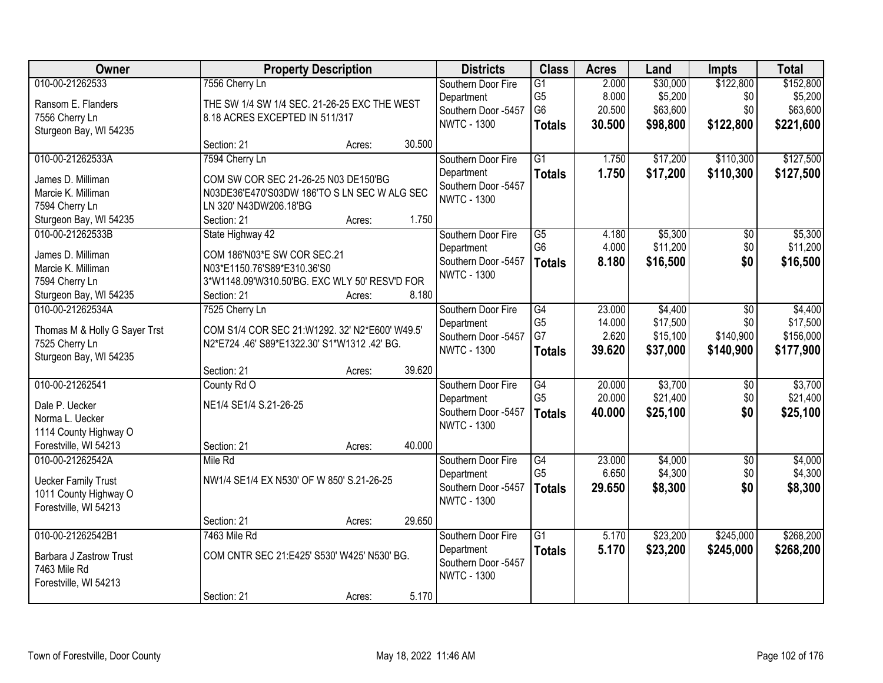| Owner                         |                                                | <b>Property Description</b> |        | <b>Districts</b>                  | <b>Class</b>         | <b>Acres</b>     | Land     | <b>Impts</b>    | <b>Total</b> |
|-------------------------------|------------------------------------------------|-----------------------------|--------|-----------------------------------|----------------------|------------------|----------|-----------------|--------------|
| 010-00-21262533               | 7556 Cherry Ln                                 |                             |        | Southern Door Fire                | $\overline{G1}$      | 2.000            | \$30,000 | \$122,800       | \$152,800    |
| Ransom E. Flanders            | THE SW 1/4 SW 1/4 SEC. 21-26-25 EXC THE WEST   |                             |        | Department                        | G <sub>5</sub>       | 8.000            | \$5,200  | \$0             | \$5,200      |
| 7556 Cherry Ln                | 8.18 ACRES EXCEPTED IN 511/317                 |                             |        | Southern Door -5457               | G <sub>6</sub>       | 20.500           | \$63,600 | \$0             | \$63,600     |
| Sturgeon Bay, WI 54235        |                                                |                             |        | <b>NWTC - 1300</b>                | <b>Totals</b>        | 30.500           | \$98,800 | \$122,800       | \$221,600    |
|                               | Section: 21                                    | Acres:                      | 30.500 |                                   |                      |                  |          |                 |              |
| 010-00-21262533A              | 7594 Cherry Ln                                 |                             |        | Southern Door Fire                | $\overline{G1}$      | 1.750            | \$17,200 | \$110,300       | \$127,500    |
| James D. Milliman             | COM SW COR SEC 21-26-25 N03 DE150'BG           |                             |        | Department                        | <b>Totals</b>        | 1.750            | \$17,200 | \$110,300       | \$127,500    |
| Marcie K. Milliman            | N03DE36'E470'S03DW 186'TO S LN SEC W ALG SEC   |                             |        | Southern Door -5457               |                      |                  |          |                 |              |
| 7594 Cherry Ln                | LN 320' N43DW206.18'BG                         |                             |        | <b>NWTC - 1300</b>                |                      |                  |          |                 |              |
| Sturgeon Bay, WI 54235        | Section: 21                                    | Acres:                      | 1.750  |                                   |                      |                  |          |                 |              |
| 010-00-21262533B              | State Highway 42                               |                             |        | Southern Door Fire                | $\overline{G5}$      | 4.180            | \$5,300  | $\overline{50}$ | \$5,300      |
| James D. Milliman             | COM 186'N03*E SW COR SEC.21                    |                             |        | Department                        | G <sub>6</sub>       | 4.000            | \$11,200 | \$0             | \$11,200     |
| Marcie K. Milliman            | N03*E1150.76'S89*E310.36'S0                    |                             |        | Southern Door -5457               | <b>Totals</b>        | 8.180            | \$16,500 | \$0             | \$16,500     |
| 7594 Cherry Ln                | 3*W1148.09'W310.50'BG. EXC WLY 50' RESV'D FOR  |                             |        | <b>NWTC - 1300</b>                |                      |                  |          |                 |              |
| Sturgeon Bay, WI 54235        | Section: 21                                    | Acres:                      | 8.180  |                                   |                      |                  |          |                 |              |
| 010-00-21262534A              | 7525 Cherry Ln                                 |                             |        | Southern Door Fire                | G4                   | 23,000           | \$4,400  | \$0             | \$4,400      |
|                               |                                                |                             |        | Department                        | G <sub>5</sub>       | 14.000           | \$17,500 | \$0             | \$17,500     |
| Thomas M & Holly G Sayer Trst | COM S1/4 COR SEC 21:W1292. 32' N2*E600' W49.5' |                             |        | Southern Door -5457               | G7                   | 2.620            | \$15,100 | \$140,900       | \$156,000    |
| 7525 Cherry Ln                | N2*E724 .46' S89*E1322.30' S1*W1312 .42' BG.   |                             |        | <b>NWTC - 1300</b>                | <b>Totals</b>        | 39.620           | \$37,000 | \$140,900       | \$177,900    |
| Sturgeon Bay, WI 54235        |                                                |                             |        |                                   |                      |                  |          |                 |              |
|                               | Section: 21                                    | Acres:                      | 39.620 |                                   |                      |                  |          |                 |              |
| 010-00-21262541               | County Rd O                                    |                             |        | Southern Door Fire                | G4<br>G <sub>5</sub> | 20.000<br>20.000 | \$3,700  | $\overline{50}$ | \$3,700      |
| Dale P. Uecker                | NE1/4 SE1/4 S.21-26-25                         |                             |        | Department<br>Southern Door -5457 |                      |                  | \$21,400 | \$0<br>\$0      | \$21,400     |
| Norma L. Uecker               |                                                |                             |        | <b>NWTC - 1300</b>                | <b>Totals</b>        | 40.000           | \$25,100 |                 | \$25,100     |
| 1114 County Highway O         |                                                |                             |        |                                   |                      |                  |          |                 |              |
| Forestville, WI 54213         | Section: 21                                    | Acres:                      | 40.000 |                                   |                      |                  |          |                 |              |
| 010-00-21262542A              | Mile Rd                                        |                             |        | Southern Door Fire                | G4                   | 23.000           | \$4,000  | $\overline{50}$ | \$4,000      |
| <b>Uecker Family Trust</b>    | NW1/4 SE1/4 EX N530' OF W 850' S.21-26-25      |                             |        | Department                        | G <sub>5</sub>       | 6.650            | \$4,300  | \$0             | \$4,300      |
| 1011 County Highway O         |                                                |                             |        | Southern Door -5457               | <b>Totals</b>        | 29.650           | \$8,300  | \$0             | \$8,300      |
| Forestville, WI 54213         |                                                |                             |        | <b>NWTC - 1300</b>                |                      |                  |          |                 |              |
|                               | Section: 21                                    | Acres:                      | 29.650 |                                   |                      |                  |          |                 |              |
| 010-00-21262542B1             | 7463 Mile Rd                                   |                             |        | Southern Door Fire                | $\overline{G1}$      | 5.170            | \$23,200 | \$245,000       | \$268,200    |
| Barbara J Zastrow Trust       | COM CNTR SEC 21:E425' S530' W425' N530' BG.    |                             |        | Department                        | <b>Totals</b>        | 5.170            | \$23,200 | \$245,000       | \$268,200    |
| 7463 Mile Rd                  |                                                |                             |        | Southern Door -5457               |                      |                  |          |                 |              |
| Forestville, WI 54213         |                                                |                             |        | <b>NWTC - 1300</b>                |                      |                  |          |                 |              |
|                               | Section: 21                                    | Acres:                      | 5.170  |                                   |                      |                  |          |                 |              |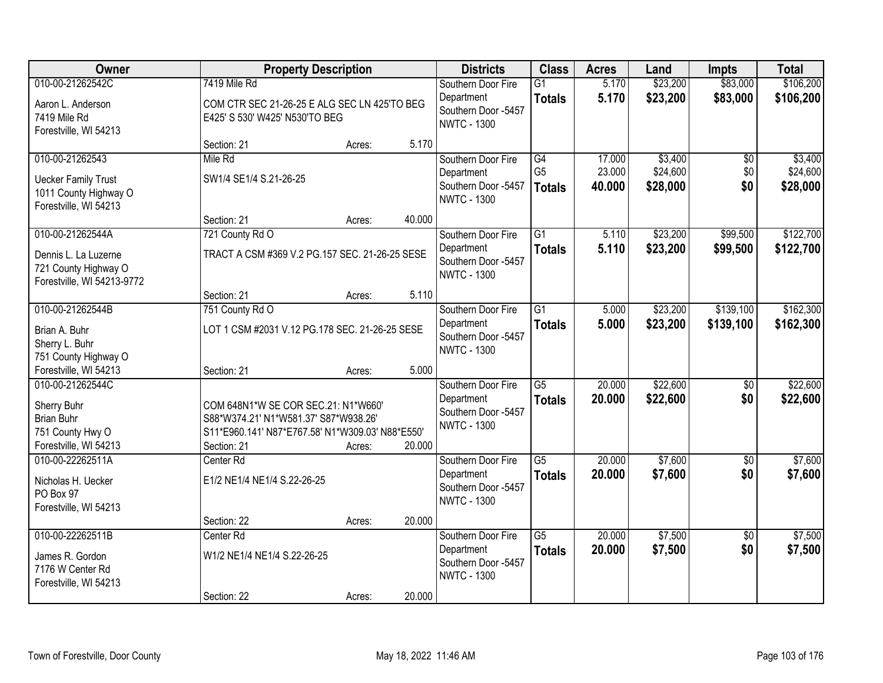| Owner                                                                                             |                                                                                                                                                 | <b>Property Description</b> |        | <b>Districts</b>                                                              | <b>Class</b>                     | <b>Acres</b>     | Land                 | <b>Impts</b>           | <b>Total</b>           |
|---------------------------------------------------------------------------------------------------|-------------------------------------------------------------------------------------------------------------------------------------------------|-----------------------------|--------|-------------------------------------------------------------------------------|----------------------------------|------------------|----------------------|------------------------|------------------------|
| 010-00-21262542C                                                                                  | 7419 Mile Rd                                                                                                                                    |                             |        | Southern Door Fire<br>Department                                              | $\overline{G1}$<br><b>Totals</b> | 5.170<br>5.170   | \$23,200<br>\$23,200 | \$83,000<br>\$83,000   | \$106,200<br>\$106,200 |
| Aaron L. Anderson<br>7419 Mile Rd<br>Forestville, WI 54213                                        | COM CTR SEC 21-26-25 E ALG SEC LN 425'TO BEG<br>E425' S 530' W425' N530'TO BEG                                                                  |                             |        | Southern Door -5457<br><b>NWTC - 1300</b>                                     |                                  |                  |                      |                        |                        |
|                                                                                                   | Section: 21                                                                                                                                     | Acres:                      | 5.170  |                                                                               |                                  |                  |                      |                        |                        |
| 010-00-21262543                                                                                   | Mile Rd                                                                                                                                         |                             |        | Southern Door Fire                                                            | $\overline{G4}$                  | 17.000           | \$3,400              | \$0                    | \$3,400                |
| <b>Uecker Family Trust</b><br>1011 County Highway O<br>Forestville, WI 54213                      | SW1/4 SE1/4 S.21-26-25                                                                                                                          |                             |        | Department<br>Southern Door -5457<br><b>NWTC - 1300</b>                       | G <sub>5</sub><br><b>Totals</b>  | 23.000<br>40.000 | \$24,600<br>\$28,000 | \$0<br>\$0             | \$24,600<br>\$28,000   |
|                                                                                                   | Section: 21                                                                                                                                     | Acres:                      | 40.000 |                                                                               |                                  |                  |                      |                        |                        |
| 010-00-21262544A                                                                                  | 721 County Rd O                                                                                                                                 |                             |        | Southern Door Fire                                                            | G1                               | 5.110            | \$23,200             | \$99,500               | \$122,700              |
| Dennis L. La Luzerne<br>721 County Highway O<br>Forestville, WI 54213-9772                        | TRACT A CSM #369 V.2 PG.157 SEC. 21-26-25 SESE                                                                                                  |                             |        | Department<br>Southern Door -5457<br><b>NWTC - 1300</b>                       | <b>Totals</b>                    | 5.110            | \$23,200             | \$99,500               | \$122,700              |
|                                                                                                   | Section: 21                                                                                                                                     | Acres:                      | 5.110  |                                                                               |                                  |                  |                      |                        |                        |
| 010-00-21262544B                                                                                  | 751 County Rd O                                                                                                                                 |                             |        | Southern Door Fire                                                            | $\overline{G1}$                  | 5.000            | \$23,200             | \$139,100              | \$162,300              |
| Brian A. Buhr<br>Sherry L. Buhr<br>751 County Highway O                                           | LOT 1 CSM #2031 V.12 PG.178 SEC. 21-26-25 SESE                                                                                                  |                             |        | Department<br>Southern Door -5457<br><b>NWTC - 1300</b>                       | <b>Totals</b>                    | 5.000            | \$23,200             | \$139,100              | \$162,300              |
| Forestville, WI 54213                                                                             | Section: 21                                                                                                                                     | Acres:                      | 5.000  |                                                                               |                                  |                  |                      |                        |                        |
| 010-00-21262544C<br>Sherry Buhr<br><b>Brian Buhr</b><br>751 County Hwy O<br>Forestville, WI 54213 | COM 648N1*W SE COR SEC.21: N1*W660'<br>S88*W374.21' N1*W581.37' S87*W938.26'<br>S11*E960.141' N87*E767.58' N1*W309.03' N88*E550'<br>Section: 21 | Acres:                      | 20.000 | Southern Door Fire<br>Department<br>Southern Door -5457<br><b>NWTC - 1300</b> | $\overline{G5}$<br><b>Totals</b> | 20.000<br>20.000 | \$22,600<br>\$22,600 | $\overline{50}$<br>\$0 | \$22,600<br>\$22,600   |
| 010-00-22262511A                                                                                  | Center <sub>Rd</sub>                                                                                                                            |                             |        | Southern Door Fire                                                            | $\overline{\text{G5}}$           | 20.000           | \$7,600              | $\overline{60}$        | \$7,600                |
| Nicholas H. Uecker<br>PO Box 97<br>Forestville, WI 54213                                          | E1/2 NE1/4 NE1/4 S.22-26-25                                                                                                                     |                             |        | Department<br>Southern Door -5457<br><b>NWTC - 1300</b>                       | <b>Totals</b>                    | 20.000           | \$7,600              | \$0                    | \$7,600                |
|                                                                                                   | Section: 22                                                                                                                                     | Acres:                      | 20.000 |                                                                               |                                  |                  |                      |                        |                        |
| 010-00-22262511B<br>James R. Gordon<br>7176 W Center Rd<br>Forestville, WI 54213                  | Center Rd<br>W1/2 NE1/4 NE1/4 S.22-26-25                                                                                                        |                             |        | Southern Door Fire<br>Department<br>Southern Door -5457<br><b>NWTC - 1300</b> | $\overline{G5}$<br><b>Totals</b> | 20.000<br>20.000 | \$7,500<br>\$7,500   | $\overline{50}$<br>\$0 | \$7,500<br>\$7,500     |
|                                                                                                   | Section: 22                                                                                                                                     | Acres:                      | 20.000 |                                                                               |                                  |                  |                      |                        |                        |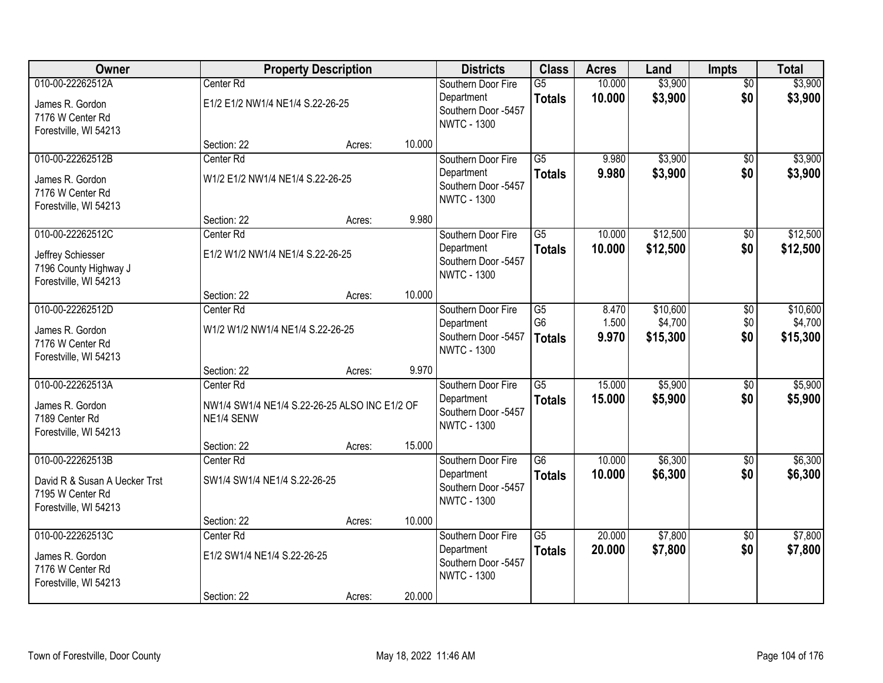| Owner                                                                      |                                                             | <b>Property Description</b> |        | <b>Districts</b>                                        | <b>Class</b>                     | <b>Acres</b>     | Land                | <b>Impts</b>           | <b>Total</b>        |
|----------------------------------------------------------------------------|-------------------------------------------------------------|-----------------------------|--------|---------------------------------------------------------|----------------------------------|------------------|---------------------|------------------------|---------------------|
| 010-00-22262512A                                                           | Center Rd                                                   |                             |        | Southern Door Fire<br>Department                        | $\overline{G5}$<br><b>Totals</b> | 10.000<br>10.000 | \$3,900<br>\$3,900  | $\overline{50}$<br>\$0 | \$3,900<br>\$3,900  |
| James R. Gordon<br>7176 W Center Rd<br>Forestville, WI 54213               | E1/2 E1/2 NW1/4 NE1/4 S.22-26-25                            |                             |        | Southern Door -5457<br><b>NWTC - 1300</b>               |                                  |                  |                     |                        |                     |
|                                                                            | Section: 22                                                 | Acres:                      | 10.000 |                                                         |                                  |                  |                     |                        |                     |
| 010-00-22262512B                                                           | Center Rd                                                   |                             |        | Southern Door Fire                                      | $\overline{G5}$                  | 9.980            | \$3,900             | \$0                    | \$3,900             |
| James R. Gordon<br>7176 W Center Rd<br>Forestville, WI 54213               | W1/2 E1/2 NW1/4 NE1/4 S.22-26-25                            |                             |        | Department<br>Southern Door -5457<br><b>NWTC - 1300</b> | <b>Totals</b>                    | 9.980            | \$3,900             | \$0                    | \$3,900             |
|                                                                            | Section: 22                                                 | Acres:                      | 9.980  |                                                         |                                  |                  |                     |                        |                     |
| 010-00-22262512C                                                           | Center Rd                                                   |                             |        | Southern Door Fire                                      | $\overline{G5}$                  | 10.000           | \$12,500            | $\overline{50}$        | \$12,500            |
| Jeffrey Schiesser<br>7196 County Highway J<br>Forestville, WI 54213        | E1/2 W1/2 NW1/4 NE1/4 S.22-26-25                            |                             |        | Department<br>Southern Door -5457<br><b>NWTC - 1300</b> | <b>Totals</b>                    | 10.000           | \$12,500            | \$0                    | \$12,500            |
|                                                                            | Section: 22                                                 | Acres:                      | 10.000 |                                                         |                                  |                  |                     |                        |                     |
| 010-00-22262512D                                                           | Center <sub>Rd</sub>                                        |                             |        | Southern Door Fire                                      | G5                               | 8.470            | \$10,600            | \$0                    | \$10,600            |
| James R. Gordon<br>7176 W Center Rd<br>Forestville, WI 54213               | W1/2 W1/2 NW1/4 NE1/4 S.22-26-25                            |                             |        | Department<br>Southern Door -5457<br><b>NWTC - 1300</b> | G <sub>6</sub><br><b>Totals</b>  | 1.500<br>9.970   | \$4,700<br>\$15,300 | \$0<br>\$0             | \$4,700<br>\$15,300 |
|                                                                            | Section: 22                                                 | Acres:                      | 9.970  |                                                         |                                  |                  |                     |                        |                     |
| 010-00-22262513A                                                           | Center <sub>Rd</sub>                                        |                             |        | Southern Door Fire                                      | $\overline{G5}$                  | 15.000           | \$5,900             | $\overline{50}$        | \$5,900             |
| James R. Gordon<br>7189 Center Rd<br>Forestville, WI 54213                 | NW1/4 SW1/4 NE1/4 S.22-26-25 ALSO INC E1/2 OF<br>NE1/4 SENW |                             |        | Department<br>Southern Door -5457<br><b>NWTC - 1300</b> | <b>Totals</b>                    | 15.000           | \$5,900             | \$0                    | \$5,900             |
|                                                                            | Section: 22                                                 | Acres:                      | 15.000 |                                                         |                                  |                  |                     |                        |                     |
| 010-00-22262513B                                                           | Center Rd                                                   |                             |        | Southern Door Fire                                      | $\overline{G6}$                  | 10.000           | \$6,300             | $\overline{50}$        | \$6,300             |
| David R & Susan A Uecker Trst<br>7195 W Center Rd<br>Forestville, WI 54213 | SW1/4 SW1/4 NE1/4 S.22-26-25                                |                             |        | Department<br>Southern Door -5457<br><b>NWTC - 1300</b> | <b>Totals</b>                    | 10.000           | \$6,300             | \$0                    | \$6,300             |
|                                                                            | Section: 22                                                 | Acres:                      | 10.000 |                                                         |                                  |                  |                     |                        |                     |
| 010-00-22262513C                                                           | Center <sub>Rd</sub>                                        |                             |        | Southern Door Fire                                      | $\overline{G5}$                  | 20.000           | \$7,800             | $\overline{30}$        | \$7,800             |
| James R. Gordon<br>7176 W Center Rd<br>Forestville, WI 54213               | E1/2 SW1/4 NE1/4 S.22-26-25                                 |                             |        | Department<br>Southern Door -5457<br><b>NWTC - 1300</b> | <b>Totals</b>                    | 20.000           | \$7,800             | \$0                    | \$7,800             |
|                                                                            | Section: 22                                                 | Acres:                      | 20.000 |                                                         |                                  |                  |                     |                        |                     |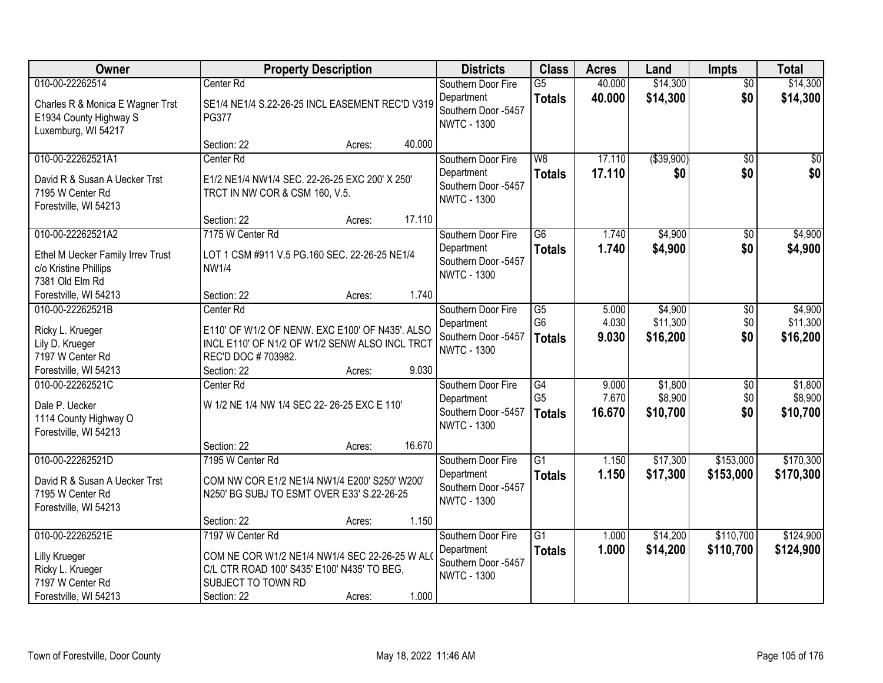| Owner                                                                                                                       | <b>Property Description</b>                                                                                                                                       |                 | <b>Districts</b>                                                              | <b>Class</b>                                       | <b>Acres</b>             | Land                            | <b>Impts</b>                  | <b>Total</b>                    |
|-----------------------------------------------------------------------------------------------------------------------------|-------------------------------------------------------------------------------------------------------------------------------------------------------------------|-----------------|-------------------------------------------------------------------------------|----------------------------------------------------|--------------------------|---------------------------------|-------------------------------|---------------------------------|
| 010-00-22262514<br>Charles R & Monica E Wagner Trst<br>E1934 County Highway S<br>Luxemburg, WI 54217                        | Center <sub>Rd</sub><br>SE1/4 NE1/4 S.22-26-25 INCL EASEMENT REC'D V319<br><b>PG377</b>                                                                           |                 | Southern Door Fire<br>Department<br>Southern Door -5457<br><b>NWTC - 1300</b> | $\overline{G5}$<br><b>Totals</b>                   | 40.000<br>40.000         | \$14,300<br>\$14,300            | $\overline{50}$<br>\$0        | \$14,300<br>\$14,300            |
|                                                                                                                             | Section: 22<br>Acres:                                                                                                                                             | 40.000          |                                                                               |                                                    |                          |                                 |                               |                                 |
| 010-00-22262521A1<br>David R & Susan A Uecker Trst<br>7195 W Center Rd<br>Forestville, WI 54213                             | Center Rd<br>E1/2 NE1/4 NW1/4 SEC, 22-26-25 EXC 200' X 250'<br>TRCT IN NW COR & CSM 160, V.5.                                                                     |                 | Southern Door Fire<br>Department<br>Southern Door -5457<br><b>NWTC - 1300</b> | W8<br><b>Totals</b>                                | 17.110<br>17.110         | ( \$39,900)<br>\$0              | $\overline{50}$<br>\$0        | $\sqrt{50}$<br>\$0              |
|                                                                                                                             | Section: 22<br>Acres:                                                                                                                                             | 17.110          |                                                                               |                                                    |                          |                                 |                               |                                 |
| 010-00-22262521A2<br>Ethel M Uecker Family Irrev Trust<br>c/o Kristine Phillips<br>7381 Old Elm Rd<br>Forestville, WI 54213 | 7175 W Center Rd<br>LOT 1 CSM #911 V.5 PG.160 SEC. 22-26-25 NE1/4<br><b>NW1/4</b><br>Section: 22<br>Acres:                                                        | 1.740           | Southern Door Fire<br>Department<br>Southern Door -5457<br><b>NWTC - 1300</b> | $\overline{G6}$<br><b>Totals</b>                   | 1.740<br>1.740           | \$4,900<br>\$4,900              | \$0<br>\$0                    | \$4,900<br>\$4,900              |
| 010-00-22262521B<br>Ricky L. Krueger<br>Lily D. Krueger<br>7197 W Center Rd<br>Forestville, WI 54213                        | Center Rd<br>E110' OF W1/2 OF NENW. EXC E100' OF N435'. ALSO<br>INCL E110' OF N1/2 OF W1/2 SENW ALSO INCL TRCT<br>REC'D DOC #703982.<br>Section: 22<br>Acres:     | 9.030           | Southern Door Fire<br>Department<br>Southern Door -5457<br><b>NWTC - 1300</b> | $\overline{G5}$<br>G <sub>6</sub><br><b>Totals</b> | 5.000<br>4.030<br>9.030  | \$4,900<br>\$11,300<br>\$16,200 | \$0<br>\$0<br>\$0             | \$4,900<br>\$11,300<br>\$16,200 |
| 010-00-22262521C<br>Dale P. Uecker<br>1114 County Highway O<br>Forestville, WI 54213                                        | Center Rd<br>W 1/2 NE 1/4 NW 1/4 SEC 22- 26-25 EXC E 110'                                                                                                         |                 | Southern Door Fire<br>Department<br>Southern Door -5457<br><b>NWTC - 1300</b> | $\overline{G4}$<br>G <sub>5</sub><br><b>Totals</b> | 9.000<br>7.670<br>16.670 | \$1,800<br>\$8,900<br>\$10,700  | $\overline{50}$<br>\$0<br>\$0 | \$1,800<br>\$8,900<br>\$10,700  |
| 010-00-22262521D<br>David R & Susan A Uecker Trst<br>7195 W Center Rd<br>Forestville, WI 54213                              | Section: 22<br>Acres:<br>7195 W Center Rd<br>COM NW COR E1/2 NE1/4 NW1/4 E200' S250' W200'<br>N250' BG SUBJ TO ESMT OVER E33' S.22-26-25<br>Section: 22<br>Acres: | 16.670<br>1.150 | Southern Door Fire<br>Department<br>Southern Door -5457<br><b>NWTC - 1300</b> | $\overline{G1}$<br><b>Totals</b>                   | 1.150<br>1.150           | \$17,300<br>\$17,300            | \$153,000<br>\$153,000        | \$170,300<br>\$170,300          |
| 010-00-22262521E<br><b>Lilly Krueger</b><br>Ricky L. Krueger<br>7197 W Center Rd<br>Forestville, WI 54213                   | 7197 W Center Rd<br>COM NE COR W1/2 NE1/4 NW1/4 SEC 22-26-25 W ALO<br>C/L CTR ROAD 100' S435' E100' N435' TO BEG,<br>SUBJECT TO TOWN RD<br>Section: 22<br>Acres:  | 1.000           | Southern Door Fire<br>Department<br>Southern Door -5457<br><b>NWTC - 1300</b> | $\overline{G1}$<br><b>Totals</b>                   | 1.000<br>1.000           | \$14,200<br>\$14,200            | \$110,700<br>\$110,700        | \$124,900<br>\$124,900          |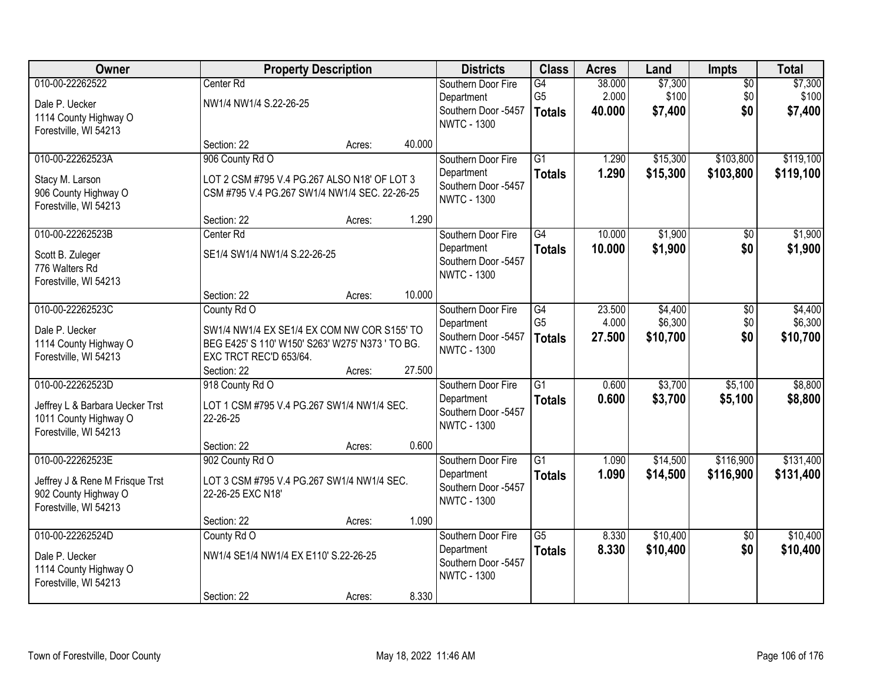| Owner                           |                                                  | <b>Property Description</b> |        | <b>Districts</b>                          | <b>Class</b>    | <b>Acres</b> | Land     | Impts           | <b>Total</b> |
|---------------------------------|--------------------------------------------------|-----------------------------|--------|-------------------------------------------|-----------------|--------------|----------|-----------------|--------------|
| 010-00-22262522                 | Center Rd                                        |                             |        | Southern Door Fire                        | G4              | 38.000       | \$7,300  | $\overline{50}$ | \$7,300      |
| Dale P. Uecker                  | NW1/4 NW1/4 S.22-26-25                           |                             |        | Department                                | G <sub>5</sub>  | 2.000        | \$100    | \$0             | \$100        |
| 1114 County Highway O           |                                                  |                             |        | Southern Door -5457<br><b>NWTC - 1300</b> | <b>Totals</b>   | 40.000       | \$7,400  | \$0             | \$7,400      |
| Forestville, WI 54213           |                                                  |                             |        |                                           |                 |              |          |                 |              |
|                                 | Section: 22                                      | Acres:                      | 40.000 |                                           |                 |              |          |                 |              |
| 010-00-22262523A                | 906 County Rd O                                  |                             |        | Southern Door Fire                        | $\overline{G1}$ | 1.290        | \$15,300 | \$103,800       | \$119,100    |
| Stacy M. Larson                 | LOT 2 CSM #795 V.4 PG.267 ALSO N18' OF LOT 3     |                             |        | Department                                | <b>Totals</b>   | 1.290        | \$15,300 | \$103,800       | \$119,100    |
| 906 County Highway O            | CSM #795 V.4 PG.267 SW1/4 NW1/4 SEC. 22-26-25    |                             |        | Southern Door -5457<br><b>NWTC - 1300</b> |                 |              |          |                 |              |
| Forestville, WI 54213           |                                                  |                             |        |                                           |                 |              |          |                 |              |
|                                 | Section: 22                                      | Acres:                      | 1.290  |                                           |                 |              |          |                 |              |
| 010-00-22262523B                | Center <sub>Rd</sub>                             |                             |        | Southern Door Fire                        | $\overline{G4}$ | 10.000       | \$1,900  | $\overline{50}$ | \$1,900      |
| Scott B. Zuleger                | SE1/4 SW1/4 NW1/4 S.22-26-25                     |                             |        | Department                                | <b>Totals</b>   | 10.000       | \$1,900  | \$0             | \$1,900      |
| 776 Walters Rd                  |                                                  |                             |        | Southern Door -5457<br><b>NWTC - 1300</b> |                 |              |          |                 |              |
| Forestville, WI 54213           |                                                  |                             |        |                                           |                 |              |          |                 |              |
|                                 | Section: 22                                      | Acres:                      | 10.000 |                                           |                 |              |          |                 |              |
| 010-00-22262523C                | County Rd O                                      |                             |        | Southern Door Fire                        | G4              | 23.500       | \$4,400  | \$0             | \$4,400      |
| Dale P. Uecker                  | SW1/4 NW1/4 EX SE1/4 EX COM NW COR S155' TO      |                             |        | Department                                | G <sub>5</sub>  | 4.000        | \$6,300  | \$0             | \$6,300      |
| 1114 County Highway O           | BEG E425' S 110' W150' S263' W275' N373 ' TO BG. |                             |        | Southern Door -5457<br><b>NWTC - 1300</b> | <b>Totals</b>   | 27.500       | \$10,700 | \$0             | \$10,700     |
| Forestville, WI 54213           | EXC TRCT REC'D 653/64.                           |                             |        |                                           |                 |              |          |                 |              |
|                                 | Section: 22                                      | Acres:                      | 27.500 |                                           |                 |              |          |                 |              |
| 010-00-22262523D                | 918 County Rd O                                  |                             |        | Southern Door Fire                        | $\overline{G1}$ | 0.600        | \$3,700  | \$5,100         | \$8,800      |
| Jeffrey L & Barbara Uecker Trst | LOT 1 CSM #795 V.4 PG.267 SW1/4 NW1/4 SEC.       |                             |        | Department                                | <b>Totals</b>   | 0.600        | \$3,700  | \$5,100         | \$8,800      |
| 1011 County Highway O           | 22-26-25                                         |                             |        | Southern Door -5457<br><b>NWTC - 1300</b> |                 |              |          |                 |              |
| Forestville, WI 54213           |                                                  |                             |        |                                           |                 |              |          |                 |              |
|                                 | Section: 22                                      | Acres:                      | 0.600  |                                           |                 |              |          |                 |              |
| 010-00-22262523E                | 902 County Rd O                                  |                             |        | Southern Door Fire                        | $\overline{G1}$ | 1.090        | \$14,500 | \$116,900       | \$131,400    |
| Jeffrey J & Rene M Frisque Trst | LOT 3 CSM #795 V.4 PG.267 SW1/4 NW1/4 SEC.       |                             |        | Department                                | <b>Totals</b>   | 1.090        | \$14,500 | \$116,900       | \$131,400    |
| 902 County Highway O            | 22-26-25 EXC N18'                                |                             |        | Southern Door -5457<br><b>NWTC - 1300</b> |                 |              |          |                 |              |
| Forestville, WI 54213           |                                                  |                             |        |                                           |                 |              |          |                 |              |
|                                 | Section: 22                                      | Acres:                      | 1.090  |                                           |                 |              |          |                 |              |
| 010-00-22262524D                | County Rd O                                      |                             |        | Southern Door Fire                        | $\overline{G5}$ | 8.330        | \$10,400 | $\overline{50}$ | \$10,400     |
| Dale P. Uecker                  | NW1/4 SE1/4 NW1/4 EX E110' S.22-26-25            |                             |        | Department                                | <b>Totals</b>   | 8.330        | \$10,400 | \$0             | \$10,400     |
| 1114 County Highway O           |                                                  |                             |        | Southern Door -5457<br><b>NWTC - 1300</b> |                 |              |          |                 |              |
| Forestville, WI 54213           |                                                  |                             |        |                                           |                 |              |          |                 |              |
|                                 | Section: 22                                      | Acres:                      | 8.330  |                                           |                 |              |          |                 |              |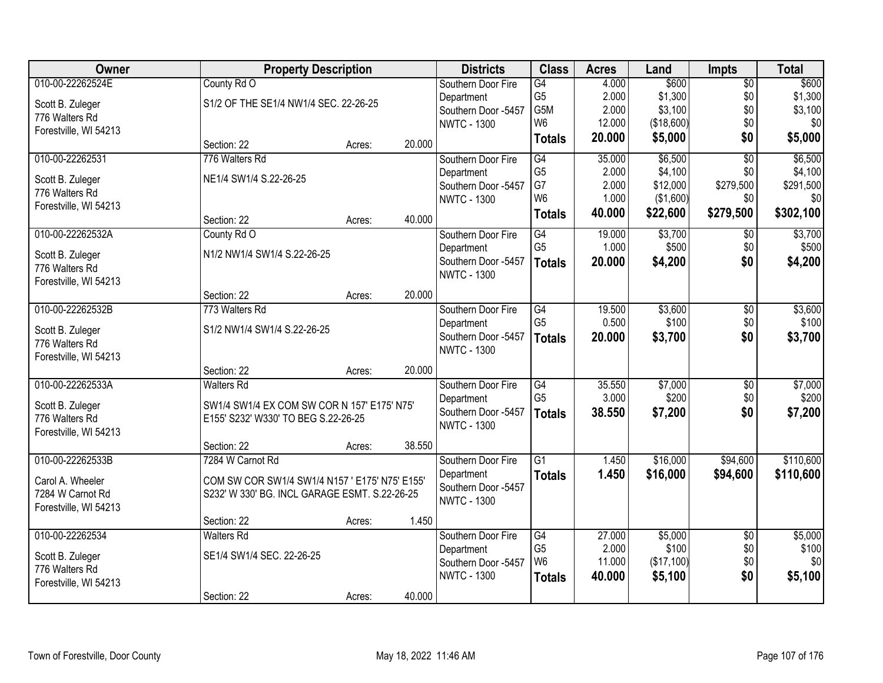| Owner                 | <b>Property Description</b>                    |        |        | <b>Districts</b>                          | <b>Class</b>    | <b>Acres</b> | Land       | <b>Impts</b>    | <b>Total</b> |
|-----------------------|------------------------------------------------|--------|--------|-------------------------------------------|-----------------|--------------|------------|-----------------|--------------|
| 010-00-22262524E      | County Rd O                                    |        |        | Southern Door Fire                        | $\overline{G4}$ | 4.000        | \$600      | $\overline{50}$ | \$600        |
| Scott B. Zuleger      | S1/2 OF THE SE1/4 NW1/4 SEC. 22-26-25          |        |        | Department                                | G <sub>5</sub>  | 2.000        | \$1,300    | \$0             | \$1,300      |
| 776 Walters Rd        |                                                |        |        | Southern Door -5457                       | G5M             | 2.000        | \$3,100    | \$0             | \$3,100      |
| Forestville, WI 54213 |                                                |        |        | <b>NWTC - 1300</b>                        | W <sub>6</sub>  | 12.000       | (\$18,600) | \$0             | \$0          |
|                       | Section: 22                                    | Acres: | 20.000 |                                           | <b>Totals</b>   | 20.000       | \$5,000    | \$0             | \$5,000      |
| 010-00-22262531       | 776 Walters Rd                                 |        |        | Southern Door Fire                        | G4              | 35.000       | \$6,500    | $\overline{50}$ | \$6,500      |
| Scott B. Zuleger      | NE1/4 SW1/4 S.22-26-25                         |        |        | Department                                | G <sub>5</sub>  | 2.000        | \$4,100    | \$0             | \$4,100      |
| 776 Walters Rd        |                                                |        |        | Southern Door -5457                       | G7              | 2.000        | \$12,000   | \$279,500       | \$291,500    |
| Forestville, WI 54213 |                                                |        |        | <b>NWTC - 1300</b>                        | W <sub>6</sub>  | 1.000        | (\$1,600)  | \$0             | \$0          |
|                       | Section: 22                                    | Acres: | 40.000 |                                           | <b>Totals</b>   | 40.000       | \$22,600   | \$279,500       | \$302,100    |
| 010-00-22262532A      | County Rd O                                    |        |        | Southern Door Fire                        | G4              | 19.000       | \$3,700    | $\sqrt{50}$     | \$3,700      |
| Scott B. Zuleger      | N1/2 NW1/4 SW1/4 S.22-26-25                    |        |        | Department                                | G <sub>5</sub>  | 1.000        | \$500      | \$0             | \$500        |
| 776 Walters Rd        |                                                |        |        | Southern Door -5457                       | <b>Totals</b>   | 20.000       | \$4,200    | \$0             | \$4,200      |
| Forestville, WI 54213 |                                                |        |        | <b>NWTC - 1300</b>                        |                 |              |            |                 |              |
|                       | Section: 22                                    | Acres: | 20.000 |                                           |                 |              |            |                 |              |
| 010-00-22262532B      | 773 Walters Rd                                 |        |        | Southern Door Fire                        | G4              | 19.500       | \$3,600    | \$0             | \$3,600      |
| Scott B. Zuleger      | S1/2 NW1/4 SW1/4 S.22-26-25                    |        |        | Department                                | G <sub>5</sub>  | 0.500        | \$100      | \$0             | \$100        |
| 776 Walters Rd        |                                                |        |        | Southern Door -5457                       | <b>Totals</b>   | 20.000       | \$3,700    | \$0             | \$3,700      |
| Forestville, WI 54213 |                                                |        |        | <b>NWTC - 1300</b>                        |                 |              |            |                 |              |
|                       | Section: 22                                    | Acres: | 20.000 |                                           |                 |              |            |                 |              |
| 010-00-22262533A      | <b>Walters Rd</b>                              |        |        | Southern Door Fire                        | $\overline{G4}$ | 35.550       | \$7,000    | $\overline{50}$ | \$7,000      |
| Scott B. Zuleger      | SW1/4 SW1/4 EX COM SW COR N 157' E175' N75'    |        |        | Department                                | G <sub>5</sub>  | 3.000        | \$200      | \$0             | \$200        |
| 776 Walters Rd        | E155' S232' W330' TO BEG S.22-26-25            |        |        | Southern Door -5457<br><b>NWTC - 1300</b> | <b>Totals</b>   | 38.550       | \$7,200    | \$0             | \$7,200      |
| Forestville, WI 54213 |                                                |        |        |                                           |                 |              |            |                 |              |
|                       | Section: 22                                    | Acres: | 38.550 |                                           |                 |              |            |                 |              |
| 010-00-22262533B      | 7284 W Carnot Rd                               |        |        | Southern Door Fire                        | $\overline{G1}$ | 1.450        | \$16,000   | \$94,600        | \$110,600    |
| Carol A. Wheeler      | COM SW COR SW1/4 SW1/4 N157 ' E175' N75' E155' |        |        | Department                                | <b>Totals</b>   | 1.450        | \$16,000   | \$94,600        | \$110,600    |
| 7284 W Carnot Rd      | S232' W 330' BG. INCL GARAGE ESMT. S.22-26-25  |        |        | Southern Door -5457<br><b>NWTC - 1300</b> |                 |              |            |                 |              |
| Forestville, WI 54213 |                                                |        |        |                                           |                 |              |            |                 |              |
|                       | Section: 22                                    | Acres: | 1.450  |                                           |                 |              |            |                 |              |
| 010-00-22262534       | <b>Walters Rd</b>                              |        |        | Southern Door Fire                        | G4              | 27.000       | \$5,000    | $\overline{50}$ | \$5,000      |
| Scott B. Zuleger      | SE1/4 SW1/4 SEC. 22-26-25                      |        |        | Department                                | G <sub>5</sub>  | 2.000        | \$100      | \$0             | \$100        |
| 776 Walters Rd        |                                                |        |        | Southern Door -5457                       | W <sub>6</sub>  | 11.000       | (\$17,100) | \$0             | \$0          |
| Forestville, WI 54213 |                                                |        |        | <b>NWTC - 1300</b>                        | <b>Totals</b>   | 40.000       | \$5,100    | \$0             | \$5,100      |
|                       | Section: 22                                    | Acres: | 40.000 |                                           |                 |              |            |                 |              |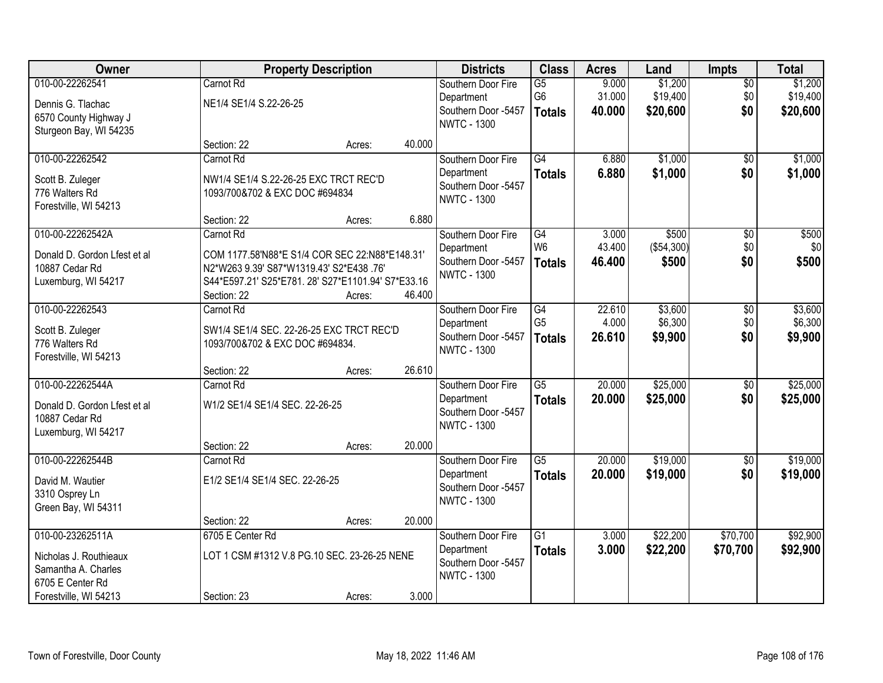| Owner                                                                                                          |                                                                                                                                                                              | <b>Property Description</b> |                  | <b>Districts</b>                                                              | <b>Class</b>                                       | <b>Acres</b>              | Land                            | Impts                         | <b>Total</b>                    |
|----------------------------------------------------------------------------------------------------------------|------------------------------------------------------------------------------------------------------------------------------------------------------------------------------|-----------------------------|------------------|-------------------------------------------------------------------------------|----------------------------------------------------|---------------------------|---------------------------------|-------------------------------|---------------------------------|
| 010-00-22262541<br>Dennis G. Tlachac<br>6570 County Highway J<br>Sturgeon Bay, WI 54235                        | Carnot Rd<br>NE1/4 SE1/4 S.22-26-25                                                                                                                                          |                             |                  | Southern Door Fire<br>Department<br>Southern Door -5457<br><b>NWTC - 1300</b> | $\overline{G5}$<br>G6<br><b>Totals</b>             | 9.000<br>31.000<br>40.000 | \$1,200<br>\$19,400<br>\$20,600 | $\overline{50}$<br>\$0<br>\$0 | \$1,200<br>\$19,400<br>\$20,600 |
|                                                                                                                | Section: 22                                                                                                                                                                  | Acres:                      | 40.000           |                                                                               |                                                    |                           |                                 |                               |                                 |
| 010-00-22262542<br>Scott B. Zuleger<br>776 Walters Rd<br>Forestville, WI 54213                                 | Carnot Rd<br>NW1/4 SE1/4 S.22-26-25 EXC TRCT REC'D<br>1093/700&702 & EXC DOC #694834                                                                                         |                             |                  | Southern Door Fire<br>Department<br>Southern Door -5457<br><b>NWTC - 1300</b> | $\overline{G4}$<br><b>Totals</b>                   | 6.880<br>6.880            | \$1,000<br>\$1,000              | \$0<br>\$0                    | \$1,000<br>\$1,000              |
|                                                                                                                | Section: 22                                                                                                                                                                  | Acres:                      | 6.880            |                                                                               |                                                    |                           |                                 |                               |                                 |
| 010-00-22262542A<br>Donald D. Gordon Lfest et al<br>10887 Cedar Rd<br>Luxemburg, WI 54217                      | Carnot Rd<br>COM 1177.58'N88*E S1/4 COR SEC 22:N88*E148.31'<br>N2*W263 9.39' S87*W1319.43' S2*E438 .76'<br>S44*E597.21' S25*E781. 28' S27*E1101.94' S7*E33.16<br>Section: 22 | Acres:                      | 46.400           | Southern Door Fire<br>Department<br>Southern Door -5457<br><b>NWTC - 1300</b> | $\overline{G4}$<br>W <sub>6</sub><br><b>Totals</b> | 3.000<br>43.400<br>46.400 | \$500<br>(\$54,300)<br>\$500    | $\overline{50}$<br>\$0<br>\$0 | \$500<br>\$0<br>\$500           |
| 010-00-22262543<br>Scott B. Zuleger<br>776 Walters Rd<br>Forestville, WI 54213                                 | Carnot Rd<br>SW1/4 SE1/4 SEC. 22-26-25 EXC TRCT REC'D<br>1093/700&702 & EXC DOC #694834.                                                                                     |                             |                  | Southern Door Fire<br>Department<br>Southern Door -5457<br><b>NWTC - 1300</b> | G4<br>G <sub>5</sub><br><b>Totals</b>              | 22.610<br>4.000<br>26.610 | \$3,600<br>\$6,300<br>\$9,900   | \$0<br>\$0<br>\$0             | \$3,600<br>\$6,300<br>\$9,900   |
| 010-00-22262544A<br>Donald D. Gordon Lfest et al<br>10887 Cedar Rd<br>Luxemburg, WI 54217                      | Section: 22<br>Carnot Rd<br>W1/2 SE1/4 SE1/4 SEC. 22-26-25                                                                                                                   | Acres:                      | 26.610           | Southern Door Fire<br>Department<br>Southern Door -5457<br><b>NWTC - 1300</b> | $\overline{G5}$<br><b>Totals</b>                   | 20.000<br>20.000          | \$25,000<br>\$25,000            | $\overline{50}$<br>\$0        | \$25,000<br>\$25,000            |
| 010-00-22262544B<br>David M. Wautier<br>3310 Osprey Ln<br>Green Bay, WI 54311                                  | Section: 22<br>Carnot Rd<br>E1/2 SE1/4 SE1/4 SEC. 22-26-25<br>Section: 22                                                                                                    | Acres:<br>Acres:            | 20.000<br>20.000 | Southern Door Fire<br>Department<br>Southern Door -5457<br><b>NWTC - 1300</b> | $\overline{G5}$<br><b>Totals</b>                   | 20.000<br>20.000          | \$19,000<br>\$19,000            | $\sqrt{6}$<br>\$0             | \$19,000<br>\$19,000            |
| 010-00-23262511A<br>Nicholas J. Routhieaux<br>Samantha A. Charles<br>6705 E Center Rd<br>Forestville, WI 54213 | 6705 E Center Rd<br>LOT 1 CSM #1312 V.8 PG.10 SEC. 23-26-25 NENE<br>Section: 23                                                                                              | Acres:                      | 3.000            | Southern Door Fire<br>Department<br>Southern Door -5457<br><b>NWTC - 1300</b> | $\overline{G1}$<br><b>Totals</b>                   | 3.000<br>3.000            | \$22,200<br>\$22,200            | \$70,700<br>\$70,700          | \$92,900<br>\$92,900            |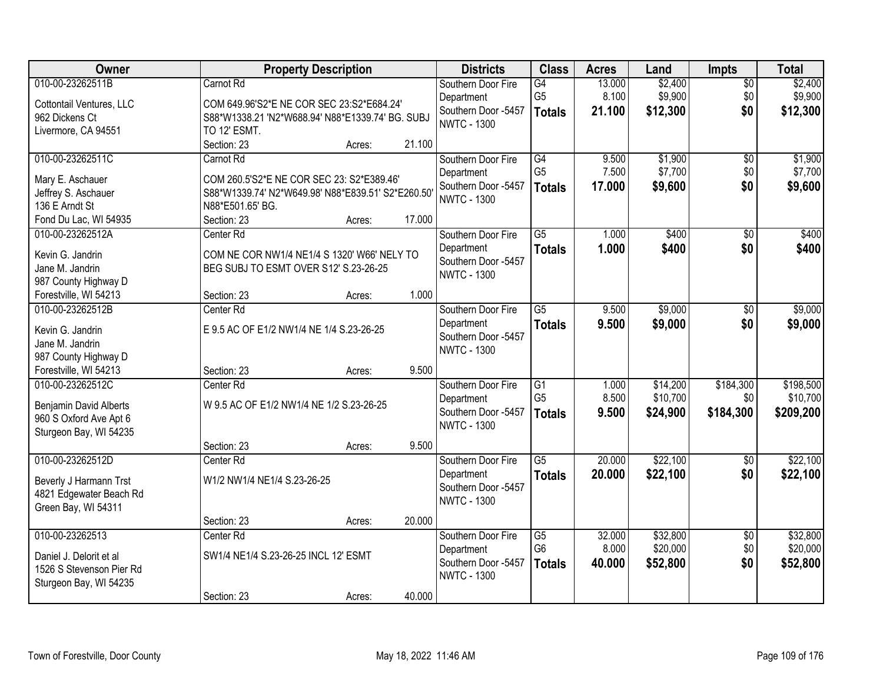| Owner                    |                                                   | <b>Property Description</b> |        | <b>Districts</b>                          | <b>Class</b>    | <b>Acres</b> | Land     | <b>Impts</b>    | <b>Total</b> |
|--------------------------|---------------------------------------------------|-----------------------------|--------|-------------------------------------------|-----------------|--------------|----------|-----------------|--------------|
| 010-00-23262511B         | Carnot Rd                                         |                             |        | Southern Door Fire                        | G4              | 13.000       | \$2,400  | $\overline{50}$ | \$2,400      |
| Cottontail Ventures, LLC | COM 649.96'S2*E NE COR SEC 23:S2*E684.24'         |                             |        | Department                                | G <sub>5</sub>  | 8.100        | \$9,900  | \$0             | \$9,900      |
| 962 Dickens Ct           | S88*W1338.21 'N2*W688.94' N88*E1339.74' BG. SUBJ  |                             |        | Southern Door -5457<br><b>NWTC - 1300</b> | <b>Totals</b>   | 21.100       | \$12,300 | \$0             | \$12,300     |
| Livermore, CA 94551      | TO 12' ESMT.                                      |                             |        |                                           |                 |              |          |                 |              |
|                          | Section: 23                                       | Acres:                      | 21.100 |                                           |                 |              |          |                 |              |
| 010-00-23262511C         | Carnot Rd                                         |                             |        | Southern Door Fire                        | $\overline{G4}$ | 9.500        | \$1,900  | $\overline{50}$ | \$1,900      |
| Mary E. Aschauer         | COM 260.5'S2*E NE COR SEC 23: S2*E389.46'         |                             |        | Department                                | G <sub>5</sub>  | 7.500        | \$7,700  | \$0             | \$7,700      |
| Jeffrey S. Aschauer      | S88*W1339.74' N2*W649.98' N88*E839.51' S2*E260.50 |                             |        | Southern Door -5457                       | <b>Totals</b>   | 17.000       | \$9,600  | \$0             | \$9,600      |
| 136 E Arndt St           | N88*E501.65' BG.                                  |                             |        | <b>NWTC - 1300</b>                        |                 |              |          |                 |              |
| Fond Du Lac, WI 54935    | Section: 23                                       | Acres:                      | 17.000 |                                           |                 |              |          |                 |              |
| 010-00-23262512A         | Center Rd                                         |                             |        | Southern Door Fire                        | $\overline{G5}$ | 1.000        | \$400    | $\overline{50}$ | \$400        |
| Kevin G. Jandrin         | COM NE COR NW1/4 NE1/4 S 1320' W66' NELY TO       |                             |        | Department                                | <b>Totals</b>   | 1.000        | \$400    | \$0             | \$400        |
| Jane M. Jandrin          | BEG SUBJ TO ESMT OVER S12' S.23-26-25             |                             |        | Southern Door -5457                       |                 |              |          |                 |              |
| 987 County Highway D     |                                                   |                             |        | <b>NWTC - 1300</b>                        |                 |              |          |                 |              |
| Forestville, WI 54213    | Section: 23                                       | Acres:                      | 1.000  |                                           |                 |              |          |                 |              |
| 010-00-23262512B         | Center <sub>Rd</sub>                              |                             |        | Southern Door Fire                        | $\overline{G5}$ | 9.500        | \$9,000  | \$0             | \$9,000      |
| Kevin G. Jandrin         | E 9.5 AC OF E1/2 NW1/4 NE 1/4 S.23-26-25          |                             |        | Department                                | <b>Totals</b>   | 9.500        | \$9,000  | \$0             | \$9,000      |
| Jane M. Jandrin          |                                                   |                             |        | Southern Door -5457                       |                 |              |          |                 |              |
| 987 County Highway D     |                                                   |                             |        | <b>NWTC - 1300</b>                        |                 |              |          |                 |              |
| Forestville, WI 54213    | Section: 23                                       | Acres:                      | 9.500  |                                           |                 |              |          |                 |              |
| 010-00-23262512C         | Center Rd                                         |                             |        | Southern Door Fire                        | $\overline{G1}$ | 1.000        | \$14,200 | \$184,300       | \$198,500    |
| Benjamin David Alberts   | W 9.5 AC OF E1/2 NW1/4 NE 1/2 S.23-26-25          |                             |        | Department                                | G <sub>5</sub>  | 8.500        | \$10,700 | \$0             | \$10,700     |
| 960 S Oxford Ave Apt 6   |                                                   |                             |        | Southern Door -5457                       | <b>Totals</b>   | 9.500        | \$24,900 | \$184,300       | \$209,200    |
| Sturgeon Bay, WI 54235   |                                                   |                             |        | <b>NWTC - 1300</b>                        |                 |              |          |                 |              |
|                          | Section: 23                                       | Acres:                      | 9.500  |                                           |                 |              |          |                 |              |
| 010-00-23262512D         | Center <sub>Rd</sub>                              |                             |        | Southern Door Fire                        | $\overline{G5}$ | 20.000       | \$22,100 | $\overline{60}$ | \$22,100     |
| Beverly J Harmann Trst   | W1/2 NW1/4 NE1/4 S.23-26-25                       |                             |        | Department                                | <b>Totals</b>   | 20.000       | \$22,100 | \$0             | \$22,100     |
| 4821 Edgewater Beach Rd  |                                                   |                             |        | Southern Door -5457                       |                 |              |          |                 |              |
| Green Bay, WI 54311      |                                                   |                             |        | <b>NWTC - 1300</b>                        |                 |              |          |                 |              |
|                          | Section: 23                                       | Acres:                      | 20.000 |                                           |                 |              |          |                 |              |
| 010-00-23262513          | Center Rd                                         |                             |        | Southern Door Fire                        | $\overline{G5}$ | 32.000       | \$32,800 | $\overline{50}$ | \$32,800     |
| Daniel J. Delorit et al  | SW1/4 NE1/4 S.23-26-25 INCL 12' ESMT              |                             |        | Department                                | G <sub>6</sub>  | 8.000        | \$20,000 | \$0             | \$20,000     |
| 1526 S Stevenson Pier Rd |                                                   |                             |        | Southern Door -5457                       | <b>Totals</b>   | 40.000       | \$52,800 | \$0             | \$52,800     |
| Sturgeon Bay, WI 54235   |                                                   |                             |        | <b>NWTC - 1300</b>                        |                 |              |          |                 |              |
|                          | Section: 23                                       | Acres:                      | 40.000 |                                           |                 |              |          |                 |              |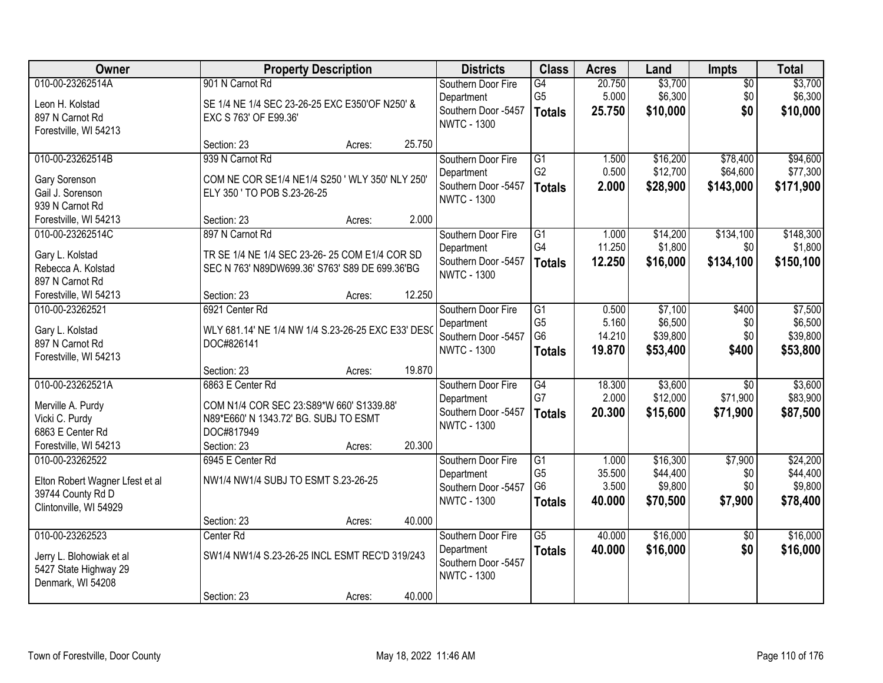| Owner                           |                                                    | <b>Property Description</b> |        | <b>Districts</b>                          | <b>Class</b>    | <b>Acres</b> | Land     | <b>Impts</b>    | <b>Total</b> |
|---------------------------------|----------------------------------------------------|-----------------------------|--------|-------------------------------------------|-----------------|--------------|----------|-----------------|--------------|
| 010-00-23262514A                | 901 N Carnot Rd                                    |                             |        | Southern Door Fire                        | G4              | 20.750       | \$3,700  | $\overline{50}$ | \$3,700      |
| Leon H. Kolstad                 | SE 1/4 NE 1/4 SEC 23-26-25 EXC E350'OF N250' &     |                             |        | Department                                | G <sub>5</sub>  | 5.000        | \$6,300  | \$0             | \$6,300      |
| 897 N Carnot Rd                 | EXC S 763' OF E99.36'                              |                             |        | Southern Door -5457<br><b>NWTC - 1300</b> | <b>Totals</b>   | 25.750       | \$10,000 | \$0             | \$10,000     |
| Forestville, WI 54213           |                                                    |                             |        |                                           |                 |              |          |                 |              |
|                                 | Section: 23                                        | Acres:                      | 25.750 |                                           |                 |              |          |                 |              |
| 010-00-23262514B                | 939 N Carnot Rd                                    |                             |        | Southern Door Fire                        | $\overline{G1}$ | 1.500        | \$16,200 | \$78,400        | \$94,600     |
| Gary Sorenson                   | COM NE COR SE1/4 NE1/4 S250 ' WLY 350' NLY 250'    |                             |        | Department                                | G <sub>2</sub>  | 0.500        | \$12,700 | \$64,600        | \$77,300     |
| Gail J. Sorenson                | ELY 350 ' TO POB S.23-26-25                        |                             |        | Southern Door -5457<br><b>NWTC - 1300</b> | <b>Totals</b>   | 2.000        | \$28,900 | \$143,000       | \$171,900    |
| 939 N Carnot Rd                 |                                                    |                             |        |                                           |                 |              |          |                 |              |
| Forestville, WI 54213           | Section: 23                                        | Acres:                      | 2.000  |                                           |                 |              |          |                 |              |
| 010-00-23262514C                | 897 N Carnot Rd                                    |                             |        | Southern Door Fire                        | $\overline{G1}$ | 1.000        | \$14,200 | \$134,100       | \$148,300    |
| Gary L. Kolstad                 | TR SE 1/4 NE 1/4 SEC 23-26-25 COM E1/4 COR SD      |                             |        | Department                                | G4              | 11.250       | \$1,800  | \$0             | \$1,800      |
| Rebecca A. Kolstad              | SEC N 763' N89DW699.36' S763' S89 DE 699.36'BG     |                             |        | Southern Door -5457<br><b>NWTC - 1300</b> | <b>Totals</b>   | 12.250       | \$16,000 | \$134,100       | \$150,100    |
| 897 N Carnot Rd                 |                                                    |                             |        |                                           |                 |              |          |                 |              |
| Forestville, WI 54213           | Section: 23                                        | Acres:                      | 12.250 |                                           |                 |              |          |                 |              |
| 010-00-23262521                 | 6921 Center Rd                                     |                             |        | Southern Door Fire                        | G1              | 0.500        | \$7,100  | \$400           | \$7,500      |
| Gary L. Kolstad                 | WLY 681.14' NE 1/4 NW 1/4 S.23-26-25 EXC E33' DESO |                             |        | Department                                | G <sub>5</sub>  | 5.160        | \$6,500  | \$0             | \$6,500      |
| 897 N Carnot Rd                 | DOC#826141                                         |                             |        | Southern Door -5457                       | G <sub>6</sub>  | 14.210       | \$39,800 | \$0             | \$39,800     |
| Forestville, WI 54213           |                                                    |                             |        | <b>NWTC - 1300</b>                        | <b>Totals</b>   | 19.870       | \$53,400 | \$400           | \$53,800     |
|                                 | Section: 23                                        | Acres:                      | 19.870 |                                           |                 |              |          |                 |              |
| 010-00-23262521A                | 6863 E Center Rd                                   |                             |        | Southern Door Fire                        | $\overline{G4}$ | 18.300       | \$3,600  | $\overline{30}$ | \$3,600      |
| Merville A. Purdy               | COM N1/4 COR SEC 23:S89*W 660' S1339.88'           |                             |        | Department                                | G7              | 2.000        | \$12,000 | \$71,900        | \$83,900     |
| Vicki C. Purdy                  | N89*E660' N 1343.72' BG. SUBJ TO ESMT              |                             |        | Southern Door -5457                       | <b>Totals</b>   | 20.300       | \$15,600 | \$71,900        | \$87,500     |
| 6863 E Center Rd                | DOC#817949                                         |                             |        | <b>NWTC - 1300</b>                        |                 |              |          |                 |              |
| Forestville, WI 54213           | Section: 23                                        | Acres:                      | 20.300 |                                           |                 |              |          |                 |              |
| 010-00-23262522                 | 6945 E Center Rd                                   |                             |        | Southern Door Fire                        | $\overline{G1}$ | 1.000        | \$16,300 | \$7,900         | \$24,200     |
| Elton Robert Wagner Lfest et al | NW1/4 NW1/4 SUBJ TO ESMT S.23-26-25                |                             |        | Department                                | G <sub>5</sub>  | 35.500       | \$44,400 | \$0             | \$44,400     |
| 39744 County Rd D               |                                                    |                             |        | Southern Door -5457                       | G <sub>6</sub>  | 3.500        | \$9,800  | \$0             | \$9,800      |
| Clintonville, WI 54929          |                                                    |                             |        | <b>NWTC - 1300</b>                        | <b>Totals</b>   | 40.000       | \$70,500 | \$7,900         | \$78,400     |
|                                 | Section: 23                                        | Acres:                      | 40.000 |                                           |                 |              |          |                 |              |
| 010-00-23262523                 | Center Rd                                          |                             |        | Southern Door Fire                        | $\overline{G5}$ | 40.000       | \$16,000 | $\overline{30}$ | \$16,000     |
| Jerry L. Blohowiak et al        | SW1/4 NW1/4 S.23-26-25 INCL ESMT REC'D 319/243     |                             |        | Department                                | <b>Totals</b>   | 40.000       | \$16,000 | \$0             | \$16,000     |
| 5427 State Highway 29           |                                                    |                             |        | Southern Door -5457                       |                 |              |          |                 |              |
| Denmark, WI 54208               |                                                    |                             |        | <b>NWTC - 1300</b>                        |                 |              |          |                 |              |
|                                 | Section: 23                                        | Acres:                      | 40.000 |                                           |                 |              |          |                 |              |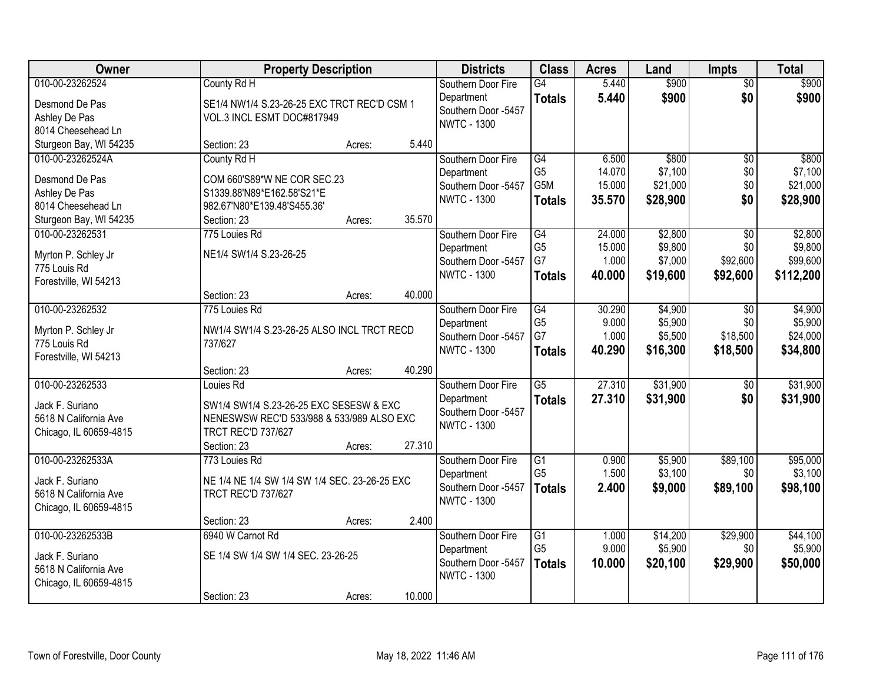| Owner                               | <b>Property Description</b>                   |        | <b>Districts</b>                          | <b>Class</b>     | <b>Acres</b> | Land     | <b>Impts</b>    | <b>Total</b> |
|-------------------------------------|-----------------------------------------------|--------|-------------------------------------------|------------------|--------------|----------|-----------------|--------------|
| 010-00-23262524                     | County Rd H                                   |        | Southern Door Fire                        | $\overline{G4}$  | 5.440        | \$900    | $\overline{50}$ | \$900        |
| Desmond De Pas                      | SE1/4 NW1/4 S.23-26-25 EXC TRCT REC'D CSM 1   |        | Department                                | <b>Totals</b>    | 5.440        | \$900    | \$0             | \$900        |
| Ashley De Pas                       | VOL.3 INCL ESMT DOC#817949                    |        | Southern Door -5457                       |                  |              |          |                 |              |
| 8014 Cheesehead Ln                  |                                               |        | <b>NWTC - 1300</b>                        |                  |              |          |                 |              |
| Sturgeon Bay, WI 54235              | Section: 23<br>Acres:                         | 5.440  |                                           |                  |              |          |                 |              |
| 010-00-23262524A                    | County Rd H                                   |        | Southern Door Fire                        | G4               | 6.500        | \$800    | $\overline{50}$ | \$800        |
| Desmond De Pas                      | COM 660'S89*W NE COR SEC.23                   |        | Department                                | G <sub>5</sub>   | 14.070       | \$7,100  | \$0             | \$7,100      |
| Ashley De Pas                       | S1339.88'N89*E162.58'S21*E                    |        | Southern Door -5457                       | G <sub>5</sub> M | 15.000       | \$21,000 | \$0             | \$21,000     |
| 8014 Cheesehead Ln                  | 982.67'N80*E139.48'S455.36'                   |        | <b>NWTC - 1300</b>                        | <b>Totals</b>    | 35.570       | \$28,900 | \$0             | \$28,900     |
| Sturgeon Bay, WI 54235              | Section: 23<br>Acres:                         | 35.570 |                                           |                  |              |          |                 |              |
| 010-00-23262531                     | 775 Louies Rd                                 |        | Southern Door Fire                        | G4               | 24.000       | \$2,800  | \$0             | \$2,800      |
|                                     |                                               |        | Department                                | G <sub>5</sub>   | 15.000       | \$9,800  | \$0             | \$9,800      |
| Myrton P. Schley Jr<br>775 Louis Rd | NE1/4 SW1/4 S.23-26-25                        |        | Southern Door -5457                       | G7               | 1.000        | \$7,000  | \$92,600        | \$99,600     |
| Forestville, WI 54213               |                                               |        | <b>NWTC - 1300</b>                        | <b>Totals</b>    | 40.000       | \$19,600 | \$92,600        | \$112,200    |
|                                     | Section: 23<br>Acres:                         | 40.000 |                                           |                  |              |          |                 |              |
| 010-00-23262532                     | 775 Louies Rd                                 |        | Southern Door Fire                        | G4               | 30.290       | \$4,900  | $\sqrt{6}$      | \$4,900      |
|                                     |                                               |        | Department                                | G <sub>5</sub>   | 9.000        | \$5,900  | \$0             | \$5,900      |
| Myrton P. Schley Jr                 | NW1/4 SW1/4 S.23-26-25 ALSO INCL TRCT RECD    |        | Southern Door -5457                       | G7               | 1.000        | \$5,500  | \$18,500        | \$24,000     |
| 775 Louis Rd                        | 737/627                                       |        | <b>NWTC - 1300</b>                        | <b>Totals</b>    | 40.290       | \$16,300 | \$18,500        | \$34,800     |
| Forestville, WI 54213               | Section: 23<br>Acres:                         | 40.290 |                                           |                  |              |          |                 |              |
| 010-00-23262533                     | Louies Rd                                     |        | Southern Door Fire                        | $\overline{G5}$  | 27.310       | \$31,900 | $\overline{60}$ | \$31,900     |
|                                     |                                               |        | Department                                | <b>Totals</b>    | 27.310       | \$31,900 | \$0             | \$31,900     |
| Jack F. Suriano                     | SW1/4 SW1/4 S.23-26-25 EXC SESESW & EXC       |        | Southern Door -5457                       |                  |              |          |                 |              |
| 5618 N California Ave               | NENESWSW REC'D 533/988 & 533/989 ALSO EXC     |        | <b>NWTC - 1300</b>                        |                  |              |          |                 |              |
| Chicago, IL 60659-4815              | <b>TRCT REC'D 737/627</b>                     |        |                                           |                  |              |          |                 |              |
|                                     | Section: 23<br>Acres:                         | 27.310 |                                           |                  |              |          |                 |              |
| 010-00-23262533A                    | 773 Louies Rd                                 |        | Southern Door Fire                        | G1               | 0.900        | \$5,900  | \$89,100        | \$95,000     |
| Jack F. Suriano                     | NE 1/4 NE 1/4 SW 1/4 SW 1/4 SEC. 23-26-25 EXC |        | Department                                | G <sub>5</sub>   | 1.500        | \$3,100  | \$0             | \$3,100      |
| 5618 N California Ave               | <b>TRCT REC'D 737/627</b>                     |        | Southern Door -5457<br><b>NWTC - 1300</b> | <b>Totals</b>    | 2.400        | \$9,000  | \$89,100        | \$98,100     |
| Chicago, IL 60659-4815              |                                               |        |                                           |                  |              |          |                 |              |
|                                     | Section: 23<br>Acres:                         | 2.400  |                                           |                  |              |          |                 |              |
| 010-00-23262533B                    | 6940 W Carnot Rd                              |        | Southern Door Fire                        | $\overline{G1}$  | 1.000        | \$14,200 | \$29,900        | \$44,100     |
| Jack F. Suriano                     | SE 1/4 SW 1/4 SW 1/4 SEC. 23-26-25            |        | Department                                | G <sub>5</sub>   | 9.000        | \$5,900  | \$0             | \$5,900      |
| 5618 N California Ave               |                                               |        | Southern Door -5457                       | <b>Totals</b>    | 10.000       | \$20,100 | \$29,900        | \$50,000     |
| Chicago, IL 60659-4815              |                                               |        | <b>NWTC - 1300</b>                        |                  |              |          |                 |              |
|                                     | Section: 23<br>Acres:                         | 10.000 |                                           |                  |              |          |                 |              |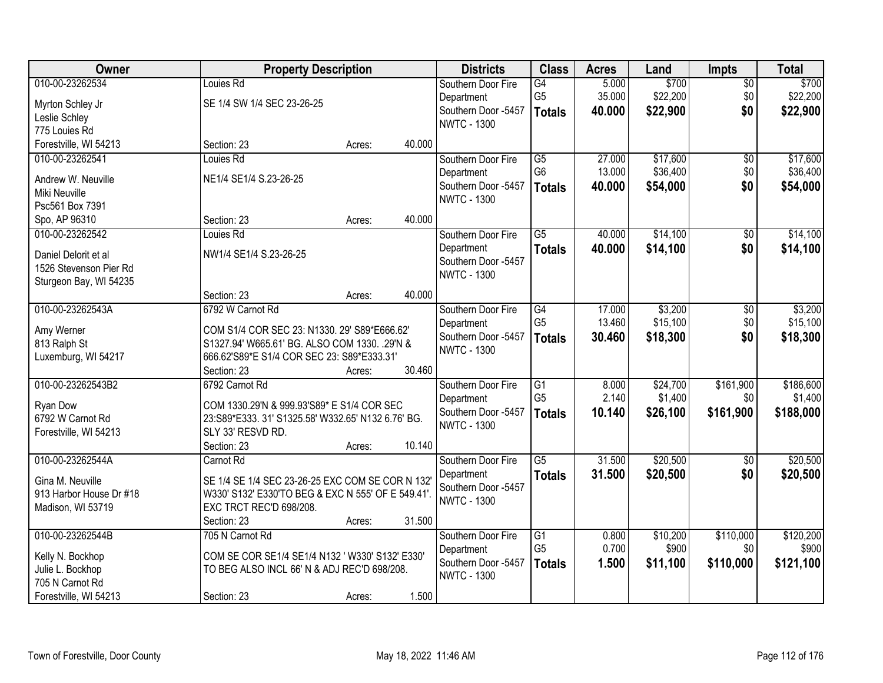| Owner                               | <b>Property Description</b>                                                                   |        |        | <b>Districts</b>                  | <b>Class</b>    | <b>Acres</b> | Land     | <b>Impts</b>    | <b>Total</b> |
|-------------------------------------|-----------------------------------------------------------------------------------------------|--------|--------|-----------------------------------|-----------------|--------------|----------|-----------------|--------------|
| 010-00-23262534                     | Louies Rd                                                                                     |        |        | Southern Door Fire                | G4              | 5.000        | \$700    | $\overline{50}$ | \$700        |
| Myrton Schley Jr                    | SE 1/4 SW 1/4 SEC 23-26-25                                                                    |        |        | Department                        | G <sub>5</sub>  | 35.000       | \$22,200 | \$0             | \$22,200     |
| Leslie Schley                       |                                                                                               |        |        | Southern Door -5457               | <b>Totals</b>   | 40.000       | \$22,900 | \$0             | \$22,900     |
| 775 Louies Rd                       |                                                                                               |        |        | <b>NWTC - 1300</b>                |                 |              |          |                 |              |
| Forestville, WI 54213               | Section: 23                                                                                   | Acres: | 40.000 |                                   |                 |              |          |                 |              |
| 010-00-23262541                     | Louies Rd                                                                                     |        |        | Southern Door Fire                | $\overline{G5}$ | 27.000       | \$17,600 | $\overline{50}$ | \$17,600     |
|                                     |                                                                                               |        |        | Department                        | G <sub>6</sub>  | 13.000       | \$36,400 | \$0             | \$36,400     |
| Andrew W. Neuville                  | NE1/4 SE1/4 S.23-26-25                                                                        |        |        | Southern Door -5457               | <b>Totals</b>   | 40.000       | \$54,000 | \$0             | \$54,000     |
| Miki Neuville                       |                                                                                               |        |        | <b>NWTC - 1300</b>                |                 |              |          |                 |              |
| Psc561 Box 7391                     |                                                                                               |        |        |                                   |                 |              |          |                 |              |
| Spo, AP 96310                       | Section: 23                                                                                   | Acres: | 40.000 |                                   |                 |              |          |                 |              |
| 010-00-23262542                     | Louies Rd                                                                                     |        |        | Southern Door Fire                | $\overline{G5}$ | 40.000       | \$14,100 | $\overline{50}$ | \$14,100     |
| Daniel Delorit et al                | NW1/4 SE1/4 S.23-26-25                                                                        |        |        | Department                        | <b>Totals</b>   | 40.000       | \$14,100 | \$0             | \$14,100     |
| 1526 Stevenson Pier Rd              |                                                                                               |        |        | Southern Door -5457               |                 |              |          |                 |              |
| Sturgeon Bay, WI 54235              |                                                                                               |        |        | <b>NWTC - 1300</b>                |                 |              |          |                 |              |
|                                     | Section: 23                                                                                   | Acres: | 40.000 |                                   |                 |              |          |                 |              |
| 010-00-23262543A                    | 6792 W Carnot Rd                                                                              |        |        | Southern Door Fire                | G4              | 17.000       | \$3,200  | \$0             | \$3,200      |
|                                     |                                                                                               |        |        | Department                        | G <sub>5</sub>  | 13.460       | \$15,100 | \$0             | \$15,100     |
| Amy Werner                          | COM S1/4 COR SEC 23: N1330. 29' S89*E666.62'<br>S1327.94' W665.61' BG. ALSO COM 1330. .29'N & |        |        | Southern Door -5457               | <b>Totals</b>   | 30.460       | \$18,300 | \$0             | \$18,300     |
| 813 Ralph St<br>Luxemburg, WI 54217 | 666.62'S89*E S1/4 COR SEC 23: S89*E333.31'                                                    |        |        | <b>NWTC - 1300</b>                |                 |              |          |                 |              |
|                                     | Section: 23                                                                                   | Acres: | 30.460 |                                   |                 |              |          |                 |              |
| 010-00-23262543B2                   | 6792 Carnot Rd                                                                                |        |        | Southern Door Fire                | $\overline{G1}$ | 8.000        | \$24,700 | \$161,900       | \$186,600    |
|                                     |                                                                                               |        |        |                                   | G <sub>5</sub>  | 2.140        | \$1,400  | \$0             | \$1,400      |
| Ryan Dow                            | COM 1330.29'N & 999.93'S89* E S1/4 COR SEC                                                    |        |        | Department<br>Southern Door -5457 |                 | 10.140       |          | \$161,900       |              |
| 6792 W Carnot Rd                    | 23:S89*E333.31' S1325.58' W332.65' N132 6.76' BG.                                             |        |        | <b>NWTC - 1300</b>                | <b>Totals</b>   |              | \$26,100 |                 | \$188,000    |
| Forestville, WI 54213               | SLY 33' RESVD RD.                                                                             |        |        |                                   |                 |              |          |                 |              |
|                                     | Section: 23                                                                                   | Acres: | 10.140 |                                   |                 |              |          |                 |              |
| 010-00-23262544A                    | Carnot Rd                                                                                     |        |        | Southern Door Fire                | $\overline{G5}$ | 31.500       | \$20,500 | $\overline{50}$ | \$20,500     |
| Gina M. Neuville                    | SE 1/4 SE 1/4 SEC 23-26-25 EXC COM SE COR N 132                                               |        |        | Department                        | <b>Totals</b>   | 31.500       | \$20,500 | \$0             | \$20,500     |
| 913 Harbor House Dr #18             | W330' S132' E330'TO BEG & EXC N 555' OF E 549.41'.                                            |        |        | Southern Door -5457               |                 |              |          |                 |              |
| Madison, WI 53719                   | EXC TRCT REC'D 698/208.                                                                       |        |        | <b>NWTC - 1300</b>                |                 |              |          |                 |              |
|                                     | Section: 23                                                                                   | Acres: | 31.500 |                                   |                 |              |          |                 |              |
| 010-00-23262544B                    | 705 N Carnot Rd                                                                               |        |        | Southern Door Fire                | $\overline{G1}$ | 0.800        | \$10,200 | \$110,000       | \$120,200    |
|                                     |                                                                                               |        |        | Department                        | G <sub>5</sub>  | 0.700        | \$900    | \$0             | \$900        |
| Kelly N. Bockhop                    | COM SE COR SE1/4 SE1/4 N132 ' W330' S132' E330'                                               |        |        | Southern Door -5457               | <b>Totals</b>   | 1.500        | \$11,100 | \$110,000       | \$121,100    |
| Julie L. Bockhop                    | TO BEG ALSO INCL 66' N & ADJ REC'D 698/208.                                                   |        |        | <b>NWTC - 1300</b>                |                 |              |          |                 |              |
| 705 N Carnot Rd                     |                                                                                               |        | 1.500  |                                   |                 |              |          |                 |              |
| Forestville, WI 54213               | Section: 23                                                                                   | Acres: |        |                                   |                 |              |          |                 |              |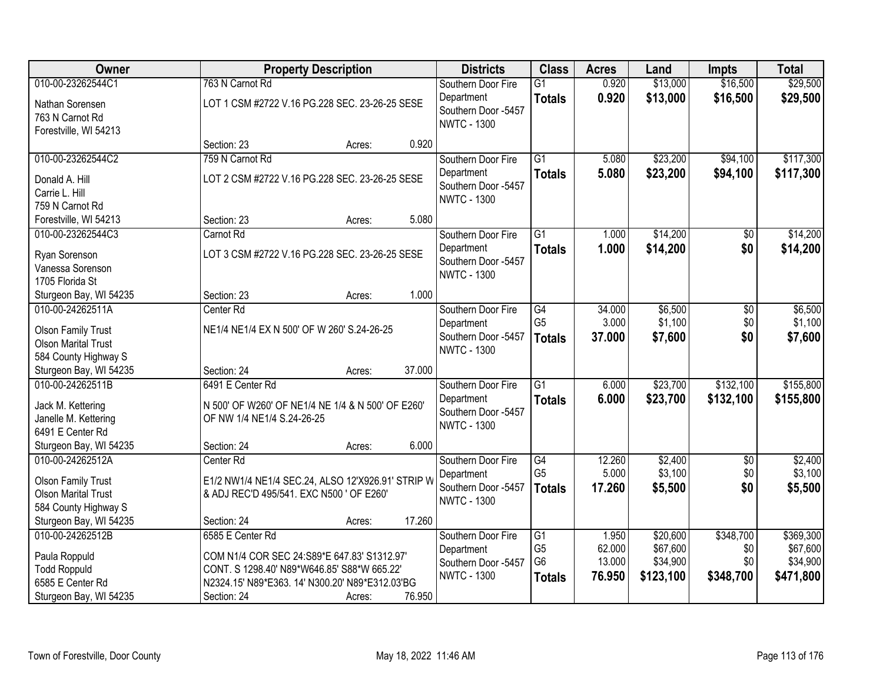| Owner                                                                                                  |                                                                                                                                                                                  | <b>Property Description</b> |        | <b>Districts</b>                                                              | <b>Class</b>                                                         | <b>Acres</b>                        | Land                                          | <b>Impts</b>                         | <b>Total</b>                                   |
|--------------------------------------------------------------------------------------------------------|----------------------------------------------------------------------------------------------------------------------------------------------------------------------------------|-----------------------------|--------|-------------------------------------------------------------------------------|----------------------------------------------------------------------|-------------------------------------|-----------------------------------------------|--------------------------------------|------------------------------------------------|
| 010-00-23262544C1<br>Nathan Sorensen<br>763 N Carnot Rd                                                | 763 N Carnot Rd<br>LOT 1 CSM #2722 V.16 PG.228 SEC. 23-26-25 SESE                                                                                                                |                             |        | Southern Door Fire<br>Department<br>Southern Door -5457<br><b>NWTC - 1300</b> | $\overline{G1}$<br><b>Totals</b>                                     | 0.920<br>0.920                      | \$13,000<br>\$13,000                          | \$16,500<br>\$16,500                 | \$29,500<br>\$29,500                           |
| Forestville, WI 54213                                                                                  | Section: 23                                                                                                                                                                      | Acres:                      | 0.920  |                                                                               |                                                                      |                                     |                                               |                                      |                                                |
| 010-00-23262544C2<br>Donald A. Hill<br>Carrie L. Hill<br>759 N Carnot Rd                               | 759 N Carnot Rd<br>LOT 2 CSM #2722 V.16 PG.228 SEC. 23-26-25 SESE                                                                                                                |                             |        | Southern Door Fire<br>Department<br>Southern Door -5457<br><b>NWTC - 1300</b> | $\overline{G1}$<br><b>Totals</b>                                     | 5.080<br>5.080                      | \$23,200<br>\$23,200                          | \$94,100<br>\$94,100                 | \$117,300<br>\$117,300                         |
| Forestville, WI 54213                                                                                  | Section: 23                                                                                                                                                                      | Acres:                      | 5.080  |                                                                               |                                                                      |                                     |                                               |                                      |                                                |
| 010-00-23262544C3<br>Ryan Sorenson<br>Vanessa Sorenson<br>1705 Florida St                              | Carnot Rd<br>LOT 3 CSM #2722 V.16 PG.228 SEC. 23-26-25 SESE                                                                                                                      |                             |        | Southern Door Fire<br>Department<br>Southern Door -5457<br><b>NWTC - 1300</b> | $\overline{G1}$<br><b>Totals</b>                                     | 1.000<br>1.000                      | \$14,200<br>\$14,200                          | $\overline{50}$<br>\$0               | \$14,200<br>\$14,200                           |
| Sturgeon Bay, WI 54235                                                                                 | Section: 23                                                                                                                                                                      | Acres:                      | 1.000  |                                                                               |                                                                      |                                     |                                               |                                      |                                                |
| 010-00-24262511A<br><b>Olson Family Trust</b><br><b>Olson Marital Trust</b><br>584 County Highway S    | Center Rd<br>NE1/4 NE1/4 EX N 500' OF W 260' S.24-26-25                                                                                                                          |                             |        | Southern Door Fire<br>Department<br>Southern Door -5457<br><b>NWTC - 1300</b> | G4<br>G <sub>5</sub><br><b>Totals</b>                                | 34.000<br>3.000<br>37.000           | \$6,500<br>\$1,100<br>\$7,600                 | \$0<br>\$0<br>\$0                    | \$6,500<br>\$1,100<br>\$7,600                  |
| Sturgeon Bay, WI 54235                                                                                 | Section: 24                                                                                                                                                                      | Acres:                      | 37.000 |                                                                               |                                                                      |                                     |                                               |                                      |                                                |
| 010-00-24262511B<br>Jack M. Kettering<br>Janelle M. Kettering<br>6491 E Center Rd                      | 6491 E Center Rd<br>N 500' OF W260' OF NE1/4 NE 1/4 & N 500' OF E260'<br>OF NW 1/4 NE1/4 S.24-26-25                                                                              |                             |        | Southern Door Fire<br>Department<br>Southern Door -5457<br><b>NWTC - 1300</b> | $\overline{G1}$<br><b>Totals</b>                                     | 6.000<br>6.000                      | \$23,700<br>\$23,700                          | \$132,100<br>\$132,100               | \$155,800<br>\$155,800                         |
| Sturgeon Bay, WI 54235                                                                                 | Section: 24                                                                                                                                                                      | Acres:                      | 6.000  |                                                                               |                                                                      |                                     |                                               |                                      |                                                |
| 010-00-24262512A<br><b>Olson Family Trust</b><br><b>Olson Marital Trust</b><br>584 County Highway S    | Center Rd<br>E1/2 NW1/4 NE1/4 SEC.24, ALSO 12'X926.91' STRIP W<br>& ADJ REC'D 495/541. EXC N500 ' OF E260'                                                                       |                             |        | Southern Door Fire<br>Department<br>Southern Door -5457<br><b>NWTC - 1300</b> | G4<br>G <sub>5</sub><br><b>Totals</b>                                | 12.260<br>5.000<br>17.260           | \$2,400<br>\$3,100<br>\$5,500                 | $\overline{50}$<br>\$0<br>\$0        | \$2,400<br>\$3,100<br>\$5,500                  |
| Sturgeon Bay, WI 54235                                                                                 | Section: 24                                                                                                                                                                      | Acres:                      | 17.260 |                                                                               |                                                                      |                                     |                                               |                                      |                                                |
| 010-00-24262512B<br>Paula Roppuld<br><b>Todd Roppuld</b><br>6585 E Center Rd<br>Sturgeon Bay, WI 54235 | 6585 E Center Rd<br>COM N1/4 COR SEC 24:S89*E 647.83' S1312.97'<br>CONT. S 1298.40' N89*W646.85' S88*W 665.22'<br>N2324.15' N89*E363. 14' N300.20' N89*E312.03'BG<br>Section: 24 | Acres:                      | 76.950 | Southern Door Fire<br>Department<br>Southern Door -5457<br><b>NWTC - 1300</b> | $\overline{G1}$<br>G <sub>5</sub><br>G <sub>6</sub><br><b>Totals</b> | 1.950<br>62.000<br>13.000<br>76.950 | \$20,600<br>\$67,600<br>\$34,900<br>\$123,100 | \$348,700<br>\$0<br>\$0<br>\$348,700 | \$369,300<br>\$67,600<br>\$34,900<br>\$471,800 |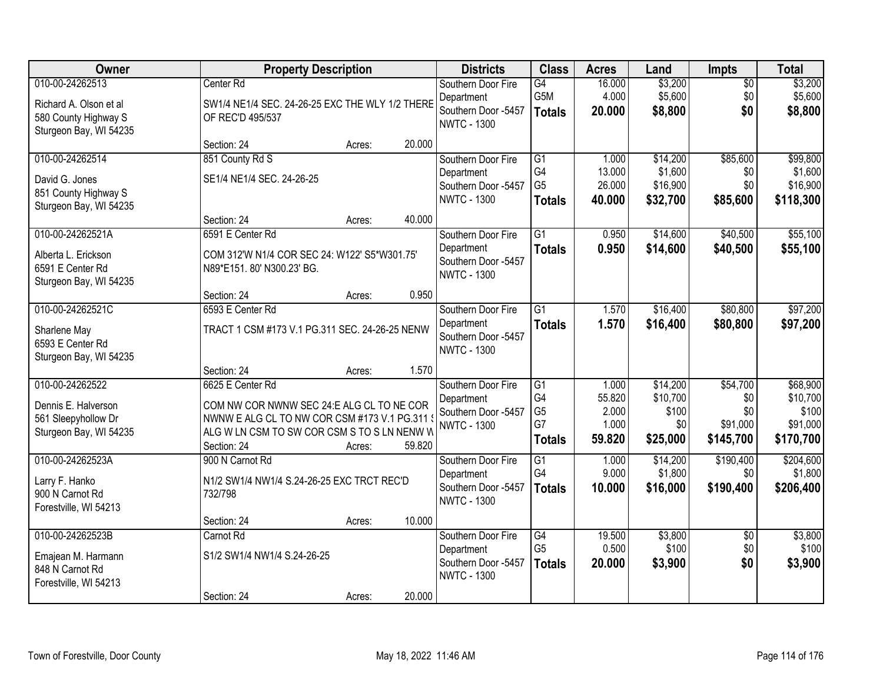| Owner                                                                                       | <b>Property Description</b>                                                                                                                                                          |        | <b>Districts</b>                                                              | <b>Class</b>                                                   | <b>Acres</b>                                | Land                                             | <b>Impts</b>                                    | <b>Total</b>                                           |
|---------------------------------------------------------------------------------------------|--------------------------------------------------------------------------------------------------------------------------------------------------------------------------------------|--------|-------------------------------------------------------------------------------|----------------------------------------------------------------|---------------------------------------------|--------------------------------------------------|-------------------------------------------------|--------------------------------------------------------|
| 010-00-24262513<br>Richard A. Olson et al<br>580 County Highway S<br>Sturgeon Bay, WI 54235 | Center Rd<br>SW1/4 NE1/4 SEC. 24-26-25 EXC THE WLY 1/2 THERE<br>OF REC'D 495/537                                                                                                     |        | Southern Door Fire<br>Department<br>Southern Door -5457<br><b>NWTC - 1300</b> | G4<br>G5M<br><b>Totals</b>                                     | 16.000<br>4.000<br>20.000                   | \$3,200<br>\$5,600<br>\$8,800                    | $\overline{50}$<br>\$0<br>\$0                   | \$3,200<br>\$5,600<br>\$8,800                          |
|                                                                                             | Section: 24<br>Acres:                                                                                                                                                                | 20.000 |                                                                               |                                                                |                                             |                                                  |                                                 |                                                        |
| 010-00-24262514<br>David G. Jones<br>851 County Highway S<br>Sturgeon Bay, WI 54235         | 851 County Rd S<br>SE1/4 NE1/4 SEC. 24-26-25<br>Section: 24                                                                                                                          | 40.000 | Southern Door Fire<br>Department<br>Southern Door -5457<br><b>NWTC - 1300</b> | $\overline{G1}$<br>G4<br>G <sub>5</sub><br><b>Totals</b>       | 1.000<br>13.000<br>26.000<br>40.000         | \$14,200<br>\$1,600<br>\$16,900<br>\$32,700      | \$85,600<br>\$0<br>\$0<br>\$85,600              | \$99,800<br>\$1,600<br>\$16,900<br>\$118,300           |
| 010-00-24262521A<br>Alberta L. Erickson<br>6591 E Center Rd<br>Sturgeon Bay, WI 54235       | Acres:<br>6591 E Center Rd<br>COM 312'W N1/4 COR SEC 24: W122' S5*W301.75'<br>N89*E151. 80' N300.23' BG.                                                                             |        | Southern Door Fire<br>Department<br>Southern Door -5457<br><b>NWTC - 1300</b> | G1<br><b>Totals</b>                                            | 0.950<br>0.950                              | \$14,600<br>\$14,600                             | \$40,500<br>\$40,500                            | \$55,100<br>\$55,100                                   |
| 010-00-24262521C                                                                            | Section: 24<br>Acres:<br>6593 E Center Rd                                                                                                                                            | 0.950  | Southern Door Fire                                                            | $\overline{G1}$                                                | 1.570                                       | \$16,400                                         | \$80,800                                        | \$97,200                                               |
| Sharlene May<br>6593 E Center Rd<br>Sturgeon Bay, WI 54235                                  | TRACT 1 CSM #173 V.1 PG.311 SEC. 24-26-25 NENW                                                                                                                                       |        | Department<br>Southern Door -5457<br><b>NWTC - 1300</b>                       | <b>Totals</b>                                                  | 1.570                                       | \$16,400                                         | \$80,800                                        | \$97,200                                               |
|                                                                                             | Section: 24<br>Acres:                                                                                                                                                                | 1.570  |                                                                               |                                                                |                                             |                                                  |                                                 |                                                        |
| 010-00-24262522<br>Dennis E. Halverson<br>561 Sleepyhollow Dr<br>Sturgeon Bay, WI 54235     | 6625 E Center Rd<br>COM NW COR NWNW SEC 24:E ALG CL TO NE COR<br>NWNW E ALG CL TO NW COR CSM #173 V.1 PG.311<br>ALG W LN CSM TO SW COR CSM S TO S LN NENW W<br>Section: 24<br>Acres: | 59.820 | Southern Door Fire<br>Department<br>Southern Door -5457<br><b>NWTC - 1300</b> | $\overline{G1}$<br>G4<br>G <sub>5</sub><br>G7<br><b>Totals</b> | 1.000<br>55.820<br>2.000<br>1.000<br>59.820 | \$14,200<br>\$10,700<br>\$100<br>\$0<br>\$25,000 | \$54,700<br>\$0<br>\$0<br>\$91,000<br>\$145,700 | \$68,900<br>\$10,700<br>\$100<br>\$91,000<br>\$170,700 |
| 010-00-24262523A<br>Larry F. Hanko<br>900 N Carnot Rd<br>Forestville, WI 54213              | 900 N Carnot Rd<br>N1/2 SW1/4 NW1/4 S.24-26-25 EXC TRCT REC'D<br>732/798<br>Section: 24<br>Acres:                                                                                    | 10.000 | Southern Door Fire<br>Department<br>Southern Door -5457<br><b>NWTC - 1300</b> | $\overline{G1}$<br>G4<br><b>Totals</b>                         | 1.000<br>9.000<br>10.000                    | \$14,200<br>\$1,800<br>\$16,000                  | \$190,400<br>\$0<br>\$190,400                   | \$204,600<br>\$1,800<br>\$206,400                      |
| 010-00-24262523B<br>Emajean M. Harmann<br>848 N Carnot Rd<br>Forestville, WI 54213          | Carnot Rd<br>S1/2 SW1/4 NW1/4 S.24-26-25<br>Section: 24<br>Acres:                                                                                                                    | 20.000 | Southern Door Fire<br>Department<br>Southern Door -5457<br><b>NWTC - 1300</b> | G4<br>G <sub>5</sub><br><b>Totals</b>                          | 19.500<br>0.500<br>20.000                   | \$3,800<br>\$100<br>\$3,900                      | $\overline{50}$<br>\$0<br>\$0                   | \$3,800<br>\$100<br>\$3,900                            |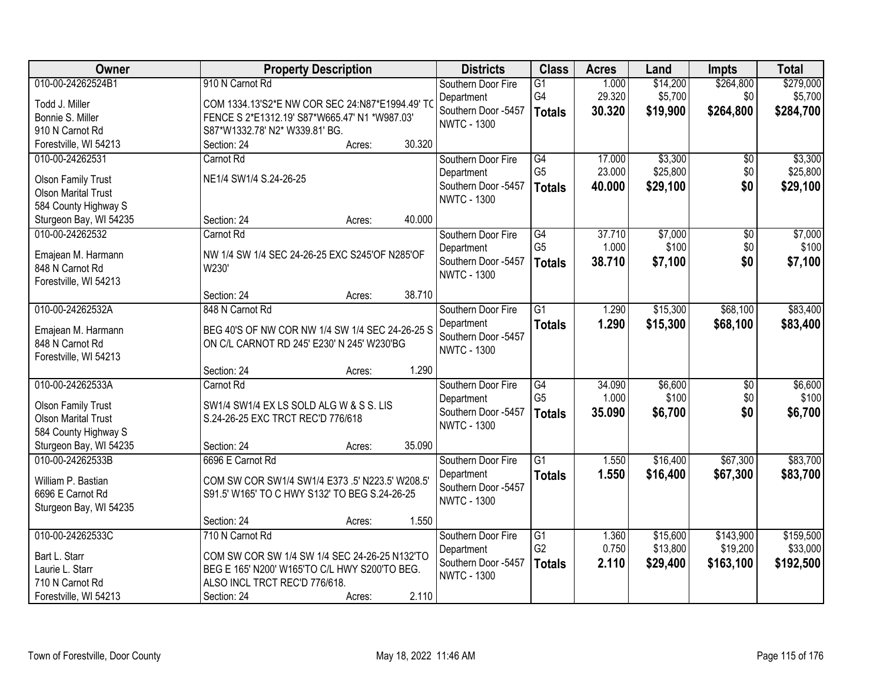| Owner                                                                                               | <b>Property Description</b>                                                                                                                                                          | <b>Districts</b>                                                              | <b>Class</b>                                       | <b>Acres</b>               | Land                             | <b>Impts</b>                       | <b>Total</b>                       |
|-----------------------------------------------------------------------------------------------------|--------------------------------------------------------------------------------------------------------------------------------------------------------------------------------------|-------------------------------------------------------------------------------|----------------------------------------------------|----------------------------|----------------------------------|------------------------------------|------------------------------------|
| 010-00-24262524B1<br>Todd J. Miller<br>Bonnie S. Miller<br>910 N Carnot Rd                          | 910 N Carnot Rd<br>COM 1334.13'S2*E NW COR SEC 24:N87*E1994.49' TO<br>FENCE S 2*E1312.19' S87*W665.47' N1 *W987.03'<br>S87*W1332.78' N2* W339.81' BG.                                | Southern Door Fire<br>Department<br>Southern Door -5457<br><b>NWTC - 1300</b> | $\overline{G1}$<br>G4<br><b>Totals</b>             | 1.000<br>29.320<br>30.320  | \$14,200<br>\$5,700<br>\$19,900  | \$264,800<br>\$0<br>\$264,800      | \$279,000<br>\$5,700<br>\$284,700  |
| Forestville, WI 54213                                                                               | 30.320<br>Section: 24<br>Acres:                                                                                                                                                      |                                                                               |                                                    |                            |                                  |                                    |                                    |
| 010-00-24262531<br><b>Olson Family Trust</b><br><b>Olson Marital Trust</b><br>584 County Highway S  | Carnot Rd<br>NE1/4 SW1/4 S.24-26-25                                                                                                                                                  | Southern Door Fire<br>Department<br>Southern Door -5457<br><b>NWTC - 1300</b> | $\overline{G4}$<br>G <sub>5</sub><br><b>Totals</b> | 17.000<br>23.000<br>40.000 | \$3,300<br>\$25,800<br>\$29,100  | \$0<br>\$0<br>\$0                  | \$3,300<br>\$25,800<br>\$29,100    |
| Sturgeon Bay, WI 54235                                                                              | 40.000<br>Section: 24<br>Acres:                                                                                                                                                      |                                                                               |                                                    |                            |                                  |                                    |                                    |
| 010-00-24262532<br>Emajean M. Harmann<br>848 N Carnot Rd<br>Forestville, WI 54213                   | Carnot Rd<br>NW 1/4 SW 1/4 SEC 24-26-25 EXC S245'OF N285'OF<br>W230'                                                                                                                 | Southern Door Fire<br>Department<br>Southern Door -5457<br><b>NWTC - 1300</b> | $\overline{G4}$<br>G <sub>5</sub><br><b>Totals</b> | 37.710<br>1.000<br>38.710  | \$7,000<br>\$100<br>\$7,100      | $\overline{50}$<br>\$0<br>\$0      | \$7,000<br>\$100<br>\$7,100        |
|                                                                                                     | 38.710<br>Section: 24<br>Acres:                                                                                                                                                      |                                                                               |                                                    |                            |                                  |                                    |                                    |
| 010-00-24262532A<br>Emajean M. Harmann<br>848 N Carnot Rd<br>Forestville, WI 54213                  | 848 N Carnot Rd<br>BEG 40'S OF NW COR NW 1/4 SW 1/4 SEC 24-26-25 S<br>ON C/L CARNOT RD 245' E230' N 245' W230'BG                                                                     | Southern Door Fire<br>Department<br>Southern Door -5457<br><b>NWTC - 1300</b> | $\overline{G1}$<br><b>Totals</b>                   | 1.290<br>1.290             | \$15,300<br>\$15,300             | \$68,100<br>\$68,100               | \$83,400<br>\$83,400               |
|                                                                                                     | 1.290<br>Section: 24<br>Acres:                                                                                                                                                       |                                                                               |                                                    |                            |                                  |                                    |                                    |
| 010-00-24262533A<br><b>Olson Family Trust</b><br><b>Olson Marital Trust</b><br>584 County Highway S | Carnot Rd<br>SW1/4 SW1/4 EX LS SOLD ALG W & S S. LIS<br>S.24-26-25 EXC TRCT REC'D 776/618                                                                                            | Southern Door Fire<br>Department<br>Southern Door -5457<br><b>NWTC - 1300</b> | $\overline{G4}$<br>G <sub>5</sub><br><b>Totals</b> | 34.090<br>1.000<br>35.090  | \$6,600<br>\$100<br>\$6,700      | $\overline{50}$<br>\$0<br>\$0      | \$6,600<br>\$100<br>\$6,700        |
| Sturgeon Bay, WI 54235                                                                              | 35.090<br>Section: 24<br>Acres:                                                                                                                                                      |                                                                               |                                                    |                            |                                  |                                    |                                    |
| 010-00-24262533B<br>William P. Bastian<br>6696 E Carnot Rd<br>Sturgeon Bay, WI 54235                | 6696 E Carnot Rd<br>COM SW COR SW1/4 SW1/4 E373 .5' N223.5' W208.5'<br>S91.5' W165' TO C HWY S132' TO BEG S.24-26-25                                                                 | Southern Door Fire<br>Department<br>Southern Door -5457<br><b>NWTC - 1300</b> | $\overline{G1}$<br><b>Totals</b>                   | 1.550<br>1.550             | \$16,400<br>\$16,400             | \$67,300<br>\$67,300               | \$83,700<br>\$83,700               |
|                                                                                                     | 1.550<br>Section: 24<br>Acres:                                                                                                                                                       |                                                                               |                                                    |                            |                                  |                                    |                                    |
| 010-00-24262533C<br>Bart L. Starr<br>Laurie L. Starr<br>710 N Carnot Rd<br>Forestville, WI 54213    | 710 N Carnot Rd<br>COM SW COR SW 1/4 SW 1/4 SEC 24-26-25 N132'TO<br>BEG E 165' N200' W165'TO C/L HWY S200'TO BEG.<br>ALSO INCL TRCT REC'D 776/618.<br>2.110<br>Section: 24<br>Acres: | Southern Door Fire<br>Department<br>Southern Door -5457<br><b>NWTC - 1300</b> | $\overline{G1}$<br>G <sub>2</sub><br><b>Totals</b> | 1.360<br>0.750<br>2.110    | \$15,600<br>\$13,800<br>\$29,400 | \$143,900<br>\$19,200<br>\$163,100 | \$159,500<br>\$33,000<br>\$192,500 |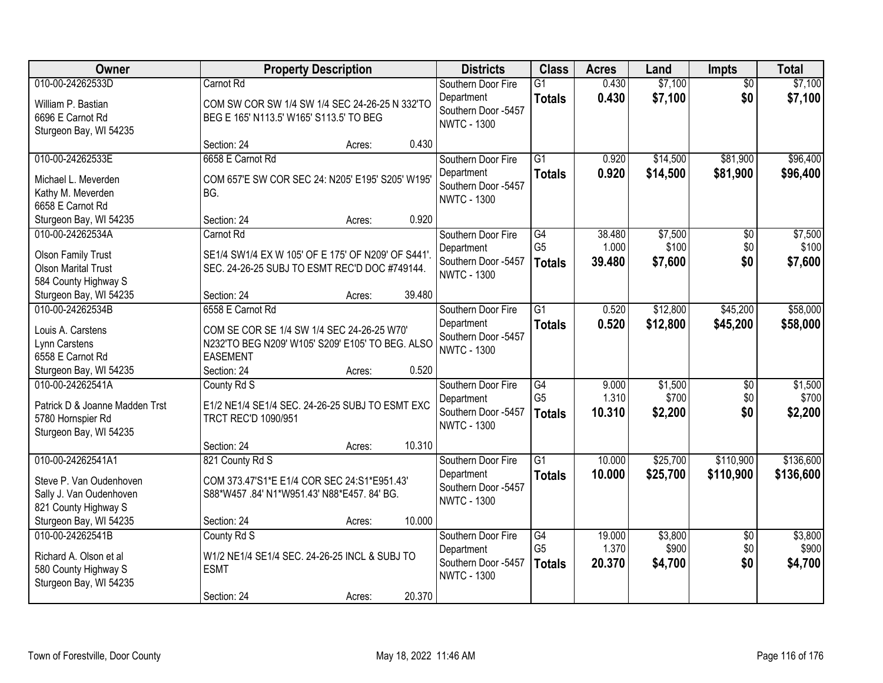| Owner                             |                                                                     | <b>Property Description</b> |        | <b>Districts</b>                          | <b>Class</b>    | <b>Acres</b> | Land     | <b>Impts</b>    | <b>Total</b> |
|-----------------------------------|---------------------------------------------------------------------|-----------------------------|--------|-------------------------------------------|-----------------|--------------|----------|-----------------|--------------|
| 010-00-24262533D                  | Carnot Rd                                                           |                             |        | Southern Door Fire                        | $\overline{G1}$ | 0.430        | \$7,100  | $\overline{50}$ | \$7,100      |
| William P. Bastian                | COM SW COR SW 1/4 SW 1/4 SEC 24-26-25 N 332'TO                      |                             |        | Department                                | <b>Totals</b>   | 0.430        | \$7,100  | \$0             | \$7,100      |
| 6696 E Carnot Rd                  | BEG E 165' N113.5' W165' S113.5' TO BEG                             |                             |        | Southern Door -5457<br><b>NWTC - 1300</b> |                 |              |          |                 |              |
| Sturgeon Bay, WI 54235            |                                                                     |                             |        |                                           |                 |              |          |                 |              |
|                                   | Section: 24                                                         | Acres:                      | 0.430  |                                           |                 |              |          |                 |              |
| 010-00-24262533E                  | 6658 E Carnot Rd                                                    |                             |        | Southern Door Fire                        | $\overline{G1}$ | 0.920        | \$14,500 | \$81,900        | \$96,400     |
| Michael L. Meverden               | COM 657'E SW COR SEC 24: N205' E195' S205' W195'                    |                             |        | Department                                | <b>Totals</b>   | 0.920        | \$14,500 | \$81,900        | \$96,400     |
| Kathy M. Meverden                 | BG.                                                                 |                             |        | Southern Door -5457                       |                 |              |          |                 |              |
| 6658 E Carnot Rd                  |                                                                     |                             |        | <b>NWTC - 1300</b>                        |                 |              |          |                 |              |
| Sturgeon Bay, WI 54235            | Section: 24                                                         | Acres:                      | 0.920  |                                           |                 |              |          |                 |              |
| 010-00-24262534A                  | Carnot Rd                                                           |                             |        | Southern Door Fire                        | G4              | 38.480       | \$7,500  | $\overline{50}$ | \$7,500      |
| <b>Olson Family Trust</b>         | SE1/4 SW1/4 EX W 105' OF E 175' OF N209' OF S441'.                  |                             |        | Department                                | G <sub>5</sub>  | 1.000        | \$100    | \$0             | \$100        |
| <b>Olson Marital Trust</b>        | SEC. 24-26-25 SUBJ TO ESMT REC'D DOC #749144.                       |                             |        | Southern Door -5457                       | <b>Totals</b>   | 39.480       | \$7,600  | \$0             | \$7,600      |
| 584 County Highway S              |                                                                     |                             |        | <b>NWTC - 1300</b>                        |                 |              |          |                 |              |
| Sturgeon Bay, WI 54235            | Section: 24                                                         | Acres:                      | 39.480 |                                           |                 |              |          |                 |              |
| 010-00-24262534B                  | 6558 E Carnot Rd                                                    |                             |        | Southern Door Fire                        | $\overline{G1}$ | 0.520        | \$12,800 | \$45,200        | \$58,000     |
|                                   |                                                                     |                             |        | Department                                | <b>Totals</b>   | 0.520        | \$12,800 | \$45,200        | \$58,000     |
| Louis A. Carstens                 | COM SE COR SE 1/4 SW 1/4 SEC 24-26-25 W70'                          |                             |        | Southern Door -5457                       |                 |              |          |                 |              |
| Lynn Carstens<br>6558 E Carnot Rd | N232'TO BEG N209' W105' S209' E105' TO BEG. ALSO<br><b>EASEMENT</b> |                             |        | <b>NWTC - 1300</b>                        |                 |              |          |                 |              |
| Sturgeon Bay, WI 54235            | Section: 24                                                         | Acres:                      | 0.520  |                                           |                 |              |          |                 |              |
| 010-00-24262541A                  | County Rd S                                                         |                             |        | Southern Door Fire                        | $\overline{G4}$ | 9.000        | \$1,500  | $\overline{50}$ | \$1,500      |
|                                   |                                                                     |                             |        | Department                                | G <sub>5</sub>  | 1.310        | \$700    | \$0             | \$700        |
| Patrick D & Joanne Madden Trst    | E1/2 NE1/4 SE1/4 SEC. 24-26-25 SUBJ TO ESMT EXC                     |                             |        | Southern Door -5457                       | <b>Totals</b>   | 10.310       | \$2,200  | \$0             | \$2,200      |
| 5780 Hornspier Rd                 | <b>TRCT REC'D 1090/951</b>                                          |                             |        | <b>NWTC - 1300</b>                        |                 |              |          |                 |              |
| Sturgeon Bay, WI 54235            |                                                                     |                             |        |                                           |                 |              |          |                 |              |
|                                   | Section: 24                                                         | Acres:                      | 10.310 |                                           |                 |              |          |                 |              |
| 010-00-24262541A1                 | 821 County Rd S                                                     |                             |        | Southern Door Fire                        | $\overline{G1}$ | 10.000       | \$25,700 | \$110,900       | \$136,600    |
| Steve P. Van Oudenhoven           | COM 373.47'S1*E E1/4 COR SEC 24:S1*E951.43'                         |                             |        | Department<br>Southern Door -5457         | <b>Totals</b>   | 10.000       | \$25,700 | \$110,900       | \$136,600    |
| Sally J. Van Oudenhoven           | S88*W457.84' N1*W951.43' N88*E457.84' BG.                           |                             |        | <b>NWTC - 1300</b>                        |                 |              |          |                 |              |
| 821 County Highway S              |                                                                     |                             |        |                                           |                 |              |          |                 |              |
| Sturgeon Bay, WI 54235            | Section: 24                                                         | Acres:                      | 10.000 |                                           |                 |              |          |                 |              |
| 010-00-24262541B                  | County Rd S                                                         |                             |        | Southern Door Fire                        | G4              | 19.000       | \$3,800  | $\overline{50}$ | \$3,800      |
| Richard A. Olson et al            | W1/2 NE1/4 SE1/4 SEC. 24-26-25 INCL & SUBJ TO                       |                             |        | Department                                | G <sub>5</sub>  | 1.370        | \$900    | \$0             | \$900        |
| 580 County Highway S              | <b>ESMT</b>                                                         |                             |        | Southern Door -5457                       | <b>Totals</b>   | 20.370       | \$4,700  | \$0             | \$4,700      |
| Sturgeon Bay, WI 54235            |                                                                     |                             |        | <b>NWTC - 1300</b>                        |                 |              |          |                 |              |
|                                   | Section: 24                                                         | Acres:                      | 20.370 |                                           |                 |              |          |                 |              |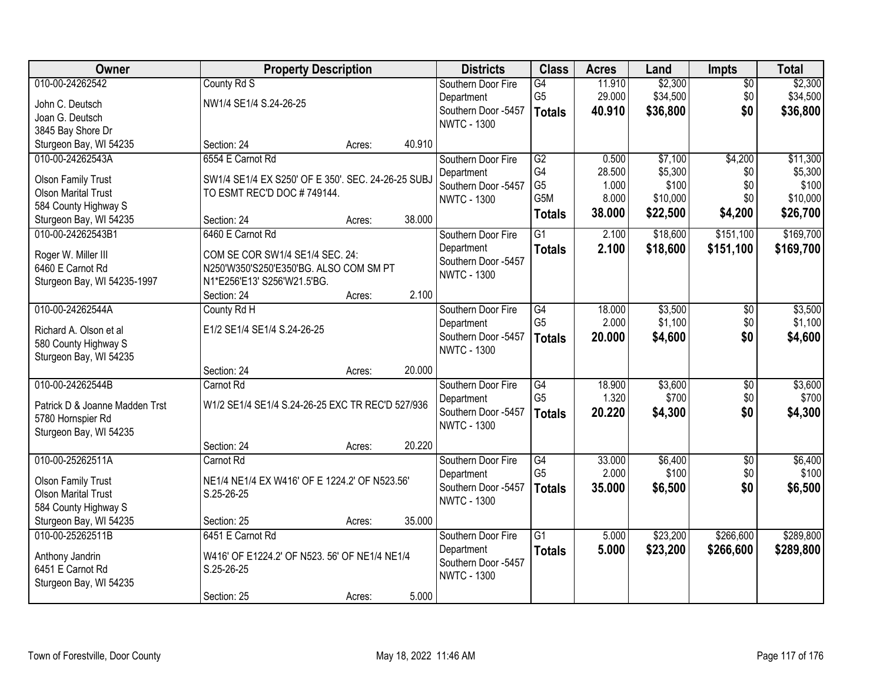| Owner                                                   | <b>Property Description</b>                        |        |        | <b>Districts</b>    | <b>Class</b>     | <b>Acres</b> | Land     | <b>Impts</b>    | <b>Total</b> |
|---------------------------------------------------------|----------------------------------------------------|--------|--------|---------------------|------------------|--------------|----------|-----------------|--------------|
| 010-00-24262542                                         | County Rd S                                        |        |        | Southern Door Fire  | $\overline{G4}$  | 11.910       | \$2,300  | $\overline{50}$ | \$2,300      |
| John C. Deutsch                                         | NW1/4 SE1/4 S.24-26-25                             |        |        | Department          | G <sub>5</sub>   | 29.000       | \$34,500 | \$0             | \$34,500     |
| Joan G. Deutsch                                         |                                                    |        |        | Southern Door -5457 | <b>Totals</b>    | 40.910       | \$36,800 | \$0             | \$36,800     |
| 3845 Bay Shore Dr                                       |                                                    |        |        | <b>NWTC - 1300</b>  |                  |              |          |                 |              |
| Sturgeon Bay, WI 54235                                  | Section: 24                                        | Acres: | 40.910 |                     |                  |              |          |                 |              |
| 010-00-24262543A                                        | 6554 E Carnot Rd                                   |        |        | Southern Door Fire  | $\overline{G2}$  | 0.500        | \$7,100  | \$4,200         | \$11,300     |
|                                                         |                                                    |        |        | Department          | G4               | 28.500       | \$5,300  | \$0             | \$5,300      |
| <b>Olson Family Trust</b><br><b>Olson Marital Trust</b> | SW1/4 SE1/4 EX S250' OF E 350'. SEC. 24-26-25 SUBJ |        |        | Southern Door -5457 | G <sub>5</sub>   | 1.000        | \$100    | \$0             | \$100        |
| 584 County Highway S                                    | TO ESMT REC'D DOC #749144.                         |        |        | <b>NWTC - 1300</b>  | G <sub>5</sub> M | 8.000        | \$10,000 | \$0             | \$10,000     |
| Sturgeon Bay, WI 54235                                  | Section: 24                                        | Acres: | 38.000 |                     | <b>Totals</b>    | 38.000       | \$22,500 | \$4,200         | \$26,700     |
| 010-00-24262543B1                                       | 6460 E Carnot Rd                                   |        |        | Southern Door Fire  | $\overline{G1}$  | 2.100        | \$18,600 | \$151,100       | \$169,700    |
|                                                         |                                                    |        |        | Department          | <b>Totals</b>    | 2.100        | \$18,600 | \$151,100       | \$169,700    |
| Roger W. Miller III                                     | COM SE COR SW1/4 SE1/4 SEC. 24:                    |        |        | Southern Door -5457 |                  |              |          |                 |              |
| 6460 E Carnot Rd                                        | N250'W350'S250'E350'BG. ALSO COM SM PT             |        |        | <b>NWTC - 1300</b>  |                  |              |          |                 |              |
| Sturgeon Bay, WI 54235-1997                             | N1*E256'E13' S256'W21.5'BG.                        |        |        |                     |                  |              |          |                 |              |
|                                                         | Section: 24                                        | Acres: | 2.100  |                     |                  |              |          |                 |              |
| 010-00-24262544A                                        | County Rd H                                        |        |        | Southern Door Fire  | G4               | 18.000       | \$3,500  | \$0             | \$3,500      |
| Richard A. Olson et al                                  | E1/2 SE1/4 SE1/4 S.24-26-25                        |        |        | Department          | G <sub>5</sub>   | 2.000        | \$1,100  | \$0             | \$1,100      |
| 580 County Highway S                                    |                                                    |        |        | Southern Door -5457 | <b>Totals</b>    | 20.000       | \$4,600  | \$0             | \$4,600      |
| Sturgeon Bay, WI 54235                                  |                                                    |        |        | <b>NWTC - 1300</b>  |                  |              |          |                 |              |
|                                                         | Section: 24                                        | Acres: | 20.000 |                     |                  |              |          |                 |              |
| 010-00-24262544B                                        | Carnot Rd                                          |        |        | Southern Door Fire  | G4               | 18.900       | \$3,600  | $\overline{30}$ | \$3,600      |
|                                                         | W1/2 SE1/4 SE1/4 S.24-26-25 EXC TR REC'D 527/936   |        |        | Department          | G <sub>5</sub>   | 1.320        | \$700    | \$0             | \$700        |
| Patrick D & Joanne Madden Trst<br>5780 Hornspier Rd     |                                                    |        |        | Southern Door -5457 | <b>Totals</b>    | 20.220       | \$4,300  | \$0             | \$4,300      |
| Sturgeon Bay, WI 54235                                  |                                                    |        |        | <b>NWTC - 1300</b>  |                  |              |          |                 |              |
|                                                         | Section: 24                                        | Acres: | 20.220 |                     |                  |              |          |                 |              |
| 010-00-25262511A                                        | Carnot Rd                                          |        |        | Southern Door Fire  | G4               | 33.000       | \$6,400  | $\sqrt{6}$      | \$6,400      |
|                                                         |                                                    |        |        | Department          | G <sub>5</sub>   | 2.000        | \$100    | \$0             | \$100        |
| <b>Olson Family Trust</b>                               | NE1/4 NE1/4 EX W416' OF E 1224.2' OF N523.56'      |        |        | Southern Door -5457 | <b>Totals</b>    | 35.000       | \$6,500  | \$0             | \$6,500      |
| <b>Olson Marital Trust</b>                              | S.25-26-25                                         |        |        | <b>NWTC - 1300</b>  |                  |              |          |                 |              |
| 584 County Highway S                                    |                                                    |        |        |                     |                  |              |          |                 |              |
| Sturgeon Bay, WI 54235                                  | Section: 25                                        | Acres: | 35.000 |                     |                  |              |          |                 |              |
| 010-00-25262511B                                        | 6451 E Carnot Rd                                   |        |        | Southern Door Fire  | $\overline{G1}$  | 5.000        | \$23,200 | \$266,600       | \$289,800    |
| Anthony Jandrin                                         | W416' OF E1224.2' OF N523. 56' OF NE1/4 NE1/4      |        |        | Department          | <b>Totals</b>    | 5.000        | \$23,200 | \$266,600       | \$289,800    |
| 6451 E Carnot Rd                                        | S.25-26-25                                         |        |        | Southern Door -5457 |                  |              |          |                 |              |
| Sturgeon Bay, WI 54235                                  |                                                    |        |        | <b>NWTC - 1300</b>  |                  |              |          |                 |              |
|                                                         | Section: 25                                        | Acres: | 5.000  |                     |                  |              |          |                 |              |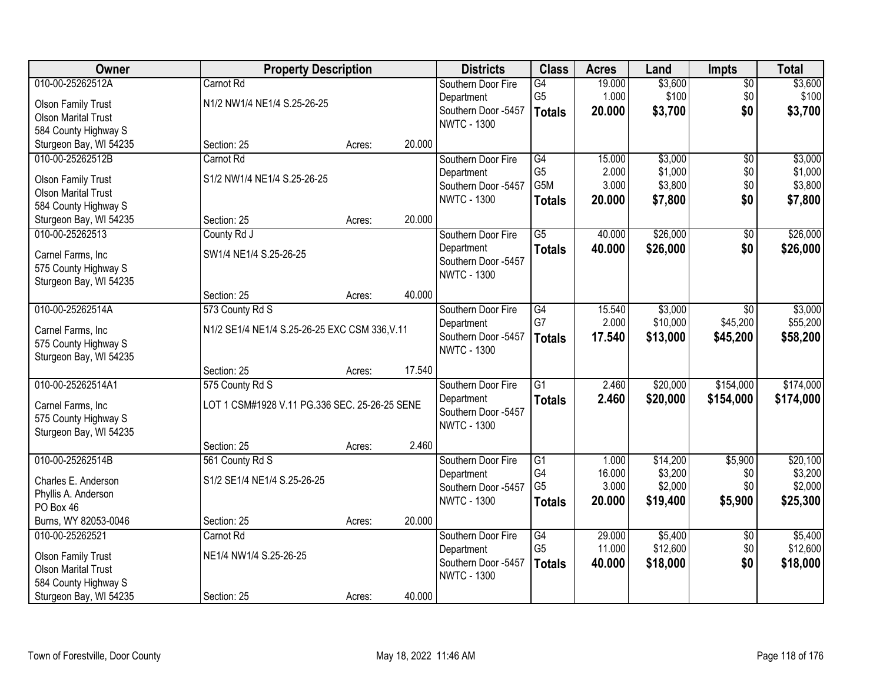| Owner                      | <b>Property Description</b>                   |        |        | <b>Districts</b>    | <b>Class</b>    | <b>Acres</b> | Land     | <b>Impts</b>    | <b>Total</b> |
|----------------------------|-----------------------------------------------|--------|--------|---------------------|-----------------|--------------|----------|-----------------|--------------|
| 010-00-25262512A           | Carnot Rd                                     |        |        | Southern Door Fire  | $\overline{G4}$ | 19.000       | \$3,600  | $\overline{50}$ | \$3,600      |
| <b>Olson Family Trust</b>  | N1/2 NW1/4 NE1/4 S.25-26-25                   |        |        | Department          | G <sub>5</sub>  | 1.000        | \$100    | \$0             | \$100        |
| <b>Olson Marital Trust</b> |                                               |        |        | Southern Door -5457 | <b>Totals</b>   | 20.000       | \$3,700  | \$0             | \$3,700      |
| 584 County Highway S       |                                               |        |        | <b>NWTC - 1300</b>  |                 |              |          |                 |              |
| Sturgeon Bay, WI 54235     | Section: 25                                   | Acres: | 20.000 |                     |                 |              |          |                 |              |
| 010-00-25262512B           | Carnot Rd                                     |        |        | Southern Door Fire  | G4              | 15.000       | \$3,000  | $\overline{30}$ | \$3,000      |
| <b>Olson Family Trust</b>  | S1/2 NW1/4 NE1/4 S.25-26-25                   |        |        | Department          | G <sub>5</sub>  | 2.000        | \$1,000  | \$0             | \$1,000      |
| <b>Olson Marital Trust</b> |                                               |        |        | Southern Door -5457 | G5M             | 3.000        | \$3,800  | \$0             | \$3,800      |
| 584 County Highway S       |                                               |        |        | <b>NWTC - 1300</b>  | <b>Totals</b>   | 20.000       | \$7,800  | \$0             | \$7,800      |
| Sturgeon Bay, WI 54235     | Section: 25                                   | Acres: | 20.000 |                     |                 |              |          |                 |              |
| 010-00-25262513            | County Rd J                                   |        |        | Southern Door Fire  | $\overline{G5}$ | 40.000       | \$26,000 | $\overline{50}$ | \$26,000     |
| Carnel Farms, Inc.         | SW1/4 NE1/4 S.25-26-25                        |        |        | Department          | <b>Totals</b>   | 40.000       | \$26,000 | \$0             | \$26,000     |
| 575 County Highway S       |                                               |        |        | Southern Door -5457 |                 |              |          |                 |              |
| Sturgeon Bay, WI 54235     |                                               |        |        | <b>NWTC - 1300</b>  |                 |              |          |                 |              |
|                            | Section: 25                                   | Acres: | 40.000 |                     |                 |              |          |                 |              |
| 010-00-25262514A           | 573 County Rd S                               |        |        | Southern Door Fire  | G4              | 15.540       | \$3,000  | $\sqrt{6}$      | \$3,000      |
| Carnel Farms, Inc          | N1/2 SE1/4 NE1/4 S.25-26-25 EXC CSM 336, V.11 |        |        | Department          | G7              | 2.000        | \$10,000 | \$45,200        | \$55,200     |
| 575 County Highway S       |                                               |        |        | Southern Door -5457 | <b>Totals</b>   | 17.540       | \$13,000 | \$45,200        | \$58,200     |
| Sturgeon Bay, WI 54235     |                                               |        |        | <b>NWTC - 1300</b>  |                 |              |          |                 |              |
|                            | Section: 25                                   | Acres: | 17.540 |                     |                 |              |          |                 |              |
| 010-00-25262514A1          | 575 County Rd S                               |        |        | Southern Door Fire  | $\overline{G1}$ | 2.460        | \$20,000 | \$154,000       | \$174,000    |
| Carnel Farms, Inc          | LOT 1 CSM#1928 V.11 PG.336 SEC. 25-26-25 SENE |        |        | Department          | <b>Totals</b>   | 2.460        | \$20,000 | \$154,000       | \$174,000    |
| 575 County Highway S       |                                               |        |        | Southern Door -5457 |                 |              |          |                 |              |
| Sturgeon Bay, WI 54235     |                                               |        |        | <b>NWTC - 1300</b>  |                 |              |          |                 |              |
|                            | Section: 25                                   | Acres: | 2.460  |                     |                 |              |          |                 |              |
| 010-00-25262514B           | 561 County Rd S                               |        |        | Southern Door Fire  | $\overline{G1}$ | 1.000        | \$14,200 | \$5,900         | \$20,100     |
| Charles E. Anderson        | S1/2 SE1/4 NE1/4 S.25-26-25                   |        |        | Department          | G4              | 16.000       | \$3,200  | \$0             | \$3,200      |
| Phyllis A. Anderson        |                                               |        |        | Southern Door -5457 | G <sub>5</sub>  | 3.000        | \$2,000  | \$0             | \$2,000      |
| PO Box 46                  |                                               |        |        | <b>NWTC - 1300</b>  | <b>Totals</b>   | 20.000       | \$19,400 | \$5,900         | \$25,300     |
| Burns, WY 82053-0046       | Section: 25                                   | Acres: | 20.000 |                     |                 |              |          |                 |              |
| 010-00-25262521            | Carnot Rd                                     |        |        | Southern Door Fire  | G4              | 29.000       | \$5,400  | $\overline{30}$ | \$5,400      |
| <b>Olson Family Trust</b>  | NE1/4 NW1/4 S.25-26-25                        |        |        | Department          | G <sub>5</sub>  | 11.000       | \$12,600 | \$0             | \$12,600     |
| <b>Olson Marital Trust</b> |                                               |        |        | Southern Door -5457 | <b>Totals</b>   | 40.000       | \$18,000 | \$0             | \$18,000     |
| 584 County Highway S       |                                               |        |        | <b>NWTC - 1300</b>  |                 |              |          |                 |              |
| Sturgeon Bay, WI 54235     | Section: 25                                   | Acres: | 40.000 |                     |                 |              |          |                 |              |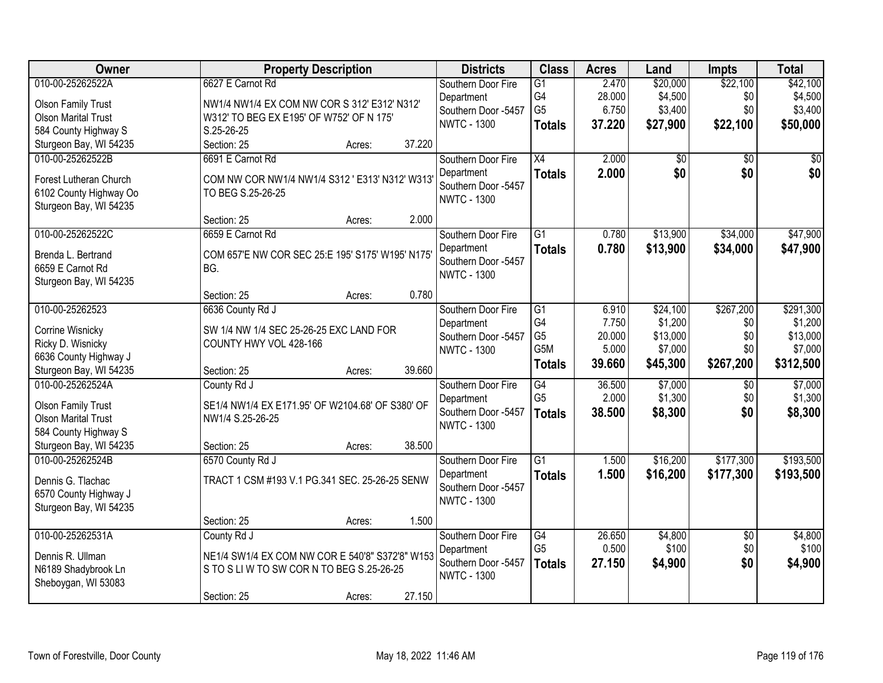| Owner                      | <b>Property Description</b>                      | <b>Districts</b>                          | <b>Class</b>         | <b>Acres</b>    | Land            | <b>Impts</b>    | <b>Total</b> |
|----------------------------|--------------------------------------------------|-------------------------------------------|----------------------|-----------------|-----------------|-----------------|--------------|
| 010-00-25262522A           | 6627 E Carnot Rd                                 | Southern Door Fire                        | $\overline{G1}$      | 2.470           | \$20,000        | \$22,100        | \$42,100     |
| <b>Olson Family Trust</b>  | NW1/4 NW1/4 EX COM NW COR S 312' E312' N312'     | Department                                | G4<br>G <sub>5</sub> | 28.000<br>6.750 | \$4,500         | \$0<br>\$0      | \$4,500      |
| <b>Olson Marital Trust</b> | W312' TO BEG EX E195' OF W752' OF N 175'         | Southern Door -5457<br><b>NWTC - 1300</b> |                      |                 | \$3,400         |                 | \$3,400      |
| 584 County Highway S       | S.25-26-25                                       |                                           | <b>Totals</b>        | 37.220          | \$27,900        | \$22,100        | \$50,000     |
| Sturgeon Bay, WI 54235     | 37.220<br>Section: 25<br>Acres:                  |                                           |                      |                 |                 |                 |              |
| 010-00-25262522B           | 6691 E Carnot Rd                                 | Southern Door Fire                        | $\overline{X4}$      | 2.000           | $\overline{50}$ | $\overline{30}$ | \$0          |
| Forest Lutheran Church     | COM NW COR NW1/4 NW1/4 S312 ' E313' N312' W313'  | Department                                | <b>Totals</b>        | 2.000           | \$0             | \$0             | \$0          |
| 6102 County Highway Oo     | TO BEG S.25-26-25                                | Southern Door -5457                       |                      |                 |                 |                 |              |
| Sturgeon Bay, WI 54235     |                                                  | <b>NWTC - 1300</b>                        |                      |                 |                 |                 |              |
|                            | 2.000<br>Section: 25<br>Acres:                   |                                           |                      |                 |                 |                 |              |
| 010-00-25262522C           | 6659 E Carnot Rd                                 | Southern Door Fire                        | $\overline{G1}$      | 0.780           | \$13,900        | \$34,000        | \$47,900     |
| Brenda L. Bertrand         | COM 657'E NW COR SEC 25:E 195' S175' W195' N175  | Department                                | <b>Totals</b>        | 0.780           | \$13,900        | \$34,000        | \$47,900     |
| 6659 E Carnot Rd           | BG.                                              | Southern Door -5457                       |                      |                 |                 |                 |              |
| Sturgeon Bay, WI 54235     |                                                  | <b>NWTC - 1300</b>                        |                      |                 |                 |                 |              |
|                            | 0.780<br>Section: 25<br>Acres:                   |                                           |                      |                 |                 |                 |              |
| 010-00-25262523            | 6636 County Rd J                                 | Southern Door Fire                        | G1                   | 6.910           | \$24,100        | \$267,200       | \$291,300    |
| Corrine Wisnicky           | SW 1/4 NW 1/4 SEC 25-26-25 EXC LAND FOR          | Department                                | G4                   | 7.750           | \$1,200         | \$0             | \$1,200      |
| Ricky D. Wisnicky          | COUNTY HWY VOL 428-166                           | Southern Door -5457                       | G <sub>5</sub>       | 20.000          | \$13,000        | \$0             | \$13,000     |
| 6636 County Highway J      |                                                  | <b>NWTC - 1300</b>                        | G5M                  | 5.000           | \$7,000         | \$0             | \$7,000      |
| Sturgeon Bay, WI 54235     | 39.660<br>Section: 25<br>Acres:                  |                                           | <b>Totals</b>        | 39.660          | \$45,300        | \$267,200       | \$312,500    |
| 010-00-25262524A           | County Rd J                                      | Southern Door Fire                        | $\overline{G4}$      | 36.500          | \$7,000         | $\overline{50}$ | \$7,000      |
| <b>Olson Family Trust</b>  | SE1/4 NW1/4 EX E171.95' OF W2104.68' OF S380' OF | Department                                | G <sub>5</sub>       | 2.000           | \$1,300         | \$0             | \$1,300      |
| <b>Olson Marital Trust</b> | NW1/4 S.25-26-25                                 | Southern Door -5457                       | <b>Totals</b>        | 38.500          | \$8,300         | \$0             | \$8,300      |
| 584 County Highway S       |                                                  | <b>NWTC - 1300</b>                        |                      |                 |                 |                 |              |
| Sturgeon Bay, WI 54235     | 38.500<br>Section: 25<br>Acres:                  |                                           |                      |                 |                 |                 |              |
| 010-00-25262524B           | 6570 County Rd J                                 | Southern Door Fire                        | $\overline{G1}$      | 1.500           | \$16,200        | \$177,300       | \$193,500    |
| Dennis G. Tlachac          | TRACT 1 CSM #193 V.1 PG.341 SEC. 25-26-25 SENW   | Department                                | <b>Totals</b>        | 1.500           | \$16,200        | \$177,300       | \$193,500    |
| 6570 County Highway J      |                                                  | Southern Door -5457                       |                      |                 |                 |                 |              |
| Sturgeon Bay, WI 54235     |                                                  | <b>NWTC - 1300</b>                        |                      |                 |                 |                 |              |
|                            | 1.500<br>Section: 25<br>Acres:                   |                                           |                      |                 |                 |                 |              |
| 010-00-25262531A           | County Rd J                                      | Southern Door Fire                        | $\overline{G4}$      | 26.650          | \$4,800         | $\overline{30}$ | \$4,800      |
| Dennis R. Ullman           | NE1/4 SW1/4 EX COM NW COR E 540'8" S372'8" W153  | Department                                | G <sub>5</sub>       | 0.500           | \$100           | \$0             | \$100        |
| N6189 Shadybrook Ln        | S TO S LIW TO SW CORN TO BEG S.25-26-25          | Southern Door -5457                       | <b>Totals</b>        | 27.150          | \$4,900         | \$0             | \$4,900      |
| Sheboygan, WI 53083        |                                                  | <b>NWTC - 1300</b>                        |                      |                 |                 |                 |              |
|                            | 27.150<br>Section: 25<br>Acres:                  |                                           |                      |                 |                 |                 |              |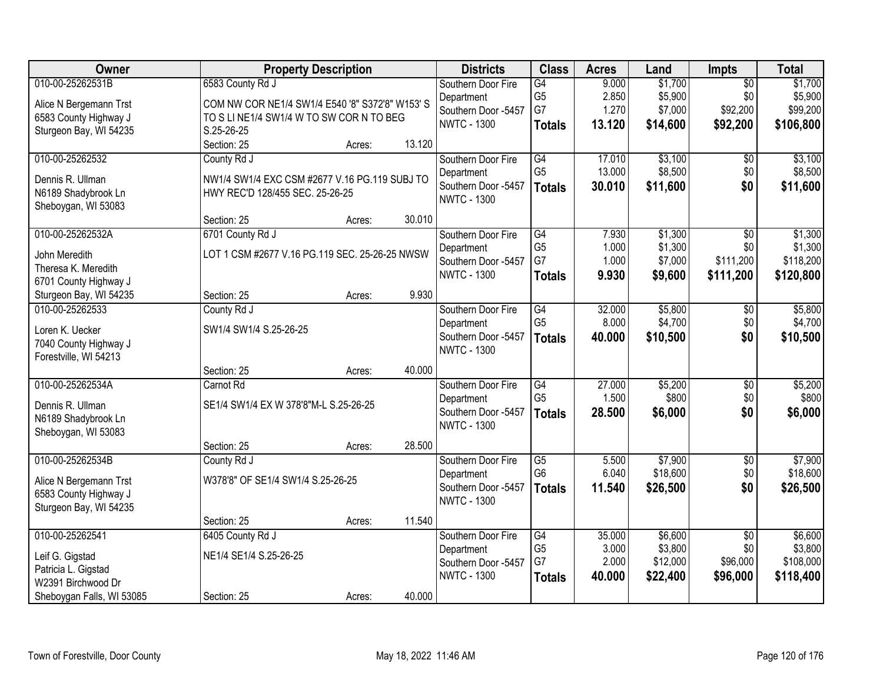| Owner                     | <b>Property Description</b>                     |        |        | <b>Districts</b>    | <b>Class</b>    | <b>Acres</b> | Land     | Impts           | <b>Total</b> |
|---------------------------|-------------------------------------------------|--------|--------|---------------------|-----------------|--------------|----------|-----------------|--------------|
| 010-00-25262531B          | 6583 County Rd J                                |        |        | Southern Door Fire  | G4              | 9.000        | \$1,700  | $\overline{50}$ | \$1,700      |
| Alice N Bergemann Trst    | COM NW COR NE1/4 SW1/4 E540 '8" S372'8" W153' S |        |        | Department          | G <sub>5</sub>  | 2.850        | \$5,900  | \$0             | \$5,900      |
| 6583 County Highway J     | TO S LI NE1/4 SW1/4 W TO SW COR N TO BEG        |        |        | Southern Door -5457 | G7              | 1.270        | \$7,000  | \$92,200        | \$99,200     |
| Sturgeon Bay, WI 54235    | S.25-26-25                                      |        |        | <b>NWTC - 1300</b>  | <b>Totals</b>   | 13.120       | \$14,600 | \$92,200        | \$106,800    |
|                           | Section: 25                                     | Acres: | 13.120 |                     |                 |              |          |                 |              |
| 010-00-25262532           | County Rd J                                     |        |        | Southern Door Fire  | G4              | 17.010       | \$3,100  | \$0             | \$3,100      |
| Dennis R. Ullman          | NW1/4 SW1/4 EXC CSM #2677 V.16 PG.119 SUBJ TO   |        |        | Department          | G <sub>5</sub>  | 13.000       | \$8,500  | \$0             | \$8,500      |
| N6189 Shadybrook Ln       | HWY REC'D 128/455 SEC. 25-26-25                 |        |        | Southern Door -5457 | <b>Totals</b>   | 30.010       | \$11,600 | \$0             | \$11,600     |
| Sheboygan, WI 53083       |                                                 |        |        | <b>NWTC - 1300</b>  |                 |              |          |                 |              |
|                           | Section: 25                                     | Acres: | 30.010 |                     |                 |              |          |                 |              |
| 010-00-25262532A          | 6701 County Rd J                                |        |        | Southern Door Fire  | $\overline{G4}$ | 7.930        | \$1,300  | $\overline{50}$ | \$1,300      |
| John Meredith             | LOT 1 CSM #2677 V.16 PG.119 SEC. 25-26-25 NWSW  |        |        | Department          | G <sub>5</sub>  | 1.000        | \$1,300  | \$0             | \$1,300      |
| Theresa K. Meredith       |                                                 |        |        | Southern Door -5457 | G7              | 1.000        | \$7,000  | \$111,200       | \$118,200    |
| 6701 County Highway J     |                                                 |        |        | <b>NWTC - 1300</b>  | <b>Totals</b>   | 9.930        | \$9,600  | \$111,200       | \$120,800    |
| Sturgeon Bay, WI 54235    | Section: 25                                     | Acres: | 9.930  |                     |                 |              |          |                 |              |
| 010-00-25262533           | County Rd J                                     |        |        | Southern Door Fire  | G4              | 32.000       | \$5,800  | \$0             | \$5,800      |
| Loren K. Uecker           | SW1/4 SW1/4 S.25-26-25                          |        |        | Department          | G <sub>5</sub>  | 8.000        | \$4,700  | \$0             | \$4,700      |
| 7040 County Highway J     |                                                 |        |        | Southern Door -5457 | <b>Totals</b>   | 40.000       | \$10,500 | \$0             | \$10,500     |
| Forestville, WI 54213     |                                                 |        |        | <b>NWTC - 1300</b>  |                 |              |          |                 |              |
|                           | Section: 25                                     | Acres: | 40.000 |                     |                 |              |          |                 |              |
| 010-00-25262534A          | Carnot Rd                                       |        |        | Southern Door Fire  | $\overline{G4}$ | 27.000       | \$5,200  | $\overline{50}$ | \$5,200      |
| Dennis R. Ullman          | SE1/4 SW1/4 EX W 378'8"M-L S.25-26-25           |        |        | Department          | G <sub>5</sub>  | 1.500        | \$800    | \$0             | \$800        |
| N6189 Shadybrook Ln       |                                                 |        |        | Southern Door -5457 | <b>Totals</b>   | 28.500       | \$6,000  | \$0             | \$6,000      |
| Sheboygan, WI 53083       |                                                 |        |        | <b>NWTC - 1300</b>  |                 |              |          |                 |              |
|                           | Section: 25                                     | Acres: | 28.500 |                     |                 |              |          |                 |              |
| 010-00-25262534B          | County Rd J                                     |        |        | Southern Door Fire  | $\overline{G5}$ | 5.500        | \$7,900  | $\overline{50}$ | \$7,900      |
| Alice N Bergemann Trst    | W378'8" OF SE1/4 SW1/4 S.25-26-25               |        |        | Department          | G <sub>6</sub>  | 6.040        | \$18,600 | \$0             | \$18,600     |
| 6583 County Highway J     |                                                 |        |        | Southern Door -5457 | <b>Totals</b>   | 11.540       | \$26,500 | \$0             | \$26,500     |
| Sturgeon Bay, WI 54235    |                                                 |        |        | <b>NWTC - 1300</b>  |                 |              |          |                 |              |
|                           | Section: 25                                     | Acres: | 11.540 |                     |                 |              |          |                 |              |
| 010-00-25262541           | 6405 County Rd J                                |        |        | Southern Door Fire  | $\overline{G4}$ | 35.000       | \$6,600  | $\overline{50}$ | \$6,600      |
| Leif G. Gigstad           | NE1/4 SE1/4 S.25-26-25                          |        |        | Department          | G <sub>5</sub>  | 3.000        | \$3,800  | \$0             | \$3,800      |
| Patricia L. Gigstad       |                                                 |        |        | Southern Door -5457 | G7              | 2.000        | \$12,000 | \$96,000        | \$108,000    |
| W2391 Birchwood Dr        |                                                 |        |        | <b>NWTC - 1300</b>  | <b>Totals</b>   | 40.000       | \$22,400 | \$96,000        | \$118,400    |
| Sheboygan Falls, WI 53085 | Section: 25                                     | Acres: | 40.000 |                     |                 |              |          |                 |              |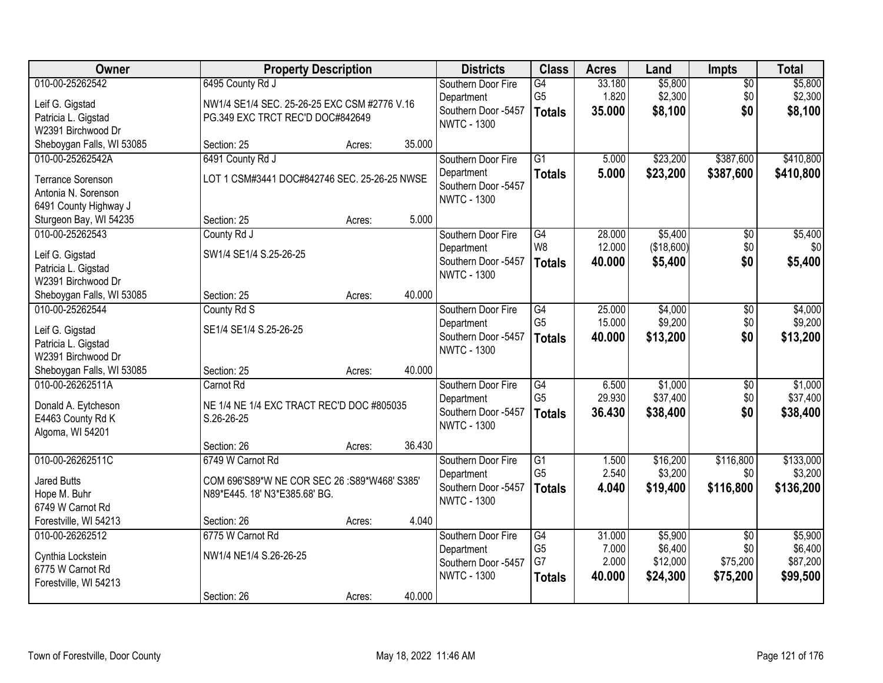| Owner                                                                                        |                                                                                                      | <b>Property Description</b> |        | <b>Districts</b>                                                              | <b>Class</b>                                       | <b>Acres</b>                       | Land                                       | <b>Impts</b>                                   | <b>Total</b>                               |
|----------------------------------------------------------------------------------------------|------------------------------------------------------------------------------------------------------|-----------------------------|--------|-------------------------------------------------------------------------------|----------------------------------------------------|------------------------------------|--------------------------------------------|------------------------------------------------|--------------------------------------------|
| 010-00-25262542<br>Leif G. Gigstad<br>Patricia L. Gigstad<br>W2391 Birchwood Dr              | 6495 County Rd J<br>NW1/4 SE1/4 SEC. 25-26-25 EXC CSM #2776 V.16<br>PG.349 EXC TRCT REC'D DOC#842649 |                             |        | Southern Door Fire<br>Department<br>Southern Door -5457<br><b>NWTC - 1300</b> | $\overline{G4}$<br>G <sub>5</sub><br><b>Totals</b> | 33.180<br>1.820<br>35.000          | \$5,800<br>\$2,300<br>\$8,100              | $\overline{50}$<br>\$0<br>\$0                  | \$5,800<br>\$2,300<br>\$8,100              |
| Sheboygan Falls, WI 53085                                                                    | Section: 25                                                                                          | Acres:                      | 35.000 |                                                                               |                                                    |                                    |                                            |                                                |                                            |
| 010-00-25262542A<br><b>Terrance Sorenson</b><br>Antonia N. Sorenson<br>6491 County Highway J | 6491 County Rd J<br>LOT 1 CSM#3441 DOC#842746 SEC. 25-26-25 NWSE                                     |                             |        | Southern Door Fire<br>Department<br>Southern Door -5457<br><b>NWTC - 1300</b> | $\overline{G1}$<br><b>Totals</b>                   | 5.000<br>5.000                     | \$23,200<br>\$23,200                       | \$387,600<br>\$387,600                         | \$410,800<br>\$410,800                     |
| Sturgeon Bay, WI 54235                                                                       | Section: 25                                                                                          | Acres:                      | 5.000  |                                                                               |                                                    |                                    |                                            |                                                |                                            |
| 010-00-25262543<br>Leif G. Gigstad<br>Patricia L. Gigstad<br>W2391 Birchwood Dr              | County Rd J<br>SW1/4 SE1/4 S.25-26-25                                                                |                             |        | Southern Door Fire<br>Department<br>Southern Door -5457<br><b>NWTC - 1300</b> | $\overline{G4}$<br>W <sub>8</sub><br><b>Totals</b> | 28.000<br>12.000<br>40.000         | \$5,400<br>(\$18,600)<br>\$5,400           | $\overline{50}$<br>\$0<br>\$0                  | \$5,400<br>\$0<br>\$5,400                  |
| Sheboygan Falls, WI 53085                                                                    | Section: 25                                                                                          | Acres:                      | 40.000 |                                                                               |                                                    |                                    |                                            |                                                |                                            |
| 010-00-25262544<br>Leif G. Gigstad<br>Patricia L. Gigstad<br>W2391 Birchwood Dr              | County Rd S<br>SE1/4 SE1/4 S.25-26-25                                                                |                             |        | Southern Door Fire<br>Department<br>Southern Door -5457<br><b>NWTC - 1300</b> | $\overline{G4}$<br>G <sub>5</sub><br><b>Totals</b> | 25.000<br>15.000<br>40.000         | \$4,000<br>\$9,200<br>\$13,200             | \$0<br>\$0<br>\$0                              | \$4,000<br>\$9,200<br>\$13,200             |
| Sheboygan Falls, WI 53085                                                                    | Section: 25                                                                                          | Acres:                      | 40.000 |                                                                               |                                                    |                                    |                                            |                                                |                                            |
| 010-00-26262511A<br>Donald A. Eytcheson<br>E4463 County Rd K<br>Algoma, WI 54201             | Carnot Rd<br>NE 1/4 NE 1/4 EXC TRACT REC'D DOC #805035<br>S.26-26-25                                 |                             |        | Southern Door Fire<br>Department<br>Southern Door -5457<br><b>NWTC - 1300</b> | G4<br>G <sub>5</sub><br><b>Totals</b>              | 6.500<br>29.930<br>36.430          | \$1,000<br>\$37,400<br>\$38,400            | \$0<br>\$0<br>\$0                              | \$1,000<br>\$37,400<br>\$38,400            |
|                                                                                              | Section: 26                                                                                          | Acres:                      | 36.430 |                                                                               |                                                    |                                    |                                            |                                                |                                            |
| 010-00-26262511C<br><b>Jared Butts</b><br>Hope M. Buhr<br>6749 W Carnot Rd                   | 6749 W Carnot Rd<br>COM 696'S89*W NE COR SEC 26 :S89*W468' S385'<br>N89*E445. 18' N3*E385.68' BG.    |                             |        | Southern Door Fire<br>Department<br>Southern Door -5457<br><b>NWTC - 1300</b> | $\overline{G1}$<br>G <sub>5</sub><br><b>Totals</b> | 1.500<br>2.540<br>4.040            | \$16,200<br>\$3,200<br>\$19,400            | \$116,800<br>\$0<br>\$116,800                  | \$133,000<br>\$3,200<br>\$136,200          |
| Forestville, WI 54213                                                                        | Section: 26                                                                                          | Acres:                      | 4.040  |                                                                               |                                                    |                                    |                                            |                                                |                                            |
| 010-00-26262512<br>Cynthia Lockstein<br>6775 W Carnot Rd<br>Forestville, WI 54213            | 6775 W Carnot Rd<br>NW1/4 NE1/4 S.26-26-25                                                           |                             |        | Southern Door Fire<br>Department<br>Southern Door -5457<br><b>NWTC - 1300</b> | G4<br>G <sub>5</sub><br>G7<br><b>Totals</b>        | 31.000<br>7.000<br>2.000<br>40.000 | \$5,900<br>\$6,400<br>\$12,000<br>\$24,300 | $\overline{30}$<br>\$0<br>\$75,200<br>\$75,200 | \$5,900<br>\$6,400<br>\$87,200<br>\$99,500 |
|                                                                                              | Section: 26                                                                                          | Acres:                      | 40.000 |                                                                               |                                                    |                                    |                                            |                                                |                                            |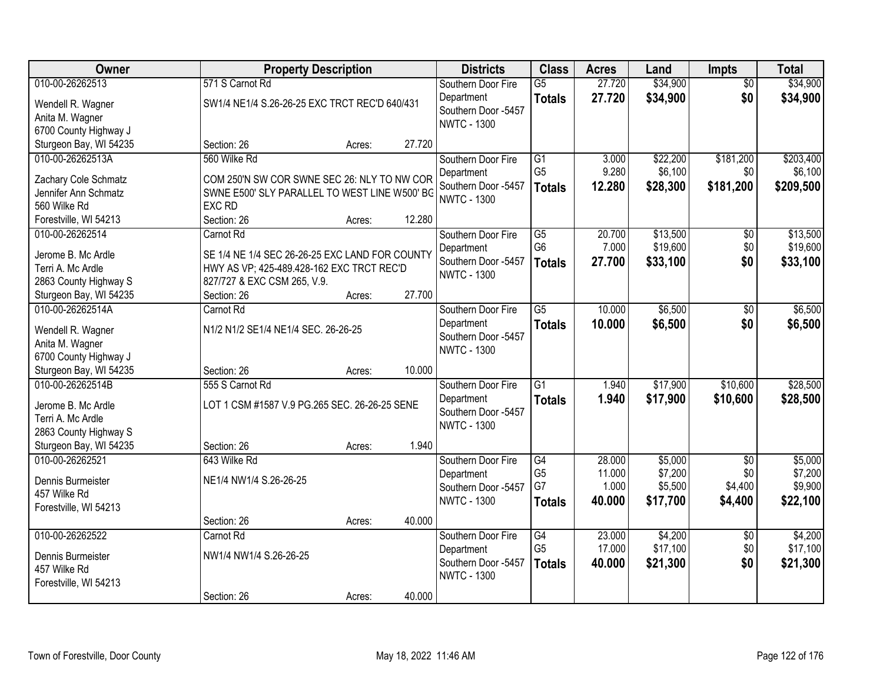| 010-00-26262513<br>571 S Carnot Rd<br>27.720<br>\$34,900<br>\$34,900<br>Southern Door Fire<br>$\overline{G5}$<br>$\overline{50}$<br>\$34,900<br>\$0<br>27.720<br>\$34,900<br>Department<br><b>Totals</b><br>SW1/4 NE1/4 S.26-26-25 EXC TRCT REC'D 640/431<br>Wendell R. Wagner<br>Southern Door -5457<br>Anita M. Wagner<br><b>NWTC - 1300</b><br>6700 County Highway J<br>27.720<br>Section: 26 |
|--------------------------------------------------------------------------------------------------------------------------------------------------------------------------------------------------------------------------------------------------------------------------------------------------------------------------------------------------------------------------------------------------|
|                                                                                                                                                                                                                                                                                                                                                                                                  |
|                                                                                                                                                                                                                                                                                                                                                                                                  |
|                                                                                                                                                                                                                                                                                                                                                                                                  |
|                                                                                                                                                                                                                                                                                                                                                                                                  |
| Sturgeon Bay, WI 54235<br>Acres:                                                                                                                                                                                                                                                                                                                                                                 |
| 010-00-26262513A<br>560 Wilke Rd<br>$\overline{G1}$<br>\$22,200<br>\$181,200<br>\$203,400<br>Southern Door Fire<br>3.000                                                                                                                                                                                                                                                                         |
| G <sub>5</sub><br>9.280<br>\$6,100<br>\$0<br>\$6,100<br>Department<br>COM 250'N SW COR SWNE SEC 26: NLY TO NW COR<br>Zachary Cole Schmatz                                                                                                                                                                                                                                                        |
| Southern Door -5457<br>\$181,200<br>\$209,500<br>12.280<br>\$28,300<br><b>Totals</b><br>SWNE E500' SLY PARALLEL TO WEST LINE W500' BG<br>Jennifer Ann Schmatz                                                                                                                                                                                                                                    |
| <b>NWTC - 1300</b><br>560 Wilke Rd<br><b>EXC RD</b>                                                                                                                                                                                                                                                                                                                                              |
| 12.280<br>Section: 26<br>Forestville, WI 54213<br>Acres:                                                                                                                                                                                                                                                                                                                                         |
| \$13,500<br>010-00-26262514<br>Carnot Rd<br>20.700<br>$\overline{50}$<br>\$13,500<br>Southern Door Fire<br>G5                                                                                                                                                                                                                                                                                    |
| G <sub>6</sub><br>\$19,600<br>\$0<br>7.000<br>\$19,600<br>Department                                                                                                                                                                                                                                                                                                                             |
| Jerome B. Mc Ardle<br>SE 1/4 NE 1/4 SEC 26-26-25 EXC LAND FOR COUNTY<br>Southern Door -5457<br>27.700<br>\$33,100<br>\$0<br>\$33,100<br><b>Totals</b>                                                                                                                                                                                                                                            |
| Terri A. Mc Ardle<br>HWY AS VP; 425-489.428-162 EXC TRCT REC'D<br><b>NWTC - 1300</b>                                                                                                                                                                                                                                                                                                             |
| 827/727 & EXC CSM 265, V.9.<br>2863 County Highway S                                                                                                                                                                                                                                                                                                                                             |
| 27.700<br>Sturgeon Bay, WI 54235<br>Section: 26<br>Acres:<br>010-00-26262514A<br>Carnot Rd<br>G5                                                                                                                                                                                                                                                                                                 |
| 10.000<br>\$6,500<br>\$6,500<br>Southern Door Fire<br>\$0                                                                                                                                                                                                                                                                                                                                        |
| 10.000<br>\$6,500<br>\$0<br>\$6,500<br>Department<br><b>Totals</b><br>Wendell R. Wagner<br>N1/2 N1/2 SE1/4 NE1/4 SEC. 26-26-25<br>Southern Door -5457                                                                                                                                                                                                                                            |
| Anita M. Wagner<br><b>NWTC - 1300</b>                                                                                                                                                                                                                                                                                                                                                            |
| 6700 County Highway J                                                                                                                                                                                                                                                                                                                                                                            |
| Sturgeon Bay, WI 54235<br>10.000<br>Section: 26<br>Acres:                                                                                                                                                                                                                                                                                                                                        |
| 010-00-26262514B<br>$\overline{G1}$<br>\$17,900<br>\$10,600<br>\$28,500<br>555 S Carnot Rd<br>1.940<br>Southern Door Fire                                                                                                                                                                                                                                                                        |
| 1.940<br>\$17,900<br>\$10,600<br>\$28,500<br>Department<br><b>Totals</b><br>Jerome B. Mc Ardle<br>LOT 1 CSM #1587 V.9 PG.265 SEC. 26-26-25 SENE                                                                                                                                                                                                                                                  |
| Southern Door -5457<br>Terri A. Mc Ardle                                                                                                                                                                                                                                                                                                                                                         |
| <b>NWTC - 1300</b><br>2863 County Highway S                                                                                                                                                                                                                                                                                                                                                      |
| 1.940<br>Sturgeon Bay, WI 54235<br>Section: 26<br>Acres:                                                                                                                                                                                                                                                                                                                                         |
| 010-00-26262521<br>G4<br>\$5,000<br>Southern Door Fire<br>28.000<br>$\sqrt{6}$<br>\$5,000<br>643 Wilke Rd                                                                                                                                                                                                                                                                                        |
| G <sub>5</sub><br>\$7,200<br>\$0<br>\$7,200<br>11.000<br>Department<br>NE1/4 NW1/4 S.26-26-25<br>Dennis Burmeister                                                                                                                                                                                                                                                                               |
| G7<br>\$5,500<br>\$9,900<br>1.000<br>\$4,400<br>Southern Door -5457<br>457 Wilke Rd                                                                                                                                                                                                                                                                                                              |
| \$17,700<br>\$22,100<br><b>NWTC - 1300</b><br>40.000<br>\$4,400<br><b>Totals</b><br>Forestville, WI 54213                                                                                                                                                                                                                                                                                        |
| 40.000<br>Section: 26<br>Acres:                                                                                                                                                                                                                                                                                                                                                                  |
| 010-00-26262522<br>\$4,200<br>23.000<br>\$4,200<br>Carnot Rd<br>Southern Door Fire<br>G4<br>$\overline{50}$                                                                                                                                                                                                                                                                                      |
| G <sub>5</sub><br>17.000<br>\$17,100<br>\$0<br>\$17,100<br>Department                                                                                                                                                                                                                                                                                                                            |
| NW1/4 NW1/4 S.26-26-25<br>Dennis Burmeister<br>\$21,300<br>\$0<br>Southern Door -5457<br>40.000<br>\$21,300<br><b>Totals</b><br>457 Wilke Rd                                                                                                                                                                                                                                                     |
| <b>NWTC - 1300</b><br>Forestville, WI 54213                                                                                                                                                                                                                                                                                                                                                      |
| 40.000<br>Section: 26<br>Acres:                                                                                                                                                                                                                                                                                                                                                                  |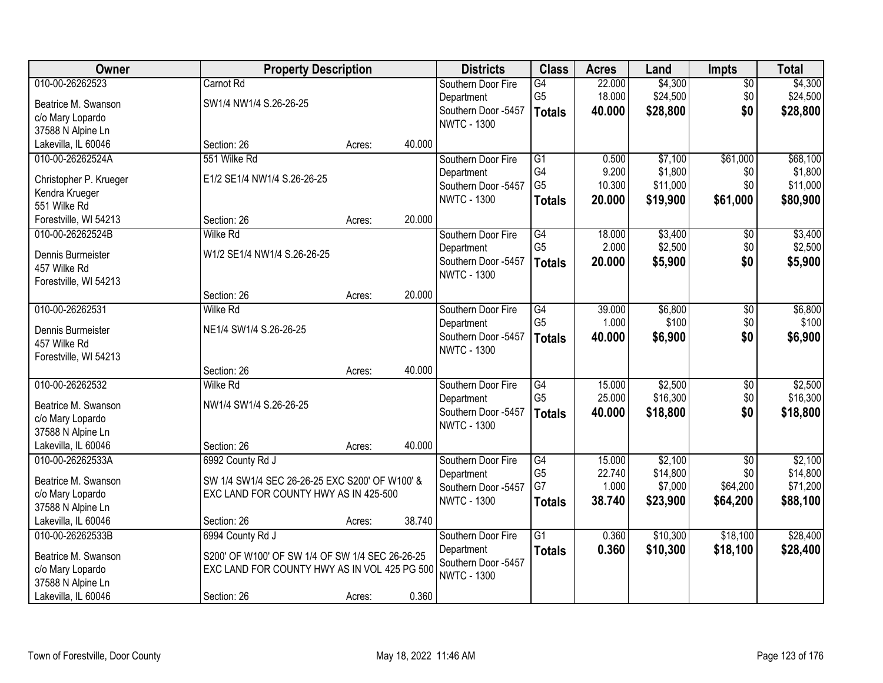| Owner                  | <b>Property Description</b>                     |        |        | <b>Districts</b>                          | <b>Class</b>    | <b>Acres</b> | Land     | <b>Impts</b>    | <b>Total</b> |
|------------------------|-------------------------------------------------|--------|--------|-------------------------------------------|-----------------|--------------|----------|-----------------|--------------|
| 010-00-26262523        | Carnot Rd                                       |        |        | Southern Door Fire                        | $\overline{G4}$ | 22.000       | \$4,300  | \$0             | \$4,300      |
| Beatrice M. Swanson    | SW1/4 NW1/4 S.26-26-25                          |        |        | Department                                | G <sub>5</sub>  | 18.000       | \$24,500 | \$0             | \$24,500     |
| c/o Mary Lopardo       |                                                 |        |        | Southern Door -5457                       | <b>Totals</b>   | 40.000       | \$28,800 | \$0             | \$28,800     |
| 37588 N Alpine Ln      |                                                 |        |        | <b>NWTC - 1300</b>                        |                 |              |          |                 |              |
| Lakevilla, IL 60046    | Section: 26                                     | Acres: | 40.000 |                                           |                 |              |          |                 |              |
| 010-00-26262524A       | 551 Wilke Rd                                    |        |        | Southern Door Fire                        | $\overline{G1}$ | 0.500        | \$7,100  | \$61,000        | \$68,100     |
| Christopher P. Krueger | E1/2 SE1/4 NW1/4 S.26-26-25                     |        |        | Department                                | G4              | 9.200        | \$1,800  | \$0             | \$1,800      |
| Kendra Krueger         |                                                 |        |        | Southern Door -5457                       | G <sub>5</sub>  | 10.300       | \$11,000 | \$0             | \$11,000     |
| 551 Wilke Rd           |                                                 |        |        | <b>NWTC - 1300</b>                        | <b>Totals</b>   | 20.000       | \$19,900 | \$61,000        | \$80,900     |
| Forestville, WI 54213  | Section: 26                                     | Acres: | 20.000 |                                           |                 |              |          |                 |              |
| 010-00-26262524B       | <b>Wilke Rd</b>                                 |        |        | Southern Door Fire                        | $\overline{G4}$ | 18.000       | \$3,400  | $\sqrt[6]{}$    | \$3,400      |
|                        |                                                 |        |        | Department                                | G <sub>5</sub>  | 2.000        | \$2,500  | \$0             | \$2,500      |
| Dennis Burmeister      | W1/2 SE1/4 NW1/4 S.26-26-25                     |        |        | Southern Door -5457                       | <b>Totals</b>   | 20.000       | \$5,900  | \$0             | \$5,900      |
| 457 Wilke Rd           |                                                 |        |        | <b>NWTC - 1300</b>                        |                 |              |          |                 |              |
| Forestville, WI 54213  | Section: 26                                     | Acres: | 20.000 |                                           |                 |              |          |                 |              |
| 010-00-26262531        | Wilke Rd                                        |        |        | Southern Door Fire                        | G4              | 39.000       | \$6,800  | \$0             | \$6,800      |
|                        |                                                 |        |        | Department                                | G <sub>5</sub>  | 1.000        | \$100    | \$0             | \$100        |
| Dennis Burmeister      | NE1/4 SW1/4 S.26-26-25                          |        |        | Southern Door -5457                       | <b>Totals</b>   | 40.000       | \$6,900  | \$0             | \$6,900      |
| 457 Wilke Rd           |                                                 |        |        | <b>NWTC - 1300</b>                        |                 |              |          |                 |              |
| Forestville, WI 54213  |                                                 |        |        |                                           |                 |              |          |                 |              |
|                        | Section: 26                                     | Acres: | 40.000 |                                           |                 |              |          |                 |              |
| 010-00-26262532        | <b>Wilke Rd</b>                                 |        |        | Southern Door Fire                        | $\overline{G4}$ | 15.000       | \$2,500  | \$0             | \$2,500      |
| Beatrice M. Swanson    | NW1/4 SW1/4 S.26-26-25                          |        |        | Department                                | G <sub>5</sub>  | 25.000       | \$16,300 | \$0             | \$16,300     |
| c/o Mary Lopardo       |                                                 |        |        | Southern Door -5457<br><b>NWTC - 1300</b> | <b>Totals</b>   | 40.000       | \$18,800 | \$0             | \$18,800     |
| 37588 N Alpine Ln      |                                                 |        |        |                                           |                 |              |          |                 |              |
| Lakevilla, IL 60046    | Section: 26                                     | Acres: | 40.000 |                                           |                 |              |          |                 |              |
| 010-00-26262533A       | 6992 County Rd J                                |        |        | Southern Door Fire                        | G4              | 15.000       | \$2,100  | $\overline{50}$ | \$2,100      |
| Beatrice M. Swanson    | SW 1/4 SW1/4 SEC 26-26-25 EXC S200' OF W100' &  |        |        | Department                                | G <sub>5</sub>  | 22.740       | \$14,800 | \$0             | \$14,800     |
| c/o Mary Lopardo       | EXC LAND FOR COUNTY HWY AS IN 425-500           |        |        | Southern Door -5457                       | G7              | 1.000        | \$7,000  | \$64,200        | \$71,200     |
| 37588 N Alpine Ln      |                                                 |        |        | <b>NWTC - 1300</b>                        | <b>Totals</b>   | 38.740       | \$23,900 | \$64,200        | \$88,100     |
| Lakevilla, IL 60046    | Section: 26                                     | Acres: | 38.740 |                                           |                 |              |          |                 |              |
| 010-00-26262533B       | 6994 County Rd J                                |        |        | Southern Door Fire                        | $\overline{G1}$ | 0.360        | \$10,300 | \$18,100        | \$28,400     |
| Beatrice M. Swanson    | S200' OF W100' OF SW 1/4 OF SW 1/4 SEC 26-26-25 |        |        | Department                                | <b>Totals</b>   | 0.360        | \$10,300 | \$18,100        | \$28,400     |
| c/o Mary Lopardo       | EXC LAND FOR COUNTY HWY AS IN VOL 425 PG 500    |        |        | Southern Door -5457                       |                 |              |          |                 |              |
| 37588 N Alpine Ln      |                                                 |        |        | <b>NWTC - 1300</b>                        |                 |              |          |                 |              |
| Lakevilla, IL 60046    | Section: 26                                     | Acres: | 0.360  |                                           |                 |              |          |                 |              |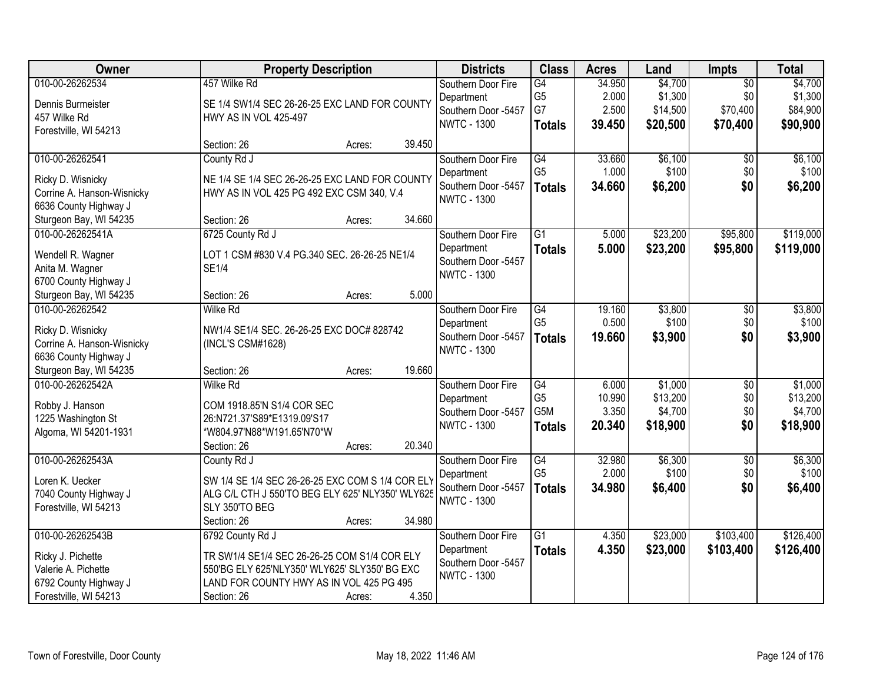| Owner                                           | <b>Property Description</b>                                    | <b>Districts</b>    | <b>Class</b>    | <b>Acres</b> | Land     | <b>Impts</b>    | <b>Total</b> |
|-------------------------------------------------|----------------------------------------------------------------|---------------------|-----------------|--------------|----------|-----------------|--------------|
| 010-00-26262534                                 | 457 Wilke Rd                                                   | Southern Door Fire  | G4              | 34.950       | \$4,700  | $\overline{50}$ | \$4,700      |
| Dennis Burmeister                               | SE 1/4 SW1/4 SEC 26-26-25 EXC LAND FOR COUNTY                  | Department          | G <sub>5</sub>  | 2.000        | \$1,300  | \$0             | \$1,300      |
| 457 Wilke Rd                                    | <b>HWY AS IN VOL 425-497</b>                                   | Southern Door -5457 | G7              | 2.500        | \$14,500 | \$70,400        | \$84,900     |
| Forestville, WI 54213                           |                                                                | <b>NWTC - 1300</b>  | <b>Totals</b>   | 39.450       | \$20,500 | \$70,400        | \$90,900     |
|                                                 | 39.450<br>Section: 26<br>Acres:                                |                     |                 |              |          |                 |              |
| 010-00-26262541                                 | County Rd J                                                    | Southern Door Fire  | G4              | 33.660       | \$6,100  | $\overline{50}$ | \$6,100      |
| Ricky D. Wisnicky                               | NE 1/4 SE 1/4 SEC 26-26-25 EXC LAND FOR COUNTY                 | Department          | G <sub>5</sub>  | 1.000        | \$100    | \$0             | \$100        |
| Corrine A. Hanson-Wisnicky                      | HWY AS IN VOL 425 PG 492 EXC CSM 340, V.4                      | Southern Door -5457 | <b>Totals</b>   | 34.660       | \$6,200  | \$0             | \$6,200      |
| 6636 County Highway J                           |                                                                | <b>NWTC - 1300</b>  |                 |              |          |                 |              |
| Sturgeon Bay, WI 54235                          | 34.660<br>Section: 26<br>Acres:                                |                     |                 |              |          |                 |              |
| 010-00-26262541A                                | 6725 County Rd J                                               | Southern Door Fire  | $\overline{G1}$ | 5.000        | \$23,200 | \$95,800        | \$119,000    |
| Wendell R. Wagner                               | LOT 1 CSM #830 V.4 PG.340 SEC. 26-26-25 NE1/4                  | Department          | <b>Totals</b>   | 5.000        | \$23,200 | \$95,800        | \$119,000    |
| Anita M. Wagner                                 | <b>SE1/4</b>                                                   | Southern Door -5457 |                 |              |          |                 |              |
| 6700 County Highway J                           |                                                                | <b>NWTC - 1300</b>  |                 |              |          |                 |              |
| Sturgeon Bay, WI 54235                          | 5.000<br>Section: 26<br>Acres:                                 |                     |                 |              |          |                 |              |
| 010-00-26262542                                 | Wilke Rd                                                       | Southern Door Fire  | G4              | 19.160       | \$3,800  | \$0             | \$3,800      |
|                                                 |                                                                | Department          | G <sub>5</sub>  | 0.500        | \$100    | \$0             | \$100        |
| Ricky D. Wisnicky<br>Corrine A. Hanson-Wisnicky | NW1/4 SE1/4 SEC. 26-26-25 EXC DOC# 828742<br>(INCL'S CSM#1628) | Southern Door -5457 | <b>Totals</b>   | 19.660       | \$3,900  | \$0             | \$3,900      |
| 6636 County Highway J                           |                                                                | <b>NWTC - 1300</b>  |                 |              |          |                 |              |
| Sturgeon Bay, WI 54235                          | 19.660<br>Section: 26<br>Acres:                                |                     |                 |              |          |                 |              |
| 010-00-26262542A                                | Wilke Rd                                                       | Southern Door Fire  | $\overline{G4}$ | 6.000        | \$1,000  | $\overline{50}$ | \$1,000      |
|                                                 |                                                                | Department          | G <sub>5</sub>  | 10.990       | \$13,200 | \$0             | \$13,200     |
| Robby J. Hanson                                 | COM 1918.85'N S1/4 COR SEC                                     | Southern Door -5457 | G5M             | 3.350        | \$4,700  | \$0             | \$4,700      |
| 1225 Washington St                              | 26:N721.37'S89*E1319.09'S17                                    | <b>NWTC - 1300</b>  | <b>Totals</b>   | 20.340       | \$18,900 | \$0             | \$18,900     |
| Algoma, WI 54201-1931                           | *W804.97'N88*W191.65'N70*W<br>20.340                           |                     |                 |              |          |                 |              |
| 010-00-26262543A                                | Section: 26<br>Acres:<br>County Rd J                           | Southern Door Fire  | G4              | 32.980       | \$6,300  | $\overline{50}$ | \$6,300      |
|                                                 |                                                                | Department          | G <sub>5</sub>  | 2.000        | \$100    | \$0             | \$100        |
| Loren K. Uecker                                 | SW 1/4 SE 1/4 SEC 26-26-25 EXC COM S 1/4 COR ELY               | Southern Door -5457 | <b>Totals</b>   | 34.980       | \$6,400  | \$0             | \$6,400      |
| 7040 County Highway J                           | ALG C/L CTH J 550'TO BEG ELY 625' NLY350' WLY625               | <b>NWTC - 1300</b>  |                 |              |          |                 |              |
| Forestville, WI 54213                           | SLY 350'TO BEG                                                 |                     |                 |              |          |                 |              |
|                                                 | 34.980<br>Section: 26<br>Acres:                                |                     |                 |              |          |                 |              |
| 010-00-26262543B                                | 6792 County Rd J                                               | Southern Door Fire  | $\overline{G1}$ | 4.350        | \$23,000 | \$103,400       | \$126,400    |
| Ricky J. Pichette                               | TR SW1/4 SE1/4 SEC 26-26-25 COM S1/4 COR ELY                   | Department          | <b>Totals</b>   | 4.350        | \$23,000 | \$103,400       | \$126,400    |
| Valerie A. Pichette                             | 550'BG ELY 625'NLY350' WLY625' SLY350' BG EXC                  | Southern Door -5457 |                 |              |          |                 |              |
| 6792 County Highway J                           | LAND FOR COUNTY HWY AS IN VOL 425 PG 495                       | <b>NWTC - 1300</b>  |                 |              |          |                 |              |
| Forestville, WI 54213                           | 4.350<br>Section: 26<br>Acres:                                 |                     |                 |              |          |                 |              |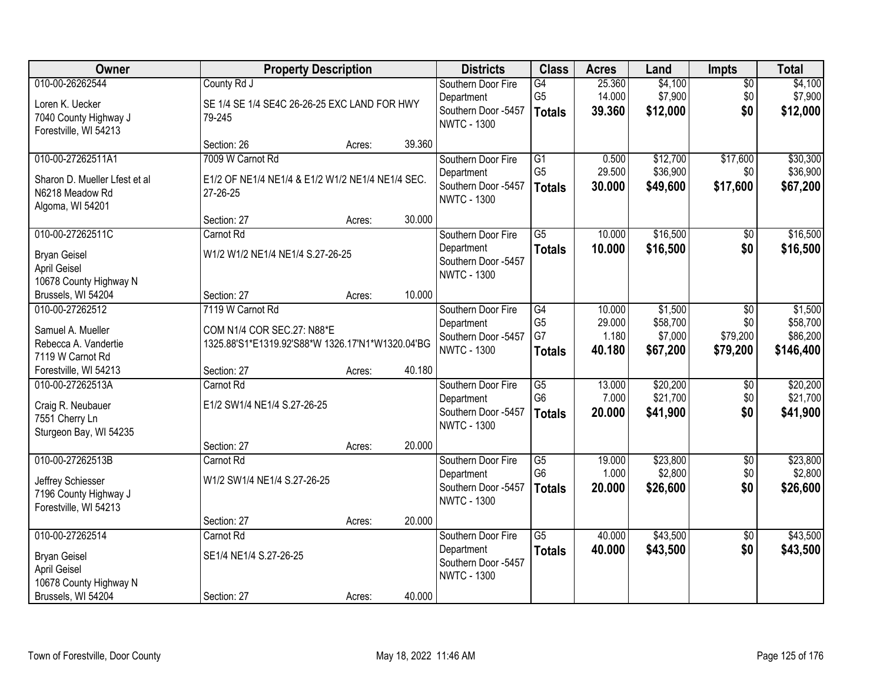| Owner                                          |                                                  | <b>Property Description</b> |        | <b>Districts</b>                          | <b>Class</b>                    | <b>Acres</b>     | Land                | <b>Impts</b>         | <b>Total</b>          |
|------------------------------------------------|--------------------------------------------------|-----------------------------|--------|-------------------------------------------|---------------------------------|------------------|---------------------|----------------------|-----------------------|
| 010-00-26262544                                | County Rd J                                      |                             |        | Southern Door Fire                        | $\overline{G4}$                 | 25.360           | \$4,100             | $\overline{50}$      | \$4,100               |
| Loren K. Uecker                                | SE 1/4 SE 1/4 SE4C 26-26-25 EXC LAND FOR HWY     |                             |        | Department<br>Southern Door -5457         | G <sub>5</sub><br><b>Totals</b> | 14.000<br>39.360 | \$7,900<br>\$12,000 | \$0<br>\$0           | \$7,900<br>\$12,000   |
| 7040 County Highway J<br>Forestville, WI 54213 | 79-245                                           |                             |        | <b>NWTC - 1300</b>                        |                                 |                  |                     |                      |                       |
|                                                | Section: 26                                      | Acres:                      | 39.360 |                                           |                                 |                  |                     |                      |                       |
| 010-00-27262511A1                              | 7009 W Carnot Rd                                 |                             |        | Southern Door Fire                        | $\overline{G1}$                 | 0.500            | \$12,700            | \$17,600             | \$30,300              |
| Sharon D. Mueller Lfest et al                  | E1/2 OF NE1/4 NE1/4 & E1/2 W1/2 NE1/4 NE1/4 SEC. |                             |        | Department                                | G <sub>5</sub>                  | 29.500           | \$36,900            | \$0                  | \$36,900              |
| N6218 Meadow Rd                                | 27-26-25                                         |                             |        | Southern Door -5457<br><b>NWTC - 1300</b> | <b>Totals</b>                   | 30.000           | \$49,600            | \$17,600             | \$67,200              |
| Algoma, WI 54201                               |                                                  |                             |        |                                           |                                 |                  |                     |                      |                       |
| 010-00-27262511C                               | Section: 27<br>Carnot Rd                         | Acres:                      | 30.000 | Southern Door Fire                        | $\overline{G5}$                 | 10.000           | \$16,500            | \$0                  | \$16,500              |
|                                                |                                                  |                             |        | Department                                | <b>Totals</b>                   | 10.000           | \$16,500            | \$0                  | \$16,500              |
| <b>Bryan Geisel</b>                            | W1/2 W1/2 NE1/4 NE1/4 S.27-26-25                 |                             |        | Southern Door -5457                       |                                 |                  |                     |                      |                       |
| <b>April Geisel</b><br>10678 County Highway N  |                                                  |                             |        | <b>NWTC - 1300</b>                        |                                 |                  |                     |                      |                       |
| Brussels, WI 54204                             | Section: 27                                      | Acres:                      | 10.000 |                                           |                                 |                  |                     |                      |                       |
| 010-00-27262512                                | 7119 W Carnot Rd                                 |                             |        | Southern Door Fire                        | G4                              | 10.000           | \$1,500             | \$0                  | \$1,500               |
| Samuel A. Mueller                              | COM N1/4 COR SEC.27: N88*E                       |                             |        | Department                                | G <sub>5</sub>                  | 29.000           | \$58,700            | \$0                  | \$58,700              |
| Rebecca A. Vandertie                           | 1325.88'S1*E1319.92'S88*W 1326.17'N1*W1320.04'BG |                             |        | Southern Door -5457<br><b>NWTC - 1300</b> | G7                              | 1.180<br>40.180  | \$7,000<br>\$67,200 | \$79,200<br>\$79,200 | \$86,200<br>\$146,400 |
| 7119 W Carnot Rd                               |                                                  |                             |        |                                           | <b>Totals</b>                   |                  |                     |                      |                       |
| Forestville, WI 54213<br>010-00-27262513A      | Section: 27<br>Carnot Rd                         | Acres:                      | 40.180 |                                           | $\overline{G5}$                 | 13.000           | \$20,200            | $\overline{50}$      | \$20,200              |
|                                                |                                                  |                             |        | Southern Door Fire<br>Department          | G <sub>6</sub>                  | 7.000            | \$21,700            | \$0                  | \$21,700              |
| Craig R. Neubauer                              | E1/2 SW1/4 NE1/4 S.27-26-25                      |                             |        | Southern Door -5457                       | <b>Totals</b>                   | 20.000           | \$41,900            | \$0                  | \$41,900              |
| 7551 Cherry Ln<br>Sturgeon Bay, WI 54235       |                                                  |                             |        | <b>NWTC - 1300</b>                        |                                 |                  |                     |                      |                       |
|                                                | Section: 27                                      | Acres:                      | 20.000 |                                           |                                 |                  |                     |                      |                       |
| 010-00-27262513B                               | Carnot Rd                                        |                             |        | Southern Door Fire                        | $\overline{G5}$                 | 19.000           | \$23,800            | $\sqrt{6}$           | \$23,800              |
| Jeffrey Schiesser                              | W1/2 SW1/4 NE1/4 S.27-26-25                      |                             |        | Department                                | G <sub>6</sub>                  | 1.000            | \$2,800             | \$0                  | \$2,800               |
| 7196 County Highway J                          |                                                  |                             |        | Southern Door -5457<br><b>NWTC - 1300</b> | <b>Totals</b>                   | 20.000           | \$26,600            | \$0                  | \$26,600              |
| Forestville, WI 54213                          |                                                  |                             |        |                                           |                                 |                  |                     |                      |                       |
| 010-00-27262514                                | Section: 27<br>Carnot Rd                         | Acres:                      | 20.000 | Southern Door Fire                        | $\overline{G5}$                 | 40.000           | \$43,500            | $\overline{50}$      | \$43,500              |
|                                                |                                                  |                             |        | Department                                | <b>Totals</b>                   | 40.000           | \$43,500            | \$0                  | \$43,500              |
| <b>Bryan Geisel</b><br><b>April Geisel</b>     | SE1/4 NE1/4 S.27-26-25                           |                             |        | Southern Door -5457                       |                                 |                  |                     |                      |                       |
| 10678 County Highway N                         |                                                  |                             |        | <b>NWTC - 1300</b>                        |                                 |                  |                     |                      |                       |
| Brussels, WI 54204                             | Section: 27                                      | Acres:                      | 40.000 |                                           |                                 |                  |                     |                      |                       |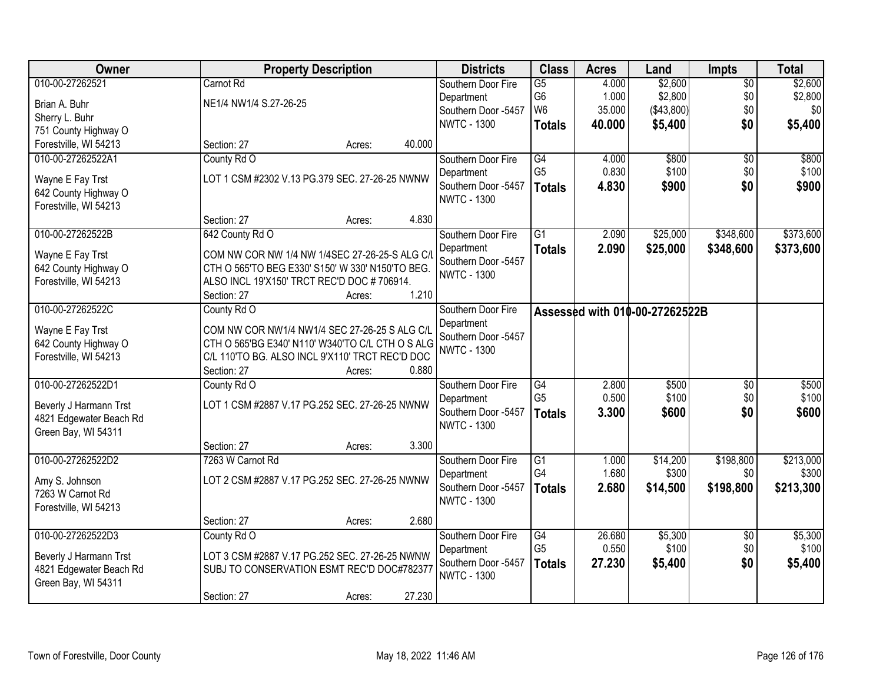| Owner                                         |                                                                                                    | <b>Property Description</b> |        | <b>Districts</b>    | <b>Class</b>    | <b>Acres</b> | Land                           | <b>Impts</b>    | <b>Total</b> |
|-----------------------------------------------|----------------------------------------------------------------------------------------------------|-----------------------------|--------|---------------------|-----------------|--------------|--------------------------------|-----------------|--------------|
| 010-00-27262521                               | Carnot Rd                                                                                          |                             |        | Southern Door Fire  | $\overline{G5}$ | 4.000        | \$2,600                        | $\overline{50}$ | \$2,600      |
| Brian A. Buhr                                 | NE1/4 NW1/4 S.27-26-25                                                                             |                             |        | Department          | G6              | 1.000        | \$2,800                        | \$0             | \$2,800      |
| Sherry L. Buhr                                |                                                                                                    |                             |        | Southern Door -5457 | W <sub>6</sub>  | 35.000       | (\$43,800)                     | \$0             | \$0          |
| 751 County Highway O                          |                                                                                                    |                             |        | <b>NWTC - 1300</b>  | <b>Totals</b>   | 40.000       | \$5,400                        | \$0             | \$5,400      |
| Forestville, WI 54213                         | Section: 27                                                                                        | Acres:                      | 40.000 |                     |                 |              |                                |                 |              |
| 010-00-27262522A1                             | County Rd O                                                                                        |                             |        | Southern Door Fire  | $\overline{G4}$ | 4.000        | \$800                          | $\overline{50}$ | \$800        |
|                                               | LOT 1 CSM #2302 V.13 PG.379 SEC. 27-26-25 NWNW                                                     |                             |        | Department          | G <sub>5</sub>  | 0.830        | \$100                          | \$0             | \$100        |
| Wayne E Fay Trst<br>642 County Highway O      |                                                                                                    |                             |        | Southern Door -5457 | <b>Totals</b>   | 4.830        | \$900                          | \$0             | \$900        |
| Forestville, WI 54213                         |                                                                                                    |                             |        | <b>NWTC - 1300</b>  |                 |              |                                |                 |              |
|                                               | Section: 27                                                                                        | Acres:                      | 4.830  |                     |                 |              |                                |                 |              |
| 010-00-27262522B                              | 642 County Rd O                                                                                    |                             |        | Southern Door Fire  | $\overline{G1}$ | 2.090        | \$25,000                       | \$348,600       | \$373,600    |
|                                               |                                                                                                    |                             |        | Department          | <b>Totals</b>   | 2.090        | \$25,000                       | \$348,600       | \$373,600    |
| Wayne E Fay Trst                              | COM NW COR NW 1/4 NW 1/4SEC 27-26-25-S ALG C/I<br>CTH O 565'TO BEG E330' S150' W 330' N150'TO BEG. |                             |        | Southern Door -5457 |                 |              |                                |                 |              |
| 642 County Highway O<br>Forestville, WI 54213 | ALSO INCL 19'X150' TRCT REC'D DOC #706914.                                                         |                             |        | <b>NWTC - 1300</b>  |                 |              |                                |                 |              |
|                                               | Section: 27                                                                                        | Acres:                      | 1.210  |                     |                 |              |                                |                 |              |
| 010-00-27262522C                              | County Rd O                                                                                        |                             |        | Southern Door Fire  |                 |              | Assessed with 010-00-27262522B |                 |              |
|                                               |                                                                                                    |                             |        | Department          |                 |              |                                |                 |              |
| Wayne E Fay Trst                              | COM NW COR NW1/4 NW1/4 SEC 27-26-25 S ALG C/L                                                      |                             |        | Southern Door -5457 |                 |              |                                |                 |              |
| 642 County Highway O                          | CTH O 565'BG E340' N110' W340'TO C/L CTH O S ALG                                                   |                             |        | <b>NWTC - 1300</b>  |                 |              |                                |                 |              |
| Forestville, WI 54213                         | C/L 110'TO BG. ALSO INCL 9'X110' TRCT REC'D DOC                                                    |                             |        |                     |                 |              |                                |                 |              |
|                                               | Section: 27                                                                                        | Acres:                      | 0.880  |                     |                 |              |                                |                 |              |
| 010-00-27262522D1                             | County Rd O                                                                                        |                             |        | Southern Door Fire  | $\overline{G4}$ | 2.800        | \$500                          | \$0             | \$500        |
| Beverly J Harmann Trst                        | LOT 1 CSM #2887 V.17 PG.252 SEC. 27-26-25 NWNW                                                     |                             |        | Department          | G <sub>5</sub>  | 0.500        | \$100                          | \$0             | \$100        |
| 4821 Edgewater Beach Rd                       |                                                                                                    |                             |        | Southern Door -5457 | <b>Totals</b>   | 3.300        | \$600                          | \$0             | \$600        |
| Green Bay, WI 54311                           |                                                                                                    |                             |        | <b>NWTC - 1300</b>  |                 |              |                                |                 |              |
|                                               | Section: 27                                                                                        | Acres:                      | 3.300  |                     |                 |              |                                |                 |              |
| 010-00-27262522D2                             | 7263 W Carnot Rd                                                                                   |                             |        | Southern Door Fire  | $\overline{G1}$ | 1.000        | \$14,200                       | \$198,800       | \$213,000    |
| Amy S. Johnson                                | LOT 2 CSM #2887 V.17 PG.252 SEC. 27-26-25 NWNW                                                     |                             |        | Department          | G4              | 1.680        | \$300                          | \$0             | \$300        |
| 7263 W Carnot Rd                              |                                                                                                    |                             |        | Southern Door -5457 | <b>Totals</b>   | 2.680        | \$14,500                       | \$198,800       | \$213,300    |
| Forestville, WI 54213                         |                                                                                                    |                             |        | <b>NWTC - 1300</b>  |                 |              |                                |                 |              |
|                                               | Section: 27                                                                                        | Acres:                      | 2.680  |                     |                 |              |                                |                 |              |
| 010-00-27262522D3                             | County Rd O                                                                                        |                             |        | Southern Door Fire  | $\overline{G4}$ | 26.680       | \$5,300                        | $\overline{50}$ | \$5,300      |
| Beverly J Harmann Trst                        | LOT 3 CSM #2887 V.17 PG.252 SEC. 27-26-25 NWNW                                                     |                             |        | Department          | G <sub>5</sub>  | 0.550        | \$100                          | \$0             | \$100        |
| 4821 Edgewater Beach Rd                       | SUBJ TO CONSERVATION ESMT REC'D DOC#782377                                                         |                             |        | Southern Door -5457 | <b>Totals</b>   | 27.230       | \$5,400                        | \$0             | \$5,400      |
| Green Bay, WI 54311                           |                                                                                                    |                             |        | <b>NWTC - 1300</b>  |                 |              |                                |                 |              |
|                                               | Section: 27                                                                                        | Acres:                      | 27.230 |                     |                 |              |                                |                 |              |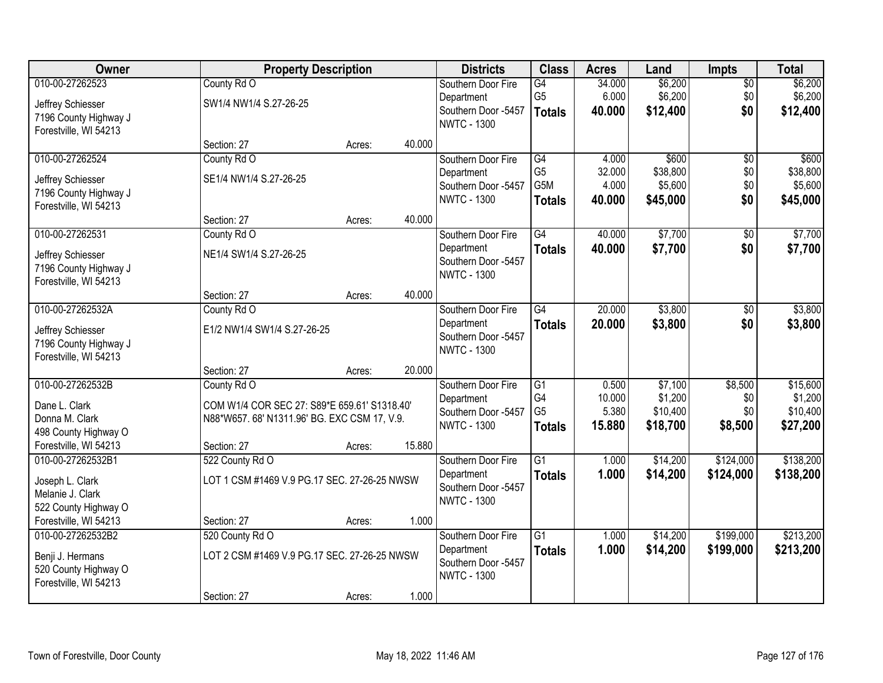| Owner                 |                                              | <b>Property Description</b> |        | <b>Districts</b>                          | <b>Class</b>                     | <b>Acres</b>    | Land                | <b>Impts</b>    | <b>Total</b>        |
|-----------------------|----------------------------------------------|-----------------------------|--------|-------------------------------------------|----------------------------------|-----------------|---------------------|-----------------|---------------------|
| 010-00-27262523       | County Rd O                                  |                             |        | Southern Door Fire                        | $\overline{G4}$                  | 34.000          | \$6,200             | $\overline{50}$ | \$6,200             |
| Jeffrey Schiesser     | SW1/4 NW1/4 S.27-26-25                       |                             |        | Department                                | G <sub>5</sub>                   | 6.000           | \$6,200             | \$0             | \$6,200             |
| 7196 County Highway J |                                              |                             |        | Southern Door -5457                       | <b>Totals</b>                    | 40.000          | \$12,400            | \$0             | \$12,400            |
| Forestville, WI 54213 |                                              |                             |        | <b>NWTC - 1300</b>                        |                                  |                 |                     |                 |                     |
|                       | Section: 27                                  | Acres:                      | 40.000 |                                           |                                  |                 |                     |                 |                     |
| 010-00-27262524       | County Rd O                                  |                             |        | Southern Door Fire                        | G4                               | 4.000           | \$600               | $\overline{50}$ | \$600               |
| Jeffrey Schiesser     | SE1/4 NW1/4 S.27-26-25                       |                             |        | Department                                | G <sub>5</sub>                   | 32.000          | \$38,800            | \$0             | \$38,800            |
| 7196 County Highway J |                                              |                             |        | Southern Door -5457<br><b>NWTC - 1300</b> | G5M                              | 4.000           | \$5,600             | \$0             | \$5,600             |
| Forestville, WI 54213 |                                              |                             |        |                                           | <b>Totals</b>                    | 40.000          | \$45,000            | \$0             | \$45,000            |
|                       | Section: 27                                  | Acres:                      | 40.000 |                                           |                                  |                 |                     |                 |                     |
| 010-00-27262531       | County Rd O                                  |                             |        | Southern Door Fire                        | $\overline{G4}$                  | 40.000          | \$7,700             | $\overline{50}$ | \$7,700             |
| Jeffrey Schiesser     | NE1/4 SW1/4 S.27-26-25                       |                             |        | Department                                | <b>Totals</b>                    | 40.000          | \$7,700             | \$0             | \$7,700             |
| 7196 County Highway J |                                              |                             |        | Southern Door -5457<br><b>NWTC - 1300</b> |                                  |                 |                     |                 |                     |
| Forestville, WI 54213 |                                              |                             |        |                                           |                                  |                 |                     |                 |                     |
|                       | Section: 27                                  | Acres:                      | 40.000 |                                           |                                  |                 |                     |                 |                     |
| 010-00-27262532A      | County Rd O                                  |                             |        | Southern Door Fire                        | $\overline{G4}$                  | 20.000          | \$3,800             | \$0             | \$3,800             |
| Jeffrey Schiesser     | E1/2 NW1/4 SW1/4 S.27-26-25                  |                             |        | Department                                | <b>Totals</b>                    | 20.000          | \$3,800             | \$0             | \$3,800             |
| 7196 County Highway J |                                              |                             |        | Southern Door -5457<br><b>NWTC - 1300</b> |                                  |                 |                     |                 |                     |
| Forestville, WI 54213 |                                              |                             |        |                                           |                                  |                 |                     |                 |                     |
|                       | Section: 27                                  | Acres:                      | 20.000 |                                           |                                  |                 |                     |                 |                     |
| 010-00-27262532B      | County Rd O                                  |                             |        | Southern Door Fire                        | $\overline{G1}$                  | 0.500           | \$7,100             | \$8,500         | \$15,600            |
| Dane L. Clark         | COM W1/4 COR SEC 27: S89*E 659.61' S1318.40' |                             |        | Department                                | G <sub>4</sub><br>G <sub>5</sub> | 10.000<br>5.380 | \$1,200<br>\$10,400 | \$0<br>\$0      | \$1,200<br>\$10,400 |
| Donna M. Clark        | N88*W657.68' N1311.96' BG. EXC CSM 17, V.9.  |                             |        | Southern Door -5457<br><b>NWTC - 1300</b> | <b>Totals</b>                    | 15.880          | \$18,700            | \$8,500         | \$27,200            |
| 498 County Highway O  |                                              |                             |        |                                           |                                  |                 |                     |                 |                     |
| Forestville, WI 54213 | Section: 27                                  | Acres:                      | 15.880 |                                           |                                  |                 |                     |                 |                     |
| 010-00-27262532B1     | 522 County Rd O                              |                             |        | Southern Door Fire                        | $\overline{G1}$                  | 1.000           | \$14,200            | \$124,000       | \$138,200           |
| Joseph L. Clark       | LOT 1 CSM #1469 V.9 PG.17 SEC. 27-26-25 NWSW |                             |        | Department<br>Southern Door -5457         | <b>Totals</b>                    | 1.000           | \$14,200            | \$124,000       | \$138,200           |
| Melanie J. Clark      |                                              |                             |        | <b>NWTC - 1300</b>                        |                                  |                 |                     |                 |                     |
| 522 County Highway O  |                                              |                             |        |                                           |                                  |                 |                     |                 |                     |
| Forestville, WI 54213 | Section: 27                                  | Acres:                      | 1.000  |                                           |                                  |                 |                     |                 |                     |
| 010-00-27262532B2     | 520 County Rd O                              |                             |        | Southern Door Fire                        | $\overline{G1}$                  | 1.000           | \$14,200            | \$199,000       | \$213,200           |
| Benji J. Hermans      | LOT 2 CSM #1469 V.9 PG.17 SEC. 27-26-25 NWSW |                             |        | Department<br>Southern Door -5457         | <b>Totals</b>                    | 1.000           | \$14,200            | \$199,000       | \$213,200           |
| 520 County Highway O  |                                              |                             |        | <b>NWTC - 1300</b>                        |                                  |                 |                     |                 |                     |
| Forestville, WI 54213 |                                              |                             |        |                                           |                                  |                 |                     |                 |                     |
|                       | Section: 27                                  | Acres:                      | 1.000  |                                           |                                  |                 |                     |                 |                     |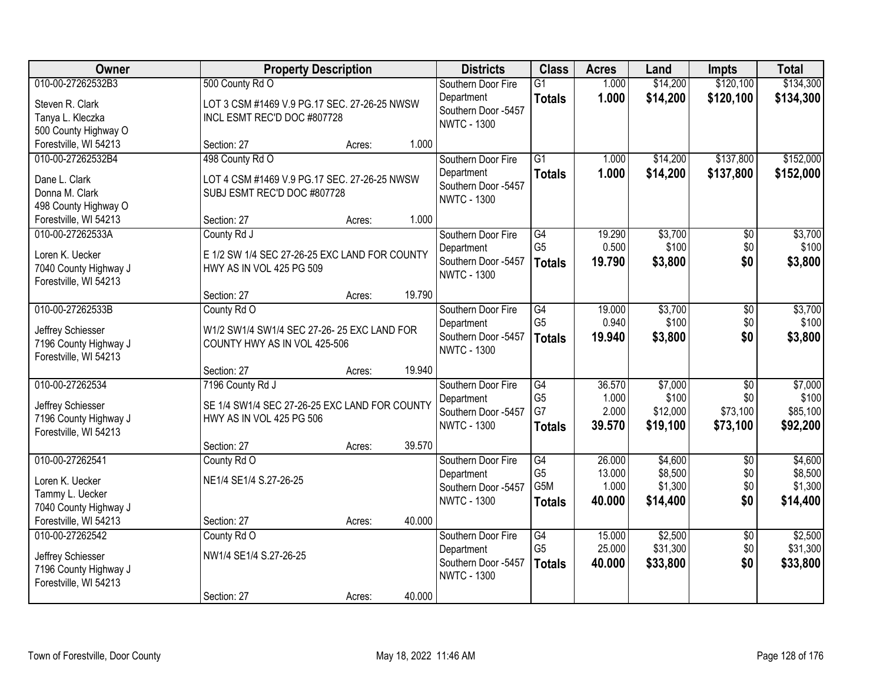| Owner                                      | <b>Property Description</b>                   |        |        | <b>Districts</b>                          | <b>Class</b>                       | <b>Acres</b>    | Land                 | <b>Impts</b>           | <b>Total</b>           |
|--------------------------------------------|-----------------------------------------------|--------|--------|-------------------------------------------|------------------------------------|-----------------|----------------------|------------------------|------------------------|
| 010-00-27262532B3                          | 500 County Rd O                               |        |        | Southern Door Fire<br>Department          | $\overline{G1}$<br><b>Totals</b>   | 1.000<br>1.000  | \$14,200<br>\$14,200 | \$120,100<br>\$120,100 | \$134,300<br>\$134,300 |
| Steven R. Clark                            | LOT 3 CSM #1469 V.9 PG.17 SEC. 27-26-25 NWSW  |        |        | Southern Door -5457                       |                                    |                 |                      |                        |                        |
| Tanya L. Kleczka                           | INCL ESMT REC'D DOC #807728                   |        |        | <b>NWTC - 1300</b>                        |                                    |                 |                      |                        |                        |
| 500 County Highway O                       |                                               |        | 1.000  |                                           |                                    |                 |                      |                        |                        |
| Forestville, WI 54213<br>010-00-27262532B4 | Section: 27<br>498 County Rd O                | Acres: |        | Southern Door Fire                        | $\overline{G1}$                    | 1.000           | \$14,200             | \$137,800              | \$152,000              |
|                                            |                                               |        |        | Department                                |                                    | 1.000           | \$14,200             | \$137,800              | \$152,000              |
| Dane L. Clark                              | LOT 4 CSM #1469 V.9 PG.17 SEC. 27-26-25 NWSW  |        |        | Southern Door -5457                       | <b>Totals</b>                      |                 |                      |                        |                        |
| Donna M. Clark                             | SUBJ ESMT REC'D DOC #807728                   |        |        | <b>NWTC - 1300</b>                        |                                    |                 |                      |                        |                        |
| 498 County Highway O                       |                                               |        |        |                                           |                                    |                 |                      |                        |                        |
| Forestville, WI 54213                      | Section: 27                                   | Acres: | 1.000  |                                           |                                    |                 |                      |                        |                        |
| 010-00-27262533A                           | County Rd J                                   |        |        | Southern Door Fire                        | G4                                 | 19.290          | \$3,700              | \$0                    | \$3,700                |
| Loren K. Uecker                            | E 1/2 SW 1/4 SEC 27-26-25 EXC LAND FOR COUNTY |        |        | Department<br>Southern Door -5457         | G <sub>5</sub>                     | 0.500           | \$100                | \$0                    | \$100                  |
| 7040 County Highway J                      | HWY AS IN VOL 425 PG 509                      |        |        | <b>NWTC - 1300</b>                        | <b>Totals</b>                      | 19.790          | \$3,800              | \$0                    | \$3,800                |
| Forestville, WI 54213                      |                                               |        |        |                                           |                                    |                 |                      |                        |                        |
|                                            | Section: 27                                   | Acres: | 19.790 |                                           |                                    |                 |                      |                        |                        |
| 010-00-27262533B                           | County Rd O                                   |        |        | Southern Door Fire                        | $\overline{G4}$                    | 19.000          | \$3,700              | \$0                    | \$3,700                |
| Jeffrey Schiesser                          | W1/2 SW1/4 SW1/4 SEC 27-26-25 EXC LAND FOR    |        |        | Department                                | G <sub>5</sub>                     | 0.940           | \$100                | \$0                    | \$100                  |
| 7196 County Highway J                      | COUNTY HWY AS IN VOL 425-506                  |        |        | Southern Door -5457                       | <b>Totals</b>                      | 19.940          | \$3,800              | \$0                    | \$3,800                |
| Forestville, WI 54213                      |                                               |        |        | <b>NWTC - 1300</b>                        |                                    |                 |                      |                        |                        |
|                                            | Section: 27                                   | Acres: | 19.940 |                                           |                                    |                 |                      |                        |                        |
| 010-00-27262534                            | 7196 County Rd J                              |        |        | Southern Door Fire                        | $\overline{G4}$                    | 36.570          | \$7,000              | $\overline{50}$        | \$7,000                |
| Jeffrey Schiesser                          | SE 1/4 SW1/4 SEC 27-26-25 EXC LAND FOR COUNTY |        |        | Department                                | G <sub>5</sub>                     | 1.000           | \$100                | \$0                    | \$100                  |
| 7196 County Highway J                      | HWY AS IN VOL 425 PG 506                      |        |        | Southern Door -5457                       | G7                                 | 2.000           | \$12,000             | \$73,100               | \$85,100               |
| Forestville, WI 54213                      |                                               |        |        | <b>NWTC - 1300</b>                        | <b>Totals</b>                      | 39.570          | \$19,100             | \$73,100               | \$92,200               |
|                                            | Section: 27                                   | Acres: | 39.570 |                                           |                                    |                 |                      |                        |                        |
| 010-00-27262541                            | County Rd O                                   |        |        | Southern Door Fire                        | $\overline{G4}$                    | 26.000          | \$4,600              | $\overline{30}$        | \$4,600                |
| Loren K. Uecker                            | NE1/4 SE1/4 S.27-26-25                        |        |        | Department                                | G <sub>5</sub><br>G <sub>5</sub> M | 13.000          | \$8,500              | \$0                    | \$8,500                |
| Tammy L. Uecker                            |                                               |        |        | Southern Door -5457<br><b>NWTC - 1300</b> |                                    | 1.000<br>40.000 | \$1,300              | \$0                    | \$1,300                |
| 7040 County Highway J                      |                                               |        |        |                                           | <b>Totals</b>                      |                 | \$14,400             | \$0                    | \$14,400               |
| Forestville, WI 54213                      | Section: 27                                   | Acres: | 40.000 |                                           |                                    |                 |                      |                        |                        |
| 010-00-27262542                            | County Rd O                                   |        |        | Southern Door Fire                        | $\overline{G4}$                    | 15.000          | \$2,500              | $\overline{50}$        | \$2,500                |
| Jeffrey Schiesser                          | NW1/4 SE1/4 S.27-26-25                        |        |        | Department                                | G <sub>5</sub>                     | 25.000          | \$31,300             | \$0                    | \$31,300               |
| 7196 County Highway J                      |                                               |        |        | Southern Door -5457                       | <b>Totals</b>                      | 40.000          | \$33,800             | \$0                    | \$33,800               |
| Forestville, WI 54213                      |                                               |        |        | <b>NWTC - 1300</b>                        |                                    |                 |                      |                        |                        |
|                                            | Section: 27                                   | Acres: | 40.000 |                                           |                                    |                 |                      |                        |                        |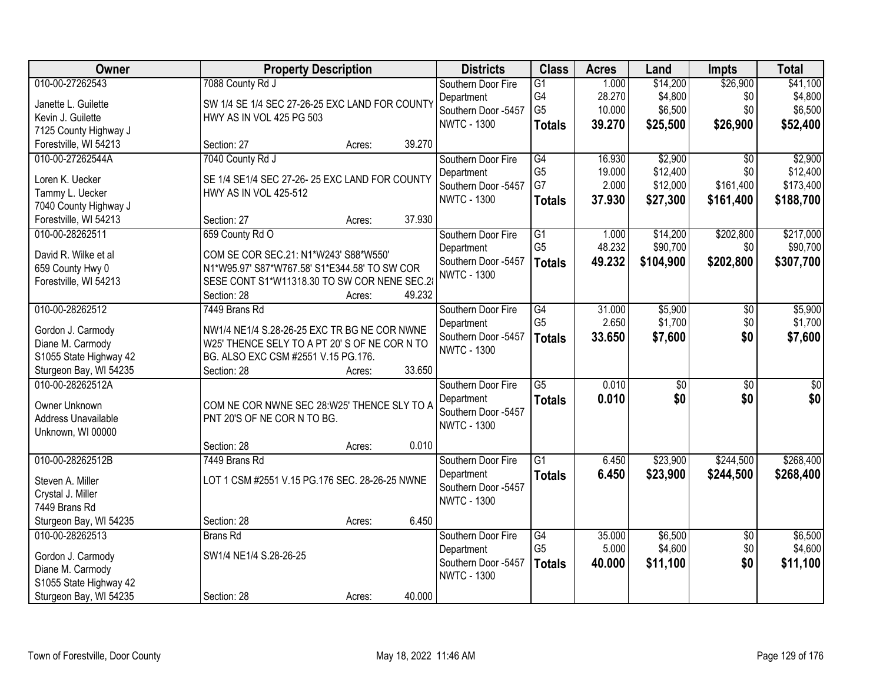| Owner                  | <b>Property Description</b>                    |        |        | <b>Districts</b>    | <b>Class</b>    | <b>Acres</b> | Land            | <b>Impts</b>    | <b>Total</b>    |
|------------------------|------------------------------------------------|--------|--------|---------------------|-----------------|--------------|-----------------|-----------------|-----------------|
| 010-00-27262543        | 7088 County Rd J                               |        |        | Southern Door Fire  | $\overline{G1}$ | 1.000        | \$14,200        | \$26,900        | \$41,100        |
| Janette L. Guilette    | SW 1/4 SE 1/4 SEC 27-26-25 EXC LAND FOR COUNTY |        |        | Department          | G4              | 28.270       | \$4,800         | \$0             | \$4,800         |
| Kevin J. Guilette      | HWY AS IN VOL 425 PG 503                       |        |        | Southern Door -5457 | G <sub>5</sub>  | 10.000       | \$6,500         | \$0             | \$6,500         |
| 7125 County Highway J  |                                                |        |        | <b>NWTC - 1300</b>  | <b>Totals</b>   | 39.270       | \$25,500        | \$26,900        | \$52,400        |
| Forestville, WI 54213  | Section: 27                                    | Acres: | 39.270 |                     |                 |              |                 |                 |                 |
| 010-00-27262544A       | 7040 County Rd J                               |        |        | Southern Door Fire  | $\overline{G4}$ | 16.930       | \$2,900         | $\overline{50}$ | \$2,900         |
| Loren K. Uecker        | SE 1/4 SE1/4 SEC 27-26-25 EXC LAND FOR COUNTY  |        |        | Department          | G <sub>5</sub>  | 19.000       | \$12,400        | \$0             | \$12,400        |
| Tammy L. Uecker        | <b>HWY AS IN VOL 425-512</b>                   |        |        | Southern Door -5457 | G7              | 2.000        | \$12,000        | \$161,400       | \$173,400       |
| 7040 County Highway J  |                                                |        |        | <b>NWTC - 1300</b>  | <b>Totals</b>   | 37.930       | \$27,300        | \$161,400       | \$188,700       |
| Forestville, WI 54213  | Section: 27                                    | Acres: | 37.930 |                     |                 |              |                 |                 |                 |
| 010-00-28262511        | 659 County Rd O                                |        |        | Southern Door Fire  | $\overline{G1}$ | 1.000        | \$14,200        | \$202,800       | \$217,000       |
|                        |                                                |        |        | Department          | G <sub>5</sub>  | 48.232       | \$90,700        | \$0             | \$90,700        |
| David R. Wilke et al   | COM SE COR SEC.21: N1*W243' S88*W550'          |        |        | Southern Door -5457 | <b>Totals</b>   | 49.232       | \$104,900       | \$202,800       | \$307,700       |
| 659 County Hwy 0       | N1*W95.97' S87*W767.58' S1*E344.58' TO SW COR  |        |        | <b>NWTC - 1300</b>  |                 |              |                 |                 |                 |
| Forestville, WI 54213  | SESE CONT S1*W11318.30 TO SW COR NENE SEC.28   |        |        |                     |                 |              |                 |                 |                 |
|                        | Section: 28                                    | Acres: | 49.232 |                     |                 |              |                 |                 |                 |
| 010-00-28262512        | 7449 Brans Rd                                  |        |        | Southern Door Fire  | G4              | 31.000       | \$5,900         | \$0             | \$5,900         |
| Gordon J. Carmody      | NW1/4 NE1/4 S.28-26-25 EXC TR BG NE COR NWNE   |        |        | Department          | G <sub>5</sub>  | 2.650        | \$1,700         | \$0             | \$1,700         |
| Diane M. Carmody       | W25' THENCE SELY TO A PT 20' S OF NE COR N TO  |        |        | Southern Door -5457 | <b>Totals</b>   | 33.650       | \$7,600         | \$0             | \$7,600         |
| S1055 State Highway 42 | BG. ALSO EXC CSM #2551 V.15 PG.176.            |        |        | <b>NWTC - 1300</b>  |                 |              |                 |                 |                 |
| Sturgeon Bay, WI 54235 | Section: 28                                    | Acres: | 33.650 |                     |                 |              |                 |                 |                 |
| 010-00-28262512A       |                                                |        |        | Southern Door Fire  | $\overline{G5}$ | 0.010        | $\overline{50}$ | $\overline{50}$ | $\overline{50}$ |
|                        |                                                |        |        | Department          | <b>Totals</b>   | 0.010        | \$0             | \$0             | \$0             |
| Owner Unknown          | COM NE COR NWNE SEC 28:W25' THENCE SLY TO A    |        |        | Southern Door -5457 |                 |              |                 |                 |                 |
| Address Unavailable    | PNT 20'S OF NE COR N TO BG.                    |        |        | <b>NWTC - 1300</b>  |                 |              |                 |                 |                 |
| Unknown, WI 00000      |                                                |        |        |                     |                 |              |                 |                 |                 |
|                        | Section: 28                                    | Acres: | 0.010  |                     |                 |              |                 |                 |                 |
| 010-00-28262512B       | 7449 Brans Rd                                  |        |        | Southern Door Fire  | $\overline{G1}$ | 6.450        | \$23,900        | \$244,500       | \$268,400       |
| Steven A. Miller       | LOT 1 CSM #2551 V.15 PG.176 SEC. 28-26-25 NWNE |        |        | Department          | <b>Totals</b>   | 6.450        | \$23,900        | \$244,500       | \$268,400       |
| Crystal J. Miller      |                                                |        |        | Southern Door -5457 |                 |              |                 |                 |                 |
| 7449 Brans Rd          |                                                |        |        | <b>NWTC - 1300</b>  |                 |              |                 |                 |                 |
| Sturgeon Bay, WI 54235 | Section: 28                                    | Acres: | 6.450  |                     |                 |              |                 |                 |                 |
| 010-00-28262513        | <b>Brans Rd</b>                                |        |        | Southern Door Fire  | G4              | 35.000       | \$6,500         | $\overline{50}$ | \$6,500         |
| Gordon J. Carmody      | SW1/4 NE1/4 S.28-26-25                         |        |        | Department          | G <sub>5</sub>  | 5.000        | \$4,600         | \$0             | \$4,600         |
| Diane M. Carmody       |                                                |        |        | Southern Door -5457 | <b>Totals</b>   | 40.000       | \$11,100        | \$0             | \$11,100        |
| S1055 State Highway 42 |                                                |        |        | <b>NWTC - 1300</b>  |                 |              |                 |                 |                 |
| Sturgeon Bay, WI 54235 | Section: 28                                    | Acres: | 40.000 |                     |                 |              |                 |                 |                 |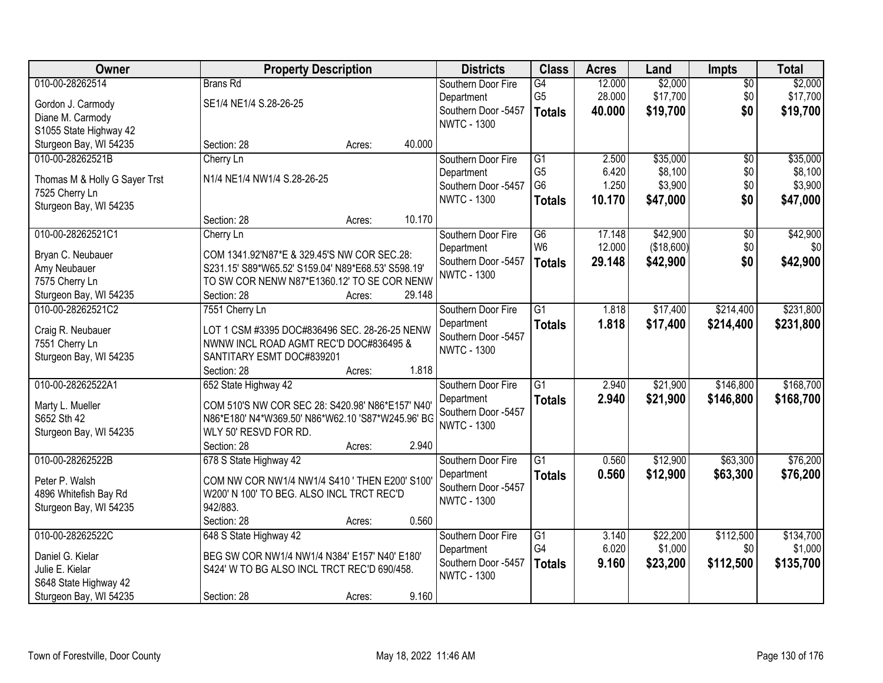| Owner                                    |                                                            | <b>Property Description</b> |        | <b>Districts</b>                  | <b>Class</b>    | <b>Acres</b> | Land       | Impts           | <b>Total</b> |
|------------------------------------------|------------------------------------------------------------|-----------------------------|--------|-----------------------------------|-----------------|--------------|------------|-----------------|--------------|
| 010-00-28262514                          | <b>Brans Rd</b>                                            |                             |        | Southern Door Fire                | G4              | 12.000       | \$2,000    | $\overline{50}$ | \$2,000      |
| Gordon J. Carmody                        | SE1/4 NE1/4 S.28-26-25                                     |                             |        | Department                        | G <sub>5</sub>  | 28.000       | \$17,700   | \$0             | \$17,700     |
| Diane M. Carmody                         |                                                            |                             |        | Southern Door -5457               | <b>Totals</b>   | 40.000       | \$19,700   | \$0             | \$19,700     |
| S1055 State Highway 42                   |                                                            |                             |        | <b>NWTC - 1300</b>                |                 |              |            |                 |              |
| Sturgeon Bay, WI 54235                   | Section: 28                                                | Acres:                      | 40.000 |                                   |                 |              |            |                 |              |
| 010-00-28262521B                         | Cherry Ln                                                  |                             |        | Southern Door Fire                | $\overline{G1}$ | 2.500        | \$35,000   | $\overline{50}$ | \$35,000     |
|                                          | N1/4 NE1/4 NW1/4 S.28-26-25                                |                             |        | Department                        | G <sub>5</sub>  | 6.420        | \$8,100    | \$0             | \$8,100      |
| Thomas M & Holly G Sayer Trst            |                                                            |                             |        | Southern Door -5457               | G <sub>6</sub>  | 1.250        | \$3,900    | \$0             | \$3,900      |
| 7525 Cherry Ln<br>Sturgeon Bay, WI 54235 |                                                            |                             |        | <b>NWTC - 1300</b>                | <b>Totals</b>   | 10.170       | \$47,000   | \$0             | \$47,000     |
|                                          | Section: 28                                                | Acres:                      | 10.170 |                                   |                 |              |            |                 |              |
| 010-00-28262521C1                        | Cherry Ln                                                  |                             |        | Southern Door Fire                | $\overline{G6}$ | 17.148       | \$42,900   | $\overline{50}$ | \$42,900     |
|                                          |                                                            |                             |        | Department                        | W <sub>6</sub>  | 12.000       | (\$18,600) | \$0             | \$0          |
| Bryan C. Neubauer                        | COM 1341.92'N87*E & 329.45'S NW COR SEC.28:                |                             |        | Southern Door -5457               | <b>Totals</b>   | 29.148       | \$42,900   | \$0             | \$42,900     |
| Amy Neubauer                             | S231.15' S89*W65.52' S159.04' N89*E68.53' S598.19'         |                             |        | <b>NWTC - 1300</b>                |                 |              |            |                 |              |
| 7575 Cherry Ln<br>Sturgeon Bay, WI 54235 | TO SW COR NENW N87*E1360.12' TO SE COR NENW<br>Section: 28 |                             | 29.148 |                                   |                 |              |            |                 |              |
| 010-00-28262521C2                        |                                                            | Acres:                      |        | Southern Door Fire                | $\overline{G1}$ | 1.818        | \$17,400   | \$214,400       | \$231,800    |
|                                          | 7551 Cherry Ln                                             |                             |        |                                   |                 |              |            |                 |              |
| Craig R. Neubauer                        | LOT 1 CSM #3395 DOC#836496 SEC. 28-26-25 NENW              |                             |        | Department<br>Southern Door -5457 | <b>Totals</b>   | 1.818        | \$17,400   | \$214,400       | \$231,800    |
| 7551 Cherry Ln                           | NWNW INCL ROAD AGMT REC'D DOC#836495 &                     |                             |        | <b>NWTC - 1300</b>                |                 |              |            |                 |              |
| Sturgeon Bay, WI 54235                   | SANTITARY ESMT DOC#839201                                  |                             |        |                                   |                 |              |            |                 |              |
|                                          | Section: 28                                                | Acres:                      | 1.818  |                                   |                 |              |            |                 |              |
| 010-00-28262522A1                        | 652 State Highway 42                                       |                             |        | Southern Door Fire                | $\overline{G1}$ | 2.940        | \$21,900   | \$146,800       | \$168,700    |
| Marty L. Mueller                         | COM 510'S NW COR SEC 28: S420.98' N86*E157' N40'           |                             |        | Department                        | <b>Totals</b>   | 2.940        | \$21,900   | \$146,800       | \$168,700    |
| S652 Sth 42                              | N86*E180' N4*W369.50' N86*W62.10 'S87*W245.96' BG          |                             |        | Southern Door -5457               |                 |              |            |                 |              |
| Sturgeon Bay, WI 54235                   | WLY 50' RESVD FOR RD.                                      |                             |        | <b>NWTC - 1300</b>                |                 |              |            |                 |              |
|                                          | Section: 28                                                | Acres:                      | 2.940  |                                   |                 |              |            |                 |              |
| 010-00-28262522B                         | 678 S State Highway 42                                     |                             |        | Southern Door Fire                | $\overline{G1}$ | 0.560        | \$12,900   | \$63,300        | \$76,200     |
| Peter P. Walsh                           | COM NW COR NW1/4 NW1/4 S410 ' THEN E200' S100              |                             |        | Department                        | <b>Totals</b>   | 0.560        | \$12,900   | \$63,300        | \$76,200     |
| 4896 Whitefish Bay Rd                    | W200' N 100' TO BEG. ALSO INCL TRCT REC'D                  |                             |        | Southern Door -5457               |                 |              |            |                 |              |
| Sturgeon Bay, WI 54235                   | 942/883.                                                   |                             |        | <b>NWTC - 1300</b>                |                 |              |            |                 |              |
|                                          | Section: 28                                                | Acres:                      | 0.560  |                                   |                 |              |            |                 |              |
| 010-00-28262522C                         | 648 S State Highway 42                                     |                             |        | Southern Door Fire                | $\overline{G1}$ | 3.140        | \$22,200   | \$112,500       | \$134,700    |
|                                          |                                                            |                             |        | Department                        | G4              | 6.020        | \$1,000    | \$0             | \$1,000      |
| Daniel G. Kielar                         | BEG SW COR NW1/4 NW1/4 N384' E157' N40' E180'              |                             |        | Southern Door -5457               | <b>Totals</b>   | 9.160        | \$23,200   | \$112,500       | \$135,700    |
| Julie E. Kielar                          | S424' W TO BG ALSO INCL TRCT REC'D 690/458.                |                             |        | <b>NWTC - 1300</b>                |                 |              |            |                 |              |
| S648 State Highway 42                    |                                                            |                             |        |                                   |                 |              |            |                 |              |
| Sturgeon Bay, WI 54235                   | Section: 28                                                | Acres:                      | 9.160  |                                   |                 |              |            |                 |              |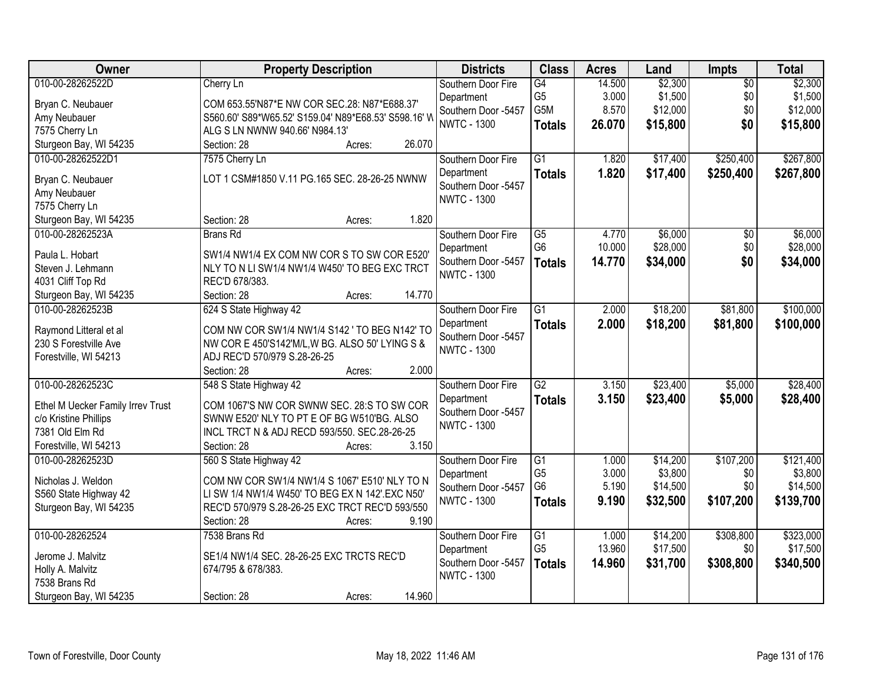| Owner                             | <b>Property Description</b>                          | <b>Districts</b>    | <b>Class</b>                      | <b>Acres</b> | Land                 | Impts           | <b>Total</b>          |
|-----------------------------------|------------------------------------------------------|---------------------|-----------------------------------|--------------|----------------------|-----------------|-----------------------|
| 010-00-28262522D                  | Cherry Ln                                            | Southern Door Fire  | G4                                | 14.500       | \$2,300              | $\overline{50}$ | \$2,300               |
| Bryan C. Neubauer                 | COM 653.55'N87*E NW COR SEC.28: N87*E688.37'         | Department          | G <sub>5</sub>                    | 3.000        | \$1,500              | \$0             | \$1,500               |
| Amy Neubauer                      | S560.60' S89*W65.52' S159.04' N89*E68.53' S598.16' W | Southern Door -5457 | G5M                               | 8.570        | \$12,000             | \$0             | \$12,000              |
| 7575 Cherry Ln                    | ALG S LN NWNW 940.66' N984.13'                       | <b>NWTC - 1300</b>  | <b>Totals</b>                     | 26.070       | \$15,800             | \$0             | \$15,800              |
| Sturgeon Bay, WI 54235            | 26.070<br>Section: 28<br>Acres:                      |                     |                                   |              |                      |                 |                       |
| 010-00-28262522D1                 | 7575 Cherry Ln                                       | Southern Door Fire  | $\overline{G1}$                   | 1.820        | \$17,400             | \$250,400       | \$267,800             |
|                                   |                                                      | Department          | <b>Totals</b>                     | 1.820        | \$17,400             | \$250,400       | \$267,800             |
| Bryan C. Neubauer                 | LOT 1 CSM#1850 V.11 PG.165 SEC. 28-26-25 NWNW        | Southern Door -5457 |                                   |              |                      |                 |                       |
| Amy Neubauer                      |                                                      | <b>NWTC - 1300</b>  |                                   |              |                      |                 |                       |
| 7575 Cherry Ln                    |                                                      |                     |                                   |              |                      |                 |                       |
| Sturgeon Bay, WI 54235            | 1.820<br>Section: 28<br>Acres:                       |                     |                                   |              |                      |                 |                       |
| 010-00-28262523A                  | <b>Brans Rd</b>                                      | Southern Door Fire  | $\overline{G5}$                   | 4.770        | \$6,000              | $\overline{50}$ | \$6,000               |
| Paula L. Hobart                   | SW1/4 NW1/4 EX COM NW COR S TO SW COR E520'          | Department          | G <sub>6</sub>                    | 10.000       | \$28,000             | \$0             | \$28,000              |
| Steven J. Lehmann                 | NLY TO N LI SW1/4 NW1/4 W450' TO BEG EXC TRCT        | Southern Door -5457 | <b>Totals</b>                     | 14.770       | \$34,000             | \$0             | \$34,000              |
| 4031 Cliff Top Rd                 | REC'D 678/383.                                       | <b>NWTC - 1300</b>  |                                   |              |                      |                 |                       |
| Sturgeon Bay, WI 54235            | 14.770<br>Section: 28<br>Acres:                      |                     |                                   |              |                      |                 |                       |
| 010-00-28262523B                  | 624 S State Highway 42                               | Southern Door Fire  | $\overline{G1}$                   | 2.000        | \$18,200             | \$81,800        | \$100,000             |
|                                   |                                                      | Department          | <b>Totals</b>                     | 2.000        | \$18,200             | \$81,800        | \$100,000             |
| Raymond Litteral et al            | COM NW COR SW1/4 NW1/4 S142 ' TO BEG N142' TO        | Southern Door -5457 |                                   |              |                      |                 |                       |
| 230 S Forestville Ave             | NW COR E 450'S142'M/L, W BG. ALSO 50' LYING S &      | <b>NWTC - 1300</b>  |                                   |              |                      |                 |                       |
| Forestville, WI 54213             | ADJ REC'D 570/979 S.28-26-25                         |                     |                                   |              |                      |                 |                       |
|                                   | Section: 28<br>2.000<br>Acres:                       |                     |                                   |              |                      |                 |                       |
| 010-00-28262523C                  | 548 S State Highway 42                               | Southern Door Fire  | $\overline{G2}$                   | 3.150        | \$23,400             | \$5,000         | \$28,400              |
| Ethel M Uecker Family Irrev Trust | COM 1067'S NW COR SWNW SEC. 28:S TO SW COR           | Department          | <b>Totals</b>                     | 3.150        | \$23,400             | \$5,000         | \$28,400              |
| c/o Kristine Phillips             | SWNW E520' NLY TO PT E OF BG W510'BG. ALSO           | Southern Door -5457 |                                   |              |                      |                 |                       |
| 7381 Old Elm Rd                   | INCL TRCT N & ADJ RECD 593/550. SEC.28-26-25         | <b>NWTC - 1300</b>  |                                   |              |                      |                 |                       |
| Forestville, WI 54213             | 3.150<br>Section: 28<br>Acres:                       |                     |                                   |              |                      |                 |                       |
| 010-00-28262523D                  | 560 S State Highway 42                               | Southern Door Fire  | $\overline{G1}$                   | 1.000        | \$14,200             | \$107,200       | \$121,400             |
|                                   |                                                      | Department          | G <sub>5</sub>                    | 3.000        | \$3,800              | \$0             | \$3,800               |
| Nicholas J. Weldon                | COM NW COR SW1/4 NW1/4 S 1067' E510' NLY TO N        | Southern Door -5457 | G <sub>6</sub>                    | 5.190        | \$14,500             | \$0             | \$14,500              |
| S560 State Highway 42             | LI SW 1/4 NW1/4 W450' TO BEG EX N 142'.EXC N50'      | <b>NWTC - 1300</b>  | <b>Totals</b>                     | 9.190        | \$32,500             | \$107,200       | \$139,700             |
| Sturgeon Bay, WI 54235            | REC'D 570/979 S.28-26-25 EXC TRCT REC'D 593/550      |                     |                                   |              |                      |                 |                       |
|                                   | 9.190<br>Section: 28<br>Acres:                       |                     |                                   |              |                      |                 |                       |
| 010-00-28262524                   | 7538 Brans Rd                                        | Southern Door Fire  | $\overline{G1}$<br>G <sub>5</sub> | 1.000        | \$14,200<br>\$17,500 | \$308,800       | \$323,000<br>\$17,500 |
| Jerome J. Malvitz                 | SE1/4 NW1/4 SEC. 28-26-25 EXC TRCTS REC'D            | Department          |                                   | 13.960       |                      | \$0             |                       |
| Holly A. Malvitz                  | 674/795 & 678/383.                                   | Southern Door -5457 | <b>Totals</b>                     | 14.960       | \$31,700             | \$308,800       | \$340,500             |
| 7538 Brans Rd                     |                                                      | <b>NWTC - 1300</b>  |                                   |              |                      |                 |                       |
| Sturgeon Bay, WI 54235            | 14.960<br>Section: 28<br>Acres:                      |                     |                                   |              |                      |                 |                       |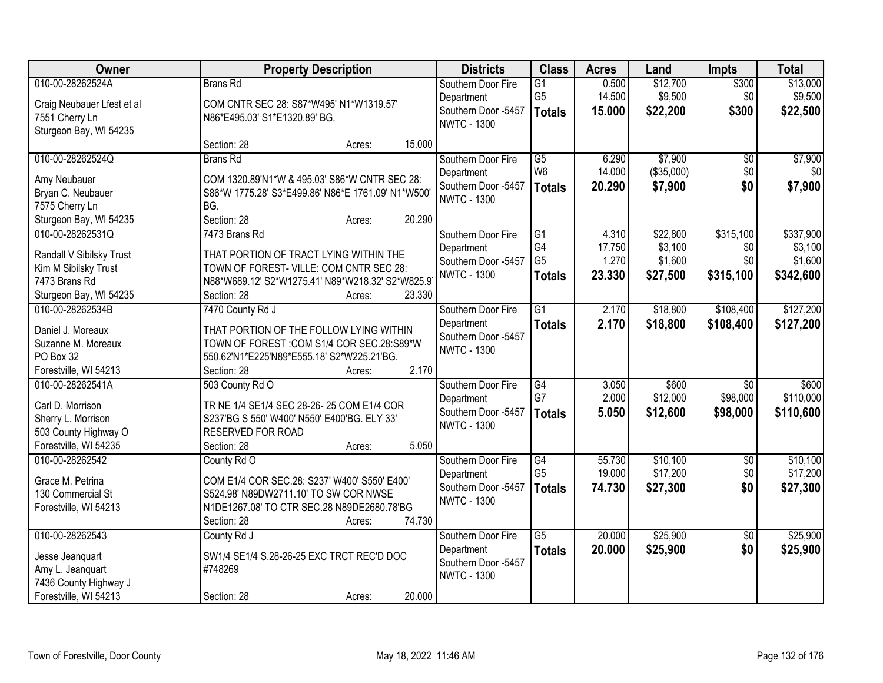| Owner                                          | <b>Property Description</b>                                | <b>Districts</b>    | <b>Class</b>    | <b>Acres</b> | Land       | <b>Impts</b>    | <b>Total</b> |
|------------------------------------------------|------------------------------------------------------------|---------------------|-----------------|--------------|------------|-----------------|--------------|
| 010-00-28262524A                               | Brans Rd                                                   | Southern Door Fire  | $\overline{G1}$ | 0.500        | \$12,700   | \$300           | \$13,000     |
| Craig Neubauer Lfest et al                     | COM CNTR SEC 28: S87*W495' N1*W1319.57'                    | Department          | G <sub>5</sub>  | 14.500       | \$9,500    | \$0             | \$9,500      |
| 7551 Cherry Ln                                 | N86*E495.03' S1*E1320.89' BG.                              | Southern Door -5457 | <b>Totals</b>   | 15.000       | \$22,200   | \$300           | \$22,500     |
| Sturgeon Bay, WI 54235                         |                                                            | <b>NWTC - 1300</b>  |                 |              |            |                 |              |
|                                                | 15.000<br>Section: 28<br>Acres:                            |                     |                 |              |            |                 |              |
| 010-00-28262524Q                               | <b>Brans Rd</b>                                            | Southern Door Fire  | $\overline{G5}$ | 6.290        | \$7,900    | $\overline{50}$ | \$7,900      |
| Amy Neubauer                                   | COM 1320.89'N1*W & 495.03' S86*W CNTR SEC 28:              | Department          | W <sub>6</sub>  | 14.000       | (\$35,000) | \$0             | \$0          |
| Bryan C. Neubauer                              | S86*W 1775.28' S3*E499.86' N86*E 1761.09' N1*W500'         | Southern Door -5457 | <b>Totals</b>   | 20.290       | \$7,900    | \$0             | \$7,900      |
| 7575 Cherry Ln                                 | BG.                                                        | <b>NWTC - 1300</b>  |                 |              |            |                 |              |
| Sturgeon Bay, WI 54235                         | Section: 28<br>20.290<br>Acres:                            |                     |                 |              |            |                 |              |
| 010-00-28262531Q                               | 7473 Brans Rd                                              | Southern Door Fire  | G1              | 4.310        | \$22,800   | \$315,100       | \$337,900    |
|                                                |                                                            | Department          | G4              | 17.750       | \$3,100    | \$0             | \$3,100      |
| Randall V Sibilsky Trust                       | THAT PORTION OF TRACT LYING WITHIN THE                     | Southern Door -5457 | G <sub>5</sub>  | 1.270        | \$1,600    | \$0             | \$1,600      |
| Kim M Sibilsky Trust                           | TOWN OF FOREST- VILLE: COM CNTR SEC 28:                    | <b>NWTC - 1300</b>  | <b>Totals</b>   | 23.330       | \$27,500   | \$315,100       | \$342,600    |
| 7473 Brans Rd                                  | N88*W689.12' S2*W1275.41' N89*W218.32' S2*W825.9<br>23.330 |                     |                 |              |            |                 |              |
| Sturgeon Bay, WI 54235<br>010-00-28262534B     | Section: 28<br>Acres:<br>7470 County Rd J                  | Southern Door Fire  | $\overline{G1}$ | 2.170        | \$18,800   | \$108,400       | \$127,200    |
|                                                |                                                            | Department          |                 | 2.170        |            |                 |              |
| Daniel J. Moreaux                              | THAT PORTION OF THE FOLLOW LYING WITHIN                    | Southern Door -5457 | <b>Totals</b>   |              | \$18,800   | \$108,400       | \$127,200    |
| Suzanne M. Moreaux                             | TOWN OF FOREST : COM S1/4 COR SEC.28:S89*W                 | <b>NWTC - 1300</b>  |                 |              |            |                 |              |
| PO Box 32                                      | 550.62'N1*E225'N89*E555.18' S2*W225.21'BG.                 |                     |                 |              |            |                 |              |
| Forestville, WI 54213                          | 2.170<br>Section: 28<br>Acres:                             |                     |                 |              |            |                 |              |
| 010-00-28262541A                               | 503 County Rd O                                            | Southern Door Fire  | G4              | 3.050        | \$600      | $\overline{30}$ | \$600        |
| Carl D. Morrison                               | TR NE 1/4 SE1/4 SEC 28-26-25 COM E1/4 COR                  | Department          | G7              | 2.000        | \$12,000   | \$98,000        | \$110,000    |
| Sherry L. Morrison                             | S237'BG S 550' W400' N550' E400'BG. ELY 33'                | Southern Door -5457 | <b>Totals</b>   | 5.050        | \$12,600   | \$98,000        | \$110,600    |
| 503 County Highway O                           | RESERVED FOR ROAD                                          | <b>NWTC - 1300</b>  |                 |              |            |                 |              |
| Forestville, WI 54235                          | 5.050<br>Section: 28<br>Acres:                             |                     |                 |              |            |                 |              |
| 010-00-28262542                                | County Rd O                                                | Southern Door Fire  | G4              | 55.730       | \$10,100   | $\sqrt{6}$      | \$10,100     |
| Grace M. Petrina                               | COM E1/4 COR SEC.28: S237' W400' S550' E400'               | Department          | G <sub>5</sub>  | 19.000       | \$17,200   | \$0             | \$17,200     |
| 130 Commercial St                              | S524.98' N89DW2711.10' TO SW COR NWSE                      | Southern Door -5457 | <b>Totals</b>   | 74.730       | \$27,300   | \$0             | \$27,300     |
| Forestville, WI 54213                          | N1DE1267.08' TO CTR SEC.28 N89DE2680.78'BG                 | <b>NWTC - 1300</b>  |                 |              |            |                 |              |
|                                                | 74.730<br>Section: 28<br>Acres:                            |                     |                 |              |            |                 |              |
| 010-00-28262543                                | County Rd J                                                | Southern Door Fire  | $\overline{G5}$ | 20.000       | \$25,900   | $\overline{50}$ | \$25,900     |
|                                                |                                                            | Department          | <b>Totals</b>   | 20.000       | \$25,900   | \$0             | \$25,900     |
| Jesse Jeanquart                                | SW1/4 SE1/4 S.28-26-25 EXC TRCT REC'D DOC                  | Southern Door -5457 |                 |              |            |                 |              |
| Amy L. Jeanquart                               | #748269                                                    | <b>NWTC - 1300</b>  |                 |              |            |                 |              |
| 7436 County Highway J<br>Forestville, WI 54213 | 20.000<br>Section: 28                                      |                     |                 |              |            |                 |              |
|                                                | Acres:                                                     |                     |                 |              |            |                 |              |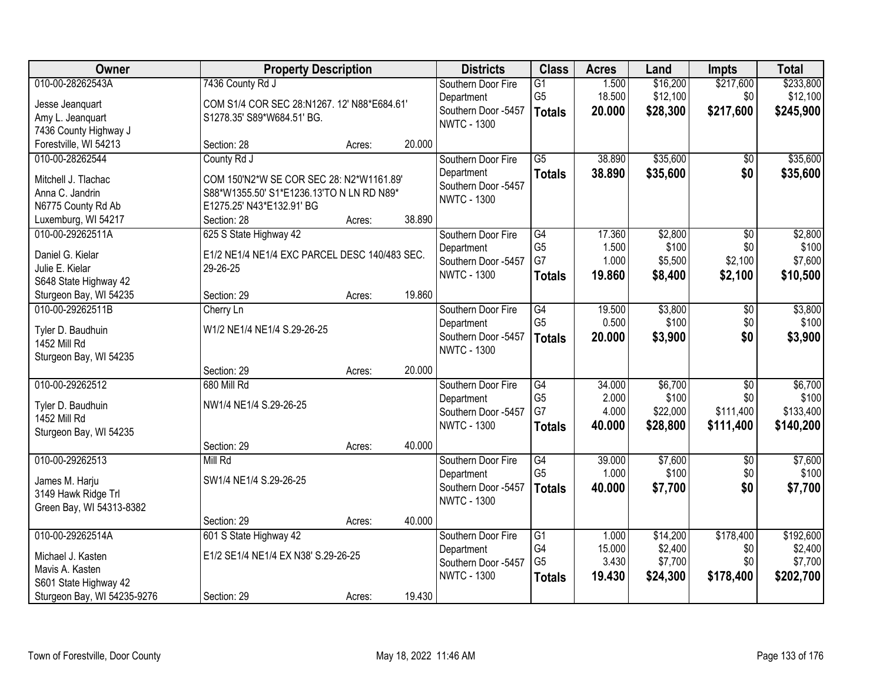| Owner                                                | <b>Property Description</b>                                     |        |        | <b>Districts</b>                          | <b>Class</b>                      | <b>Acres</b>    | Land                 | <b>Impts</b>           | <b>Total</b>          |
|------------------------------------------------------|-----------------------------------------------------------------|--------|--------|-------------------------------------------|-----------------------------------|-----------------|----------------------|------------------------|-----------------------|
| 010-00-28262543A<br>Jesse Jeanquart                  | 7436 County Rd J<br>COM S1/4 COR SEC 28:N1267. 12' N88*E684.61' |        |        | Southern Door Fire<br>Department          | $\overline{G1}$<br>G <sub>5</sub> | 1.500<br>18.500 | \$16,200<br>\$12,100 | \$217,600<br>\$0       | \$233,800<br>\$12,100 |
| Amy L. Jeanquart                                     | S1278.35' S89*W684.51' BG.                                      |        |        | Southern Door -5457<br><b>NWTC - 1300</b> | <b>Totals</b>                     | 20.000          | \$28,300             | \$217,600              | \$245,900             |
| 7436 County Highway J                                |                                                                 |        |        |                                           |                                   |                 |                      |                        |                       |
| Forestville, WI 54213                                | Section: 28                                                     | Acres: | 20.000 |                                           |                                   |                 |                      |                        |                       |
| 010-00-28262544                                      | County Rd J                                                     |        |        | Southern Door Fire                        | $\overline{G5}$                   | 38.890          | \$35,600             | \$0                    | \$35,600              |
| Mitchell J. Tlachac                                  | COM 150'N2*W SE COR SEC 28: N2*W1161.89'                        |        |        | Department<br>Southern Door -5457         | <b>Totals</b>                     | 38.890          | \$35,600             | \$0                    | \$35,600              |
| Anna C. Jandrin                                      | S88*W1355.50' S1*E1236.13'TO N LN RD N89*                       |        |        | <b>NWTC - 1300</b>                        |                                   |                 |                      |                        |                       |
| N6775 County Rd Ab                                   | E1275.25' N43*E132.91' BG                                       |        |        |                                           |                                   |                 |                      |                        |                       |
| Luxemburg, WI 54217                                  | Section: 28                                                     | Acres: | 38.890 |                                           |                                   |                 |                      |                        |                       |
| 010-00-29262511A                                     | 625 S State Highway 42                                          |        |        | Southern Door Fire<br>Department          | $\overline{G4}$<br>G <sub>5</sub> | 17.360<br>1.500 | \$2,800<br>\$100     | $\overline{50}$<br>\$0 | \$2,800<br>\$100      |
| Daniel G. Kielar                                     | E1/2 NE1/4 NE1/4 EXC PARCEL DESC 140/483 SEC.                   |        |        | Southern Door -5457                       | G7                                | 1.000           | \$5,500              | \$2,100                | \$7,600               |
| Julie E. Kielar                                      | 29-26-25                                                        |        |        | <b>NWTC - 1300</b>                        | <b>Totals</b>                     | 19.860          | \$8,400              | \$2,100                | \$10,500              |
| S648 State Highway 42                                |                                                                 |        | 19.860 |                                           |                                   |                 |                      |                        |                       |
| Sturgeon Bay, WI 54235<br>010-00-29262511B           | Section: 29                                                     | Acres: |        | Southern Door Fire                        | G4                                | 19.500          | \$3,800              |                        | \$3,800               |
|                                                      | Cherry Ln                                                       |        |        | Department                                | G <sub>5</sub>                    | 0.500           | \$100                | \$0<br>\$0             | \$100                 |
| Tyler D. Baudhuin                                    | W1/2 NE1/4 NE1/4 S.29-26-25                                     |        |        | Southern Door -5457                       | <b>Totals</b>                     | 20.000          | \$3,900              | \$0                    | \$3,900               |
| 1452 Mill Rd                                         |                                                                 |        |        | <b>NWTC - 1300</b>                        |                                   |                 |                      |                        |                       |
| Sturgeon Bay, WI 54235                               |                                                                 |        | 20.000 |                                           |                                   |                 |                      |                        |                       |
| 010-00-29262512                                      | Section: 29<br>680 Mill Rd                                      | Acres: |        | Southern Door Fire                        | $\overline{G4}$                   | 34.000          | \$6,700              | $\overline{50}$        | \$6,700               |
|                                                      |                                                                 |        |        | Department                                | G <sub>5</sub>                    | 2.000           | \$100                | \$0                    | \$100                 |
| Tyler D. Baudhuin                                    | NW1/4 NE1/4 S.29-26-25                                          |        |        | Southern Door -5457                       | G7                                | 4.000           | \$22,000             | \$111,400              | \$133,400             |
| 1452 Mill Rd                                         |                                                                 |        |        | <b>NWTC - 1300</b>                        | <b>Totals</b>                     | 40.000          | \$28,800             | \$111,400              | \$140,200             |
| Sturgeon Bay, WI 54235                               | Section: 29                                                     |        | 40.000 |                                           |                                   |                 |                      |                        |                       |
| 010-00-29262513                                      | Mill Rd                                                         | Acres: |        | Southern Door Fire                        | G4                                | 39.000          | \$7,600              | $\overline{50}$        | \$7,600               |
|                                                      |                                                                 |        |        | Department                                | G <sub>5</sub>                    | 1.000           | \$100                | \$0                    | \$100                 |
| James M. Harju                                       | SW1/4 NE1/4 S.29-26-25                                          |        |        | Southern Door -5457                       | <b>Totals</b>                     | 40.000          | \$7,700              | \$0                    | \$7,700               |
| 3149 Hawk Ridge Trl                                  |                                                                 |        |        | <b>NWTC - 1300</b>                        |                                   |                 |                      |                        |                       |
| Green Bay, WI 54313-8382                             | Section: 29                                                     | Acres: | 40.000 |                                           |                                   |                 |                      |                        |                       |
| 010-00-29262514A                                     | 601 S State Highway 42                                          |        |        | Southern Door Fire                        | $\overline{G1}$                   | 1.000           | \$14,200             | \$178,400              | \$192,600             |
|                                                      |                                                                 |        |        | Department                                | G4                                | 15.000          | \$2,400              | \$0                    | \$2,400               |
| Michael J. Kasten                                    | E1/2 SE1/4 NE1/4 EX N38' S.29-26-25                             |        |        | Southern Door -5457                       | G <sub>5</sub>                    | 3.430           | \$7,700              | \$0                    | \$7,700               |
| Mavis A. Kasten                                      |                                                                 |        |        | <b>NWTC - 1300</b>                        | <b>Totals</b>                     | 19.430          | \$24,300             | \$178,400              | \$202,700             |
| S601 State Highway 42<br>Sturgeon Bay, WI 54235-9276 | Section: 29                                                     | Acres: | 19.430 |                                           |                                   |                 |                      |                        |                       |
|                                                      |                                                                 |        |        |                                           |                                   |                 |                      |                        |                       |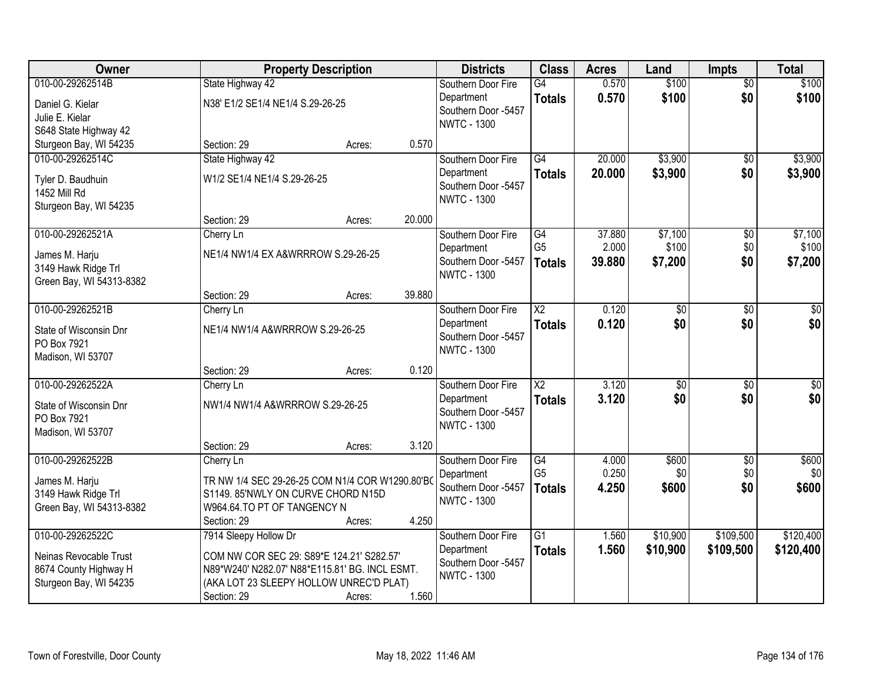| Owner                    |                                                | <b>Property Description</b> |        | <b>Districts</b>    | <b>Class</b>           | <b>Acres</b> | Land            | <b>Impts</b>    | <b>Total</b> |
|--------------------------|------------------------------------------------|-----------------------------|--------|---------------------|------------------------|--------------|-----------------|-----------------|--------------|
| 010-00-29262514B         | State Highway 42                               |                             |        | Southern Door Fire  | $\overline{G4}$        | 0.570        | \$100           | $\overline{50}$ | \$100        |
| Daniel G. Kielar         | N38' E1/2 SE1/4 NE1/4 S.29-26-25               |                             |        | Department          | <b>Totals</b>          | 0.570        | \$100           | \$0             | \$100        |
| Julie E. Kielar          |                                                |                             |        | Southern Door -5457 |                        |              |                 |                 |              |
| S648 State Highway 42    |                                                |                             |        | <b>NWTC - 1300</b>  |                        |              |                 |                 |              |
| Sturgeon Bay, WI 54235   | Section: 29                                    | Acres:                      | 0.570  |                     |                        |              |                 |                 |              |
| 010-00-29262514C         | State Highway 42                               |                             |        | Southern Door Fire  | $\overline{G4}$        | 20.000       | \$3,900         | \$0             | \$3,900      |
| Tyler D. Baudhuin        | W1/2 SE1/4 NE1/4 S.29-26-25                    |                             |        | Department          | <b>Totals</b>          | 20.000       | \$3,900         | \$0             | \$3,900      |
| <b>1452 Mill Rd</b>      |                                                |                             |        | Southern Door -5457 |                        |              |                 |                 |              |
| Sturgeon Bay, WI 54235   |                                                |                             |        | <b>NWTC - 1300</b>  |                        |              |                 |                 |              |
|                          | Section: 29                                    | Acres:                      | 20,000 |                     |                        |              |                 |                 |              |
| 010-00-29262521A         | Cherry Ln                                      |                             |        | Southern Door Fire  | G4                     | 37.880       | \$7,100         | \$0             | \$7,100      |
| James M. Harju           | NE1/4 NW1/4 EX A&WRRROW S.29-26-25             |                             |        | Department          | G <sub>5</sub>         | 2.000        | \$100           | \$0             | \$100        |
| 3149 Hawk Ridge Trl      |                                                |                             |        | Southern Door -5457 | <b>Totals</b>          | 39.880       | \$7,200         | \$0             | \$7,200      |
| Green Bay, WI 54313-8382 |                                                |                             |        | <b>NWTC - 1300</b>  |                        |              |                 |                 |              |
|                          | Section: 29                                    | Acres:                      | 39.880 |                     |                        |              |                 |                 |              |
| 010-00-29262521B         | Cherry Ln                                      |                             |        | Southern Door Fire  | $\overline{\text{X2}}$ | 0.120        | $\overline{50}$ | \$0             | $\sqrt{50}$  |
| State of Wisconsin Dnr   | NE1/4 NW1/4 A&WRRROW S.29-26-25                |                             |        | Department          | <b>Totals</b>          | 0.120        | \$0             | \$0             | \$0          |
| PO Box 7921              |                                                |                             |        | Southern Door -5457 |                        |              |                 |                 |              |
| Madison, WI 53707        |                                                |                             |        | <b>NWTC - 1300</b>  |                        |              |                 |                 |              |
|                          | Section: 29                                    | Acres:                      | 0.120  |                     |                        |              |                 |                 |              |
| 010-00-29262522A         | Cherry Ln                                      |                             |        | Southern Door Fire  | $\overline{\text{X2}}$ | 3.120        | \$0             | \$0             | $\sqrt{50}$  |
| State of Wisconsin Dnr   | NW1/4 NW1/4 A&WRRROW S.29-26-25                |                             |        | Department          | <b>Totals</b>          | 3.120        | \$0             | \$0             | \$0          |
| PO Box 7921              |                                                |                             |        | Southern Door -5457 |                        |              |                 |                 |              |
| Madison, WI 53707        |                                                |                             |        | <b>NWTC - 1300</b>  |                        |              |                 |                 |              |
|                          | Section: 29                                    | Acres:                      | 3.120  |                     |                        |              |                 |                 |              |
| 010-00-29262522B         | Cherry Ln                                      |                             |        | Southern Door Fire  | $\overline{G4}$        | 4.000        | \$600           | $\overline{$0}$ | \$600        |
| James M. Harju           | TR NW 1/4 SEC 29-26-25 COM N1/4 COR W1290.80'B |                             |        | Department          | G <sub>5</sub>         | 0.250        | \$0             | \$0             | \$0          |
| 3149 Hawk Ridge Trl      | S1149. 85'NWLY ON CURVE CHORD N15D             |                             |        | Southern Door -5457 | <b>Totals</b>          | 4.250        | \$600           | \$0             | \$600        |
| Green Bay, WI 54313-8382 | W964.64.TO PT OF TANGENCY N                    |                             |        | <b>NWTC - 1300</b>  |                        |              |                 |                 |              |
|                          | Section: 29                                    | Acres:                      | 4.250  |                     |                        |              |                 |                 |              |
| 010-00-29262522C         | 7914 Sleepy Hollow Dr                          |                             |        | Southern Door Fire  | $\overline{G1}$        | 1.560        | \$10,900        | \$109,500       | \$120,400    |
| Neinas Revocable Trust   | COM NW COR SEC 29: S89*E 124.21' S282.57'      |                             |        | Department          | <b>Totals</b>          | 1.560        | \$10,900        | \$109,500       | \$120,400    |
| 8674 County Highway H    | N89*W240' N282.07' N88*E115.81' BG. INCL ESMT. |                             |        | Southern Door -5457 |                        |              |                 |                 |              |
| Sturgeon Bay, WI 54235   | (AKA LOT 23 SLEEPY HOLLOW UNREC'D PLAT)        |                             |        | <b>NWTC - 1300</b>  |                        |              |                 |                 |              |
|                          | Section: 29                                    | Acres:                      | 1.560  |                     |                        |              |                 |                 |              |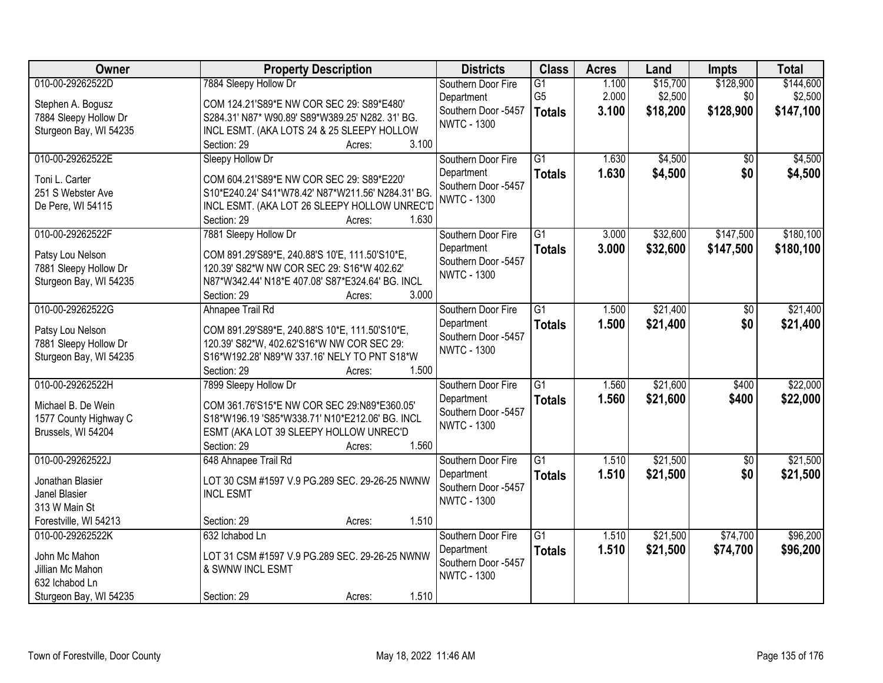| 010-00-29262522D<br>7884 Sleepy Hollow Dr<br>\$15,700<br>\$128,900<br>\$144,600<br>G1<br>1.100<br>Southern Door Fire<br>G <sub>5</sub><br>2.000<br>\$2,500<br>\$0<br>\$2,500<br>Department<br>Stephen A. Bogusz<br>COM 124.21'S89*E NW COR SEC 29: S89*E480'<br>Southern Door -5457<br>\$128,900<br>3.100<br>\$18,200<br>\$147,100<br><b>Totals</b><br>7884 Sleepy Hollow Dr<br>S284.31' N87* W90.89' S89*W389.25' N282. 31' BG.<br><b>NWTC - 1300</b><br>Sturgeon Bay, WI 54235<br>INCL ESMT. (AKA LOTS 24 & 25 SLEEPY HOLLOW<br>3.100<br>Section: 29<br>Acres:<br>010-00-29262522E<br>$\overline{G1}$<br>\$4,500<br>\$4,500<br>1.630<br>Sleepy Hollow Dr<br>Southern Door Fire<br>\$0<br>1.630<br>\$4,500<br>\$0<br>\$4,500<br>Department<br><b>Totals</b><br>Toni L. Carter<br>COM 604.21'S89*E NW COR SEC 29: S89*E220'<br>Southern Door -5457<br>251 S Webster Ave<br>S10*E240.24' S41*W78.42' N87*W211.56' N284.31' BG.<br><b>NWTC - 1300</b><br>INCL ESMT. (AKA LOT 26 SLEEPY HOLLOW UNREC'D<br>De Pere, WI 54115<br>1.630<br>Section: 29<br>Acres:<br>010-00-29262522F<br>\$32,600<br>\$147,500<br>\$180,100<br>7881 Sleepy Hollow Dr<br>$\overline{G1}$<br>3.000<br>Southern Door Fire<br>\$32,600<br>\$147,500<br>Department<br>3.000<br>\$180,100<br><b>Totals</b><br>COM 891.29'S89*E, 240.88'S 10'E, 111.50'S10*E,<br>Patsy Lou Nelson<br>Southern Door -5457<br>120.39' S82*W NW COR SEC 29: S16*W 402.62'<br>7881 Sleepy Hollow Dr<br><b>NWTC - 1300</b><br>N87*W342.44' N18*E 407.08' S87*E324.64' BG. INCL<br>Sturgeon Bay, WI 54235<br>Section: 29<br>3.000<br>Acres:<br>\$21,400<br>010-00-29262522G<br>Ahnapee Trail Rd<br>$\overline{G1}$<br>\$21,400<br>Southern Door Fire<br>1.500<br>\$0<br>1.500<br>\$0<br>Department<br>\$21,400<br>\$21,400<br><b>Totals</b><br>COM 891.29'S89*E, 240.88'S 10*E, 111.50'S10*E,<br>Patsy Lou Nelson<br>Southern Door -5457<br>7881 Sleepy Hollow Dr<br>120.39' S82*W, 402.62'S16*W NW COR SEC 29:<br><b>NWTC - 1300</b><br>Sturgeon Bay, WI 54235<br>S16*W192.28' N89*W 337.16' NELY TO PNT S18*W<br>Section: 29<br>1.500<br>Acres:<br>\$21,600<br>\$22,000<br>010-00-29262522H<br>$\overline{G1}$<br>1.560<br>7899 Sleepy Hollow Dr<br>\$400<br>Southern Door Fire<br>1.560<br>\$21,600<br>\$400<br>\$22,000<br>Department<br><b>Totals</b><br>Michael B. De Wein<br>COM 361.76'S15*E NW COR SEC 29:N89*E360.05'<br>Southern Door -5457<br>S18*W196.19 'S85*W338.71' N10*E212.06' BG. INCL<br>1577 County Highway C<br><b>NWTC - 1300</b><br>Brussels, WI 54204<br>ESMT (AKA LOT 39 SLEEPY HOLLOW UNREC'D<br>1.560<br>Section: 29<br>Acres:<br>$\overline{G1}$<br>\$21,500<br>\$21,500<br>010-00-29262522J<br>648 Ahnapee Trail Rd<br>1.510<br>$\overline{50}$<br>Southern Door Fire<br>1.510<br>\$21,500<br>\$0<br>\$21,500<br>Department<br><b>Totals</b><br>LOT 30 CSM #1597 V.9 PG.289 SEC. 29-26-25 NWNW<br>Jonathan Blasier<br>Southern Door -5457<br>Janel Blasier<br><b>INCL ESMT</b><br><b>NWTC - 1300</b><br>313 W Main St<br>1.510<br>Forestville, WI 54213<br>Section: 29<br>Acres:<br>010-00-29262522K<br>632 Ichabod Ln<br>$\overline{G1}$<br>\$21,500<br>\$74,700<br>\$96,200<br>Southern Door Fire<br>1.510<br>1.510<br>\$21,500<br>\$74,700<br>\$96,200<br>Department<br><b>Totals</b><br>John Mc Mahon<br>LOT 31 CSM #1597 V.9 PG.289 SEC. 29-26-25 NWNW<br>Southern Door -5457<br>Jillian Mc Mahon<br>& SWNW INCL ESMT<br><b>NWTC - 1300</b><br>632 Ichabod Ln | Owner                  | <b>Property Description</b>    | <b>Districts</b> | <b>Class</b> | <b>Acres</b> | Land | Impts | <b>Total</b> |
|----------------------------------------------------------------------------------------------------------------------------------------------------------------------------------------------------------------------------------------------------------------------------------------------------------------------------------------------------------------------------------------------------------------------------------------------------------------------------------------------------------------------------------------------------------------------------------------------------------------------------------------------------------------------------------------------------------------------------------------------------------------------------------------------------------------------------------------------------------------------------------------------------------------------------------------------------------------------------------------------------------------------------------------------------------------------------------------------------------------------------------------------------------------------------------------------------------------------------------------------------------------------------------------------------------------------------------------------------------------------------------------------------------------------------------------------------------------------------------------------------------------------------------------------------------------------------------------------------------------------------------------------------------------------------------------------------------------------------------------------------------------------------------------------------------------------------------------------------------------------------------------------------------------------------------------------------------------------------------------------------------------------------------------------------------------------------------------------------------------------------------------------------------------------------------------------------------------------------------------------------------------------------------------------------------------------------------------------------------------------------------------------------------------------------------------------------------------------------------------------------------------------------------------------------------------------------------------------------------------------------------------------------------------------------------------------------------------------------------------------------------------------------------------------------------------------------------------------------------------------------------------------------------------------------------------------------------------------------------------------------------------------------------------------------------------------------------------------------------------------------------------------------------------------------------------------------------------------------------------------------------------------------------------------------------------------------------------------------------------------------------------------------------------------------------------------|------------------------|--------------------------------|------------------|--------------|--------------|------|-------|--------------|
|                                                                                                                                                                                                                                                                                                                                                                                                                                                                                                                                                                                                                                                                                                                                                                                                                                                                                                                                                                                                                                                                                                                                                                                                                                                                                                                                                                                                                                                                                                                                                                                                                                                                                                                                                                                                                                                                                                                                                                                                                                                                                                                                                                                                                                                                                                                                                                                                                                                                                                                                                                                                                                                                                                                                                                                                                                                                                                                                                                                                                                                                                                                                                                                                                                                                                                                                                                                                                                              |                        |                                |                  |              |              |      |       |              |
|                                                                                                                                                                                                                                                                                                                                                                                                                                                                                                                                                                                                                                                                                                                                                                                                                                                                                                                                                                                                                                                                                                                                                                                                                                                                                                                                                                                                                                                                                                                                                                                                                                                                                                                                                                                                                                                                                                                                                                                                                                                                                                                                                                                                                                                                                                                                                                                                                                                                                                                                                                                                                                                                                                                                                                                                                                                                                                                                                                                                                                                                                                                                                                                                                                                                                                                                                                                                                                              |                        |                                |                  |              |              |      |       |              |
|                                                                                                                                                                                                                                                                                                                                                                                                                                                                                                                                                                                                                                                                                                                                                                                                                                                                                                                                                                                                                                                                                                                                                                                                                                                                                                                                                                                                                                                                                                                                                                                                                                                                                                                                                                                                                                                                                                                                                                                                                                                                                                                                                                                                                                                                                                                                                                                                                                                                                                                                                                                                                                                                                                                                                                                                                                                                                                                                                                                                                                                                                                                                                                                                                                                                                                                                                                                                                                              |                        |                                |                  |              |              |      |       |              |
|                                                                                                                                                                                                                                                                                                                                                                                                                                                                                                                                                                                                                                                                                                                                                                                                                                                                                                                                                                                                                                                                                                                                                                                                                                                                                                                                                                                                                                                                                                                                                                                                                                                                                                                                                                                                                                                                                                                                                                                                                                                                                                                                                                                                                                                                                                                                                                                                                                                                                                                                                                                                                                                                                                                                                                                                                                                                                                                                                                                                                                                                                                                                                                                                                                                                                                                                                                                                                                              |                        |                                |                  |              |              |      |       |              |
|                                                                                                                                                                                                                                                                                                                                                                                                                                                                                                                                                                                                                                                                                                                                                                                                                                                                                                                                                                                                                                                                                                                                                                                                                                                                                                                                                                                                                                                                                                                                                                                                                                                                                                                                                                                                                                                                                                                                                                                                                                                                                                                                                                                                                                                                                                                                                                                                                                                                                                                                                                                                                                                                                                                                                                                                                                                                                                                                                                                                                                                                                                                                                                                                                                                                                                                                                                                                                                              |                        |                                |                  |              |              |      |       |              |
|                                                                                                                                                                                                                                                                                                                                                                                                                                                                                                                                                                                                                                                                                                                                                                                                                                                                                                                                                                                                                                                                                                                                                                                                                                                                                                                                                                                                                                                                                                                                                                                                                                                                                                                                                                                                                                                                                                                                                                                                                                                                                                                                                                                                                                                                                                                                                                                                                                                                                                                                                                                                                                                                                                                                                                                                                                                                                                                                                                                                                                                                                                                                                                                                                                                                                                                                                                                                                                              |                        |                                |                  |              |              |      |       |              |
|                                                                                                                                                                                                                                                                                                                                                                                                                                                                                                                                                                                                                                                                                                                                                                                                                                                                                                                                                                                                                                                                                                                                                                                                                                                                                                                                                                                                                                                                                                                                                                                                                                                                                                                                                                                                                                                                                                                                                                                                                                                                                                                                                                                                                                                                                                                                                                                                                                                                                                                                                                                                                                                                                                                                                                                                                                                                                                                                                                                                                                                                                                                                                                                                                                                                                                                                                                                                                                              |                        |                                |                  |              |              |      |       |              |
|                                                                                                                                                                                                                                                                                                                                                                                                                                                                                                                                                                                                                                                                                                                                                                                                                                                                                                                                                                                                                                                                                                                                                                                                                                                                                                                                                                                                                                                                                                                                                                                                                                                                                                                                                                                                                                                                                                                                                                                                                                                                                                                                                                                                                                                                                                                                                                                                                                                                                                                                                                                                                                                                                                                                                                                                                                                                                                                                                                                                                                                                                                                                                                                                                                                                                                                                                                                                                                              |                        |                                |                  |              |              |      |       |              |
|                                                                                                                                                                                                                                                                                                                                                                                                                                                                                                                                                                                                                                                                                                                                                                                                                                                                                                                                                                                                                                                                                                                                                                                                                                                                                                                                                                                                                                                                                                                                                                                                                                                                                                                                                                                                                                                                                                                                                                                                                                                                                                                                                                                                                                                                                                                                                                                                                                                                                                                                                                                                                                                                                                                                                                                                                                                                                                                                                                                                                                                                                                                                                                                                                                                                                                                                                                                                                                              |                        |                                |                  |              |              |      |       |              |
|                                                                                                                                                                                                                                                                                                                                                                                                                                                                                                                                                                                                                                                                                                                                                                                                                                                                                                                                                                                                                                                                                                                                                                                                                                                                                                                                                                                                                                                                                                                                                                                                                                                                                                                                                                                                                                                                                                                                                                                                                                                                                                                                                                                                                                                                                                                                                                                                                                                                                                                                                                                                                                                                                                                                                                                                                                                                                                                                                                                                                                                                                                                                                                                                                                                                                                                                                                                                                                              |                        |                                |                  |              |              |      |       |              |
|                                                                                                                                                                                                                                                                                                                                                                                                                                                                                                                                                                                                                                                                                                                                                                                                                                                                                                                                                                                                                                                                                                                                                                                                                                                                                                                                                                                                                                                                                                                                                                                                                                                                                                                                                                                                                                                                                                                                                                                                                                                                                                                                                                                                                                                                                                                                                                                                                                                                                                                                                                                                                                                                                                                                                                                                                                                                                                                                                                                                                                                                                                                                                                                                                                                                                                                                                                                                                                              |                        |                                |                  |              |              |      |       |              |
|                                                                                                                                                                                                                                                                                                                                                                                                                                                                                                                                                                                                                                                                                                                                                                                                                                                                                                                                                                                                                                                                                                                                                                                                                                                                                                                                                                                                                                                                                                                                                                                                                                                                                                                                                                                                                                                                                                                                                                                                                                                                                                                                                                                                                                                                                                                                                                                                                                                                                                                                                                                                                                                                                                                                                                                                                                                                                                                                                                                                                                                                                                                                                                                                                                                                                                                                                                                                                                              |                        |                                |                  |              |              |      |       |              |
|                                                                                                                                                                                                                                                                                                                                                                                                                                                                                                                                                                                                                                                                                                                                                                                                                                                                                                                                                                                                                                                                                                                                                                                                                                                                                                                                                                                                                                                                                                                                                                                                                                                                                                                                                                                                                                                                                                                                                                                                                                                                                                                                                                                                                                                                                                                                                                                                                                                                                                                                                                                                                                                                                                                                                                                                                                                                                                                                                                                                                                                                                                                                                                                                                                                                                                                                                                                                                                              |                        |                                |                  |              |              |      |       |              |
|                                                                                                                                                                                                                                                                                                                                                                                                                                                                                                                                                                                                                                                                                                                                                                                                                                                                                                                                                                                                                                                                                                                                                                                                                                                                                                                                                                                                                                                                                                                                                                                                                                                                                                                                                                                                                                                                                                                                                                                                                                                                                                                                                                                                                                                                                                                                                                                                                                                                                                                                                                                                                                                                                                                                                                                                                                                                                                                                                                                                                                                                                                                                                                                                                                                                                                                                                                                                                                              |                        |                                |                  |              |              |      |       |              |
|                                                                                                                                                                                                                                                                                                                                                                                                                                                                                                                                                                                                                                                                                                                                                                                                                                                                                                                                                                                                                                                                                                                                                                                                                                                                                                                                                                                                                                                                                                                                                                                                                                                                                                                                                                                                                                                                                                                                                                                                                                                                                                                                                                                                                                                                                                                                                                                                                                                                                                                                                                                                                                                                                                                                                                                                                                                                                                                                                                                                                                                                                                                                                                                                                                                                                                                                                                                                                                              |                        |                                |                  |              |              |      |       |              |
|                                                                                                                                                                                                                                                                                                                                                                                                                                                                                                                                                                                                                                                                                                                                                                                                                                                                                                                                                                                                                                                                                                                                                                                                                                                                                                                                                                                                                                                                                                                                                                                                                                                                                                                                                                                                                                                                                                                                                                                                                                                                                                                                                                                                                                                                                                                                                                                                                                                                                                                                                                                                                                                                                                                                                                                                                                                                                                                                                                                                                                                                                                                                                                                                                                                                                                                                                                                                                                              |                        |                                |                  |              |              |      |       |              |
|                                                                                                                                                                                                                                                                                                                                                                                                                                                                                                                                                                                                                                                                                                                                                                                                                                                                                                                                                                                                                                                                                                                                                                                                                                                                                                                                                                                                                                                                                                                                                                                                                                                                                                                                                                                                                                                                                                                                                                                                                                                                                                                                                                                                                                                                                                                                                                                                                                                                                                                                                                                                                                                                                                                                                                                                                                                                                                                                                                                                                                                                                                                                                                                                                                                                                                                                                                                                                                              |                        |                                |                  |              |              |      |       |              |
|                                                                                                                                                                                                                                                                                                                                                                                                                                                                                                                                                                                                                                                                                                                                                                                                                                                                                                                                                                                                                                                                                                                                                                                                                                                                                                                                                                                                                                                                                                                                                                                                                                                                                                                                                                                                                                                                                                                                                                                                                                                                                                                                                                                                                                                                                                                                                                                                                                                                                                                                                                                                                                                                                                                                                                                                                                                                                                                                                                                                                                                                                                                                                                                                                                                                                                                                                                                                                                              |                        |                                |                  |              |              |      |       |              |
|                                                                                                                                                                                                                                                                                                                                                                                                                                                                                                                                                                                                                                                                                                                                                                                                                                                                                                                                                                                                                                                                                                                                                                                                                                                                                                                                                                                                                                                                                                                                                                                                                                                                                                                                                                                                                                                                                                                                                                                                                                                                                                                                                                                                                                                                                                                                                                                                                                                                                                                                                                                                                                                                                                                                                                                                                                                                                                                                                                                                                                                                                                                                                                                                                                                                                                                                                                                                                                              |                        |                                |                  |              |              |      |       |              |
|                                                                                                                                                                                                                                                                                                                                                                                                                                                                                                                                                                                                                                                                                                                                                                                                                                                                                                                                                                                                                                                                                                                                                                                                                                                                                                                                                                                                                                                                                                                                                                                                                                                                                                                                                                                                                                                                                                                                                                                                                                                                                                                                                                                                                                                                                                                                                                                                                                                                                                                                                                                                                                                                                                                                                                                                                                                                                                                                                                                                                                                                                                                                                                                                                                                                                                                                                                                                                                              |                        |                                |                  |              |              |      |       |              |
|                                                                                                                                                                                                                                                                                                                                                                                                                                                                                                                                                                                                                                                                                                                                                                                                                                                                                                                                                                                                                                                                                                                                                                                                                                                                                                                                                                                                                                                                                                                                                                                                                                                                                                                                                                                                                                                                                                                                                                                                                                                                                                                                                                                                                                                                                                                                                                                                                                                                                                                                                                                                                                                                                                                                                                                                                                                                                                                                                                                                                                                                                                                                                                                                                                                                                                                                                                                                                                              |                        |                                |                  |              |              |      |       |              |
|                                                                                                                                                                                                                                                                                                                                                                                                                                                                                                                                                                                                                                                                                                                                                                                                                                                                                                                                                                                                                                                                                                                                                                                                                                                                                                                                                                                                                                                                                                                                                                                                                                                                                                                                                                                                                                                                                                                                                                                                                                                                                                                                                                                                                                                                                                                                                                                                                                                                                                                                                                                                                                                                                                                                                                                                                                                                                                                                                                                                                                                                                                                                                                                                                                                                                                                                                                                                                                              |                        |                                |                  |              |              |      |       |              |
|                                                                                                                                                                                                                                                                                                                                                                                                                                                                                                                                                                                                                                                                                                                                                                                                                                                                                                                                                                                                                                                                                                                                                                                                                                                                                                                                                                                                                                                                                                                                                                                                                                                                                                                                                                                                                                                                                                                                                                                                                                                                                                                                                                                                                                                                                                                                                                                                                                                                                                                                                                                                                                                                                                                                                                                                                                                                                                                                                                                                                                                                                                                                                                                                                                                                                                                                                                                                                                              |                        |                                |                  |              |              |      |       |              |
|                                                                                                                                                                                                                                                                                                                                                                                                                                                                                                                                                                                                                                                                                                                                                                                                                                                                                                                                                                                                                                                                                                                                                                                                                                                                                                                                                                                                                                                                                                                                                                                                                                                                                                                                                                                                                                                                                                                                                                                                                                                                                                                                                                                                                                                                                                                                                                                                                                                                                                                                                                                                                                                                                                                                                                                                                                                                                                                                                                                                                                                                                                                                                                                                                                                                                                                                                                                                                                              |                        |                                |                  |              |              |      |       |              |
|                                                                                                                                                                                                                                                                                                                                                                                                                                                                                                                                                                                                                                                                                                                                                                                                                                                                                                                                                                                                                                                                                                                                                                                                                                                                                                                                                                                                                                                                                                                                                                                                                                                                                                                                                                                                                                                                                                                                                                                                                                                                                                                                                                                                                                                                                                                                                                                                                                                                                                                                                                                                                                                                                                                                                                                                                                                                                                                                                                                                                                                                                                                                                                                                                                                                                                                                                                                                                                              |                        |                                |                  |              |              |      |       |              |
|                                                                                                                                                                                                                                                                                                                                                                                                                                                                                                                                                                                                                                                                                                                                                                                                                                                                                                                                                                                                                                                                                                                                                                                                                                                                                                                                                                                                                                                                                                                                                                                                                                                                                                                                                                                                                                                                                                                                                                                                                                                                                                                                                                                                                                                                                                                                                                                                                                                                                                                                                                                                                                                                                                                                                                                                                                                                                                                                                                                                                                                                                                                                                                                                                                                                                                                                                                                                                                              |                        |                                |                  |              |              |      |       |              |
|                                                                                                                                                                                                                                                                                                                                                                                                                                                                                                                                                                                                                                                                                                                                                                                                                                                                                                                                                                                                                                                                                                                                                                                                                                                                                                                                                                                                                                                                                                                                                                                                                                                                                                                                                                                                                                                                                                                                                                                                                                                                                                                                                                                                                                                                                                                                                                                                                                                                                                                                                                                                                                                                                                                                                                                                                                                                                                                                                                                                                                                                                                                                                                                                                                                                                                                                                                                                                                              |                        |                                |                  |              |              |      |       |              |
|                                                                                                                                                                                                                                                                                                                                                                                                                                                                                                                                                                                                                                                                                                                                                                                                                                                                                                                                                                                                                                                                                                                                                                                                                                                                                                                                                                                                                                                                                                                                                                                                                                                                                                                                                                                                                                                                                                                                                                                                                                                                                                                                                                                                                                                                                                                                                                                                                                                                                                                                                                                                                                                                                                                                                                                                                                                                                                                                                                                                                                                                                                                                                                                                                                                                                                                                                                                                                                              |                        |                                |                  |              |              |      |       |              |
|                                                                                                                                                                                                                                                                                                                                                                                                                                                                                                                                                                                                                                                                                                                                                                                                                                                                                                                                                                                                                                                                                                                                                                                                                                                                                                                                                                                                                                                                                                                                                                                                                                                                                                                                                                                                                                                                                                                                                                                                                                                                                                                                                                                                                                                                                                                                                                                                                                                                                                                                                                                                                                                                                                                                                                                                                                                                                                                                                                                                                                                                                                                                                                                                                                                                                                                                                                                                                                              |                        |                                |                  |              |              |      |       |              |
|                                                                                                                                                                                                                                                                                                                                                                                                                                                                                                                                                                                                                                                                                                                                                                                                                                                                                                                                                                                                                                                                                                                                                                                                                                                                                                                                                                                                                                                                                                                                                                                                                                                                                                                                                                                                                                                                                                                                                                                                                                                                                                                                                                                                                                                                                                                                                                                                                                                                                                                                                                                                                                                                                                                                                                                                                                                                                                                                                                                                                                                                                                                                                                                                                                                                                                                                                                                                                                              |                        |                                |                  |              |              |      |       |              |
|                                                                                                                                                                                                                                                                                                                                                                                                                                                                                                                                                                                                                                                                                                                                                                                                                                                                                                                                                                                                                                                                                                                                                                                                                                                                                                                                                                                                                                                                                                                                                                                                                                                                                                                                                                                                                                                                                                                                                                                                                                                                                                                                                                                                                                                                                                                                                                                                                                                                                                                                                                                                                                                                                                                                                                                                                                                                                                                                                                                                                                                                                                                                                                                                                                                                                                                                                                                                                                              |                        |                                |                  |              |              |      |       |              |
|                                                                                                                                                                                                                                                                                                                                                                                                                                                                                                                                                                                                                                                                                                                                                                                                                                                                                                                                                                                                                                                                                                                                                                                                                                                                                                                                                                                                                                                                                                                                                                                                                                                                                                                                                                                                                                                                                                                                                                                                                                                                                                                                                                                                                                                                                                                                                                                                                                                                                                                                                                                                                                                                                                                                                                                                                                                                                                                                                                                                                                                                                                                                                                                                                                                                                                                                                                                                                                              |                        |                                |                  |              |              |      |       |              |
|                                                                                                                                                                                                                                                                                                                                                                                                                                                                                                                                                                                                                                                                                                                                                                                                                                                                                                                                                                                                                                                                                                                                                                                                                                                                                                                                                                                                                                                                                                                                                                                                                                                                                                                                                                                                                                                                                                                                                                                                                                                                                                                                                                                                                                                                                                                                                                                                                                                                                                                                                                                                                                                                                                                                                                                                                                                                                                                                                                                                                                                                                                                                                                                                                                                                                                                                                                                                                                              |                        |                                |                  |              |              |      |       |              |
|                                                                                                                                                                                                                                                                                                                                                                                                                                                                                                                                                                                                                                                                                                                                                                                                                                                                                                                                                                                                                                                                                                                                                                                                                                                                                                                                                                                                                                                                                                                                                                                                                                                                                                                                                                                                                                                                                                                                                                                                                                                                                                                                                                                                                                                                                                                                                                                                                                                                                                                                                                                                                                                                                                                                                                                                                                                                                                                                                                                                                                                                                                                                                                                                                                                                                                                                                                                                                                              |                        |                                |                  |              |              |      |       |              |
|                                                                                                                                                                                                                                                                                                                                                                                                                                                                                                                                                                                                                                                                                                                                                                                                                                                                                                                                                                                                                                                                                                                                                                                                                                                                                                                                                                                                                                                                                                                                                                                                                                                                                                                                                                                                                                                                                                                                                                                                                                                                                                                                                                                                                                                                                                                                                                                                                                                                                                                                                                                                                                                                                                                                                                                                                                                                                                                                                                                                                                                                                                                                                                                                                                                                                                                                                                                                                                              |                        |                                |                  |              |              |      |       |              |
|                                                                                                                                                                                                                                                                                                                                                                                                                                                                                                                                                                                                                                                                                                                                                                                                                                                                                                                                                                                                                                                                                                                                                                                                                                                                                                                                                                                                                                                                                                                                                                                                                                                                                                                                                                                                                                                                                                                                                                                                                                                                                                                                                                                                                                                                                                                                                                                                                                                                                                                                                                                                                                                                                                                                                                                                                                                                                                                                                                                                                                                                                                                                                                                                                                                                                                                                                                                                                                              | Sturgeon Bay, WI 54235 | 1.510<br>Section: 29<br>Acres: |                  |              |              |      |       |              |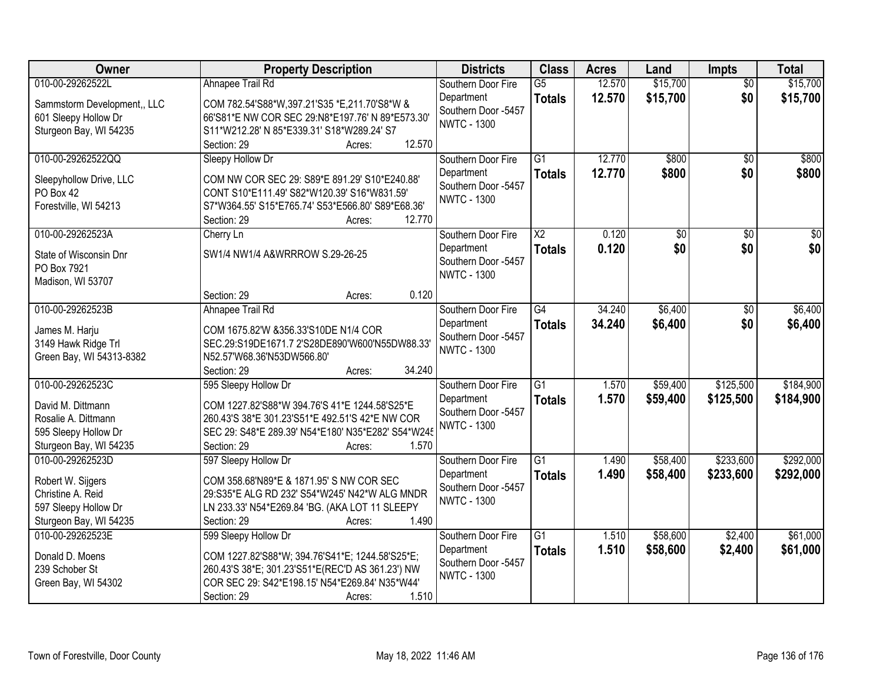| Owner                                      | <b>Property Description</b>                                 | <b>Districts</b>                  | <b>Class</b>           | <b>Acres</b> | Land            | <b>Impts</b>    | <b>Total</b>    |
|--------------------------------------------|-------------------------------------------------------------|-----------------------------------|------------------------|--------------|-----------------|-----------------|-----------------|
| 010-00-29262522L                           | Ahnapee Trail Rd                                            | Southern Door Fire                | $\overline{G5}$        | 12.570       | \$15,700        | $\overline{50}$ | \$15,700        |
| Sammstorm Development,, LLC                | COM 782.54'S88*W,397.21'S35 *E,211.70'S8*W &                | Department                        | <b>Totals</b>          | 12.570       | \$15,700        | \$0             | \$15,700        |
| 601 Sleepy Hollow Dr                       | 66'S81*E NW COR SEC 29:N8*E197.76' N 89*E573.30'            | Southern Door -5457               |                        |              |                 |                 |                 |
| Sturgeon Bay, WI 54235                     | S11*W212.28' N 85*E339.31' S18*W289.24' S7                  | <b>NWTC - 1300</b>                |                        |              |                 |                 |                 |
|                                            | 12.570<br>Section: 29<br>Acres:                             |                                   |                        |              |                 |                 |                 |
| 010-00-29262522QQ                          | Sleepy Hollow Dr                                            | Southern Door Fire                | $\overline{G1}$        | 12.770       | \$800           | $\overline{50}$ | \$800           |
| Sleepyhollow Drive, LLC                    | COM NW COR SEC 29: S89*E 891.29' S10*E240.88'               | Department                        | <b>Totals</b>          | 12.770       | \$800           | \$0             | \$800           |
| PO Box 42                                  | CONT S10*E111.49' S82*W120.39' S16*W831.59'                 | Southern Door -5457               |                        |              |                 |                 |                 |
| Forestville, WI 54213                      | S7*W364.55' S15*E765.74' S53*E566.80' S89*E68.36'           | <b>NWTC - 1300</b>                |                        |              |                 |                 |                 |
|                                            | 12.770<br>Section: 29<br>Acres:                             |                                   |                        |              |                 |                 |                 |
| 010-00-29262523A                           | Cherry Ln                                                   | Southern Door Fire                | $\overline{\text{X2}}$ | 0.120        | $\overline{50}$ | $\overline{50}$ | $\overline{50}$ |
| State of Wisconsin Dnr                     | SW1/4 NW1/4 A&WRRROW S.29-26-25                             | Department                        | <b>Totals</b>          | 0.120        | \$0             | \$0             | \$0             |
| PO Box 7921                                |                                                             | Southern Door -5457               |                        |              |                 |                 |                 |
| Madison, WI 53707                          |                                                             | <b>NWTC - 1300</b>                |                        |              |                 |                 |                 |
|                                            | 0.120<br>Section: 29<br>Acres:                              |                                   |                        |              |                 |                 |                 |
| 010-00-29262523B                           | Ahnapee Trail Rd                                            | Southern Door Fire                | $\overline{G4}$        | 34.240       | \$6,400         | \$0             | \$6,400         |
| James M. Harju                             | COM 1675.82'W &356.33'S10DE N1/4 COR                        | Department                        | <b>Totals</b>          | 34.240       | \$6,400         | \$0             | \$6,400         |
| 3149 Hawk Ridge Trl                        | SEC.29:S19DE1671.7 2'S28DE890'W600'N55DW88.33'              | Southern Door -5457               |                        |              |                 |                 |                 |
| Green Bay, WI 54313-8382                   | N52.57'W68.36'N53DW566.80'                                  | <b>NWTC - 1300</b>                |                        |              |                 |                 |                 |
|                                            | 34.240<br>Section: 29<br>Acres:                             |                                   |                        |              |                 |                 |                 |
| 010-00-29262523C                           | 595 Sleepy Hollow Dr                                        | Southern Door Fire                | $\overline{G1}$        | 1.570        | \$59,400        | \$125,500       | \$184,900       |
|                                            |                                                             | Department                        | <b>Totals</b>          | 1.570        | \$59,400        | \$125,500       | \$184,900       |
| David M. Dittmann                          | COM 1227.82'S88*W 394.76'S 41*E 1244.58'S25*E               | Southern Door -5457               |                        |              |                 |                 |                 |
| Rosalie A. Dittmann                        | 260.43'S 38*E 301.23'S51*E 492.51'S 42*E NW COR             | <b>NWTC - 1300</b>                |                        |              |                 |                 |                 |
| 595 Sleepy Hollow Dr                       | SEC 29: S48*E 289.39' N54*E180' N35*E282' S54*W245<br>1.570 |                                   |                        |              |                 |                 |                 |
| Sturgeon Bay, WI 54235<br>010-00-29262523D | Section: 29<br>Acres:                                       |                                   | $\overline{G1}$        |              |                 |                 | \$292,000       |
|                                            | 597 Sleepy Hollow Dr                                        | Southern Door Fire                |                        | 1.490        | \$58,400        | \$233,600       |                 |
| Robert W. Sijgers                          | COM 358.68'N89*E & 1871.95' S NW COR SEC                    | Department<br>Southern Door -5457 | <b>Totals</b>          | 1.490        | \$58,400        | \$233,600       | \$292,000       |
| Christine A. Reid                          | 29:S35*E ALG RD 232' S54*W245' N42*W ALG MNDR               | <b>NWTC - 1300</b>                |                        |              |                 |                 |                 |
| 597 Sleepy Hollow Dr                       | LN 233.33' N54*E269.84 'BG. (AKA LOT 11 SLEEPY              |                                   |                        |              |                 |                 |                 |
| Sturgeon Bay, WI 54235                     | 1.490<br>Section: 29<br>Acres:                              |                                   |                        |              |                 |                 |                 |
| 010-00-29262523E                           | 599 Sleepy Hollow Dr                                        | Southern Door Fire                | $\overline{G1}$        | 1.510        | \$58,600        | \$2,400         | \$61,000        |
| Donald D. Moens                            | COM 1227.82'S88*W; 394.76'S41*E; 1244.58'S25*E;             | Department                        | <b>Totals</b>          | 1.510        | \$58,600        | \$2,400         | \$61,000        |
| 239 Schober St                             | 260.43'S 38*E; 301.23'S51*E(REC'D AS 361.23') NW            | Southern Door -5457               |                        |              |                 |                 |                 |
| Green Bay, WI 54302                        | COR SEC 29: S42*E198.15' N54*E269.84' N35*W44'              | <b>NWTC - 1300</b>                |                        |              |                 |                 |                 |
|                                            | 1.510<br>Section: 29<br>Acres:                              |                                   |                        |              |                 |                 |                 |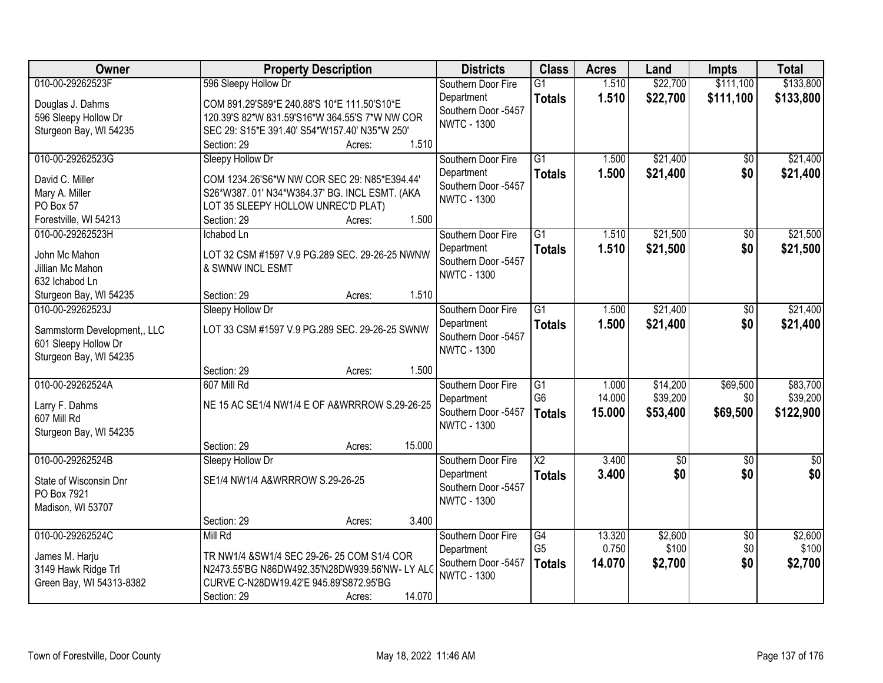| Owner                                 | <b>Property Description</b>                                                                   | <b>Districts</b>    | <b>Class</b>           | <b>Acres</b> | Land       | Impts           | <b>Total</b>  |
|---------------------------------------|-----------------------------------------------------------------------------------------------|---------------------|------------------------|--------------|------------|-----------------|---------------|
| 010-00-29262523F                      | 596 Sleepy Hollow Dr                                                                          | Southern Door Fire  | $\overline{G1}$        | 1.510        | \$22,700   | \$111,100       | \$133,800     |
| Douglas J. Dahms                      | COM 891.29'S89*E 240.88'S 10*E 111.50'S10*E                                                   | Department          | <b>Totals</b>          | 1.510        | \$22,700   | \$111,100       | \$133,800     |
| 596 Sleepy Hollow Dr                  | 120.39'S 82*W 831.59'S16*W 364.55'S 7*W NW COR                                                | Southern Door -5457 |                        |              |            |                 |               |
| Sturgeon Bay, WI 54235                | SEC 29: S15*E 391.40' S54*W157.40' N35*W 250'                                                 | <b>NWTC - 1300</b>  |                        |              |            |                 |               |
|                                       | 1.510<br>Section: 29<br>Acres:                                                                |                     |                        |              |            |                 |               |
| 010-00-29262523G                      | Sleepy Hollow Dr                                                                              | Southern Door Fire  | $\overline{G1}$        | 1.500        | \$21,400   | \$0             | \$21,400      |
| David C. Miller                       |                                                                                               | Department          | <b>Totals</b>          | 1.500        | \$21,400   | \$0             | \$21,400      |
| Mary A. Miller                        | COM 1234.26'S6*W NW COR SEC 29: N85*E394.44'<br>S26*W387.01' N34*W384.37' BG. INCL ESMT. (AKA | Southern Door -5457 |                        |              |            |                 |               |
| PO Box 57                             | LOT 35 SLEEPY HOLLOW UNREC'D PLAT)                                                            | <b>NWTC - 1300</b>  |                        |              |            |                 |               |
| Forestville, WI 54213                 | 1.500<br>Section: 29<br>Acres:                                                                |                     |                        |              |            |                 |               |
| 010-00-29262523H                      | Ichabod Ln                                                                                    | Southern Door Fire  | $\overline{G1}$        | 1.510        | \$21,500   | $\overline{50}$ | \$21,500      |
|                                       |                                                                                               | Department          | <b>Totals</b>          | 1.510        | \$21,500   | \$0             | \$21,500      |
| John Mc Mahon                         | LOT 32 CSM #1597 V.9 PG.289 SEC. 29-26-25 NWNW                                                | Southern Door -5457 |                        |              |            |                 |               |
| Jillian Mc Mahon                      | & SWNW INCL ESMT                                                                              | <b>NWTC - 1300</b>  |                        |              |            |                 |               |
| 632 Ichabod Ln                        |                                                                                               |                     |                        |              |            |                 |               |
| Sturgeon Bay, WI 54235                | 1.510<br>Section: 29<br>Acres:                                                                |                     |                        |              |            |                 |               |
| 010-00-29262523J                      | Sleepy Hollow Dr                                                                              | Southern Door Fire  | $\overline{G1}$        | 1.500        | \$21,400   | \$0             | \$21,400      |
| Sammstorm Development,, LLC           | LOT 33 CSM #1597 V.9 PG.289 SEC. 29-26-25 SWNW                                                | Department          | <b>Totals</b>          | 1.500        | \$21,400   | \$0             | \$21,400      |
| 601 Sleepy Hollow Dr                  |                                                                                               | Southern Door -5457 |                        |              |            |                 |               |
| Sturgeon Bay, WI 54235                |                                                                                               | <b>NWTC - 1300</b>  |                        |              |            |                 |               |
|                                       | 1.500<br>Section: 29<br>Acres:                                                                |                     |                        |              |            |                 |               |
| 010-00-29262524A                      | 607 Mill Rd                                                                                   | Southern Door Fire  | $\overline{G1}$        | 1.000        | \$14,200   | \$69,500        | \$83,700      |
| Larry F. Dahms                        | NE 15 AC SE1/4 NW1/4 E OF A&WRRROW S.29-26-25                                                 | Department          | G <sub>6</sub>         | 14.000       | \$39,200   | \$0             | \$39,200      |
| 607 Mill Rd                           |                                                                                               | Southern Door -5457 | <b>Totals</b>          | 15.000       | \$53,400   | \$69,500        | \$122,900     |
| Sturgeon Bay, WI 54235                |                                                                                               | <b>NWTC - 1300</b>  |                        |              |            |                 |               |
|                                       | 15.000<br>Section: 29<br>Acres:                                                               |                     |                        |              |            |                 |               |
| 010-00-29262524B                      | Sleepy Hollow Dr                                                                              | Southern Door Fire  | $\overline{\text{X2}}$ | 3.400        | $\sqrt{6}$ | $\sqrt{6}$      | $\frac{1}{6}$ |
|                                       | SE1/4 NW1/4 A&WRRROW S.29-26-25                                                               | Department          | <b>Totals</b>          | 3.400        | \$0        | \$0             | \$0           |
| State of Wisconsin Dnr<br>PO Box 7921 |                                                                                               | Southern Door -5457 |                        |              |            |                 |               |
| Madison, WI 53707                     |                                                                                               | <b>NWTC - 1300</b>  |                        |              |            |                 |               |
|                                       | 3.400<br>Section: 29<br>Acres:                                                                |                     |                        |              |            |                 |               |
| 010-00-29262524C                      | Mill Rd                                                                                       | Southern Door Fire  | G4                     | 13.320       | \$2,600    | $\overline{30}$ | \$2,600       |
|                                       |                                                                                               | Department          | G <sub>5</sub>         | 0.750        | \$100      | \$0             | \$100         |
| James M. Harju                        | TR NW1/4 &SW1/4 SEC 29-26-25 COM S1/4 COR                                                     | Southern Door -5457 | <b>Totals</b>          | 14.070       | \$2,700    | \$0             | \$2,700       |
| 3149 Hawk Ridge Trl                   | N2473.55'BG N86DW492.35'N28DW939.56'NW-LY ALO                                                 | <b>NWTC - 1300</b>  |                        |              |            |                 |               |
| Green Bay, WI 54313-8382              | CURVE C-N28DW19.42'E 945.89'S872.95'BG                                                        |                     |                        |              |            |                 |               |
|                                       | 14.070<br>Section: 29<br>Acres:                                                               |                     |                        |              |            |                 |               |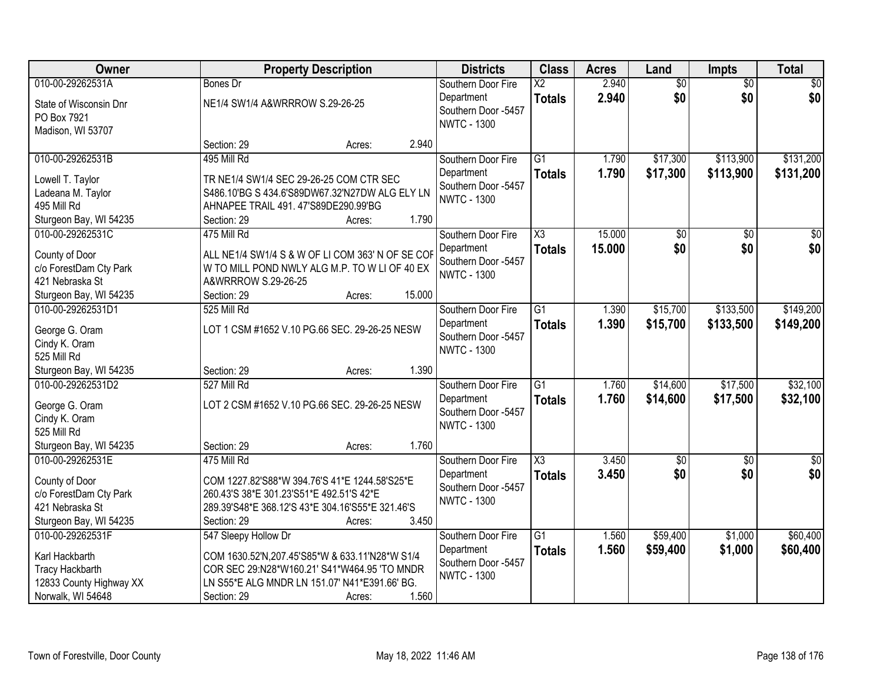| Owner                        |                                                  | <b>Property Description</b> |        | <b>Districts</b>                  | <b>Class</b>           | <b>Acres</b> | Land            | <b>Impts</b>    | <b>Total</b>    |
|------------------------------|--------------------------------------------------|-----------------------------|--------|-----------------------------------|------------------------|--------------|-----------------|-----------------|-----------------|
| 010-00-29262531A             | <b>Bones Dr</b>                                  |                             |        | Southern Door Fire                | $\overline{\text{X2}}$ | 2.940        | $\overline{50}$ | $\overline{50}$ | \$0             |
| State of Wisconsin Dnr       | NE1/4 SW1/4 A&WRRROW S.29-26-25                  |                             |        | Department                        | <b>Totals</b>          | 2.940        | \$0             | \$0             | \$0             |
| PO Box 7921                  |                                                  |                             |        | Southern Door -5457               |                        |              |                 |                 |                 |
| Madison, WI 53707            |                                                  |                             |        | <b>NWTC - 1300</b>                |                        |              |                 |                 |                 |
|                              | Section: 29                                      | Acres:                      | 2.940  |                                   |                        |              |                 |                 |                 |
| 010-00-29262531B             | 495 Mill Rd                                      |                             |        | Southern Door Fire                | $\overline{G1}$        | 1.790        | \$17,300        | \$113,900       | \$131,200       |
| Lowell T. Taylor             | TR NE1/4 SW1/4 SEC 29-26-25 COM CTR SEC          |                             |        | Department                        | <b>Totals</b>          | 1.790        | \$17,300        | \$113,900       | \$131,200       |
| Ladeana M. Taylor            | S486.10'BG S 434.6'S89DW67.32'N27DW ALG ELY LN   |                             |        | Southern Door -5457               |                        |              |                 |                 |                 |
| 495 Mill Rd                  | AHNAPEE TRAIL 491. 47'S89DE290.99'BG             |                             |        | <b>NWTC - 1300</b>                |                        |              |                 |                 |                 |
| Sturgeon Bay, WI 54235       | Section: 29                                      | Acres:                      | 1.790  |                                   |                        |              |                 |                 |                 |
| 010-00-29262531C             | 475 Mill Rd                                      |                             |        | Southern Door Fire                | $\overline{\text{X3}}$ | 15.000       | $\overline{50}$ | $\overline{50}$ | $\overline{50}$ |
| County of Door               | ALL NE1/4 SW1/4 S & W OF LI COM 363' N OF SE COP |                             |        | Department                        | <b>Totals</b>          | 15.000       | \$0             | \$0             | \$0             |
| c/o ForestDam Cty Park       | W TO MILL POND NWLY ALG M.P. TO W LI OF 40 EX    |                             |        | Southern Door -5457               |                        |              |                 |                 |                 |
| 421 Nebraska St              | A&WRRROW S.29-26-25                              |                             |        | <b>NWTC - 1300</b>                |                        |              |                 |                 |                 |
| Sturgeon Bay, WI 54235       | Section: 29                                      | Acres:                      | 15.000 |                                   |                        |              |                 |                 |                 |
| 010-00-29262531D1            | 525 Mill Rd                                      |                             |        | Southern Door Fire                | $\overline{G1}$        | 1.390        | \$15,700        | \$133,500       | \$149,200       |
|                              |                                                  |                             |        | Department                        | <b>Totals</b>          | 1.390        | \$15,700        | \$133,500       | \$149,200       |
| George G. Oram               | LOT 1 CSM #1652 V.10 PG.66 SEC. 29-26-25 NESW    |                             |        | Southern Door -5457               |                        |              |                 |                 |                 |
| Cindy K. Oram<br>525 Mill Rd |                                                  |                             |        | <b>NWTC - 1300</b>                |                        |              |                 |                 |                 |
| Sturgeon Bay, WI 54235       | Section: 29                                      | Acres:                      | 1.390  |                                   |                        |              |                 |                 |                 |
| 010-00-29262531D2            | 527 Mill Rd                                      |                             |        | Southern Door Fire                | $\overline{G1}$        | 1.760        | \$14,600        | \$17,500        | \$32,100        |
|                              |                                                  |                             |        | Department                        | <b>Totals</b>          | 1.760        | \$14,600        | \$17,500        | \$32,100        |
| George G. Oram               | LOT 2 CSM #1652 V.10 PG.66 SEC. 29-26-25 NESW    |                             |        | Southern Door -5457               |                        |              |                 |                 |                 |
| Cindy K. Oram                |                                                  |                             |        | <b>NWTC - 1300</b>                |                        |              |                 |                 |                 |
| 525 Mill Rd                  |                                                  |                             |        |                                   |                        |              |                 |                 |                 |
| Sturgeon Bay, WI 54235       | Section: 29                                      | Acres:                      | 1.760  |                                   |                        |              |                 |                 |                 |
| 010-00-29262531E             | 475 Mill Rd                                      |                             |        | Southern Door Fire                | $\overline{\text{X3}}$ | 3.450        | $\sqrt{6}$      | $\sqrt{6}$      | $\frac{1}{6}$   |
| County of Door               | COM 1227.82'S88*W 394.76'S 41*E 1244.58'S25*E    |                             |        | Department<br>Southern Door -5457 | <b>Totals</b>          | 3.450        | \$0             | \$0             | \$0             |
| c/o ForestDam Cty Park       | 260.43'S 38*E 301.23'S51*E 492.51'S 42*E         |                             |        | <b>NWTC - 1300</b>                |                        |              |                 |                 |                 |
| 421 Nebraska St              | 289.39'S48*E 368.12'S 43*E 304.16'S55*E 321.46'S |                             |        |                                   |                        |              |                 |                 |                 |
| Sturgeon Bay, WI 54235       | Section: 29                                      | Acres:                      | 3.450  |                                   |                        |              |                 |                 |                 |
| 010-00-29262531F             | 547 Sleepy Hollow Dr                             |                             |        | Southern Door Fire                | $\overline{G1}$        | 1.560        | \$59,400        | \$1,000         | \$60,400        |
| Karl Hackbarth               | COM 1630.52'N, 207.45'S85*W & 633.11'N28*W S1/4  |                             |        | Department                        | <b>Totals</b>          | 1.560        | \$59,400        | \$1,000         | \$60,400        |
| <b>Tracy Hackbarth</b>       | COR SEC 29:N28*W160.21' S41*W464.95 'TO MNDR     |                             |        | Southern Door -5457               |                        |              |                 |                 |                 |
| 12833 County Highway XX      | LN S55*E ALG MNDR LN 151.07' N41*E391.66' BG.    |                             |        | <b>NWTC - 1300</b>                |                        |              |                 |                 |                 |
| Norwalk, WI 54648            | Section: 29                                      | Acres:                      | 1.560  |                                   |                        |              |                 |                 |                 |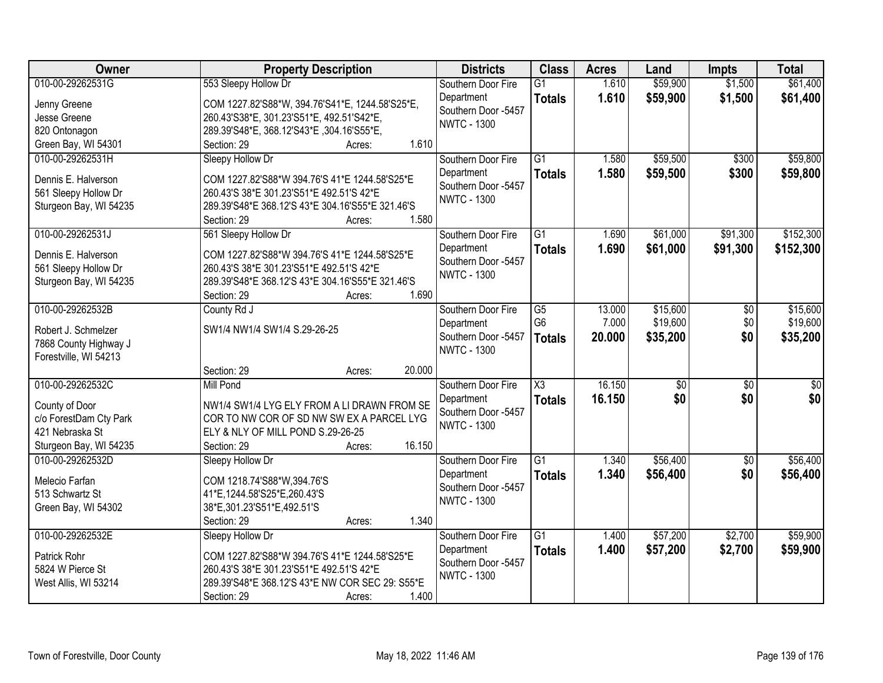| Owner                             | <b>Property Description</b>                      | <b>Districts</b>                  | <b>Class</b>           | <b>Acres</b> | Land            | <b>Impts</b>    | <b>Total</b>    |
|-----------------------------------|--------------------------------------------------|-----------------------------------|------------------------|--------------|-----------------|-----------------|-----------------|
| 010-00-29262531G                  | 553 Sleepy Hollow Dr                             | Southern Door Fire                | $\overline{G1}$        | 1.610        | \$59,900        | \$1,500         | \$61,400        |
| Jenny Greene                      | COM 1227.82'S88*W, 394.76'S41*E, 1244.58'S25*E,  | Department                        | <b>Totals</b>          | 1.610        | \$59,900        | \$1,500         | \$61,400        |
| Jesse Greene                      | 260.43'S38*E, 301.23'S51*E, 492.51'S42*E,        | Southern Door -5457               |                        |              |                 |                 |                 |
| 820 Ontonagon                     | 289.39'S48*E, 368.12'S43*E, 304.16'S55*E,        | <b>NWTC - 1300</b>                |                        |              |                 |                 |                 |
| Green Bay, WI 54301               | 1.610<br>Section: 29<br>Acres:                   |                                   |                        |              |                 |                 |                 |
| 010-00-29262531H                  | Sleepy Hollow Dr                                 | Southern Door Fire                | $\overline{G1}$        | 1.580        | \$59,500        | \$300           | \$59,800        |
|                                   |                                                  | Department                        | <b>Totals</b>          | 1.580        | \$59,500        | \$300           | \$59,800        |
| Dennis E. Halverson               | COM 1227.82'S88*W 394.76'S 41*E 1244.58'S25*E    | Southern Door -5457               |                        |              |                 |                 |                 |
| 561 Sleepy Hollow Dr              | 260.43'S 38*E 301.23'S51*E 492.51'S 42*E         | <b>NWTC - 1300</b>                |                        |              |                 |                 |                 |
| Sturgeon Bay, WI 54235            | 289.39'S48*E 368.12'S 43*E 304.16'S55*E 321.46'S |                                   |                        |              |                 |                 |                 |
|                                   | 1.580<br>Section: 29<br>Acres:                   |                                   |                        |              |                 |                 |                 |
| 010-00-29262531J                  | 561 Sleepy Hollow Dr                             | Southern Door Fire                | $\overline{G1}$        | 1.690        | \$61,000        | \$91,300        | \$152,300       |
| Dennis E. Halverson               | COM 1227.82'S88*W 394.76'S 41*E 1244.58'S25*E    | Department                        | <b>Totals</b>          | 1.690        | \$61,000        | \$91,300        | \$152,300       |
| 561 Sleepy Hollow Dr              | 260.43'S 38*E 301.23'S51*E 492.51'S 42*E         | Southern Door -5457               |                        |              |                 |                 |                 |
| Sturgeon Bay, WI 54235            | 289.39'S48*E 368.12'S 43*E 304.16'S55*E 321.46'S | <b>NWTC - 1300</b>                |                        |              |                 |                 |                 |
|                                   | 1.690<br>Section: 29<br>Acres:                   |                                   |                        |              |                 |                 |                 |
| 010-00-29262532B                  | County Rd J                                      | Southern Door Fire                | G5                     | 13.000       | \$15,600        | \$0             | \$15,600        |
|                                   |                                                  | Department                        | G <sub>6</sub>         | 7.000        | \$19,600        | \$0             | \$19,600        |
| Robert J. Schmelzer               | SW1/4 NW1/4 SW1/4 S.29-26-25                     | Southern Door -5457               | <b>Totals</b>          | 20.000       | \$35,200        | \$0             | \$35,200        |
| 7868 County Highway J             |                                                  | <b>NWTC - 1300</b>                |                        |              |                 |                 |                 |
| Forestville, WI 54213             |                                                  |                                   |                        |              |                 |                 |                 |
|                                   | 20.000<br>Section: 29<br>Acres:                  |                                   |                        |              |                 |                 |                 |
| 010-00-29262532C                  | <b>Mill Pond</b>                                 | Southern Door Fire                | $\overline{\text{X3}}$ | 16.150       | $\overline{50}$ | $\overline{50}$ | $\overline{50}$ |
| County of Door                    | NW1/4 SW1/4 LYG ELY FROM A LI DRAWN FROM SE      | Department                        | <b>Totals</b>          | 16.150       | \$0             | \$0             | \$0             |
| c/o ForestDam Cty Park            | COR TO NW COR OF SD NW SW EX A PARCEL LYG        | Southern Door -5457               |                        |              |                 |                 |                 |
| 421 Nebraska St                   | ELY & NLY OF MILL POND S.29-26-25                | <b>NWTC - 1300</b>                |                        |              |                 |                 |                 |
| Sturgeon Bay, WI 54235            | 16.150<br>Section: 29<br>Acres:                  |                                   |                        |              |                 |                 |                 |
| 010-00-29262532D                  | Sleepy Hollow Dr                                 | Southern Door Fire                | $\overline{G1}$        | 1.340        | \$56,400        | $\overline{50}$ | \$56,400        |
|                                   |                                                  | Department                        | <b>Totals</b>          | 1.340        | \$56,400        | \$0             | \$56,400        |
| Melecio Farfan<br>513 Schwartz St | COM 1218.74'S88*W,394.76'S                       | Southern Door -5457               |                        |              |                 |                 |                 |
|                                   | 41*E,1244.58'S25*E,260.43'S                      | <b>NWTC - 1300</b>                |                        |              |                 |                 |                 |
| Green Bay, WI 54302               | 38*E,301.23'S51*E,492.51'S<br>1.340              |                                   |                        |              |                 |                 |                 |
| 010-00-29262532E                  | Section: 29<br>Acres:                            |                                   | $\overline{G1}$        |              | \$57,200        |                 | \$59,900        |
|                                   | Sleepy Hollow Dr                                 | Southern Door Fire                |                        | 1.400        |                 | \$2,700         |                 |
| Patrick Rohr                      | COM 1227.82'S88*W 394.76'S 41*E 1244.58'S25*E    | Department<br>Southern Door -5457 | <b>Totals</b>          | 1.400        | \$57,200        | \$2,700         | \$59,900        |
| 5824 W Pierce St                  | 260.43'S 38*E 301.23'S51*E 492.51'S 42*E         | <b>NWTC - 1300</b>                |                        |              |                 |                 |                 |
| West Allis, WI 53214              | 289.39'S48*E 368.12'S 43*E NW COR SEC 29: S55*E  |                                   |                        |              |                 |                 |                 |
|                                   | 1.400<br>Section: 29<br>Acres:                   |                                   |                        |              |                 |                 |                 |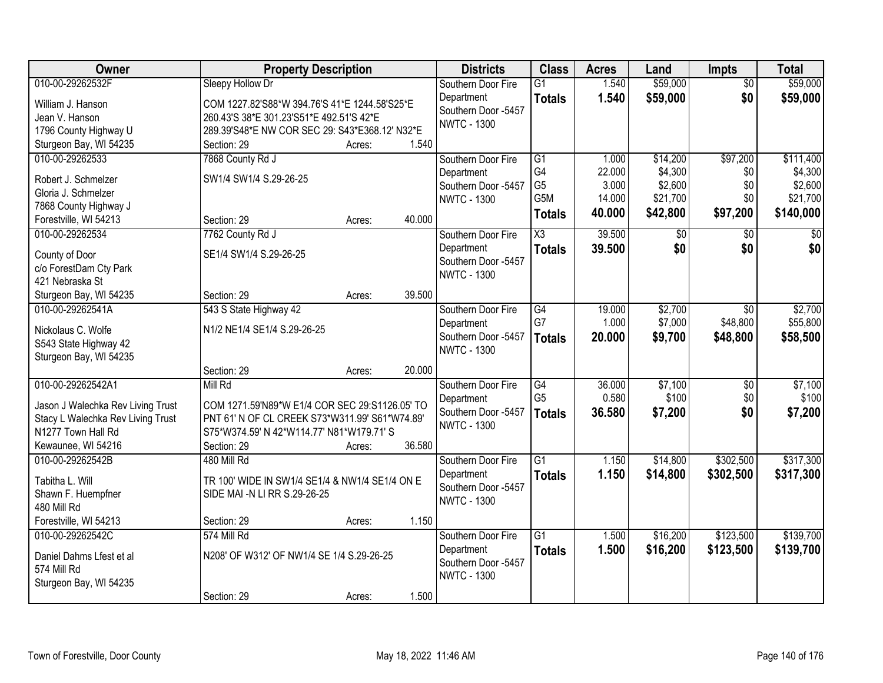| Owner                                           | <b>Property Description</b>                    |        |        | <b>Districts</b>                  | <b>Class</b>     | <b>Acres</b> | Land     | <b>Impts</b>    | <b>Total</b> |
|-------------------------------------------------|------------------------------------------------|--------|--------|-----------------------------------|------------------|--------------|----------|-----------------|--------------|
| 010-00-29262532F                                | Sleepy Hollow Dr                               |        |        | Southern Door Fire                | $\overline{G1}$  | 1.540        | \$59,000 | $\overline{50}$ | \$59,000     |
| William J. Hanson                               | COM 1227.82'S88*W 394.76'S 41*E 1244.58'S25*E  |        |        | Department                        | <b>Totals</b>    | 1.540        | \$59,000 | \$0             | \$59,000     |
| Jean V. Hanson                                  | 260.43'S 38*E 301.23'S51*E 492.51'S 42*E       |        |        | Southern Door -5457               |                  |              |          |                 |              |
| 1796 County Highway U                           | 289.39'S48*E NW COR SEC 29: S43*E368.12' N32*E |        |        | <b>NWTC - 1300</b>                |                  |              |          |                 |              |
| Sturgeon Bay, WI 54235                          | Section: 29                                    | Acres: | 1.540  |                                   |                  |              |          |                 |              |
| 010-00-29262533                                 | 7868 County Rd J                               |        |        | Southern Door Fire                | $\overline{G1}$  | 1.000        | \$14,200 | \$97,200        | \$111,400    |
|                                                 |                                                |        |        | Department                        | G4               | 22.000       | \$4,300  | \$0             | \$4,300      |
| Robert J. Schmelzer                             | SW1/4 SW1/4 S.29-26-25                         |        |        | Southern Door -5457               | G <sub>5</sub>   | 3.000        | \$2,600  | \$0             | \$2,600      |
| Gloria J. Schmelzer                             |                                                |        |        | <b>NWTC - 1300</b>                | G <sub>5</sub> M | 14.000       | \$21,700 | \$0             | \$21,700     |
| 7868 County Highway J                           |                                                |        |        |                                   | <b>Totals</b>    | 40.000       | \$42,800 | \$97,200        | \$140,000    |
| Forestville, WI 54213                           | Section: 29                                    | Acres: | 40.000 |                                   |                  |              |          |                 |              |
| 010-00-29262534                                 | 7762 County Rd J                               |        |        | Southern Door Fire                | X3               | 39.500       | \$0      | \$0             | $\sqrt{50}$  |
| County of Door                                  | SE1/4 SW1/4 S.29-26-25                         |        |        | Department                        | <b>Totals</b>    | 39.500       | \$0      | \$0             | \$0          |
| c/o ForestDam Cty Park                          |                                                |        |        | Southern Door -5457               |                  |              |          |                 |              |
| 421 Nebraska St                                 |                                                |        |        | <b>NWTC - 1300</b>                |                  |              |          |                 |              |
| Sturgeon Bay, WI 54235                          | Section: 29                                    | Acres: | 39.500 |                                   |                  |              |          |                 |              |
| 010-00-29262541A                                | 543 S State Highway 42                         |        |        | Southern Door Fire                | G4               | 19.000       | \$2,700  | $\sqrt[6]{}$    | \$2,700      |
|                                                 |                                                |        |        | Department                        | G7               | 1.000        | \$7,000  | \$48,800        | \$55,800     |
| Nickolaus C. Wolfe                              | N1/2 NE1/4 SE1/4 S.29-26-25                    |        |        | Southern Door -5457               | <b>Totals</b>    | 20.000       | \$9,700  | \$48,800        | \$58,500     |
| S543 State Highway 42<br>Sturgeon Bay, WI 54235 |                                                |        |        | <b>NWTC - 1300</b>                |                  |              |          |                 |              |
|                                                 | Section: 29                                    | Acres: | 20.000 |                                   |                  |              |          |                 |              |
| 010-00-29262542A1                               | Mill Rd                                        |        |        | Southern Door Fire                | $\overline{G4}$  | 36.000       | \$7,100  | $\overline{50}$ | \$7,100      |
|                                                 |                                                |        |        |                                   | G <sub>5</sub>   | 0.580        | \$100    | \$0             | \$100        |
| Jason J Walechka Rev Living Trust               | COM 1271.59'N89*W E1/4 COR SEC 29:S1126.05' TO |        |        | Department<br>Southern Door -5457 |                  | 36.580       | \$7,200  | \$0             | \$7,200      |
| Stacy L Walechka Rev Living Trust               | PNT 61' N OF CL CREEK S73*W311.99' S61*W74.89' |        |        | <b>NWTC - 1300</b>                | <b>Totals</b>    |              |          |                 |              |
| N1277 Town Hall Rd                              | S75*W374.59' N 42*W114.77' N81*W179.71' S      |        |        |                                   |                  |              |          |                 |              |
| Kewaunee, WI 54216                              | Section: 29                                    | Acres: | 36.580 |                                   |                  |              |          |                 |              |
| 010-00-29262542B                                | 480 Mill Rd                                    |        |        | Southern Door Fire                | $\overline{G1}$  | 1.150        | \$14,800 | \$302,500       | \$317,300    |
| Tabitha L. Will                                 | TR 100' WIDE IN SW1/4 SE1/4 & NW1/4 SE1/4 ON E |        |        | Department                        | <b>Totals</b>    | 1.150        | \$14,800 | \$302,500       | \$317,300    |
| Shawn F. Huempfner                              | SIDE MAI -N LI RR S.29-26-25                   |        |        | Southern Door -5457               |                  |              |          |                 |              |
| 480 Mill Rd                                     |                                                |        |        | <b>NWTC - 1300</b>                |                  |              |          |                 |              |
| Forestville, WI 54213                           | Section: 29                                    | Acres: | 1.150  |                                   |                  |              |          |                 |              |
| 010-00-29262542C                                | 574 Mill Rd                                    |        |        | Southern Door Fire                | $\overline{G1}$  | 1.500        | \$16,200 | \$123,500       | \$139,700    |
|                                                 |                                                |        |        | Department                        | <b>Totals</b>    | 1.500        | \$16,200 | \$123,500       | \$139,700    |
| Daniel Dahms Lfest et al                        | N208' OF W312' OF NW1/4 SE 1/4 S.29-26-25      |        |        | Southern Door -5457               |                  |              |          |                 |              |
| 574 Mill Rd                                     |                                                |        |        | <b>NWTC - 1300</b>                |                  |              |          |                 |              |
| Sturgeon Bay, WI 54235                          |                                                |        |        |                                   |                  |              |          |                 |              |
|                                                 | Section: 29                                    | Acres: | 1.500  |                                   |                  |              |          |                 |              |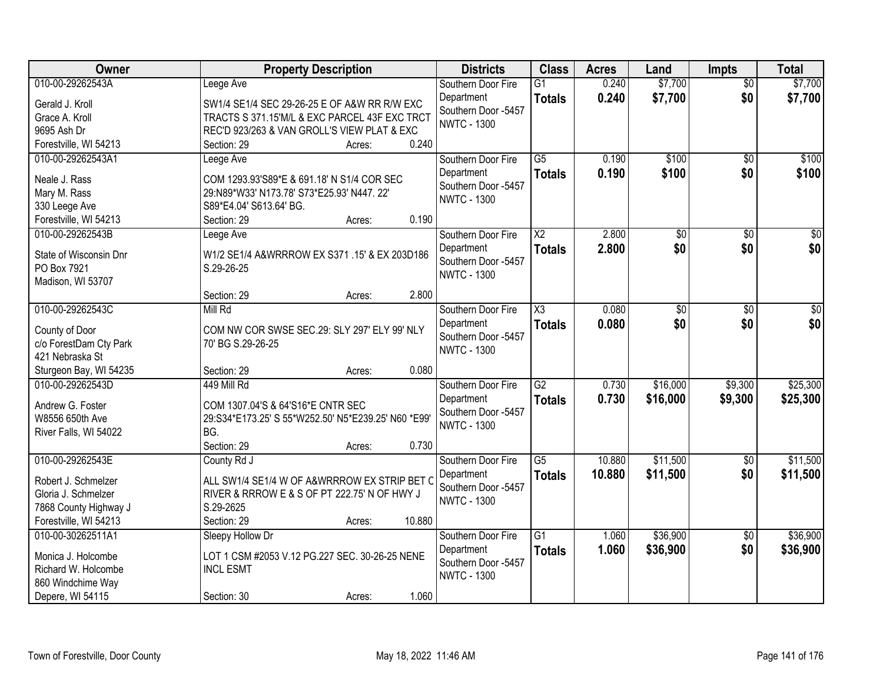| Owner                                     | <b>Property Description</b>                         | <b>Districts</b>                  | <b>Class</b>           | <b>Acres</b> | Land            | <b>Impts</b>    | <b>Total</b>    |
|-------------------------------------------|-----------------------------------------------------|-----------------------------------|------------------------|--------------|-----------------|-----------------|-----------------|
| 010-00-29262543A                          | Leege Ave                                           | Southern Door Fire                | $\overline{G1}$        | 0.240        | \$7,700         | $\overline{50}$ | \$7,700         |
| Gerald J. Kroll                           | SW1/4 SE1/4 SEC 29-26-25 E OF A&W RR R/W EXC        | Department                        | <b>Totals</b>          | 0.240        | \$7,700         | \$0             | \$7,700         |
| Grace A. Kroll                            | TRACTS S 371.15'M/L & EXC PARCEL 43F EXC TRCT       | Southern Door -5457               |                        |              |                 |                 |                 |
| 9695 Ash Dr                               | REC'D 923/263 & VAN GROLL'S VIEW PLAT & EXC         | <b>NWTC - 1300</b>                |                        |              |                 |                 |                 |
| Forestville, WI 54213                     | 0.240<br>Section: 29<br>Acres:                      |                                   |                        |              |                 |                 |                 |
| 010-00-29262543A1                         | Leege Ave                                           | Southern Door Fire                | $\overline{G5}$        | 0.190        | \$100           | $\overline{50}$ | \$100           |
|                                           |                                                     | Department                        | <b>Totals</b>          | 0.190        | \$100           | \$0             | \$100           |
| Neale J. Rass                             | COM 1293.93'S89*E & 691.18' N S1/4 COR SEC          | Southern Door -5457               |                        |              |                 |                 |                 |
| Mary M. Rass                              | 29:N89*W33' N173.78' S73*E25.93' N447. 22'          | <b>NWTC - 1300</b>                |                        |              |                 |                 |                 |
| 330 Leege Ave                             | S89*E4.04' S613.64' BG.<br>0.190<br>Section: 29     |                                   |                        |              |                 |                 |                 |
| Forestville, WI 54213<br>010-00-29262543B | Acres:                                              |                                   | $\overline{\text{X2}}$ | 2.800        | $\overline{50}$ | $\overline{50}$ | $\overline{30}$ |
|                                           | Leege Ave                                           | Southern Door Fire                |                        |              | \$0             |                 |                 |
| State of Wisconsin Dnr                    | W1/2 SE1/4 A&WRRROW EX S371 .15' & EX 203D186       | Department<br>Southern Door -5457 | <b>Totals</b>          | 2.800        |                 | \$0             | \$0             |
| PO Box 7921                               | S.29-26-25                                          | <b>NWTC - 1300</b>                |                        |              |                 |                 |                 |
| Madison, WI 53707                         |                                                     |                                   |                        |              |                 |                 |                 |
|                                           | 2.800<br>Section: 29<br>Acres:                      |                                   |                        |              |                 |                 |                 |
| 010-00-29262543C                          | Mill Rd                                             | Southern Door Fire                | $\overline{\chi_3}$    | 0.080        | $\overline{30}$ | \$0             | \$0             |
| County of Door                            | COM NW COR SWSE SEC.29: SLY 297' ELY 99' NLY        | Department                        | <b>Totals</b>          | 0.080        | \$0             | \$0             | \$0             |
| c/o ForestDam Cty Park                    | 70' BG S.29-26-25                                   | Southern Door -5457               |                        |              |                 |                 |                 |
| 421 Nebraska St                           |                                                     | <b>NWTC - 1300</b>                |                        |              |                 |                 |                 |
| Sturgeon Bay, WI 54235                    | 0.080<br>Section: 29<br>Acres:                      |                                   |                        |              |                 |                 |                 |
| 010-00-29262543D                          | 449 Mill Rd                                         | Southern Door Fire                | $\overline{G2}$        | 0.730        | \$16,000        | \$9,300         | \$25,300        |
|                                           |                                                     | Department                        | <b>Totals</b>          | 0.730        | \$16,000        | \$9,300         | \$25,300        |
| Andrew G. Foster                          | COM 1307.04'S & 64'S16*E CNTR SEC                   | Southern Door -5457               |                        |              |                 |                 |                 |
| W8556 650th Ave                           | 29:S34*E173.25' S 55*W252.50' N5*E239.25' N60 *E99' | <b>NWTC - 1300</b>                |                        |              |                 |                 |                 |
| River Falls, WI 54022                     | BG.<br>0.730                                        |                                   |                        |              |                 |                 |                 |
|                                           | Section: 29<br>Acres:                               |                                   |                        |              |                 |                 |                 |
| 010-00-29262543E                          | County Rd J                                         | Southern Door Fire                | $\overline{G5}$        | 10.880       | \$11,500        | $\overline{60}$ | \$11,500        |
| Robert J. Schmelzer                       | ALL SW1/4 SE1/4 W OF A&WRRROW EX STRIP BET O        | Department<br>Southern Door -5457 | <b>Totals</b>          | 10.880       | \$11,500        | \$0             | \$11,500        |
| Gloria J. Schmelzer                       | RIVER & RRROW E & S OF PT 222.75' N OF HWY J        | <b>NWTC - 1300</b>                |                        |              |                 |                 |                 |
| 7868 County Highway J                     | S.29-2625                                           |                                   |                        |              |                 |                 |                 |
| Forestville, WI 54213                     | 10.880<br>Section: 29<br>Acres:                     |                                   |                        |              |                 |                 |                 |
| 010-00-30262511A1                         | Sleepy Hollow Dr                                    | Southern Door Fire                | $\overline{G1}$        | 1.060        | \$36,900        | $\overline{50}$ | \$36,900        |
| Monica J. Holcombe                        | LOT 1 CSM #2053 V.12 PG.227 SEC. 30-26-25 NENE      | Department                        | <b>Totals</b>          | 1.060        | \$36,900        | \$0             | \$36,900        |
| Richard W. Holcombe                       | <b>INCL ESMT</b>                                    | Southern Door -5457               |                        |              |                 |                 |                 |
| 860 Windchime Way                         |                                                     | <b>NWTC - 1300</b>                |                        |              |                 |                 |                 |
| Depere, WI 54115                          | 1.060<br>Section: 30<br>Acres:                      |                                   |                        |              |                 |                 |                 |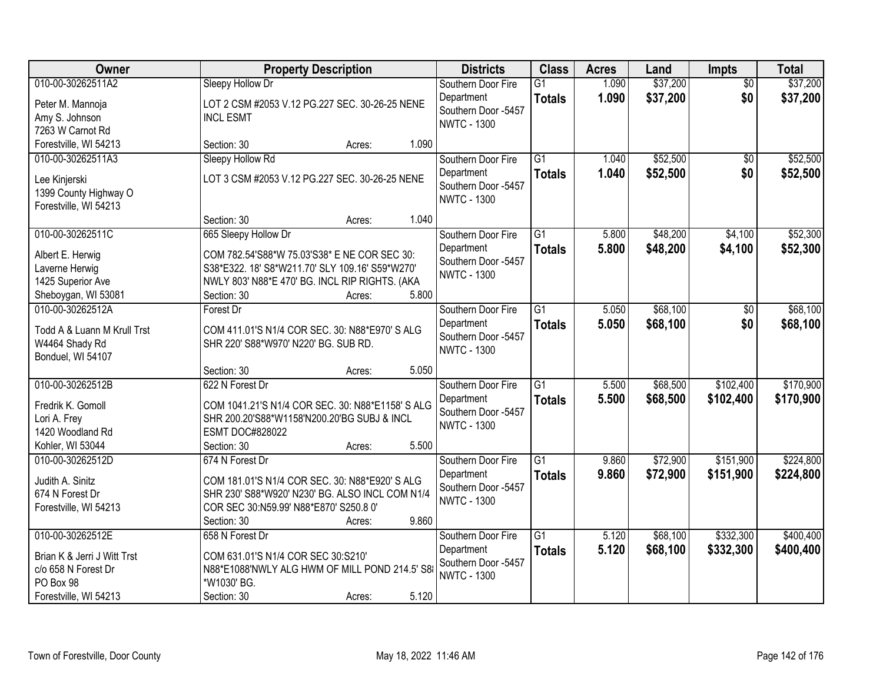| Owner                                                                                                        | <b>Property Description</b>                                                                                                                                                                                 | <b>Districts</b>                                                              | <b>Class</b>                     | <b>Acres</b>   | Land                 | <b>Impts</b>           | <b>Total</b>           |
|--------------------------------------------------------------------------------------------------------------|-------------------------------------------------------------------------------------------------------------------------------------------------------------------------------------------------------------|-------------------------------------------------------------------------------|----------------------------------|----------------|----------------------|------------------------|------------------------|
| 010-00-30262511A2<br>Peter M. Mannoja<br>Amy S. Johnson<br>7263 W Carnot Rd                                  | Sleepy Hollow Dr<br>LOT 2 CSM #2053 V.12 PG.227 SEC. 30-26-25 NENE<br><b>INCL ESMT</b>                                                                                                                      | Southern Door Fire<br>Department<br>Southern Door -5457<br><b>NWTC - 1300</b> | $\overline{G1}$<br><b>Totals</b> | 1.090<br>1.090 | \$37,200<br>\$37,200 | $\overline{50}$<br>\$0 | \$37,200<br>\$37,200   |
| Forestville, WI 54213                                                                                        | 1.090<br>Section: 30<br>Acres:                                                                                                                                                                              |                                                                               |                                  |                |                      |                        |                        |
| 010-00-30262511A3<br>Lee Kinjerski<br>1399 County Highway O<br>Forestville, WI 54213                         | Sleepy Hollow Rd<br>LOT 3 CSM #2053 V.12 PG.227 SEC. 30-26-25 NENE                                                                                                                                          | Southern Door Fire<br>Department<br>Southern Door -5457<br><b>NWTC - 1300</b> | $\overline{G1}$<br><b>Totals</b> | 1.040<br>1.040 | \$52,500<br>\$52,500 | $\overline{50}$<br>\$0 | \$52,500<br>\$52,500   |
|                                                                                                              | 1.040<br>Section: 30<br>Acres:                                                                                                                                                                              |                                                                               |                                  |                |                      |                        |                        |
| 010-00-30262511C<br>Albert E. Herwig<br>Laverne Herwig<br>1425 Superior Ave<br>Sheboygan, WI 53081           | 665 Sleepy Hollow Dr<br>COM 782.54'S88*W 75.03'S38* E NE COR SEC 30:<br>S38*E322. 18' S8*W211.70' SLY 109.16' S59*W270'<br>NWLY 803' N88*E 470' BG. INCL RIP RIGHTS. (AKA<br>5.800<br>Section: 30<br>Acres: | Southern Door Fire<br>Department<br>Southern Door -5457<br><b>NWTC - 1300</b> | G1<br><b>Totals</b>              | 5.800<br>5.800 | \$48,200<br>\$48,200 | \$4,100<br>\$4,100     | \$52,300<br>\$52,300   |
| 010-00-30262512A<br>Todd A & Luann M Krull Trst<br>W4464 Shady Rd<br>Bonduel, WI 54107                       | Forest Dr<br>COM 411.01'S N1/4 COR SEC. 30: N88*E970' S ALG<br>SHR 220' S88*W970' N220' BG. SUB RD.<br>5.050                                                                                                | Southern Door Fire<br>Department<br>Southern Door -5457<br><b>NWTC - 1300</b> | $\overline{G1}$<br><b>Totals</b> | 5.050<br>5.050 | \$68,100<br>\$68,100 | \$0<br>\$0             | \$68,100<br>\$68,100   |
| 010-00-30262512B<br>Fredrik K. Gomoll<br>Lori A. Frey<br>1420 Woodland Rd<br>Kohler, WI 53044                | Section: 30<br>Acres:<br>622 N Forest Dr<br>COM 1041.21'S N1/4 COR SEC. 30: N88*E1158' S ALG<br>SHR 200.20'S88*W1158'N200.20'BG SUBJ & INCL<br><b>ESMT DOC#828022</b><br>5.500<br>Section: 30<br>Acres:     | Southern Door Fire<br>Department<br>Southern Door -5457<br><b>NWTC - 1300</b> | $\overline{G1}$<br><b>Totals</b> | 5.500<br>5.500 | \$68,500<br>\$68,500 | \$102,400<br>\$102,400 | \$170,900<br>\$170,900 |
| 010-00-30262512D<br>Judith A. Sinitz<br>674 N Forest Dr<br>Forestville, WI 54213                             | 674 N Forest Dr<br>COM 181.01'S N1/4 COR SEC. 30: N88*E920' S ALG<br>SHR 230' S88*W920' N230' BG. ALSO INCL COM N1/4<br>COR SEC 30:N59.99' N88*E870' S250.8 0'<br>9.860<br>Section: 30<br>Acres:            | Southern Door Fire<br>Department<br>Southern Door -5457<br><b>NWTC - 1300</b> | $\overline{G1}$<br><b>Totals</b> | 9.860<br>9.860 | \$72,900<br>\$72,900 | \$151,900<br>\$151,900 | \$224,800<br>\$224,800 |
| 010-00-30262512E<br>Brian K & Jerri J Witt Trst<br>c/o 658 N Forest Dr<br>PO Box 98<br>Forestville, WI 54213 | 658 N Forest Dr<br>COM 631.01'S N1/4 COR SEC 30:S210'<br>N88*E1088'NWLY ALG HWM OF MILL POND 214.5' S8<br>*W1030' BG.<br>5.120<br>Section: 30<br>Acres:                                                     | Southern Door Fire<br>Department<br>Southern Door -5457<br><b>NWTC - 1300</b> | $\overline{G1}$<br><b>Totals</b> | 5.120<br>5.120 | \$68,100<br>\$68,100 | \$332,300<br>\$332,300 | \$400,400<br>\$400,400 |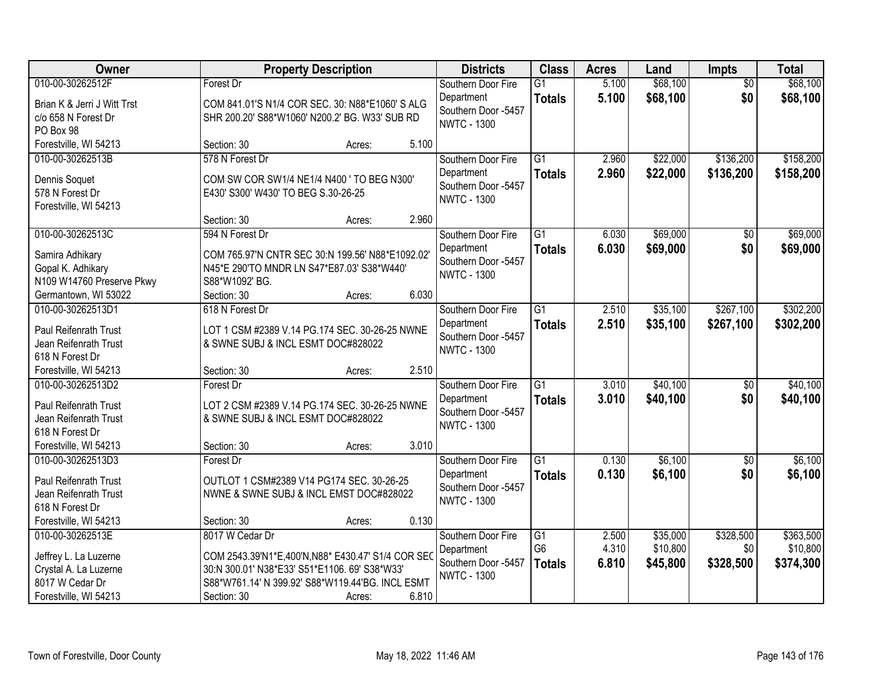| Owner                                                                                                          | <b>Property Description</b>                                                                                                                                                                                 | <b>Districts</b>                                                              | <b>Class</b>                                       | <b>Acres</b>            | Land                             | <b>Impts</b>                  | <b>Total</b>                       |
|----------------------------------------------------------------------------------------------------------------|-------------------------------------------------------------------------------------------------------------------------------------------------------------------------------------------------------------|-------------------------------------------------------------------------------|----------------------------------------------------|-------------------------|----------------------------------|-------------------------------|------------------------------------|
| 010-00-30262512F<br>Brian K & Jerri J Witt Trst<br>c/o 658 N Forest Dr<br>PO Box 98                            | Forest Dr<br>COM 841.01'S N1/4 COR SEC. 30: N88*E1060' S ALG<br>SHR 200.20' S88*W1060' N200.2' BG. W33' SUB RD                                                                                              | Southern Door Fire<br>Department<br>Southern Door -5457<br><b>NWTC - 1300</b> | $\overline{G1}$<br><b>Totals</b>                   | 5.100<br>5.100          | \$68,100<br>\$68,100             | $\overline{50}$<br>\$0        | \$68,100<br>\$68,100               |
| Forestville, WI 54213                                                                                          | 5.100<br>Section: 30<br>Acres:                                                                                                                                                                              |                                                                               |                                                    |                         |                                  |                               |                                    |
| 010-00-30262513B<br>Dennis Soquet<br>578 N Forest Dr<br>Forestville, WI 54213                                  | 578 N Forest Dr<br>COM SW COR SW1/4 NE1/4 N400 ' TO BEG N300'<br>E430' S300' W430' TO BEG S.30-26-25                                                                                                        | Southern Door Fire<br>Department<br>Southern Door -5457<br><b>NWTC - 1300</b> | $\overline{G1}$<br><b>Totals</b>                   | 2.960<br>2.960          | \$22,000<br>\$22,000             | \$136,200<br>\$136,200        | \$158,200<br>\$158,200             |
|                                                                                                                | 2.960<br>Section: 30<br>Acres:                                                                                                                                                                              |                                                                               |                                                    |                         |                                  |                               |                                    |
| 010-00-30262513C<br>Samira Adhikary<br>Gopal K. Adhikary<br>N109 W14760 Preserve Pkwy<br>Germantown, WI 53022  | 594 N Forest Dr<br>COM 765.97'N CNTR SEC 30:N 199.56' N88*E1092.02'<br>N45*E 290'TO MNDR LN S47*E87.03' S38*W440'<br>S88*W1092' BG.<br>6.030<br>Section: 30<br>Acres:                                       | Southern Door Fire<br>Department<br>Southern Door -5457<br><b>NWTC - 1300</b> | $\overline{G1}$<br><b>Totals</b>                   | 6.030<br>6.030          | \$69,000<br>\$69,000             | $\overline{50}$<br>\$0        | \$69,000<br>\$69,000               |
| 010-00-30262513D1                                                                                              | 618 N Forest Dr                                                                                                                                                                                             | Southern Door Fire                                                            | $\overline{G1}$                                    | 2.510                   | \$35,100                         | \$267,100                     | \$302,200                          |
| Paul Reifenrath Trust<br>Jean Reifenrath Trust<br>618 N Forest Dr                                              | LOT 1 CSM #2389 V.14 PG.174 SEC. 30-26-25 NWNE<br>& SWNE SUBJ & INCL ESMT DOC#828022                                                                                                                        | Department<br>Southern Door -5457<br><b>NWTC - 1300</b>                       | <b>Totals</b>                                      | 2.510                   | \$35,100                         | \$267,100                     | \$302,200                          |
| Forestville, WI 54213                                                                                          | 2.510<br>Section: 30<br>Acres:                                                                                                                                                                              |                                                                               |                                                    |                         |                                  |                               |                                    |
| 010-00-30262513D2<br>Paul Reifenrath Trust<br>Jean Reifenrath Trust<br>618 N Forest Dr                         | Forest Dr<br>LOT 2 CSM #2389 V.14 PG.174 SEC. 30-26-25 NWNE<br>& SWNE SUBJ & INCL ESMT DOC#828022                                                                                                           | Southern Door Fire<br>Department<br>Southern Door -5457<br><b>NWTC - 1300</b> | $\overline{G1}$<br><b>Totals</b>                   | 3.010<br>3.010          | \$40,100<br>\$40,100             | $\overline{50}$<br>\$0        | \$40,100<br>\$40,100               |
| Forestville, WI 54213                                                                                          | 3.010<br>Section: 30<br>Acres:                                                                                                                                                                              |                                                                               |                                                    |                         |                                  |                               |                                    |
| 010-00-30262513D3<br>Paul Reifenrath Trust<br>Jean Reifenrath Trust<br>618 N Forest Dr                         | Forest Dr<br>OUTLOT 1 CSM#2389 V14 PG174 SEC. 30-26-25<br>NWNE & SWNE SUBJ & INCL EMST DOC#828022                                                                                                           | Southern Door Fire<br>Department<br>Southern Door -5457<br><b>NWTC - 1300</b> | $\overline{G1}$<br><b>Totals</b>                   | 0.130<br>0.130          | \$6,100<br>\$6,100               | $\overline{50}$<br>\$0        | \$6,100<br>\$6,100                 |
| Forestville, WI 54213                                                                                          | 0.130<br>Section: 30<br>Acres:                                                                                                                                                                              |                                                                               |                                                    |                         |                                  |                               |                                    |
| 010-00-30262513E<br>Jeffrey L. La Luzerne<br>Crystal A. La Luzerne<br>8017 W Cedar Dr<br>Forestville, WI 54213 | 8017 W Cedar Dr<br>COM 2543.39'N1*E,400'N,N88* E430.47' S1/4 COR SEC<br>30:N 300.01' N38*E33' S51*E1106. 69' S38*W33'<br>S88*W761.14' N 399.92' S88*W119.44'BG. INCL ESMT<br>6.810<br>Section: 30<br>Acres: | Southern Door Fire<br>Department<br>Southern Door -5457<br><b>NWTC - 1300</b> | $\overline{G1}$<br>G <sub>6</sub><br><b>Totals</b> | 2.500<br>4.310<br>6.810 | \$35,000<br>\$10,800<br>\$45,800 | \$328,500<br>\$0<br>\$328,500 | \$363,500<br>\$10,800<br>\$374,300 |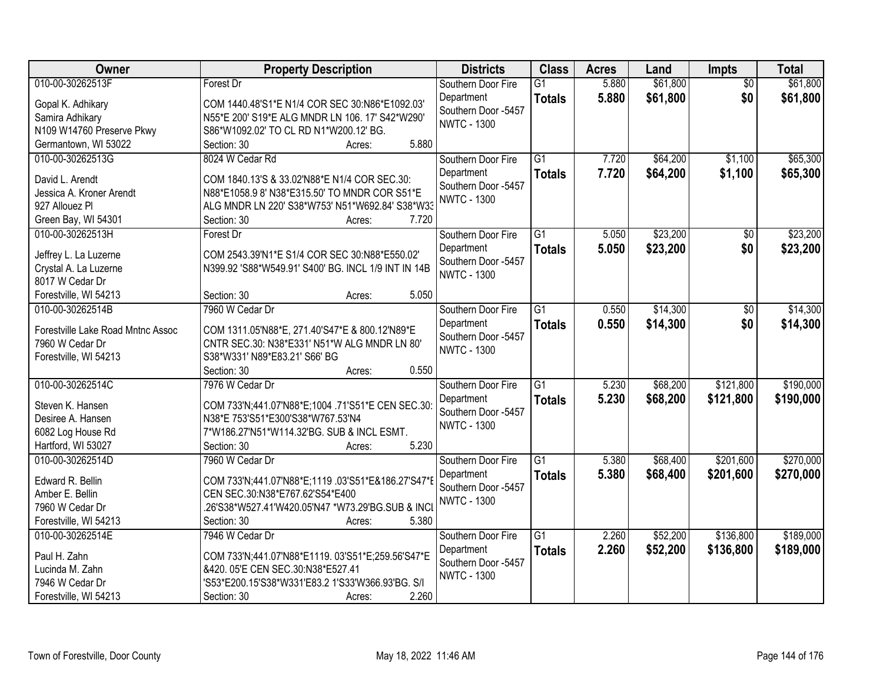| Owner                             | <b>Property Description</b>                         | <b>Districts</b>                  | <b>Class</b>    | <b>Acres</b> | Land     | <b>Impts</b>    | <b>Total</b> |
|-----------------------------------|-----------------------------------------------------|-----------------------------------|-----------------|--------------|----------|-----------------|--------------|
| 010-00-30262513F                  | Forest Dr                                           | Southern Door Fire                | $\overline{G1}$ | 5.880        | \$61,800 | $\overline{50}$ | \$61,800     |
| Gopal K. Adhikary                 | COM 1440.48'S1*E N1/4 COR SEC 30:N86*E1092.03'      | Department                        | <b>Totals</b>   | 5.880        | \$61,800 | \$0             | \$61,800     |
| Samira Adhikary                   | N55*E 200' S19*E ALG MNDR LN 106. 17' S42*W290'     | Southern Door -5457               |                 |              |          |                 |              |
| N109 W14760 Preserve Pkwy         | S86*W1092.02' TO CL RD N1*W200.12' BG.              | <b>NWTC - 1300</b>                |                 |              |          |                 |              |
| Germantown, WI 53022              | 5.880<br>Section: 30<br>Acres:                      |                                   |                 |              |          |                 |              |
| 010-00-30262513G                  | 8024 W Cedar Rd                                     | Southern Door Fire                | $\overline{G1}$ | 7.720        | \$64,200 | \$1,100         | \$65,300     |
|                                   |                                                     | Department                        | <b>Totals</b>   | 7.720        | \$64,200 | \$1,100         | \$65,300     |
| David L. Arendt                   | COM 1840.13'S & 33.02'N88*E N1/4 COR SEC.30:        | Southern Door -5457               |                 |              |          |                 |              |
| Jessica A. Kroner Arendt          | N88*E1058.9 8' N38*E315.50' TO MNDR COR S51*E       | <b>NWTC - 1300</b>                |                 |              |          |                 |              |
| 927 Allouez Pl                    | ALG MNDR LN 220' S38*W753' N51*W692.84' S38*W33     |                                   |                 |              |          |                 |              |
| Green Bay, WI 54301               | 7.720<br>Section: 30<br>Acres:                      |                                   |                 |              |          |                 |              |
| 010-00-30262513H                  | Forest Dr                                           | Southern Door Fire                | $\overline{G1}$ | 5.050        | \$23,200 | $\overline{50}$ | \$23,200     |
| Jeffrey L. La Luzerne             | COM 2543.39'N1*E S1/4 COR SEC 30:N88*E550.02'       | Department                        | <b>Totals</b>   | 5.050        | \$23,200 | \$0             | \$23,200     |
| Crystal A. La Luzerne             | N399.92 'S88*W549.91' S400' BG. INCL 1/9 INT IN 14B | Southern Door -5457               |                 |              |          |                 |              |
| 8017 W Cedar Dr                   |                                                     | <b>NWTC - 1300</b>                |                 |              |          |                 |              |
| Forestville, WI 54213             | 5.050<br>Section: 30<br>Acres:                      |                                   |                 |              |          |                 |              |
| 010-00-30262514B                  | 7960 W Cedar Dr                                     | Southern Door Fire                | $\overline{G1}$ | 0.550        | \$14,300 | \$0             | \$14,300     |
|                                   |                                                     | Department                        | <b>Totals</b>   | 0.550        | \$14,300 | \$0             | \$14,300     |
| Forestville Lake Road Mntnc Assoc | COM 1311.05'N88*E, 271.40'S47*E & 800.12'N89*E      | Southern Door -5457               |                 |              |          |                 |              |
| 7960 W Cedar Dr                   | CNTR SEC.30: N38*E331' N51*W ALG MNDR LN 80'        | <b>NWTC - 1300</b>                |                 |              |          |                 |              |
| Forestville, WI 54213             | S38*W331' N89*E83.21' S66' BG                       |                                   |                 |              |          |                 |              |
|                                   | 0.550<br>Section: 30<br>Acres:                      |                                   |                 |              |          |                 |              |
| 010-00-30262514C                  | 7976 W Cedar Dr                                     | Southern Door Fire                | $\overline{G1}$ | 5.230        | \$68,200 | \$121,800       | \$190,000    |
| Steven K. Hansen                  | COM 733'N;441.07'N88*E;1004 .71'S51*E CEN SEC.30:   | Department                        | <b>Totals</b>   | 5.230        | \$68,200 | \$121,800       | \$190,000    |
| Desiree A. Hansen                 | N38*E 753'S51*E300'S38*W767.53'N4                   | Southern Door -5457               |                 |              |          |                 |              |
| 6082 Log House Rd                 | 7*W186.27'N51*W114.32'BG. SUB & INCL ESMT.          | <b>NWTC - 1300</b>                |                 |              |          |                 |              |
| Hartford, WI 53027                | 5.230<br>Section: 30<br>Acres:                      |                                   |                 |              |          |                 |              |
| 010-00-30262514D                  | 7960 W Cedar Dr                                     | Southern Door Fire                | $\overline{G1}$ | 5.380        | \$68,400 | \$201,600       | \$270,000    |
|                                   |                                                     |                                   |                 | 5.380        |          |                 |              |
| Edward R. Bellin                  | COM 733'N;441.07'N88*E;1119.03'S51*E&186.27'S47*I   | Department<br>Southern Door -5457 | <b>Totals</b>   |              | \$68,400 | \$201,600       | \$270,000    |
| Amber E. Bellin                   | CEN SEC.30:N38*E767.62'S54*E400                     | <b>NWTC - 1300</b>                |                 |              |          |                 |              |
| 7960 W Cedar Dr                   |                                                     |                                   |                 |              |          |                 |              |
| Forestville, WI 54213             | 5.380<br>Section: 30<br>Acres:                      |                                   |                 |              |          |                 |              |
| 010-00-30262514E                  | 7946 W Cedar Dr                                     | Southern Door Fire                | $\overline{G1}$ | 2.260        | \$52,200 | \$136,800       | \$189,000    |
|                                   |                                                     | Department                        | <b>Totals</b>   | 2.260        | \$52,200 | \$136,800       | \$189,000    |
| Paul H. Zahn                      | COM 733'N;441.07'N88*E1119. 03'S51*E;259.56'S47*E   | Southern Door -5457               |                 |              |          |                 |              |
| Lucinda M. Zahn                   | &420. 05'E CEN SEC.30:N38*E527.41                   | <b>NWTC - 1300</b>                |                 |              |          |                 |              |
| 7946 W Cedar Dr                   | 'S53*E200.15'S38*W331'E83.2 1'S33'W366.93'BG. S/I   |                                   |                 |              |          |                 |              |
| Forestville, WI 54213             | 2.260<br>Section: 30<br>Acres:                      |                                   |                 |              |          |                 |              |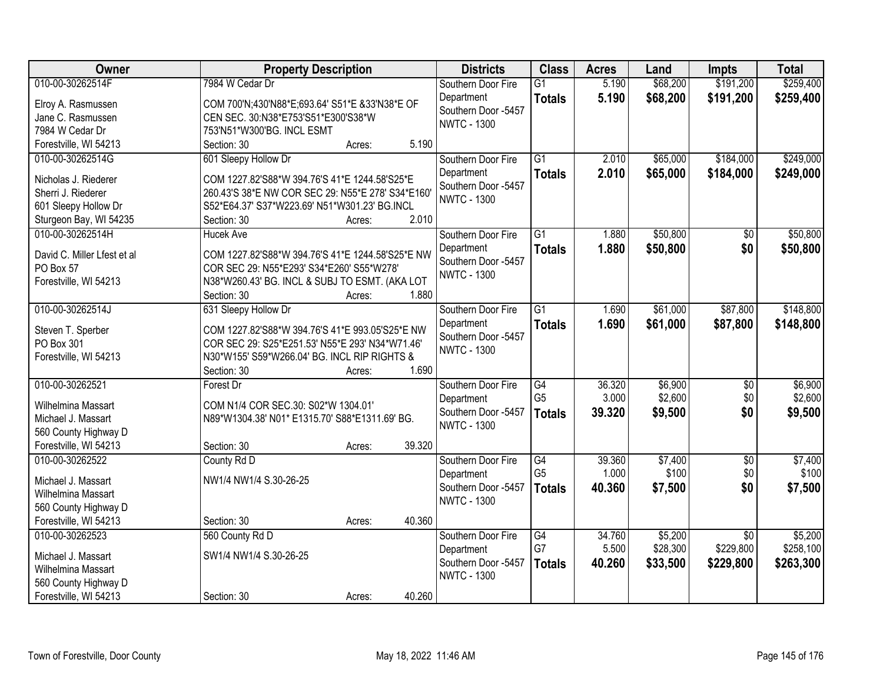| Owner                                         | <b>Property Description</b>                       | <b>Districts</b>                          | <b>Class</b>    | <b>Acres</b> | Land     | <b>Impts</b>    | <b>Total</b> |
|-----------------------------------------------|---------------------------------------------------|-------------------------------------------|-----------------|--------------|----------|-----------------|--------------|
| 010-00-30262514F                              | 7984 W Cedar Dr                                   | Southern Door Fire                        | $\overline{G1}$ | 5.190        | \$68,200 | \$191,200       | \$259,400    |
| Elroy A. Rasmussen                            | COM 700'N;430'N88*E;693.64' S51*E &33'N38*E OF    | Department                                | <b>Totals</b>   | 5.190        | \$68,200 | \$191,200       | \$259,400    |
| Jane C. Rasmussen                             | CEN SEC. 30:N38*E753'S51*E300'S38*W               | Southern Door -5457                       |                 |              |          |                 |              |
| 7984 W Cedar Dr                               | 753'N51*W300'BG. INCL ESMT                        | <b>NWTC - 1300</b>                        |                 |              |          |                 |              |
| Forestville, WI 54213                         | 5.190<br>Section: 30<br>Acres:                    |                                           |                 |              |          |                 |              |
| 010-00-30262514G                              | 601 Sleepy Hollow Dr                              | Southern Door Fire                        | $\overline{G1}$ | 2.010        | \$65,000 | \$184,000       | \$249,000    |
|                                               |                                                   | Department                                | <b>Totals</b>   | 2.010        | \$65,000 | \$184,000       | \$249,000    |
| Nicholas J. Riederer                          | COM 1227.82'S88*W 394.76'S 41*E 1244.58'S25*E     | Southern Door -5457                       |                 |              |          |                 |              |
| Sherri J. Riederer                            | 260.43'S 38*E NW COR SEC 29: N55*E 278' S34*E160' | <b>NWTC - 1300</b>                        |                 |              |          |                 |              |
| 601 Sleepy Hollow Dr                          | S52*E64.37' S37*W223.69' N51*W301.23' BG.INCL     |                                           |                 |              |          |                 |              |
| Sturgeon Bay, WI 54235                        | 2.010<br>Section: 30<br>Acres:                    |                                           |                 |              |          |                 |              |
| 010-00-30262514H                              | <b>Hucek Ave</b>                                  | Southern Door Fire                        | $\overline{G1}$ | 1.880        | \$50,800 | $\overline{50}$ | \$50,800     |
| David C. Miller Lfest et al                   | COM 1227.82'S88*W 394.76'S 41*E 1244.58'S25*E NW  | Department                                | <b>Totals</b>   | 1.880        | \$50,800 | \$0             | \$50,800     |
| PO Box 57                                     | COR SEC 29: N55*E293' S34*E260' S55*W278'         | Southern Door -5457<br><b>NWTC - 1300</b> |                 |              |          |                 |              |
| Forestville, WI 54213                         | N38*W260.43' BG. INCL & SUBJ TO ESMT. (AKA LOT    |                                           |                 |              |          |                 |              |
|                                               | Section: 30<br>1.880<br>Acres:                    |                                           |                 |              |          |                 |              |
| 010-00-30262514J                              | 631 Sleepy Hollow Dr                              | Southern Door Fire                        | $\overline{G1}$ | 1.690        | \$61,000 | \$87,800        | \$148,800    |
|                                               | COM 1227.82'S88*W 394.76'S 41*E 993.05'S25*E NW   | Department                                | <b>Totals</b>   | 1.690        | \$61,000 | \$87,800        | \$148,800    |
| Steven T. Sperber<br>PO Box 301               | COR SEC 29: S25*E251.53' N55*E 293' N34*W71.46'   | Southern Door -5457                       |                 |              |          |                 |              |
| Forestville, WI 54213                         | N30*W155' S59*W266.04' BG. INCL RIP RIGHTS &      | <b>NWTC - 1300</b>                        |                 |              |          |                 |              |
|                                               | 1.690<br>Section: 30<br>Acres:                    |                                           |                 |              |          |                 |              |
| 010-00-30262521                               | Forest Dr                                         | Southern Door Fire                        | $\overline{G4}$ | 36.320       | \$6,900  | $\overline{50}$ | \$6,900      |
|                                               |                                                   | Department                                | G <sub>5</sub>  | 3.000        | \$2,600  | \$0             | \$2,600      |
| Wilhelmina Massart                            | COM N1/4 COR SEC.30: S02*W 1304.01'               | Southern Door -5457                       | <b>Totals</b>   | 39.320       | \$9,500  | \$0             | \$9,500      |
| Michael J. Massart                            | N89*W1304.38' N01* E1315.70' S88*E1311.69' BG.    | <b>NWTC - 1300</b>                        |                 |              |          |                 |              |
| 560 County Highway D                          |                                                   |                                           |                 |              |          |                 |              |
| Forestville, WI 54213                         | 39.320<br>Section: 30<br>Acres:                   |                                           |                 |              |          |                 |              |
| 010-00-30262522                               | County Rd D                                       | Southern Door Fire                        | G4              | 39.360       | \$7,400  | $\overline{50}$ | \$7,400      |
| Michael J. Massart                            | NW1/4 NW1/4 S.30-26-25                            | Department                                | G <sub>5</sub>  | 1.000        | \$100    | \$0             | \$100        |
| Wilhelmina Massart                            |                                                   | Southern Door -5457                       | <b>Totals</b>   | 40.360       | \$7,500  | \$0             | \$7,500      |
| 560 County Highway D                          |                                                   | <b>NWTC - 1300</b>                        |                 |              |          |                 |              |
| Forestville, WI 54213                         | 40.360<br>Section: 30<br>Acres:                   |                                           |                 |              |          |                 |              |
| 010-00-30262523                               | 560 County Rd D                                   | Southern Door Fire                        | $\overline{G4}$ | 34.760       | \$5,200  | $\overline{50}$ | \$5,200      |
|                                               |                                                   | Department                                | G7              | 5.500        | \$28,300 | \$229,800       | \$258,100    |
| Michael J. Massart                            | SW1/4 NW1/4 S.30-26-25                            | Southern Door -5457                       | <b>Totals</b>   | 40.260       | \$33,500 | \$229,800       | \$263,300    |
| Wilhelmina Massart                            |                                                   | <b>NWTC - 1300</b>                        |                 |              |          |                 |              |
| 560 County Highway D<br>Forestville, WI 54213 | 40.260<br>Section: 30                             |                                           |                 |              |          |                 |              |
|                                               | Acres:                                            |                                           |                 |              |          |                 |              |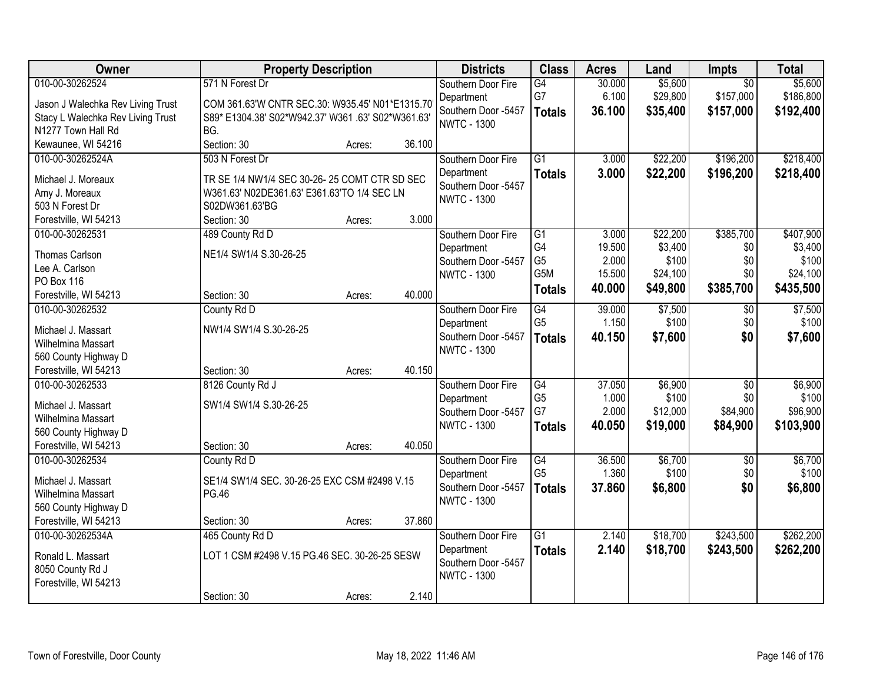| Owner                                     | <b>Property Description</b>                       |        |        | <b>Districts</b>    | <b>Class</b>         | <b>Acres</b> | Land     | Impts           | <b>Total</b> |
|-------------------------------------------|---------------------------------------------------|--------|--------|---------------------|----------------------|--------------|----------|-----------------|--------------|
| 010-00-30262524                           | 571 N Forest Dr                                   |        |        | Southern Door Fire  | G4                   | 30.000       | \$5,600  | $\overline{50}$ | \$5,600      |
| Jason J Walechka Rev Living Trust         | COM 361.63'W CNTR SEC.30: W935.45' N01*E1315.70   |        |        | Department          | G7                   | 6.100        | \$29,800 | \$157,000       | \$186,800    |
| Stacy L Walechka Rev Living Trust         | S89* E1304.38' S02*W942.37' W361.63' S02*W361.63' |        |        | Southern Door -5457 | <b>Totals</b>        | 36.100       | \$35,400 | \$157,000       | \$192,400    |
| N1277 Town Hall Rd                        | BG.                                               |        |        | <b>NWTC - 1300</b>  |                      |              |          |                 |              |
| Kewaunee, WI 54216                        | Section: 30                                       | Acres: | 36.100 |                     |                      |              |          |                 |              |
| 010-00-30262524A                          | 503 N Forest Dr                                   |        |        | Southern Door Fire  | $\overline{G1}$      | 3.000        | \$22,200 | \$196,200       | \$218,400    |
| Michael J. Moreaux                        | TR SE 1/4 NW1/4 SEC 30-26-25 COMT CTR SD SEC      |        |        | Department          | <b>Totals</b>        | 3.000        | \$22,200 | \$196,200       | \$218,400    |
| Amy J. Moreaux                            | W361.63' N02DE361.63' E361.63'TO 1/4 SEC LN       |        |        | Southern Door -5457 |                      |              |          |                 |              |
| 503 N Forest Dr                           | S02DW361.63'BG                                    |        |        | <b>NWTC - 1300</b>  |                      |              |          |                 |              |
| Forestville, WI 54213                     | Section: 30                                       | Acres: | 3.000  |                     |                      |              |          |                 |              |
| 010-00-30262531                           | 489 County Rd D                                   |        |        | Southern Door Fire  | $\overline{G1}$      | 3.000        | \$22,200 | \$385,700       | \$407,900    |
|                                           |                                                   |        |        | Department          | G4                   | 19.500       | \$3,400  | \$0             | \$3,400      |
| <b>Thomas Carlson</b>                     | NE1/4 SW1/4 S.30-26-25                            |        |        | Southern Door -5457 | G <sub>5</sub>       | 2.000        | \$100    | \$0             | \$100        |
| Lee A. Carlson<br><b>PO Box 116</b>       |                                                   |        |        | <b>NWTC - 1300</b>  | G5M                  | 15.500       | \$24,100 | \$0             | \$24,100     |
| Forestville, WI 54213                     | Section: 30                                       | Acres: | 40.000 |                     | <b>Totals</b>        | 40.000       | \$49,800 | \$385,700       | \$435,500    |
| 010-00-30262532                           | County Rd D                                       |        |        | Southern Door Fire  | G4                   | 39.000       | \$7,500  | \$0             | \$7,500      |
|                                           |                                                   |        |        | Department          | G <sub>5</sub>       | 1.150        | \$100    | \$0             | \$100        |
| Michael J. Massart                        | NW1/4 SW1/4 S.30-26-25                            |        |        | Southern Door -5457 | <b>Totals</b>        | 40.150       | \$7,600  | \$0             | \$7,600      |
| Wilhelmina Massart                        |                                                   |        |        | <b>NWTC - 1300</b>  |                      |              |          |                 |              |
| 560 County Highway D                      |                                                   |        |        |                     |                      |              |          |                 |              |
| Forestville, WI 54213                     | Section: 30                                       | Acres: | 40.150 |                     |                      |              |          |                 |              |
| 010-00-30262533                           | 8126 County Rd J                                  |        |        | Southern Door Fire  | $\overline{G4}$      | 37.050       | \$6,900  | $\overline{50}$ | \$6,900      |
| Michael J. Massart                        | SW1/4 SW1/4 S.30-26-25                            |        |        | Department          | G <sub>5</sub><br>G7 | 1.000        | \$100    | \$0             | \$100        |
| Wilhelmina Massart                        |                                                   |        |        | Southern Door -5457 |                      | 2.000        | \$12,000 | \$84,900        | \$96,900     |
| 560 County Highway D                      |                                                   |        |        | <b>NWTC - 1300</b>  | <b>Totals</b>        | 40.050       | \$19,000 | \$84,900        | \$103,900    |
| Forestville, WI 54213                     | Section: 30                                       | Acres: | 40.050 |                     |                      |              |          |                 |              |
| 010-00-30262534                           | County Rd D                                       |        |        | Southern Door Fire  | G4                   | 36.500       | \$6,700  | $\sqrt{6}$      | \$6,700      |
| Michael J. Massart                        | SE1/4 SW1/4 SEC. 30-26-25 EXC CSM #2498 V.15      |        |        | Department          | G <sub>5</sub>       | 1.360        | \$100    | \$0             | \$100        |
| Wilhelmina Massart                        | PG.46                                             |        |        | Southern Door -5457 | <b>Totals</b>        | 37.860       | \$6,800  | \$0             | \$6,800      |
| 560 County Highway D                      |                                                   |        |        | <b>NWTC - 1300</b>  |                      |              |          |                 |              |
| Forestville, WI 54213                     | Section: 30                                       | Acres: | 37.860 |                     |                      |              |          |                 |              |
| 010-00-30262534A                          | 465 County Rd D                                   |        |        | Southern Door Fire  | $\overline{G1}$      | 2.140        | \$18,700 | \$243,500       | \$262,200    |
|                                           |                                                   |        |        | Department          | <b>Totals</b>        | 2.140        | \$18,700 | \$243,500       | \$262,200    |
| Ronald L. Massart                         | LOT 1 CSM #2498 V.15 PG.46 SEC. 30-26-25 SESW     |        |        | Southern Door -5457 |                      |              |          |                 |              |
| 8050 County Rd J<br>Forestville, WI 54213 |                                                   |        |        | <b>NWTC - 1300</b>  |                      |              |          |                 |              |
|                                           | Section: 30                                       | Acres: | 2.140  |                     |                      |              |          |                 |              |
|                                           |                                                   |        |        |                     |                      |              |          |                 |              |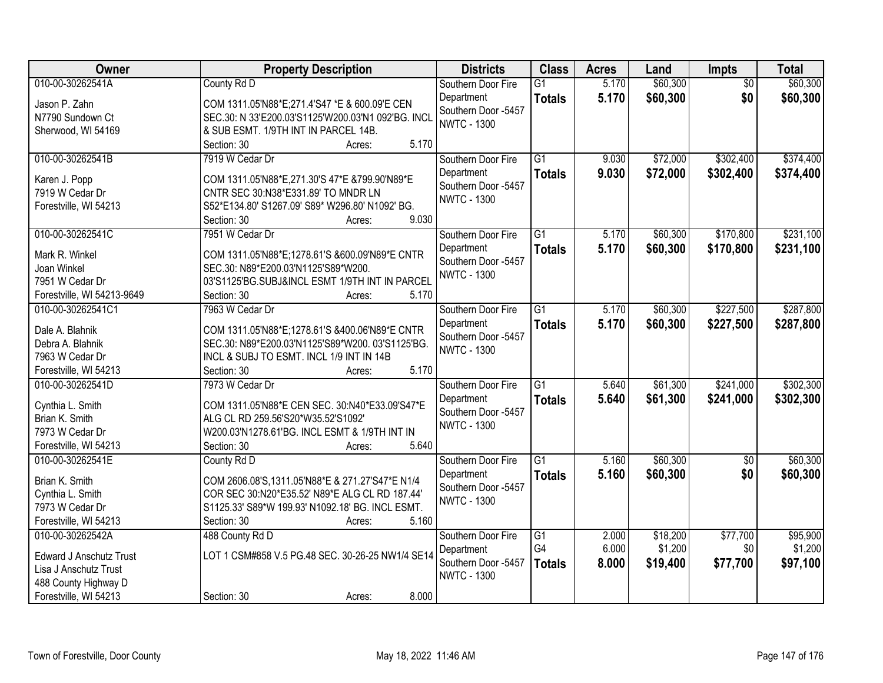| Owner                               | <b>Property Description</b>                                                                        | <b>Districts</b>                  | <b>Class</b>    | <b>Acres</b> | Land     | Impts           | <b>Total</b> |
|-------------------------------------|----------------------------------------------------------------------------------------------------|-----------------------------------|-----------------|--------------|----------|-----------------|--------------|
| 010-00-30262541A                    | County Rd D                                                                                        | Southern Door Fire                | $\overline{G1}$ | 5.170        | \$60,300 | $\overline{50}$ | \$60,300     |
| Jason P. Zahn                       | COM 1311.05'N88*E;271.4'S47 *E & 600.09'E CEN                                                      | Department                        | <b>Totals</b>   | 5.170        | \$60,300 | \$0             | \$60,300     |
| N7790 Sundown Ct                    | SEC.30: N 33'E200.03'S1125'W200.03'N1 092'BG. INCL                                                 | Southern Door -5457               |                 |              |          |                 |              |
| Sherwood, WI 54169                  | & SUB ESMT. 1/9TH INT IN PARCEL 14B.                                                               | <b>NWTC - 1300</b>                |                 |              |          |                 |              |
|                                     | 5.170<br>Section: 30<br>Acres:                                                                     |                                   |                 |              |          |                 |              |
| 010-00-30262541B                    | 7919 W Cedar Dr                                                                                    | Southern Door Fire                | $\overline{G1}$ | 9.030        | \$72,000 | \$302,400       | \$374,400    |
|                                     |                                                                                                    | Department                        | <b>Totals</b>   | 9.030        | \$72,000 | \$302,400       | \$374,400    |
| Karen J. Popp<br>7919 W Cedar Dr    | COM 1311.05'N88*E,271.30'S 47*E &799.90'N89*E<br>CNTR SEC 30:N38*E331.89' TO MNDR LN               | Southern Door -5457               |                 |              |          |                 |              |
| Forestville, WI 54213               | S52*E134.80' S1267.09' S89* W296.80' N1092' BG.                                                    | <b>NWTC - 1300</b>                |                 |              |          |                 |              |
|                                     | 9.030<br>Section: 30<br>Acres:                                                                     |                                   |                 |              |          |                 |              |
| 010-00-30262541C                    | 7951 W Cedar Dr                                                                                    | Southern Door Fire                | $\overline{G1}$ | 5.170        | \$60,300 | \$170,800       | \$231,100    |
|                                     |                                                                                                    | Department                        | <b>Totals</b>   | 5.170        | \$60,300 | \$170,800       | \$231,100    |
| Mark R. Winkel                      | COM 1311.05'N88*E;1278.61'S &600.09'N89*E CNTR                                                     | Southern Door -5457               |                 |              |          |                 |              |
| Joan Winkel                         | SEC.30: N89*E200.03'N1125'S89*W200.                                                                | <b>NWTC - 1300</b>                |                 |              |          |                 |              |
| 7951 W Cedar Dr                     | 03'S1125'BG.SUBJ&INCL ESMT 1/9TH INT IN PARCEL                                                     |                                   |                 |              |          |                 |              |
| Forestville, WI 54213-9649          | 5.170<br>Section: 30<br>Acres:                                                                     |                                   |                 |              |          |                 |              |
| 010-00-30262541C1                   | 7963 W Cedar Dr                                                                                    | Southern Door Fire                | $\overline{G1}$ | 5.170        | \$60,300 | \$227,500       | \$287,800    |
| Dale A. Blahnik                     | COM 1311.05'N88*E;1278.61'S &400.06'N89*E CNTR                                                     | Department<br>Southern Door -5457 | <b>Totals</b>   | 5.170        | \$60,300 | \$227,500       | \$287,800    |
| Debra A. Blahnik                    | SEC.30: N89*E200.03'N1125'S89*W200. 03'S1125'BG.                                                   | <b>NWTC - 1300</b>                |                 |              |          |                 |              |
| 7963 W Cedar Dr                     | INCL & SUBJ TO ESMT. INCL 1/9 INT IN 14B                                                           |                                   |                 |              |          |                 |              |
| Forestville, WI 54213               | 5.170<br>Section: 30<br>Acres:                                                                     |                                   |                 |              |          |                 |              |
| 010-00-30262541D                    | 7973 W Cedar Dr                                                                                    | Southern Door Fire                | $\overline{G1}$ | 5.640        | \$61,300 | \$241,000       | \$302,300    |
| Cynthia L. Smith                    | COM 1311.05'N88*E CEN SEC. 30:N40*E33.09'S47*E                                                     | Department                        | <b>Totals</b>   | 5.640        | \$61,300 | \$241,000       | \$302,300    |
| Brian K. Smith                      | ALG CL RD 259.56'S20*W35.52'S1092'                                                                 | Southern Door -5457               |                 |              |          |                 |              |
| 7973 W Cedar Dr                     | W200.03'N1278.61'BG. INCL ESMT & 1/9TH INT IN                                                      | <b>NWTC - 1300</b>                |                 |              |          |                 |              |
| Forestville, WI 54213               | 5.640<br>Section: 30<br>Acres:                                                                     |                                   |                 |              |          |                 |              |
| 010-00-30262541E                    | County Rd D                                                                                        | Southern Door Fire                | $\overline{G1}$ | 5.160        | \$60,300 | $\overline{50}$ | \$60,300     |
|                                     |                                                                                                    | Department                        | <b>Totals</b>   | 5.160        | \$60,300 | \$0             | \$60,300     |
| Brian K. Smith                      | COM 2606.08'S, 1311.05'N88*E & 271.27'S47*E N1/4<br>COR SEC 30:N20*E35.52' N89*E ALG CL RD 187.44' | Southern Door -5457               |                 |              |          |                 |              |
| Cynthia L. Smith<br>7973 W Cedar Dr | S1125.33' S89*W 199.93' N1092.18' BG. INCL ESMT.                                                   | <b>NWTC - 1300</b>                |                 |              |          |                 |              |
| Forestville, WI 54213               | 5.160<br>Section: 30<br>Acres:                                                                     |                                   |                 |              |          |                 |              |
| 010-00-30262542A                    | 488 County Rd D                                                                                    | Southern Door Fire                | $\overline{G1}$ | 2.000        | \$18,200 | \$77,700        | \$95,900     |
|                                     |                                                                                                    | Department                        | G4              | 6.000        | \$1,200  | \$0             | \$1,200      |
| <b>Edward J Anschutz Trust</b>      | LOT 1 CSM#858 V.5 PG.48 SEC. 30-26-25 NW1/4 SE14                                                   | Southern Door -5457               | <b>Totals</b>   | 8.000        | \$19,400 | \$77,700        | \$97,100     |
| Lisa J Anschutz Trust               |                                                                                                    | <b>NWTC - 1300</b>                |                 |              |          |                 |              |
| 488 County Highway D                |                                                                                                    |                                   |                 |              |          |                 |              |
| Forestville, WI 54213               | 8.000<br>Section: 30<br>Acres:                                                                     |                                   |                 |              |          |                 |              |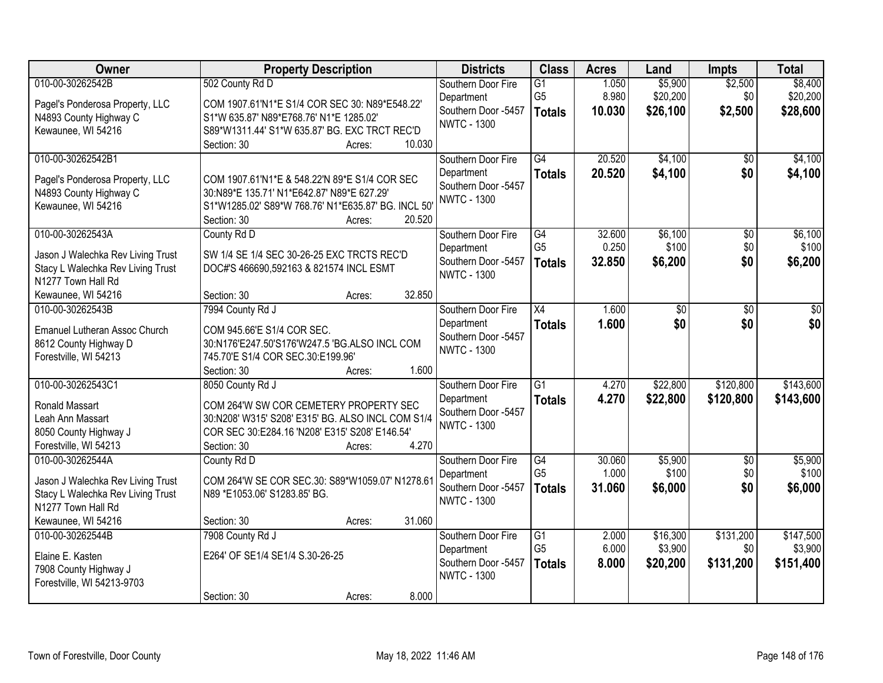| Owner                                                                                                                                  | <b>Property Description</b>                                                                                                                                                                         | <b>Districts</b>                                                              | <b>Class</b>                                       | <b>Acres</b>              | Land                            | <b>Impts</b>                  | <b>Total</b>                      |
|----------------------------------------------------------------------------------------------------------------------------------------|-----------------------------------------------------------------------------------------------------------------------------------------------------------------------------------------------------|-------------------------------------------------------------------------------|----------------------------------------------------|---------------------------|---------------------------------|-------------------------------|-----------------------------------|
| 010-00-30262542B<br>Pagel's Ponderosa Property, LLC<br>N4893 County Highway C<br>Kewaunee, WI 54216                                    | 502 County Rd D<br>COM 1907.61'N1*E S1/4 COR SEC 30: N89*E548.22'<br>S1*W 635.87' N89*E768.76' N1*E 1285.02'<br>S89*W1311.44' S1*W 635.87' BG. EXC TRCT REC'D<br>10.030<br>Section: 30<br>Acres:    | Southern Door Fire<br>Department<br>Southern Door -5457<br><b>NWTC - 1300</b> | $\overline{G1}$<br>G <sub>5</sub><br><b>Totals</b> | 1.050<br>8.980<br>10.030  | \$5,900<br>\$20,200<br>\$26,100 | \$2,500<br>\$0<br>\$2,500     | \$8,400<br>\$20,200<br>\$28,600   |
| 010-00-30262542B1<br>Pagel's Ponderosa Property, LLC<br>N4893 County Highway C<br>Kewaunee, WI 54216                                   | COM 1907.61'N1*E & 548.22'N 89*E S1/4 COR SEC<br>30:N89*E 135.71' N1*E642.87' N89*E 627.29'<br>S1*W1285.02' S89*W 768.76' N1*E635.87' BG. INCL 50'<br>20.520<br>Section: 30<br>Acres:               | Southern Door Fire<br>Department<br>Southern Door -5457<br><b>NWTC - 1300</b> | $\overline{G4}$<br><b>Totals</b>                   | 20.520<br>20.520          | \$4,100<br>\$4,100              | \$0<br>\$0                    | \$4,100<br>\$4,100                |
| 010-00-30262543A<br>Jason J Walechka Rev Living Trust<br>Stacy L Walechka Rev Living Trust<br>N1277 Town Hall Rd<br>Kewaunee, WI 54216 | County Rd D<br>SW 1/4 SE 1/4 SEC 30-26-25 EXC TRCTS REC'D<br>DOC#'S 466690,592163 & 821574 INCL ESMT<br>32.850<br>Section: 30<br>Acres:                                                             | Southern Door Fire<br>Department<br>Southern Door -5457<br><b>NWTC - 1300</b> | $\overline{G4}$<br>G <sub>5</sub><br><b>Totals</b> | 32.600<br>0.250<br>32.850 | \$6,100<br>\$100<br>\$6,200     | $\overline{50}$<br>\$0<br>\$0 | \$6,100<br>\$100<br>\$6,200       |
| 010-00-30262543B<br><b>Emanuel Lutheran Assoc Church</b><br>8612 County Highway D<br>Forestville, WI 54213                             | 7994 County Rd J<br>COM 945.66'E S1/4 COR SEC.<br>30:N176'E247.50'S176'W247.5 'BG.ALSO INCL COM<br>745.70'E S1/4 COR SEC.30:E199.96'<br>1.600<br>Section: 30<br>Acres:                              | Southern Door Fire<br>Department<br>Southern Door -5457<br><b>NWTC - 1300</b> | X4<br><b>Totals</b>                                | 1.600<br>1.600            | \$0<br>\$0                      | \$0<br>\$0                    | \$0<br>\$0                        |
| 010-00-30262543C1<br><b>Ronald Massart</b><br>Leah Ann Massart<br>8050 County Highway J<br>Forestville, WI 54213                       | 8050 County Rd J<br>COM 264'W SW COR CEMETERY PROPERTY SEC<br>30:N208' W315' S208' E315' BG. ALSO INCL COM S1/4<br>COR SEC 30:E284.16 'N208' E315' S208' E146.54'<br>4.270<br>Section: 30<br>Acres: | Southern Door Fire<br>Department<br>Southern Door -5457<br><b>NWTC - 1300</b> | $\overline{G1}$<br><b>Totals</b>                   | 4.270<br>4.270            | \$22,800<br>\$22,800            | \$120,800<br>\$120,800        | \$143,600<br>\$143,600            |
| 010-00-30262544A<br>Jason J Walechka Rev Living Trust<br>Stacy L Walechka Rev Living Trust<br>N1277 Town Hall Rd<br>Kewaunee, WI 54216 | County Rd D<br>COM 264'W SE COR SEC.30: S89*W1059.07' N1278.61<br>N89 *E1053.06' S1283.85' BG.<br>31.060<br>Section: 30<br>Acres:                                                                   | Southern Door Fire<br>Department<br>Southern Door -5457<br><b>NWTC - 1300</b> | G4<br>G <sub>5</sub><br><b>Totals</b>              | 30.060<br>1.000<br>31.060 | \$5,900<br>\$100<br>\$6,000     | $\sqrt{6}$<br>\$0<br>\$0      | \$5,900<br>\$100<br>\$6,000       |
| 010-00-30262544B<br>Elaine E. Kasten<br>7908 County Highway J<br>Forestville, WI 54213-9703                                            | 7908 County Rd J<br>E264' OF SE1/4 SE1/4 S.30-26-25<br>8.000<br>Section: 30<br>Acres:                                                                                                               | Southern Door Fire<br>Department<br>Southern Door -5457<br><b>NWTC - 1300</b> | $\overline{G1}$<br>G <sub>5</sub><br><b>Totals</b> | 2.000<br>6.000<br>8.000   | \$16,300<br>\$3,900<br>\$20,200 | \$131,200<br>\$0<br>\$131,200 | \$147,500<br>\$3,900<br>\$151,400 |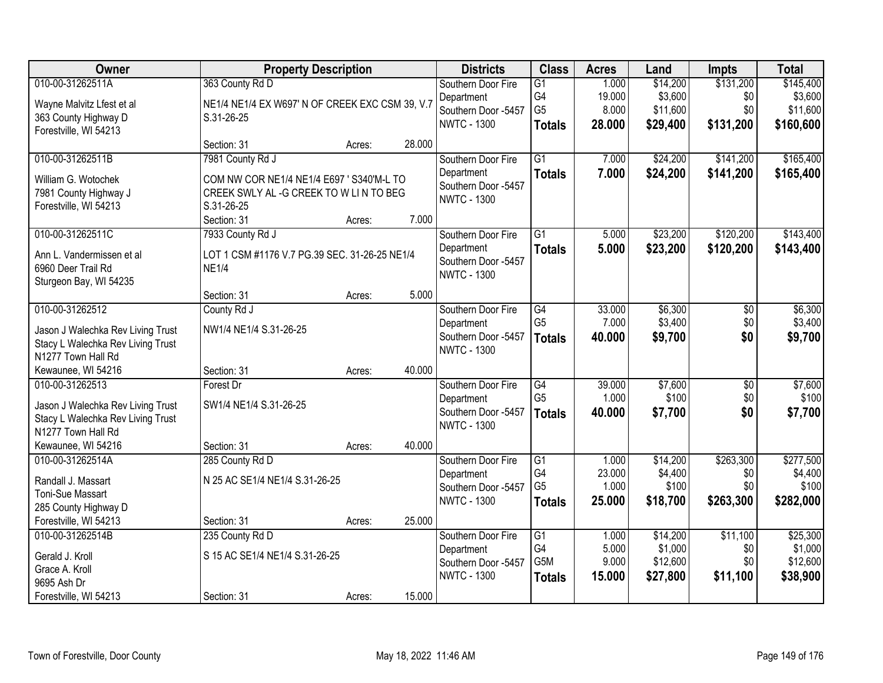| Owner                                                   | <b>Property Description</b>                     |        |        | <b>Districts</b>                          | <b>Class</b>         | <b>Acres</b>    | Land                | <b>Impts</b>           | <b>Total</b>        |
|---------------------------------------------------------|-------------------------------------------------|--------|--------|-------------------------------------------|----------------------|-----------------|---------------------|------------------------|---------------------|
| 010-00-31262511A                                        | 363 County Rd D                                 |        |        | Southern Door Fire                        | $\overline{G1}$      | 1.000           | \$14,200            | \$131,200              | \$145,400           |
| Wayne Malvitz Lfest et al                               | NE1/4 NE1/4 EX W697' N OF CREEK EXC CSM 39, V.7 |        |        | Department<br>Southern Door -5457         | G4<br>G <sub>5</sub> | 19.000<br>8.000 | \$3,600<br>\$11,600 | \$0<br>\$0             | \$3,600<br>\$11,600 |
| 363 County Highway D                                    | S.31-26-25                                      |        |        | <b>NWTC - 1300</b>                        | <b>Totals</b>        | 28.000          | \$29,400            | \$131,200              | \$160,600           |
| Forestville, WI 54213                                   |                                                 |        |        |                                           |                      |                 |                     |                        |                     |
|                                                         | Section: 31                                     | Acres: | 28.000 |                                           |                      |                 |                     |                        |                     |
| 010-00-31262511B                                        | 7981 County Rd J                                |        |        | Southern Door Fire<br>Department          | $\overline{G1}$      | 7.000<br>7.000  | \$24,200            | \$141,200<br>\$141,200 | \$165,400           |
| William G. Wotochek                                     | COM NW COR NE1/4 NE1/4 E697 ' S340'M-L TO       |        |        | Southern Door -5457                       | <b>Totals</b>        |                 | \$24,200            |                        | \$165,400           |
| 7981 County Highway J                                   | CREEK SWLY AL -G CREEK TO W LIN TO BEG          |        |        | <b>NWTC - 1300</b>                        |                      |                 |                     |                        |                     |
| Forestville, WI 54213                                   | S.31-26-25                                      |        | 7.000  |                                           |                      |                 |                     |                        |                     |
| 010-00-31262511C                                        | Section: 31<br>7933 County Rd J                 | Acres: |        | Southern Door Fire                        | G1                   | 5.000           | \$23,200            | \$120,200              | \$143,400           |
|                                                         |                                                 |        |        | Department                                | <b>Totals</b>        | 5.000           | \$23,200            | \$120,200              | \$143,400           |
| Ann L. Vandermissen et al                               | LOT 1 CSM #1176 V.7 PG.39 SEC. 31-26-25 NE1/4   |        |        | Southern Door -5457                       |                      |                 |                     |                        |                     |
| 6960 Deer Trail Rd                                      | <b>NE1/4</b>                                    |        |        | <b>NWTC - 1300</b>                        |                      |                 |                     |                        |                     |
| Sturgeon Bay, WI 54235                                  | Section: 31                                     | Acres: | 5.000  |                                           |                      |                 |                     |                        |                     |
| 010-00-31262512                                         | County Rd J                                     |        |        | Southern Door Fire                        | $\overline{G4}$      | 33.000          | \$6,300             | $\sqrt[6]{}$           | \$6,300             |
|                                                         |                                                 |        |        | Department                                | G <sub>5</sub>       | 7.000           | \$3,400             | \$0                    | \$3,400             |
| Jason J Walechka Rev Living Trust                       | NW1/4 NE1/4 S.31-26-25                          |        |        | Southern Door -5457                       | <b>Totals</b>        | 40.000          | \$9,700             | \$0                    | \$9,700             |
| Stacy L Walechka Rev Living Trust<br>N1277 Town Hall Rd |                                                 |        |        | <b>NWTC - 1300</b>                        |                      |                 |                     |                        |                     |
| Kewaunee, WI 54216                                      | Section: 31                                     | Acres: | 40.000 |                                           |                      |                 |                     |                        |                     |
| 010-00-31262513                                         | Forest Dr                                       |        |        | Southern Door Fire                        | G4                   | 39.000          | \$7,600             | $\overline{50}$        | \$7,600             |
| Jason J Walechka Rev Living Trust                       | SW1/4 NE1/4 S.31-26-25                          |        |        | Department                                | G <sub>5</sub>       | 1.000           | \$100               | \$0                    | \$100               |
| Stacy L Walechka Rev Living Trust                       |                                                 |        |        | Southern Door -5457                       | <b>Totals</b>        | 40.000          | \$7,700             | \$0                    | \$7,700             |
| N1277 Town Hall Rd                                      |                                                 |        |        | <b>NWTC - 1300</b>                        |                      |                 |                     |                        |                     |
| Kewaunee, WI 54216                                      | Section: 31                                     | Acres: | 40.000 |                                           |                      |                 |                     |                        |                     |
| 010-00-31262514A                                        | 285 County Rd D                                 |        |        | Southern Door Fire                        | $\overline{G1}$      | 1.000           | \$14,200            | \$263,300              | \$277,500           |
| Randall J. Massart                                      | N 25 AC SE1/4 NE1/4 S.31-26-25                  |        |        | Department                                | G4                   | 23.000          | \$4,400             | \$0                    | \$4,400             |
| Toni-Sue Massart                                        |                                                 |        |        | Southern Door -5457<br><b>NWTC - 1300</b> | G <sub>5</sub>       | 1.000           | \$100               | \$0                    | \$100               |
| 285 County Highway D                                    |                                                 |        |        |                                           | <b>Totals</b>        | 25.000          | \$18,700            | \$263,300              | \$282,000           |
| Forestville, WI 54213                                   | Section: 31                                     | Acres: | 25.000 |                                           |                      |                 |                     |                        |                     |
| 010-00-31262514B                                        | 235 County Rd D                                 |        |        | Southern Door Fire                        | G1                   | 1.000           | \$14,200            | \$11,100               | \$25,300            |
| Gerald J. Kroll                                         | S 15 AC SE1/4 NE1/4 S.31-26-25                  |        |        | Department<br>Southern Door -5457         | G4<br>G5M            | 5.000<br>9.000  | \$1,000<br>\$12,600 | \$0<br>\$0             | \$1,000<br>\$12,600 |
| Grace A. Kroll                                          |                                                 |        |        | <b>NWTC - 1300</b>                        | <b>Totals</b>        | 15.000          | \$27,800            | \$11,100               | \$38,900            |
| 9695 Ash Dr                                             |                                                 |        |        |                                           |                      |                 |                     |                        |                     |
| Forestville, WI 54213                                   | Section: 31                                     | Acres: | 15.000 |                                           |                      |                 |                     |                        |                     |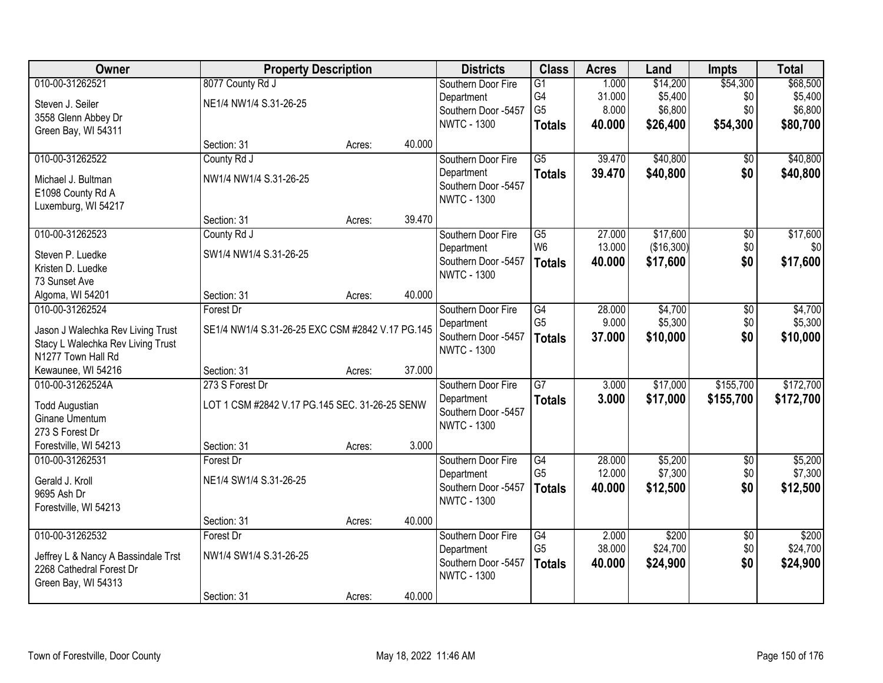| Owner                               | <b>Property Description</b>                      |        |        | <b>Districts</b>                          | <b>Class</b>    | <b>Acres</b> | Land       | <b>Impts</b>    | <b>Total</b> |
|-------------------------------------|--------------------------------------------------|--------|--------|-------------------------------------------|-----------------|--------------|------------|-----------------|--------------|
| 010-00-31262521                     | 8077 County Rd J                                 |        |        | Southern Door Fire                        | $\overline{G1}$ | 1.000        | \$14,200   | \$54,300        | \$68,500     |
| Steven J. Seiler                    | NE1/4 NW1/4 S.31-26-25                           |        |        | Department                                | G4              | 31.000       | \$5,400    | \$0             | \$5,400      |
| 3558 Glenn Abbey Dr                 |                                                  |        |        | Southern Door -5457                       | G <sub>5</sub>  | 8.000        | \$6,800    | \$0             | \$6,800      |
| Green Bay, WI 54311                 |                                                  |        |        | <b>NWTC - 1300</b>                        | <b>Totals</b>   | 40.000       | \$26,400   | \$54,300        | \$80,700     |
|                                     | Section: 31                                      | Acres: | 40.000 |                                           |                 |              |            |                 |              |
| 010-00-31262522                     | County Rd J                                      |        |        | Southern Door Fire                        | $\overline{G5}$ | 39.470       | \$40,800   | \$0             | \$40,800     |
| Michael J. Bultman                  | NW1/4 NW1/4 S.31-26-25                           |        |        | Department                                | <b>Totals</b>   | 39.470       | \$40,800   | \$0             | \$40,800     |
| E1098 County Rd A                   |                                                  |        |        | Southern Door -5457                       |                 |              |            |                 |              |
| Luxemburg, WI 54217                 |                                                  |        |        | <b>NWTC - 1300</b>                        |                 |              |            |                 |              |
|                                     | Section: 31                                      | Acres: | 39.470 |                                           |                 |              |            |                 |              |
| 010-00-31262523                     | County Rd J                                      |        |        | Southern Door Fire                        | G5              | 27.000       | \$17,600   | \$0             | \$17,600     |
| Steven P. Luedke                    | SW1/4 NW1/4 S.31-26-25                           |        |        | Department                                | W <sub>6</sub>  | 13.000       | (\$16,300) | \$0             | \$0          |
| Kristen D. Luedke                   |                                                  |        |        | Southern Door -5457                       | <b>Totals</b>   | 40.000       | \$17,600   | \$0             | \$17,600     |
| 73 Sunset Ave                       |                                                  |        |        | <b>NWTC - 1300</b>                        |                 |              |            |                 |              |
| Algoma, WI 54201                    | Section: 31                                      | Acres: | 40.000 |                                           |                 |              |            |                 |              |
| 010-00-31262524                     | Forest Dr                                        |        |        | Southern Door Fire                        | $\overline{G4}$ | 28.000       | \$4,700    | \$0             | \$4,700      |
|                                     |                                                  |        |        | Department                                | G <sub>5</sub>  | 9.000        | \$5,300    | \$0             | \$5,300      |
| Jason J Walechka Rev Living Trust   | SE1/4 NW1/4 S.31-26-25 EXC CSM #2842 V.17 PG.145 |        |        | Southern Door -5457                       | <b>Totals</b>   | 37.000       | \$10,000   | \$0             | \$10,000     |
| Stacy L Walechka Rev Living Trust   |                                                  |        |        | <b>NWTC - 1300</b>                        |                 |              |            |                 |              |
| N1277 Town Hall Rd                  |                                                  |        |        |                                           |                 |              |            |                 |              |
| Kewaunee, WI 54216                  | Section: 31                                      | Acres: | 37.000 |                                           |                 |              |            |                 |              |
| 010-00-31262524A                    | 273 S Forest Dr                                  |        |        | Southern Door Fire                        | $\overline{G7}$ | 3.000        | \$17,000   | \$155,700       | \$172,700    |
| <b>Todd Augustian</b>               | LOT 1 CSM #2842 V.17 PG.145 SEC. 31-26-25 SENW   |        |        | Department                                | <b>Totals</b>   | 3.000        | \$17,000   | \$155,700       | \$172,700    |
| Ginane Umentum                      |                                                  |        |        | Southern Door -5457<br><b>NWTC - 1300</b> |                 |              |            |                 |              |
| 273 S Forest Dr                     |                                                  |        |        |                                           |                 |              |            |                 |              |
| Forestville, WI 54213               | Section: 31                                      | Acres: | 3.000  |                                           |                 |              |            |                 |              |
| 010-00-31262531                     | Forest Dr                                        |        |        | Southern Door Fire                        | G4              | 28.000       | \$5,200    | $\overline{50}$ | \$5,200      |
| Gerald J. Kroll                     | NE1/4 SW1/4 S.31-26-25                           |        |        | Department                                | G <sub>5</sub>  | 12.000       | \$7,300    | \$0             | \$7,300      |
| 9695 Ash Dr                         |                                                  |        |        | Southern Door -5457                       | <b>Totals</b>   | 40.000       | \$12,500   | \$0             | \$12,500     |
| Forestville, WI 54213               |                                                  |        |        | <b>NWTC - 1300</b>                        |                 |              |            |                 |              |
|                                     | Section: 31                                      | Acres: | 40.000 |                                           |                 |              |            |                 |              |
| 010-00-31262532                     | Forest Dr                                        |        |        | Southern Door Fire                        | G4              | 2.000        | \$200      | $\overline{50}$ | \$200        |
| Jeffrey L & Nancy A Bassindale Trst | NW1/4 SW1/4 S.31-26-25                           |        |        | Department                                | G <sub>5</sub>  | 38.000       | \$24,700   | \$0             | \$24,700     |
| 2268 Cathedral Forest Dr            |                                                  |        |        | Southern Door -5457                       | <b>Totals</b>   | 40.000       | \$24,900   | \$0             | \$24,900     |
| Green Bay, WI 54313                 |                                                  |        |        | <b>NWTC - 1300</b>                        |                 |              |            |                 |              |
|                                     | Section: 31                                      | Acres: | 40.000 |                                           |                 |              |            |                 |              |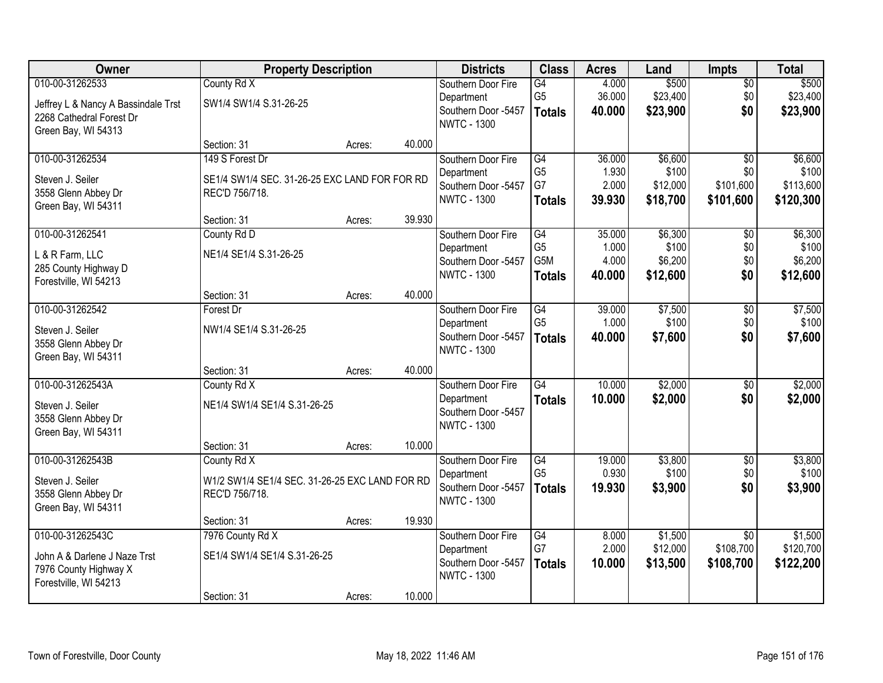| Owner                               | <b>Property Description</b>                    |        |        | <b>Districts</b>                          | <b>Class</b>    | <b>Acres</b> | Land     | <b>Impts</b>    | <b>Total</b> |
|-------------------------------------|------------------------------------------------|--------|--------|-------------------------------------------|-----------------|--------------|----------|-----------------|--------------|
| 010-00-31262533                     | County Rd X                                    |        |        | Southern Door Fire                        | $\overline{G4}$ | 4.000        | \$500    | $\overline{50}$ | \$500        |
| Jeffrey L & Nancy A Bassindale Trst | SW1/4 SW1/4 S.31-26-25                         |        |        | Department                                | G <sub>5</sub>  | 36.000       | \$23,400 | \$0             | \$23,400     |
| 2268 Cathedral Forest Dr            |                                                |        |        | Southern Door -5457<br><b>NWTC - 1300</b> | <b>Totals</b>   | 40.000       | \$23,900 | \$0             | \$23,900     |
| Green Bay, WI 54313                 |                                                |        |        |                                           |                 |              |          |                 |              |
|                                     | Section: 31                                    | Acres: | 40.000 |                                           |                 |              |          |                 |              |
| 010-00-31262534                     | 149 S Forest Dr                                |        |        | Southern Door Fire                        | G4              | 36.000       | \$6,600  | $\overline{50}$ | \$6,600      |
| Steven J. Seiler                    | SE1/4 SW1/4 SEC. 31-26-25 EXC LAND FOR FOR RD  |        |        | Department                                | G <sub>5</sub>  | 1.930        | \$100    | \$0             | \$100        |
| 3558 Glenn Abbey Dr                 | REC'D 756/718.                                 |        |        | Southern Door -5457<br><b>NWTC - 1300</b> | G7              | 2.000        | \$12,000 | \$101,600       | \$113,600    |
| Green Bay, WI 54311                 |                                                |        |        |                                           | <b>Totals</b>   | 39.930       | \$18,700 | \$101,600       | \$120,300    |
|                                     | Section: 31                                    | Acres: | 39.930 |                                           |                 |              |          |                 |              |
| 010-00-31262541                     | County Rd D                                    |        |        | Southern Door Fire                        | G4              | 35.000       | \$6,300  | $\overline{50}$ | \$6,300      |
| L & R Farm, LLC                     | NE1/4 SE1/4 S.31-26-25                         |        |        | Department                                | G <sub>5</sub>  | 1.000        | \$100    | \$0             | \$100        |
| 285 County Highway D                |                                                |        |        | Southern Door -5457<br><b>NWTC - 1300</b> | G5M             | 4.000        | \$6,200  | \$0             | \$6,200      |
| Forestville, WI 54213               |                                                |        |        |                                           | <b>Totals</b>   | 40.000       | \$12,600 | \$0             | \$12,600     |
|                                     | Section: 31                                    | Acres: | 40.000 |                                           |                 |              |          |                 |              |
| 010-00-31262542                     | Forest Dr                                      |        |        | Southern Door Fire                        | G4              | 39.000       | \$7,500  | \$0             | \$7,500      |
| Steven J. Seiler                    | NW1/4 SE1/4 S.31-26-25                         |        |        | Department                                | G <sub>5</sub>  | 1.000        | \$100    | \$0             | \$100        |
| 3558 Glenn Abbey Dr                 |                                                |        |        | Southern Door -5457<br><b>NWTC - 1300</b> | <b>Totals</b>   | 40.000       | \$7,600  | \$0             | \$7,600      |
| Green Bay, WI 54311                 |                                                |        |        |                                           |                 |              |          |                 |              |
|                                     | Section: 31                                    | Acres: | 40.000 |                                           |                 |              |          |                 |              |
| 010-00-31262543A                    | County Rd X                                    |        |        | Southern Door Fire                        | $\overline{G4}$ | 10.000       | \$2,000  | $\overline{50}$ | \$2,000      |
| Steven J. Seiler                    | NE1/4 SW1/4 SE1/4 S.31-26-25                   |        |        | Department                                | <b>Totals</b>   | 10.000       | \$2,000  | \$0             | \$2,000      |
| 3558 Glenn Abbey Dr                 |                                                |        |        | Southern Door -5457<br><b>NWTC - 1300</b> |                 |              |          |                 |              |
| Green Bay, WI 54311                 |                                                |        |        |                                           |                 |              |          |                 |              |
|                                     | Section: 31                                    | Acres: | 10.000 |                                           |                 |              |          |                 |              |
| 010-00-31262543B                    | County Rd X                                    |        |        | Southern Door Fire                        | G4              | 19.000       | \$3,800  | $\sqrt{6}$      | \$3,800      |
| Steven J. Seiler                    | W1/2 SW1/4 SE1/4 SEC. 31-26-25 EXC LAND FOR RD |        |        | Department                                | G <sub>5</sub>  | 0.930        | \$100    | \$0             | \$100        |
| 3558 Glenn Abbey Dr                 | REC'D 756/718.                                 |        |        | Southern Door -5457<br><b>NWTC - 1300</b> | <b>Totals</b>   | 19.930       | \$3,900  | \$0             | \$3,900      |
| Green Bay, WI 54311                 |                                                |        |        |                                           |                 |              |          |                 |              |
|                                     | Section: 31                                    | Acres: | 19.930 |                                           |                 |              |          |                 |              |
| 010-00-31262543C                    | 7976 County Rd X                               |        |        | Southern Door Fire                        | G4              | 8.000        | \$1,500  | $\overline{50}$ | \$1,500      |
| John A & Darlene J Naze Trst        | SE1/4 SW1/4 SE1/4 S.31-26-25                   |        |        | Department                                | G7              | 2.000        | \$12,000 | \$108,700       | \$120,700    |
| 7976 County Highway X               |                                                |        |        | Southern Door -5457<br><b>NWTC - 1300</b> | <b>Totals</b>   | 10.000       | \$13,500 | \$108,700       | \$122,200    |
| Forestville, WI 54213               |                                                |        |        |                                           |                 |              |          |                 |              |
|                                     | Section: 31                                    | Acres: | 10.000 |                                           |                 |              |          |                 |              |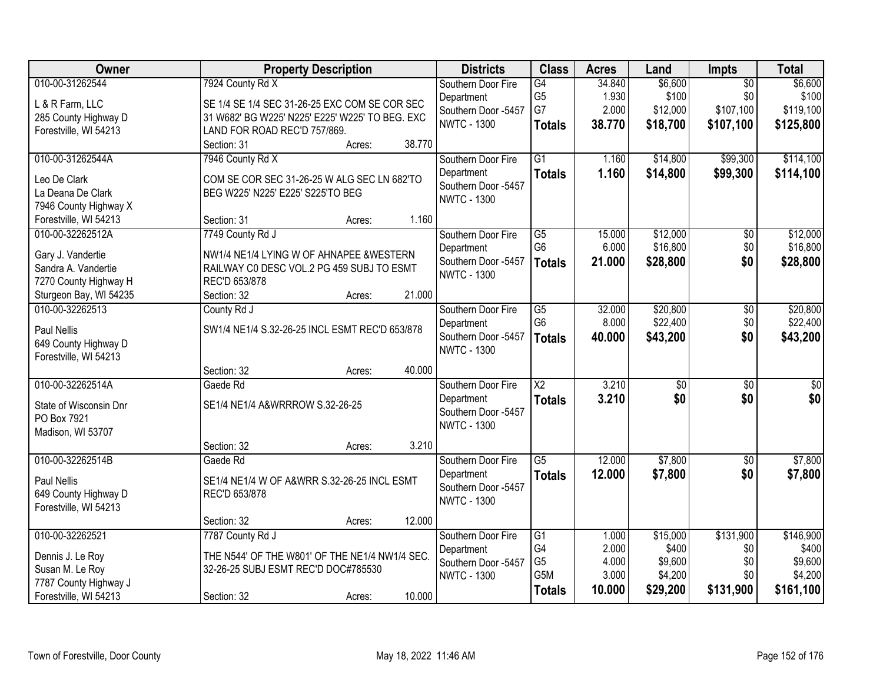| Owner                  | <b>Property Description</b>                     |        | <b>Districts</b>    | <b>Class</b>    | <b>Acres</b> | Land            | Impts           | <b>Total</b> |
|------------------------|-------------------------------------------------|--------|---------------------|-----------------|--------------|-----------------|-----------------|--------------|
| 010-00-31262544        | 7924 County Rd X                                |        | Southern Door Fire  | G4              | 34.840       | \$6,600         | $\overline{50}$ | \$6,600      |
| L & R Farm, LLC        | SE 1/4 SE 1/4 SEC 31-26-25 EXC COM SE COR SEC   |        | Department          | G <sub>5</sub>  | 1.930        | \$100           | \$0             | \$100        |
| 285 County Highway D   | 31 W682' BG W225' N225' E225' W225' TO BEG. EXC |        | Southern Door -5457 | G7              | 2.000        | \$12,000        | \$107,100       | \$119,100    |
| Forestville, WI 54213  | LAND FOR ROAD REC'D 757/869.                    |        | <b>NWTC - 1300</b>  | <b>Totals</b>   | 38.770       | \$18,700        | \$107,100       | \$125,800    |
|                        | Section: 31<br>Acres:                           | 38.770 |                     |                 |              |                 |                 |              |
| 010-00-31262544A       | 7946 County Rd X                                |        | Southern Door Fire  | $\overline{G1}$ | 1.160        | \$14,800        | \$99,300        | \$114,100    |
| Leo De Clark           | COM SE COR SEC 31-26-25 W ALG SEC LN 682'TO     |        | Department          | <b>Totals</b>   | 1.160        | \$14,800        | \$99,300        | \$114,100    |
| La Deana De Clark      | BEG W225' N225' E225' S225'TO BEG               |        | Southern Door -5457 |                 |              |                 |                 |              |
| 7946 County Highway X  |                                                 |        | <b>NWTC - 1300</b>  |                 |              |                 |                 |              |
| Forestville, WI 54213  | Section: 31<br>Acres:                           | 1.160  |                     |                 |              |                 |                 |              |
| 010-00-32262512A       | 7749 County Rd J                                |        | Southern Door Fire  | G5              | 15.000       | \$12,000        | \$0             | \$12,000     |
| Gary J. Vandertie      | NW1/4 NE1/4 LYING W OF AHNAPEE & WESTERN        |        | Department          | G <sub>6</sub>  | 6.000        | \$16,800        | \$0             | \$16,800     |
| Sandra A. Vandertie    | RAILWAY CO DESC VOL.2 PG 459 SUBJ TO ESMT       |        | Southern Door -5457 | <b>Totals</b>   | 21.000       | \$28,800        | \$0             | \$28,800     |
| 7270 County Highway H  | REC'D 653/878                                   |        | <b>NWTC - 1300</b>  |                 |              |                 |                 |              |
| Sturgeon Bay, WI 54235 | Section: 32<br>Acres:                           | 21.000 |                     |                 |              |                 |                 |              |
| 010-00-32262513        | County Rd J                                     |        | Southern Door Fire  | G5              | 32.000       | \$20,800        | \$0             | \$20,800     |
| Paul Nellis            | SW1/4 NE1/4 S.32-26-25 INCL ESMT REC'D 653/878  |        | Department          | G <sub>6</sub>  | 8.000        | \$22,400        | \$0             | \$22,400     |
| 649 County Highway D   |                                                 |        | Southern Door -5457 | <b>Totals</b>   | 40.000       | \$43,200        | \$0             | \$43,200     |
| Forestville, WI 54213  |                                                 |        | <b>NWTC - 1300</b>  |                 |              |                 |                 |              |
|                        | Section: 32<br>Acres:                           | 40.000 |                     |                 |              |                 |                 |              |
| 010-00-32262514A       | Gaede Rd                                        |        | Southern Door Fire  | $\overline{X2}$ | 3.210        | $\overline{50}$ | $\overline{30}$ | \$0          |
| State of Wisconsin Dnr | SE1/4 NE1/4 A&WRRROW S.32-26-25                 |        | Department          | <b>Totals</b>   | 3.210        | \$0             | \$0             | \$0          |
| PO Box 7921            |                                                 |        | Southern Door -5457 |                 |              |                 |                 |              |
| Madison, WI 53707      |                                                 |        | <b>NWTC - 1300</b>  |                 |              |                 |                 |              |
|                        | Section: 32<br>Acres:                           | 3.210  |                     |                 |              |                 |                 |              |
| 010-00-32262514B       | Gaede Rd                                        |        | Southern Door Fire  | $\overline{G5}$ | 12.000       | \$7,800         | $\sqrt{6}$      | \$7,800      |
| Paul Nellis            | SE1/4 NE1/4 W OF A&WRR S.32-26-25 INCL ESMT     |        | Department          | <b>Totals</b>   | 12.000       | \$7,800         | \$0             | \$7,800      |
| 649 County Highway D   | REC'D 653/878                                   |        | Southern Door -5457 |                 |              |                 |                 |              |
| Forestville, WI 54213  |                                                 |        | <b>NWTC - 1300</b>  |                 |              |                 |                 |              |
|                        | Section: 32<br>Acres:                           | 12.000 |                     |                 |              |                 |                 |              |
| 010-00-32262521        | 7787 County Rd J                                |        | Southern Door Fire  | $\overline{G1}$ | 1.000        | \$15,000        | \$131,900       | \$146,900    |
| Dennis J. Le Roy       | THE N544' OF THE W801' OF THE NE1/4 NW1/4 SEC.  |        | Department          | G <sub>4</sub>  | 2.000        | \$400           | \$0             | \$400        |
| Susan M. Le Roy        | 32-26-25 SUBJ ESMT REC'D DOC#785530             |        | Southern Door -5457 | G <sub>5</sub>  | 4.000        | \$9,600         | \$0             | \$9,600      |
| 7787 County Highway J  |                                                 |        | <b>NWTC - 1300</b>  | G5M             | 3.000        | \$4,200         | \$0             | \$4,200      |
| Forestville, WI 54213  | Section: 32<br>Acres:                           | 10.000 |                     | <b>Totals</b>   | 10.000       | \$29,200        | \$131,900       | \$161,100    |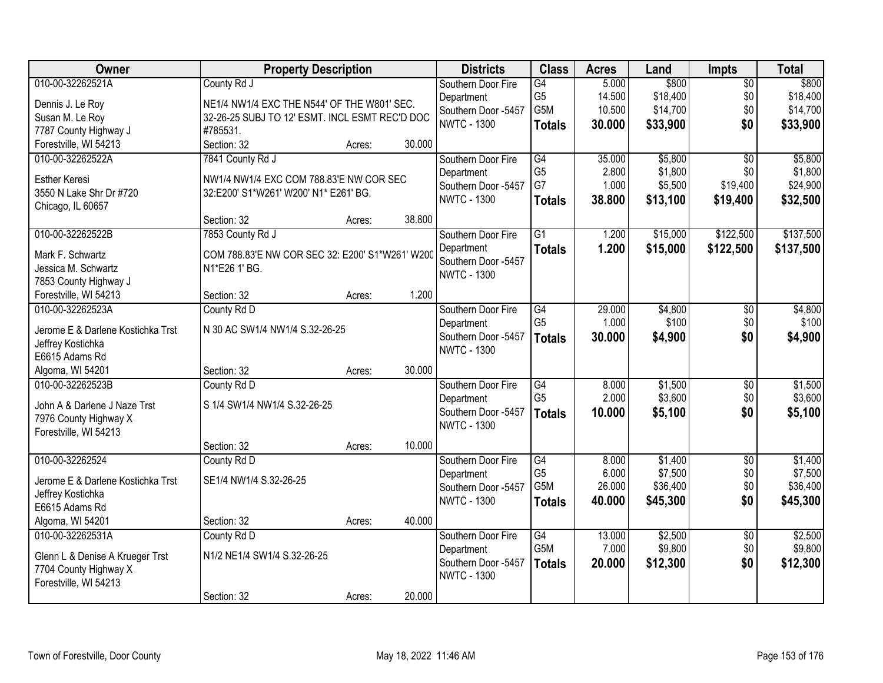| Owner                             | <b>Property Description</b>                     |        |        | <b>Districts</b>                          | <b>Class</b>           | <b>Acres</b>     | Land                 | Impts           | <b>Total</b>         |
|-----------------------------------|-------------------------------------------------|--------|--------|-------------------------------------------|------------------------|------------------|----------------------|-----------------|----------------------|
| 010-00-32262521A                  | County Rd J                                     |        |        | Southern Door Fire                        | G4                     | 5.000            | \$800                | $\overline{50}$ | \$800                |
| Dennis J. Le Roy                  | NE1/4 NW1/4 EXC THE N544' OF THE W801' SEC.     |        |        | Department                                | G <sub>5</sub><br>G5M  | 14.500<br>10.500 | \$18,400<br>\$14,700 | \$0<br>\$0      | \$18,400<br>\$14,700 |
| Susan M. Le Roy                   | 32-26-25 SUBJ TO 12' ESMT. INCL ESMT REC'D DOC  |        |        | Southern Door -5457<br><b>NWTC - 1300</b> |                        | 30.000           |                      | \$0             |                      |
| 7787 County Highway J             | #785531.                                        |        |        |                                           | <b>Totals</b>          |                  | \$33,900             |                 | \$33,900             |
| Forestville, WI 54213             | Section: 32                                     | Acres: | 30.000 |                                           |                        |                  |                      |                 |                      |
| 010-00-32262522A                  | 7841 County Rd J                                |        |        | Southern Door Fire                        | $\overline{G4}$        | 35.000           | \$5,800              | $\overline{50}$ | \$5,800              |
| Esther Keresi                     | NW1/4 NW1/4 EXC COM 788.83'E NW COR SEC         |        |        | Department                                | G <sub>5</sub>         | 2.800            | \$1,800              | \$0             | \$1,800              |
| 3550 N Lake Shr Dr #720           | 32:E200' S1*W261' W200' N1* E261' BG.           |        |        | Southern Door -5457                       | G7                     | 1.000            | \$5,500              | \$19,400        | \$24,900             |
| Chicago, IL 60657                 |                                                 |        |        | <b>NWTC - 1300</b>                        | <b>Totals</b>          | 38.800           | \$13,100             | \$19,400        | \$32,500             |
|                                   | Section: 32                                     | Acres: | 38.800 |                                           |                        |                  |                      |                 |                      |
| 010-00-32262522B                  | 7853 County Rd J                                |        |        | Southern Door Fire                        | $\overline{G1}$        | 1.200            | \$15,000             | \$122,500       | \$137,500            |
| Mark F. Schwartz                  | COM 788.83'E NW COR SEC 32: E200' S1*W261' W200 |        |        | Department                                | <b>Totals</b>          | 1.200            | \$15,000             | \$122,500       | \$137,500            |
| Jessica M. Schwartz               | N1*E26 1' BG.                                   |        |        | Southern Door -5457                       |                        |                  |                      |                 |                      |
| 7853 County Highway J             |                                                 |        |        | <b>NWTC - 1300</b>                        |                        |                  |                      |                 |                      |
| Forestville, WI 54213             | Section: 32                                     | Acres: | 1.200  |                                           |                        |                  |                      |                 |                      |
| 010-00-32262523A                  | County Rd D                                     |        |        | Southern Door Fire                        | G4                     | 29.000           | \$4,800              | \$0             | \$4,800              |
| Jerome E & Darlene Kostichka Trst | N 30 AC SW1/4 NW1/4 S.32-26-25                  |        |        | Department                                | G <sub>5</sub>         | 1.000            | \$100                | \$0             | \$100                |
| Jeffrey Kostichka                 |                                                 |        |        | Southern Door -5457                       | <b>Totals</b>          | 30.000           | \$4,900              | \$0             | \$4,900              |
| E6615 Adams Rd                    |                                                 |        |        | <b>NWTC - 1300</b>                        |                        |                  |                      |                 |                      |
| Algoma, WI 54201                  | Section: 32                                     | Acres: | 30.000 |                                           |                        |                  |                      |                 |                      |
| 010-00-32262523B                  | County Rd D                                     |        |        | Southern Door Fire                        | $\overline{G4}$        | 8.000            | \$1,500              | $\overline{50}$ | \$1,500              |
|                                   |                                                 |        |        | Department                                | G <sub>5</sub>         | 2.000            | \$3,600              | \$0             | \$3,600              |
| John A & Darlene J Naze Trst      | S 1/4 SW1/4 NW1/4 S.32-26-25                    |        |        | Southern Door -5457                       | <b>Totals</b>          | 10.000           | \$5,100              | \$0             | \$5,100              |
| 7976 County Highway X             |                                                 |        |        | <b>NWTC - 1300</b>                        |                        |                  |                      |                 |                      |
| Forestville, WI 54213             | Section: 32                                     | Acres: | 10.000 |                                           |                        |                  |                      |                 |                      |
| 010-00-32262524                   | County Rd D                                     |        |        | Southern Door Fire                        | $\overline{G4}$        | 8.000            | \$1,400              | $\overline{50}$ | \$1,400              |
|                                   |                                                 |        |        | Department                                | G <sub>5</sub>         | 6.000            | \$7,500              | \$0             | \$7,500              |
| Jerome E & Darlene Kostichka Trst | SE1/4 NW1/4 S.32-26-25                          |        |        | Southern Door -5457                       | G <sub>5</sub> M       | 26.000           | \$36,400             | \$0             | \$36,400             |
| Jeffrey Kostichka                 |                                                 |        |        | <b>NWTC - 1300</b>                        | <b>Totals</b>          | 40.000           | \$45,300             | \$0             | \$45,300             |
| E6615 Adams Rd                    |                                                 |        |        |                                           |                        |                  |                      |                 |                      |
| Algoma, WI 54201                  | Section: 32                                     | Acres: | 40.000 |                                           |                        |                  |                      |                 |                      |
| 010-00-32262531A                  | County Rd D                                     |        |        | Southern Door Fire                        | G4<br>G <sub>5</sub> M | 13.000<br>7.000  | \$2,500              | $\overline{50}$ | \$2,500              |
| Glenn L & Denise A Krueger Trst   | N1/2 NE1/4 SW1/4 S.32-26-25                     |        |        | Department                                |                        |                  | \$9,800              | \$0             | \$9,800              |
| 7704 County Highway X             |                                                 |        |        | Southern Door -5457<br><b>NWTC - 1300</b> | <b>Totals</b>          | 20.000           | \$12,300             | \$0             | \$12,300             |
| Forestville, WI 54213             |                                                 |        |        |                                           |                        |                  |                      |                 |                      |
|                                   | Section: 32                                     | Acres: | 20.000 |                                           |                        |                  |                      |                 |                      |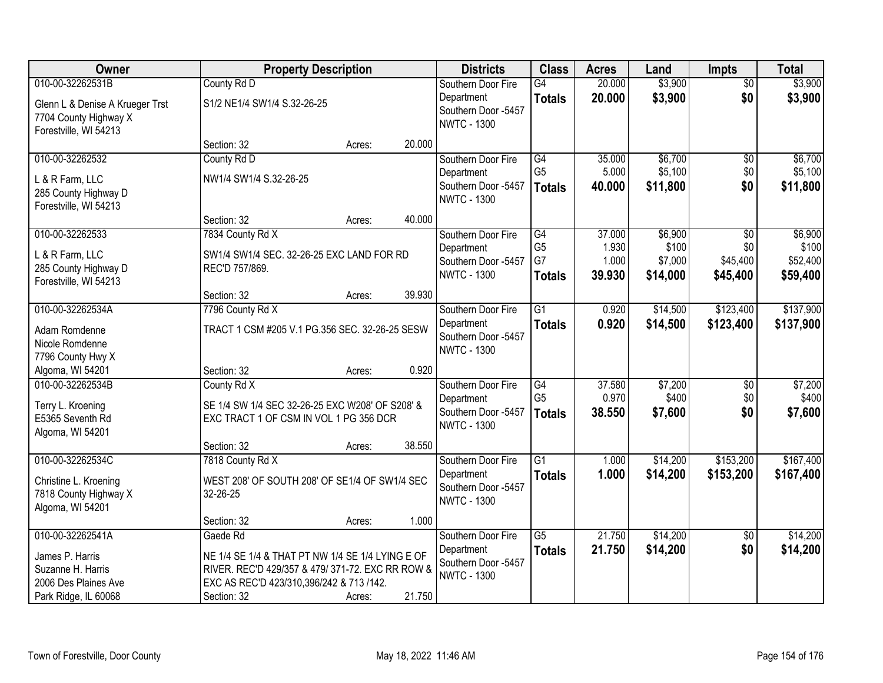| Owner                                                                             |                                                  | <b>Property Description</b> |        | <b>Districts</b>                                        | <b>Class</b>    | <b>Acres</b> | Land     | <b>Impts</b>    | <b>Total</b> |
|-----------------------------------------------------------------------------------|--------------------------------------------------|-----------------------------|--------|---------------------------------------------------------|-----------------|--------------|----------|-----------------|--------------|
| 010-00-32262531B                                                                  | County Rd D                                      |                             |        | Southern Door Fire                                      | $\overline{G4}$ | 20.000       | \$3,900  | $\overline{50}$ | \$3,900      |
| Glenn L & Denise A Krueger Trst<br>7704 County Highway X<br>Forestville, WI 54213 | S1/2 NE1/4 SW1/4 S.32-26-25                      |                             |        | Department<br>Southern Door -5457<br><b>NWTC - 1300</b> | <b>Totals</b>   | 20.000       | \$3,900  | \$0             | \$3,900      |
|                                                                                   | Section: 32                                      | Acres:                      | 20.000 |                                                         |                 |              |          |                 |              |
| 010-00-32262532                                                                   | County Rd D                                      |                             |        | Southern Door Fire                                      | G4              | 35.000       | \$6,700  | \$0             | \$6,700      |
|                                                                                   |                                                  |                             |        | Department                                              | G <sub>5</sub>  | 5.000        | \$5,100  | \$0             | \$5,100      |
| L & R Farm, LLC                                                                   | NW1/4 SW1/4 S.32-26-25                           |                             |        | Southern Door -5457                                     | <b>Totals</b>   | 40.000       | \$11,800 | \$0             | \$11,800     |
| 285 County Highway D<br>Forestville, WI 54213                                     |                                                  |                             |        | <b>NWTC - 1300</b>                                      |                 |              |          |                 |              |
|                                                                                   | Section: 32                                      | Acres:                      | 40.000 |                                                         |                 |              |          |                 |              |
| 010-00-32262533                                                                   | 7834 County Rd X                                 |                             |        | Southern Door Fire                                      | $\overline{G4}$ | 37.000       | \$6,900  | $\overline{50}$ | \$6,900      |
| L & R Farm, LLC                                                                   | SW1/4 SW1/4 SEC. 32-26-25 EXC LAND FOR RD        |                             |        | Department                                              | G <sub>5</sub>  | 1.930        | \$100    | \$0             | \$100        |
| 285 County Highway D                                                              | REC'D 757/869.                                   |                             |        | Southern Door -5457                                     | G7              | 1.000        | \$7,000  | \$45,400        | \$52,400     |
| Forestville, WI 54213                                                             |                                                  |                             |        | <b>NWTC - 1300</b>                                      | <b>Totals</b>   | 39.930       | \$14,000 | \$45,400        | \$59,400     |
|                                                                                   | Section: 32                                      | Acres:                      | 39.930 |                                                         |                 |              |          |                 |              |
| 010-00-32262534A                                                                  | 7796 County Rd X                                 |                             |        | Southern Door Fire                                      | $\overline{G1}$ | 0.920        | \$14,500 | \$123,400       | \$137,900    |
| Adam Romdenne                                                                     | TRACT 1 CSM #205 V.1 PG.356 SEC. 32-26-25 SESW   |                             |        | Department                                              | <b>Totals</b>   | 0.920        | \$14,500 | \$123,400       | \$137,900    |
| Nicole Romdenne                                                                   |                                                  |                             |        | Southern Door -5457                                     |                 |              |          |                 |              |
| 7796 County Hwy X                                                                 |                                                  |                             |        | <b>NWTC - 1300</b>                                      |                 |              |          |                 |              |
| Algoma, WI 54201                                                                  | Section: 32                                      | Acres:                      | 0.920  |                                                         |                 |              |          |                 |              |
| 010-00-32262534B                                                                  | County Rd X                                      |                             |        | Southern Door Fire                                      | G4              | 37.580       | \$7,200  | \$0             | \$7,200      |
| Terry L. Kroening                                                                 | SE 1/4 SW 1/4 SEC 32-26-25 EXC W208' OF S208' &  |                             |        | Department                                              | G <sub>5</sub>  | 0.970        | \$400    | \$0             | \$400        |
| E5365 Seventh Rd                                                                  | EXC TRACT 1 OF CSM IN VOL 1 PG 356 DCR           |                             |        | Southern Door -5457                                     | <b>Totals</b>   | 38.550       | \$7,600  | \$0             | \$7,600      |
| Algoma, WI 54201                                                                  |                                                  |                             |        | <b>NWTC - 1300</b>                                      |                 |              |          |                 |              |
|                                                                                   | Section: 32                                      | Acres:                      | 38.550 |                                                         |                 |              |          |                 |              |
| 010-00-32262534C                                                                  | 7818 County Rd X                                 |                             |        | Southern Door Fire                                      | $\overline{G1}$ | 1.000        | \$14,200 | \$153,200       | \$167,400    |
| Christine L. Kroening                                                             | WEST 208' OF SOUTH 208' OF SE1/4 OF SW1/4 SEC    |                             |        | Department                                              | <b>Totals</b>   | 1.000        | \$14,200 | \$153,200       | \$167,400    |
| 7818 County Highway X                                                             | 32-26-25                                         |                             |        | Southern Door -5457                                     |                 |              |          |                 |              |
| Algoma, WI 54201                                                                  |                                                  |                             |        | <b>NWTC - 1300</b>                                      |                 |              |          |                 |              |
|                                                                                   | Section: 32                                      | Acres:                      | 1.000  |                                                         |                 |              |          |                 |              |
| 010-00-32262541A                                                                  | Gaede Rd                                         |                             |        | Southern Door Fire                                      | $\overline{G5}$ | 21.750       | \$14,200 | \$0             | \$14,200     |
| James P. Harris                                                                   | NE 1/4 SE 1/4 & THAT PT NW 1/4 SE 1/4 LYING E OF |                             |        | Department                                              | <b>Totals</b>   | 21.750       | \$14,200 | \$0             | \$14,200     |
| Suzanne H. Harris                                                                 | RIVER. REC'D 429/357 & 479/ 371-72. EXC RR ROW & |                             |        | Southern Door -5457                                     |                 |              |          |                 |              |
| 2006 Des Plaines Ave                                                              | EXC AS REC'D 423/310,396/242 & 713 /142.         |                             |        | <b>NWTC - 1300</b>                                      |                 |              |          |                 |              |
| Park Ridge, IL 60068                                                              | Section: 32                                      | Acres:                      | 21.750 |                                                         |                 |              |          |                 |              |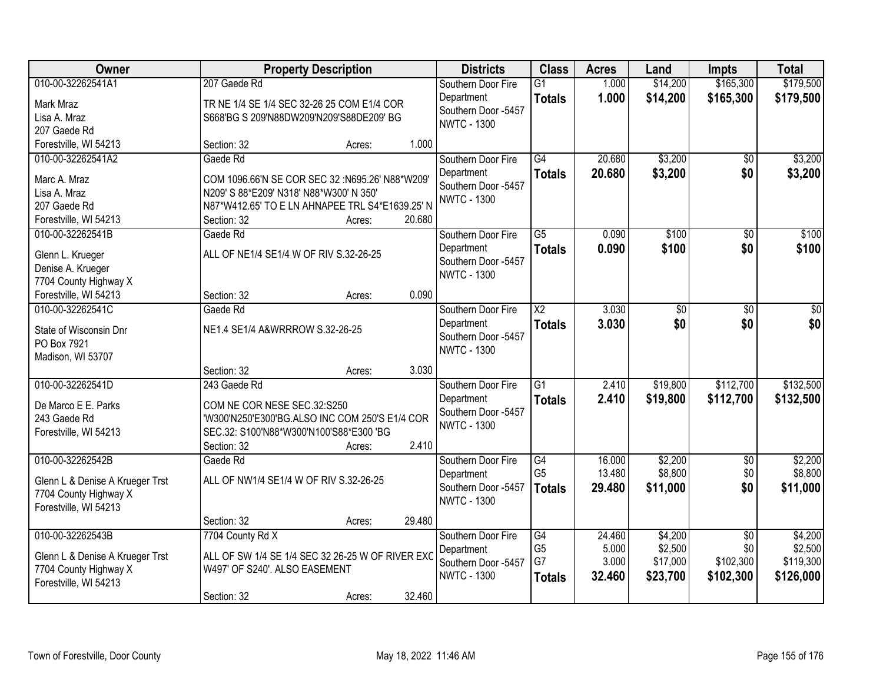| Owner                                                    | <b>Property Description</b>                                                       |        |        | <b>Districts</b>                          | <b>Class</b>    | <b>Acres</b> | Land     | <b>Impts</b>    | <b>Total</b> |
|----------------------------------------------------------|-----------------------------------------------------------------------------------|--------|--------|-------------------------------------------|-----------------|--------------|----------|-----------------|--------------|
| 010-00-32262541A1                                        | 207 Gaede Rd                                                                      |        |        | Southern Door Fire                        | $\overline{G1}$ | 1.000        | \$14,200 | \$165,300       | \$179,500    |
| Mark Mraz                                                | TR NE 1/4 SE 1/4 SEC 32-26 25 COM E1/4 COR                                        |        |        | Department                                | <b>Totals</b>   | 1.000        | \$14,200 | \$165,300       | \$179,500    |
| Lisa A. Mraz                                             | S668'BG S 209'N88DW209'N209'S88DE209' BG                                          |        |        | Southern Door -5457<br><b>NWTC - 1300</b> |                 |              |          |                 |              |
| 207 Gaede Rd                                             |                                                                                   |        |        |                                           |                 |              |          |                 |              |
| Forestville, WI 54213                                    | Section: 32                                                                       | Acres: | 1.000  |                                           |                 |              |          |                 |              |
| 010-00-32262541A2                                        | Gaede Rd                                                                          |        |        | Southern Door Fire                        | $\overline{G4}$ | 20.680       | \$3,200  | \$0             | \$3,200      |
| Marc A. Mraz                                             | COM 1096.66'N SE COR SEC 32 :N695.26' N88*W209'                                   |        |        | Department                                | <b>Totals</b>   | 20.680       | \$3,200  | \$0             | \$3,200      |
| Lisa A. Mraz                                             | N209' S 88*E209' N318' N88*W300' N 350'                                           |        |        | Southern Door -5457                       |                 |              |          |                 |              |
| 207 Gaede Rd                                             | N87*W412.65' TO E LN AHNAPEE TRL S4*E1639.25' N                                   |        |        | <b>NWTC - 1300</b>                        |                 |              |          |                 |              |
| Forestville, WI 54213                                    | Section: 32                                                                       | Acres: | 20.680 |                                           |                 |              |          |                 |              |
| 010-00-32262541B                                         | Gaede Rd                                                                          |        |        | Southern Door Fire                        | $\overline{G5}$ | 0.090        | \$100    | $\overline{50}$ | \$100        |
| Glenn L. Krueger                                         | ALL OF NE1/4 SE1/4 W OF RIV S.32-26-25                                            |        |        | Department                                | <b>Totals</b>   | 0.090        | \$100    | \$0             | \$100        |
| Denise A. Krueger                                        |                                                                                   |        |        | Southern Door -5457                       |                 |              |          |                 |              |
| 7704 County Highway X                                    |                                                                                   |        |        | <b>NWTC - 1300</b>                        |                 |              |          |                 |              |
| Forestville, WI 54213                                    | Section: 32                                                                       | Acres: | 0.090  |                                           |                 |              |          |                 |              |
| 010-00-32262541C                                         | Gaede Rd                                                                          |        |        | Southern Door Fire                        | $\overline{X2}$ | 3.030        | \$0      | \$0             | \$0          |
| State of Wisconsin Dnr                                   | NE1.4 SE1/4 A&WRRROW S.32-26-25                                                   |        |        | Department                                | <b>Totals</b>   | 3.030        | \$0      | \$0             | \$0          |
| PO Box 7921                                              |                                                                                   |        |        | Southern Door -5457                       |                 |              |          |                 |              |
| Madison, WI 53707                                        |                                                                                   |        |        | <b>NWTC - 1300</b>                        |                 |              |          |                 |              |
|                                                          | Section: 32                                                                       | Acres: | 3.030  |                                           |                 |              |          |                 |              |
| 010-00-32262541D                                         | 243 Gaede Rd                                                                      |        |        | Southern Door Fire                        | $\overline{G1}$ | 2.410        | \$19,800 | \$112,700       | \$132,500    |
| De Marco E E. Parks                                      | COM NE COR NESE SEC.32:S250                                                       |        |        | Department                                | <b>Totals</b>   | 2.410        | \$19,800 | \$112,700       | \$132,500    |
| 243 Gaede Rd                                             | 'W300'N250'E300'BG.ALSO INC COM 250'S E1/4 COR                                    |        |        | Southern Door -5457                       |                 |              |          |                 |              |
| Forestville, WI 54213                                    | SEC.32: S100'N88*W300'N100'S88*E300 'BG                                           |        |        | <b>NWTC - 1300</b>                        |                 |              |          |                 |              |
|                                                          | Section: 32                                                                       | Acres: | 2.410  |                                           |                 |              |          |                 |              |
| 010-00-32262542B                                         | Gaede Rd                                                                          |        |        | Southern Door Fire                        | G4              | 16.000       | \$2,200  | $\overline{50}$ | \$2,200      |
|                                                          | ALL OF NW1/4 SE1/4 W OF RIV S.32-26-25                                            |        |        | Department                                | G <sub>5</sub>  | 13.480       | \$8,800  | \$0             | \$8,800      |
| Glenn L & Denise A Krueger Trst<br>7704 County Highway X |                                                                                   |        |        | Southern Door -5457                       | <b>Totals</b>   | 29.480       | \$11,000 | \$0             | \$11,000     |
| Forestville, WI 54213                                    |                                                                                   |        |        | <b>NWTC - 1300</b>                        |                 |              |          |                 |              |
|                                                          | Section: 32                                                                       | Acres: | 29.480 |                                           |                 |              |          |                 |              |
| 010-00-32262543B                                         | 7704 County Rd X                                                                  |        |        | Southern Door Fire                        | G4              | 24.460       | \$4,200  | $\overline{50}$ | \$4,200      |
|                                                          |                                                                                   |        |        | Department                                | G <sub>5</sub>  | 5.000        | \$2,500  | \$0             | \$2,500      |
| Glenn L & Denise A Krueger Trst                          | ALL OF SW 1/4 SE 1/4 SEC 32 26-25 W OF RIVER EXC<br>W497' OF S240'. ALSO EASEMENT |        |        | Southern Door -5457                       | G7              | 3.000        | \$17,000 | \$102,300       | \$119,300    |
| 7704 County Highway X<br>Forestville, WI 54213           |                                                                                   |        |        | <b>NWTC - 1300</b>                        | <b>Totals</b>   | 32.460       | \$23,700 | \$102,300       | \$126,000    |
|                                                          | Section: 32                                                                       | Acres: | 32.460 |                                           |                 |              |          |                 |              |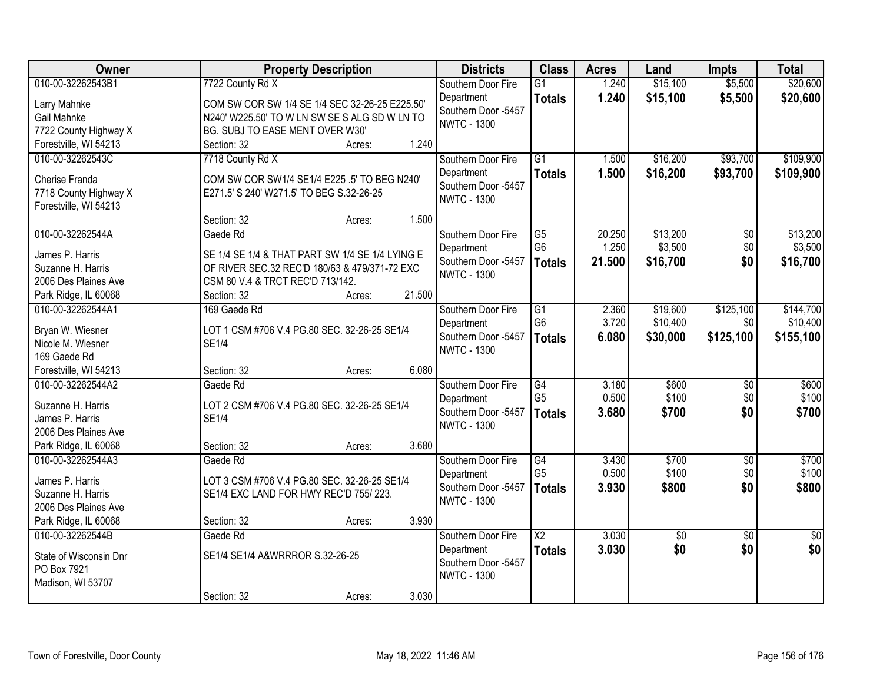| Owner                                          | <b>Property Description</b>                     |                  | <b>Districts</b>                          | <b>Class</b>           | <b>Acres</b> | Land            | <b>Impts</b>    | <b>Total</b>    |
|------------------------------------------------|-------------------------------------------------|------------------|-------------------------------------------|------------------------|--------------|-----------------|-----------------|-----------------|
| 010-00-32262543B1                              | 7722 County Rd X                                |                  | Southern Door Fire                        | $\overline{G1}$        | 1.240        | \$15,100        | \$5,500         | \$20,600        |
| Larry Mahnke                                   | COM SW COR SW 1/4 SE 1/4 SEC 32-26-25 E225.50'  |                  | Department                                | <b>Totals</b>          | 1.240        | \$15,100        | \$5,500         | \$20,600        |
| Gail Mahnke                                    | N240' W225.50' TO W LN SW SE S ALG SD W LN TO   |                  | Southern Door -5457                       |                        |              |                 |                 |                 |
| 7722 County Highway X                          | <b>BG. SUBJ TO EASE MENT OVER W30'</b>          |                  | <b>NWTC - 1300</b>                        |                        |              |                 |                 |                 |
| Forestville, WI 54213                          | Section: 32                                     | 1.240<br>Acres:  |                                           |                        |              |                 |                 |                 |
| 010-00-32262543C                               | 7718 County Rd X                                |                  | Southern Door Fire                        | $\overline{G1}$        | 1.500        | \$16,200        | \$93,700        | \$109,900       |
|                                                |                                                 |                  | Department                                | <b>Totals</b>          | 1.500        | \$16,200        | \$93,700        | \$109,900       |
| Cherise Franda                                 | COM SW COR SW1/4 SE1/4 E225 .5' TO BEG N240'    |                  | Southern Door -5457                       |                        |              |                 |                 |                 |
| 7718 County Highway X<br>Forestville, WI 54213 | E271.5' S 240' W271.5' TO BEG S.32-26-25        |                  | <b>NWTC - 1300</b>                        |                        |              |                 |                 |                 |
|                                                | Section: 32                                     | 1.500<br>Acres:  |                                           |                        |              |                 |                 |                 |
| 010-00-32262544A                               | Gaede Rd                                        |                  | Southern Door Fire                        | G5                     | 20.250       | \$13,200        | \$0             | \$13,200        |
|                                                |                                                 |                  | Department                                | G <sub>6</sub>         | 1.250        | \$3,500         | \$0             | \$3,500         |
| James P. Harris                                | SE 1/4 SE 1/4 & THAT PART SW 1/4 SE 1/4 LYING E |                  | Southern Door -5457                       | <b>Totals</b>          | 21.500       | \$16,700        | \$0             | \$16,700        |
| Suzanne H. Harris                              | OF RIVER SEC.32 REC'D 180/63 & 479/371-72 EXC   |                  | <b>NWTC - 1300</b>                        |                        |              |                 |                 |                 |
| 2006 Des Plaines Ave                           | CSM 80 V.4 & TRCT REC'D 713/142.                |                  |                                           |                        |              |                 |                 |                 |
| Park Ridge, IL 60068                           | Section: 32                                     | 21.500<br>Acres: |                                           |                        |              |                 |                 |                 |
| 010-00-32262544A1                              | 169 Gaede Rd                                    |                  | Southern Door Fire                        | $\overline{G1}$        | 2.360        | \$19,600        | \$125,100       | \$144,700       |
| Bryan W. Wiesner                               | LOT 1 CSM #706 V.4 PG.80 SEC. 32-26-25 SE1/4    |                  | Department                                | G <sub>6</sub>         | 3.720        | \$10,400        | \$0             | \$10,400        |
| Nicole M. Wiesner                              | <b>SE1/4</b>                                    |                  | Southern Door -5457<br><b>NWTC - 1300</b> | <b>Totals</b>          | 6.080        | \$30,000        | \$125,100       | \$155,100       |
| 169 Gaede Rd                                   |                                                 |                  |                                           |                        |              |                 |                 |                 |
| Forestville, WI 54213                          | Section: 32                                     | 6.080<br>Acres:  |                                           |                        |              |                 |                 |                 |
| 010-00-32262544A2                              | Gaede Rd                                        |                  | Southern Door Fire                        | $\overline{G4}$        | 3.180        | \$600           | $\overline{50}$ | \$600           |
| Suzanne H. Harris                              | LOT 2 CSM #706 V.4 PG.80 SEC. 32-26-25 SE1/4    |                  | Department                                | G <sub>5</sub>         | 0.500        | \$100           | \$0             | \$100           |
| James P. Harris                                | <b>SE1/4</b>                                    |                  | Southern Door -5457                       | <b>Totals</b>          | 3.680        | \$700           | \$0             | \$700           |
| 2006 Des Plaines Ave                           |                                                 |                  | <b>NWTC - 1300</b>                        |                        |              |                 |                 |                 |
| Park Ridge, IL 60068                           | Section: 32                                     | 3.680<br>Acres:  |                                           |                        |              |                 |                 |                 |
| 010-00-32262544A3                              | Gaede Rd                                        |                  | Southern Door Fire                        | G4                     | 3.430        | \$700           | $\overline{50}$ | \$700           |
| James P. Harris                                | LOT 3 CSM #706 V.4 PG.80 SEC. 32-26-25 SE1/4    |                  | Department                                | G <sub>5</sub>         | 0.500        | \$100           | \$0             | \$100           |
| Suzanne H. Harris                              | SE1/4 EXC LAND FOR HWY REC'D 755/223.           |                  | Southern Door -5457                       | <b>Totals</b>          | 3.930        | \$800           | \$0             | \$800           |
| 2006 Des Plaines Ave                           |                                                 |                  | <b>NWTC - 1300</b>                        |                        |              |                 |                 |                 |
| Park Ridge, IL 60068                           | Section: 32                                     | 3.930<br>Acres:  |                                           |                        |              |                 |                 |                 |
| 010-00-32262544B                               | Gaede Rd                                        |                  | Southern Door Fire                        | $\overline{\text{X2}}$ | 3.030        | $\overline{50}$ | $\overline{50}$ | $\overline{50}$ |
|                                                |                                                 |                  | Department                                | <b>Totals</b>          | 3.030        | \$0             | \$0             | \$0             |
| State of Wisconsin Dnr                         | SE1/4 SE1/4 A&WRRROR S.32-26-25                 |                  | Southern Door -5457                       |                        |              |                 |                 |                 |
| PO Box 7921                                    |                                                 |                  | <b>NWTC - 1300</b>                        |                        |              |                 |                 |                 |
| Madison, WI 53707                              |                                                 |                  |                                           |                        |              |                 |                 |                 |
|                                                | Section: 32                                     | 3.030<br>Acres:  |                                           |                        |              |                 |                 |                 |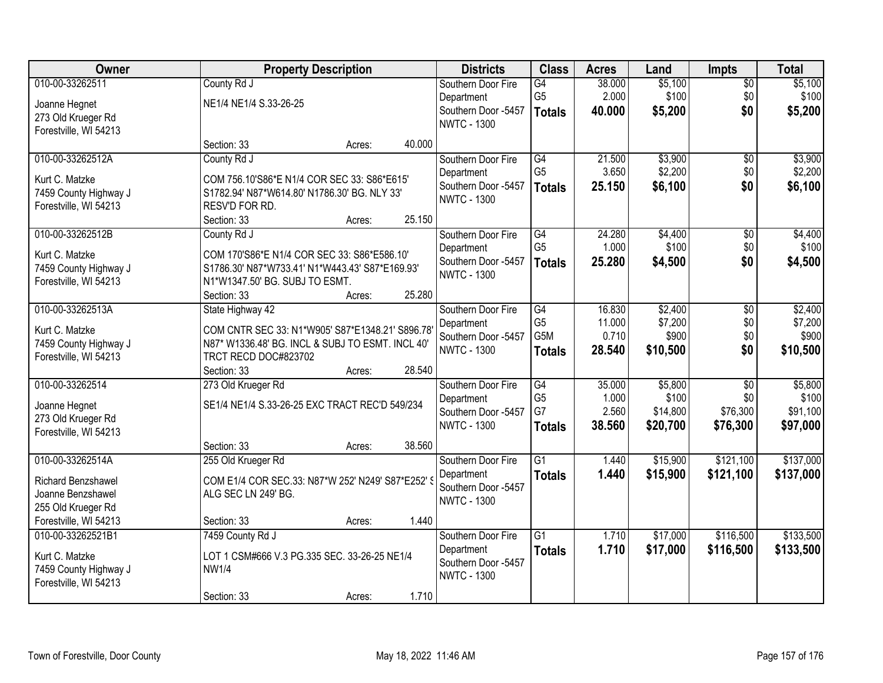| Owner                     |                                                   | <b>Property Description</b> |        |                     | <b>Class</b>    | <b>Acres</b> | Land     | <b>Impts</b>    | <b>Total</b> |
|---------------------------|---------------------------------------------------|-----------------------------|--------|---------------------|-----------------|--------------|----------|-----------------|--------------|
| 010-00-33262511           | County Rd J                                       |                             |        | Southern Door Fire  | G4              | 38.000       | \$5,100  | $\overline{50}$ | \$5,100      |
| Joanne Hegnet             | NE1/4 NE1/4 S.33-26-25                            |                             |        | Department          | G <sub>5</sub>  | 2.000        | \$100    | \$0             | \$100        |
| 273 Old Krueger Rd        |                                                   |                             |        | Southern Door -5457 | <b>Totals</b>   | 40.000       | \$5,200  | \$0             | \$5,200      |
| Forestville, WI 54213     |                                                   |                             |        | <b>NWTC - 1300</b>  |                 |              |          |                 |              |
|                           | Section: 33                                       | Acres:                      | 40.000 |                     |                 |              |          |                 |              |
| 010-00-33262512A          | County Rd J                                       |                             |        | Southern Door Fire  | $\overline{G4}$ | 21.500       | \$3,900  | $\overline{50}$ | \$3,900      |
| Kurt C. Matzke            | COM 756.10'S86*E N1/4 COR SEC 33: S86*E615'       |                             |        | Department          | G <sub>5</sub>  | 3.650        | \$2,200  | \$0             | \$2,200      |
| 7459 County Highway J     | S1782.94' N87*W614.80' N1786.30' BG. NLY 33'      |                             |        | Southern Door -5457 | <b>Totals</b>   | 25.150       | \$6,100  | \$0             | \$6,100      |
| Forestville, WI 54213     | RESV'D FOR RD.                                    |                             |        | <b>NWTC - 1300</b>  |                 |              |          |                 |              |
|                           | Section: 33                                       | Acres:                      | 25.150 |                     |                 |              |          |                 |              |
| 010-00-33262512B          | County Rd J                                       |                             |        | Southern Door Fire  | $\overline{G4}$ | 24.280       | \$4,400  | $\overline{50}$ | \$4,400      |
| Kurt C. Matzke            | COM 170'S86*E N1/4 COR SEC 33: S86*E586.10'       |                             |        | Department          | G <sub>5</sub>  | 1.000        | \$100    | \$0             | \$100        |
| 7459 County Highway J     | S1786.30' N87*W733.41' N1*W443.43' S87*E169.93'   |                             |        | Southern Door -5457 | <b>Totals</b>   | 25.280       | \$4,500  | \$0             | \$4,500      |
| Forestville, WI 54213     | N1*W1347.50' BG. SUBJ TO ESMT.                    |                             |        | <b>NWTC - 1300</b>  |                 |              |          |                 |              |
|                           | Section: 33                                       | Acres:                      | 25.280 |                     |                 |              |          |                 |              |
| 010-00-33262513A          | State Highway 42                                  |                             |        | Southern Door Fire  | $\overline{G4}$ | 16.830       | \$2,400  | \$0             | \$2,400      |
| Kurt C. Matzke            | COM CNTR SEC 33: N1*W905' S87*E1348.21' S896.78   |                             |        | Department          | G <sub>5</sub>  | 11.000       | \$7,200  | \$0             | \$7,200      |
| 7459 County Highway J     | N87* W1336.48' BG. INCL & SUBJ TO ESMT. INCL 40'  |                             |        | Southern Door -5457 | G5M             | 0.710        | \$900    | \$0             | \$900        |
| Forestville, WI 54213     | TRCT RECD DOC#823702                              |                             |        | <b>NWTC - 1300</b>  | <b>Totals</b>   | 28.540       | \$10,500 | \$0             | \$10,500     |
|                           | Section: 33                                       | Acres:                      | 28.540 |                     |                 |              |          |                 |              |
| 010-00-33262514           | 273 Old Krueger Rd                                |                             |        | Southern Door Fire  | $\overline{G4}$ | 35.000       | \$5,800  | $\overline{30}$ | \$5,800      |
| Joanne Hegnet             | SE1/4 NE1/4 S.33-26-25 EXC TRACT REC'D 549/234    |                             |        | Department          | G <sub>5</sub>  | 1.000        | \$100    | \$0             | \$100        |
| 273 Old Krueger Rd        |                                                   |                             |        | Southern Door -5457 | G7              | 2.560        | \$14,800 | \$76,300        | \$91,100     |
| Forestville, WI 54213     |                                                   |                             |        | <b>NWTC - 1300</b>  | <b>Totals</b>   | 38.560       | \$20,700 | \$76,300        | \$97,000     |
|                           | Section: 33                                       | Acres:                      | 38.560 |                     |                 |              |          |                 |              |
| 010-00-33262514A          | 255 Old Krueger Rd                                |                             |        | Southern Door Fire  | $\overline{G1}$ | 1.440        | \$15,900 | \$121,100       | \$137,000    |
| <b>Richard Benzshawel</b> | COM E1/4 COR SEC.33: N87*W 252' N249' S87*E252' S |                             |        | Department          | <b>Totals</b>   | 1.440        | \$15,900 | \$121,100       | \$137,000    |
| Joanne Benzshawel         | ALG SEC LN 249' BG.                               |                             |        | Southern Door -5457 |                 |              |          |                 |              |
| 255 Old Krueger Rd        |                                                   |                             |        | <b>NWTC - 1300</b>  |                 |              |          |                 |              |
| Forestville, WI 54213     | Section: 33                                       | Acres:                      | 1.440  |                     |                 |              |          |                 |              |
| 010-00-33262521B1         | 7459 County Rd J                                  |                             |        | Southern Door Fire  | $\overline{G1}$ | 1.710        | \$17,000 | \$116,500       | \$133,500    |
| Kurt C. Matzke            | LOT 1 CSM#666 V.3 PG.335 SEC. 33-26-25 NE1/4      |                             |        | Department          | <b>Totals</b>   | 1.710        | \$17,000 | \$116,500       | \$133,500    |
| 7459 County Highway J     | <b>NW1/4</b>                                      |                             |        | Southern Door -5457 |                 |              |          |                 |              |
| Forestville, WI 54213     |                                                   |                             |        | <b>NWTC - 1300</b>  |                 |              |          |                 |              |
|                           | Section: 33                                       | Acres:                      | 1.710  |                     |                 |              |          |                 |              |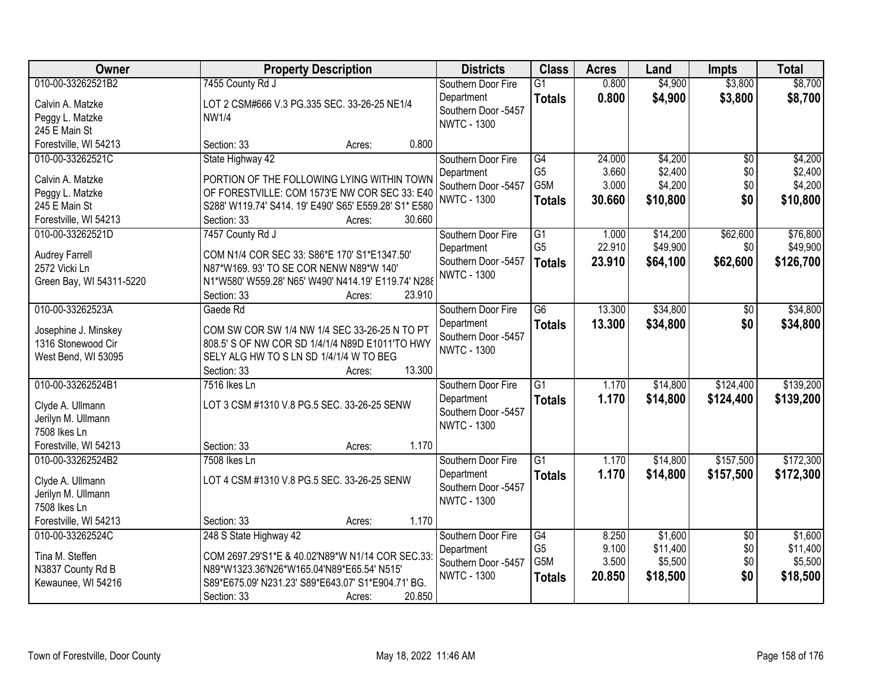| Owner                    | <b>Property Description</b>                           | <b>Districts</b>                          | <b>Class</b>    | <b>Acres</b> | Land     | <b>Impts</b>    | <b>Total</b> |
|--------------------------|-------------------------------------------------------|-------------------------------------------|-----------------|--------------|----------|-----------------|--------------|
| 010-00-33262521B2        | 7455 County Rd J                                      | Southern Door Fire                        | $\overline{G1}$ | 0.800        | \$4,900  | \$3,800         | \$8,700      |
| Calvin A. Matzke         | LOT 2 CSM#666 V.3 PG.335 SEC. 33-26-25 NE1/4          | Department                                | <b>Totals</b>   | 0.800        | \$4,900  | \$3,800         | \$8,700      |
| Peggy L. Matzke          | <b>NW1/4</b>                                          | Southern Door -5457<br><b>NWTC - 1300</b> |                 |              |          |                 |              |
| 245 E Main St            |                                                       |                                           |                 |              |          |                 |              |
| Forestville, WI 54213    | 0.800<br>Section: 33<br>Acres:                        |                                           |                 |              |          |                 |              |
| 010-00-33262521C         | State Highway 42                                      | Southern Door Fire                        | $\overline{G4}$ | 24.000       | \$4,200  | $\overline{30}$ | \$4,200      |
| Calvin A. Matzke         | PORTION OF THE FOLLOWING LYING WITHIN TOWN            | Department                                | G <sub>5</sub>  | 3.660        | \$2,400  | \$0             | \$2,400      |
| Peggy L. Matzke          | OF FORESTVILLE: COM 1573'E NW COR SEC 33: E40         | Southern Door -5457                       | G5M             | 3.000        | \$4,200  | \$0             | \$4,200      |
| 245 E Main St            | S288' W119.74' S414. 19' E490' S65' E559.28' S1* E580 | <b>NWTC - 1300</b>                        | <b>Totals</b>   | 30.660       | \$10,800 | \$0             | \$10,800     |
| Forestville, WI 54213    | 30.660<br>Section: 33<br>Acres:                       |                                           |                 |              |          |                 |              |
| 010-00-33262521D         | 7457 County Rd J                                      | Southern Door Fire                        | $\overline{G1}$ | 1.000        | \$14,200 | \$62,600        | \$76,800     |
| <b>Audrey Farrell</b>    | COM N1/4 COR SEC 33: S86*E 170' S1*E1347.50'          | Department                                | G <sub>5</sub>  | 22.910       | \$49,900 | \$0             | \$49,900     |
| 2572 Vicki Ln            | N87*W169. 93' TO SE COR NENW N89*W 140'               | Southern Door -5457                       | <b>Totals</b>   | 23.910       | \$64,100 | \$62,600        | \$126,700    |
| Green Bay, WI 54311-5220 | N1*W580' W559.28' N65' W490' N414.19' E119.74' N288   | <b>NWTC - 1300</b>                        |                 |              |          |                 |              |
|                          | 23.910<br>Section: 33<br>Acres:                       |                                           |                 |              |          |                 |              |
| 010-00-33262523A         | Gaede Rd                                              | Southern Door Fire                        | $\overline{G6}$ | 13.300       | \$34,800 | \$0             | \$34,800     |
| Josephine J. Minskey     | COM SW COR SW 1/4 NW 1/4 SEC 33-26-25 N TO PT         | Department                                | <b>Totals</b>   | 13.300       | \$34,800 | \$0             | \$34,800     |
| 1316 Stonewood Cir       | 808.5' S OF NW COR SD 1/4/1/4 N89D E1011'TO HWY       | Southern Door -5457                       |                 |              |          |                 |              |
| West Bend, WI 53095      | SELY ALG HW TO S LN SD 1/4/1/4 W TO BEG               | <b>NWTC - 1300</b>                        |                 |              |          |                 |              |
|                          | 13.300<br>Section: 33<br>Acres:                       |                                           |                 |              |          |                 |              |
| 010-00-33262524B1        | 7516 Ikes Ln                                          | Southern Door Fire                        | $\overline{G1}$ | 1.170        | \$14,800 | \$124,400       | \$139,200    |
| Clyde A. Ullmann         | LOT 3 CSM #1310 V.8 PG.5 SEC. 33-26-25 SENW           | Department                                | <b>Totals</b>   | 1.170        | \$14,800 | \$124,400       | \$139,200    |
| Jerilyn M. Ullmann       |                                                       | Southern Door -5457                       |                 |              |          |                 |              |
| 7508 Ikes Ln             |                                                       | <b>NWTC - 1300</b>                        |                 |              |          |                 |              |
| Forestville, WI 54213    | 1.170<br>Section: 33<br>Acres:                        |                                           |                 |              |          |                 |              |
| 010-00-33262524B2        | 7508 Ikes Ln                                          | Southern Door Fire                        | $\overline{G1}$ | 1.170        | \$14,800 | \$157,500       | \$172,300    |
| Clyde A. Ullmann         | LOT 4 CSM #1310 V.8 PG.5 SEC. 33-26-25 SENW           | Department                                | <b>Totals</b>   | 1.170        | \$14,800 | \$157,500       | \$172,300    |
| Jerilyn M. Ullmann       |                                                       | Southern Door -5457                       |                 |              |          |                 |              |
| 7508 Ikes Ln             |                                                       | <b>NWTC - 1300</b>                        |                 |              |          |                 |              |
| Forestville, WI 54213    | 1.170<br>Section: 33<br>Acres:                        |                                           |                 |              |          |                 |              |
| 010-00-33262524C         | 248 S State Highway 42                                | Southern Door Fire                        | $\overline{G4}$ | 8.250        | \$1,600  | $\overline{50}$ | \$1,600      |
| Tina M. Steffen          | COM 2697.29'S1*E & 40.02'N89*W N1/14 COR SEC.33:      | Department                                | G <sub>5</sub>  | 9.100        | \$11,400 | \$0             | \$11,400     |
| N3837 County Rd B        | N89*W1323.36'N26*W165.04'N89*E65.54' N515'            | Southern Door -5457                       | G5M             | 3.500        | \$5,500  | \$0             | \$5,500      |
| Kewaunee, WI 54216       | S89*E675.09' N231.23' S89*E643.07' S1*E904.71' BG.    | <b>NWTC - 1300</b>                        | <b>Totals</b>   | 20.850       | \$18,500 | \$0             | \$18,500     |
|                          | 20.850<br>Section: 33<br>Acres:                       |                                           |                 |              |          |                 |              |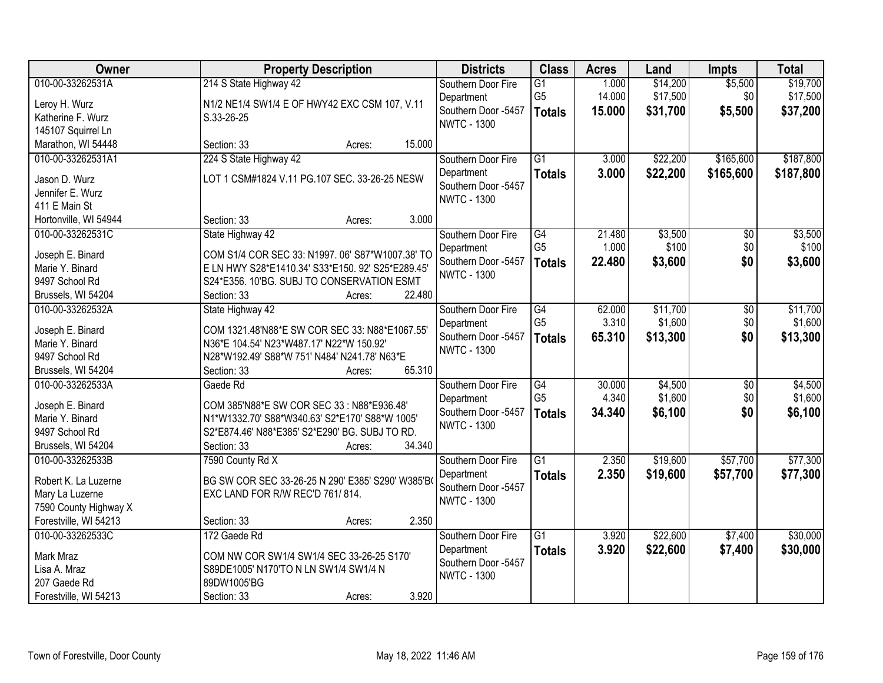| Owner                 | <b>Property Description</b>                       | <b>Districts</b>    | <b>Class</b>    | <b>Acres</b> | Land     | <b>Impts</b>    | <b>Total</b> |
|-----------------------|---------------------------------------------------|---------------------|-----------------|--------------|----------|-----------------|--------------|
| 010-00-33262531A      | 214 S State Highway 42                            | Southern Door Fire  | $\overline{G1}$ | 1.000        | \$14,200 | \$5,500         | \$19,700     |
| Leroy H. Wurz         | N1/2 NE1/4 SW1/4 E OF HWY42 EXC CSM 107, V.11     | Department          | G <sub>5</sub>  | 14.000       | \$17,500 | \$0             | \$17,500     |
| Katherine F. Wurz     | S.33-26-25                                        | Southern Door -5457 | <b>Totals</b>   | 15.000       | \$31,700 | \$5,500         | \$37,200     |
| 145107 Squirrel Ln    |                                                   | <b>NWTC - 1300</b>  |                 |              |          |                 |              |
| Marathon, WI 54448    | 15.000<br>Section: 33<br>Acres:                   |                     |                 |              |          |                 |              |
| 010-00-33262531A1     | 224 S State Highway 42                            | Southern Door Fire  | $\overline{G1}$ | 3.000        | \$22,200 | \$165,600       | \$187,800    |
|                       |                                                   | Department          | <b>Totals</b>   | 3.000        | \$22,200 | \$165,600       | \$187,800    |
| Jason D. Wurz         | LOT 1 CSM#1824 V.11 PG.107 SEC. 33-26-25 NESW     | Southern Door -5457 |                 |              |          |                 |              |
| Jennifer E. Wurz      |                                                   | <b>NWTC - 1300</b>  |                 |              |          |                 |              |
| 411 E Main St         |                                                   |                     |                 |              |          |                 |              |
| Hortonville, WI 54944 | 3.000<br>Section: 33<br>Acres:                    |                     |                 |              |          |                 |              |
| 010-00-33262531C      | State Highway 42                                  | Southern Door Fire  | $\overline{G4}$ | 21.480       | \$3,500  | $\overline{50}$ | \$3,500      |
| Joseph E. Binard      | COM S1/4 COR SEC 33: N1997. 06' S87*W1007.38' TO  | Department          | G <sub>5</sub>  | 1.000        | \$100    | \$0             | \$100        |
| Marie Y. Binard       | E LN HWY S28*E1410.34' S33*E150. 92' S25*E289.45' | Southern Door -5457 | <b>Totals</b>   | 22.480       | \$3,600  | \$0             | \$3,600      |
| 9497 School Rd        | S24*E356. 10'BG. SUBJ TO CONSERVATION ESMT        | <b>NWTC - 1300</b>  |                 |              |          |                 |              |
| Brussels, WI 54204    | 22.480<br>Section: 33<br>Acres:                   |                     |                 |              |          |                 |              |
| 010-00-33262532A      | State Highway 42                                  | Southern Door Fire  | G4              | 62.000       | \$11,700 | \$0             | \$11,700     |
|                       |                                                   | Department          | G <sub>5</sub>  | 3.310        | \$1,600  | \$0             | \$1,600      |
| Joseph E. Binard      | COM 1321.48'N88*E SW COR SEC 33: N88*E1067.55'    | Southern Door -5457 | <b>Totals</b>   | 65.310       | \$13,300 | \$0             | \$13,300     |
| Marie Y. Binard       | N36*E 104.54' N23*W487.17' N22*W 150.92'          | <b>NWTC - 1300</b>  |                 |              |          |                 |              |
| 9497 School Rd        | N28*W192.49' S88*W 751' N484' N241.78' N63*E      |                     |                 |              |          |                 |              |
| Brussels, WI 54204    | 65.310<br>Section: 33<br>Acres:                   |                     |                 |              |          |                 |              |
| 010-00-33262533A      | Gaede Rd                                          | Southern Door Fire  | G4              | 30.000       | \$4,500  | $\overline{50}$ | \$4,500      |
| Joseph E. Binard      | COM 385'N88*E SW COR SEC 33 : N88*E936.48'        | Department          | G <sub>5</sub>  | 4.340        | \$1,600  | \$0             | \$1,600      |
| Marie Y. Binard       | N1*W1332.70' S88*W340.63' S2*E170' S88*W 1005'    | Southern Door -5457 | <b>Totals</b>   | 34.340       | \$6,100  | \$0             | \$6,100      |
| 9497 School Rd        | S2*E874.46' N88*E385' S2*E290' BG. SUBJ TO RD.    | <b>NWTC - 1300</b>  |                 |              |          |                 |              |
| Brussels, WI 54204    | 34.340<br>Section: 33<br>Acres:                   |                     |                 |              |          |                 |              |
| 010-00-33262533B      | 7590 County Rd X                                  | Southern Door Fire  | $\overline{G1}$ | 2.350        | \$19,600 | \$57,700        | \$77,300     |
|                       |                                                   | Department          | <b>Totals</b>   | 2.350        | \$19,600 | \$57,700        | \$77,300     |
| Robert K. La Luzerne  | BG SW COR SEC 33-26-25 N 290' E385' S290' W385'B  | Southern Door -5457 |                 |              |          |                 |              |
| Mary La Luzerne       | EXC LAND FOR R/W REC'D 761/814.                   | <b>NWTC - 1300</b>  |                 |              |          |                 |              |
| 7590 County Highway X |                                                   |                     |                 |              |          |                 |              |
| Forestville, WI 54213 | 2.350<br>Section: 33<br>Acres:                    |                     |                 |              |          |                 |              |
| 010-00-33262533C      | 172 Gaede Rd                                      | Southern Door Fire  | $\overline{G1}$ | 3.920        | \$22,600 | \$7,400         | \$30,000     |
| Mark Mraz             | COM NW COR SW1/4 SW1/4 SEC 33-26-25 S170'         | Department          | <b>Totals</b>   | 3.920        | \$22,600 | \$7,400         | \$30,000     |
| Lisa A. Mraz          | S89DE1005' N170'TO N LN SW1/4 SW1/4 N             | Southern Door -5457 |                 |              |          |                 |              |
| 207 Gaede Rd          | 89DW1005'BG                                       | <b>NWTC - 1300</b>  |                 |              |          |                 |              |
| Forestville, WI 54213 | 3.920<br>Section: 33<br>Acres:                    |                     |                 |              |          |                 |              |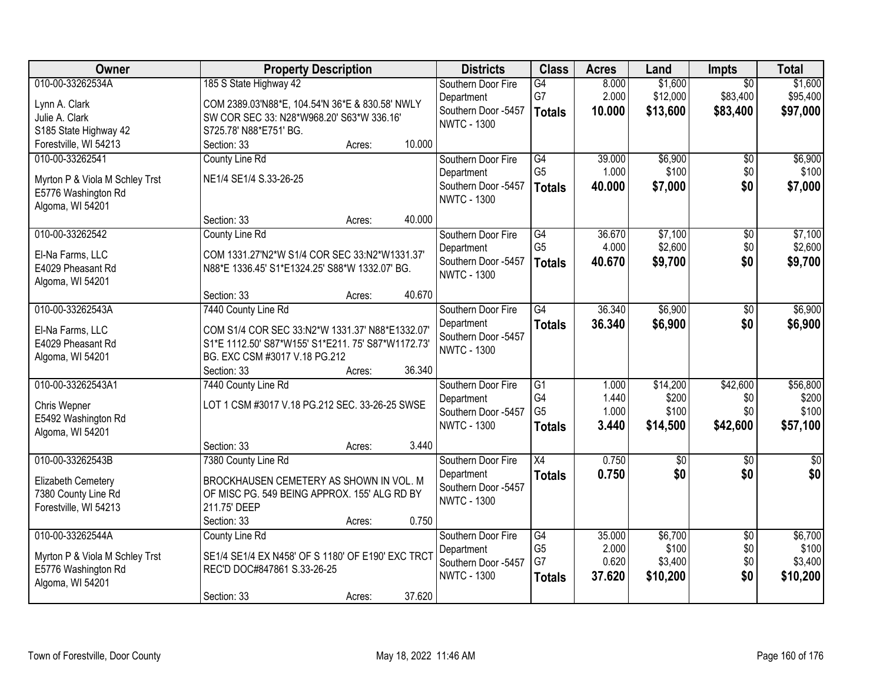| Owner                                                                                         | <b>Property Description</b>                                                                                                                                      | <b>Districts</b>                                                              | <b>Class</b>                                             | <b>Acres</b>                       | Land                                    | Impts                                   | <b>Total</b>                            |
|-----------------------------------------------------------------------------------------------|------------------------------------------------------------------------------------------------------------------------------------------------------------------|-------------------------------------------------------------------------------|----------------------------------------------------------|------------------------------------|-----------------------------------------|-----------------------------------------|-----------------------------------------|
| 010-00-33262534A<br>Lynn A. Clark<br>Julie A. Clark<br>S185 State Highway 42                  | 185 S State Highway 42<br>COM 2389.03'N88*E, 104.54'N 36*E & 830.58' NWLY<br>SW COR SEC 33: N28*W968.20' S63*W 336.16'<br>S725.78' N88*E751' BG.                 | Southern Door Fire<br>Department<br>Southern Door -5457<br><b>NWTC - 1300</b> | G4<br>G7<br><b>Totals</b>                                | 8.000<br>2.000<br>10.000           | \$1,600<br>\$12,000<br>\$13,600         | $\overline{50}$<br>\$83,400<br>\$83,400 | \$1,600<br>\$95,400<br>\$97,000         |
| Forestville, WI 54213                                                                         | 10.000<br>Section: 33<br>Acres:                                                                                                                                  |                                                                               |                                                          |                                    |                                         |                                         |                                         |
| 010-00-33262541<br>Myrton P & Viola M Schley Trst<br>E5776 Washington Rd<br>Algoma, WI 54201  | County Line Rd<br>NE1/4 SE1/4 S.33-26-25                                                                                                                         | Southern Door Fire<br>Department<br>Southern Door -5457<br><b>NWTC - 1300</b> | $\overline{G4}$<br>G <sub>5</sub><br><b>Totals</b>       | 39.000<br>1.000<br>40.000          | \$6,900<br>\$100<br>\$7,000             | $\overline{50}$<br>\$0<br>\$0           | \$6,900<br>\$100<br>\$7,000             |
|                                                                                               | 40.000<br>Section: 33<br>Acres:                                                                                                                                  |                                                                               |                                                          |                                    |                                         |                                         |                                         |
| 010-00-33262542<br>El-Na Farms, LLC<br>E4029 Pheasant Rd<br>Algoma, WI 54201                  | County Line Rd<br>COM 1331.27'N2*W S1/4 COR SEC 33:N2*W1331.37'<br>N88*E 1336.45' S1*E1324.25' S88*W 1332.07' BG.                                                | Southern Door Fire<br>Department<br>Southern Door -5457<br><b>NWTC - 1300</b> | $\overline{G4}$<br>G <sub>5</sub><br><b>Totals</b>       | 36.670<br>4.000<br>40.670          | \$7,100<br>\$2,600<br>\$9,700           | $\overline{50}$<br>\$0<br>\$0           | \$7,100<br>\$2,600<br>\$9,700           |
|                                                                                               | 40.670<br>Section: 33<br>Acres:                                                                                                                                  |                                                                               |                                                          |                                    |                                         |                                         |                                         |
| 010-00-33262543A<br>El-Na Farms, LLC<br>E4029 Pheasant Rd<br>Algoma, WI 54201                 | 7440 County Line Rd<br>COM S1/4 COR SEC 33:N2*W 1331.37' N88*E1332.07'<br>S1*E 1112.50' S87*W155' S1*E211. 75' S87*W1172.73'<br>BG. EXC CSM #3017 V.18 PG.212    | Southern Door Fire<br>Department<br>Southern Door -5457<br><b>NWTC - 1300</b> | $\overline{G4}$<br><b>Totals</b>                         | 36.340<br>36.340                   | \$6,900<br>\$6,900                      | \$0<br>\$0                              | \$6,900<br>\$6,900                      |
|                                                                                               | 36.340<br>Section: 33<br>Acres:                                                                                                                                  |                                                                               |                                                          |                                    |                                         |                                         |                                         |
| 010-00-33262543A1<br>Chris Wepner<br>E5492 Washington Rd<br>Algoma, WI 54201                  | 7440 County Line Rd<br>LOT 1 CSM #3017 V.18 PG.212 SEC. 33-26-25 SWSE                                                                                            | Southern Door Fire<br>Department<br>Southern Door -5457<br><b>NWTC - 1300</b> | $\overline{G1}$<br>G4<br>G <sub>5</sub><br><b>Totals</b> | 1.000<br>1.440<br>1.000<br>3.440   | \$14,200<br>\$200<br>\$100<br>\$14,500  | \$42,600<br>\$0<br>\$0<br>\$42,600      | \$56,800<br>\$200<br>\$100<br>\$57,100  |
|                                                                                               | 3.440<br>Section: 33<br>Acres:                                                                                                                                   |                                                                               |                                                          |                                    |                                         |                                         |                                         |
| 010-00-33262543B<br>Elizabeth Cemetery<br>7380 County Line Rd<br>Forestville, WI 54213        | 7380 County Line Rd<br>BROCKHAUSEN CEMETERY AS SHOWN IN VOL. M<br>OF MISC PG. 549 BEING APPROX. 155' ALG RD BY<br>211.75' DEEP<br>0.750<br>Section: 33<br>Acres: | Southern Door Fire<br>Department<br>Southern Door -5457<br><b>NWTC - 1300</b> | $\overline{X4}$<br><b>Totals</b>                         | 0.750<br>0.750                     | $\overline{50}$<br>\$0                  | $\overline{50}$<br>\$0                  | $\overline{30}$<br>\$0                  |
| 010-00-33262544A<br>Myrton P & Viola M Schley Trst<br>E5776 Washington Rd<br>Algoma, WI 54201 | <b>County Line Rd</b><br>SE1/4 SE1/4 EX N458' OF S 1180' OF E190' EXC TRCT<br>REC'D DOC#847861 S.33-26-25<br>37.620<br>Section: 33<br>Acres:                     | Southern Door Fire<br>Department<br>Southern Door -5457<br><b>NWTC - 1300</b> | $\overline{G4}$<br>G <sub>5</sub><br>G7<br><b>Totals</b> | 35.000<br>2.000<br>0.620<br>37.620 | \$6,700<br>\$100<br>\$3,400<br>\$10,200 | $\overline{30}$<br>\$0<br>\$0<br>\$0    | \$6,700<br>\$100<br>\$3,400<br>\$10,200 |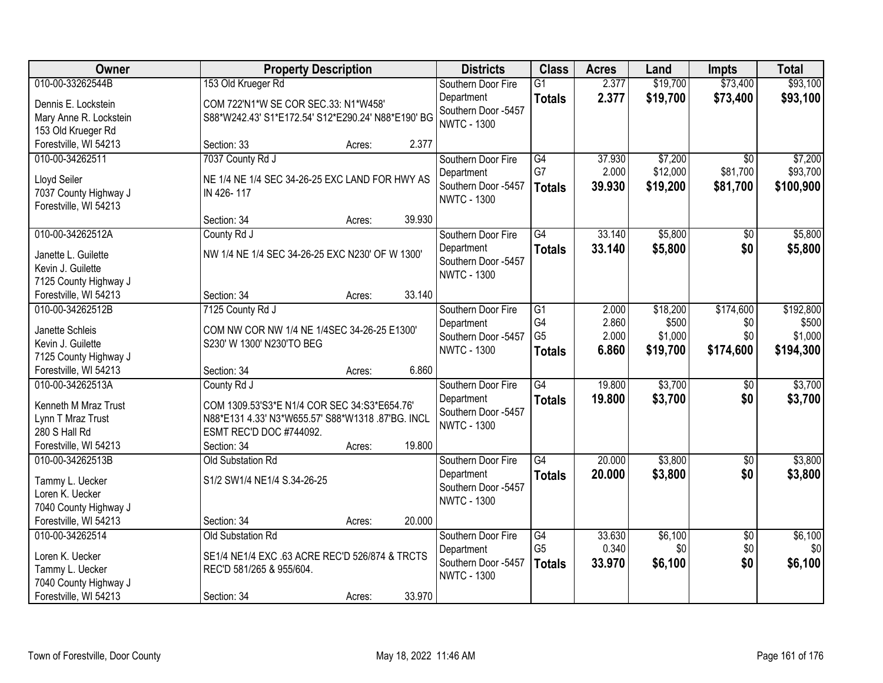| Owner                                    |                                                    | <b>Property Description</b> |        |                                   | <b>Class</b>    | <b>Acres</b> | Land     | <b>Impts</b>    | <b>Total</b> |
|------------------------------------------|----------------------------------------------------|-----------------------------|--------|-----------------------------------|-----------------|--------------|----------|-----------------|--------------|
| 010-00-33262544B                         | 153 Old Krueger Rd                                 |                             |        | Southern Door Fire                | $\overline{G1}$ | 2.377        | \$19,700 | \$73,400        | \$93,100     |
| Dennis E. Lockstein                      | COM 722'N1*W SE COR SEC.33: N1*W458'               |                             |        | Department                        | <b>Totals</b>   | 2.377        | \$19,700 | \$73,400        | \$93,100     |
| Mary Anne R. Lockstein                   | S88*W242.43' S1*E172.54' S12*E290.24' N88*E190' BG |                             |        | Southern Door -5457               |                 |              |          |                 |              |
| 153 Old Krueger Rd                       |                                                    |                             |        | <b>NWTC - 1300</b>                |                 |              |          |                 |              |
| Forestville, WI 54213                    | Section: 33                                        | Acres:                      | 2.377  |                                   |                 |              |          |                 |              |
| 010-00-34262511                          | 7037 County Rd J                                   |                             |        | Southern Door Fire                | $\overline{G4}$ | 37.930       | \$7,200  | $\overline{30}$ | \$7,200      |
| Lloyd Seiler                             | NE 1/4 NE 1/4 SEC 34-26-25 EXC LAND FOR HWY AS     |                             |        | Department                        | G7              | 2.000        | \$12,000 | \$81,700        | \$93,700     |
| 7037 County Highway J                    | IN 426-117                                         |                             |        | Southern Door -5457               | <b>Totals</b>   | 39.930       | \$19,200 | \$81,700        | \$100,900    |
| Forestville, WI 54213                    |                                                    |                             |        | <b>NWTC - 1300</b>                |                 |              |          |                 |              |
|                                          | Section: 34                                        | Acres:                      | 39.930 |                                   |                 |              |          |                 |              |
| 010-00-34262512A                         | County Rd J                                        |                             |        | Southern Door Fire                | $\overline{G4}$ | 33.140       | \$5,800  | $\overline{50}$ | \$5,800      |
|                                          | NW 1/4 NE 1/4 SEC 34-26-25 EXC N230' OF W 1300'    |                             |        | Department                        | <b>Totals</b>   | 33.140       | \$5,800  | \$0             | \$5,800      |
| Janette L. Guilette<br>Kevin J. Guilette |                                                    |                             |        | Southern Door -5457               |                 |              |          |                 |              |
| 7125 County Highway J                    |                                                    |                             |        | <b>NWTC - 1300</b>                |                 |              |          |                 |              |
| Forestville, WI 54213                    | Section: 34                                        | Acres:                      | 33.140 |                                   |                 |              |          |                 |              |
| 010-00-34262512B                         | 7125 County Rd J                                   |                             |        | Southern Door Fire                | G1              | 2.000        | \$18,200 | \$174,600       | \$192,800    |
|                                          |                                                    |                             |        | Department                        | G4              | 2.860        | \$500    | \$0             | \$500        |
| Janette Schleis                          | COM NW COR NW 1/4 NE 1/4SEC 34-26-25 E1300'        |                             |        | Southern Door -5457               | G <sub>5</sub>  | 2.000        | \$1,000  | \$0             | \$1,000      |
| Kevin J. Guilette                        | S230' W 1300' N230'TO BEG                          |                             |        | <b>NWTC - 1300</b>                | <b>Totals</b>   | 6.860        | \$19,700 | \$174,600       | \$194,300    |
| 7125 County Highway J                    |                                                    |                             |        |                                   |                 |              |          |                 |              |
| Forestville, WI 54213                    | Section: 34                                        | Acres:                      | 6.860  |                                   | $\overline{G4}$ |              |          |                 |              |
| 010-00-34262513A                         | County Rd J                                        |                             |        | Southern Door Fire                |                 | 19.800       | \$3,700  | $\overline{50}$ | \$3,700      |
| Kenneth M Mraz Trust                     | COM 1309.53'S3*E N1/4 COR SEC 34:S3*E654.76'       |                             |        | Department<br>Southern Door -5457 | <b>Totals</b>   | 19,800       | \$3,700  | \$0             | \$3,700      |
| Lynn T Mraz Trust                        | N88*E131 4.33' N3*W655.57' S88*W1318 .87'BG. INCL  |                             |        | <b>NWTC - 1300</b>                |                 |              |          |                 |              |
| 280 S Hall Rd                            | ESMT REC'D DOC #744092.                            |                             |        |                                   |                 |              |          |                 |              |
| Forestville, WI 54213                    | Section: 34                                        | Acres:                      | 19.800 |                                   |                 |              |          |                 |              |
| 010-00-34262513B                         | Old Substation Rd                                  |                             |        | Southern Door Fire                | $\overline{G4}$ | 20.000       | \$3,800  | $\overline{50}$ | \$3,800      |
| Tammy L. Uecker                          | S1/2 SW1/4 NE1/4 S.34-26-25                        |                             |        | Department                        | <b>Totals</b>   | 20.000       | \$3,800  | \$0             | \$3,800      |
| Loren K. Uecker                          |                                                    |                             |        | Southern Door -5457               |                 |              |          |                 |              |
| 7040 County Highway J                    |                                                    |                             |        | <b>NWTC - 1300</b>                |                 |              |          |                 |              |
| Forestville, WI 54213                    | Section: 34                                        | Acres:                      | 20.000 |                                   |                 |              |          |                 |              |
| 010-00-34262514                          | Old Substation Rd                                  |                             |        | Southern Door Fire                | $\overline{G4}$ | 33.630       | \$6,100  | $\overline{50}$ | \$6,100      |
| Loren K. Uecker                          | SE1/4 NE1/4 EXC .63 ACRE REC'D 526/874 & TRCTS     |                             |        | Department                        | G <sub>5</sub>  | 0.340        | \$0      | \$0             | \$0          |
| Tammy L. Uecker                          | REC'D 581/265 & 955/604.                           |                             |        | Southern Door -5457               | <b>Totals</b>   | 33.970       | \$6,100  | \$0             | \$6,100      |
| 7040 County Highway J                    |                                                    |                             |        | <b>NWTC - 1300</b>                |                 |              |          |                 |              |
| Forestville, WI 54213                    | Section: 34                                        | Acres:                      | 33.970 |                                   |                 |              |          |                 |              |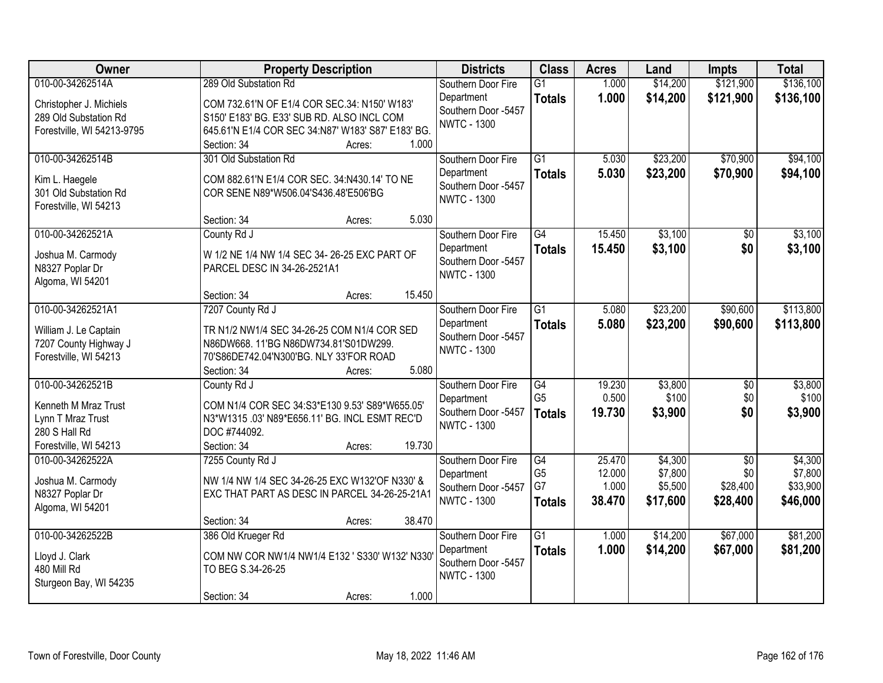| Owner                                   | <b>Property Description</b>                        | <b>Districts</b>    | <b>Class</b>    | <b>Acres</b> | Land     | <b>Impts</b>    | <b>Total</b> |
|-----------------------------------------|----------------------------------------------------|---------------------|-----------------|--------------|----------|-----------------|--------------|
| 010-00-34262514A                        | 289 Old Substation Rd                              | Southern Door Fire  | $\overline{G1}$ | 1.000        | \$14,200 | \$121,900       | \$136,100    |
| Christopher J. Michiels                 | COM 732.61'N OF E1/4 COR SEC.34: N150' W183'       | Department          | <b>Totals</b>   | 1.000        | \$14,200 | \$121,900       | \$136,100    |
| 289 Old Substation Rd                   | S150' E183' BG. E33' SUB RD. ALSO INCL COM         | Southern Door -5457 |                 |              |          |                 |              |
| Forestville, WI 54213-9795              | 645.61'N E1/4 COR SEC 34:N87' W183' S87' E183' BG. | <b>NWTC - 1300</b>  |                 |              |          |                 |              |
|                                         | 1.000<br>Section: 34<br>Acres:                     |                     |                 |              |          |                 |              |
| 010-00-34262514B                        | 301 Old Substation Rd                              | Southern Door Fire  | $\overline{G1}$ | 5.030        | \$23,200 | \$70,900        | \$94,100     |
|                                         | COM 882.61'N E1/4 COR SEC, 34:N430.14' TO NE       | Department          | <b>Totals</b>   | 5.030        | \$23,200 | \$70,900        | \$94,100     |
| Kim L. Haegele<br>301 Old Substation Rd | COR SENE N89*W506.04'S436.48'E506'BG               | Southern Door -5457 |                 |              |          |                 |              |
| Forestville, WI 54213                   |                                                    | <b>NWTC - 1300</b>  |                 |              |          |                 |              |
|                                         | 5.030<br>Section: 34<br>Acres:                     |                     |                 |              |          |                 |              |
| 010-00-34262521A                        | County Rd J                                        | Southern Door Fire  | $\overline{G4}$ | 15.450       | \$3,100  | $\overline{50}$ | \$3,100      |
|                                         |                                                    | Department          | <b>Totals</b>   | 15.450       | \$3,100  | \$0             | \$3,100      |
| Joshua M. Carmody                       | W 1/2 NE 1/4 NW 1/4 SEC 34- 26-25 EXC PART OF      | Southern Door -5457 |                 |              |          |                 |              |
| N8327 Poplar Dr                         | PARCEL DESC IN 34-26-2521A1                        | <b>NWTC - 1300</b>  |                 |              |          |                 |              |
| Algoma, WI 54201                        |                                                    |                     |                 |              |          |                 |              |
|                                         | 15.450<br>Section: 34<br>Acres:                    |                     |                 |              |          |                 |              |
| 010-00-34262521A1                       | 7207 County Rd J                                   | Southern Door Fire  | $\overline{G1}$ | 5.080        | \$23,200 | \$90,600        | \$113,800    |
| William J. Le Captain                   | TR N1/2 NW1/4 SEC 34-26-25 COM N1/4 COR SED        | Department          | <b>Totals</b>   | 5.080        | \$23,200 | \$90,600        | \$113,800    |
| 7207 County Highway J                   | N86DW668. 11'BG N86DW734.81'S01DW299.              | Southern Door -5457 |                 |              |          |                 |              |
| Forestville, WI 54213                   | 70'S86DE742.04'N300'BG. NLY 33'FOR ROAD            | <b>NWTC - 1300</b>  |                 |              |          |                 |              |
|                                         | 5.080<br>Section: 34<br>Acres:                     |                     |                 |              |          |                 |              |
| 010-00-34262521B                        | County Rd J                                        | Southern Door Fire  | $\overline{G4}$ | 19.230       | \$3,800  | $\overline{50}$ | \$3,800      |
| Kenneth M Mraz Trust                    | COM N1/4 COR SEC 34:S3*E130 9.53' S89*W655.05'     | Department          | G <sub>5</sub>  | 0.500        | \$100    | \$0             | \$100        |
| Lynn T Mraz Trust                       | N3*W1315 .03' N89*E656.11' BG. INCL ESMT REC'D     | Southern Door -5457 | <b>Totals</b>   | 19.730       | \$3,900  | \$0             | \$3,900      |
| 280 S Hall Rd                           | DOC #744092.                                       | <b>NWTC - 1300</b>  |                 |              |          |                 |              |
| Forestville, WI 54213                   | 19.730<br>Section: 34<br>Acres:                    |                     |                 |              |          |                 |              |
| 010-00-34262522A                        | 7255 County Rd J                                   | Southern Door Fire  | G4              | 25.470       | \$4,300  | $\overline{50}$ | \$4,300      |
|                                         |                                                    | Department          | G <sub>5</sub>  | 12.000       | \$7,800  | \$0             | \$7,800      |
| Joshua M. Carmody                       | NW 1/4 NW 1/4 SEC 34-26-25 EXC W132'OF N330' &     | Southern Door -5457 | G7              | 1.000        | \$5,500  | \$28,400        | \$33,900     |
| N8327 Poplar Dr                         | EXC THAT PART AS DESC IN PARCEL 34-26-25-21A1      | <b>NWTC - 1300</b>  | <b>Totals</b>   | 38.470       | \$17,600 | \$28,400        | \$46,000     |
| Algoma, WI 54201                        |                                                    |                     |                 |              |          |                 |              |
|                                         | 38.470<br>Section: 34<br>Acres:                    |                     |                 |              |          |                 |              |
| 010-00-34262522B                        | 386 Old Krueger Rd                                 | Southern Door Fire  | $\overline{G1}$ | 1.000        | \$14,200 | \$67,000        | \$81,200     |
| Lloyd J. Clark                          | COM NW COR NW1/4 NW1/4 E132 ' S330' W132' N330'    | Department          | <b>Totals</b>   | 1.000        | \$14,200 | \$67,000        | \$81,200     |
| 480 Mill Rd                             | TO BEG S.34-26-25                                  | Southern Door -5457 |                 |              |          |                 |              |
| Sturgeon Bay, WI 54235                  |                                                    | <b>NWTC - 1300</b>  |                 |              |          |                 |              |
|                                         | 1.000<br>Section: 34<br>Acres:                     |                     |                 |              |          |                 |              |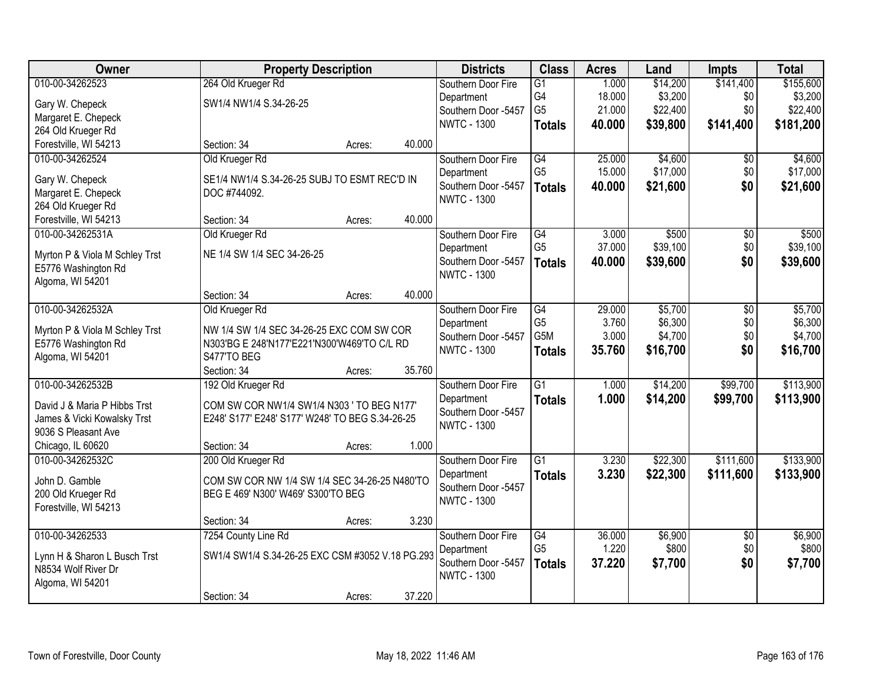| Owner                                               | <b>Property Description</b>                      |        |        | <b>Districts</b>    | <b>Class</b>    | <b>Acres</b> | Land     | <b>Impts</b>    | <b>Total</b> |
|-----------------------------------------------------|--------------------------------------------------|--------|--------|---------------------|-----------------|--------------|----------|-----------------|--------------|
| 010-00-34262523                                     | 264 Old Krueger Rd                               |        |        | Southern Door Fire  | $\overline{G1}$ | 1.000        | \$14,200 | \$141,400       | \$155,600    |
| Gary W. Chepeck                                     | SW1/4 NW1/4 S.34-26-25                           |        |        | Department          | G4              | 18.000       | \$3,200  | \$0             | \$3,200      |
| Margaret E. Chepeck                                 |                                                  |        |        | Southern Door -5457 | G <sub>5</sub>  | 21.000       | \$22,400 | \$0             | \$22,400     |
| 264 Old Krueger Rd                                  |                                                  |        |        | <b>NWTC - 1300</b>  | <b>Totals</b>   | 40.000       | \$39,800 | \$141,400       | \$181,200    |
| Forestville, WI 54213                               | Section: 34                                      | Acres: | 40.000 |                     |                 |              |          |                 |              |
| 010-00-34262524                                     | Old Krueger Rd                                   |        |        | Southern Door Fire  | $\overline{G4}$ | 25.000       | \$4,600  | \$0             | \$4,600      |
|                                                     |                                                  |        |        | Department          | G <sub>5</sub>  | 15.000       | \$17,000 | \$0             | \$17,000     |
| Gary W. Chepeck                                     | SE1/4 NW1/4 S.34-26-25 SUBJ TO ESMT REC'D IN     |        |        | Southern Door -5457 | <b>Totals</b>   | 40.000       | \$21,600 | \$0             | \$21,600     |
| Margaret E. Chepeck                                 | DOC #744092.                                     |        |        | <b>NWTC - 1300</b>  |                 |              |          |                 |              |
| 264 Old Krueger Rd                                  |                                                  |        |        |                     |                 |              |          |                 |              |
| Forestville, WI 54213                               | Section: 34                                      | Acres: | 40.000 |                     |                 |              |          |                 |              |
| 010-00-34262531A                                    | Old Krueger Rd                                   |        |        | Southern Door Fire  | $\overline{G4}$ | 3.000        | \$500    | $\overline{50}$ | \$500        |
| Myrton P & Viola M Schley Trst                      | NE 1/4 SW 1/4 SEC 34-26-25                       |        |        | Department          | G <sub>5</sub>  | 37.000       | \$39,100 | \$0             | \$39,100     |
| E5776 Washington Rd                                 |                                                  |        |        | Southern Door -5457 | <b>Totals</b>   | 40.000       | \$39,600 | \$0             | \$39,600     |
| Algoma, WI 54201                                    |                                                  |        |        | <b>NWTC - 1300</b>  |                 |              |          |                 |              |
|                                                     | Section: 34                                      | Acres: | 40.000 |                     |                 |              |          |                 |              |
| 010-00-34262532A                                    | Old Krueger Rd                                   |        |        | Southern Door Fire  | G4              | 29.000       | \$5,700  | \$0             | \$5,700      |
| Myrton P & Viola M Schley Trst                      | NW 1/4 SW 1/4 SEC 34-26-25 EXC COM SW COR        |        |        | Department          | G <sub>5</sub>  | 3.760        | \$6,300  | \$0             | \$6,300      |
| E5776 Washington Rd                                 | N303'BG E 248'N177'E221'N300'W469'TO C/L RD      |        |        | Southern Door -5457 | G5M             | 3.000        | \$4,700  | \$0             | \$4,700      |
| Algoma, WI 54201                                    | S477'TO BEG                                      |        |        | <b>NWTC - 1300</b>  | <b>Totals</b>   | 35.760       | \$16,700 | \$0             | \$16,700     |
|                                                     | Section: 34                                      | Acres: | 35.760 |                     |                 |              |          |                 |              |
| 010-00-34262532B                                    | 192 Old Krueger Rd                               |        |        | Southern Door Fire  | $\overline{G1}$ | 1.000        | \$14,200 | \$99,700        | \$113,900    |
|                                                     |                                                  |        |        | Department          | <b>Totals</b>   | 1.000        | \$14,200 | \$99,700        | \$113,900    |
| David J & Maria P Hibbs Trst                        | COM SW COR NW1/4 SW1/4 N303 ' TO BEG N177'       |        |        | Southern Door -5457 |                 |              |          |                 |              |
| James & Vicki Kowalsky Trst                         | E248' S177' E248' S177' W248' TO BEG S.34-26-25  |        |        | <b>NWTC - 1300</b>  |                 |              |          |                 |              |
| 9036 S Pleasant Ave                                 |                                                  |        |        |                     |                 |              |          |                 |              |
| Chicago, IL 60620                                   | Section: 34                                      | Acres: | 1.000  |                     |                 |              |          |                 |              |
| 010-00-34262532C                                    | 200 Old Krueger Rd                               |        |        | Southern Door Fire  | $\overline{G1}$ | 3.230        | \$22,300 | \$111,600       | \$133,900    |
| John D. Gamble                                      | COM SW COR NW 1/4 SW 1/4 SEC 34-26-25 N480'TO    |        |        | Department          | <b>Totals</b>   | 3.230        | \$22,300 | \$111,600       | \$133,900    |
| 200 Old Krueger Rd                                  | BEG E 469' N300' W469' S300'TO BEG               |        |        | Southern Door -5457 |                 |              |          |                 |              |
| Forestville, WI 54213                               |                                                  |        |        | <b>NWTC - 1300</b>  |                 |              |          |                 |              |
|                                                     | Section: 34                                      | Acres: | 3.230  |                     |                 |              |          |                 |              |
| 010-00-34262533                                     | 7254 County Line Rd                              |        |        | Southern Door Fire  | G4              | 36.000       | \$6,900  | $\overline{30}$ | \$6,900      |
|                                                     | SW1/4 SW1/4 S.34-26-25 EXC CSM #3052 V.18 PG.293 |        |        | Department          | G <sub>5</sub>  | 1.220        | \$800    | \$0             | \$800        |
| Lynn H & Sharon L Busch Trst<br>N8534 Wolf River Dr |                                                  |        |        | Southern Door -5457 | <b>Totals</b>   | 37.220       | \$7,700  | \$0             | \$7,700      |
| Algoma, WI 54201                                    |                                                  |        |        | <b>NWTC - 1300</b>  |                 |              |          |                 |              |
|                                                     | Section: 34                                      | Acres: | 37.220 |                     |                 |              |          |                 |              |
|                                                     |                                                  |        |        |                     |                 |              |          |                 |              |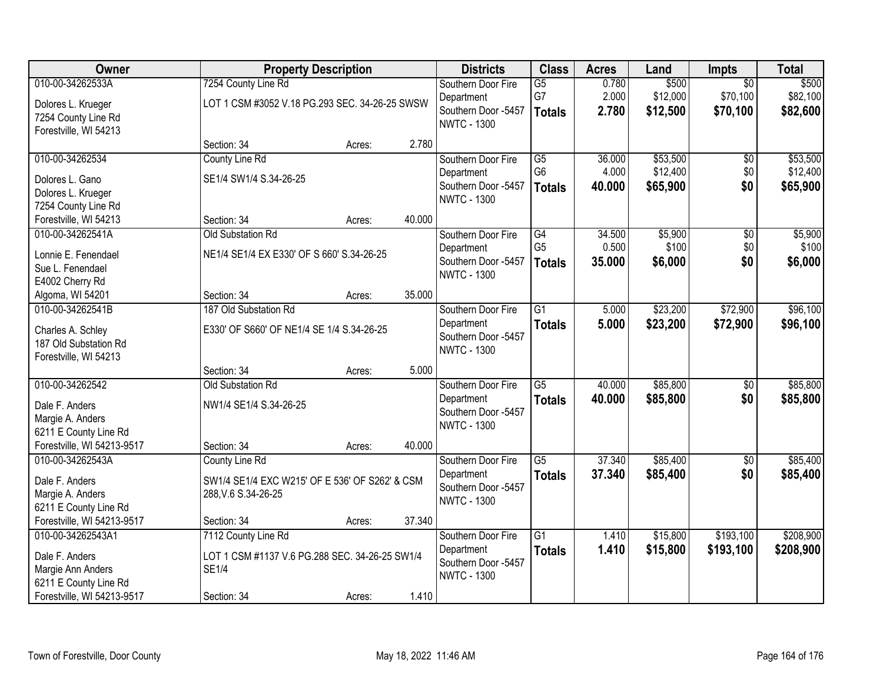| Owner                                                                                                           |                                                                                                      | <b>Property Description</b>                    |        | <b>Districts</b>                                                              | <b>Class</b>                                       | <b>Acres</b>              | Land                             | Impts                                   | <b>Total</b>                     |
|-----------------------------------------------------------------------------------------------------------------|------------------------------------------------------------------------------------------------------|------------------------------------------------|--------|-------------------------------------------------------------------------------|----------------------------------------------------|---------------------------|----------------------------------|-----------------------------------------|----------------------------------|
| 010-00-34262533A<br>Dolores L. Krueger<br>7254 County Line Rd<br>Forestville, WI 54213                          | 7254 County Line Rd                                                                                  | LOT 1 CSM #3052 V.18 PG.293 SEC. 34-26-25 SWSW |        | Southern Door Fire<br>Department<br>Southern Door -5457<br><b>NWTC - 1300</b> | $\overline{G5}$<br>G7<br><b>Totals</b>             | 0.780<br>2.000<br>2.780   | \$500<br>\$12,000<br>\$12,500    | $\overline{50}$<br>\$70,100<br>\$70,100 | \$500<br>\$82,100<br>\$82,600    |
|                                                                                                                 | Section: 34                                                                                          | Acres:                                         | 2.780  |                                                                               |                                                    |                           |                                  |                                         |                                  |
| 010-00-34262534<br>Dolores L. Gano<br>Dolores L. Krueger<br>7254 County Line Rd                                 | County Line Rd<br>SE1/4 SW1/4 S.34-26-25                                                             |                                                |        | Southern Door Fire<br>Department<br>Southern Door -5457<br><b>NWTC - 1300</b> | $\overline{G5}$<br>G <sub>6</sub><br><b>Totals</b> | 36.000<br>4.000<br>40.000 | \$53,500<br>\$12,400<br>\$65,900 | $\overline{50}$<br>\$0<br>\$0           | \$53,500<br>\$12,400<br>\$65,900 |
| Forestville, WI 54213                                                                                           | Section: 34                                                                                          | Acres:                                         | 40.000 |                                                                               |                                                    |                           |                                  |                                         |                                  |
| 010-00-34262541A<br>Lonnie E. Fenendael<br>Sue L. Fenendael<br>E4002 Cherry Rd                                  | <b>Old Substation Rd</b><br>NE1/4 SE1/4 EX E330' OF S 660' S.34-26-25                                |                                                |        | Southern Door Fire<br>Department<br>Southern Door -5457<br><b>NWTC - 1300</b> | $\overline{G4}$<br>G <sub>5</sub><br><b>Totals</b> | 34.500<br>0.500<br>35.000 | \$5,900<br>\$100<br>\$6,000      | $\overline{50}$<br>\$0<br>\$0           | \$5,900<br>\$100<br>\$6,000      |
| Algoma, WI 54201                                                                                                | Section: 34                                                                                          | Acres:                                         | 35.000 |                                                                               |                                                    |                           |                                  |                                         |                                  |
| 010-00-34262541B<br>Charles A. Schley<br>187 Old Substation Rd<br>Forestville, WI 54213                         | 187 Old Substation Rd<br>E330' OF S660' OF NE1/4 SE 1/4 S.34-26-25                                   |                                                |        | Southern Door Fire<br>Department<br>Southern Door -5457<br><b>NWTC - 1300</b> | $\overline{G1}$<br><b>Totals</b>                   | 5.000<br>5.000            | \$23,200<br>\$23,200             | \$72,900<br>\$72,900                    | \$96,100<br>\$96,100             |
|                                                                                                                 | Section: 34                                                                                          | Acres:                                         | 5.000  |                                                                               |                                                    |                           |                                  |                                         |                                  |
| 010-00-34262542<br>Dale F. Anders<br>Margie A. Anders<br>6211 E County Line Rd                                  | Old Substation Rd<br>NW1/4 SE1/4 S.34-26-25                                                          |                                                |        | Southern Door Fire<br>Department<br>Southern Door -5457<br><b>NWTC - 1300</b> | $\overline{G5}$<br><b>Totals</b>                   | 40.000<br>40.000          | \$85,800<br>\$85,800             | $\overline{50}$<br>\$0                  | \$85,800<br>\$85,800             |
| Forestville, WI 54213-9517                                                                                      | Section: 34                                                                                          | Acres:                                         | 40.000 |                                                                               |                                                    |                           |                                  |                                         |                                  |
| 010-00-34262543A<br>Dale F. Anders<br>Margie A. Anders<br>6211 E County Line Rd                                 | <b>County Line Rd</b><br>SW1/4 SE1/4 EXC W215' OF E 536' OF S262' & CSM<br>288, V.6 S.34-26-25       |                                                |        | Southern Door Fire<br>Department<br>Southern Door -5457<br><b>NWTC - 1300</b> | $\overline{G5}$<br><b>Totals</b>                   | 37.340<br>37.340          | \$85,400<br>\$85,400             | $\overline{60}$<br>\$0                  | \$85,400<br>\$85,400             |
| Forestville, WI 54213-9517                                                                                      | Section: 34                                                                                          | Acres:                                         | 37.340 |                                                                               |                                                    |                           |                                  |                                         |                                  |
| 010-00-34262543A1<br>Dale F. Anders<br>Margie Ann Anders<br>6211 E County Line Rd<br>Forestville, WI 54213-9517 | 7112 County Line Rd<br>LOT 1 CSM #1137 V.6 PG.288 SEC. 34-26-25 SW1/4<br><b>SE1/4</b><br>Section: 34 | Acres:                                         | 1.410  | Southern Door Fire<br>Department<br>Southern Door -5457<br><b>NWTC - 1300</b> | $\overline{G1}$<br><b>Totals</b>                   | 1.410<br>1.410            | \$15,800<br>\$15,800             | \$193,100<br>\$193,100                  | \$208,900<br>\$208,900           |
|                                                                                                                 |                                                                                                      |                                                |        |                                                                               |                                                    |                           |                                  |                                         |                                  |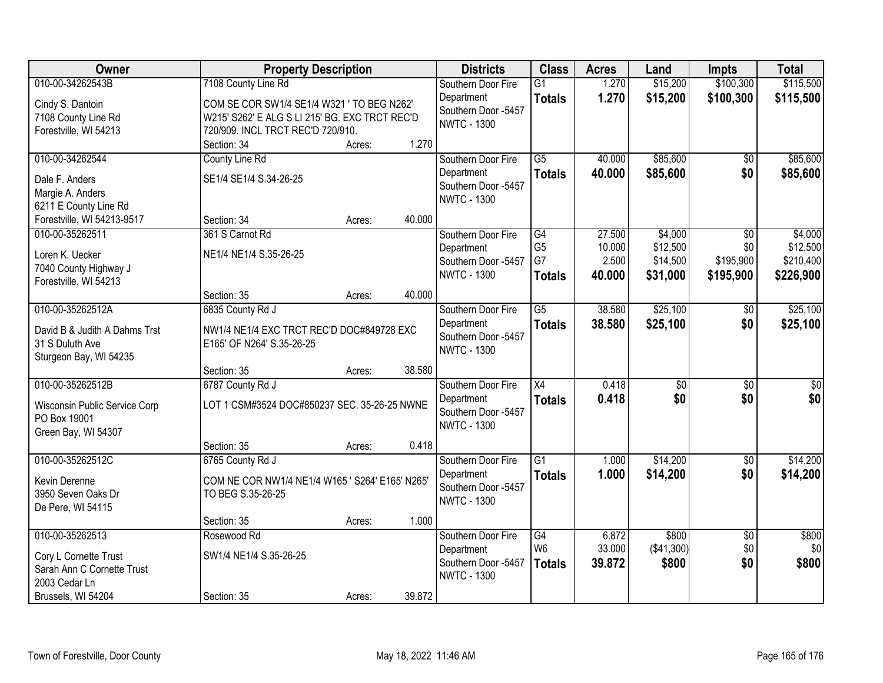| Owner                         | <b>Property Description</b>                     |        |        | <b>Districts</b>    | <b>Class</b>    | <b>Acres</b> | Land            | <b>Impts</b>    | <b>Total</b>    |
|-------------------------------|-------------------------------------------------|--------|--------|---------------------|-----------------|--------------|-----------------|-----------------|-----------------|
| 010-00-34262543B              | 7108 County Line Rd                             |        |        | Southern Door Fire  | $\overline{G1}$ | 1.270        | \$15,200        | \$100,300       | \$115,500       |
| Cindy S. Dantoin              | COM SE COR SW1/4 SE1/4 W321 ' TO BEG N262'      |        |        | Department          | <b>Totals</b>   | 1.270        | \$15,200        | \$100,300       | \$115,500       |
| 7108 County Line Rd           | W215' S262' E ALG S LI 215' BG. EXC TRCT REC'D  |        |        | Southern Door -5457 |                 |              |                 |                 |                 |
| Forestville, WI 54213         | 720/909. INCL TRCT REC'D 720/910.               |        |        | <b>NWTC - 1300</b>  |                 |              |                 |                 |                 |
|                               | Section: 34                                     | Acres: | 1.270  |                     |                 |              |                 |                 |                 |
| 010-00-34262544               | County Line Rd                                  |        |        | Southern Door Fire  | $\overline{G5}$ | 40.000       | \$85,600        | \$0             | \$85,600        |
| Dale F. Anders                | SE1/4 SE1/4 S.34-26-25                          |        |        | Department          | <b>Totals</b>   | 40.000       | \$85,600        | \$0             | \$85,600        |
| Margie A. Anders              |                                                 |        |        | Southern Door -5457 |                 |              |                 |                 |                 |
| 6211 E County Line Rd         |                                                 |        |        | <b>NWTC - 1300</b>  |                 |              |                 |                 |                 |
| Forestville, WI 54213-9517    | Section: 34                                     | Acres: | 40.000 |                     |                 |              |                 |                 |                 |
| 010-00-35262511               | 361 S Carnot Rd                                 |        |        | Southern Door Fire  | G4              | 27.500       | \$4,000         | \$0             | \$4,000         |
| Loren K. Uecker               | NE1/4 NE1/4 S.35-26-25                          |        |        | Department          | G <sub>5</sub>  | 10.000       | \$12,500        | \$0             | \$12,500        |
| 7040 County Highway J         |                                                 |        |        | Southern Door -5457 | G7              | 2.500        | \$14,500        | \$195,900       | \$210,400       |
| Forestville, WI 54213         |                                                 |        |        | <b>NWTC - 1300</b>  | <b>Totals</b>   | 40.000       | \$31,000        | \$195,900       | \$226,900       |
|                               | Section: 35                                     | Acres: | 40.000 |                     |                 |              |                 |                 |                 |
| 010-00-35262512A              | 6835 County Rd J                                |        |        | Southern Door Fire  | $\overline{G5}$ | 38.580       | \$25,100        | \$0             | \$25,100        |
| David B & Judith A Dahms Trst | NW1/4 NE1/4 EXC TRCT REC'D DOC#849728 EXC       |        |        | Department          | <b>Totals</b>   | 38.580       | \$25,100        | \$0             | \$25,100        |
| 31 S Duluth Ave               | E165' OF N264' S.35-26-25                       |        |        | Southern Door -5457 |                 |              |                 |                 |                 |
| Sturgeon Bay, WI 54235        |                                                 |        |        | <b>NWTC - 1300</b>  |                 |              |                 |                 |                 |
|                               | Section: 35                                     | Acres: | 38.580 |                     |                 |              |                 |                 |                 |
| 010-00-35262512B              | 6787 County Rd J                                |        |        | Southern Door Fire  | $\overline{X4}$ | 0.418        | $\overline{50}$ | $\overline{50}$ | $\overline{50}$ |
|                               |                                                 |        |        | Department          | <b>Totals</b>   | 0.418        | \$0             | \$0             | \$0             |
| Wisconsin Public Service Corp | LOT 1 CSM#3524 DOC#850237 SEC. 35-26-25 NWNE    |        |        | Southern Door -5457 |                 |              |                 |                 |                 |
| PO Box 19001                  |                                                 |        |        | <b>NWTC - 1300</b>  |                 |              |                 |                 |                 |
| Green Bay, WI 54307           |                                                 |        | 0.418  |                     |                 |              |                 |                 |                 |
| 010-00-35262512C              | Section: 35<br>6765 County Rd J                 | Acres: |        | Southern Door Fire  | $\overline{G1}$ | 1.000        | \$14,200        | $\overline{60}$ | \$14,200        |
|                               |                                                 |        |        | Department          |                 | 1.000        | \$14,200        | \$0             | \$14,200        |
| Kevin Derenne                 | COM NE COR NW1/4 NE1/4 W165 ' S264' E165' N265' |        |        | Southern Door -5457 | <b>Totals</b>   |              |                 |                 |                 |
| 3950 Seven Oaks Dr            | TO BEG S.35-26-25                               |        |        | <b>NWTC - 1300</b>  |                 |              |                 |                 |                 |
| De Pere, WI 54115             |                                                 |        |        |                     |                 |              |                 |                 |                 |
|                               | Section: 35                                     | Acres: | 1.000  |                     |                 |              |                 |                 |                 |
| 010-00-35262513               | Rosewood Rd                                     |        |        | Southern Door Fire  | G4              | 6.872        | \$800           | $\overline{50}$ | \$800           |
| Cory L Cornette Trust         | SW1/4 NE1/4 S.35-26-25                          |        |        | Department          | W <sub>6</sub>  | 33.000       | ( \$41,300)     | \$0             | \$0             |
| Sarah Ann C Cornette Trust    |                                                 |        |        | Southern Door -5457 | <b>Totals</b>   | 39.872       | \$800           | \$0             | \$800           |
| 2003 Cedar Ln                 |                                                 |        |        | <b>NWTC - 1300</b>  |                 |              |                 |                 |                 |
| Brussels, WI 54204            | Section: 35                                     | Acres: | 39.872 |                     |                 |              |                 |                 |                 |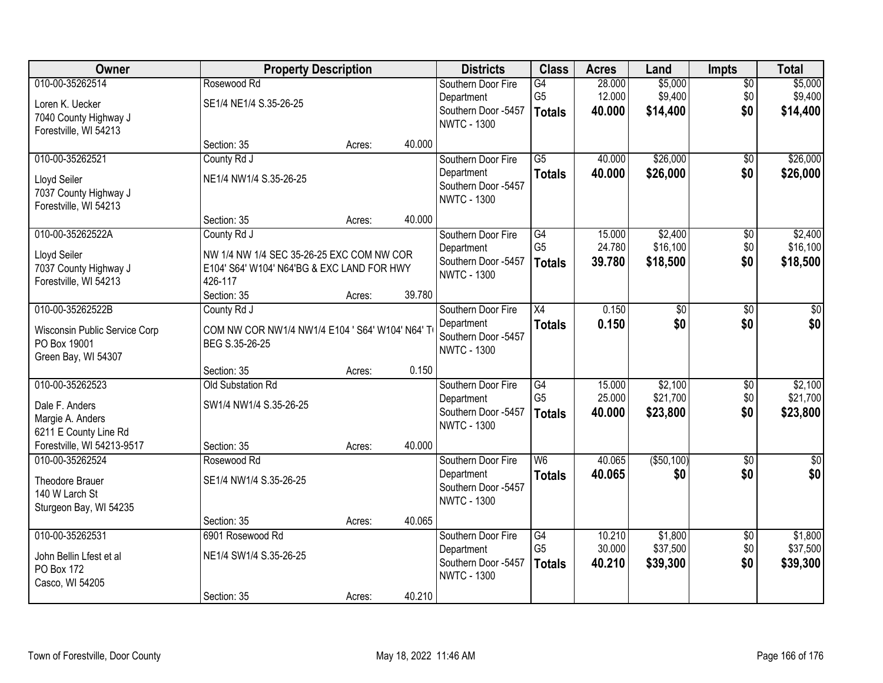| Owner                         |                                                 | <b>Property Description</b> |        |                                           | <b>Class</b>                      | <b>Acres</b>     | Land                | <b>Impts</b>    | <b>Total</b> |
|-------------------------------|-------------------------------------------------|-----------------------------|--------|-------------------------------------------|-----------------------------------|------------------|---------------------|-----------------|--------------|
| 010-00-35262514               | Rosewood Rd                                     |                             |        | Southern Door Fire                        | G4                                | 28.000           | \$5,000             | $\overline{50}$ | \$5,000      |
| Loren K. Uecker               | SE1/4 NE1/4 S.35-26-25                          |                             |        | Department                                | G <sub>5</sub>                    | 12.000           | \$9,400             | \$0             | \$9,400      |
| 7040 County Highway J         |                                                 |                             |        | Southern Door -5457<br><b>NWTC - 1300</b> | <b>Totals</b>                     | 40.000           | \$14,400            | \$0             | \$14,400     |
| Forestville, WI 54213         |                                                 |                             |        |                                           |                                   |                  |                     |                 |              |
|                               | Section: 35                                     | Acres:                      | 40.000 |                                           |                                   |                  |                     |                 |              |
| 010-00-35262521               | County Rd J                                     |                             |        | Southern Door Fire                        | $\overline{G5}$                   | 40.000           | \$26,000            | $\overline{50}$ | \$26,000     |
| Lloyd Seiler                  | NE1/4 NW1/4 S.35-26-25                          |                             |        | Department                                | <b>Totals</b>                     | 40.000           | \$26,000            | \$0             | \$26,000     |
| 7037 County Highway J         |                                                 |                             |        | Southern Door -5457<br><b>NWTC - 1300</b> |                                   |                  |                     |                 |              |
| Forestville, WI 54213         |                                                 |                             |        |                                           |                                   |                  |                     |                 |              |
|                               | Section: 35                                     | Acres:                      | 40.000 |                                           |                                   |                  |                     |                 |              |
| 010-00-35262522A              | County Rd J                                     |                             |        | Southern Door Fire                        | $\overline{G4}$                   | 15.000           | \$2,400             | \$0             | \$2,400      |
| Lloyd Seiler                  | NW 1/4 NW 1/4 SEC 35-26-25 EXC COM NW COR       |                             |        | Department                                | G <sub>5</sub>                    | 24.780           | \$16,100            | \$0             | \$16,100     |
| 7037 County Highway J         | E104' S64' W104' N64'BG & EXC LAND FOR HWY      |                             |        | Southern Door -5457<br><b>NWTC - 1300</b> | <b>Totals</b>                     | 39.780           | \$18,500            | \$0             | \$18,500     |
| Forestville, WI 54213         | 426-117                                         |                             |        |                                           |                                   |                  |                     |                 |              |
|                               | Section: 35                                     | Acres:                      | 39.780 |                                           |                                   |                  |                     |                 |              |
| 010-00-35262522B              | County Rd J                                     |                             |        | Southern Door Fire                        | X4                                | 0.150            | \$0                 | \$0             | \$0          |
| Wisconsin Public Service Corp | COM NW COR NW1/4 NW1/4 E104 ' S64' W104' N64' T |                             |        | Department                                | <b>Totals</b>                     | 0.150            | \$0                 | \$0             | \$0          |
| PO Box 19001                  | BEG S.35-26-25                                  |                             |        | Southern Door -5457<br><b>NWTC - 1300</b> |                                   |                  |                     |                 |              |
| Green Bay, WI 54307           |                                                 |                             |        |                                           |                                   |                  |                     |                 |              |
|                               | Section: 35                                     | Acres:                      | 0.150  |                                           |                                   |                  |                     |                 |              |
| 010-00-35262523               | Old Substation Rd                               |                             |        | Southern Door Fire                        | $\overline{G4}$                   | 15.000           | \$2,100             | \$0             | \$2,100      |
| Dale F. Anders                | SW1/4 NW1/4 S.35-26-25                          |                             |        | Department<br>Southern Door -5457         | G <sub>5</sub>                    | 25.000           | \$21,700            | \$0             | \$21,700     |
| Margie A. Anders              |                                                 |                             |        | <b>NWTC - 1300</b>                        | <b>Totals</b>                     | 40.000           | \$23,800            | \$0             | \$23,800     |
| 6211 E County Line Rd         |                                                 |                             |        |                                           |                                   |                  |                     |                 |              |
| Forestville, WI 54213-9517    | Section: 35                                     | Acres:                      | 40.000 |                                           |                                   |                  |                     |                 |              |
| 010-00-35262524               | Rosewood Rd                                     |                             |        | Southern Door Fire                        | W6                                | 40.065           | ( \$50, 100)        | $\sqrt{6}$      | $\sqrt{50}$  |
| <b>Theodore Brauer</b>        | SE1/4 NW1/4 S.35-26-25                          |                             |        | Department<br>Southern Door -5457         | <b>Totals</b>                     | 40.065           | \$0                 | \$0             | \$0          |
| 140 W Larch St                |                                                 |                             |        | <b>NWTC - 1300</b>                        |                                   |                  |                     |                 |              |
| Sturgeon Bay, WI 54235        |                                                 |                             |        |                                           |                                   |                  |                     |                 |              |
|                               | Section: 35                                     | Acres:                      | 40.065 |                                           |                                   |                  |                     |                 |              |
| 010-00-35262531               | 6901 Rosewood Rd                                |                             |        | Southern Door Fire                        | $\overline{G4}$<br>G <sub>5</sub> | 10.210<br>30.000 | \$1,800<br>\$37,500 | $\overline{30}$ | \$1,800      |
| John Bellin Lfest et al       | NE1/4 SW1/4 S.35-26-25                          |                             |        | Department<br>Southern Door -5457         |                                   |                  |                     | \$0<br>\$0      | \$37,500     |
| PO Box 172                    |                                                 |                             |        | <b>NWTC - 1300</b>                        | <b>Totals</b>                     | 40.210           | \$39,300            |                 | \$39,300     |
| Casco, WI 54205               |                                                 |                             |        |                                           |                                   |                  |                     |                 |              |
|                               | Section: 35                                     | Acres:                      | 40.210 |                                           |                                   |                  |                     |                 |              |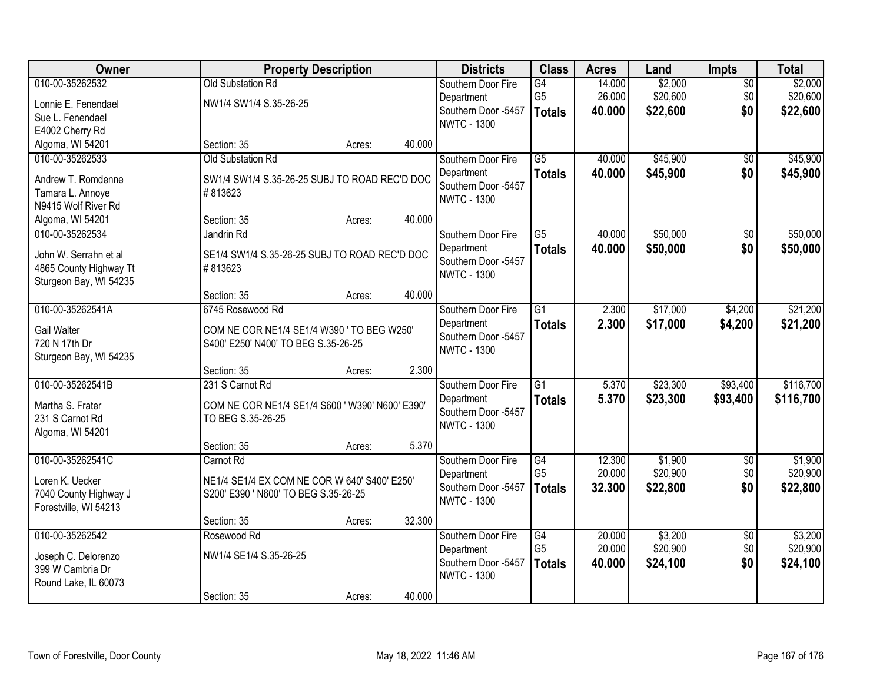| Owner                                            | <b>Property Description</b>                     |        |        | <b>Districts</b>                  | <b>Class</b>    | <b>Acres</b> | Land     | Impts           | <b>Total</b> |
|--------------------------------------------------|-------------------------------------------------|--------|--------|-----------------------------------|-----------------|--------------|----------|-----------------|--------------|
| 010-00-35262532                                  | <b>Old Substation Rd</b>                        |        |        | Southern Door Fire                | G4              | 14.000       | \$2,000  | $\overline{50}$ | \$2,000      |
| Lonnie E. Fenendael                              | NW1/4 SW1/4 S.35-26-25                          |        |        | Department                        | G <sub>5</sub>  | 26.000       | \$20,600 | \$0             | \$20,600     |
| Sue L. Fenendael                                 |                                                 |        |        | Southern Door -5457               | <b>Totals</b>   | 40.000       | \$22,600 | \$0             | \$22,600     |
| E4002 Cherry Rd                                  |                                                 |        |        | <b>NWTC - 1300</b>                |                 |              |          |                 |              |
| Algoma, WI 54201                                 | Section: 35                                     | Acres: | 40.000 |                                   |                 |              |          |                 |              |
| 010-00-35262533                                  | Old Substation Rd                               |        |        | Southern Door Fire                | $\overline{G5}$ | 40.000       | \$45,900 | \$0             | \$45,900     |
| Andrew T. Romdenne                               | SW1/4 SW1/4 S.35-26-25 SUBJ TO ROAD REC'D DOC   |        |        | Department                        | <b>Totals</b>   | 40.000       | \$45,900 | \$0             | \$45,900     |
| Tamara L. Annoye                                 | #813623                                         |        |        | Southern Door -5457               |                 |              |          |                 |              |
| N9415 Wolf River Rd                              |                                                 |        |        | <b>NWTC - 1300</b>                |                 |              |          |                 |              |
| Algoma, WI 54201                                 | Section: 35                                     | Acres: | 40.000 |                                   |                 |              |          |                 |              |
| 010-00-35262534                                  | Jandrin Rd                                      |        |        | Southern Door Fire                | $\overline{G5}$ | 40.000       | \$50,000 | $\overline{50}$ | \$50,000     |
|                                                  |                                                 |        |        | Department                        | <b>Totals</b>   | 40.000       | \$50,000 | \$0             | \$50,000     |
| John W. Serrahn et al                            | SE1/4 SW1/4 S.35-26-25 SUBJ TO ROAD REC'D DOC   |        |        | Southern Door -5457               |                 |              |          |                 |              |
| 4865 County Highway Tt<br>Sturgeon Bay, WI 54235 | #813623                                         |        |        | <b>NWTC - 1300</b>                |                 |              |          |                 |              |
|                                                  | Section: 35                                     | Acres: | 40.000 |                                   |                 |              |          |                 |              |
| 010-00-35262541A                                 | 6745 Rosewood Rd                                |        |        | Southern Door Fire                | $\overline{G1}$ | 2.300        | \$17,000 | \$4,200         | \$21,200     |
|                                                  |                                                 |        |        | Department                        | <b>Totals</b>   | 2.300        | \$17,000 | \$4,200         | \$21,200     |
| Gail Walter                                      | COM NE COR NE1/4 SE1/4 W390 ' TO BEG W250'      |        |        | Southern Door -5457               |                 |              |          |                 |              |
| 720 N 17th Dr                                    | S400' E250' N400' TO BEG S.35-26-25             |        |        | <b>NWTC - 1300</b>                |                 |              |          |                 |              |
| Sturgeon Bay, WI 54235                           |                                                 |        |        |                                   |                 |              |          |                 |              |
|                                                  | Section: 35                                     | Acres: | 2.300  |                                   |                 |              |          |                 |              |
| 010-00-35262541B                                 | 231 S Carnot Rd                                 |        |        | Southern Door Fire                | $\overline{G1}$ | 5.370        | \$23,300 | \$93,400        | \$116,700    |
| Martha S. Frater                                 | COM NE COR NE1/4 SE1/4 S600 ' W390' N600' E390' |        |        | Department<br>Southern Door -5457 | <b>Totals</b>   | 5.370        | \$23,300 | \$93,400        | \$116,700    |
| 231 S Carnot Rd                                  | TO BEG S.35-26-25                               |        |        | <b>NWTC - 1300</b>                |                 |              |          |                 |              |
| Algoma, WI 54201                                 |                                                 |        |        |                                   |                 |              |          |                 |              |
|                                                  | Section: 35                                     | Acres: | 5.370  |                                   |                 |              |          |                 |              |
| 010-00-35262541C                                 | Carnot Rd                                       |        |        | Southern Door Fire                | G4              | 12.300       | \$1,900  | $\sqrt{6}$      | \$1,900      |
| Loren K. Uecker                                  | NE1/4 SE1/4 EX COM NE COR W 640' S400' E250'    |        |        | Department                        | G <sub>5</sub>  | 20.000       | \$20,900 | \$0             | \$20,900     |
| 7040 County Highway J                            | S200' E390 ' N600' TO BEG S.35-26-25            |        |        | Southern Door -5457               | <b>Totals</b>   | 32.300       | \$22,800 | \$0             | \$22,800     |
| Forestville, WI 54213                            |                                                 |        |        | <b>NWTC - 1300</b>                |                 |              |          |                 |              |
|                                                  | Section: 35                                     | Acres: | 32.300 |                                   |                 |              |          |                 |              |
| 010-00-35262542                                  | Rosewood Rd                                     |        |        | Southern Door Fire                | G4              | 20.000       | \$3,200  | $\overline{50}$ | \$3,200      |
| Joseph C. Delorenzo                              | NW1/4 SE1/4 S.35-26-25                          |        |        | Department                        | G <sub>5</sub>  | 20.000       | \$20,900 | \$0             | \$20,900     |
| 399 W Cambria Dr                                 |                                                 |        |        | Southern Door -5457               | <b>Totals</b>   | 40.000       | \$24,100 | \$0             | \$24,100     |
| Round Lake, IL 60073                             |                                                 |        |        | <b>NWTC - 1300</b>                |                 |              |          |                 |              |
|                                                  | Section: 35                                     | Acres: | 40.000 |                                   |                 |              |          |                 |              |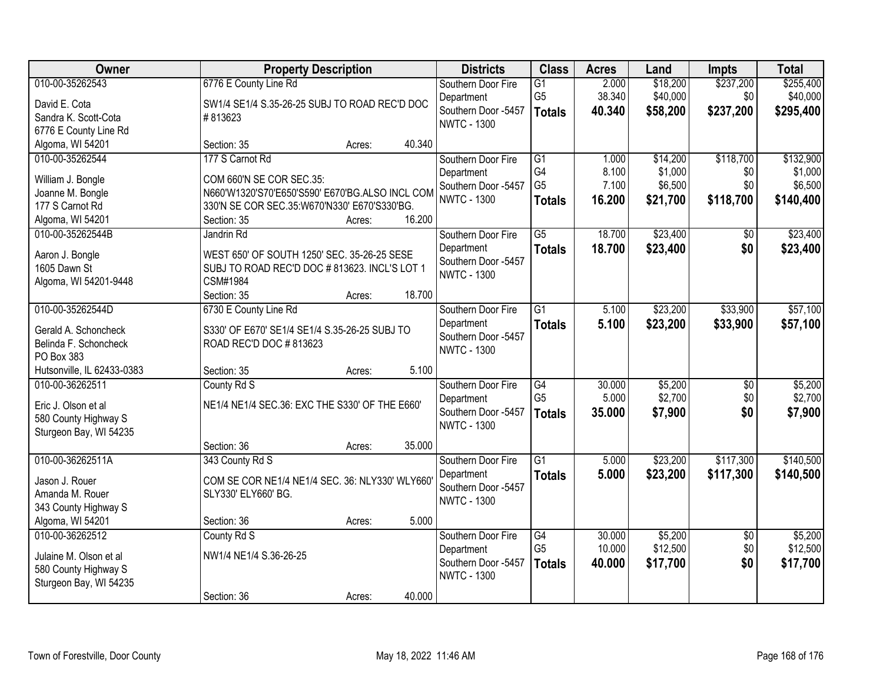| Owner                      | <b>Property Description</b>                     | <b>Districts</b> | <b>Class</b>                              | <b>Acres</b>    | Land   | <b>Impts</b> | <b>Total</b>    |           |
|----------------------------|-------------------------------------------------|------------------|-------------------------------------------|-----------------|--------|--------------|-----------------|-----------|
| 010-00-35262543            | 6776 E County Line Rd                           |                  | Southern Door Fire                        | $\overline{G1}$ | 2.000  | \$18,200     | \$237,200       | \$255,400 |
| David E. Cota              | SW1/4 SE1/4 S.35-26-25 SUBJ TO ROAD REC'D DOC   |                  | Department                                | G <sub>5</sub>  | 38.340 | \$40,000     | \$0             | \$40,000  |
| Sandra K. Scott-Cota       | #813623                                         |                  | Southern Door -5457                       | <b>Totals</b>   | 40.340 | \$58,200     | \$237,200       | \$295,400 |
| 6776 E County Line Rd      |                                                 |                  | <b>NWTC - 1300</b>                        |                 |        |              |                 |           |
| Algoma, WI 54201           | Section: 35                                     | 40.340<br>Acres: |                                           |                 |        |              |                 |           |
| 010-00-35262544            | 177 S Carnot Rd                                 |                  | Southern Door Fire                        | $\overline{G1}$ | 1.000  | \$14,200     | \$118,700       | \$132,900 |
| William J. Bongle          | COM 660'N SE COR SEC.35:                        |                  | Department                                | G4              | 8.100  | \$1,000      | \$0             | \$1,000   |
| Joanne M. Bongle           | N660'W1320'S70'E650'S590' E670'BG.ALSO INCL COM |                  | Southern Door -5457                       | G <sub>5</sub>  | 7.100  | \$6,500      | \$0             | \$6,500   |
| 177 S Carnot Rd            | 330'N SE COR SEC.35:W670'N330' E670'S330'BG.    |                  | <b>NWTC - 1300</b>                        | <b>Totals</b>   | 16.200 | \$21,700     | \$118,700       | \$140,400 |
| Algoma, WI 54201           | Section: 35                                     | 16.200<br>Acres: |                                           |                 |        |              |                 |           |
| 010-00-35262544B           | Jandrin Rd                                      |                  | Southern Door Fire                        | $\overline{G5}$ | 18.700 | \$23,400     | $\overline{50}$ | \$23,400  |
|                            |                                                 |                  | Department                                | <b>Totals</b>   | 18.700 | \$23,400     | \$0             | \$23,400  |
| Aaron J. Bongle            | WEST 650' OF SOUTH 1250' SEC. 35-26-25 SESE     |                  | Southern Door -5457                       |                 |        |              |                 |           |
| 1605 Dawn St               | SUBJ TO ROAD REC'D DOC #813623. INCL'S LOT 1    |                  | <b>NWTC - 1300</b>                        |                 |        |              |                 |           |
| Algoma, WI 54201-9448      | CSM#1984                                        |                  |                                           |                 |        |              |                 |           |
|                            | Section: 35                                     | 18.700<br>Acres: |                                           |                 |        |              |                 |           |
| 010-00-35262544D           | 6730 E County Line Rd                           |                  | Southern Door Fire                        | $\overline{G1}$ | 5.100  | \$23,200     | \$33,900        | \$57,100  |
| Gerald A. Schoncheck       | S330' OF E670' SE1/4 SE1/4 S.35-26-25 SUBJ TO   |                  | Department                                | <b>Totals</b>   | 5.100  | \$23,200     | \$33,900        | \$57,100  |
| Belinda F. Schoncheck      | ROAD REC'D DOC #813623                          |                  | Southern Door -5457<br><b>NWTC - 1300</b> |                 |        |              |                 |           |
| PO Box 383                 |                                                 |                  |                                           |                 |        |              |                 |           |
| Hutsonville, IL 62433-0383 | Section: 35                                     | Acres:           | 5.100                                     |                 |        |              |                 |           |
| 010-00-36262511            | County Rd S                                     |                  | Southern Door Fire                        | $\overline{G4}$ | 30.000 | \$5,200      | $\overline{50}$ | \$5,200   |
| Eric J. Olson et al        | NE1/4 NE1/4 SEC.36: EXC THE S330' OF THE E660'  |                  | Department                                | G <sub>5</sub>  | 5.000  | \$2,700      | \$0             | \$2,700   |
| 580 County Highway S       |                                                 |                  | Southern Door -5457                       | <b>Totals</b>   | 35.000 | \$7,900      | \$0             | \$7,900   |
| Sturgeon Bay, WI 54235     |                                                 |                  | <b>NWTC - 1300</b>                        |                 |        |              |                 |           |
|                            | Section: 36                                     | 35.000<br>Acres: |                                           |                 |        |              |                 |           |
| 010-00-36262511A           | 343 County Rd S                                 |                  | Southern Door Fire                        | $\overline{G1}$ | 5.000  | \$23,200     | \$117,300       | \$140,500 |
| Jason J. Rouer             | COM SE COR NE1/4 NE1/4 SEC. 36: NLY330' WLY660' |                  | Department                                | <b>Totals</b>   | 5.000  | \$23,200     | \$117,300       | \$140,500 |
| Amanda M. Rouer            | SLY330' ELY660' BG.                             |                  | Southern Door -5457                       |                 |        |              |                 |           |
| 343 County Highway S       |                                                 |                  | <b>NWTC - 1300</b>                        |                 |        |              |                 |           |
| Algoma, WI 54201           | Section: 36                                     | Acres:           | 5.000                                     |                 |        |              |                 |           |
| 010-00-36262512            | County Rd S                                     |                  | Southern Door Fire                        | G4              | 30.000 | \$5,200      | $\overline{50}$ | \$5,200   |
|                            |                                                 |                  | Department                                | G <sub>5</sub>  | 10.000 | \$12,500     | \$0             | \$12,500  |
| Julaine M. Olson et al     | NW1/4 NE1/4 S.36-26-25                          |                  | Southern Door -5457                       | <b>Totals</b>   | 40.000 | \$17,700     | \$0             | \$17,700  |
| 580 County Highway S       |                                                 |                  | <b>NWTC - 1300</b>                        |                 |        |              |                 |           |
| Sturgeon Bay, WI 54235     |                                                 |                  |                                           |                 |        |              |                 |           |
|                            | Section: 36                                     | 40.000<br>Acres: |                                           |                 |        |              |                 |           |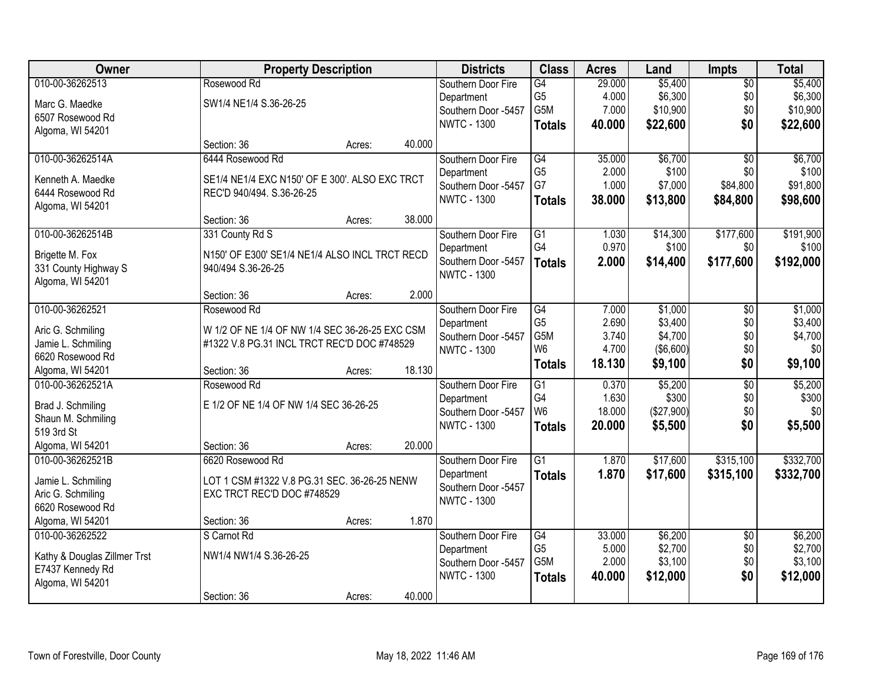| Owner                                   |                                                | <b>Property Description</b> |        | <b>Districts</b>    | <b>Class</b>     | <b>Acres</b> | Land       | Impts           | <b>Total</b> |
|-----------------------------------------|------------------------------------------------|-----------------------------|--------|---------------------|------------------|--------------|------------|-----------------|--------------|
| 010-00-36262513                         | Rosewood Rd                                    |                             |        | Southern Door Fire  | G4               | 29.000       | \$5,400    | $\overline{50}$ | \$5,400      |
| Marc G. Maedke                          | SW1/4 NE1/4 S.36-26-25                         |                             |        | Department          | G <sub>5</sub>   | 4.000        | \$6,300    | \$0             | \$6,300      |
| 6507 Rosewood Rd                        |                                                |                             |        | Southern Door -5457 | G5M              | 7.000        | \$10,900   | \$0             | \$10,900     |
| Algoma, WI 54201                        |                                                |                             |        | <b>NWTC - 1300</b>  | <b>Totals</b>    | 40.000       | \$22,600   | \$0             | \$22,600     |
|                                         | Section: 36                                    | Acres:                      | 40.000 |                     |                  |              |            |                 |              |
| 010-00-36262514A                        | 6444 Rosewood Rd                               |                             |        | Southern Door Fire  | $\overline{G4}$  | 35.000       | \$6,700    | $\overline{50}$ | \$6,700      |
| Kenneth A. Maedke                       | SE1/4 NE1/4 EXC N150' OF E 300'. ALSO EXC TRCT |                             |        | Department          | G <sub>5</sub>   | 2.000        | \$100      | \$0             | \$100        |
| 6444 Rosewood Rd                        | REC'D 940/494. S.36-26-25                      |                             |        | Southern Door -5457 | G7               | 1.000        | \$7,000    | \$84,800        | \$91,800     |
| Algoma, WI 54201                        |                                                |                             |        | <b>NWTC - 1300</b>  | <b>Totals</b>    | 38.000       | \$13,800   | \$84,800        | \$98,600     |
|                                         | Section: 36                                    | Acres:                      | 38.000 |                     |                  |              |            |                 |              |
| 010-00-36262514B                        | 331 County Rd S                                |                             |        | Southern Door Fire  | $\overline{G1}$  | 1.030        | \$14,300   | \$177,600       | \$191,900    |
| Brigette M. Fox                         | N150' OF E300' SE1/4 NE1/4 ALSO INCL TRCT RECD |                             |        | Department          | G4               | 0.970        | \$100      | \$0             | \$100        |
| 331 County Highway S                    | 940/494 S.36-26-25                             |                             |        | Southern Door -5457 | <b>Totals</b>    | 2.000        | \$14,400   | \$177,600       | \$192,000    |
| Algoma, WI 54201                        |                                                |                             |        | <b>NWTC - 1300</b>  |                  |              |            |                 |              |
|                                         | Section: 36                                    | Acres:                      | 2.000  |                     |                  |              |            |                 |              |
| 010-00-36262521                         | Rosewood Rd                                    |                             |        | Southern Door Fire  | G4               | 7.000        | \$1,000    | \$0             | \$1,000      |
| Aric G. Schmiling                       | W 1/2 OF NE 1/4 OF NW 1/4 SEC 36-26-25 EXC CSM |                             |        | Department          | G <sub>5</sub>   | 2.690        | \$3,400    | \$0             | \$3,400      |
| Jamie L. Schmiling                      | #1322 V.8 PG.31 INCL TRCT REC'D DOC #748529    |                             |        | Southern Door -5457 | G <sub>5</sub> M | 3.740        | \$4,700    | \$0             | \$4,700      |
| 6620 Rosewood Rd                        |                                                |                             |        | <b>NWTC - 1300</b>  | W <sub>6</sub>   | 4.700        | (\$6,600)  | \$0             | \$0          |
| Algoma, WI 54201                        | Section: 36                                    | Acres:                      | 18.130 |                     | <b>Totals</b>    | 18.130       | \$9,100    | \$0             | \$9,100      |
| 010-00-36262521A                        | Rosewood Rd                                    |                             |        | Southern Door Fire  | $\overline{G1}$  | 0.370        | \$5,200    | $\overline{50}$ | \$5,200      |
|                                         | E 1/2 OF NE 1/4 OF NW 1/4 SEC 36-26-25         |                             |        | Department          | G4               | 1.630        | \$300      | \$0             | \$300        |
| Brad J. Schmiling<br>Shaun M. Schmiling |                                                |                             |        | Southern Door -5457 | W6               | 18.000       | (\$27,900) | \$0             | \$0          |
| 519 3rd St                              |                                                |                             |        | <b>NWTC - 1300</b>  | <b>Totals</b>    | 20.000       | \$5,500    | \$0             | \$5,500      |
| Algoma, WI 54201                        | Section: 36                                    | Acres:                      | 20.000 |                     |                  |              |            |                 |              |
| 010-00-36262521B                        | 6620 Rosewood Rd                               |                             |        | Southern Door Fire  | $\overline{G1}$  | 1.870        | \$17,600   | \$315,100       | \$332,700    |
|                                         | LOT 1 CSM #1322 V.8 PG.31 SEC. 36-26-25 NENW   |                             |        | Department          | <b>Totals</b>    | 1.870        | \$17,600   | \$315,100       | \$332,700    |
| Jamie L. Schmiling<br>Aric G. Schmiling | EXC TRCT REC'D DOC #748529                     |                             |        | Southern Door -5457 |                  |              |            |                 |              |
| 6620 Rosewood Rd                        |                                                |                             |        | <b>NWTC - 1300</b>  |                  |              |            |                 |              |
| Algoma, WI 54201                        | Section: 36                                    | Acres:                      | 1.870  |                     |                  |              |            |                 |              |
| 010-00-36262522                         | S Carnot Rd                                    |                             |        | Southern Door Fire  | G4               | 33.000       | \$6,200    | $\overline{30}$ | \$6,200      |
|                                         |                                                |                             |        | Department          | G <sub>5</sub>   | 5.000        | \$2,700    | \$0             | \$2,700      |
| Kathy & Douglas Zillmer Trst            | NW1/4 NW1/4 S.36-26-25                         |                             |        | Southern Door -5457 | G5M              | 2.000        | \$3,100    | \$0             | \$3,100      |
| E7437 Kennedy Rd                        |                                                |                             |        | <b>NWTC - 1300</b>  | <b>Totals</b>    | 40.000       | \$12,000   | \$0             | \$12,000     |
| Algoma, WI 54201                        |                                                |                             |        |                     |                  |              |            |                 |              |
|                                         | Section: 36                                    | Acres:                      | 40.000 |                     |                  |              |            |                 |              |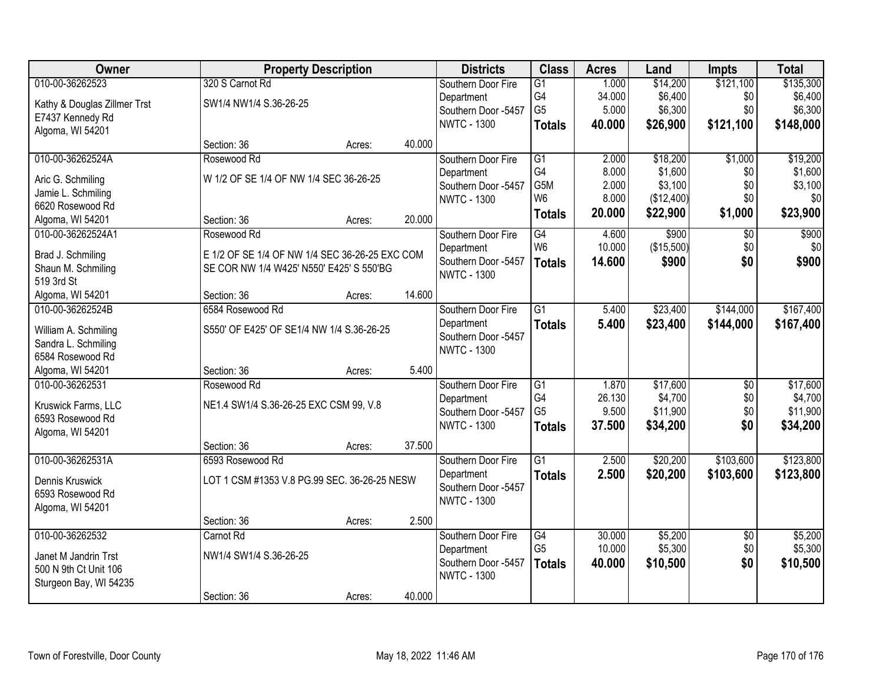| Owner                                       |                                                | <b>Property Description</b> |        | <b>Districts</b>    | <b>Class</b>    | <b>Acres</b> | Land       | <b>Impts</b>    | <b>Total</b> |
|---------------------------------------------|------------------------------------------------|-----------------------------|--------|---------------------|-----------------|--------------|------------|-----------------|--------------|
| 010-00-36262523                             | 320 S Carnot Rd                                |                             |        | Southern Door Fire  | $\overline{G1}$ | 1.000        | \$14,200   | \$121,100       | \$135,300    |
| Kathy & Douglas Zillmer Trst                | SW1/4 NW1/4 S.36-26-25                         |                             |        | Department          | G4              | 34.000       | \$6,400    | \$0             | \$6,400      |
| E7437 Kennedy Rd                            |                                                |                             |        | Southern Door -5457 | G <sub>5</sub>  | 5.000        | \$6,300    | \$0             | \$6,300      |
| Algoma, WI 54201                            |                                                |                             |        | <b>NWTC - 1300</b>  | <b>Totals</b>   | 40.000       | \$26,900   | \$121,100       | \$148,000    |
|                                             | Section: 36                                    | Acres:                      | 40.000 |                     |                 |              |            |                 |              |
| 010-00-36262524A                            | Rosewood Rd                                    |                             |        | Southern Door Fire  | $\overline{G1}$ | 2.000        | \$18,200   | \$1,000         | \$19,200     |
| Aric G. Schmiling                           | W 1/2 OF SE 1/4 OF NW 1/4 SEC 36-26-25         |                             |        | Department          | G4              | 8.000        | \$1,600    | \$0             | \$1,600      |
| Jamie L. Schmiling                          |                                                |                             |        | Southern Door -5457 | G5M             | 2.000        | \$3,100    | \$0             | \$3,100      |
| 6620 Rosewood Rd                            |                                                |                             |        | <b>NWTC - 1300</b>  | W <sub>6</sub>  | 8.000        | (\$12,400) | \$0             | \$0          |
| Algoma, WI 54201                            | Section: 36                                    | Acres:                      | 20.000 |                     | <b>Totals</b>   | 20.000       | \$22,900   | \$1,000         | \$23,900     |
| 010-00-36262524A1                           | Rosewood Rd                                    |                             |        | Southern Door Fire  | $\overline{G4}$ | 4.600        | \$900      | $\overline{50}$ | \$900        |
| Brad J. Schmiling                           | E 1/2 OF SE 1/4 OF NW 1/4 SEC 36-26-25 EXC COM |                             |        | Department          | W <sub>6</sub>  | 10.000       | (\$15,500) | \$0             | \$0          |
| Shaun M. Schmiling                          | SE COR NW 1/4 W425' N550' E425' S 550'BG       |                             |        | Southern Door -5457 | <b>Totals</b>   | 14.600       | \$900      | \$0             | \$900        |
| 519 3rd St                                  |                                                |                             |        | <b>NWTC - 1300</b>  |                 |              |            |                 |              |
| Algoma, WI 54201                            | Section: 36                                    | Acres:                      | 14.600 |                     |                 |              |            |                 |              |
| 010-00-36262524B                            | 6584 Rosewood Rd                               |                             |        | Southern Door Fire  | $\overline{G1}$ | 5.400        | \$23,400   | \$144,000       | \$167,400    |
|                                             | S550' OF E425' OF SE1/4 NW 1/4 S.36-26-25      |                             |        | Department          | <b>Totals</b>   | 5.400        | \$23,400   | \$144,000       | \$167,400    |
| William A. Schmiling<br>Sandra L. Schmiling |                                                |                             |        | Southern Door -5457 |                 |              |            |                 |              |
| 6584 Rosewood Rd                            |                                                |                             |        | <b>NWTC - 1300</b>  |                 |              |            |                 |              |
| Algoma, WI 54201                            | Section: 36                                    | Acres:                      | 5.400  |                     |                 |              |            |                 |              |
| 010-00-36262531                             | Rosewood Rd                                    |                             |        | Southern Door Fire  | $\overline{G1}$ | 1.870        | \$17,600   | $\overline{50}$ | \$17,600     |
|                                             |                                                |                             |        | Department          | G <sub>4</sub>  | 26.130       | \$4,700    | \$0             | \$4,700      |
| Kruswick Farms, LLC                         | NE1.4 SW1/4 S.36-26-25 EXC CSM 99, V.8         |                             |        | Southern Door -5457 | G <sub>5</sub>  | 9.500        | \$11,900   | \$0             | \$11,900     |
| 6593 Rosewood Rd                            |                                                |                             |        | <b>NWTC - 1300</b>  | <b>Totals</b>   | 37.500       | \$34,200   | \$0             | \$34,200     |
| Algoma, WI 54201                            | Section: 36                                    | Acres:                      | 37.500 |                     |                 |              |            |                 |              |
| 010-00-36262531A                            | 6593 Rosewood Rd                               |                             |        | Southern Door Fire  | $\overline{G1}$ | 2.500        | \$20,200   | \$103,600       | \$123,800    |
|                                             |                                                |                             |        | Department          | <b>Totals</b>   | 2.500        | \$20,200   | \$103,600       | \$123,800    |
| Dennis Kruswick                             | LOT 1 CSM #1353 V.8 PG.99 SEC. 36-26-25 NESW   |                             |        | Southern Door -5457 |                 |              |            |                 |              |
| 6593 Rosewood Rd                            |                                                |                             |        | <b>NWTC - 1300</b>  |                 |              |            |                 |              |
| Algoma, WI 54201                            | Section: 36                                    |                             | 2.500  |                     |                 |              |            |                 |              |
| 010-00-36262532                             | Carnot Rd                                      | Acres:                      |        | Southern Door Fire  | G4              | 30.000       | \$5,200    | $\overline{50}$ | \$5,200      |
|                                             |                                                |                             |        | Department          | G <sub>5</sub>  | 10.000       | \$5,300    | \$0             | \$5,300      |
| Janet M Jandrin Trst                        | NW1/4 SW1/4 S.36-26-25                         |                             |        | Southern Door -5457 | <b>Totals</b>   | 40.000       | \$10,500   | \$0             | \$10,500     |
| 500 N 9th Ct Unit 106                       |                                                |                             |        | <b>NWTC - 1300</b>  |                 |              |            |                 |              |
| Sturgeon Bay, WI 54235                      |                                                |                             |        |                     |                 |              |            |                 |              |
|                                             | Section: 36                                    | Acres:                      | 40.000 |                     |                 |              |            |                 |              |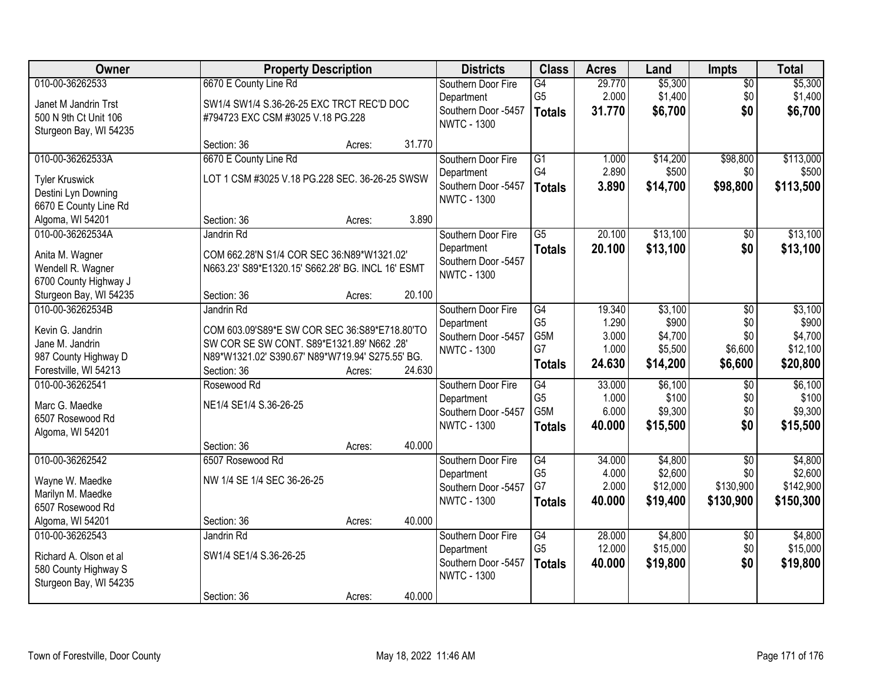| Owner                  | <b>Property Description</b>                       |        |        | <b>Districts</b>    | <b>Class</b>     | <b>Acres</b> | Land     | Impts           | <b>Total</b> |
|------------------------|---------------------------------------------------|--------|--------|---------------------|------------------|--------------|----------|-----------------|--------------|
| 010-00-36262533        | 6670 E County Line Rd                             |        |        | Southern Door Fire  | G4               | 29.770       | \$5,300  | $\overline{50}$ | \$5,300      |
| Janet M Jandrin Trst   | SW1/4 SW1/4 S.36-26-25 EXC TRCT REC'D DOC         |        |        | Department          | G <sub>5</sub>   | 2.000        | \$1,400  | \$0             | \$1,400      |
| 500 N 9th Ct Unit 106  | #794723 EXC CSM #3025 V.18 PG.228                 |        |        | Southern Door -5457 | <b>Totals</b>    | 31.770       | \$6,700  | \$0             | \$6,700      |
| Sturgeon Bay, WI 54235 |                                                   |        |        | <b>NWTC - 1300</b>  |                  |              |          |                 |              |
|                        | Section: 36                                       | Acres: | 31.770 |                     |                  |              |          |                 |              |
| 010-00-36262533A       | 6670 E County Line Rd                             |        |        | Southern Door Fire  | $\overline{G1}$  | 1.000        | \$14,200 | \$98,800        | \$113,000    |
| <b>Tyler Kruswick</b>  | LOT 1 CSM #3025 V.18 PG.228 SEC. 36-26-25 SWSW    |        |        | Department          | G4               | 2.890        | \$500    | \$0             | \$500        |
| Destini Lyn Downing    |                                                   |        |        | Southern Door -5457 | <b>Totals</b>    | 3.890        | \$14,700 | \$98,800        | \$113,500    |
| 6670 E County Line Rd  |                                                   |        |        | <b>NWTC - 1300</b>  |                  |              |          |                 |              |
| Algoma, WI 54201       | Section: 36                                       | Acres: | 3.890  |                     |                  |              |          |                 |              |
| 010-00-36262534A       | Jandrin Rd                                        |        |        | Southern Door Fire  | $\overline{G5}$  | 20.100       | \$13,100 | $\overline{50}$ | \$13,100     |
| Anita M. Wagner        | COM 662.28'N S1/4 COR SEC 36:N89*W1321.02'        |        |        | Department          | <b>Totals</b>    | 20.100       | \$13,100 | \$0             | \$13,100     |
| Wendell R. Wagner      | N663.23' S89*E1320.15' S662.28' BG. INCL 16' ESMT |        |        | Southern Door -5457 |                  |              |          |                 |              |
| 6700 County Highway J  |                                                   |        |        | <b>NWTC - 1300</b>  |                  |              |          |                 |              |
| Sturgeon Bay, WI 54235 | Section: 36                                       | Acres: | 20.100 |                     |                  |              |          |                 |              |
| 010-00-36262534B       | Jandrin Rd                                        |        |        | Southern Door Fire  | G4               | 19.340       | \$3,100  | \$0             | \$3,100      |
| Kevin G. Jandrin       | COM 603.09'S89*E SW COR SEC 36:S89*E718.80'TO     |        |        | Department          | G <sub>5</sub>   | 1.290        | \$900    | \$0             | \$900        |
| Jane M. Jandrin        | SW COR SE SW CONT. S89*E1321.89' N662.28'         |        |        | Southern Door -5457 | G <sub>5</sub> M | 3.000        | \$4,700  | \$0             | \$4,700      |
| 987 County Highway D   | N89*W1321.02' S390.67' N89*W719.94' S275.55' BG.  |        |        | <b>NWTC - 1300</b>  | G7               | 1.000        | \$5,500  | \$6,600         | \$12,100     |
| Forestville, WI 54213  | Section: 36                                       | Acres: | 24.630 |                     | <b>Totals</b>    | 24.630       | \$14,200 | \$6,600         | \$20,800     |
| 010-00-36262541        | Rosewood Rd                                       |        |        | Southern Door Fire  | $\overline{G4}$  | 33.000       | \$6,100  | $\overline{50}$ | \$6,100      |
| Marc G. Maedke         | NE1/4 SE1/4 S.36-26-25                            |        |        | Department          | G <sub>5</sub>   | 1.000        | \$100    | \$0             | \$100        |
| 6507 Rosewood Rd       |                                                   |        |        | Southern Door -5457 | G5M              | 6.000        | \$9,300  | \$0             | \$9,300      |
| Algoma, WI 54201       |                                                   |        |        | <b>NWTC - 1300</b>  | <b>Totals</b>    | 40.000       | \$15,500 | \$0             | \$15,500     |
|                        | Section: 36                                       | Acres: | 40.000 |                     |                  |              |          |                 |              |
| 010-00-36262542        | 6507 Rosewood Rd                                  |        |        | Southern Door Fire  | G4               | 34.000       | \$4,800  | $\overline{50}$ | \$4,800      |
| Wayne W. Maedke        | NW 1/4 SE 1/4 SEC 36-26-25                        |        |        | Department          | G <sub>5</sub>   | 4.000        | \$2,600  | \$0             | \$2,600      |
| Marilyn M. Maedke      |                                                   |        |        | Southern Door -5457 | G7               | 2.000        | \$12,000 | \$130,900       | \$142,900    |
| 6507 Rosewood Rd       |                                                   |        |        | <b>NWTC - 1300</b>  | <b>Totals</b>    | 40.000       | \$19,400 | \$130,900       | \$150,300    |
| Algoma, WI 54201       | Section: 36                                       | Acres: | 40.000 |                     |                  |              |          |                 |              |
| 010-00-36262543        | Jandrin Rd                                        |        |        | Southern Door Fire  | $\overline{G4}$  | 28.000       | \$4,800  | $\overline{30}$ | \$4,800      |
| Richard A. Olson et al | SW1/4 SE1/4 S.36-26-25                            |        |        | Department          | G <sub>5</sub>   | 12.000       | \$15,000 | \$0             | \$15,000     |
| 580 County Highway S   |                                                   |        |        | Southern Door -5457 | <b>Totals</b>    | 40.000       | \$19,800 | \$0             | \$19,800     |
| Sturgeon Bay, WI 54235 |                                                   |        |        | <b>NWTC - 1300</b>  |                  |              |          |                 |              |
|                        | Section: 36                                       | Acres: | 40.000 |                     |                  |              |          |                 |              |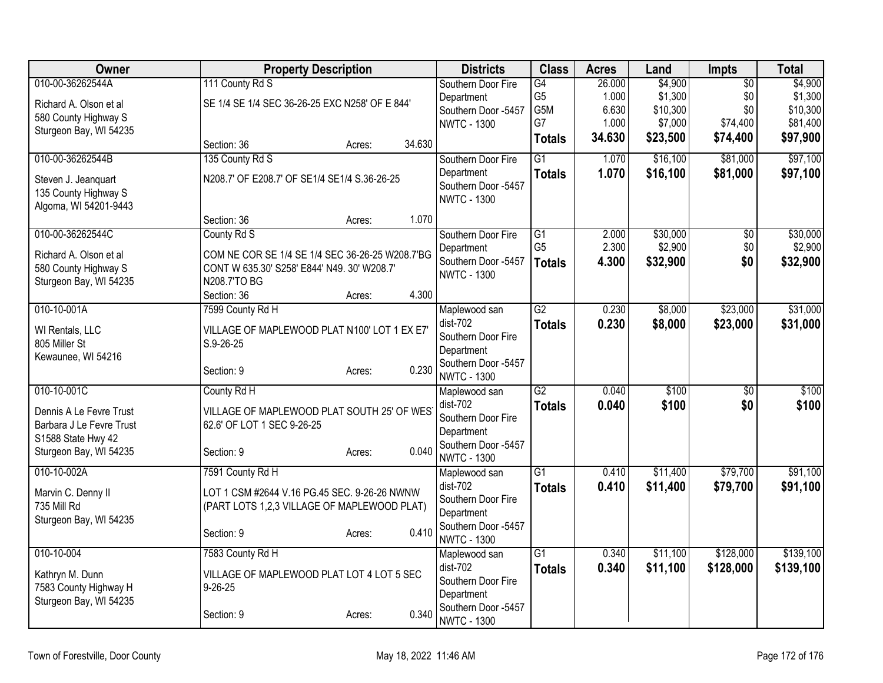| Owner                    | <b>Property Description</b>                     |                  | <b>Districts</b>                 | <b>Class</b>     | <b>Acres</b> | Land     | Impts           | <b>Total</b> |
|--------------------------|-------------------------------------------------|------------------|----------------------------------|------------------|--------------|----------|-----------------|--------------|
| 010-00-36262544A         | 111 County Rd S                                 |                  | Southern Door Fire               | $\overline{G4}$  | 26.000       | \$4,900  | $\overline{50}$ | \$4,900      |
| Richard A. Olson et al   | SE 1/4 SE 1/4 SEC 36-26-25 EXC N258' OF E 844'  |                  | Department                       | G <sub>5</sub>   | 1.000        | \$1,300  | \$0             | \$1,300      |
| 580 County Highway S     |                                                 |                  | Southern Door -5457              | G <sub>5</sub> M | 6.630        | \$10,300 | \$0             | \$10,300     |
| Sturgeon Bay, WI 54235   |                                                 |                  | <b>NWTC - 1300</b>               | G7               | 1.000        | \$7,000  | \$74,400        | \$81,400     |
|                          | Section: 36                                     | 34.630<br>Acres: |                                  | <b>Totals</b>    | 34.630       | \$23,500 | \$74,400        | \$97,900     |
| 010-00-36262544B         | 135 County Rd S                                 |                  | Southern Door Fire               | $\overline{G1}$  | 1.070        | \$16,100 | \$81,000        | \$97,100     |
| Steven J. Jeanquart      | N208.7' OF E208.7' OF SE1/4 SE1/4 S.36-26-25    |                  | Department                       | <b>Totals</b>    | 1.070        | \$16,100 | \$81,000        | \$97,100     |
| 135 County Highway S     |                                                 |                  | Southern Door -5457              |                  |              |          |                 |              |
| Algoma, WI 54201-9443    |                                                 |                  | <b>NWTC - 1300</b>               |                  |              |          |                 |              |
|                          | Section: 36                                     | 1.070<br>Acres:  |                                  |                  |              |          |                 |              |
| 010-00-36262544C         | County Rd S                                     |                  | Southern Door Fire               | G1               | 2.000        | \$30,000 | $\overline{50}$ | \$30,000     |
| Richard A. Olson et al   | COM NE COR SE 1/4 SE 1/4 SEC 36-26-25 W208.7'BG |                  | Department                       | G <sub>5</sub>   | 2.300        | \$2,900  | \$0             | \$2,900      |
| 580 County Highway S     | CONT W 635.30' S258' E844' N49. 30' W208.7'     |                  | Southern Door -5457              | <b>Totals</b>    | 4.300        | \$32,900 | \$0             | \$32,900     |
| Sturgeon Bay, WI 54235   | N208.7'TO BG                                    |                  | <b>NWTC - 1300</b>               |                  |              |          |                 |              |
|                          | Section: 36                                     | 4.300<br>Acres:  |                                  |                  |              |          |                 |              |
| 010-10-001A              | 7599 County Rd H                                |                  | Maplewood san                    | $\overline{G2}$  | 0.230        | \$8,000  | \$23,000        | \$31,000     |
| WI Rentals, LLC          | VILLAGE OF MAPLEWOOD PLAT N100' LOT 1 EX E7'    |                  | $dist-702$                       | <b>Totals</b>    | 0.230        | \$8,000  | \$23,000        | \$31,000     |
| 805 Miller St            | S.9-26-25                                       |                  | Southern Door Fire               |                  |              |          |                 |              |
| Kewaunee, WI 54216       |                                                 |                  | Department                       |                  |              |          |                 |              |
|                          | Section: 9                                      | 0.230<br>Acres:  | Southern Door -5457              |                  |              |          |                 |              |
| 010-10-001C              | County Rd H                                     |                  | <b>NWTC - 1300</b>               | G2               | 0.040        | \$100    | $\overline{50}$ | \$100        |
|                          |                                                 |                  | Maplewood san<br>dist-702        |                  | 0.040        |          | \$0             | \$100        |
| Dennis A Le Fevre Trust  | VILLAGE OF MAPLEWOOD PLAT SOUTH 25' OF WES      |                  | Southern Door Fire               | <b>Totals</b>    |              | \$100    |                 |              |
| Barbara J Le Fevre Trust | 62.6' OF LOT 1 SEC 9-26-25                      |                  | Department                       |                  |              |          |                 |              |
| S1588 State Hwy 42       |                                                 |                  | Southern Door -5457              |                  |              |          |                 |              |
| Sturgeon Bay, WI 54235   | Section: 9                                      | 0.040<br>Acres:  | <b>NWTC - 1300</b>               |                  |              |          |                 |              |
| 010-10-002A              | 7591 County Rd H                                |                  | Maplewood san                    | $\overline{G1}$  | 0.410        | \$11,400 | \$79,700        | \$91,100     |
| Marvin C. Denny II       | LOT 1 CSM #2644 V.16 PG.45 SEC. 9-26-26 NWNW    |                  | dist-702                         | <b>Totals</b>    | 0.410        | \$11,400 | \$79,700        | \$91,100     |
| 735 Mill Rd              | (PART LOTS 1,2,3 VILLAGE OF MAPLEWOOD PLAT)     |                  | Southern Door Fire               |                  |              |          |                 |              |
| Sturgeon Bay, WI 54235   |                                                 |                  | Department                       |                  |              |          |                 |              |
|                          | Section: 9                                      | 0.410<br>Acres:  | Southern Door -5457              |                  |              |          |                 |              |
|                          |                                                 |                  | <b>NWTC - 1300</b>               |                  |              |          |                 |              |
| 010-10-004               | 7583 County Rd H                                |                  | Maplewood san                    | $\overline{G1}$  | 0.340        | \$11,100 | \$128,000       | \$139,100    |
| Kathryn M. Dunn          | VILLAGE OF MAPLEWOOD PLAT LOT 4 LOT 5 SEC       |                  | $dist-702$<br>Southern Door Fire | <b>Totals</b>    | 0.340        | \$11,100 | \$128,000       | \$139,100    |
| 7583 County Highway H    | $9 - 26 - 25$                                   |                  | Department                       |                  |              |          |                 |              |
| Sturgeon Bay, WI 54235   |                                                 |                  | Southern Door -5457              |                  |              |          |                 |              |
|                          | Section: 9                                      | 0.340<br>Acres:  | <b>NWTC - 1300</b>               |                  |              |          |                 |              |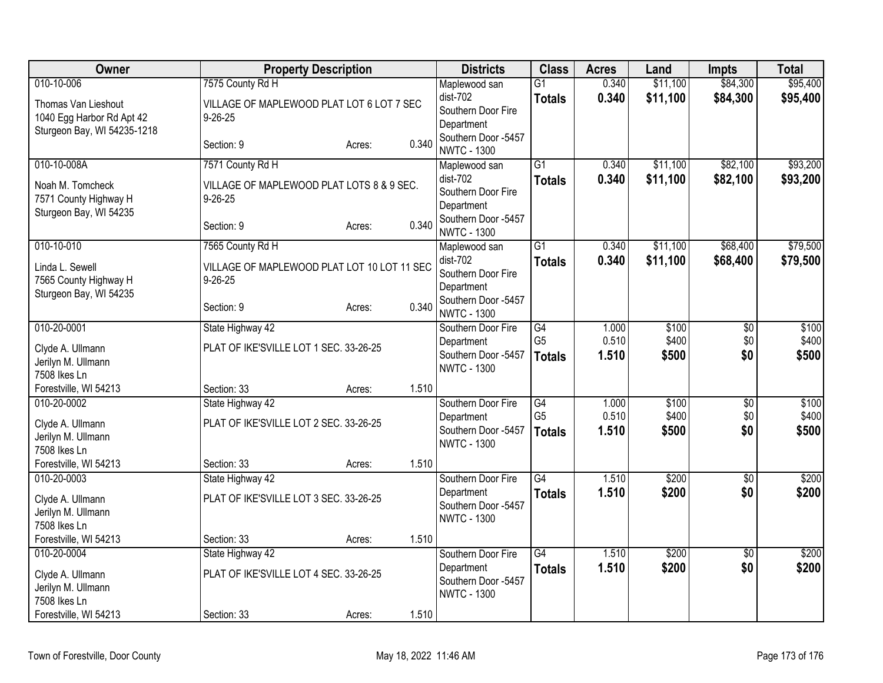| <b>Owner</b>                                                        | <b>Property Description</b>                                                    |                 | <b>Districts</b>                                              | <b>Class</b>                     | <b>Acres</b>   | Land                 | <b>Impts</b>         | <b>Total</b>         |
|---------------------------------------------------------------------|--------------------------------------------------------------------------------|-----------------|---------------------------------------------------------------|----------------------------------|----------------|----------------------|----------------------|----------------------|
| 010-10-006<br>Thomas Van Lieshout<br>1040 Egg Harbor Rd Apt 42      | 7575 County Rd H<br>VILLAGE OF MAPLEWOOD PLAT LOT 6 LOT 7 SEC<br>$9 - 26 - 25$ |                 | Maplewood san<br>dist-702<br>Southern Door Fire<br>Department | $\overline{G1}$<br><b>Totals</b> | 0.340<br>0.340 | \$11,100<br>\$11,100 | \$84,300<br>\$84,300 | \$95,400<br>\$95,400 |
| Sturgeon Bay, WI 54235-1218                                         | Section: 9                                                                     | 0.340<br>Acres: | Southern Door -5457<br><b>NWTC - 1300</b>                     |                                  |                |                      |                      |                      |
| 010-10-008A                                                         | 7571 County Rd H                                                               |                 | Maplewood san                                                 | $\overline{G1}$                  | 0.340          | \$11,100             | \$82,100             | \$93,200             |
| Noah M. Tomcheck<br>7571 County Highway H<br>Sturgeon Bay, WI 54235 | VILLAGE OF MAPLEWOOD PLAT LOTS 8 & 9 SEC.<br>$9 - 26 - 25$                     |                 | dist-702<br>Southern Door Fire<br>Department                  | <b>Totals</b>                    | 0.340          | \$11,100             | \$82,100             | \$93,200             |
|                                                                     | Section: 9                                                                     | 0.340<br>Acres: | Southern Door -5457<br><b>NWTC - 1300</b>                     |                                  |                |                      |                      |                      |
| 010-10-010                                                          | 7565 County Rd H                                                               |                 | Maplewood san                                                 | $\overline{G1}$                  | 0.340          | \$11,100             | \$68,400             | \$79,500             |
| Linda L. Sewell<br>7565 County Highway H<br>Sturgeon Bay, WI 54235  | VILLAGE OF MAPLEWOOD PLAT LOT 10 LOT 11 SEC<br>$9 - 26 - 25$                   |                 | dist-702<br>Southern Door Fire<br>Department                  | <b>Totals</b>                    | 0.340          | \$11,100             | \$68,400             | \$79,500             |
|                                                                     | Section: 9                                                                     | 0.340<br>Acres: | Southern Door -5457<br><b>NWTC - 1300</b>                     |                                  |                |                      |                      |                      |
| 010-20-0001                                                         | State Highway 42                                                               |                 | Southern Door Fire                                            | G4                               | 1.000          | \$100                | $\overline{50}$      | \$100                |
| Clyde A. Ullmann<br>Jerilyn M. Ullmann<br>7508 Ikes Ln              | PLAT OF IKE'SVILLE LOT 1 SEC. 33-26-25                                         |                 | Department<br>Southern Door -5457<br><b>NWTC - 1300</b>       | G <sub>5</sub><br><b>Totals</b>  | 0.510<br>1.510 | \$400<br>\$500       | \$0<br>\$0           | \$400<br>\$500       |
| Forestville, WI 54213                                               | Section: 33                                                                    | 1.510<br>Acres: |                                                               |                                  |                |                      |                      |                      |
| 010-20-0002                                                         | State Highway 42                                                               |                 | Southern Door Fire                                            | G4                               | 1.000          | \$100                | $\overline{50}$      | \$100                |
| Clyde A. Ullmann<br>Jerilyn M. Ullmann<br>7508 Ikes Ln              | PLAT OF IKE'SVILLE LOT 2 SEC. 33-26-25                                         |                 | Department<br>Southern Door -5457<br><b>NWTC - 1300</b>       | G <sub>5</sub><br><b>Totals</b>  | 0.510<br>1.510 | \$400<br>\$500       | \$0<br>\$0           | \$400<br>\$500       |
| Forestville, WI 54213                                               | Section: 33                                                                    | 1.510<br>Acres: |                                                               |                                  |                |                      |                      |                      |
| 010-20-0003                                                         | State Highway 42                                                               |                 | Southern Door Fire                                            | $\overline{G4}$                  | 1.510          | \$200                | \$0                  | \$200                |
| Clyde A. Ullmann<br>Jerilyn M. Ullmann<br>7508 Ikes Ln              | PLAT OF IKE'SVILLE LOT 3 SEC. 33-26-25                                         |                 | Department<br>Southern Door -5457<br><b>NWTC - 1300</b>       | <b>Totals</b>                    | 1.510          | \$200                | \$0                  | \$200                |
| Forestville, WI 54213                                               | Section: 33                                                                    | 1.510<br>Acres: |                                                               |                                  |                |                      |                      |                      |
| 010-20-0004                                                         | State Highway 42                                                               |                 | Southern Door Fire                                            | $\overline{G4}$                  | 1.510          | \$200                | \$0                  | \$200                |
| Clyde A. Ullmann<br>Jerilyn M. Ullmann<br>7508 Ikes Ln              | PLAT OF IKE'SVILLE LOT 4 SEC. 33-26-25                                         |                 | Department<br>Southern Door -5457<br><b>NWTC - 1300</b>       | <b>Totals</b>                    | 1.510          | \$200                | \$0                  | \$200                |
| Forestville, WI 54213                                               | Section: 33                                                                    | 1.510<br>Acres: |                                                               |                                  |                |                      |                      |                      |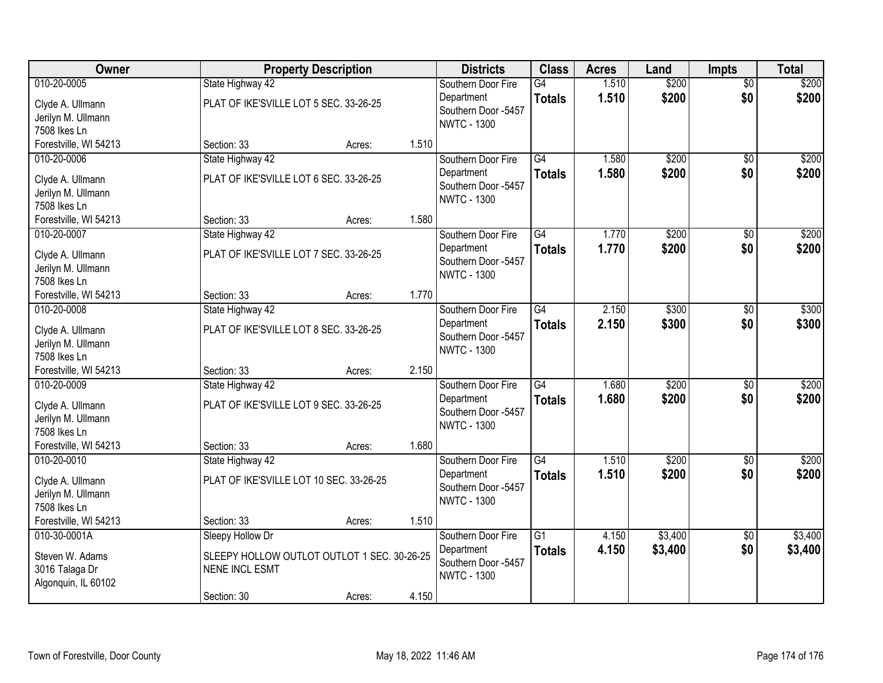| Owner                                                                    | <b>Property Description</b>                                                                             |        |       | <b>Districts</b>                                                              | <b>Class</b>                     | <b>Acres</b>   | Land               | <b>Impts</b>           | <b>Total</b>       |
|--------------------------------------------------------------------------|---------------------------------------------------------------------------------------------------------|--------|-------|-------------------------------------------------------------------------------|----------------------------------|----------------|--------------------|------------------------|--------------------|
| 010-20-0005<br>Clyde A. Ullmann<br>Jerilyn M. Ullmann<br>7508 Ikes Ln    | State Highway 42<br>PLAT OF IKE'SVILLE LOT 5 SEC. 33-26-25                                              |        |       | Southern Door Fire<br>Department<br>Southern Door -5457<br><b>NWTC - 1300</b> | $\overline{G4}$<br><b>Totals</b> | 1.510<br>1.510 | \$200<br>\$200     | $\overline{50}$<br>\$0 | \$200<br>\$200     |
| Forestville, WI 54213                                                    | Section: 33                                                                                             | Acres: | 1.510 |                                                                               |                                  |                |                    |                        |                    |
| 010-20-0006<br>Clyde A. Ullmann<br>Jerilyn M. Ullmann<br>7508 Ikes Ln    | State Highway 42<br>PLAT OF IKE'SVILLE LOT 6 SEC. 33-26-25                                              |        |       | Southern Door Fire<br>Department<br>Southern Door -5457<br><b>NWTC - 1300</b> | $\overline{G4}$<br><b>Totals</b> | 1.580<br>1.580 | \$200<br>\$200     | \$0<br>\$0             | \$200<br>\$200     |
| Forestville, WI 54213                                                    | Section: 33                                                                                             | Acres: | 1.580 |                                                                               |                                  |                |                    |                        |                    |
| 010-20-0007<br>Clyde A. Ullmann<br>Jerilyn M. Ullmann<br>7508 Ikes Ln    | State Highway 42<br>PLAT OF IKE'SVILLE LOT 7 SEC. 33-26-25                                              |        |       | Southern Door Fire<br>Department<br>Southern Door -5457<br><b>NWTC - 1300</b> | $\overline{G4}$<br><b>Totals</b> | 1.770<br>1.770 | \$200<br>\$200     | \$0<br>\$0             | \$200<br>\$200     |
| Forestville, WI 54213                                                    | Section: 33                                                                                             | Acres: | 1.770 |                                                                               |                                  |                |                    |                        |                    |
| 010-20-0008<br>Clyde A. Ullmann<br>Jerilyn M. Ullmann<br>7508 Ikes Ln    | State Highway 42<br>PLAT OF IKE'SVILLE LOT 8 SEC. 33-26-25                                              |        |       | Southern Door Fire<br>Department<br>Southern Door -5457<br><b>NWTC - 1300</b> | $\overline{G4}$<br><b>Totals</b> | 2.150<br>2.150 | \$300<br>\$300     | \$0<br>\$0             | \$300<br>\$300     |
| Forestville, WI 54213                                                    | Section: 33                                                                                             | Acres: | 2.150 |                                                                               |                                  |                |                    |                        |                    |
| 010-20-0009<br>Clyde A. Ullmann<br>Jerilyn M. Ullmann<br>7508 Ikes Ln    | State Highway 42<br>PLAT OF IKE'SVILLE LOT 9 SEC. 33-26-25                                              |        |       | Southern Door Fire<br>Department<br>Southern Door -5457<br><b>NWTC - 1300</b> | G4<br><b>Totals</b>              | 1.680<br>1.680 | \$200<br>\$200     | $\overline{50}$<br>\$0 | \$200<br>\$200     |
| Forestville, WI 54213                                                    | Section: 33                                                                                             | Acres: | 1.680 |                                                                               |                                  |                |                    |                        |                    |
| 010-20-0010<br>Clyde A. Ullmann<br>Jerilyn M. Ullmann<br>7508 Ikes Ln    | State Highway 42<br>PLAT OF IKE'SVILLE LOT 10 SEC. 33-26-25                                             |        |       | Southern Door Fire<br>Department<br>Southern Door -5457<br><b>NWTC - 1300</b> | G4<br><b>Totals</b>              | 1.510<br>1.510 | \$200<br>\$200     | \$0<br>\$0             | \$200<br>\$200     |
| Forestville, WI 54213                                                    | Section: 33                                                                                             | Acres: | 1.510 |                                                                               |                                  |                |                    |                        |                    |
| 010-30-0001A<br>Steven W. Adams<br>3016 Talaga Dr<br>Algonquin, IL 60102 | Sleepy Hollow Dr<br>SLEEPY HOLLOW OUTLOT OUTLOT 1 SEC. 30-26-25<br><b>NENE INCL ESMT</b><br>Section: 30 | Acres: | 4.150 | Southern Door Fire<br>Department<br>Southern Door -5457<br><b>NWTC - 1300</b> | $\overline{G1}$<br><b>Totals</b> | 4.150<br>4.150 | \$3,400<br>\$3,400 | $\overline{30}$<br>\$0 | \$3,400<br>\$3,400 |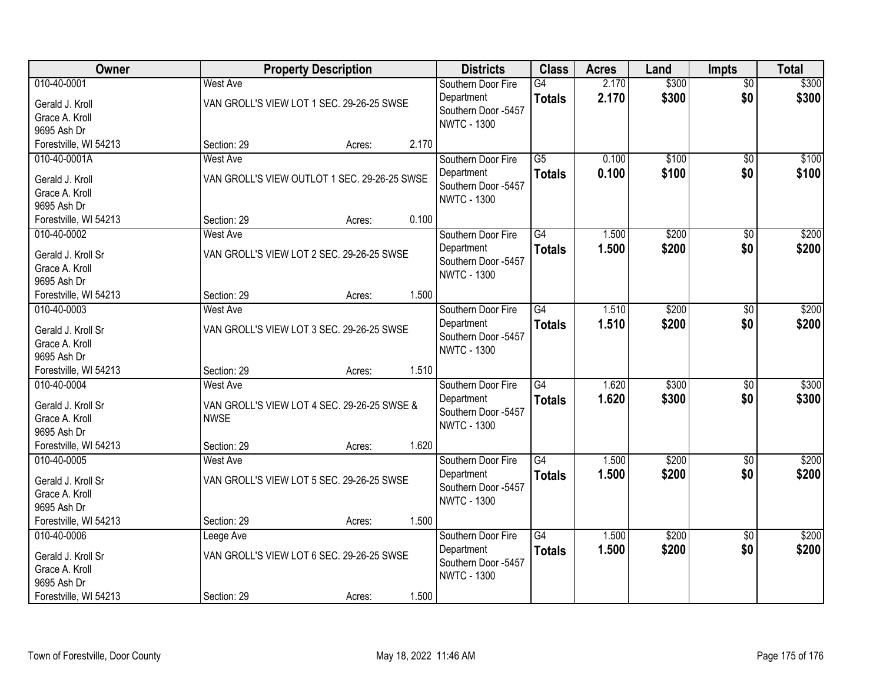| Owner                                                              |                                | <b>Property Description</b>                  |       | <b>Districts</b>                                                              | <b>Class</b>                     | <b>Acres</b>   | Land           | <b>Impts</b>           | <b>Total</b>   |
|--------------------------------------------------------------------|--------------------------------|----------------------------------------------|-------|-------------------------------------------------------------------------------|----------------------------------|----------------|----------------|------------------------|----------------|
| 010-40-0001<br>Gerald J. Kroll<br>Grace A. Kroll<br>9695 Ash Dr    | <b>West Ave</b>                | VAN GROLL'S VIEW LOT 1 SEC. 29-26-25 SWSE    |       | Southern Door Fire<br>Department<br>Southern Door -5457<br><b>NWTC - 1300</b> | $\overline{G4}$<br><b>Totals</b> | 2.170<br>2.170 | \$300<br>\$300 | $\overline{50}$<br>\$0 | \$300<br>\$300 |
| Forestville, WI 54213                                              | Section: 29                    | Acres:                                       | 2.170 |                                                                               |                                  |                |                |                        |                |
| 010-40-0001A<br>Gerald J. Kroll<br>Grace A. Kroll<br>9695 Ash Dr   | <b>West Ave</b>                | VAN GROLL'S VIEW OUTLOT 1 SEC. 29-26-25 SWSE |       | Southern Door Fire<br>Department<br>Southern Door -5457<br><b>NWTC - 1300</b> | $\overline{G5}$<br><b>Totals</b> | 0.100<br>0.100 | \$100<br>\$100 | $\overline{50}$<br>\$0 | \$100<br>\$100 |
| Forestville, WI 54213                                              | Section: 29                    | Acres:                                       | 0.100 |                                                                               |                                  |                |                |                        |                |
| 010-40-0002<br>Gerald J. Kroll Sr<br>Grace A. Kroll<br>9695 Ash Dr | <b>West Ave</b>                | VAN GROLL'S VIEW LOT 2 SEC. 29-26-25 SWSE    |       | Southern Door Fire<br>Department<br>Southern Door -5457<br><b>NWTC - 1300</b> | $\overline{G4}$<br><b>Totals</b> | 1.500<br>1.500 | \$200<br>\$200 | \$0<br>\$0             | \$200<br>\$200 |
| Forestville, WI 54213                                              | Section: 29                    | Acres:                                       | 1.500 |                                                                               |                                  |                |                |                        |                |
| 010-40-0003<br>Gerald J. Kroll Sr<br>Grace A. Kroll<br>9695 Ash Dr | West Ave                       | VAN GROLL'S VIEW LOT 3 SEC. 29-26-25 SWSE    |       | Southern Door Fire<br>Department<br>Southern Door -5457<br><b>NWTC - 1300</b> | $\overline{G4}$<br><b>Totals</b> | 1.510<br>1.510 | \$200<br>\$200 | \$0<br>\$0             | \$200<br>\$200 |
| Forestville, WI 54213                                              | Section: 29                    | Acres:                                       | 1.510 |                                                                               |                                  |                |                |                        |                |
| 010-40-0004<br>Gerald J. Kroll Sr<br>Grace A. Kroll<br>9695 Ash Dr | <b>West Ave</b><br><b>NWSE</b> | VAN GROLL'S VIEW LOT 4 SEC. 29-26-25 SWSE &  |       | Southern Door Fire<br>Department<br>Southern Door -5457<br><b>NWTC - 1300</b> | $\overline{G4}$<br><b>Totals</b> | 1.620<br>1.620 | \$300<br>\$300 | $\overline{50}$<br>\$0 | \$300<br>\$300 |
| Forestville, WI 54213                                              | Section: 29                    | Acres:                                       | 1.620 |                                                                               |                                  |                |                |                        |                |
| 010-40-0005<br>Gerald J. Kroll Sr<br>Grace A. Kroll<br>9695 Ash Dr | West Ave                       | VAN GROLL'S VIEW LOT 5 SEC. 29-26-25 SWSE    |       | Southern Door Fire<br>Department<br>Southern Door -5457<br><b>NWTC - 1300</b> | G4<br><b>Totals</b>              | 1.500<br>1.500 | \$200<br>\$200 | $\sqrt{6}$<br>\$0      | \$200<br>\$200 |
| Forestville, WI 54213                                              | Section: 29                    | Acres:                                       | 1.500 |                                                                               |                                  |                |                |                        |                |
| 010-40-0006<br>Gerald J. Kroll Sr<br>Grace A. Kroll<br>9695 Ash Dr | Leege Ave                      | VAN GROLL'S VIEW LOT 6 SEC. 29-26-25 SWSE    |       | Southern Door Fire<br>Department<br>Southern Door -5457<br><b>NWTC - 1300</b> | G4<br><b>Totals</b>              | 1.500<br>1.500 | \$200<br>\$200 | $\overline{30}$<br>\$0 | \$200<br>\$200 |
| Forestville, WI 54213                                              | Section: 29                    | Acres:                                       | 1.500 |                                                                               |                                  |                |                |                        |                |